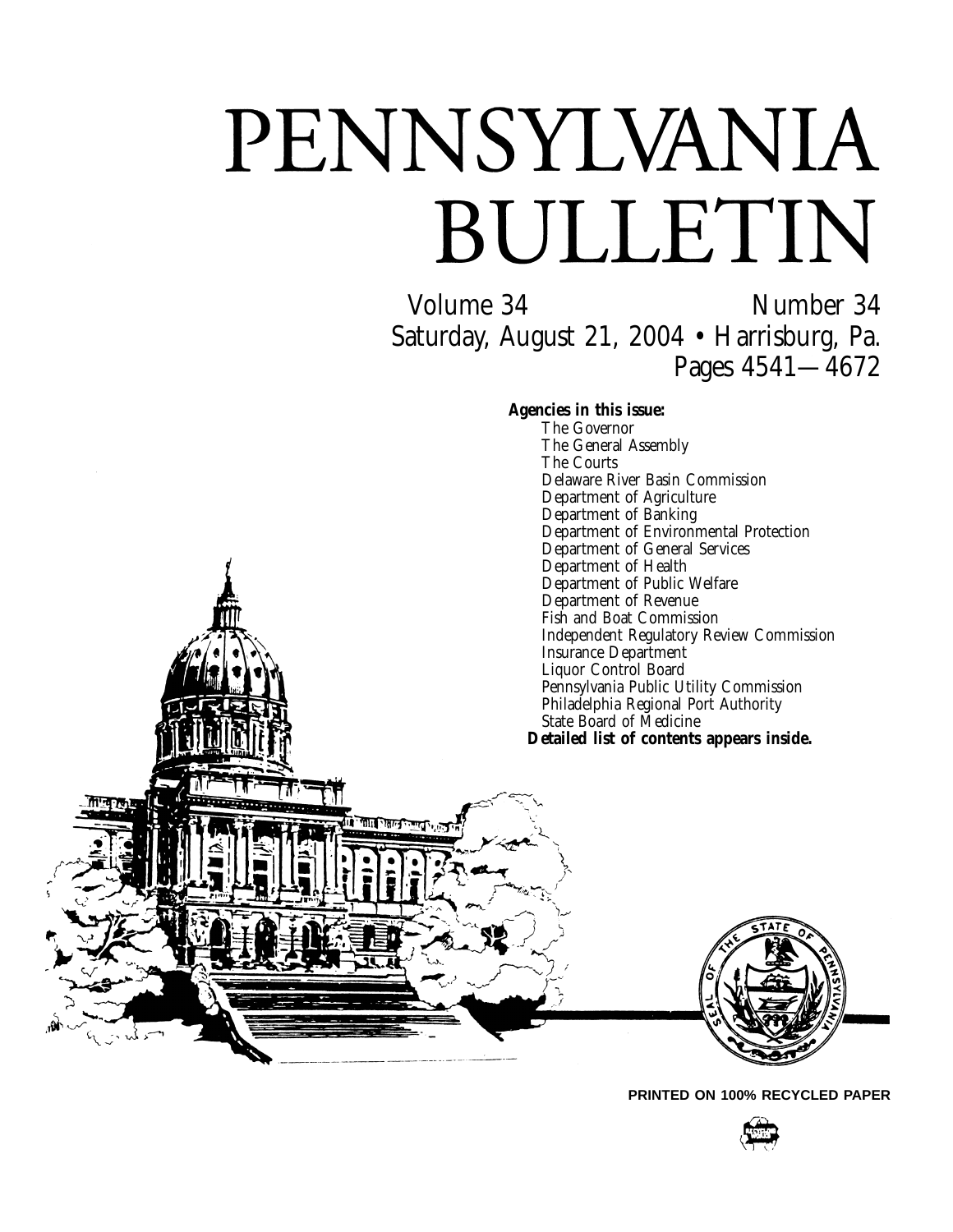# PENNSYLVANIA BULLETIN

Volume 34 Number 34 Saturday, August 21, 2004 • Harrisburg, Pa. Pages 4541—4672

**Agencies in this issue:**

The Governor The General Assembly The Courts Delaware River Basin Commission Department of Agriculture Department of Banking Department of Environmental Protection Department of General Services Department of Health Department of Public Welfare Department of Revenue Fish and Boat Commission Independent Regulatory Review Commission Insurance Department Liquor Control Board Pennsylvania Public Utility Commission Philadelphia Regional Port Authority State Board of Medicine **Detailed list of contents appears inside.**



**PRINTED ON 100% RECYCLED PAPER**

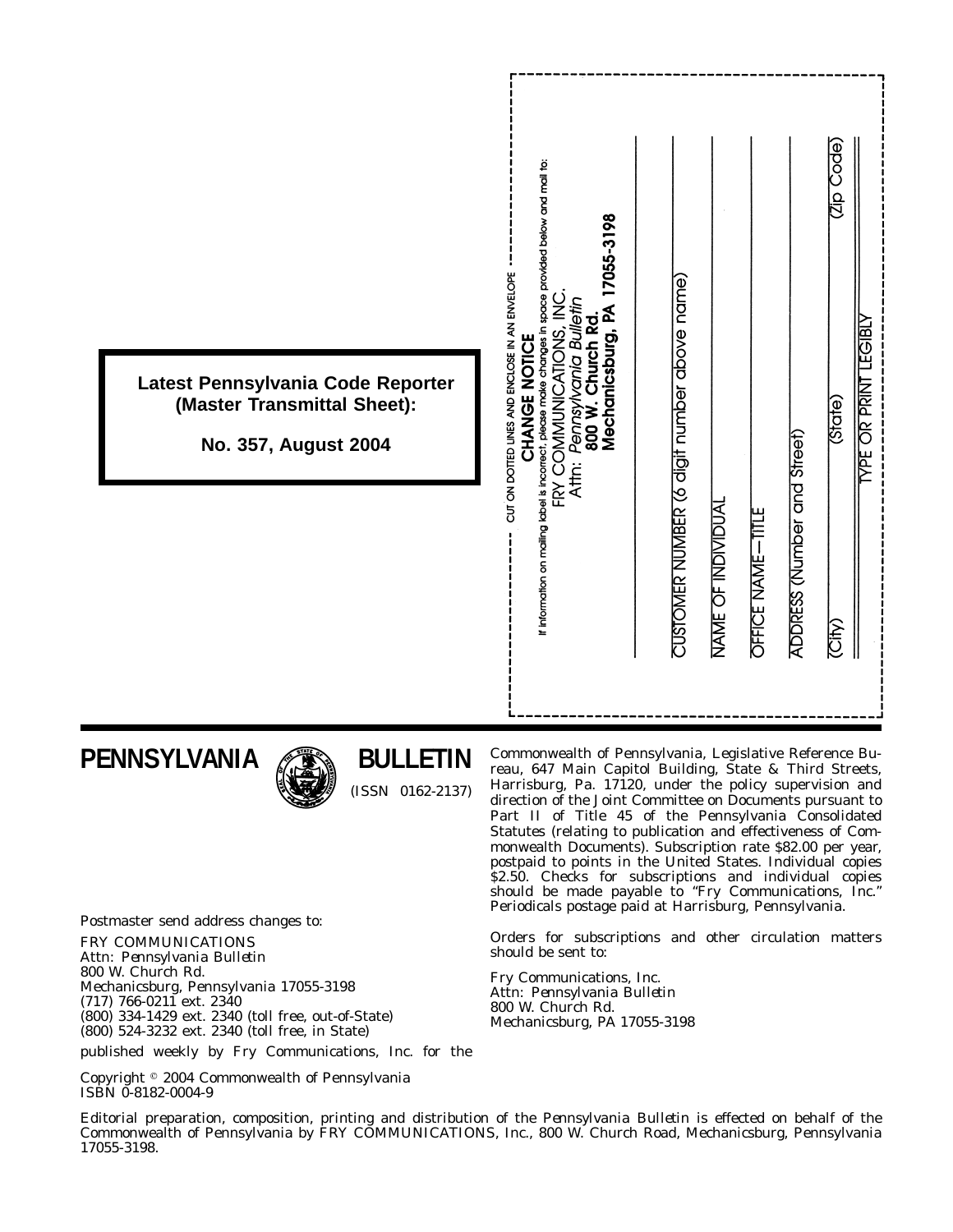| If information on mailing label is incorrect, please make changes in space provided below and mail to:<br>CUT ON DOTTED LINES AND ENCLOSE IN AN ENVELOPE<br>CHANGE NOTICE<br>Latest Pennsylvania Code Reporter<br>(Master Transmittal Sheet):<br>No. 357, August 2004 | Code)<br>17055-3198<br>CUSTOMER NUMBER (6 digit number above name)<br>FRY COMMUNICATIONS, INC<br>Pennsylvania Bulletin<br>800 W. Church Rd.<br>Mechanicsburg, PA<br><b>YPE OR PRINT LEGIBLY</b><br>(State)<br>ADDRESS (Number and Street)<br>Attn:<br>NAME OF INDIVIDUAL<br><b>OFFICE NAME-TITLE</b><br><b>City</b> |
|-----------------------------------------------------------------------------------------------------------------------------------------------------------------------------------------------------------------------------------------------------------------------|---------------------------------------------------------------------------------------------------------------------------------------------------------------------------------------------------------------------------------------------------------------------------------------------------------------------|
|-----------------------------------------------------------------------------------------------------------------------------------------------------------------------------------------------------------------------------------------------------------------------|---------------------------------------------------------------------------------------------------------------------------------------------------------------------------------------------------------------------------------------------------------------------------------------------------------------------|

**PENNSYLVANIA**



**BULLETIN**

(ISSN 0162-2137)

Commonwealth of Pennsylvania, Legislative Reference Bureau, 647 Main Capitol Building, State & Third Streets, Harrisburg, Pa. 17120, under the policy supervision and direction of the Joint Committee on Documents pursuant to Part II of Title 45 of the Pennsylvania Consolidated Statutes (relating to publication and effectiveness of Commonwealth Documents). Subscription rate \$82.00 per year, postpaid to points in the United States. Individual copies \$2.50. Checks for subscriptions and individual copies should be made payable to ''*Fry Communications, Inc.*'' Periodicals postage paid at Harrisburg, Pennsylvania.

Orders for subscriptions and other circulation matters should be sent to:

Fry Communications, Inc. Attn: *Pennsylvania Bulletin* 800 W. Church Rd. Mechanicsburg, PA 17055-3198

Postmaster send address changes to:

FRY COMMUNICATIONS Attn: *Pennsylvania Bulletin* 800 W. Church Rd. Mechanicsburg, Pennsylvania 17055-3198 (717) 766-0211 ext. 2340 (800) 334-1429 ext. 2340 (toll free, out-of-State) (800) 524-3232 ext. 2340 (toll free, in State)

published weekly by Fry Communications, Inc. for the

Copyright <sup>©</sup> 2004 Commonwealth of Pennsylvania ISBN 0-8182-0004-9

Editorial preparation, composition, printing and distribution of the *Pennsylvania Bulletin* is effected on behalf of the Commonwealth of Pennsylvania by FRY COMMUNICATIONS, Inc., 800 W. Church Road, Mechanicsburg, Pennsylvania 17055-3198.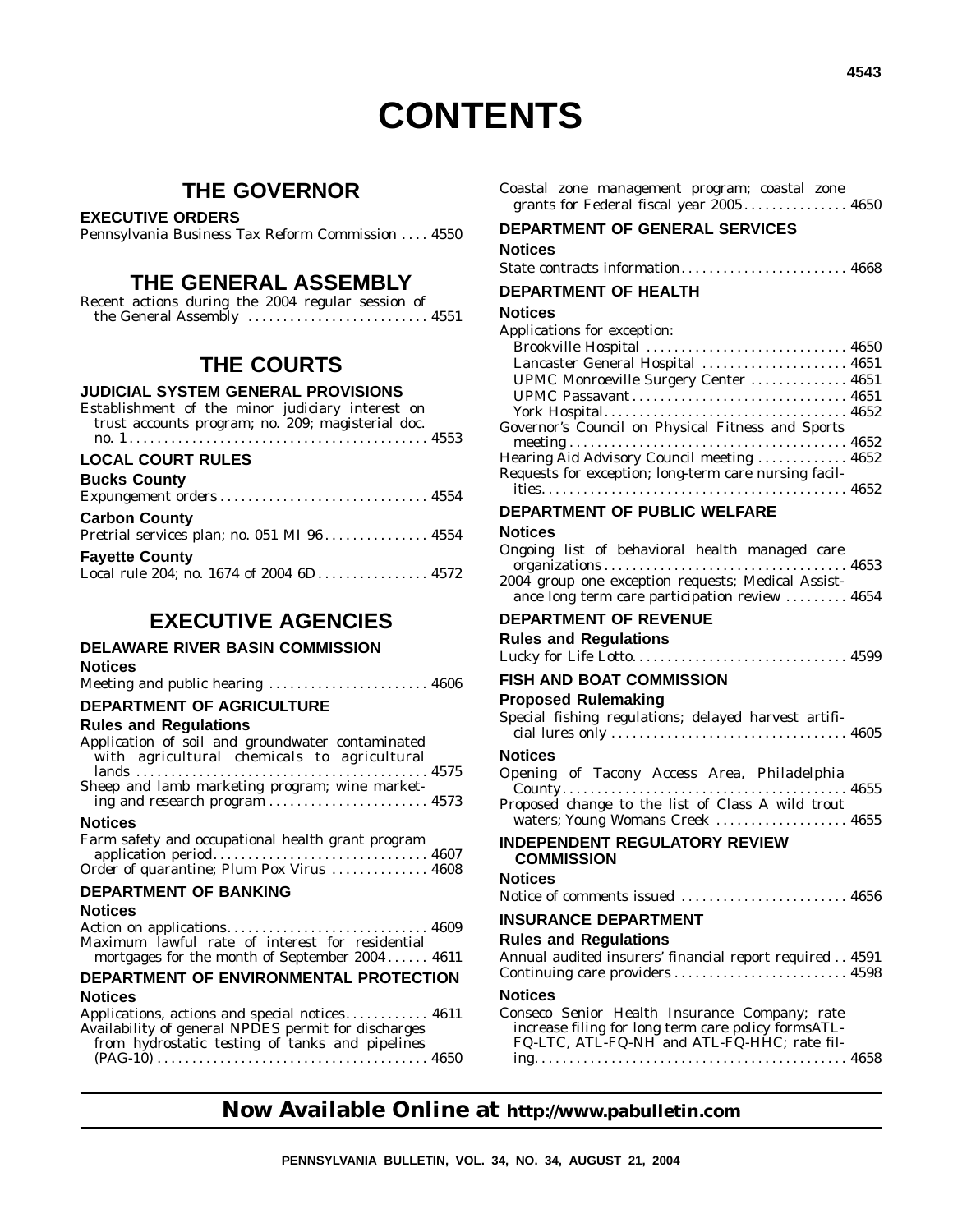# **CONTENTS**

### **THE GOVERNOR**

#### **EXECUTIVE ORDERS**

Pennsylvania Business Tax Reform Commission .... 4550

### **THE GENERAL ASSEMBLY**

| Recent actions during the 2004 regular session of |  |  |  |
|---------------------------------------------------|--|--|--|
|                                                   |  |  |  |

### **THE COURTS**

#### **JUDICIAL SYSTEM GENERAL PROVISIONS**

| Establishment of the minor judiciary interest on<br>trust accounts program; no. 209; magisterial doc. |  |
|-------------------------------------------------------------------------------------------------------|--|
| <b>LOCAL COURT RULES</b>                                                                              |  |
| <b>Bucks County</b>                                                                                   |  |
|                                                                                                       |  |
| <b>Carbon County</b>                                                                                  |  |

|                       | Pretrial services plan; no. 051 MI 96 4554 |  |
|-----------------------|--------------------------------------------|--|
| <b>Fayette County</b> |                                            |  |
|                       | Local rule 204; no. 1674 of 2004 6D 4572   |  |

#### **EXECUTIVE AGENCIES DELAWARE RIVER BASIN COMMISSION Notices** Meeting and public hearing ............................. 4606 **DEPARTMENT OF AGRICULTURE Rules and Regulations** Application of soil and groundwater contaminated with agricultural chemicals to agricultural lands .......................................... 4575 Sheep and lamb marketing program; wine marketing and research program ............................ 4573 **Notices** Farm safety and occupational health grant program application period............................... 4607 Order of quarantine; Plum Pox Virus .............. 4608 **DEPARTMENT OF BANKING Notices** Action on applications............................. 4609 Maximum lawful rate of interest for residential mortgages for the month of September 2004 . . . . . . 4611 **DEPARTMENT OF ENVIRONMENTAL PROTECTION Notices** Applications, actions and special notices. . . . . . . . . . . 4611 Availability of general NPDES permit for discharges from hydrostatic testing of tanks and pipelines (PAG-10) ....................................... 4650 **Now Available Online at http://www.pabulletin.com PENNSYLVANIA BULLETIN, VOL. 34, NO. 34, AUGUST 21, 2004**

| Coastal zone management program; coastal zone<br>grants for Federal fiscal year 2005 4650                                                           |  |
|-----------------------------------------------------------------------------------------------------------------------------------------------------|--|
| DEPARTMENT OF GENERAL SERVICES                                                                                                                      |  |
| Notices                                                                                                                                             |  |
| State contracts information 4668                                                                                                                    |  |
| <b>DEPARTMENT OF HEALTH</b>                                                                                                                         |  |
| <b>Notices</b>                                                                                                                                      |  |
| Applications for exception:<br>Brookville Hospital  4650<br>Lancaster General Hospital  4651                                                        |  |
| UPMC Monroeville Surgery Center  4651<br>UPMC Passavant 4651                                                                                        |  |
| Governor's Council on Physical Fitness and Sports                                                                                                   |  |
|                                                                                                                                                     |  |
| Hearing Aid Advisory Council meeting  4652<br>Requests for exception; long-term care nursing facil-                                                 |  |
|                                                                                                                                                     |  |
| <b>DEPARTMENT OF PUBLIC WELFARE</b>                                                                                                                 |  |
| Notices                                                                                                                                             |  |
| Ongoing list of behavioral health managed care                                                                                                      |  |
| 2004 group one exception requests; Medical Assist-<br>ance long term care participation review  4654                                                |  |
| <b>DEPARTMENT OF REVENUE</b>                                                                                                                        |  |
| <b>Rules and Regulations</b>                                                                                                                        |  |
|                                                                                                                                                     |  |
| FISH AND BOAT COMMISSION                                                                                                                            |  |
| <b>Proposed Rulemaking</b>                                                                                                                          |  |
| Special fishing regulations; delayed harvest artifi-                                                                                                |  |
| <b>Notices</b>                                                                                                                                      |  |
| Opening of Tacony Access Area, Philadelphia<br>Proposed change to the list of Class A wild trout                                                    |  |
| waters; Young Womans Creek  4655                                                                                                                    |  |
| <b>INDEPENDENT REGULATORY REVIEW</b><br><b>COMMISSION</b>                                                                                           |  |
| <b>Notices</b>                                                                                                                                      |  |
| Notice of comments issued  4656                                                                                                                     |  |
| <b>INSURANCE DEPARTMENT</b>                                                                                                                         |  |
| <b>Rules and Regulations</b>                                                                                                                        |  |
| Annual audited insurers' financial report required 4591                                                                                             |  |
| <b>Notices</b>                                                                                                                                      |  |
| Conseco Senior Health Insurance Company; rate<br>increase filing for long term care policy formsATL-<br>FQ-LTC, ATL-FQ-NH and ATL-FQ-HHC; rate fil- |  |
|                                                                                                                                                     |  |
|                                                                                                                                                     |  |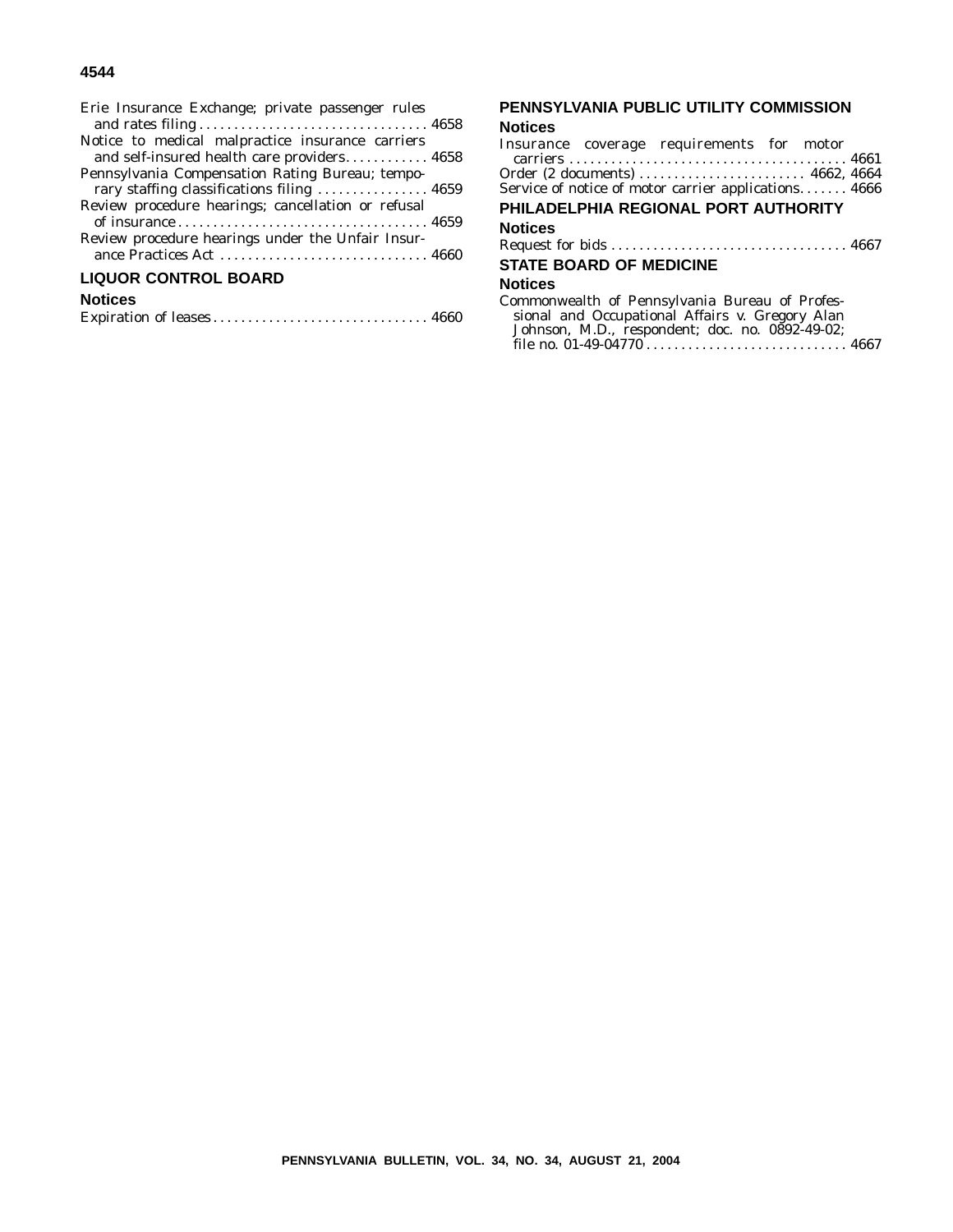#### **4544**

| Erie Insurance Exchange; private passenger rules   |
|----------------------------------------------------|
| Notice to medical malpractice insurance carriers   |
| and self-insured health care providers 4658        |
| Pennsylvania Compensation Rating Bureau; tempo-    |
| rary staffing classifications filing  4659         |
| Review procedure hearings; cancellation or refusal |
|                                                    |
| Review procedure hearings under the Unfair Insur-  |
|                                                    |
| <b>LIQUOR CONTROL BOARD</b>                        |
| <b>Notices</b>                                     |

| Expiration of leases 4660 |  |  |
|---------------------------|--|--|
|---------------------------|--|--|

# **PENNSYLVANIA PUBLIC UTILITY COMMISSION**

#### **Notices**

| Insurance coverage requirements for motor            |  |
|------------------------------------------------------|--|
|                                                      |  |
|                                                      |  |
| Service of notice of motor carrier applications 4666 |  |
| PHILADELPHIA REGIONAL PORT AUTHORITY                 |  |
| Notices                                              |  |
|                                                      |  |
| <b>STATE BOARD OF MEDICINE</b>                       |  |
| Notices                                              |  |
| Commonwealth of Pennsylvania Bureau of Profes-       |  |
| sional and Occupational Affairs v. Gregory Alan      |  |
| Johnson, M.D., respondent; doc. no. 0892-49-02;      |  |
|                                                      |  |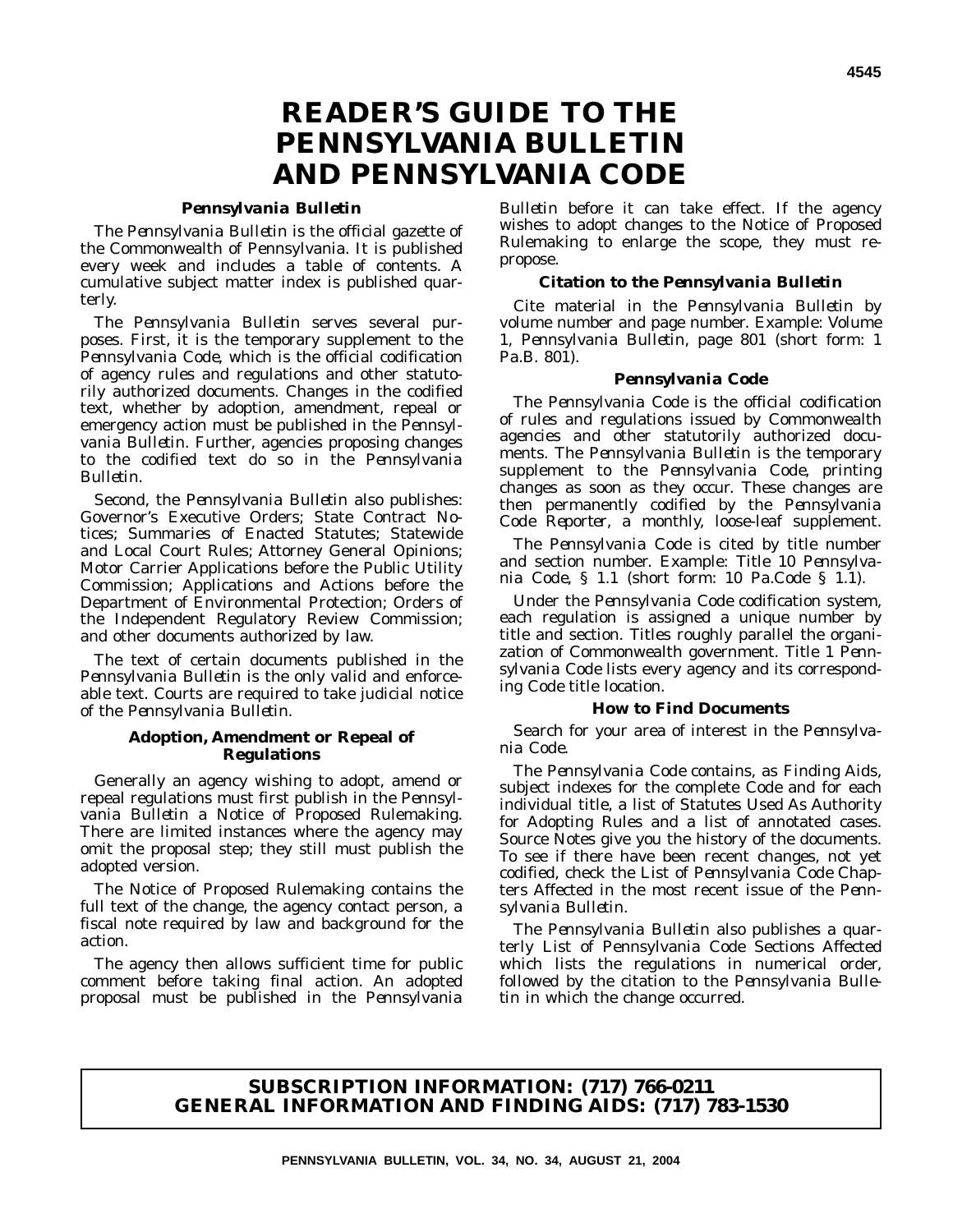# **READER'S GUIDE TO THE** *PENNSYLVANIA BULLETIN* **AND** *PENNSYLVANIA CODE*

#### *Pennsylvania Bulletin*

The *Pennsylvania Bulletin* is the official gazette of the Commonwealth of Pennsylvania. It is published every week and includes a table of contents. A cumulative subject matter index is published quarterly.

The *Pennsylvania Bulletin* serves several purposes. First, it is the temporary supplement to the *Pennsylvania Code*, which is the official codification of agency rules and regulations and other statutorily authorized documents. Changes in the codified text, whether by adoption, amendment, repeal or emergency action must be published in the *Pennsylvania Bulletin*. Further, agencies proposing changes to the codified text do so in the *Pennsylvania Bulletin*.

Second, the *Pennsylvania Bulletin* also publishes: Governor's Executive Orders; State Contract Notices; Summaries of Enacted Statutes; Statewide and Local Court Rules; Attorney General Opinions; Motor Carrier Applications before the Public Utility Commission; Applications and Actions before the Department of Environmental Protection; Orders of the Independent Regulatory Review Commission; and other documents authorized by law.

The text of certain documents published in the *Pennsylvania Bulletin* is the only valid and enforceable text. Courts are required to take judicial notice of the *Pennsylvania Bulletin*.

#### **Adoption, Amendment or Repeal of Regulations**

Generally an agency wishing to adopt, amend or repeal regulations must first publish in the *Pennsylvania Bulletin* a Notice of Proposed Rulemaking. There are limited instances where the agency may omit the proposal step; they still must publish the adopted version.

The Notice of Proposed Rulemaking contains the full text of the change, the agency contact person, a fiscal note required by law and background for the action.

The agency then allows sufficient time for public comment before taking final action. An adopted proposal must be published in the *Pennsylvania*

*Bulletin* before it can take effect. If the agency wishes to adopt changes to the Notice of Proposed Rulemaking to enlarge the scope, they must repropose.

#### **Citation to the** *Pennsylvania Bulletin*

Cite material in the *Pennsylvania Bulletin* by volume number and page number. Example: Volume 1, *Pennsylvania Bulletin*, page 801 (short form: 1 Pa.B. 801).

#### *Pennsylvania Code*

The *Pennsylvania Code* is the official codification of rules and regulations issued by Commonwealth agencies and other statutorily authorized documents. The *Pennsylvania Bulletin* is the temporary supplement to the *Pennsylvania Code*, printing changes as soon as they occur. These changes are then permanently codified by the *Pennsylvania Code Reporter*, a monthly, loose-leaf supplement.

The *Pennsylvania Code* is cited by title number and section number. Example: Title 10 *Pennsylvania Code*, § 1.1 (short form: 10 Pa.Code § 1.1).

Under the *Pennsylvania Code* codification system, each regulation is assigned a unique number by title and section. Titles roughly parallel the organization of Commonwealth government. Title 1 *Pennsylvania Code* lists every agency and its corresponding *Code* title location.

#### **How to Find Documents**

Search for your area of interest in the *Pennsylvania Code*.

The *Pennsylvania Code* contains, as Finding Aids, subject indexes for the complete *Code* and for each individual title, a list of Statutes Used As Authority for Adopting Rules and a list of annotated cases. Source Notes give you the history of the documents. To see if there have been recent changes, not yet codified, check the List of *Pennsylvania Code* Chapters Affected in the most recent issue of the *Pennsylvania Bulletin*.

The *Pennsylvania Bulletin* also publishes a quarterly List of Pennsylvania Code Sections Affected which lists the regulations in numerical order, followed by the citation to the *Pennsylvania Bulletin* in which the change occurred.

#### **SUBSCRIPTION INFORMATION: (717) 766-0211 GENERAL INFORMATION AND FINDING AIDS: (717) 783-1530**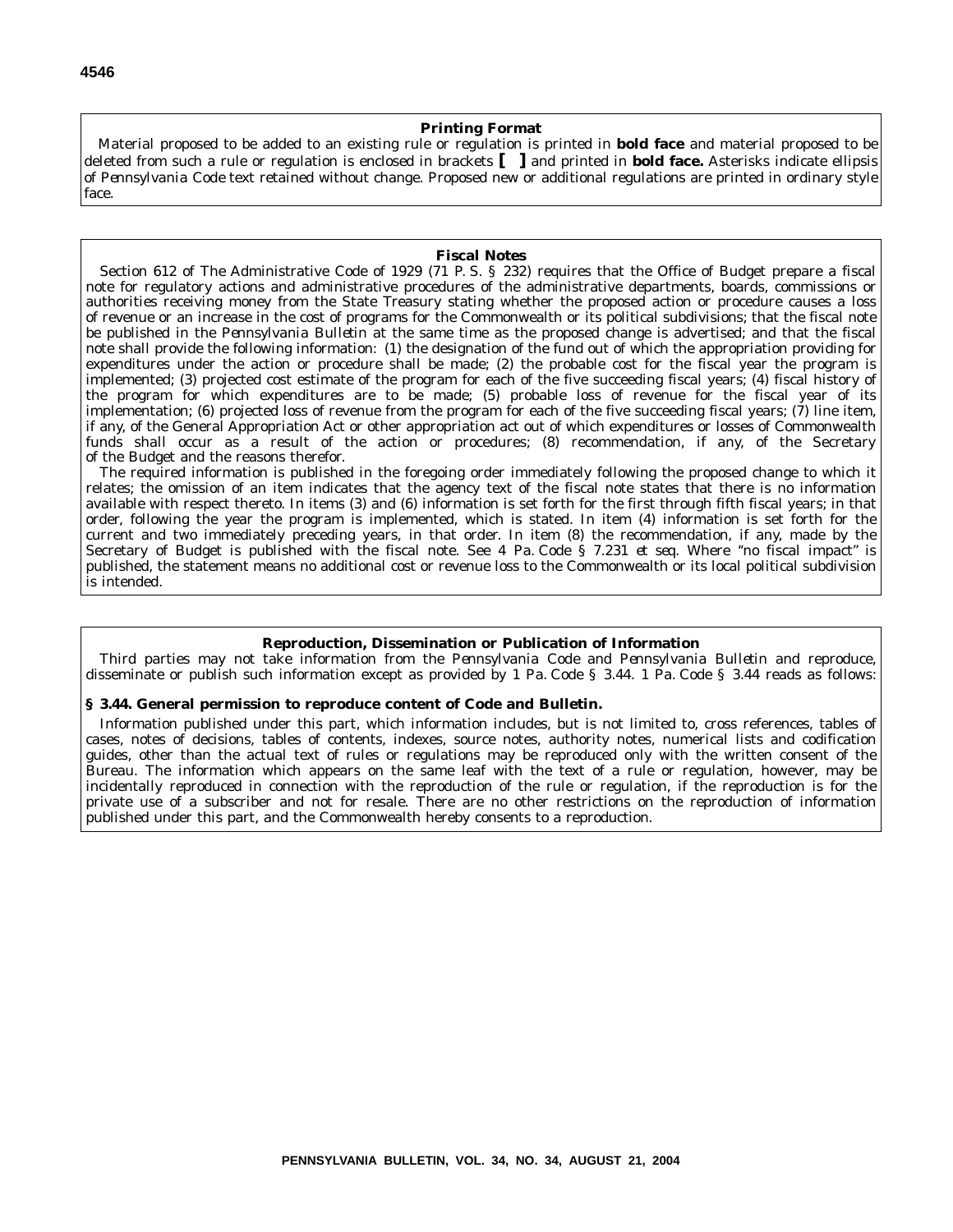#### **Printing Format**

Material proposed to be added to an existing rule or regulation is printed in **bold face** and material proposed to be deleted from such a rule or regulation is enclosed in brackets **[ ]** and printed in **bold face.** Asterisks indicate ellipsis of *Pennsylvania Code* text retained without change. Proposed new or additional regulations are printed in ordinary style face.

#### **Fiscal Notes**

Section 612 of The Administrative Code of 1929 (71 P. S. § 232) requires that the Office of Budget prepare a fiscal note for regulatory actions and administrative procedures of the administrative departments, boards, commissions or authorities receiving money from the State Treasury stating whether the proposed action or procedure causes a loss of revenue or an increase in the cost of programs for the Commonwealth or its political subdivisions; that the fiscal note be published in the *Pennsylvania Bulletin* at the same time as the proposed change is advertised; and that the fiscal note shall provide the following information: (1) the designation of the fund out of which the appropriation providing for expenditures under the action or procedure shall be made; (2) the probable cost for the fiscal year the program is implemented; (3) projected cost estimate of the program for each of the five succeeding fiscal years; (4) fiscal history of the program for which expenditures are to be made; (5) probable loss of revenue for the fiscal year of its implementation; (6) projected loss of revenue from the program for each of the five succeeding fiscal years; (7) line item, if any, of the General Appropriation Act or other appropriation act out of which expenditures or losses of Commonwealth funds shall occur as a result of the action or procedures; (8) recommendation, if any, of the Secretary of the Budget and the reasons therefor.

The required information is published in the foregoing order immediately following the proposed change to which it relates; the omission of an item indicates that the agency text of the fiscal note states that there is no information available with respect thereto. In items (3) and (6) information is set forth for the first through fifth fiscal years; in that order, following the year the program is implemented, which is stated. In item (4) information is set forth for the current and two immediately preceding years, in that order. In item (8) the recommendation, if any, made by the Secretary of Budget is published with the fiscal note. See 4 Pa. Code § 7.231 *et seq.* Where ''no fiscal impact'' is published, the statement means no additional cost or revenue loss to the Commonwealth or its local political subdivision is intended.

#### **Reproduction, Dissemination or Publication of Information**

Third parties may not take information from the *Pennsylvania Code* and *Pennsylvania Bulletin* and reproduce, disseminate or publish such information except as provided by 1 Pa. Code § 3.44. 1 Pa. Code § 3.44 reads as follows:

#### **§ 3.44. General permission to reproduce content of Code and Bulletin.**

Information published under this part, which information includes, but is not limited to, cross references, tables of cases, notes of decisions, tables of contents, indexes, source notes, authority notes, numerical lists and codification guides, other than the actual text of rules or regulations may be reproduced only with the written consent of the Bureau. The information which appears on the same leaf with the text of a rule or regulation, however, may be incidentally reproduced in connection with the reproduction of the rule or regulation, if the reproduction is for the private use of a subscriber and not for resale. There are no other restrictions on the reproduction of information published under this part, and the Commonwealth hereby consents to a reproduction.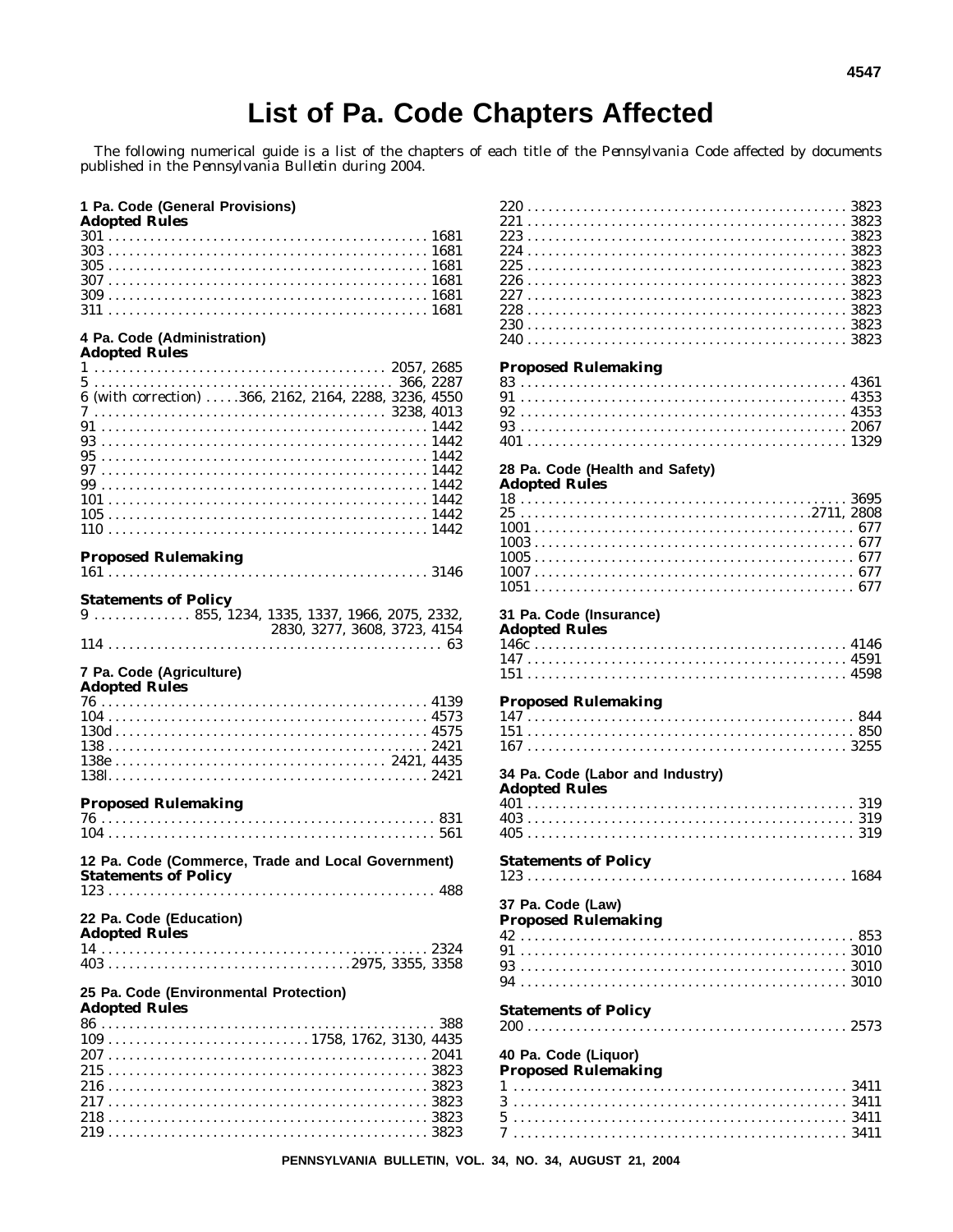$0.007$ 

 $A1AB$ 

# List of Pa. Code Chapters Affected

The following numerical guide is a list of the chapters of each title of the Pennsylvania Code affected by documents published in the Pennsylvania Bulletin during 2004.

#### 1 Pa. Code (General Provisions)

| <b>Adopted Rules</b> |  |  |  |  |  |  |  |  |  |  |  |  |  |  |  |  |  |  |  |  |  |  |  |  |  |  |  |  |  |  |  |
|----------------------|--|--|--|--|--|--|--|--|--|--|--|--|--|--|--|--|--|--|--|--|--|--|--|--|--|--|--|--|--|--|--|
|                      |  |  |  |  |  |  |  |  |  |  |  |  |  |  |  |  |  |  |  |  |  |  |  |  |  |  |  |  |  |  |  |
|                      |  |  |  |  |  |  |  |  |  |  |  |  |  |  |  |  |  |  |  |  |  |  |  |  |  |  |  |  |  |  |  |
|                      |  |  |  |  |  |  |  |  |  |  |  |  |  |  |  |  |  |  |  |  |  |  |  |  |  |  |  |  |  |  |  |
|                      |  |  |  |  |  |  |  |  |  |  |  |  |  |  |  |  |  |  |  |  |  |  |  |  |  |  |  |  |  |  |  |
|                      |  |  |  |  |  |  |  |  |  |  |  |  |  |  |  |  |  |  |  |  |  |  |  |  |  |  |  |  |  |  |  |
|                      |  |  |  |  |  |  |  |  |  |  |  |  |  |  |  |  |  |  |  |  |  |  |  |  |  |  |  |  |  |  |  |

# 4 Pa. Code (Administration)<br>Adopted Rules

| Auopicu Itules                                        |  |
|-------------------------------------------------------|--|
|                                                       |  |
|                                                       |  |
| 6 (with correction) 366, 2162, 2164, 2288, 3236, 4550 |  |
|                                                       |  |
|                                                       |  |
|                                                       |  |
|                                                       |  |
|                                                       |  |
|                                                       |  |
|                                                       |  |
|                                                       |  |
|                                                       |  |

#### **Proposed Rulemaking**

|--|--|--|--|--|--|--|--|

| <b>Statements of Policy</b> |  |  |  |  |                              |  |  |  |  |  |  |  |  |
|-----------------------------|--|--|--|--|------------------------------|--|--|--|--|--|--|--|--|
|                             |  |  |  |  |                              |  |  |  |  |  |  |  |  |
|                             |  |  |  |  | 2830, 3277, 3608, 3723, 4154 |  |  |  |  |  |  |  |  |
|                             |  |  |  |  |                              |  |  |  |  |  |  |  |  |

# 7 Pa. Code (Agriculture)<br>Adopted Rules

| лиоріси імпеэ |  |
|---------------|--|
|               |  |
|               |  |
|               |  |
|               |  |
|               |  |
|               |  |

#### **Proposed Rulemaking**

| 12 Pa. Code (Commerce, Trade and Local Government)<br><b>Statements of Policy</b>                  |
|----------------------------------------------------------------------------------------------------|
| 22 Pa. Code (Education)<br><b>Adopted Rules</b>                                                    |
|                                                                                                    |
|                                                                                                    |
| 25 Pa. Code (Environmental Protection)<br><b>Adopted Rules</b>                                     |
|                                                                                                    |
| $109 \ldots \ldots \ldots \ldots \ldots \ldots \ldots \ldots \ldots \ldots 1758, 1762, 3130, 4435$ |
|                                                                                                    |
|                                                                                                    |
|                                                                                                    |

#### **Proposed Rulemaking**

#### 28 Pa. Code (Health and Safety)

#### **Adopted Rules**

| 1051 — 105 |  |  |  |  |  |  |  |  |  |  |  |  |  |  |  |  |  |  |  |  |  |  |  | 677 |  |  |
|------------|--|--|--|--|--|--|--|--|--|--|--|--|--|--|--|--|--|--|--|--|--|--|--|-----|--|--|

#### 31 Pa. Code (Insurance)

#### **Adopted Rules** 146c

#### **Proposed Rulemaking**

| 34 Pa. Code (Labor and Industry)<br><b>Adopted Rules</b> |  |  |  |  |
|----------------------------------------------------------|--|--|--|--|
|                                                          |  |  |  |  |
|                                                          |  |  |  |  |
|                                                          |  |  |  |  |
| <b>Statements of Policy</b>                              |  |  |  |  |
|                                                          |  |  |  |  |
| 37 Pa. Code (Law)                                        |  |  |  |  |
| <b>Proposed Rulemaking</b>                               |  |  |  |  |
|                                                          |  |  |  |  |
|                                                          |  |  |  |  |
|                                                          |  |  |  |  |
|                                                          |  |  |  |  |
| <b>Statements of Policy</b>                              |  |  |  |  |
|                                                          |  |  |  |  |
| 40 Pa. Code (Liquor)<br><b>Proposed Rulemaking</b>       |  |  |  |  |
|                                                          |  |  |  |  |
|                                                          |  |  |  |  |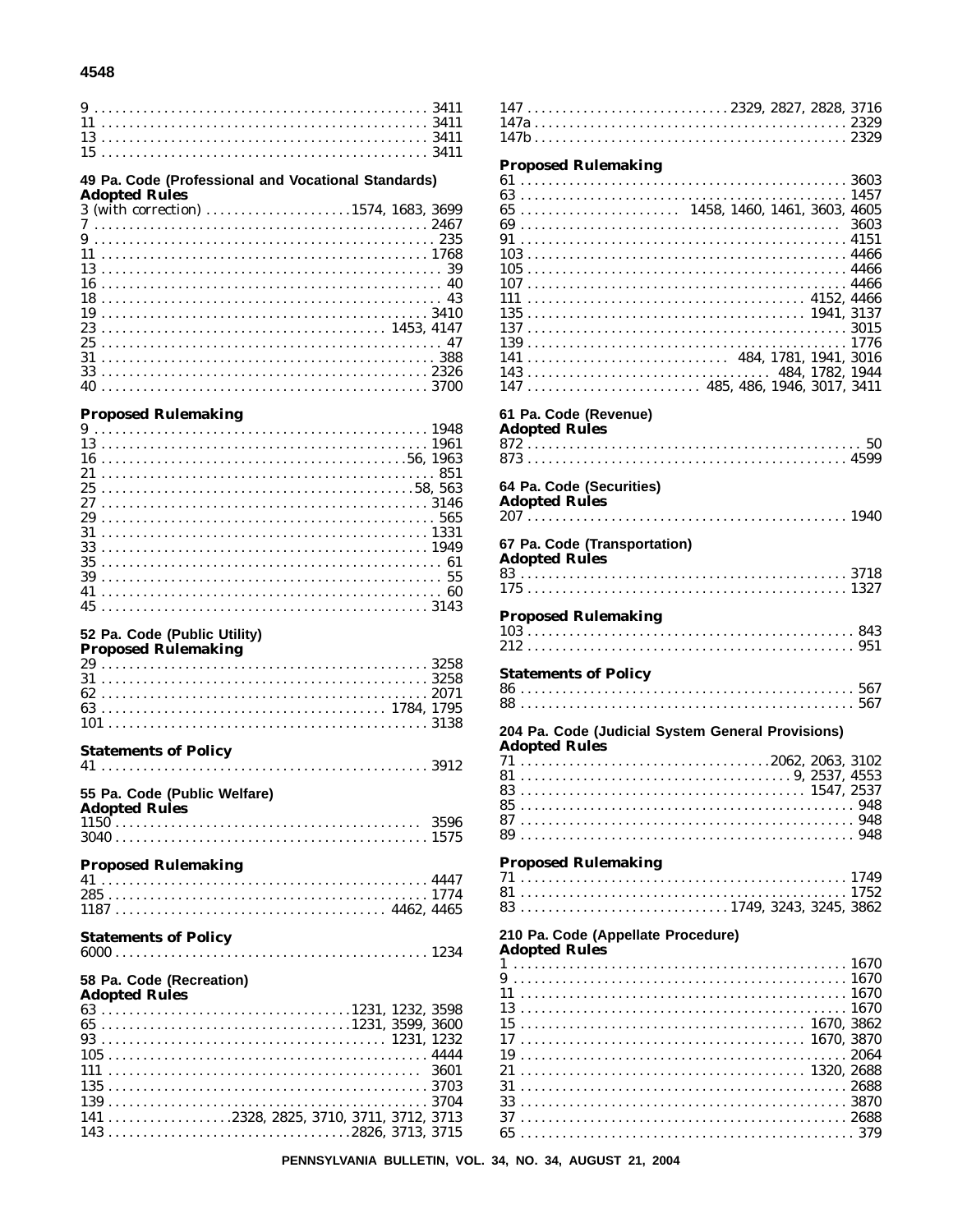#### 4548

| 49 Pa. Code (Professional and Vocational Standards) |
|-----------------------------------------------------|
| <b>Adopted Rules</b>                                |
| 3 (with correction) 1574, 1683, 3699                |
|                                                     |
|                                                     |
|                                                     |
|                                                     |
|                                                     |
|                                                     |
|                                                     |
|                                                     |
|                                                     |
|                                                     |
|                                                     |
|                                                     |
|                                                     |

#### **Proposed Rulemaking**

| $273146$ |  |  |  |  |  |  |  |  |  |  |  |  |  |  |  |  |  |  |  |  |  |  |  |  |  |  |
|----------|--|--|--|--|--|--|--|--|--|--|--|--|--|--|--|--|--|--|--|--|--|--|--|--|--|--|
|          |  |  |  |  |  |  |  |  |  |  |  |  |  |  |  |  |  |  |  |  |  |  |  |  |  |  |
|          |  |  |  |  |  |  |  |  |  |  |  |  |  |  |  |  |  |  |  |  |  |  |  |  |  |  |
|          |  |  |  |  |  |  |  |  |  |  |  |  |  |  |  |  |  |  |  |  |  |  |  |  |  |  |
|          |  |  |  |  |  |  |  |  |  |  |  |  |  |  |  |  |  |  |  |  |  |  |  |  |  |  |
|          |  |  |  |  |  |  |  |  |  |  |  |  |  |  |  |  |  |  |  |  |  |  |  |  |  |  |
|          |  |  |  |  |  |  |  |  |  |  |  |  |  |  |  |  |  |  |  |  |  |  |  |  |  |  |
|          |  |  |  |  |  |  |  |  |  |  |  |  |  |  |  |  |  |  |  |  |  |  |  |  |  |  |

#### 52 Pa. Code (Public Utility)

#### **Proposed Rulemaking**

#### **Statements of Policy** 55 Pa. Code (Public Welfare) **Adopted Rules Proposed Rulemaking**

#### **Statements of Policy**  $6000...$

#### 58 Pa. Code (Recreation)

| Adopted Rules |                                          |  |
|---------------|------------------------------------------|--|
|               |                                          |  |
|               |                                          |  |
|               |                                          |  |
|               |                                          |  |
|               |                                          |  |
|               |                                          |  |
|               |                                          |  |
|               | $141$ 2328, 2825, 3710, 3711, 3712, 3713 |  |
|               |                                          |  |

#### **Proposed Rulemaking**  $143 \ldots \ldots \ldots \ldots \ldots \ldots \ldots \ldots \ldots \ldots \ldots \quad 484, 1782, 1944$ 61 Pa. Code (Revenue) **Adopted Rules** 64 Pa. Code (Securities) **Adopted Rules** 67 Pa. Code (Transportation) **Adopted Rules Proposed Rulemaking Statements of Policy** 204 Pa. Code (Judicial System General Provisions) **Adopted Rules Proposed Rulemaking** 210 Pa. Code (Appellate Procedure) **Adopted Rules** Ç  $\mathbf{1}$ 1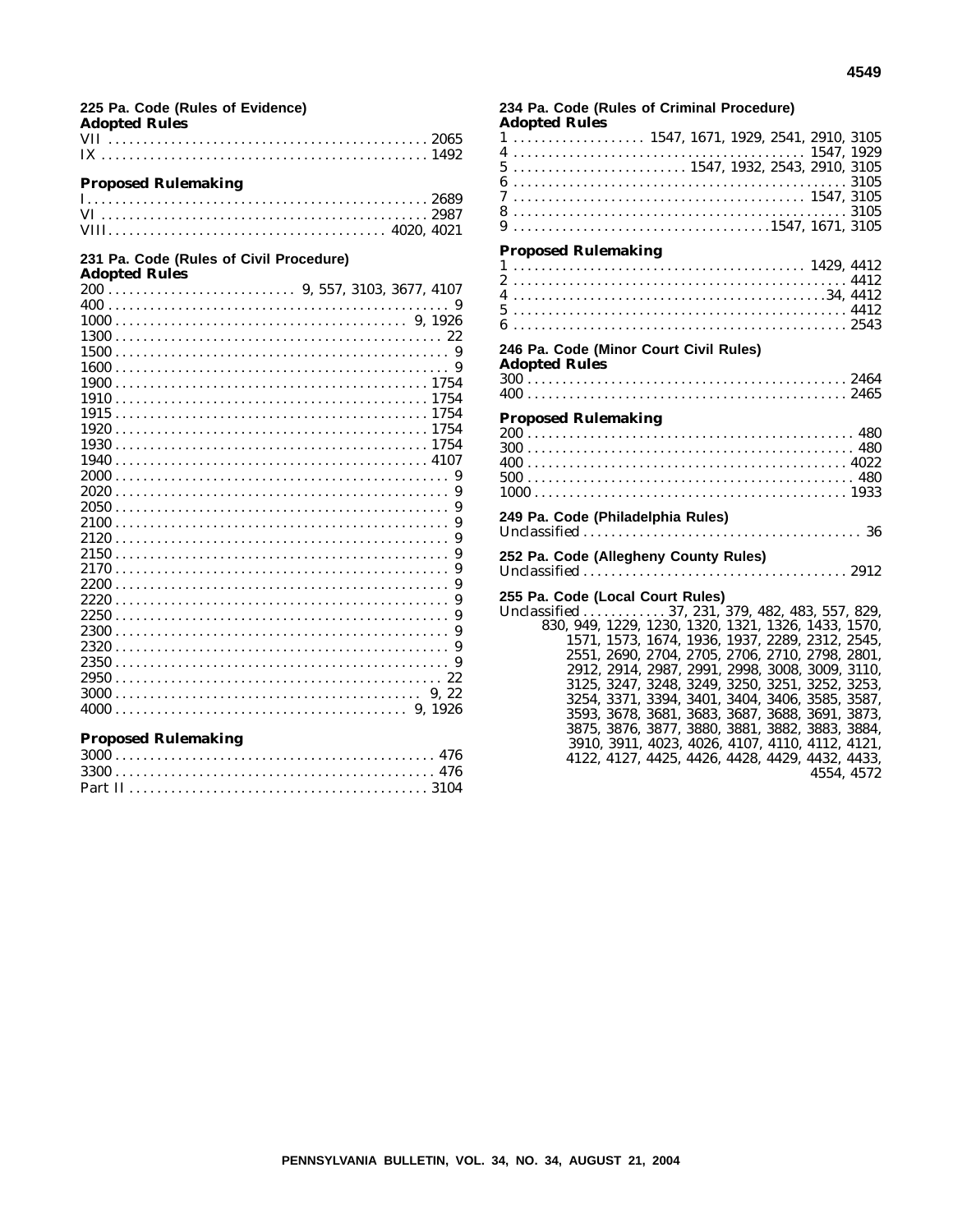|                      | 225 Pa. Code (Rules of Evidence) |  |
|----------------------|----------------------------------|--|
| <b>Adopted Rules</b> |                                  |  |

#### **Proposed Rulemaking**

#### **231 Pa. Code (Rules of Civil Procedure) Adopted Rules**

| uvpleu ivules |  |
|---------------|--|
|               |  |
|               |  |
|               |  |
|               |  |
|               |  |
|               |  |
|               |  |
|               |  |
|               |  |
|               |  |
|               |  |
|               |  |
|               |  |
|               |  |
|               |  |
|               |  |
|               |  |
|               |  |
|               |  |
|               |  |
|               |  |
|               |  |
|               |  |
|               |  |
|               |  |
|               |  |
|               |  |
|               |  |
|               |  |

#### **Proposed Rulemaking**

#### **234 Pa. Code (Rules of Criminal Procedure) Adopted Rules** 1 ................... 1547, 1671, 1929, 2541, 2910, 3105 4 .......................................... 1547, 1929 5 ......................... 1547, 1932, 2543, 2910, 3105 6 ................................................ 3105 7 .......................................... 1547, 3105 8 ................................................ 3105 9 .....................................1547, 1671, 3105 **Proposed Rulemaking** 1 .......................................... 1429, 4412 2 ................................................ 4412 4 . . . . . . . . . . . . . . . . . . . . . . . . . . . . . . . . . . . . . . . . . . . . .34, 4412 5 ................................................ 4412 6 ................................................ 2543 **246 Pa. Code (Minor Court Civil Rules) Adopted Rules** 300 . . . . . . . . . . . . . . . . . . . . . . . . . . . . . . . . . . . . . . . . . . . . . . 2464 400 . . . . . . . . . . . . . . . . . . . . . . . . . . . . . . . . . . . . . . . . . . . . . . 2465 **Proposed Rulemaking** 200 . . . . . . . . . . . . . . . . . . . . . . . . . . . . . . . . . . . . . . . . . . . . . . . 480 300 . . . . . . . . . . . . . . . . . . . . . . . . . . . . . . . . . . . . . . . . . . . . . . . 480 400 . . . . . . . . . . . . . . . . . . . . . . . . . . . . . . . . . . . . . . . . . . . . . . 4022 500 . . . . . . . . . . . . . . . . . . . . . . . . . . . . . . . . . . . . . . . . . . . . . . . 480 1000 ............................................. 1933 **249 Pa. Code (Philadelphia Rules)** Unclassified . . . . . . . . . . . . . . . . . . . . . . . . . . . . . . . . . . . . . . . . 36 **252 Pa. Code (Allegheny County Rules)** Unclassified ...................................... 2912 **255 Pa. Code (Local Court Rules)** Unclassified . . . . . . . . . . . 37, 231, 379, 482, 483, 557, 829, 830, 949, 1229, 1230, 1320, 1321, 1326, 1433, 1570, 1571, 1573, 1674, 1936, 1937, 2289, 2312, 2545, 2551, 2690, 2704, 2705, 2706, 2710, 2798, 2801, 2912, 2914, 2987, 2991, 2998, 3008, 3009, 3110, 3125, 3247, 3248, 3249, 3250, 3251, 3252, 3253, 3254, 3371, 3394, 3401, 3404, 3406, 3585, 3587, 3593, 3678, 3681, 3683, 3687, 3688, 3691, 3873, 3875, 3876, 3877, 3880, 3881, 3882, 3883, 3884, 3910, 3911, 4023, 4026, 4107, 4110, 4112, 4121,

4122, 4127, 4425, 4426, 4428, 4429, 4432, 4433,

4554, 4572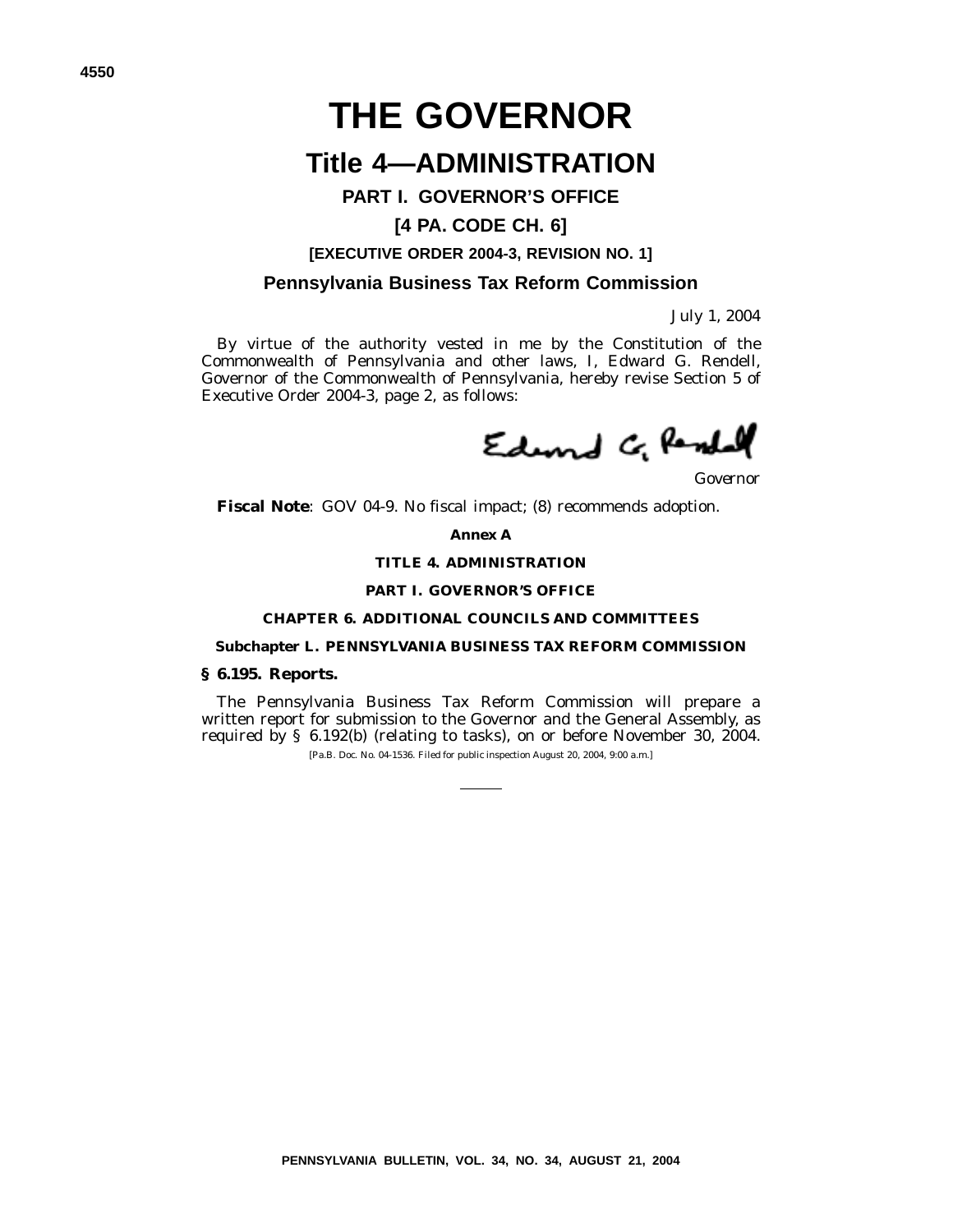# **THE GOVERNOR**

# **Title 4—ADMINISTRATION**

#### **PART I. GOVERNOR'S OFFICE**

#### **[4 PA. CODE CH. 6]**

#### **[EXECUTIVE ORDER 2004-3, REVISION NO. 1]**

#### **Pennsylvania Business Tax Reform Commission**

July 1, 2004

By virtue of the authority vested in me by the Constitution of the Commonwealth of Pennsylvania and other laws, I, Edward G. Rendell, Governor of the Commonwealth of Pennsylvania, hereby revise Section 5 of Executive Order 2004-3, page 2, as follows:

Edund G Rendal

*Governor*

**Fiscal Note**: GOV 04-9. No fiscal impact; (8) recommends adoption.

**Annex A**

#### **TITLE 4. ADMINISTRATION**

#### **PART I. GOVERNOR'S OFFICE**

#### **CHAPTER 6. ADDITIONAL COUNCILS AND COMMITTEES**

#### **Subchapter L. PENNSYLVANIA BUSINESS TAX REFORM COMMISSION**

#### **§ 6.195. Reports.**

The Pennsylvania Business Tax Reform Commission will prepare a written report for submission to the Governor and the General Assembly, as required by § 6.192(b) (relating to tasks), on or before November 30, 2004.

[Pa.B. Doc. No. 04-1536. Filed for public inspection August 20, 2004, 9:00 a.m.]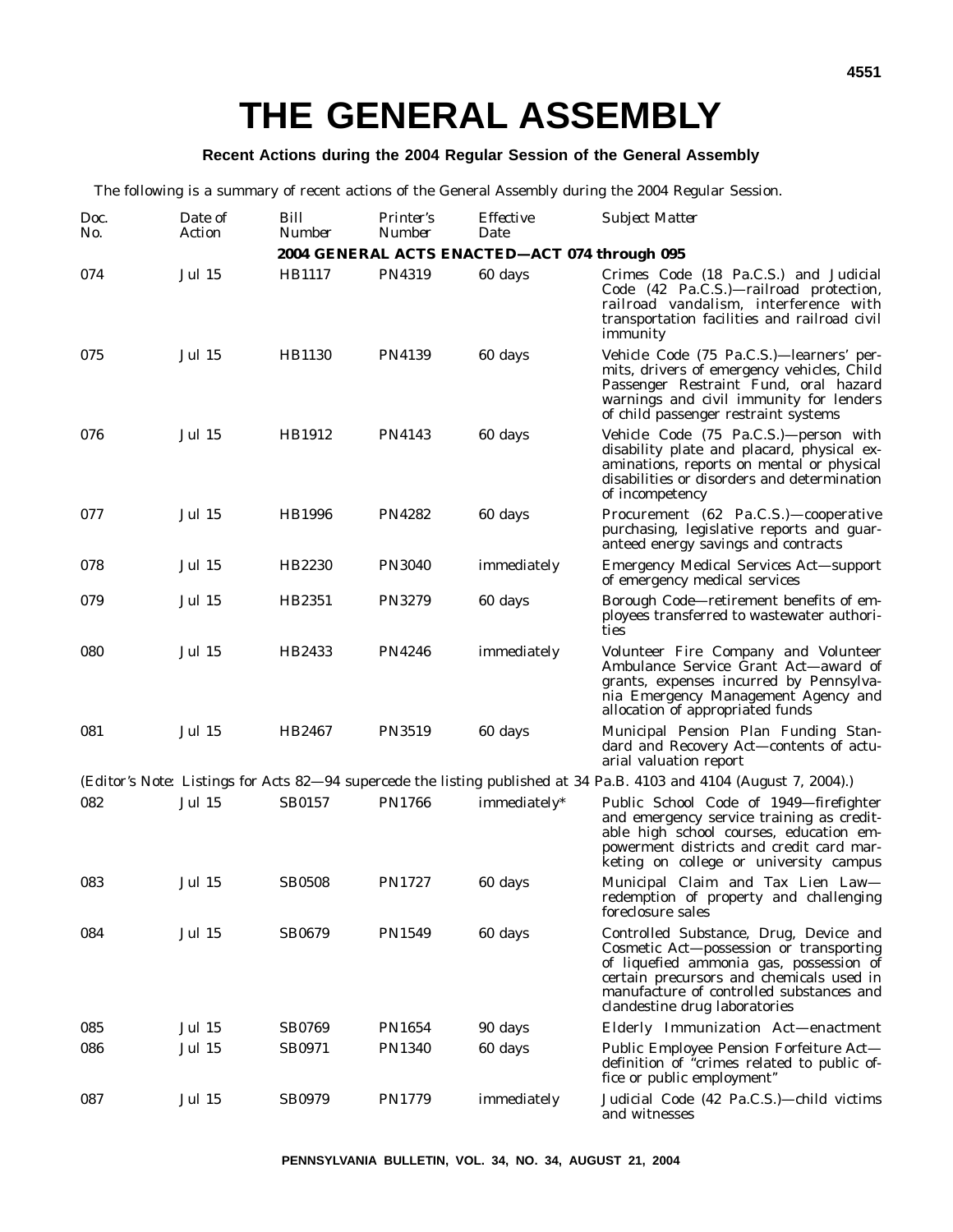#### **Recent Actions during the 2004 Regular Session of the General Assembly**

The following is a summary of recent actions of the General Assembly during the 2004 Regular Session.

| Doc.<br>No. | Date of<br>Action | Bill<br><b>Number</b> | <i>Printer's</i><br>Number | <i>Effective</i><br>Date                      | <b>Subject Matter</b>                                                                                                                                                                                                                                 |
|-------------|-------------------|-----------------------|----------------------------|-----------------------------------------------|-------------------------------------------------------------------------------------------------------------------------------------------------------------------------------------------------------------------------------------------------------|
|             |                   |                       |                            | 2004 GENERAL ACTS ENACTED-ACT 074 through 095 |                                                                                                                                                                                                                                                       |
| 074         | <b>Jul 15</b>     | HB1117                | <b>PN4319</b>              | 60 days                                       | Crimes Code (18 Pa.C.S.) and Judicial<br>Code (42 Pa.C.S.)-railroad protection,<br>railroad vandalism, interference with<br>transportation facilities and railroad civil<br>immunity                                                                  |
| 075         | <b>Jul 15</b>     | HB1130                | <b>PN4139</b>              | 60 days                                       | Vehicle Code (75 Pa.C.S.)—learners' per-<br>mits, drivers of emergency vehicles, Child<br>Passenger Restraint Fund, oral hazard<br>warnings and civil immunity for lenders<br>of child passenger restraint systems                                    |
| 076         | <b>Jul 15</b>     | HB1912                | <b>PN4143</b>              | 60 days                                       | Vehicle Code (75 Pa.C.S.)-person with<br>disability plate and placard, physical ex-<br>aminations, reports on mental or physical<br>disabilities or disorders and determination<br>of incompetency                                                    |
| 077         | <b>Jul 15</b>     | <b>HB1996</b>         | <b>PN4282</b>              | 60 days                                       | Procurement (62 Pa.C.S.)-cooperative<br>purchasing, legislative reports and guar-<br>anteed energy savings and contracts                                                                                                                              |
| 078         | <b>Jul 15</b>     | HB2230                | <b>PN3040</b>              | immediately                                   | <b>Emergency Medical Services Act—support</b><br>of emergency medical services                                                                                                                                                                        |
| 079         | <b>Jul 15</b>     | HB2351                | <b>PN3279</b>              | 60 days                                       | Borough Code—retirement benefits of em-<br>ployees transferred to wastewater authori-<br>ties                                                                                                                                                         |
| 080         | <b>Jul 15</b>     | HB2433                | <b>PN4246</b>              | immediately                                   | Volunteer Fire Company and Volunteer<br>Ambulance Service Grant Act-award of<br>grants, expenses incurred by Pennsylva-<br>nia Emergency Management Agency and<br>allocation of appropriated funds                                                    |
| 081         | <b>Jul 15</b>     | HB2467                | <b>PN3519</b>              | 60 days                                       | Municipal Pension Plan Funding Stan-<br>dard and Recovery Act-contents of actu-<br>arial valuation report                                                                                                                                             |
|             |                   |                       |                            |                                               | ( <i>Editor's Note:</i> Listings for Acts 82–94 supercede the listing published at 34 Pa.B. 4103 and 4104 (August 7, 2004).)                                                                                                                          |
| 082         | <b>Jul 15</b>     | SB0157                | <b>PN1766</b>              | immediately*                                  | Public School Code of 1949-firefighter<br>and emergency service training as credit-<br>able high school courses, education em-<br>powerment districts and credit card mar-<br>keting on college or university campus                                  |
| 083         | <b>Jul 15</b>     | <b>SB0508</b>         | PN1727                     | 60 days                                       | Municipal Claim and Tax Lien Law-<br>redemption of property and challenging<br>foreclosure sales                                                                                                                                                      |
| 084         | <b>Jul 15</b>     | <b>SB0679</b>         | <b>PN1549</b>              | 60 days                                       | Controlled Substance, Drug, Device and<br>Cosmetic Act-possession or transporting<br>of liquefied ammonia gas, possession of<br>certain precursors and chemicals used in<br>manufacture of controlled substances and<br>clandestine drug laboratories |
| 085         | <b>Jul 15</b>     | <b>SB0769</b>         | <b>PN1654</b>              | 90 days                                       | Elderly Immunization Act-enactment                                                                                                                                                                                                                    |
| 086         | <b>Jul 15</b>     | SB0971                | <b>PN1340</b>              | 60 days                                       | Public Employee Pension Forfeiture Act-<br>definition of "crimes related to public of-<br>fice or public employment"                                                                                                                                  |
| 087         | <b>Jul 15</b>     | <b>SB0979</b>         | <b>PN1779</b>              | immediately                                   | Judicial Code (42 Pa.C.S.)—child victims<br>and witnesses                                                                                                                                                                                             |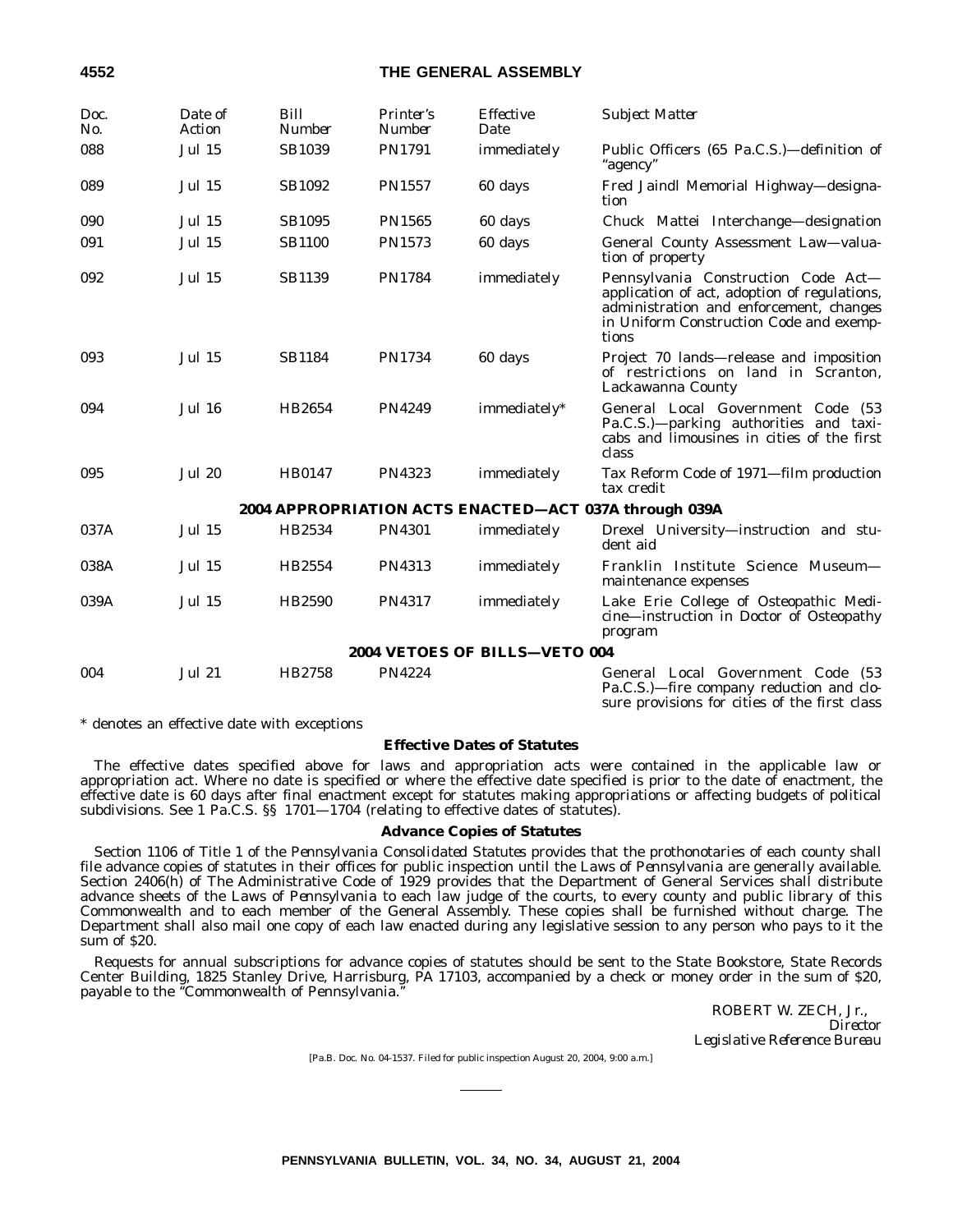#### **4552 THE GENERAL ASSEMBLY**

| Doc.<br>No. | Date of<br>Action | Bill<br><b>Number</b> | Printer's<br><b>Number</b> | <b>Effective</b><br>Date      | <b>Subject Matter</b>                                                                                                                                                              |
|-------------|-------------------|-----------------------|----------------------------|-------------------------------|------------------------------------------------------------------------------------------------------------------------------------------------------------------------------------|
| 088         | <b>Jul 15</b>     | <b>SB1039</b>         | PN1791                     | immediately                   | Public Officers (65 Pa.C.S.)—definition of<br>"agency"                                                                                                                             |
| 089         | <b>Jul 15</b>     | <b>SB1092</b>         | <b>PN1557</b>              | 60 days                       | Fred Jaindl Memorial Highway-designa-<br>tion                                                                                                                                      |
| 090         | <b>Jul 15</b>     | <b>SB1095</b>         | <b>PN1565</b>              | 60 days                       | Chuck Mattei Interchange-designation                                                                                                                                               |
| 091         | <b>Jul 15</b>     | <b>SB1100</b>         | <b>PN1573</b>              | 60 days                       | General County Assessment Law-valua-<br>tion of property                                                                                                                           |
| 092         | <b>Jul 15</b>     | <b>SB1139</b>         | <b>PN1784</b>              | immediately                   | Pennsylvania Construction Code Act-<br>application of act, adoption of regulations,<br>administration and enforcement, changes<br>in Uniform Construction Code and exemp-<br>tions |
| 093         | <b>Jul 15</b>     | <b>SB1184</b>         | <b>PN1734</b>              | 60 days                       | Project 70 lands—release and imposition<br>of restrictions on land in Scranton.<br>Lackawanna County                                                                               |
| 094         | <b>Jul 16</b>     | HB2654                | <b>PN4249</b>              | immediately*                  | General Local Government Code (53<br>Pa.C.S.)-parking authorities and taxi-<br>cabs and limousines in cities of the first<br>class                                                 |
| 095         | <b>Jul 20</b>     | <b>HB0147</b>         | PN4323                     | immediately                   | Tax Reform Code of 1971-film production<br>tax credit                                                                                                                              |
|             |                   |                       |                            |                               | 2004 APPROPRIATION ACTS ENACTED-ACT 037A through 039A                                                                                                                              |
| 037A        | <b>Jul 15</b>     | HB2534                | <b>PN4301</b>              | immediately                   | Drexel University—instruction and stu-<br>dent aid                                                                                                                                 |
| 038A        | <b>Jul 15</b>     | HB2554                | PN4313                     | immediately                   | Franklin Institute Science Museum-<br>maintenance expenses                                                                                                                         |
| 039A        | <b>Jul 15</b>     | HB2590                | <b>PN4317</b>              | immediately                   | Lake Erie College of Osteopathic Medi-<br>cine-instruction in Doctor of Osteopathy<br>program                                                                                      |
|             |                   |                       |                            | 2004 VETOES OF BILLS-VETO 004 |                                                                                                                                                                                    |
| 004         | <b>Jul 21</b>     | HB2758                | <b>PN4224</b>              |                               | General Local Government Code (53<br>Pa.C.S.)—fire company reduction and clo-                                                                                                      |

\* denotes an effective date with exceptions

#### **Effective Dates of Statutes**

The effective dates specified above for laws and appropriation acts were contained in the applicable law or appropriation act. Where no date is specified or where the effective date specified is prior to the date of enactment, the effective date is 60 days after final enactment except for statutes making appropriations or affecting budgets of political subdivisions. See 1 Pa.C.S. §§ 1701—1704 (relating to effective dates of statutes).

#### **Advance Copies of Statutes**

Section 1106 of Title 1 of the *Pennsylvania Consolidated Statutes* provides that the prothonotaries of each county shall file advance copies of statutes in their offices for public inspection until the *Laws of Pennsylvania* are generally available. Section 2406(h) of The Administrative Code of 1929 provides that the Department of General Services shall distribute advance sheets of the *Laws of Pennsylvania* to each law judge of the courts, to every county and public library of this Commonwealth and to each member of the General Assembly. These copies shall be furnished without charge. The Department shall also mail one copy of each law enacted during any legislative session to any person who pays to it the sum of \$20.

Requests for annual subscriptions for advance copies of statutes should be sent to the State Bookstore, State Records Center Building, 1825 Stanley Drive, Harrisburg, PA 17103, accompanied by a check or money order in the sum of \$20, payable to the ''Commonwealth of Pennsylvania.''

> ROBERT W. ZECH, Jr., *Director Legislative Reference Bureau*

sure provisions for cities of the first class

[Pa.B. Doc. No. 04-1537. Filed for public inspection August 20, 2004, 9:00 a.m.]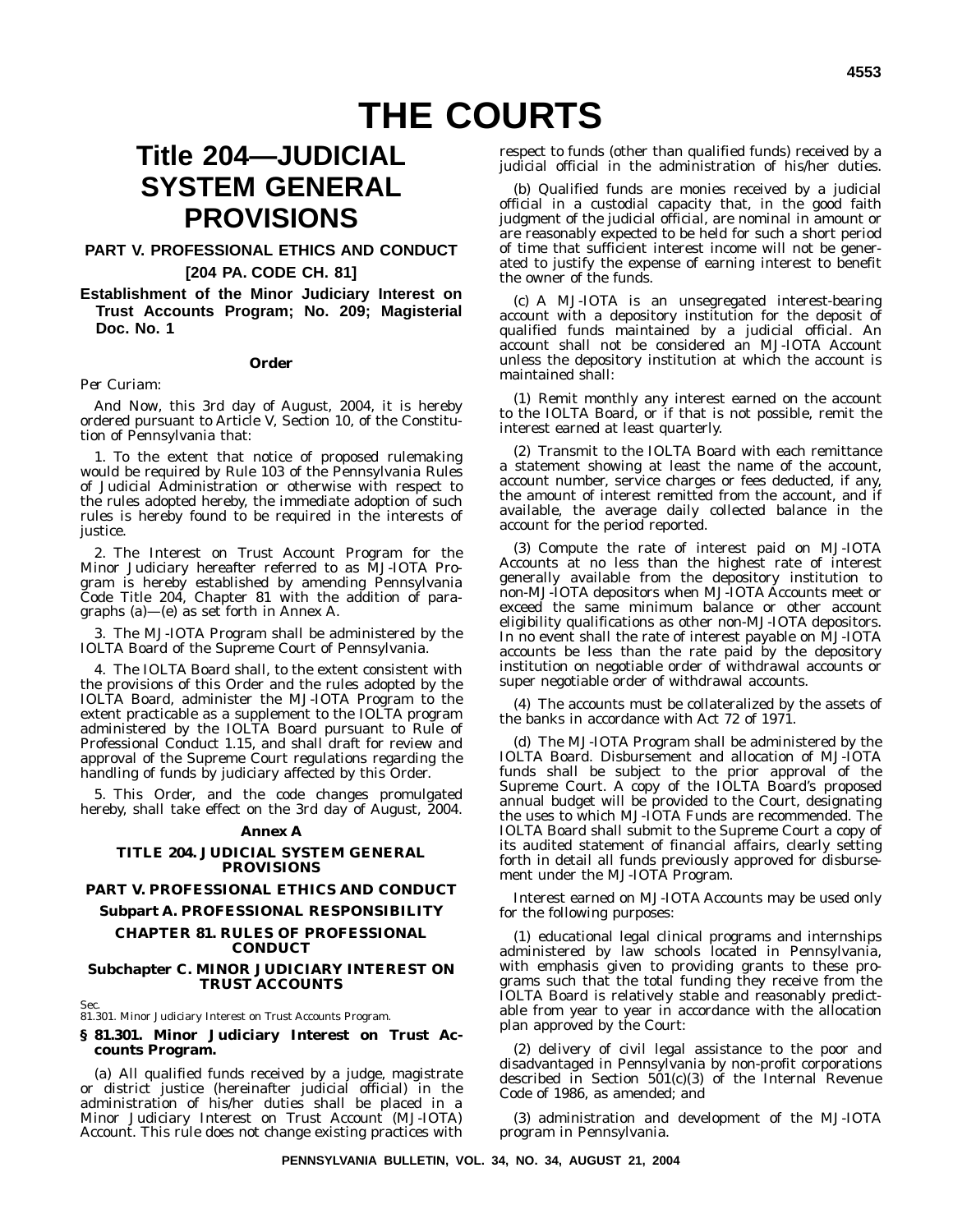# **Title 204—JUDICIAL SYSTEM GENERAL PROVISIONS**

#### **PART V. PROFESSIONAL ETHICS AND CONDUCT**

#### **[204 PA. CODE CH. 81]**

**Establishment of the Minor Judiciary Interest on Trust Accounts Program; No. 209; Magisterial Doc. No. 1**

#### **Order**

#### *Per Curiam:*

*And Now*, this 3rd day of August, 2004, it is hereby ordered pursuant to Article V, Section 10, of the Constitution of Pennsylvania that:

1. To the extent that notice of proposed rulemaking would be required by Rule 103 of the Pennsylvania Rules of Judicial Administration or otherwise with respect to the rules adopted hereby, the immediate adoption of such rules is hereby found to be required in the interests of justice.

2. The Interest on Trust Account Program for the Minor Judiciary hereafter referred to as MJ-IOTA Program is hereby established by amending Pennsylvania Code Title 204, Chapter 81 with the addition of paragraphs (a)—(e) as set forth in Annex A.

3. The MJ-IOTA Program shall be administered by the IOLTA Board of the Supreme Court of Pennsylvania.

4. The IOLTA Board shall, to the extent consistent with the provisions of this Order and the rules adopted by the IOLTA Board, administer the MJ-IOTA Program to the extent practicable as a supplement to the IOLTA program administered by the IOLTA Board pursuant to Rule of Professional Conduct 1.15, and shall draft for review and approval of the Supreme Court regulations regarding the handling of funds by judiciary affected by this Order.

5. This Order, and the code changes promulgated hereby, shall take effect on the 3rd day of August, 2004.

#### **Annex A**

#### **TITLE 204. JUDICIAL SYSTEM GENERAL PROVISIONS**

#### **PART V. PROFESSIONAL ETHICS AND CONDUCT**

#### **Subpart A. PROFESSIONAL RESPONSIBILITY**

#### **CHAPTER 81. RULES OF PROFESSIONAL CONDUCT**

#### **Subchapter C. MINOR JUDICIARY INTEREST ON TRUST ACCOUNTS**

Sec.

81.301. Minor Judiciary Interest on Trust Accounts Program.

#### **§ 81.301. Minor Judiciary Interest on Trust Accounts Program.**

(a) All qualified funds received by a judge, magistrate or district justice (hereinafter judicial official) in the administration of his/her duties shall be placed in a Minor Judiciary Interest on Trust Account (MJ-IOTA) Account. This rule does not change existing practices with

respect to funds (other than qualified funds) received by a judicial official in the administration of his/her duties.

(b) Qualified funds are monies received by a judicial official in a custodial capacity that, in the good faith judgment of the judicial official, are nominal in amount or are reasonably expected to be held for such a short period of time that sufficient interest income will not be generated to justify the expense of earning interest to benefit the owner of the funds.

(c) A MJ-IOTA is an unsegregated interest-bearing account with a depository institution for the deposit of qualified funds maintained by a judicial official. An account shall not be considered an MJ-IOTA Account unless the depository institution at which the account is maintained shall:

(1) Remit monthly any interest earned on the account to the IOLTA Board, or if that is not possible, remit the interest earned at least quarterly.

(2) Transmit to the IOLTA Board with each remittance a statement showing at least the name of the account, account number, service charges or fees deducted, if any, the amount of interest remitted from the account, and if available, the average daily collected balance in the account for the period reported.

(3) Compute the rate of interest paid on MJ-IOTA Accounts at no less than the highest rate of interest generally available from the depository institution to non-MJ-IOTA depositors when MJ-IOTA Accounts meet or exceed the same minimum balance or other account eligibility qualifications as other non-MJ-IOTA depositors. In no event shall the rate of interest payable on MJ-IOTA accounts be less than the rate paid by the depository institution on negotiable order of withdrawal accounts or super negotiable order of withdrawal accounts.

(4) The accounts must be collateralized by the assets of the banks in accordance with Act 72 of 1971.

(d) The MJ-IOTA Program shall be administered by the IOLTA Board. Disbursement and allocation of MJ-IOTA funds shall be subject to the prior approval of the Supreme Court. A copy of the IOLTA Board's proposed annual budget will be provided to the Court, designating the uses to which MJ-IOTA Funds are recommended. The IOLTA Board shall submit to the Supreme Court a copy of its audited statement of financial affairs, clearly setting forth in detail all funds previously approved for disbursement under the MJ-IOTA Program.

Interest earned on MJ-IOTA Accounts may be used only for the following purposes:

(1) educational legal clinical programs and internships administered by law schools located in Pennsylvania, with emphasis given to providing grants to these programs such that the total funding they receive from the IOLTA Board is relatively stable and reasonably predictable from year to year in accordance with the allocation plan approved by the Court:

(2) delivery of civil legal assistance to the poor and disadvantaged in Pennsylvania by non-profit corporations described in Section 501(c)(3) of the Internal Revenue Code of 1986, as amended; and

(3) administration and development of the MJ-IOTA program in Pennsylvania.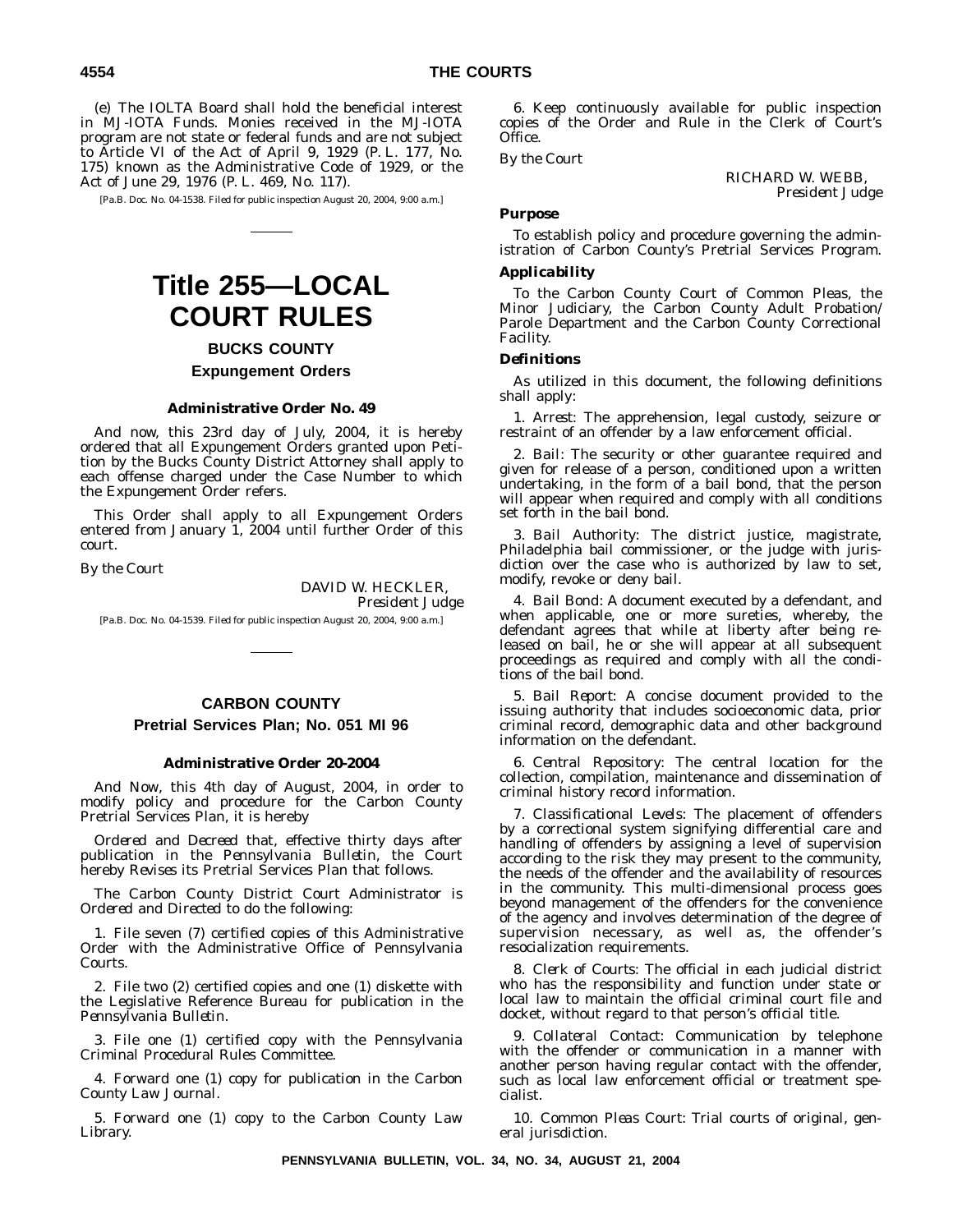(e) The IOLTA Board shall hold the beneficial interest in MJ-IOTA Funds. Monies received in the MJ-IOTA program are not state or federal funds and are not subject to Article VI of the Act of April 9, 1929 (P. L. 177, No. 175) known as the Administrative Code of 1929, or the Act of June 29, 1976 (P. L. 469, No. 117).

[Pa.B. Doc. No. 04-1538. Filed for public inspection August 20, 2004, 9:00 a.m.]

# **Title 255—LOCAL COURT RULES**

**BUCKS COUNTY Expungement Orders**

#### **Administrative Order No. 49**

And now, this 23rd day of July, 2004, it is hereby ordered that all Expungement Orders granted upon Petition by the Bucks County District Attorney shall apply to each offense charged under the Case Number to which the Expungement Order refers.

This Order shall apply to all Expungement Orders entered from January 1, 2004 until further Order of this court.

*By the Court*

DAVID W. HECKLER, *President Judge*

[Pa.B. Doc. No. 04-1539. Filed for public inspection August 20, 2004, 9:00 a.m.]

#### **CARBON COUNTY Pretrial Services Plan; No. 051 MI 96**

#### **Administrative Order 20-2004**

*And Now*, this 4th day of August, 2004, in order to modify policy and procedure for the Carbon County Pretrial Services Plan, it is hereby

*Ordered* and *Decreed* that, effective thirty days after publication in the *Pennsylvania Bulletin*, the Court hereby *Revises* its Pretrial Services Plan that follows.

The Carbon County District Court Administrator is *Ordered* and *Directed* to do the following:

1. File seven (7) certified copies of this Administrative Order with the Administrative Office of Pennsylvania Courts.

2. File two (2) certified copies and one (1) diskette with the Legislative Reference Bureau for publication in the *Pennsylvania Bulletin*.

3. File one (1) certified copy with the Pennsylvania Criminal Procedural Rules Committee.

4. Forward one (1) copy for publication in the *Carbon County Law Journal*.

5. Forward one (1) copy to the Carbon County Law Library.

6. Keep continuously available for public inspection copies of the Order and Rule in the Clerk of Court's Office.

*By the Court*

RICHARD W. WEBB, *President Judge*

#### *Purpose*

To establish policy and procedure governing the administration of Carbon County's Pretrial Services Program.

#### *Applicability*

To the Carbon County Court of Common Pleas, the Minor Judiciary, the Carbon County Adult Probation/ Parole Department and the Carbon County Correctional Facility.

#### *Definitions*

As utilized in this document, the following definitions shall apply:

1. *Arrest:* The apprehension, legal custody, seizure or restraint of an offender by a law enforcement official.

2. *Bail:* The security or other guarantee required and given for release of a person, conditioned upon a written undertaking, in the form of a bail bond, that the person will appear when required and comply with all conditions set forth in the bail bond.

3. *Bail Authority:* The district justice, magistrate, Philadelphia bail commissioner, or the judge with jurisdiction over the case who is authorized by law to set, modify, revoke or deny bail.

4. *Bail Bond:* A document executed by a defendant, and when applicable, one or more sureties, whereby, the defendant agrees that while at liberty after being released on bail, he or she will appear at all subsequent proceedings as required and comply with all the conditions of the bail bond.

5. *Bail Report:* A concise document provided to the issuing authority that includes socioeconomic data, prior criminal record, demographic data and other background information on the defendant.

6. *Central Repository:* The central location for the collection, compilation, maintenance and dissemination of criminal history record information.

7. *Classificational Levels:* The placement of offenders by a correctional system signifying differential care and handling of offenders by assigning a level of supervision according to the risk they may present to the community, the needs of the offender and the availability of resources in the community. This multi-dimensional process goes beyond management of the offenders for the convenience of the agency and involves determination of the degree of supervision necessary, as well as, the offender's resocialization requirements.

8. *Clerk of Courts:* The official in each judicial district who has the responsibility and function under state or local law to maintain the official criminal court file and docket, without regard to that person's official title.

9. *Collateral Contact:* Communication by telephone with the offender or communication in a manner with another person having regular contact with the offender, such as local law enforcement official or treatment specialist.

10. *Common Pleas Court:* Trial courts of original, general jurisdiction.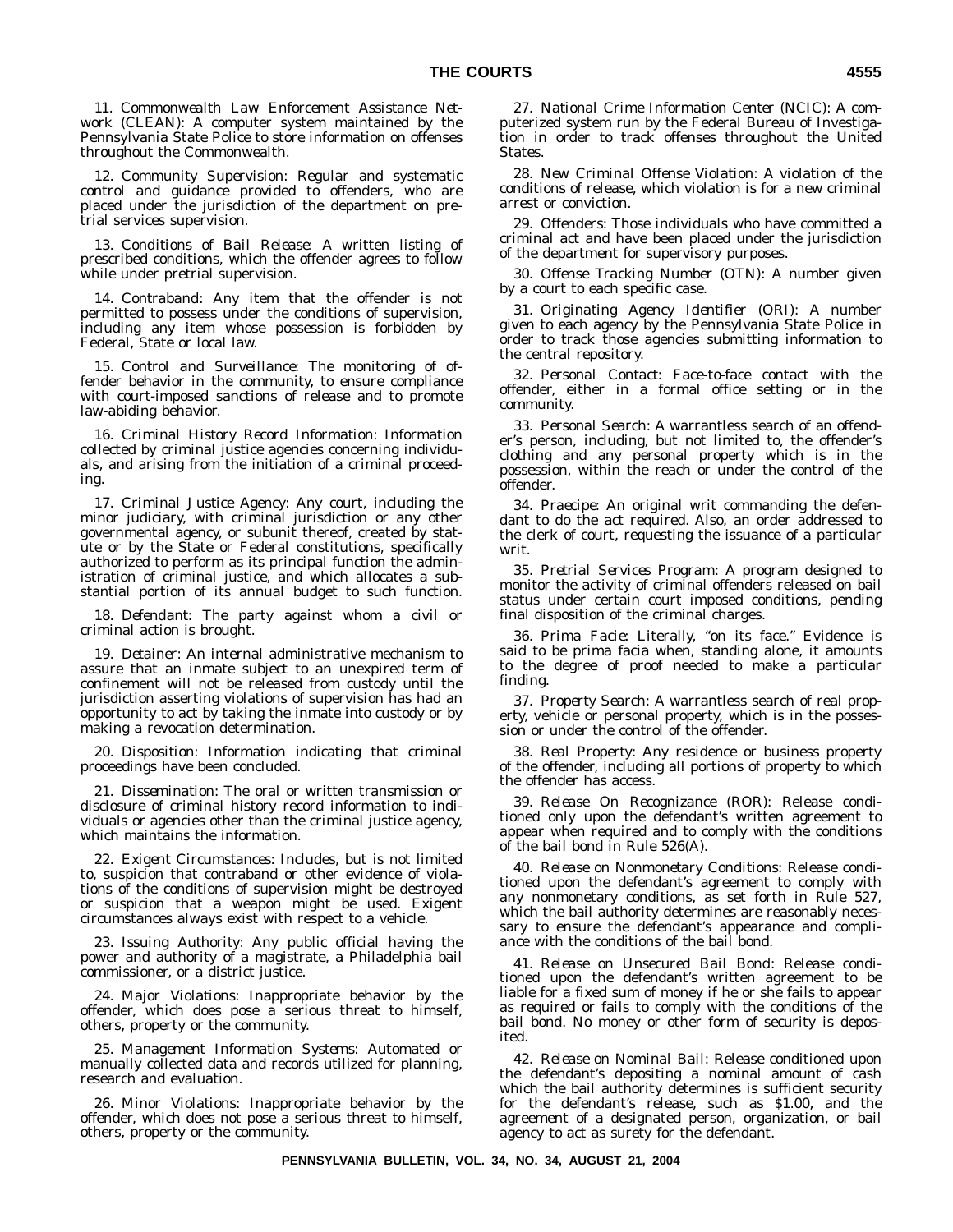11. *Commonwealth Law Enforcement Assistance Network (CLEAN):* A computer system maintained by the Pennsylvania State Police to store information on offenses throughout the Commonwealth.

12. *Community Supervision:* Regular and systematic control and guidance provided to offenders, who are placed under the jurisdiction of the department on pretrial services supervision.

13. *Conditions of Bail Release:* A written listing of prescribed conditions, which the offender agrees to follow while under pretrial supervision.

14. *Contraband:* Any item that the offender is not permitted to possess under the conditions of supervision, including any item whose possession is forbidden by Federal, State or local law.

15. *Control and Surveillance:* The monitoring of offender behavior in the community, to ensure compliance with court-imposed sanctions of release and to promote law-abiding behavior.

16. *Criminal History Record Information:* Information collected by criminal justice agencies concerning individuals, and arising from the initiation of a criminal proceeding.

17. *Criminal Justice Agency:* Any court, including the minor judiciary, with criminal jurisdiction or any other governmental agency, or subunit thereof, created by statute or by the State or Federal constitutions, specifically authorized to perform as its principal function the administration of criminal justice, and which allocates a substantial portion of its annual budget to such function.

18. *Defendant:* The party against whom a civil or criminal action is brought.

19. *Detainer:* An internal administrative mechanism to assure that an inmate subject to an unexpired term of confinement will not be released from custody until the jurisdiction asserting violations of supervision has had an opportunity to act by taking the inmate into custody or by making a revocation determination.

20. *Disposition:* Information indicating that criminal proceedings have been concluded.

21. *Dissemination:* The oral or written transmission or disclosure of criminal history record information to individuals or agencies other than the criminal justice agency, which maintains the information.

22. *Exigent Circumstances:* Includes, but is not limited to, suspicion that contraband or other evidence of violations of the conditions of supervision might be destroyed or suspicion that a weapon might be used. Exigent circumstances always exist with respect to a vehicle.

23. *Issuing Authority:* Any public official having the power and authority of a magistrate, a Philadelphia bail commissioner, or a district justice.

24. *Major Violations:* Inappropriate behavior by the offender, which does pose a serious threat to himself, others, property or the community.

25. *Management Information Systems:* Automated or manually collected data and records utilized for planning, research and evaluation.

26. *Minor Violations:* Inappropriate behavior by the offender, which does not pose a serious threat to himself, others, property or the community.

27. *National Crime Information Center (NCIC):* A computerized system run by the Federal Bureau of Investigation in order to track offenses throughout the United States.

28. *New Criminal Offense Violation:* A violation of the conditions of release, which violation is for a new criminal arrest or conviction.

29. *Offenders:* Those individuals who have committed a criminal act and have been placed under the jurisdiction of the department for supervisory purposes.

30. *Offense Tracking Number (OTN):* A number given by a court to each specific case.

31. *Originating Agency Identifier (ORI):* A number given to each agency by the Pennsylvania State Police in order to track those agencies submitting information to the central repository.

32. *Personal Contact:* Face-to-face contact with the offender, either in a formal office setting or in the community.

33. *Personal Search:* A warrantless search of an offender's person, including, but not limited to, the offender's clothing and any personal property which is in the possession, within the reach or under the control of the offender.

34. *Praecipe:* An original writ commanding the defendant to do the act required. Also, an order addressed to the clerk of court, requesting the issuance of a particular writ.

35. *Pretrial Services Program:* A program designed to monitor the activity of criminal offenders released on bail status under certain court imposed conditions, pending final disposition of the criminal charges.

36. *Prima Facie:* Literally, ''on its face.'' Evidence is said to be prima facia when, standing alone, it amounts to the degree of proof needed to make a particular finding.

37. *Property Search:* A warrantless search of real property, vehicle or personal property, which is in the possession or under the control of the offender.

38. *Real Property:* Any residence or business property of the offender, including all portions of property to which the offender has access.

39. *Release On Recognizance (ROR):* Release conditioned only upon the defendant's written agreement to appear when required and to comply with the conditions of the bail bond in Rule 526(A).

40. *Release on Nonmonetary Conditions:* Release conditioned upon the defendant's agreement to comply with any nonmonetary conditions, as set forth in Rule 527, which the bail authority determines are reasonably necessary to ensure the defendant's appearance and compliance with the conditions of the bail bond.

41. *Release on Unsecured Bail Bond:* Release conditioned upon the defendant's written agreement to be liable for a fixed sum of money if he or she fails to appear as required or fails to comply with the conditions of the bail bond. No money or other form of security is deposited.

42. *Release on Nominal Bail:* Release conditioned upon the defendant's depositing a nominal amount of cash which the bail authority determines is sufficient security for the defendant's release, such as \$1.00, and the agreement of a designated person, organization, or bail agency to act as surety for the defendant.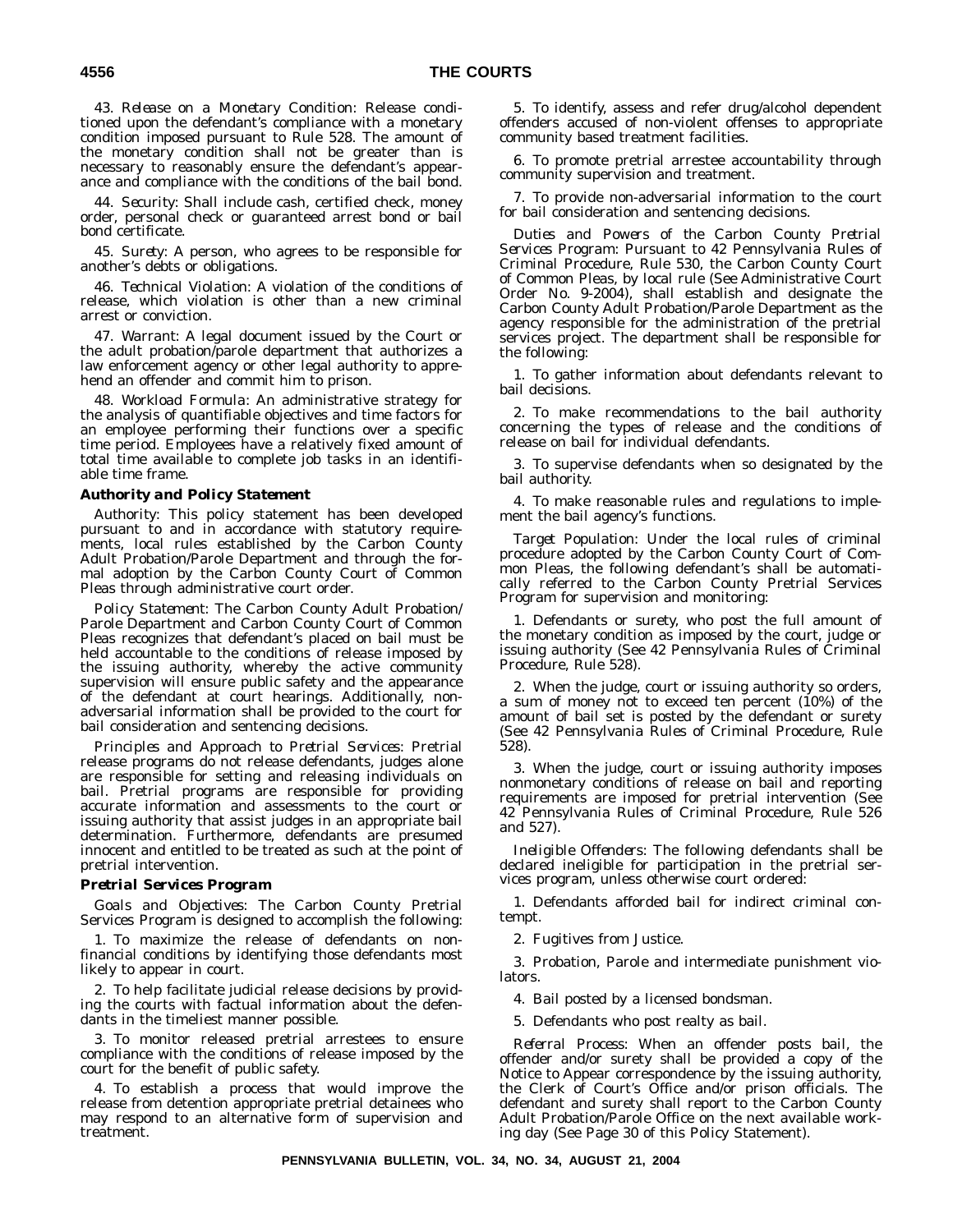43. *Release on a Monetary Condition:* Release conditioned upon the defendant's compliance with a monetary condition imposed pursuant to Rule 528. The amount of the monetary condition shall not be greater than is necessary to reasonably ensure the defendant's appearance and compliance with the conditions of the bail bond.

44. *Security:* Shall include cash, certified check, money order, personal check or guaranteed arrest bond or bail bond certificate.

45. *Surety:* A person, who agrees to be responsible for another's debts or obligations.

46. *Technical Violation:* A violation of the conditions of release, which violation is other than a new criminal arrest or conviction.

47. *Warrant:* A legal document issued by the Court or the adult probation/parole department that authorizes a law enforcement agency or other legal authority to apprehend an offender and commit him to prison.

48. *Workload Formula:* An administrative strategy for the analysis of quantifiable objectives and time factors for an employee performing their functions over a specific time period. Employees have a relatively fixed amount of total time available to complete job tasks in an identifiable time frame.

#### *Authority and Policy Statement*

*Authority:* This policy statement has been developed pursuant to and in accordance with statutory requirements, local rules established by the Carbon County Adult Probation/Parole Department and through the formal adoption by the Carbon County Court of Common Pleas through administrative court order.

*Policy Statement:* The Carbon County Adult Probation/ Parole Department and Carbon County Court of Common Pleas recognizes that defendant's placed on bail must be held accountable to the conditions of release imposed by the issuing authority, whereby the active community supervision will ensure public safety and the appearance of the defendant at court hearings. Additionally, nonadversarial information shall be provided to the court for bail consideration and sentencing decisions.

*Principles and Approach to Pretrial Services:* Pretrial release programs do not release defendants, judges alone are responsible for setting and releasing individuals on bail. Pretrial programs are responsible for providing accurate information and assessments to the court or issuing authority that assist judges in an appropriate bail determination. Furthermore, defendants are presumed innocent and entitled to be treated as such at the point of pretrial intervention.

#### *Pretrial Services Program*

*Goals and Objectives:* The Carbon County Pretrial Services Program is designed to accomplish the following:

1. To maximize the release of defendants on nonfinancial conditions by identifying those defendants most likely to appear in court.

2. To help facilitate judicial release decisions by providing the courts with factual information about the defendants in the timeliest manner possible.

3. To monitor released pretrial arrestees to ensure compliance with the conditions of release imposed by the court for the benefit of public safety.

4. To establish a process that would improve the release from detention appropriate pretrial detainees who may respond to an alternative form of supervision and treatment.

5. To identify, assess and refer drug/alcohol dependent offenders accused of non-violent offenses to appropriate community based treatment facilities.

6. To promote pretrial arrestee accountability through community supervision and treatment.

7. To provide non-adversarial information to the court for bail consideration and sentencing decisions.

*Duties and Powers of the Carbon County Pretrial Services Program:* Pursuant to 42 Pennsylvania Rules of Criminal Procedure, Rule 530, the Carbon County Court of Common Pleas, by local rule (See Administrative Court Order No. 9-2004), shall establish and designate the Carbon County Adult Probation/Parole Department as the agency responsible for the administration of the pretrial services project. The department shall be responsible for the following:

1. To gather information about defendants relevant to bail decisions.

2. To make recommendations to the bail authority concerning the types of release and the conditions of release on bail for individual defendants.

3. To supervise defendants when so designated by the bail authority.

4. To make reasonable rules and regulations to implement the bail agency's functions.

*Target Population:* Under the local rules of criminal procedure adopted by the Carbon County Court of Common Pleas, the following defendant's shall be automatically referred to the Carbon County Pretrial Services Program for supervision and monitoring:

1. Defendants or surety, who post the full amount of the monetary condition as imposed by the court, judge or issuing authority (See 42 Pennsylvania Rules of Criminal Procedure, Rule 528).

2. When the judge, court or issuing authority so orders, a sum of money not to exceed ten percent (10%) of the amount of bail set is posted by the defendant or surety (See 42 Pennsylvania Rules of Criminal Procedure, Rule 528).

3. When the judge, court or issuing authority imposes nonmonetary conditions of release on bail and reporting requirements are imposed for pretrial intervention (See 42 Pennsylvania Rules of Criminal Procedure, Rule 526 and 527).

*Ineligible Offenders:* The following defendants shall be declared ineligible for participation in the pretrial services program, unless otherwise court ordered:

1. Defendants afforded bail for indirect criminal contempt.

2. Fugitives from Justice.

3. Probation, Parole and intermediate punishment violators.

4. Bail posted by a licensed bondsman.

5. Defendants who post realty as bail.

*Referral Process:* When an offender posts bail, the offender and/or surety shall be provided a copy of the Notice to Appear correspondence by the issuing authority, the Clerk of Court's Office and/or prison officials. The defendant and surety shall report to the Carbon County Adult Probation/Parole Office on the next available working day (See Page 30 of this Policy Statement).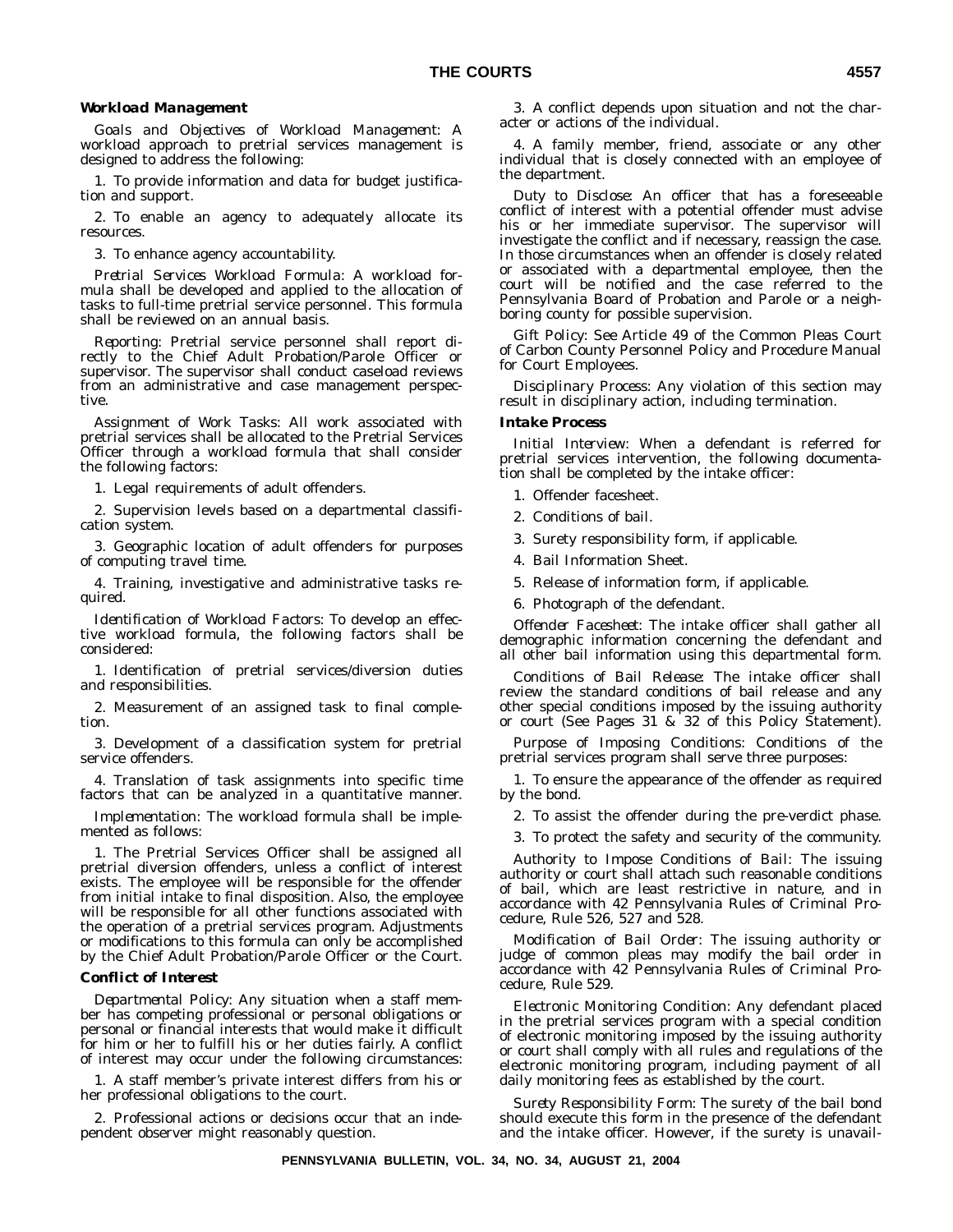#### *Workload Management*

*Goals and Objectives of Workload Management:* A workload approach to pretrial services management is designed to address the following:

1. To provide information and data for budget justification and support.

2. To enable an agency to adequately allocate its resources.

3. To enhance agency accountability.

*Pretrial Services Workload Formula:* A workload formula shall be developed and applied to the allocation of tasks to full-time pretrial service personnel. This formula shall be reviewed on an annual basis.

*Reporting:* Pretrial service personnel shall report directly to the Chief Adult Probation/Parole Officer or supervisor. The supervisor shall conduct caseload reviews from an administrative and case management perspective.

*Assignment of Work Tasks:* All work associated with pretrial services shall be allocated to the Pretrial Services Officer through a workload formula that shall consider the following factors:

1. Legal requirements of adult offenders.

2. Supervision levels based on a departmental classification system.

3. Geographic location of adult offenders for purposes of computing travel time.

4. Training, investigative and administrative tasks required.

*Identification of Workload Factors:* To develop an effective workload formula, the following factors shall be considered:

1. Identification of pretrial services/diversion duties and responsibilities.

2. Measurement of an assigned task to final completion.

3. Development of a classification system for pretrial service offenders.

4. Translation of task assignments into specific time factors that can be analyzed in a quantitative manner.

*Implementation:* The workload formula shall be implemented as follows:

1. The Pretrial Services Officer shall be assigned all pretrial diversion offenders, unless a conflict of interest exists. The employee will be responsible for the offender from initial intake to final disposition. Also, the employee will be responsible for all other functions associated with the operation of a pretrial services program. Adjustments or modifications to this formula can only be accomplished by the Chief Adult Probation/Parole Officer or the Court.

#### *Conflict of Interest*

*Departmental Policy:* Any situation when a staff member has competing professional or personal obligations or personal or financial interests that would make it difficult for him or her to fulfill his or her duties fairly. A conflict of interest may occur under the following circumstances:

1. A staff member's private interest differs from his or her professional obligations to the court.

2. Professional actions or decisions occur that an independent observer might reasonably question.

3. A conflict depends upon situation and not the character or actions of the individual.

4. A family member, friend, associate or any other individual that is closely connected with an employee of the department.

*Duty to Disclose:* An officer that has a foreseeable conflict of interest with a potential offender must advise his or her immediate supervisor. The supervisor will investigate the conflict and if necessary, reassign the case. In those circumstances when an offender is closely related or associated with a departmental employee, then the court will be notified and the case referred to the Pennsylvania Board of Probation and Parole or a neighboring county for possible supervision.

*Gift Policy:* See Article 49 of the Common Pleas Court of Carbon County Personnel Policy and Procedure Manual for Court Employees.

*Disciplinary Process:* Any violation of this section may result in disciplinary action, including termination.

#### *Intake Process*

*Initial Interview:* When a defendant is referred for pretrial services intervention, the following documentation shall be completed by the intake officer:

1. Offender facesheet.

- 2. Conditions of bail.
- 3. Surety responsibility form, if applicable.
- 4. Bail Information Sheet.
- 5. Release of information form, if applicable.
- 6. Photograph of the defendant.

*Offender Facesheet:* The intake officer shall gather all demographic information concerning the defendant and all other bail information using this departmental form.

*Conditions of Bail Release:* The intake officer shall review the standard conditions of bail release and any other special conditions imposed by the issuing authority or court (See Pages 31 & 32 of this Policy Statement).

*Purpose of Imposing Conditions:* Conditions of the pretrial services program shall serve three purposes:

1. To ensure the appearance of the offender as required by the bond.

2. To assist the offender during the pre-verdict phase.

3. To protect the safety and security of the community.

*Authority to Impose Conditions of Bail:* The issuing authority or court shall attach such reasonable conditions of bail, which are least restrictive in nature, and in accordance with 42 Pennsylvania Rules of Criminal Procedure, Rule 526, 527 and 528.

*Modification of Bail Order:* The issuing authority or judge of common pleas may modify the bail order in accordance with 42 Pennsylvania Rules of Criminal Procedure, Rule 529.

*Electronic Monitoring Condition:* Any defendant placed in the pretrial services program with a special condition of electronic monitoring imposed by the issuing authority or court shall comply with all rules and regulations of the electronic monitoring program, including payment of all daily monitoring fees as established by the court.

*Surety Responsibility Form:* The surety of the bail bond should execute this form in the presence of the defendant and the intake officer. However, if the surety is unavail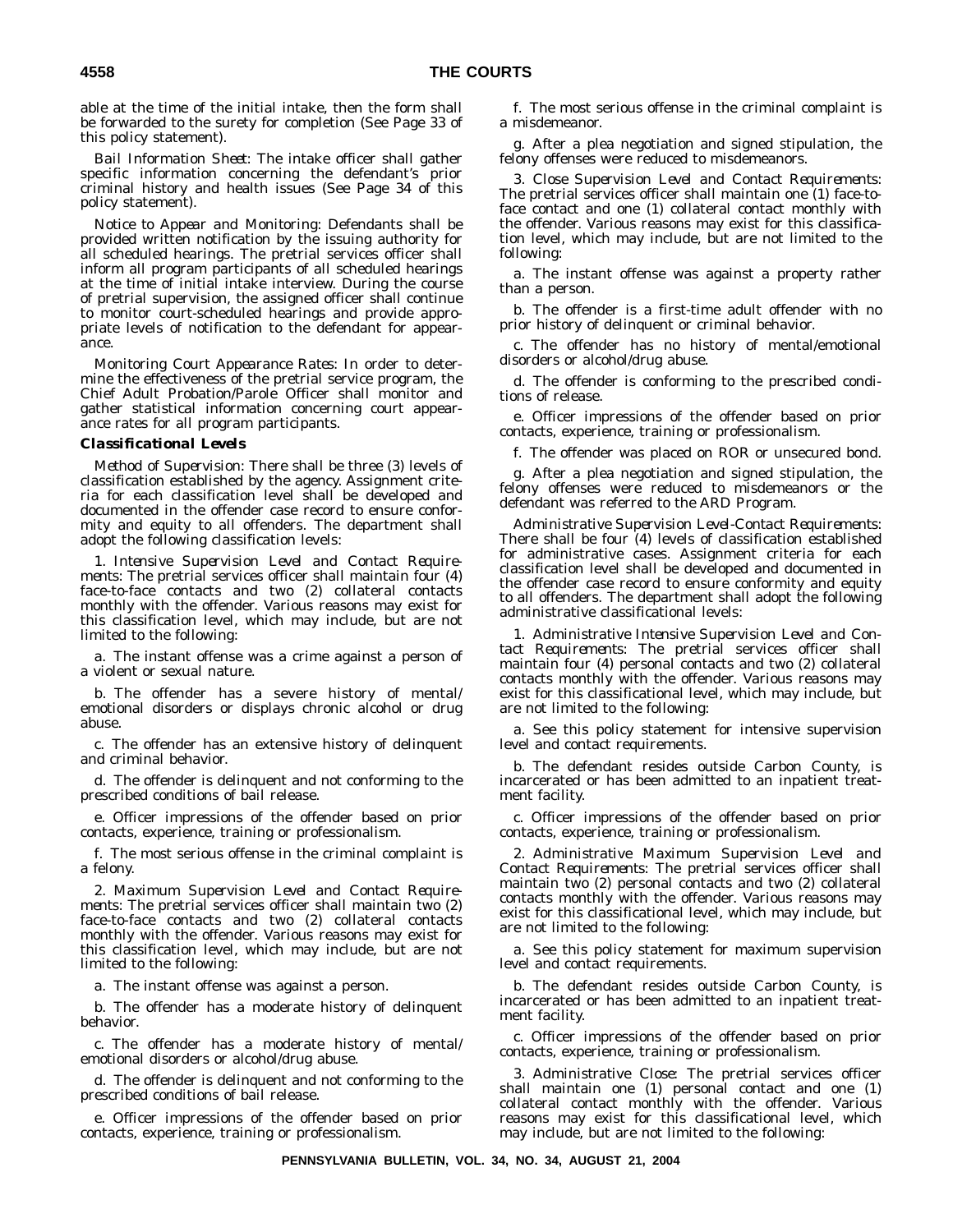able at the time of the initial intake, then the form shall be forwarded to the surety for completion (See Page 33 of this policy statement).

*Bail Information Sheet:* The intake officer shall gather specific information concerning the defendant's prior criminal history and health issues (See Page 34 of this policy statement).

*Notice to Appear and Monitoring:* Defendants shall be provided written notification by the issuing authority for all scheduled hearings. The pretrial services officer shall inform all program participants of all scheduled hearings at the time of initial intake interview. During the course of pretrial supervision, the assigned officer shall continue to monitor court-scheduled hearings and provide appropriate levels of notification to the defendant for appearance.

*Monitoring Court Appearance Rates:* In order to determine the effectiveness of the pretrial service program, the Chief Adult Probation/Parole Officer shall monitor and gather statistical information concerning court appearance rates for all program participants.

#### *Classificational Levels*

*Method of Supervision:* There shall be three (3) levels of classification established by the agency. Assignment criteria for each classification level shall be developed and documented in the offender case record to ensure conformity and equity to all offenders. The department shall adopt the following classification levels:

1. *Intensive Supervision Level and Contact Requirements:* The pretrial services officer shall maintain four (4) face-to-face contacts and two (2) collateral contacts monthly with the offender. Various reasons may exist for this classification level, which may include, but are not limited to the following:

a. The instant offense was a crime against a person of a violent or sexual nature.

b. The offender has a severe history of mental/ emotional disorders or displays chronic alcohol or drug abuse.

c. The offender has an extensive history of delinquent and criminal behavior.

d. The offender is delinquent and not conforming to the prescribed conditions of bail release.

e. Officer impressions of the offender based on prior contacts, experience, training or professionalism.

f. The most serious offense in the criminal complaint is a felony.

2. *Maximum Supervision Level and Contact Requirements:* The pretrial services officer shall maintain two (2) face-to-face contacts and two (2) collateral contacts monthly with the offender. Various reasons may exist for this classification level, which may include, but are not limited to the following:

a. The instant offense was against a person.

b. The offender has a moderate history of delinquent behavior.

c. The offender has a moderate history of mental/ emotional disorders or alcohol/drug abuse.

d. The offender is delinquent and not conforming to the prescribed conditions of bail release.

e. Officer impressions of the offender based on prior contacts, experience, training or professionalism.

f. The most serious offense in the criminal complaint is a misdemeanor.

g. After a plea negotiation and signed stipulation, the felony offenses were reduced to misdemeanors.

3. *Close Supervision Level and Contact Requirements:* The pretrial services officer shall maintain one (1) face-toface contact and one (1) collateral contact monthly with the offender. Various reasons may exist for this classification level, which may include, but are not limited to the following:

a. The instant offense was against a property rather than a person.

b. The offender is a first-time adult offender with no prior history of delinquent or criminal behavior.

c. The offender has no history of mental/emotional disorders or alcohol/drug abuse.

d. The offender is conforming to the prescribed conditions of release.

e. Officer impressions of the offender based on prior contacts, experience, training or professionalism.

f. The offender was placed on ROR or unsecured bond.

g. After a plea negotiation and signed stipulation, the felony offenses were reduced to misdemeanors or the defendant was referred to the ARD Program.

*Administrative Supervision Level-Contact Requirements:* There shall be four (4) levels of classification established for administrative cases. Assignment criteria for each classification level shall be developed and documented in the offender case record to ensure conformity and equity to all offenders. The department shall adopt the following administrative classificational levels:

1. *Administrative Intensive Supervision Level and Contact Requirements:* The pretrial services officer shall maintain four (4) personal contacts and two (2) collateral contacts monthly with the offender. Various reasons may exist for this classificational level, which may include, but are not limited to the following:

a. See this policy statement for intensive supervision level and contact requirements.

b. The defendant resides outside Carbon County, is incarcerated or has been admitted to an inpatient treatment facility.

c. Officer impressions of the offender based on prior contacts, experience, training or professionalism.

2. *Administrative Maximum Supervision Level and Contact Requirements:* The pretrial services officer shall maintain two (2) personal contacts and two (2) collateral contacts monthly with the offender. Various reasons may exist for this classificational level, which may include, but are not limited to the following:

a. See this policy statement for maximum supervision level and contact requirements.

b. The defendant resides outside Carbon County, is incarcerated or has been admitted to an inpatient treatment facility.

c. Officer impressions of the offender based on prior contacts, experience, training or professionalism.

3. *Administrative Close:* The pretrial services officer shall maintain one (1) personal contact and one (1) collateral contact monthly with the offender. Various reasons may exist for this classificational level, which may include, but are not limited to the following: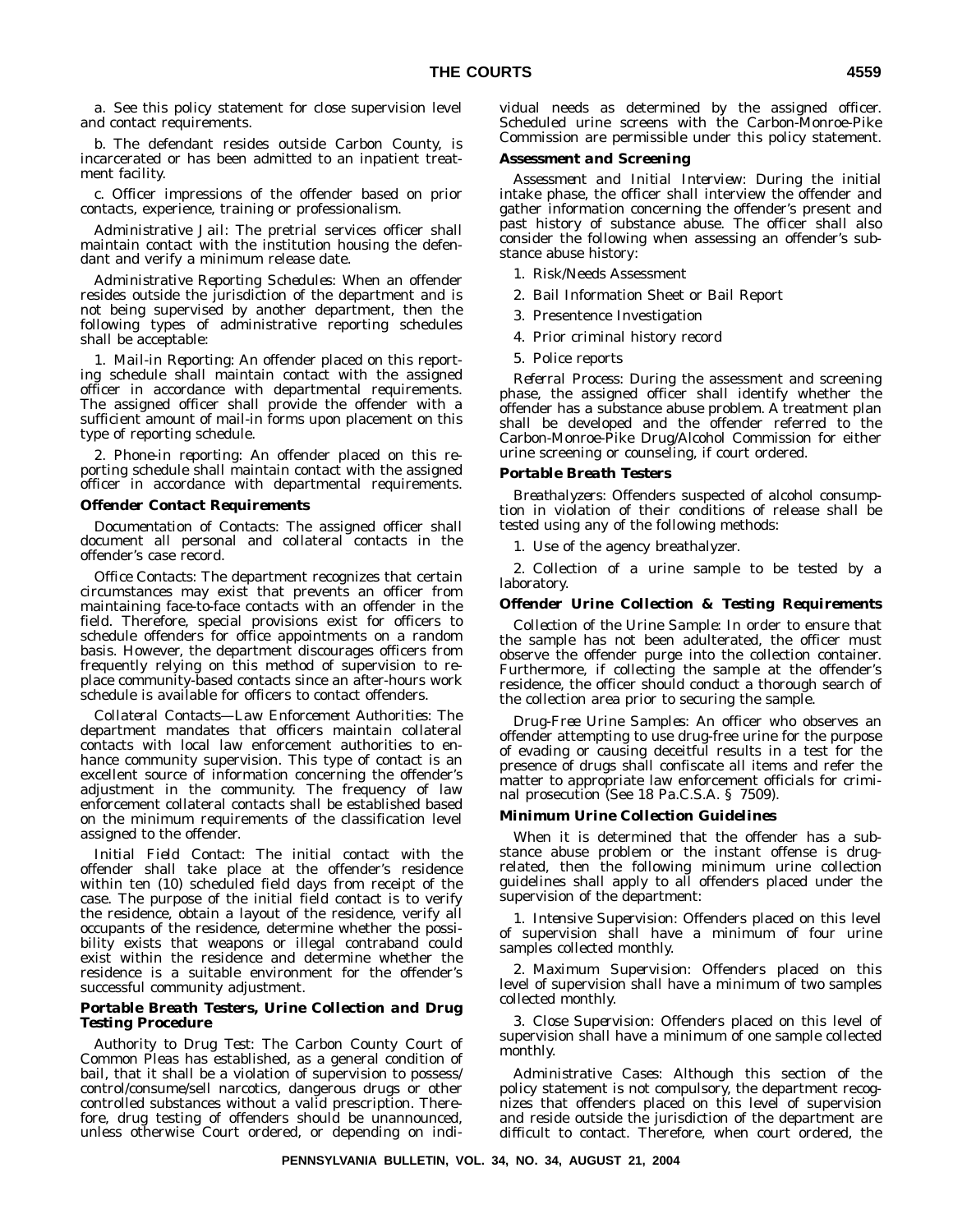a. See this policy statement for close supervision level and contact requirements.

b. The defendant resides outside Carbon County, is incarcerated or has been admitted to an inpatient treatment facility.

c. Officer impressions of the offender based on prior contacts, experience, training or professionalism.

*Administrative Jail:* The pretrial services officer shall maintain contact with the institution housing the defendant and verify a minimum release date.

*Administrative Reporting Schedules:* When an offender resides outside the jurisdiction of the department and is not being supervised by another department, then the following types of administrative reporting schedules shall be acceptable:

1. *Mail-in Reporting:* An offender placed on this reporting schedule shall maintain contact with the assigned officer in accordance with departmental requirements. The assigned officer shall provide the offender with a sufficient amount of mail-in forms upon placement on this type of reporting schedule.

2. *Phone-in reporting:* An offender placed on this reporting schedule shall maintain contact with the assigned officer in accordance with departmental requirements.

#### *Offender Contact Requirements*

*Documentation of Contacts:* The assigned officer shall document all personal and collateral contacts in the offender's case record.

*Office Contacts:* The department recognizes that certain circumstances may exist that prevents an officer from maintaining face-to-face contacts with an offender in the field. Therefore, special provisions exist for officers to schedule offenders for office appointments on a random basis. However, the department discourages officers from frequently relying on this method of supervision to replace community-based contacts since an after-hours work schedule is available for officers to contact offenders.

*Collateral Contacts—Law Enforcement Authorities:* The department mandates that officers maintain collateral contacts with local law enforcement authorities to enhance community supervision. This type of contact is an excellent source of information concerning the offender's adjustment in the community. The frequency of law enforcement collateral contacts shall be established based on the minimum requirements of the classification level assigned to the offender.

*Initial Field Contact:* The initial contact with the offender shall take place at the offender's residence within ten (10) scheduled field days from receipt of the case. The purpose of the initial field contact is to verify the residence, obtain a layout of the residence, verify all occupants of the residence, determine whether the possibility exists that weapons or illegal contraband could exist within the residence and determine whether the residence is a suitable environment for the offender's successful community adjustment.

#### *Portable Breath Testers, Urine Collection and Drug Testing Procedure*

*Authority to Drug Test:* The Carbon County Court of Common Pleas has established, as a general condition of bail, that it shall be a violation of supervision to possess/ control/consume/sell narcotics, dangerous drugs or other controlled substances without a valid prescription. Therefore, drug testing of offenders should be unannounced, unless otherwise Court ordered, or depending on individual needs as determined by the assigned officer. Scheduled urine screens with the Carbon-Monroe-Pike Commission are permissible under this policy statement.

#### *Assessment and Screening*

*Assessment and Initial Interview:* During the initial intake phase, the officer shall interview the offender and gather information concerning the offender's present and past history of substance abuse. The officer shall also consider the following when assessing an offender's substance abuse history:

- 1. Risk/Needs Assessment
- 2. Bail Information Sheet or Bail Report
- 3. Presentence Investigation
- 4. Prior criminal history record
- 5. Police reports

*Referral Process:* During the assessment and screening phase, the assigned officer shall identify whether the offender has a substance abuse problem. A treatment plan shall be developed and the offender referred to the Carbon-Monroe-Pike Drug/Alcohol Commission for either urine screening or counseling, if court ordered.

#### *Portable Breath Testers*

*Breathalyzers:* Offenders suspected of alcohol consumption in violation of their conditions of release shall be tested using any of the following methods:

1. Use of the agency breathalyzer.

2. Collection of a urine sample to be tested by a laboratory.

#### *Offender Urine Collection & Testing Requirements*

*Collection of the Urine Sample:* In order to ensure that the sample has not been adulterated, the officer must observe the offender purge into the collection container. Furthermore, if collecting the sample at the offender's residence, the officer should conduct a thorough search of the collection area prior to securing the sample.

*Drug-Free Urine Samples:* An officer who observes an offender attempting to use drug-free urine for the purpose of evading or causing deceitful results in a test for the presence of drugs shall confiscate all items and refer the matter to appropriate law enforcement officials for criminal prosecution (See 18 Pa.C.S.A. § 7509).

#### *Minimum Urine Collection Guidelines*

When it is determined that the offender has a substance abuse problem or the instant offense is drugrelated, then the following minimum urine collection guidelines shall apply to all offenders placed under the supervision of the department:

1. *Intensive Supervision:* Offenders placed on this level of supervision shall have a minimum of four urine samples collected monthly.

2. *Maximum Supervision:* Offenders placed on this level of supervision shall have a minimum of two samples collected monthly.

3. *Close Supervision:* Offenders placed on this level of supervision shall have a minimum of one sample collected monthly.

*Administrative Cases:* Although this section of the policy statement is not compulsory, the department recognizes that offenders placed on this level of supervision and reside outside the jurisdiction of the department are difficult to contact. Therefore, when court ordered, the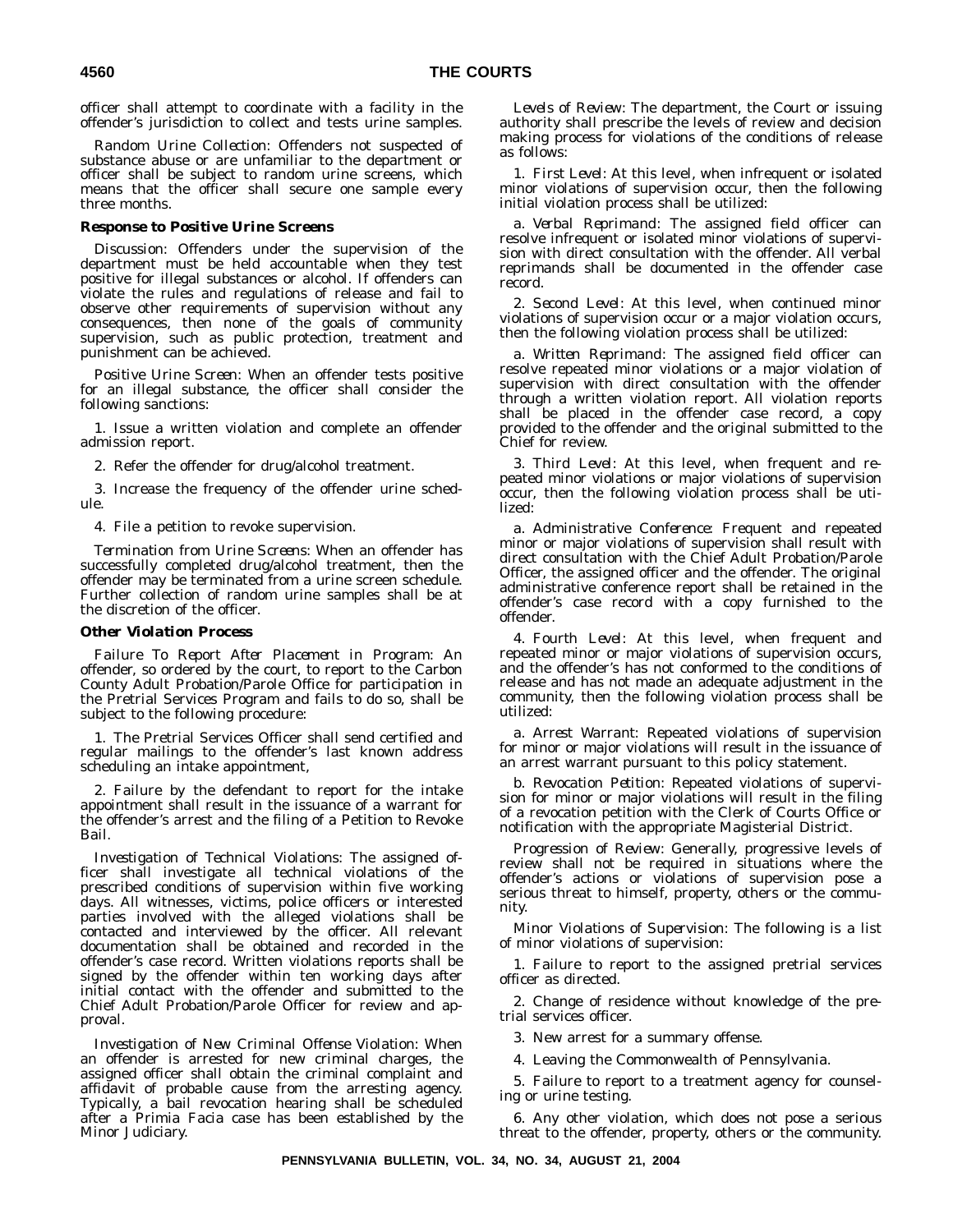officer shall attempt to coordinate with a facility in the offender's jurisdiction to collect and tests urine samples.

*Random Urine Collection:* Offenders not suspected of substance abuse or are unfamiliar to the department or officer shall be subject to random urine screens, which means that the officer shall secure one sample every three months.

#### *Response to Positive Urine Screens*

*Discussion:* Offenders under the supervision of the department must be held accountable when they test positive for illegal substances or alcohol. If offenders can violate the rules and regulations of release and fail to observe other requirements of supervision without any consequences, then none of the goals of community supervision, such as public protection, treatment and punishment can be achieved.

*Positive Urine Screen:* When an offender tests positive for an illegal substance, the officer shall consider the following sanctions:

1. Issue a written violation and complete an offender admission report.

2. Refer the offender for drug/alcohol treatment.

3. Increase the frequency of the offender urine schedule.

4. File a petition to revoke supervision.

*Termination from Urine Screens:* When an offender has successfully completed drug/alcohol treatment, then the offender may be terminated from a urine screen schedule. Further collection of random urine samples shall be at the discretion of the officer.

#### *Other Violation Process*

*Failure To Report After Placement in Program:* An offender, so ordered by the court, to report to the Carbon County Adult Probation/Parole Office for participation in the Pretrial Services Program and fails to do so, shall be subject to the following procedure:

1. The Pretrial Services Officer shall send certified and regular mailings to the offender's last known address scheduling an intake appointment,

2. Failure by the defendant to report for the intake appointment shall result in the issuance of a warrant for the offender's arrest and the filing of a Petition to Revoke Bail.

*Investigation of Technical Violations:* The assigned officer shall investigate all technical violations of the prescribed conditions of supervision within five working days. All witnesses, victims, police officers or interested parties involved with the alleged violations shall be contacted and interviewed by the officer. All relevant documentation shall be obtained and recorded in the offender's case record. Written violations reports shall be signed by the offender within ten working days after initial contact with the offender and submitted to the Chief Adult Probation/Parole Officer for review and approval.

*Investigation of New Criminal Offense Violation:* When an offender is arrested for new criminal charges, the assigned officer shall obtain the criminal complaint and affidavit of probable cause from the arresting agency. Typically, a bail revocation hearing shall be scheduled after a Primia Facia case has been established by the Minor Judiciary.

*Levels of Review:* The department, the Court or issuing authority shall prescribe the levels of review and decision making process for violations of the conditions of release as follows:

1. *First Level:* At this level, when infrequent or isolated minor violations of supervision occur, then the following initial violation process shall be utilized:

a. *Verbal Reprimand:* The assigned field officer can resolve infrequent or isolated minor violations of supervision with direct consultation with the offender. All verbal reprimands shall be documented in the offender case record.

2. *Second Level:* At this level, when continued minor violations of supervision occur or a major violation occurs, then the following violation process shall be utilized:

a. *Written Reprimand:* The assigned field officer can resolve repeated minor violations or a major violation of supervision with direct consultation with the offender through a written violation report. All violation reports shall be placed in the offender case record, a copy provided to the offender and the original submitted to the Chief for review.

3. *Third Level:* At this level, when frequent and repeated minor violations or major violations of supervision occur, then the following violation process shall be utilized:

a. *Administrative Conference:* Frequent and repeated minor or major violations of supervision shall result with direct consultation with the Chief Adult Probation/Parole Officer, the assigned officer and the offender. The original administrative conference report shall be retained in the offender's case record with a copy furnished to the offender.

4. *Fourth Level:* At this level, when frequent and repeated minor or major violations of supervision occurs, and the offender's has not conformed to the conditions of release and has not made an adequate adjustment in the community, then the following violation process shall be utilized:

a. *Arrest Warrant:* Repeated violations of supervision for minor or major violations will result in the issuance of an arrest warrant pursuant to this policy statement.

b. *Revocation Petition:* Repeated violations of supervision for minor or major violations will result in the filing of a revocation petition with the Clerk of Courts Office or notification with the appropriate Magisterial District.

*Progression of Review:* Generally, progressive levels of review shall not be required in situations where the offender's actions or violations of supervision pose a serious threat to himself, property, others or the community.

*Minor Violations of Supervision:* The following is a list of minor violations of supervision:

1. Failure to report to the assigned pretrial services officer as directed.

2. Change of residence without knowledge of the pretrial services officer.

3. New arrest for a summary offense.

4. Leaving the Commonwealth of Pennsylvania.

5. Failure to report to a treatment agency for counseling or urine testing.

6. Any other violation, which does not pose a serious threat to the offender, property, others or the community.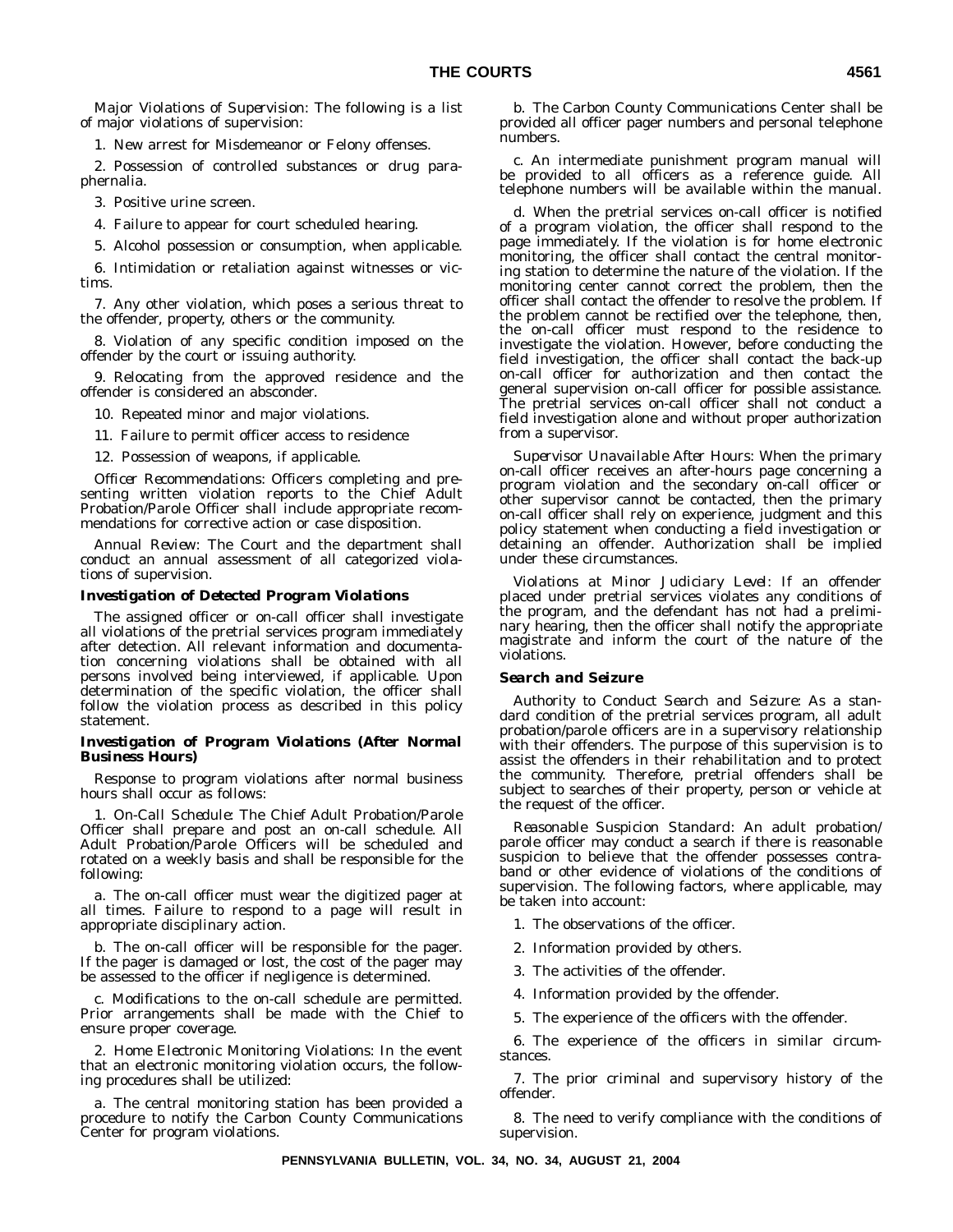*Major Violations of Supervision:* The following is a list of major violations of supervision:

1. New arrest for Misdemeanor or Felony offenses.

2. Possession of controlled substances or drug paraphernalia.

3. Positive urine screen.

4. Failure to appear for court scheduled hearing.

5. Alcohol possession or consumption, when applicable.

6. Intimidation or retaliation against witnesses or victims.

7. Any other violation, which poses a serious threat to the offender, property, others or the community.

8. Violation of any specific condition imposed on the offender by the court or issuing authority.

9. Relocating from the approved residence and the offender is considered an absconder.

10. Repeated minor and major violations.

11. Failure to permit officer access to residence

12. Possession of weapons, if applicable.

*Officer Recommendations:* Officers completing and presenting written violation reports to the Chief Adult Probation/Parole Officer shall include appropriate recommendations for corrective action or case disposition.

*Annual Review:* The Court and the department shall conduct an annual assessment of all categorized violations of supervision.

#### *Investigation of Detected Program Violations*

The assigned officer or on-call officer shall investigate all violations of the pretrial services program immediately after detection. All relevant information and documentation concerning violations shall be obtained with all persons involved being interviewed, if applicable. Upon determination of the specific violation, the officer shall follow the violation process as described in this policy statement.

#### *Investigation of Program Violations (After Normal Business Hours)*

Response to program violations after normal business hours shall occur as follows:

1. *On-Call Schedule:* The Chief Adult Probation/Parole Officer shall prepare and post an on-call schedule. All Adult Probation/Parole Officers will be scheduled and rotated on a weekly basis and shall be responsible for the following:

a. The on-call officer must wear the digitized pager at all times. Failure to respond to a page will result in appropriate disciplinary action.

b. The on-call officer will be responsible for the pager. If the pager is damaged or lost, the cost of the pager may be assessed to the officer if negligence is determined.

c. Modifications to the on-call schedule are permitted. Prior arrangements shall be made with the Chief to ensure proper coverage.

2. *Home Electronic Monitoring Violations:* In the event that an electronic monitoring violation occurs, the following procedures shall be utilized:

a. The central monitoring station has been provided a procedure to notify the Carbon County Communications Center for program violations.

b. The Carbon County Communications Center shall be provided all officer pager numbers and personal telephone numbers.

c. An intermediate punishment program manual will be provided to all officers as a reference guide. All telephone numbers will be available within the manual.

d. When the pretrial services on-call officer is notified of a program violation, the officer shall respond to the page immediately. If the violation is for home electronic monitoring, the officer shall contact the central monitoring station to determine the nature of the violation. If the monitoring center cannot correct the problem, then the officer shall contact the offender to resolve the problem. If the problem cannot be rectified over the telephone, then, the on-call officer must respond to the residence to investigate the violation. However, before conducting the field investigation, the officer shall contact the back-up on-call officer for authorization and then contact the general supervision on-call officer for possible assistance. The pretrial services on-call officer shall not conduct a field investigation alone and without proper authorization from a supervisor.

*Supervisor Unavailable After Hours:* When the primary on-call officer receives an after-hours page concerning a program violation and the secondary on-call officer or other supervisor cannot be contacted, then the primary on-call officer shall rely on experience, judgment and this policy statement when conducting a field investigation or detaining an offender. Authorization shall be implied under these circumstances.

*Violations at Minor Judiciary Level:* If an offender placed under pretrial services violates any conditions of the program, and the defendant has not had a preliminary hearing, then the officer shall notify the appropriate magistrate and inform the court of the nature of the violations.

#### *Search and Seizure*

*Authority to Conduct Search and Seizure:* As a standard condition of the pretrial services program, all adult probation/parole officers are in a supervisory relationship with their offenders. The purpose of this supervision is to assist the offenders in their rehabilitation and to protect the community. Therefore, pretrial offenders shall be subject to searches of their property, person or vehicle at the request of the officer.

*Reasonable Suspicion Standard:* An adult probation/ parole officer may conduct a search if there is reasonable suspicion to believe that the offender possesses contraband or other evidence of violations of the conditions of supervision. The following factors, where applicable, may be taken into account:

- 1. The observations of the officer.
- 2. Information provided by others.
- 3. The activities of the offender.
- 4. Information provided by the offender.
- 5. The experience of the officers with the offender.

6. The experience of the officers in similar circumstances.

7. The prior criminal and supervisory history of the offender.

8. The need to verify compliance with the conditions of supervision.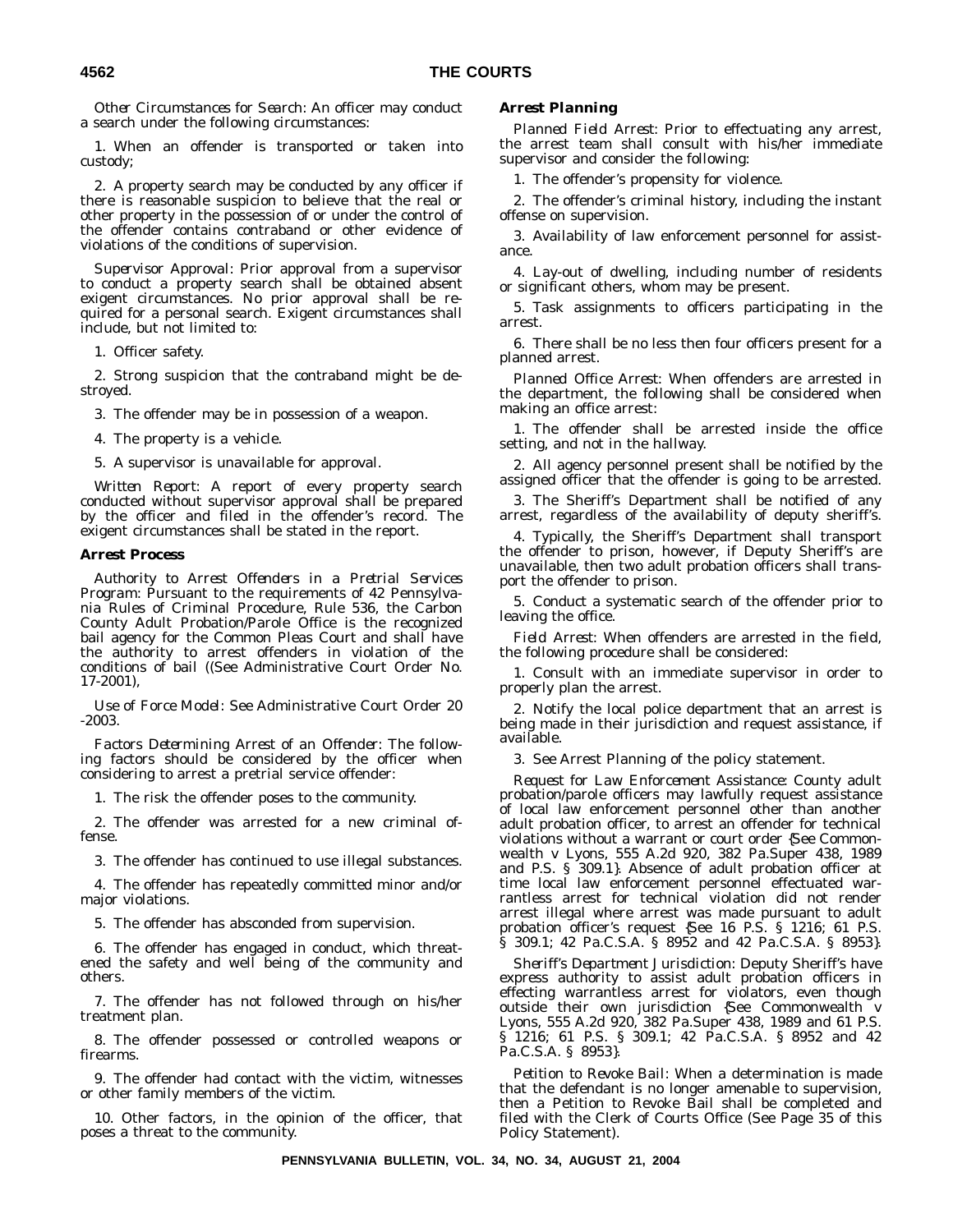*Other Circumstances for Search:* An officer may conduct a search under the following circumstances:

1. When an offender is transported or taken into custody;

2. A property search may be conducted by any officer if there is reasonable suspicion to believe that the real or other property in the possession of or under the control of the offender contains contraband or other evidence of violations of the conditions of supervision.

*Supervisor Approval:* Prior approval from a supervisor to conduct a property search shall be obtained absent exigent circumstances. No prior approval shall be required for a personal search. Exigent circumstances shall include, but not limited to:

1. Officer safety.

2. Strong suspicion that the contraband might be destroyed.

3. The offender may be in possession of a weapon.

4. The property is a vehicle.

5. A supervisor is unavailable for approval.

*Written Report:* A report of every property search conducted without supervisor approval shall be prepared by the officer and filed in the offender's record. The exigent circumstances shall be stated in the report.

#### *Arrest Process*

*Authority to Arrest Offenders in a Pretrial Services Program:* Pursuant to the requirements of 42 Pennsylvania Rules of Criminal Procedure, Rule 536, the Carbon County Adult Probation/Parole Office is the recognized bail agency for the Common Pleas Court and shall have the authority to arrest offenders in violation of the conditions of bail ((See Administrative Court Order No. 17-2001),

*Use of Force Model:* See Administrative Court Order 20 -2003.

*Factors Determining Arrest of an Offender:* The following factors should be considered by the officer when considering to arrest a pretrial service offender:

1. The risk the offender poses to the community.

2. The offender was arrested for a new criminal offense.

3. The offender has continued to use illegal substances.

4. The offender has repeatedly committed minor and/or major violations.

5. The offender has absconded from supervision.

6. The offender has engaged in conduct, which threatened the safety and well being of the community and others.

7. The offender has not followed through on his/her treatment plan.

8. The offender possessed or controlled weapons or firearms.

9. The offender had contact with the victim, witnesses or other family members of the victim.

10. Other factors, in the opinion of the officer, that poses a threat to the community.

#### *Arrest Planning*

*Planned Field Arrest:* Prior to effectuating any arrest, the arrest team shall consult with his/her immediate supervisor and consider the following:

1. The offender's propensity for violence.

2. The offender's criminal history, including the instant offense on supervision.

3. Availability of law enforcement personnel for assistance.

4. Lay-out of dwelling, including number of residents or significant others, whom may be present.

5. Task assignments to officers participating in the arrest.

6. There shall be no less then four officers present for a planned arrest.

*Planned Office Arrest:* When offenders are arrested in the department, the following shall be considered when making an office arrest:

1. The offender shall be arrested inside the office setting, and not in the hallway.

2. All agency personnel present shall be notified by the assigned officer that the offender is going to be arrested.

3. The Sheriff's Department shall be notified of any arrest, regardless of the availability of deputy sheriff's.

4. Typically, the Sheriff's Department shall transport the offender to prison, however, if Deputy Sheriff's are unavailable, then two adult probation officers shall transport the offender to prison.

5. Conduct a systematic search of the offender prior to leaving the office.

*Field Arrest:* When offenders are arrested in the field, the following procedure shall be considered:

1. Consult with an immediate supervisor in order to properly plan the arrest.

2. Notify the local police department that an arrest is being made in their jurisdiction and request assistance, if available.

3. See Arrest Planning of the policy statement.

*Request for Law Enforcement Assistance:* County adult probation/parole officers may lawfully request assistance of local law enforcement personnel other than another adult probation officer, to arrest an offender for technical violations without a warrant or court order {See Commonwealth v Lyons, 555 A.2d 920, 382 Pa.Super 438, 1989 and P.S. § 309.1}. Absence of adult probation officer at time local law enforcement personnel effectuated warrantless arrest for technical violation did not render arrest illegal where arrest was made pursuant to adult probation officer's request {See 16 P.S. § 1216; 61 P.S. § 309.1; 42 Pa.C.S.A. § 8952 and 42 Pa.C.S.A. § 8953}.

*Sheriff's Department Jurisdiction:* Deputy Sheriff's have express authority to assist adult probation officers in effecting warrantless arrest for violators, even though outside their own jurisdiction {See Commonwealth v Lyons, 555 A.2d 920, 382 Pa.Super 438, 1989 and 61 P.S. § 1216; 61 P.S. § 309.1; 42 Pa.C.S.A. § 8952 and 42 Pa.C.S.A. § 8953}.

*Petition to Revoke Bail:* When a determination is made that the defendant is no longer amenable to supervision, then a Petition to Revoke Bail shall be completed and filed with the Clerk of Courts Office (See Page 35 of this Policy Statement).

**PENNSYLVANIA BULLETIN, VOL. 34, NO. 34, AUGUST 21, 2004**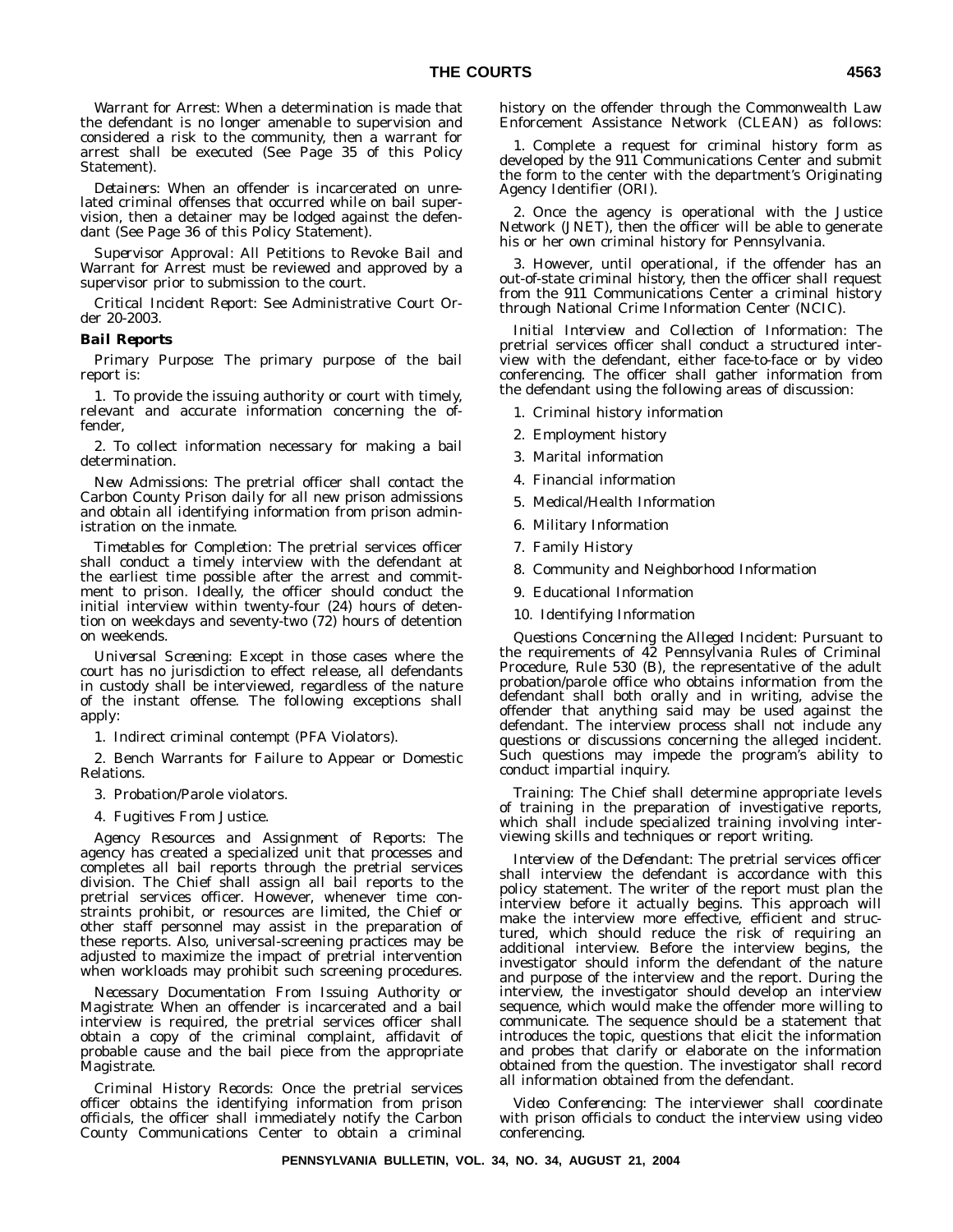*Warrant for Arrest:* When a determination is made that the defendant is no longer amenable to supervision and considered a risk to the community, then a warrant for arrest shall be executed (See Page 35 of this Policy Statement).

*Detainers:* When an offender is incarcerated on unrelated criminal offenses that occurred while on bail supervision, then a detainer may be lodged against the defendant (See Page 36 of this Policy Statement).

*Supervisor Approval:* All Petitions to Revoke Bail and Warrant for Arrest must be reviewed and approved by a supervisor prior to submission to the court.

*Critical Incident Report:* See Administrative Court Order 20-2003.

#### *Bail Reports*

*Primary Purpose:* The primary purpose of the bail report is:

1. To provide the issuing authority or court with timely, relevant and accurate information concerning the offender,

2. To collect information necessary for making a bail determination.

*New Admissions:* The pretrial officer shall contact the Carbon County Prison daily for all new prison admissions and obtain all identifying information from prison administration on the inmate.

*Timetables for Completion:* The pretrial services officer shall conduct a timely interview with the defendant at the earliest time possible after the arrest and commitment to prison. Ideally, the officer should conduct the initial interview within twenty-four (24) hours of detention on weekdays and seventy-two (72) hours of detention on weekends.

*Universal Screening:* Except in those cases where the court has no jurisdiction to effect release, all defendants in custody shall be interviewed, regardless of the nature of the instant offense. The following exceptions shall apply:

1. Indirect criminal contempt (PFA Violators).

2. Bench Warrants for Failure to Appear or Domestic Relations.

3. Probation/Parole violators.

4. Fugitives From Justice.

*Agency Resources and Assignment of Reports:* The agency has created a specialized unit that processes and completes all bail reports through the pretrial services division. The Chief shall assign all bail reports to the pretrial services officer. However, whenever time constraints prohibit, or resources are limited, the Chief or other staff personnel may assist in the preparation of these reports. Also, universal-screening practices may be adjusted to maximize the impact of pretrial intervention when workloads may prohibit such screening procedures.

*Necessary Documentation From Issuing Authority or Magistrate:* When an offender is incarcerated and a bail interview is required, the pretrial services officer shall obtain a copy of the criminal complaint, affidavit of probable cause and the bail piece from the appropriate Magistrate.

*Criminal History Records:* Once the pretrial services officer obtains the identifying information from prison officials, the officer shall immediately notify the Carbon County Communications Center to obtain a criminal history on the offender through the Commonwealth Law Enforcement Assistance Network (CLEAN) as follows:

1. Complete a request for criminal history form as developed by the 911 Communications Center and submit the form to the center with the department's Originating Agency Identifier (ORI).

2. Once the agency is operational with the Justice Network (JNET), then the officer will be able to generate his or her own criminal history for Pennsylvania.

3. However, until operational, if the offender has an out-of-state criminal history, then the officer shall request from the 911 Communications Center a criminal history through National Crime Information Center (NCIC).

*Initial Interview and Collection of Information:* The pretrial services officer shall conduct a structured interview with the defendant, either face-to-face or by video conferencing. The officer shall gather information from the defendant using the following areas of discussion:

- 1. Criminal history information
- 2. Employment history
- 3. Marital information
- 4. Financial information
- 5. Medical/Health Information
- 6. Military Information
- 7. Family History
- 8. Community and Neighborhood Information
- 9. Educational Information
- 10. Identifying Information

*Questions Concerning the Alleged Incident:* Pursuant to the requirements of 42 Pennsylvania Rules of Criminal Procedure, Rule 530 (B), the representative of the adult probation/parole office who obtains information from the defendant shall both orally and in writing, advise the offender that anything said may be used against the defendant. The interview process shall not include any questions or discussions concerning the alleged incident. Such questions may impede the program's ability to conduct impartial inquiry.

*Training:* The Chief shall determine appropriate levels of training in the preparation of investigative reports, which shall include specialized training involving interviewing skills and techniques or report writing.

*Interview of the Defendant:* The pretrial services officer shall interview the defendant is accordance with this policy statement. The writer of the report must plan the interview before it actually begins. This approach will make the interview more effective, efficient and structured, which should reduce the risk of requiring an additional interview. Before the interview begins, the investigator should inform the defendant of the nature and purpose of the interview and the report. During the interview, the investigator should develop an interview sequence, which would make the offender more willing to communicate. The sequence should be a statement that introduces the topic, questions that elicit the information and probes that clarify or elaborate on the information obtained from the question. The investigator shall record all information obtained from the defendant.

*Video Conferencing:* The interviewer shall coordinate with prison officials to conduct the interview using video conferencing.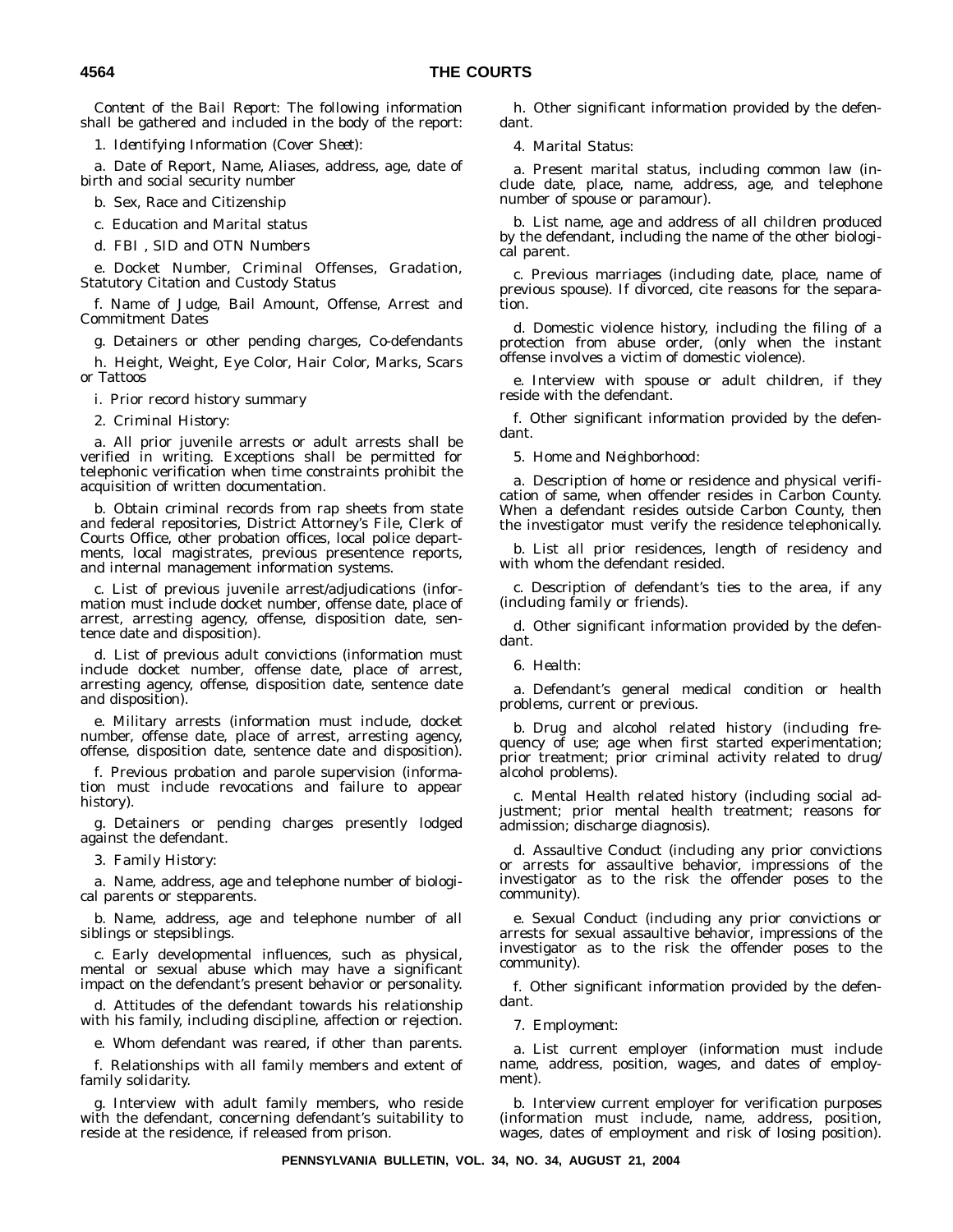*Content of the Bail Report:* The following information shall be gathered and included in the body of the report:

1. *Identifying Information (Cover Sheet):*

a. Date of Report, Name, Aliases, address, age, date of birth and social security number

b. Sex, Race and Citizenship

c. Education and Marital status

d. FBI , SID and OTN Numbers

e. Docket Number, Criminal Offenses, Gradation, Statutory Citation and Custody Status

f. Name of Judge, Bail Amount, Offense, Arrest and Commitment Dates

g. Detainers or other pending charges, Co-defendants

h. Height, Weight, Eye Color, Hair Color, Marks, Scars or Tattoos

i. Prior record history summary

2. *Criminal History:*

a. All prior juvenile arrests or adult arrests shall be verified in writing. Exceptions shall be permitted for telephonic verification when time constraints prohibit the acquisition of written documentation.

b. Obtain criminal records from rap sheets from state and federal repositories, District Attorney's File, Clerk of Courts Office, other probation offices, local police departments, local magistrates, previous presentence reports, and internal management information systems.

c. List of previous juvenile arrest/adjudications (information must include docket number, offense date, place of arrest, arresting agency, offense, disposition date, sentence date and disposition).

d. List of previous adult convictions (information must include docket number, offense date, place of arrest, arresting agency, offense, disposition date, sentence date and disposition).

e. Military arrests (information must include, docket number, offense date, place of arrest, arresting agency, offense, disposition date, sentence date and disposition).

f. Previous probation and parole supervision (information must include revocations and failure to appear history).

g. Detainers or pending charges presently lodged against the defendant.

3. *Family History:*

a. Name, address, age and telephone number of biological parents or stepparents.

b. Name, address, age and telephone number of all siblings or stepsiblings.

c. Early developmental influences, such as physical, mental or sexual abuse which may have a significant impact on the defendant's present behavior or personality.

d. Attitudes of the defendant towards his relationship with his family, including discipline, affection or rejection.

e. Whom defendant was reared, if other than parents.

f. Relationships with all family members and extent of family solidarity.

g. Interview with adult family members, who reside with the defendant, concerning defendant's suitability to reside at the residence, if released from prison.

h. Other significant information provided by the defendant.

#### 4. *Marital Status:*

a. Present marital status, including common law (include date, place, name, address, age, and telephone number of spouse or paramour).

b. List name, age and address of all children produced by the defendant, including the name of the other biological parent.

c. Previous marriages (including date, place, name of previous spouse). If divorced, cite reasons for the separation.

d. Domestic violence history, including the filing of a protection from abuse order, (only when the instant offense involves a victim of domestic violence).

e. Interview with spouse or adult children, if they reside with the defendant.

f. Other significant information provided by the defendant.

5. *Home and Neighborhood:*

a. Description of home or residence and physical verification of same, when offender resides in Carbon County. When a defendant resides outside Carbon County, then the investigator must verify the residence telephonically.

b. List all prior residences, length of residency and with whom the defendant resided.

c. Description of defendant's ties to the area, if any (including family or friends).

d. Other significant information provided by the defendant.

6. *Health:*

a. Defendant's general medical condition or health problems, current or previous.

b. Drug and alcohol related history (including frequency of use; age when first started experimentation; prior treatment; prior criminal activity related to drug/ alcohol problems).

c. Mental Health related history (including social adjustment; prior mental health treatment; reasons for admission; discharge diagnosis).

d. Assaultive Conduct (including any prior convictions or arrests for assaultive behavior, impressions of the investigator as to the risk the offender poses to the community).

e. Sexual Conduct (including any prior convictions or arrests for sexual assaultive behavior, impressions of the investigator as to the risk the offender poses to the community).

f. Other significant information provided by the defendant.

7. *Employment:*

a. List current employer (information must include name, address, position, wages, and dates of employment).

b. Interview current employer for verification purposes (information must include, name, address, position, wages, dates of employment and risk of losing position).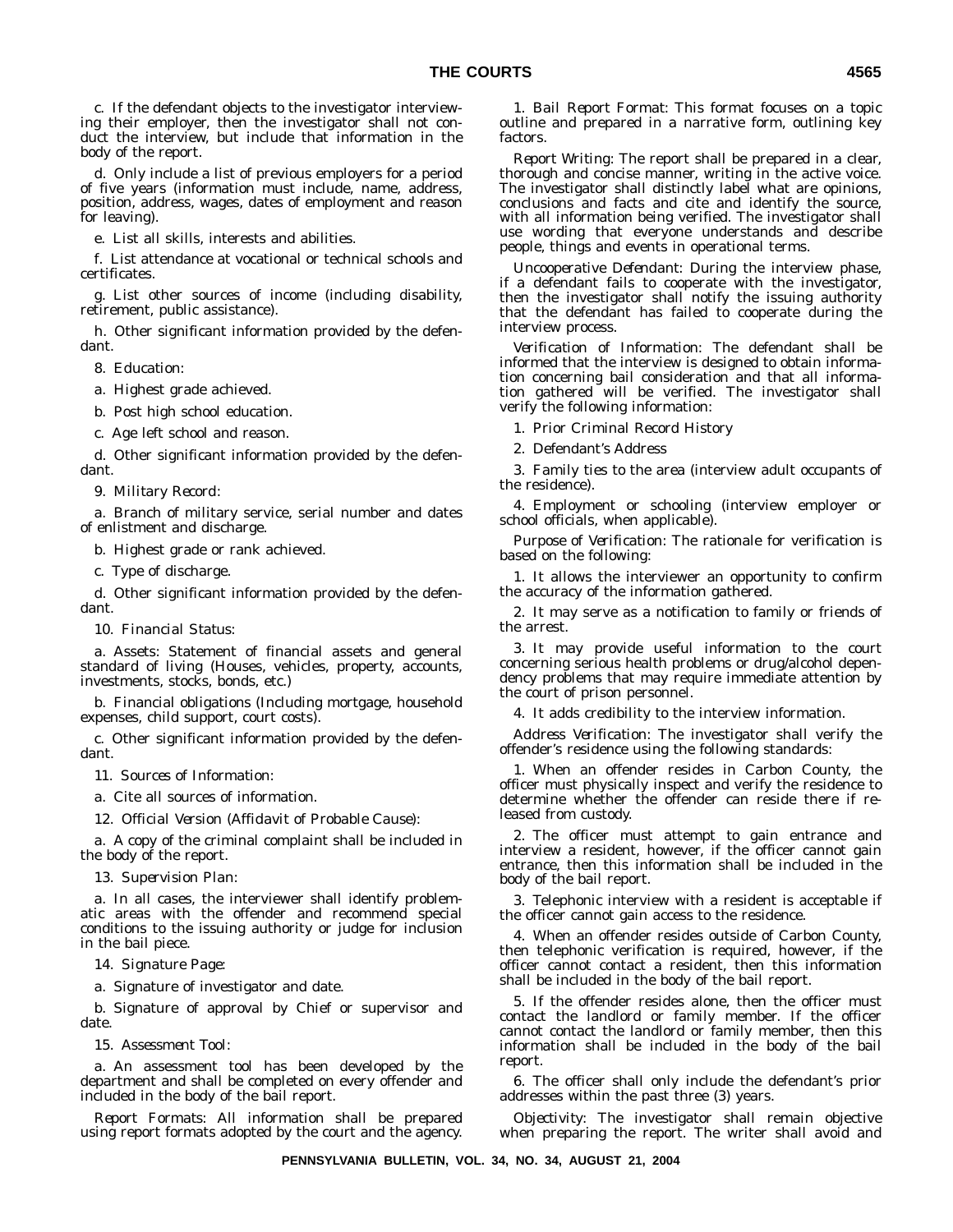c. If the defendant objects to the investigator interviewing their employer, then the investigator shall not conduct the interview, but include that information in the body of the report.

d. Only include a list of previous employers for a period of five years (information must include, name, address, position, address, wages, dates of employment and reason for leaving).

e. List all skills, interests and abilities.

f. List attendance at vocational or technical schools and certificates.

g. List other sources of income (including disability, retirement, public assistance).

h. Other significant information provided by the defendant.

8. *Education:*

a. Highest grade achieved.

b. Post high school education.

c. Age left school and reason.

d. Other significant information provided by the defendant.

9. *Military Record:*

a. Branch of military service, serial number and dates of enlistment and discharge.

b. Highest grade or rank achieved.

c. Type of discharge.

d. Other significant information provided by the defendant.

10. *Financial Status:*

a. Assets: Statement of financial assets and general standard of living (Houses, vehicles, property, accounts, investments, stocks, bonds, etc.)

b. Financial obligations (Including mortgage, household expenses, child support, court costs).

c. Other significant information provided by the defendant.

11. *Sources of Information:*

a. Cite all sources of information.

12. *Official Version (Affidavit of Probable Cause):*

a. A copy of the criminal complaint shall be included in the body of the report.

13. *Supervision Plan:*

a. In all cases, the interviewer shall identify problematic areas with the offender and recommend special conditions to the issuing authority or judge for inclusion in the bail piece.

14. *Signature Page:*

a. Signature of investigator and date.

b. Signature of approval by Chief or supervisor and date.

15. *Assessment Tool:*

a. An assessment tool has been developed by the department and shall be completed on every offender and included in the body of the bail report.

*Report Formats:* All information shall be prepared using report formats adopted by the court and the agency.

1. *Bail Report Format:* This format focuses on a topic outline and prepared in a narrative form, outlining key factors.

*Report Writing:* The report shall be prepared in a clear, thorough and concise manner, writing in the active voice. The investigator shall distinctly label what are opinions, conclusions and facts and cite and identify the source, with all information being verified. The investigator shall use wording that everyone understands and describe people, things and events in operational terms.

*Uncooperative Defendant:* During the interview phase, if a defendant fails to cooperate with the investigator, then the investigator shall notify the issuing authority that the defendant has failed to cooperate during the interview process.

*Verification of Information:* The defendant shall be informed that the interview is designed to obtain information concerning bail consideration and that all information gathered will be verified. The investigator shall verify the following information:

1. Prior Criminal Record History

2. Defendant's Address

3. Family ties to the area (interview adult occupants of the residence).

4. Employment or schooling (interview employer or school officials, when applicable).

*Purpose of Verification:* The rationale for verification is based on the following:

1. It allows the interviewer an opportunity to confirm the accuracy of the information gathered.

2. It may serve as a notification to family or friends of the arrest.

3. It may provide useful information to the court concerning serious health problems or drug/alcohol dependency problems that may require immediate attention by the court of prison personnel.

4. It adds credibility to the interview information.

*Address Verification:* The investigator shall verify the offender's residence using the following standards:

1. When an offender resides in Carbon County, the officer must physically inspect and verify the residence to determine whether the offender can reside there if released from custody.

2. The officer must attempt to gain entrance and interview a resident, however, if the officer cannot gain entrance, then this information shall be included in the body of the bail report.

3. Telephonic interview with a resident is acceptable if the officer cannot gain access to the residence.

4. When an offender resides outside of Carbon County, then telephonic verification is required, however, if the officer cannot contact a resident, then this information shall be included in the body of the bail report.

5. If the offender resides alone, then the officer must contact the landlord or family member. If the officer cannot contact the landlord or family member, then this information shall be included in the body of the bail report.

6. The officer shall only include the defendant's prior addresses within the past three (3) years.

*Objectivity:* The investigator shall remain objective when preparing the report. The writer shall avoid and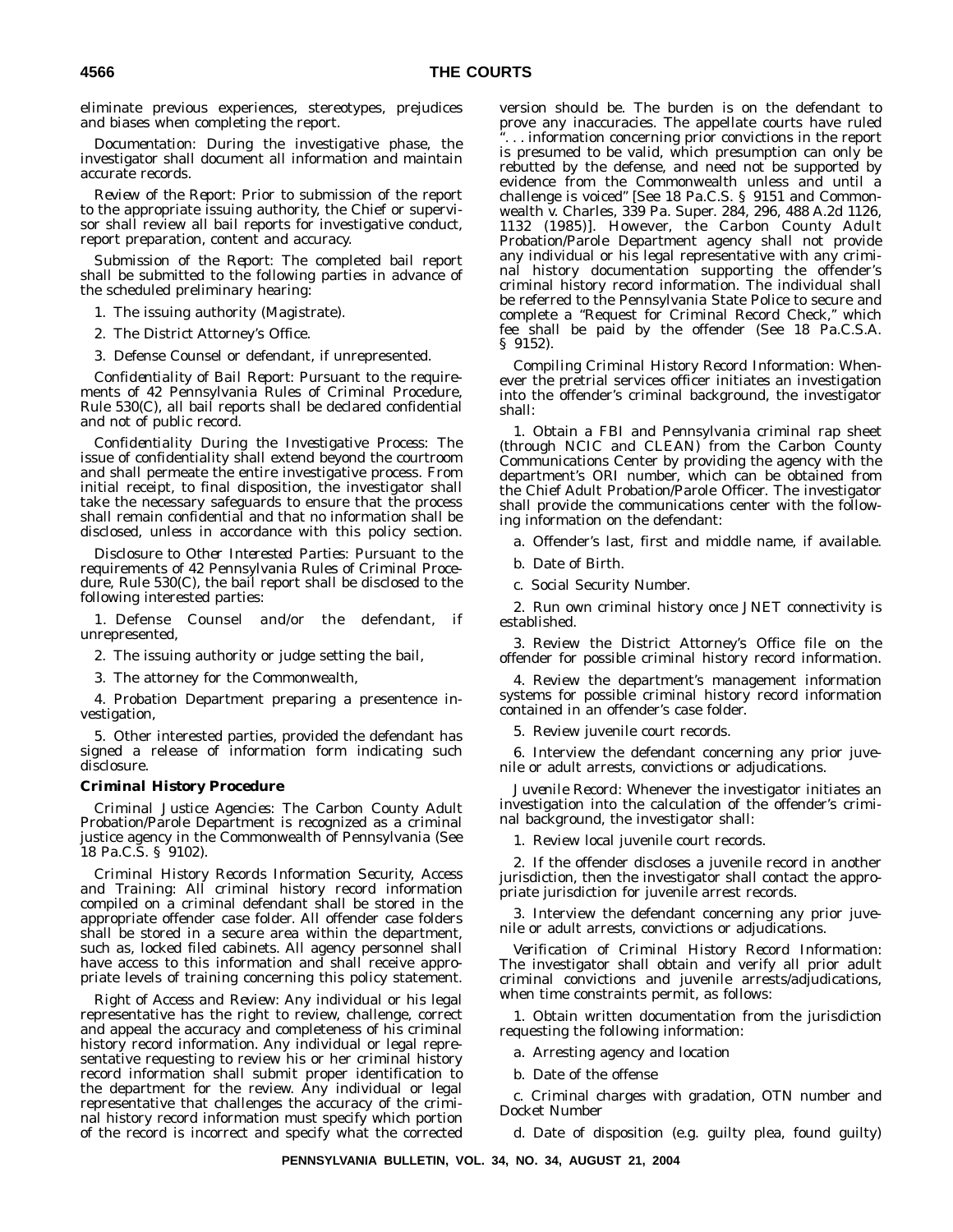eliminate previous experiences, stereotypes, prejudices and biases when completing the report.

*Documentation:* During the investigative phase, the investigator shall document all information and maintain accurate records.

*Review of the Report:* Prior to submission of the report to the appropriate issuing authority, the Chief or supervisor shall review all bail reports for investigative conduct, report preparation, content and accuracy.

*Submission of the Report:* The completed bail report shall be submitted to the following parties in advance of the scheduled preliminary hearing:

1. The issuing authority (Magistrate).

2. The District Attorney's Office.

3. Defense Counsel or defendant, if unrepresented.

*Confidentiality of Bail Report:* Pursuant to the requirements of 42 Pennsylvania Rules of Criminal Procedure, Rule 530(C), all bail reports shall be declared confidential and not of public record.

*Confidentiality During the Investigative Process:* The issue of confidentiality shall extend beyond the courtroom and shall permeate the entire investigative process. From initial receipt, to final disposition, the investigator shall take the necessary safeguards to ensure that the process shall remain confidential and that no information shall be disclosed, unless in accordance with this policy section.

*Disclosure to Other Interested Parties:* Pursuant to the requirements of 42 Pennsylvania Rules of Criminal Procedure, Rule 530(C), the bail report shall be disclosed to the following interested parties:

1. Defense Counsel and/or the defendant, if unrepresented,

2. The issuing authority or judge setting the bail,

3. The attorney for the Commonwealth,

4. Probation Department preparing a presentence investigation,

5. Other interested parties, provided the defendant has signed a release of information form indicating such disclosure.

#### *Criminal History Procedure*

*Criminal Justice Agencies:* The Carbon County Adult Probation/Parole Department is recognized as a criminal justice agency in the Commonwealth of Pennsylvania (See 18 Pa.C.S. § 9102).

*Criminal History Records Information Security, Access and Training:* All criminal history record information compiled on a criminal defendant shall be stored in the appropriate offender case folder. All offender case folders shall be stored in a secure area within the department, such as, locked filed cabinets. All agency personnel shall have access to this information and shall receive appropriate levels of training concerning this policy statement.

*Right of Access and Review:* Any individual or his legal representative has the right to review, challenge, correct and appeal the accuracy and completeness of his criminal history record information. Any individual or legal representative requesting to review his or her criminal history record information shall submit proper identification to the department for the review. Any individual or legal representative that challenges the accuracy of the criminal history record information must specify which portion of the record is incorrect and specify what the corrected version should be. The burden is on the defendant to prove any inaccuracies. The appellate courts have ruled ''. . . information concerning prior convictions in the report is presumed to be valid, which presumption can only be rebutted by the defense, and need not be supported by evidence from the Commonwealth unless and until a challenge is voiced'' [See 18 Pa.C.S. § 9151 and Commonwealth v. Charles, 339 Pa. Super. 284, 296, 488 A.2d 1126, 1132 (1985)]. However, the Carbon County Adult Probation/Parole Department agency shall not provide any individual or his legal representative with any criminal history documentation supporting the offender's criminal history record information. The individual shall be referred to the Pennsylvania State Police to secure and complete a ''Request for Criminal Record Check,'' which fee shall be paid by the offender (See 18 Pa.C.S.A. § 9152).

*Compiling Criminal History Record Information:* Whenever the pretrial services officer initiates an investigation into the offender's criminal background, the investigator shall:

1. Obtain a FBI and Pennsylvania criminal rap sheet (through NCIC and CLEAN) from the Carbon County Communications Center by providing the agency with the department's ORI number, which can be obtained from the Chief Adult Probation/Parole Officer. The investigator shall provide the communications center with the following information on the defendant:

a. Offender's last, first and middle name, if available.

b. Date of Birth.

c. Social Security Number.

2. Run own criminal history once JNET connectivity is established.

3. Review the District Attorney's Office file on the offender for possible criminal history record information.

4. Review the department's management information systems for possible criminal history record information contained in an offender's case folder.

5. Review juvenile court records.

6. Interview the defendant concerning any prior juvenile or adult arrests, convictions or adjudications.

*Juvenile Record:* Whenever the investigator initiates an investigation into the calculation of the offender's criminal background, the investigator shall:

1. Review local juvenile court records.

2. If the offender discloses a juvenile record in another jurisdiction, then the investigator shall contact the appropriate jurisdiction for juvenile arrest records.

3. Interview the defendant concerning any prior juvenile or adult arrests, convictions or adjudications.

*Verification of Criminal History Record Information:* The investigator shall obtain and verify all prior adult criminal convictions and juvenile arrests/adjudications, when time constraints permit, as follows:

1. Obtain written documentation from the jurisdiction requesting the following information:

a. Arresting agency and location

b. Date of the offense

c. Criminal charges with gradation, OTN number and Docket Number

d. Date of disposition (e.g. guilty plea, found guilty)

**PENNSYLVANIA BULLETIN, VOL. 34, NO. 34, AUGUST 21, 2004**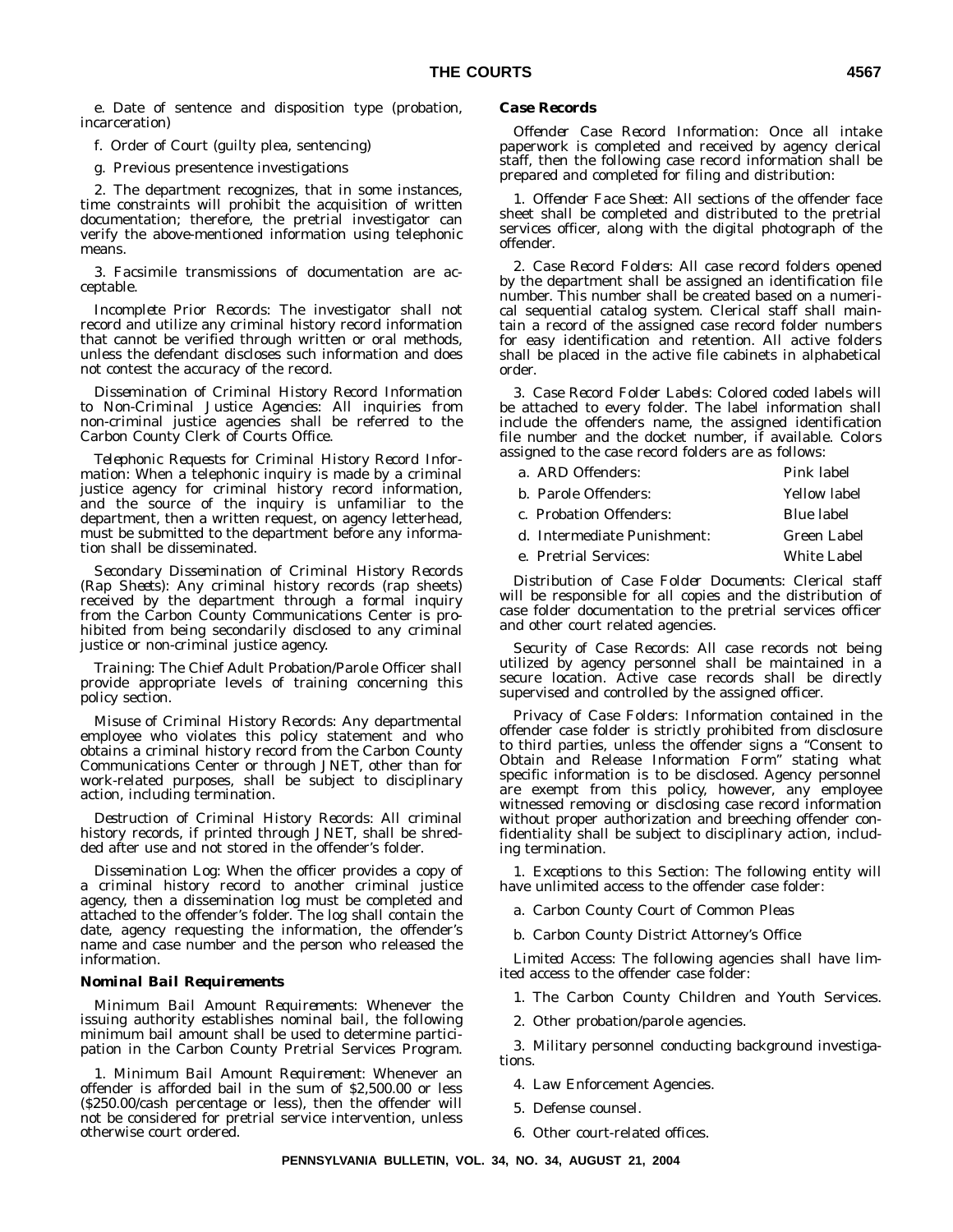e. Date of sentence and disposition type (probation, incarceration)

f. Order of Court (guilty plea, sentencing)

g. Previous presentence investigations

2. The department recognizes, that in some instances, time constraints will prohibit the acquisition of written documentation; therefore, the pretrial investigator can verify the above-mentioned information using telephonic means.

3. Facsimile transmissions of documentation are acceptable.

*Incomplete Prior Records:* The investigator shall not record and utilize any criminal history record information that cannot be verified through written or oral methods, unless the defendant discloses such information and does not contest the accuracy of the record.

*Dissemination of Criminal History Record Information to Non-Criminal Justice Agencies:* All inquiries from non-criminal justice agencies shall be referred to the Carbon County Clerk of Courts Office.

*Telephonic Requests for Criminal History Record Information:* When a telephonic inquiry is made by a criminal justice agency for criminal history record information, and the source of the inquiry is unfamiliar to the department, then a written request, on agency letterhead, must be submitted to the department before any information shall be disseminated.

*Secondary Dissemination of Criminal History Records (Rap Sheets):* Any criminal history records (rap sheets) received by the department through a formal inquiry from the Carbon County Communications Center is prohibited from being secondarily disclosed to any criminal justice or non-criminal justice agency.

*Training:* The Chief Adult Probation/Parole Officer shall provide appropriate levels of training concerning this policy section.

*Misuse of Criminal History Records:* Any departmental employee who violates this policy statement and who obtains a criminal history record from the Carbon County Communications Center or through JNET, other than for work-related purposes, shall be subject to disciplinary action, including termination.

*Destruction of Criminal History Records:* All criminal history records, if printed through JNET, shall be shredded after use and not stored in the offender's folder.

*Dissemination Log:* When the officer provides a copy of a criminal history record to another criminal justice agency, then a dissemination log must be completed and attached to the offender's folder. The log shall contain the date, agency requesting the information, the offender's name and case number and the person who released the information.

#### *Nominal Bail Requirements*

*Minimum Bail Amount Requirements:* Whenever the issuing authority establishes nominal bail, the following minimum bail amount shall be used to determine participation in the Carbon County Pretrial Services Program.

1. *Minimum Bail Amount Requirement:* Whenever an offender is afforded bail in the sum of \$2,500.00 or less (\$250.00/cash percentage or less), then the offender will not be considered for pretrial service intervention, unless otherwise court ordered.

#### *Case Records*

*Offender Case Record Information:* Once all intake paperwork is completed and received by agency clerical staff, then the following case record information shall be prepared and completed for filing and distribution:

1. *Offender Face Sheet:* All sections of the offender face sheet shall be completed and distributed to the pretrial services officer, along with the digital photograph of the offender.

2. *Case Record Folders:* All case record folders opened by the department shall be assigned an identification file number. This number shall be created based on a numerical sequential catalog system. Clerical staff shall maintain a record of the assigned case record folder numbers for easy identification and retention. All active folders shall be placed in the active file cabinets in alphabetical order.

3. *Case Record Folder Labels:* Colored coded labels will be attached to every folder. The label information shall include the offenders name, the assigned identification file number and the docket number, if available. Colors assigned to the case record folders are as follows:

| a. ARD Offenders:           | Pink label   |
|-----------------------------|--------------|
| b. Parole Offenders:        | Yellow label |
| c. Probation Offenders:     | Blue label   |
| d. Intermediate Punishment: | Green Label  |
| e. Pretrial Services:       | White Label  |
|                             |              |

*Distribution of Case Folder Documents:* Clerical staff will be responsible for all copies and the distribution of case folder documentation to the pretrial services officer and other court related agencies.

*Security of Case Records:* All case records not being utilized by agency personnel shall be maintained in a secure location. Active case records shall be directly supervised and controlled by the assigned officer.

*Privacy of Case Folders:* Information contained in the offender case folder is strictly prohibited from disclosure to third parties, unless the offender signs a ''Consent to Obtain and Release Information Form'' stating what specific information is to be disclosed. Agency personnel are exempt from this policy, however, any employee witnessed removing or disclosing case record information without proper authorization and breeching offender confidentiality shall be subject to disciplinary action, including termination.

1. *Exceptions to this Section:* The following entity will have unlimited access to the offender case folder:

a. Carbon County Court of Common Pleas

b. Carbon County District Attorney's Office

*Limited Access:* The following agencies shall have limited access to the offender case folder:

1. The Carbon County Children and Youth Services.

2. Other probation/parole agencies.

3. Military personnel conducting background investigations.

- 4. Law Enforcement Agencies.
- 5. Defense counsel.

6. Other court-related offices.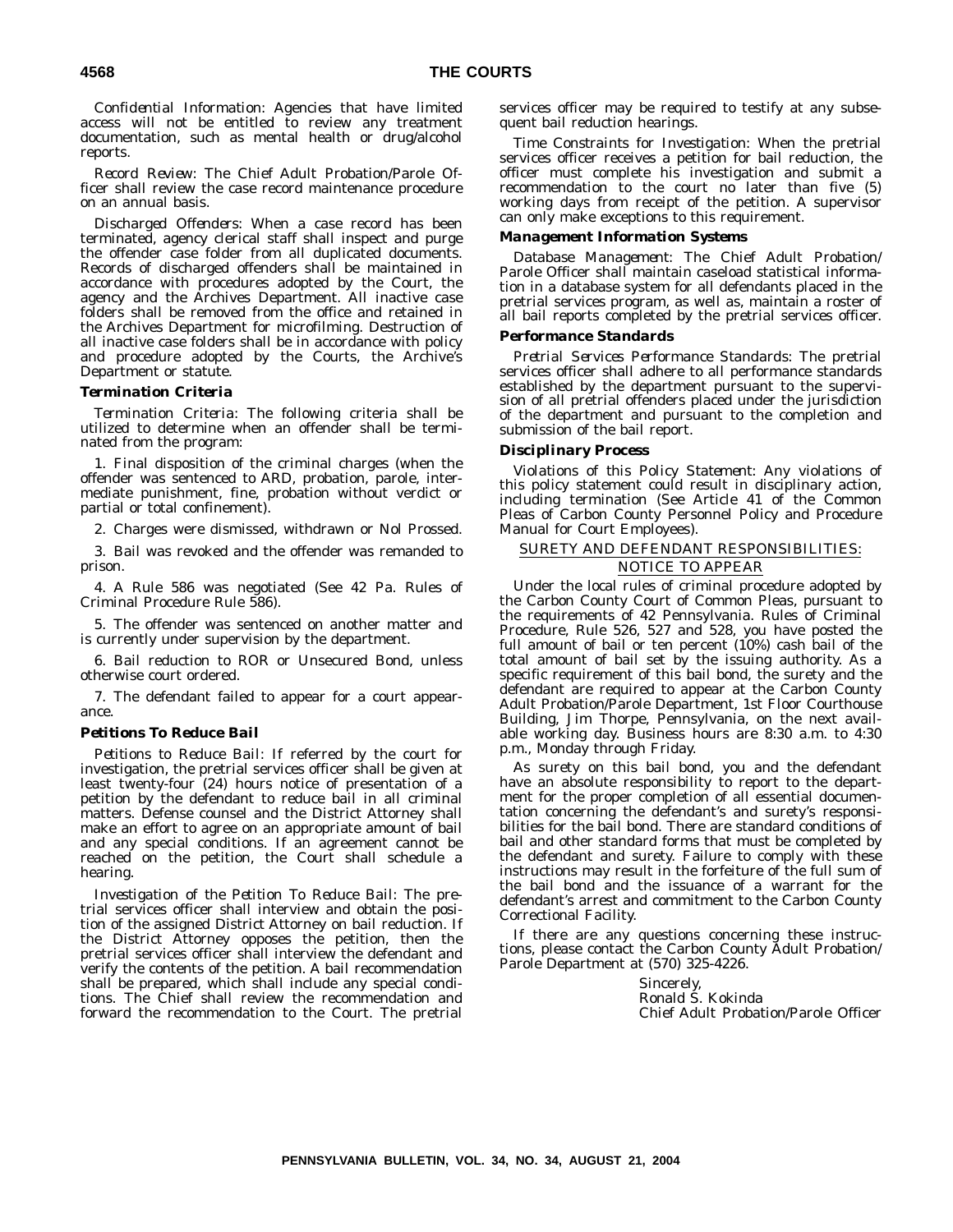*Confidential Information:* Agencies that have limited access will not be entitled to review any treatment documentation, such as mental health or drug/alcohol reports.

*Record Review:* The Chief Adult Probation/Parole Officer shall review the case record maintenance procedure on an annual basis.

*Discharged Offenders:* When a case record has been terminated, agency clerical staff shall inspect and purge the offender case folder from all duplicated documents. Records of discharged offenders shall be maintained in accordance with procedures adopted by the Court, the agency and the Archives Department. All inactive case folders shall be removed from the office and retained in the Archives Department for microfilming. Destruction of all inactive case folders shall be in accordance with policy and procedure adopted by the Courts, the Archive's Department or statute.

#### *Termination Criteria*

*Termination Criteria:* The following criteria shall be utilized to determine when an offender shall be terminated from the program:

1. Final disposition of the criminal charges (when the offender was sentenced to ARD, probation, parole, intermediate punishment, fine, probation without verdict or partial or total confinement).

2. Charges were dismissed, withdrawn or Nol Prossed.

3. Bail was revoked and the offender was remanded to prison.

4. A Rule 586 was negotiated (See 42 Pa. Rules of Criminal Procedure Rule 586).

5. The offender was sentenced on another matter and is currently under supervision by the department.

6. Bail reduction to ROR or Unsecured Bond, unless otherwise court ordered.

7. The defendant failed to appear for a court appearance.

#### *Petitions To Reduce Bail*

*Petitions to Reduce Bail:* If referred by the court for investigation, the pretrial services officer shall be given at least twenty-four (24) hours notice of presentation of a petition by the defendant to reduce bail in all criminal matters. Defense counsel and the District Attorney shall make an effort to agree on an appropriate amount of bail and any special conditions. If an agreement cannot be reached on the petition, the Court shall schedule a hearing.

*Investigation of the Petition To Reduce Bail:* The pretrial services officer shall interview and obtain the position of the assigned District Attorney on bail reduction. If the District Attorney opposes the petition, then the pretrial services officer shall interview the defendant and verify the contents of the petition. A bail recommendation shall be prepared, which shall include any special conditions. The Chief shall review the recommendation and forward the recommendation to the Court. The pretrial

services officer may be required to testify at any subsequent bail reduction hearings.

*Time Constraints for Investigation:* When the pretrial services officer receives a petition for bail reduction, the officer must complete his investigation and submit a recommendation to the court no later than five (5) working days from receipt of the petition. A supervisor can only make exceptions to this requirement.

#### *Management Information Systems*

*Database Management:* The Chief Adult Probation/ Parole Officer shall maintain caseload statistical information in a database system for all defendants placed in the pretrial services program, as well as, maintain a roster of all bail reports completed by the pretrial services officer.

#### *Performance Standards*

*Pretrial Services Performance Standards:* The pretrial services officer shall adhere to all performance standards established by the department pursuant to the supervision of all pretrial offenders placed under the jurisdiction of the department and pursuant to the completion and submission of the bail report.

#### *Disciplinary Process*

*Violations of this Policy Statement:* Any violations of this policy statement could result in disciplinary action, including termination (See Article 41 of the Common Pleas of Carbon County Personnel Policy and Procedure Manual for Court Employees).

#### SURETY AND DEFENDANT RESPONSIBILITIES: NOTICE TO APPEAR

Under the local rules of criminal procedure adopted by the Carbon County Court of Common Pleas, pursuant to the requirements of 42 Pennsylvania. Rules of Criminal Procedure, Rule 526, 527 and 528, you have posted the full amount of bail or ten percent  $(10%)$  cash bail of the total amount of bail set by the issuing authority. As a specific requirement of this bail bond, the surety and the defendant are required to appear at the Carbon County Adult Probation/Parole Department, 1st Floor Courthouse Building, Jim Thorpe, Pennsylvania, on the next available working day. Business hours are 8:30 a.m. to 4:30 p.m., Monday through Friday.

As surety on this bail bond, you and the defendant have an absolute responsibility to report to the department for the proper completion of all essential documentation concerning the defendant's and surety's responsibilities for the bail bond. There are standard conditions of bail and other standard forms that must be completed by the defendant and surety. Failure to comply with these instructions may result in the forfeiture of the full sum of the bail bond and the issuance of a warrant for the defendant's arrest and commitment to the Carbon County Correctional Facility.

If there are any questions concerning these instructions, please contact the Carbon County Adult Probation/ Parole Department at (570) 325-4226.

> Sincerely, Ronald S. Kokinda Chief Adult Probation/Parole Officer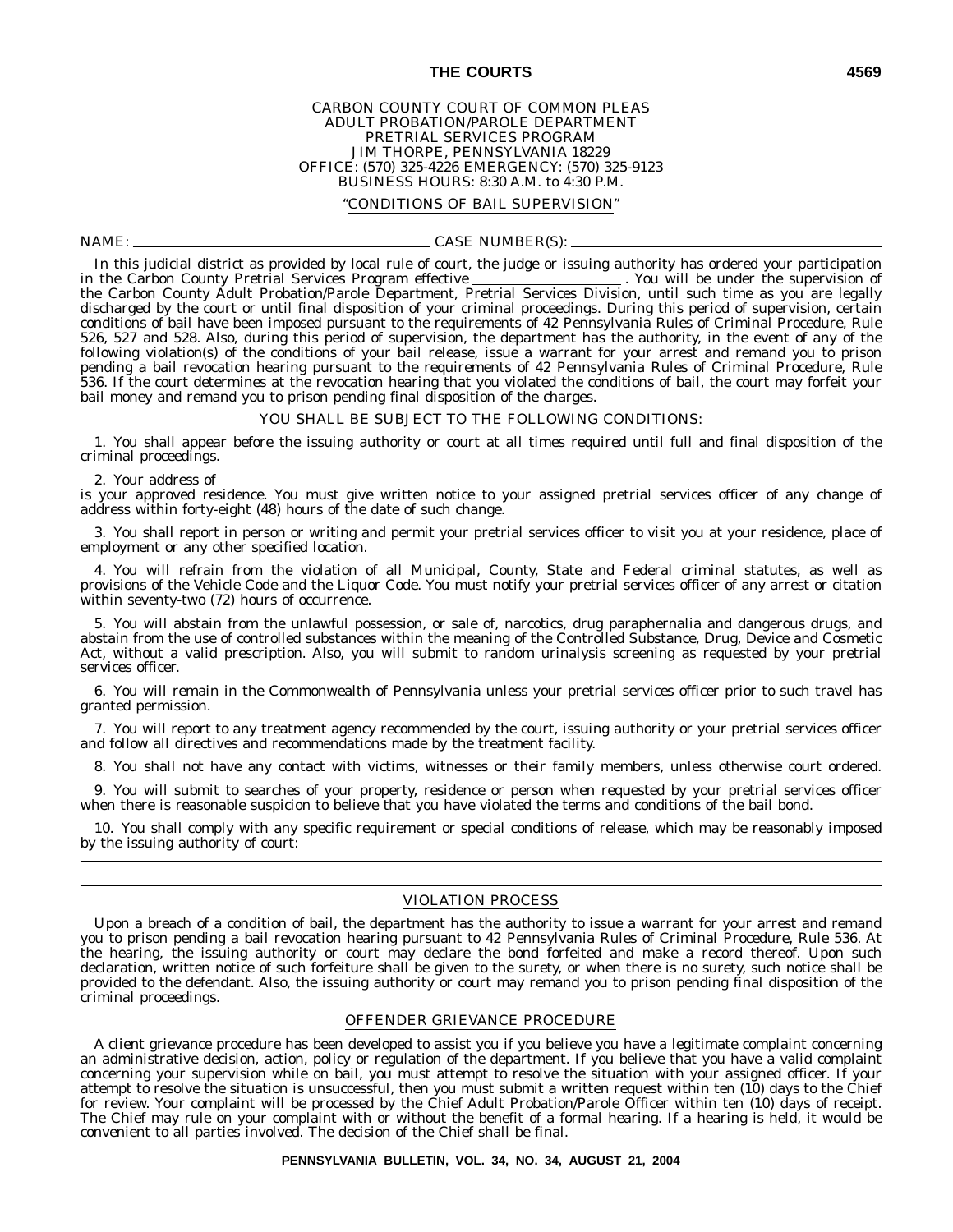#### CARBON COUNTY COURT OF COMMON PLEAS ADULT PROBATION/PAROLE DEPARTMENT PRETRIAL SERVICES PROGRAM JIM THORPE, PENNSYLVANIA 18229 OFFICE: (570) 325-4226 EMERGENCY: (570) 325-9123 BUSINESS HOURS: 8:30 A.M. to 4:30 P.M.

#### ''CONDITIONS OF BAIL SUPERVISION''

#### NAME: CASE NUMBER(S):

In this judicial district as provided by local rule of court, the judge or issuing authority has ordered your participation<br>the Carbon County Pretrial Services Program effective \_\_\_\_\_\_\_\_\_\_\_\_\_\_\_\_\_\_\_\_. You will be under the in the Carbon County Pretrial Services Program effective \_ the Carbon County Adult Probation/Parole Department, Pretrial Services Division, until such time as you are legally discharged by the court or until final disposition of your criminal proceedings. During this period of supervision, certain conditions of bail have been imposed pursuant to the requirements of 42 Pennsylvania Rules of Criminal Procedure, Rule 526, 527 and 528. Also, during this period of supervision, the department has the authority, in the event of any of the following violation(s) of the conditions of your bail release, issue a warrant for your arrest and remand you to prison pending a bail revocation hearing pursuant to the requirements of 42 Pennsylvania Rules of Criminal Procedure, Rule 536. If the court determines at the revocation hearing that you violated the conditions of bail, the court may forfeit your bail money and remand you to prison pending final disposition of the charges.

#### YOU SHALL BE SUBJECT TO THE FOLLOWING CONDITIONS:

1. You shall appear before the issuing authority or court at all times required until full and final disposition of the criminal proceedings.

2. Your address of

is your approved residence. You must give written notice to your assigned pretrial services officer of any change of address within forty-eight (48) hours of the date of such change.

3. You shall report in person or writing and permit your pretrial services officer to visit you at your residence, place of employment or any other specified location.

4. You will refrain from the violation of all Municipal, County, State and Federal criminal statutes, as well as provisions of the Vehicle Code and the Liquor Code. You must notify your pretrial services officer of any arrest or citation within seventy-two (72) hours of occurrence.

5. You will abstain from the unlawful possession, or sale of, narcotics, drug paraphernalia and dangerous drugs, and abstain from the use of controlled substances within the meaning of the Controlled Substance, Drug, Device and Cosmetic Act, without a valid prescription. Also, you will submit to random urinalysis screening as requested by your pretrial services officer.

6. You will remain in the Commonwealth of Pennsylvania unless your pretrial services officer prior to such travel has granted permission.

7. You will report to any treatment agency recommended by the court, issuing authority or your pretrial services officer and follow all directives and recommendations made by the treatment facility.

8. You shall not have any contact with victims, witnesses or their family members, unless otherwise court ordered.

9. You will submit to searches of your property, residence or person when requested by your pretrial services officer when there is reasonable suspicion to believe that you have violated the terms and conditions of the bail bond.

10. You shall comply with any specific requirement or special conditions of release, which may be reasonably imposed by the issuing authority of court:

#### VIOLATION PROCESS

Upon a breach of a condition of bail, the department has the authority to issue a warrant for your arrest and remand you to prison pending a bail revocation hearing pursuant to 42 Pennsylvania Rules of Criminal Procedure, Rule 536. At the hearing, the issuing authority or court may declare the bond forfeited and make a record thereof. Upon such declaration, written notice of such forfeiture shall be given to the surety, or when there is no surety, such notice shall be provided to the defendant. Also, the issuing authority or court may remand you to prison pending final disposition of the criminal proceedings.

#### OFFENDER GRIEVANCE PROCEDURE

A client grievance procedure has been developed to assist you if you believe you have a legitimate complaint concerning an administrative decision, action, policy or regulation of the department. If you believe that you have a valid complaint concerning your supervision while on bail, you must attempt to resolve the situation with your assigned officer. If your attempt to resolve the situation is unsuccessful, then you must submit a written request within ten (10) days to the Chief for review. Your complaint will be processed by the Chief Adult Probation/Parole Officer within ten (10) days of receipt. The Chief may rule on your complaint with or without the benefit of a formal hearing. If a hearing is held, it would be convenient to all parties involved. The decision of the Chief shall be final.

**PENNSYLVANIA BULLETIN, VOL. 34, NO. 34, AUGUST 21, 2004**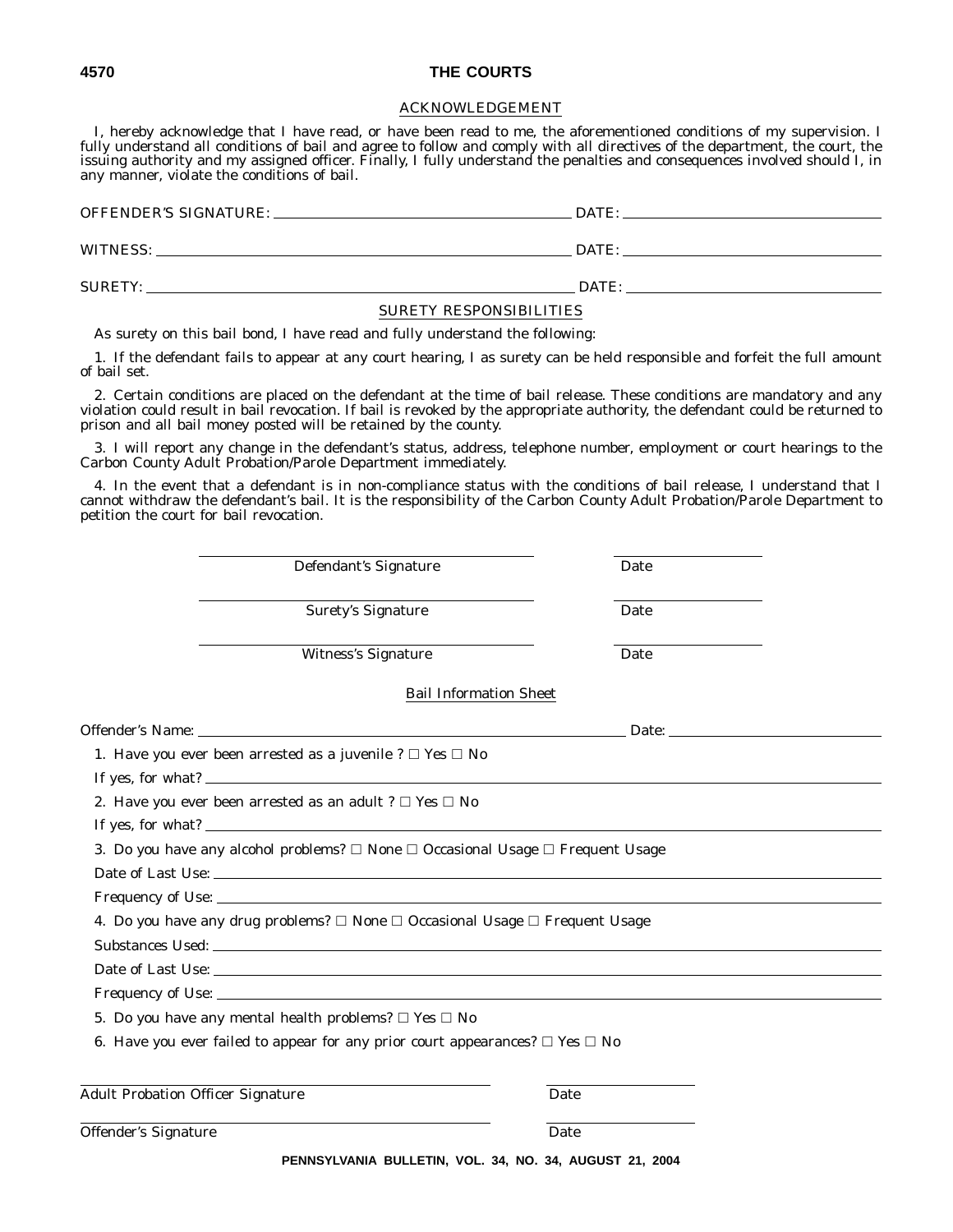#### ACKNOWLEDGEMENT

I, hereby acknowledge that I have read, or have been read to me, the aforementioned conditions of my supervision. I fully understand all conditions of bail and agree to follow and comply with all directives of the department, the court, the issuing authority and my assigned officer. Finally, I fully understand the penalties and consequences involved should I, in any manner, violate the conditions of bail.

OFFENDER'S SIGNATURE: DATE: DATE: DATE: DATE: DATE: DATE: DATE: DATE: DATE: DATE: DATE: DATE: DATE: DATE: DATE: DATE: DATE: DATE: DATE: DATE: DATE: DATE: DATE: DATE: DATE: DATE: DATE: DATE: DATE: DATE: DATE: DATE: DATE: DA WITNESS: DATE: SURETY: DATE:

#### SURETY RESPONSIBILITIES

As surety on this bail bond, I have read and fully understand the following:

1. If the defendant fails to appear at any court hearing, I as surety can be held responsible and forfeit the full amount of bail set.

2. Certain conditions are placed on the defendant at the time of bail release. These conditions are mandatory and any violation could result in bail revocation. If bail is revoked by the appropriate authority, the defendant could be returned to prison and all bail money posted will be retained by the county.

3. I will report any change in the defendant's status, address, telephone number, employment or court hearings to the Carbon County Adult Probation/Parole Department immediately.

4. In the event that a defendant is in non-compliance status with the conditions of bail release, I understand that I cannot withdraw the defendant's bail. It is the responsibility of the Carbon County Adult Probation/Parole Department to petition the court for bail revocation.

|                                          | Defendant's Signature                                                                                      | Date |  |
|------------------------------------------|------------------------------------------------------------------------------------------------------------|------|--|
|                                          | <b>Surety's Signature</b>                                                                                  | Date |  |
|                                          | Witness's Signature                                                                                        | Date |  |
|                                          | <b>Bail Information Sheet</b>                                                                              |      |  |
|                                          |                                                                                                            |      |  |
|                                          | 1. Have you ever been arrested as a juvenile ? $\Box$ Yes $\Box$ No                                        |      |  |
|                                          | If yes, for what? $\overline{\phantom{a}}$                                                                 |      |  |
|                                          | 2. Have you ever been arrested as an adult ? $\Box$ Yes $\Box$ No                                          |      |  |
|                                          |                                                                                                            |      |  |
|                                          | 3. Do you have any alcohol problems? $\square$ None $\square$ Occasional Usage $\square$ Frequent Usage    |      |  |
|                                          |                                                                                                            |      |  |
|                                          |                                                                                                            |      |  |
|                                          | 4. Do you have any drug problems? □ None □ Occasional Usage □ Frequent Usage                               |      |  |
|                                          | Substances Used: New York and Substances Used: New York and Substances Used: New York and Substances Used: |      |  |
|                                          | Date of Last Use:                                                                                          |      |  |
|                                          |                                                                                                            |      |  |
|                                          | 5. Do you have any mental health problems? $\Box$ Yes $\Box$ No                                            |      |  |
|                                          | 6. Have you ever failed to appear for any prior court appearances? $\Box$ Yes $\Box$ No                    |      |  |
| <b>Adult Probation Officer Signature</b> |                                                                                                            | Date |  |
| Offender's Signature                     |                                                                                                            | Date |  |
|                                          | PENNSYLVANIA BULLETIN, VOL. 34, NO. 34, AUGUST 21, 2004                                                    |      |  |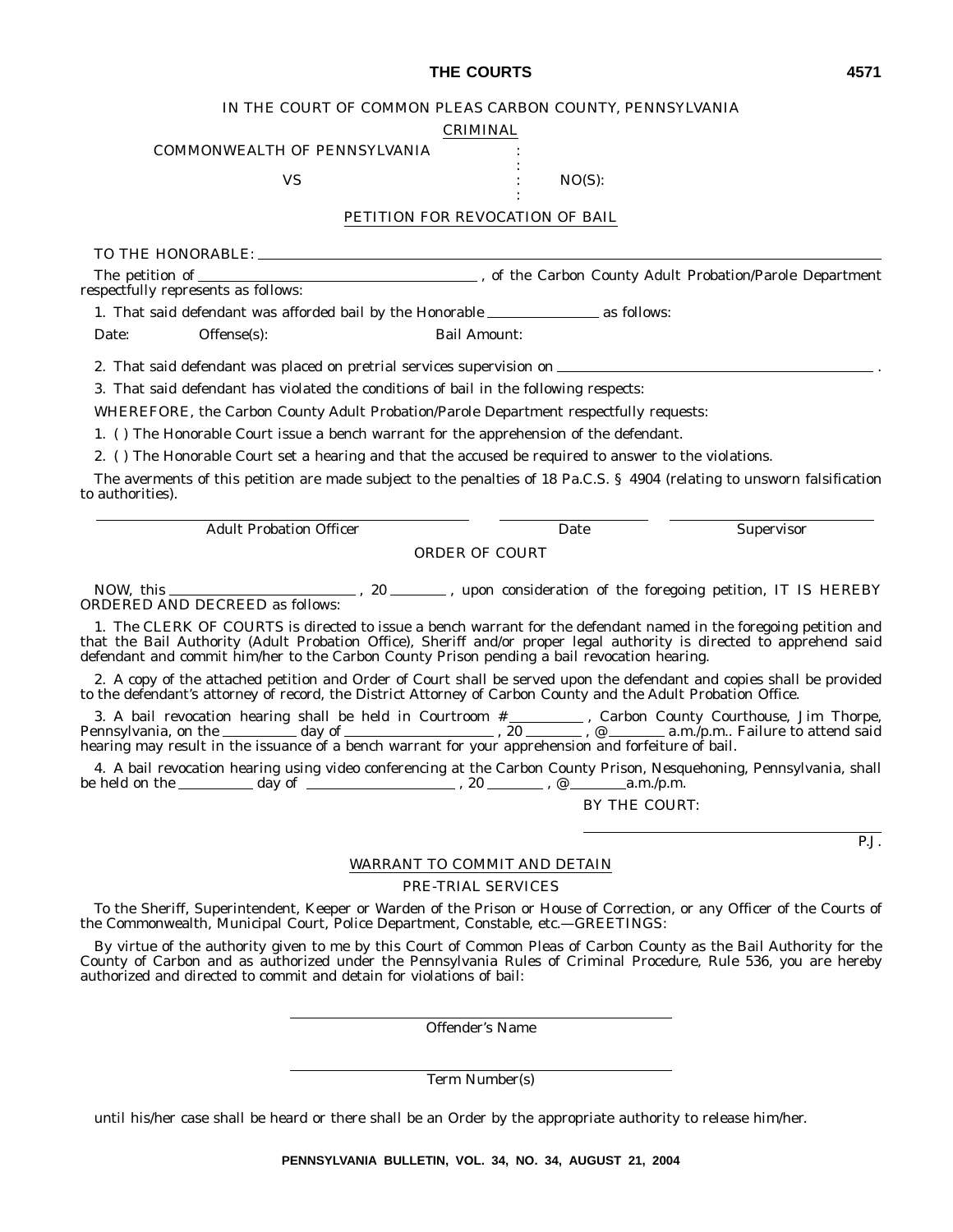#### IN THE COURT OF COMMON PLEAS CARBON COUNTY, PENNSYLVANIA

CRIMINAL

:

:

#### COMMONWEALTH OF PENNSYLVANIA

 $\text{VS}$  :  $\text{NO(S):}$ 

#### PETITION FOR REVOCATION OF BAIL

TO THE HONORABLE:

The petition of , of the Carbon County Adult Probation/Parole Department respectfully represents as follows:

1. That said defendant was afforded bail by the Honorable \_\_\_\_\_\_\_\_\_\_\_\_\_\_\_\_ as follows:

Date: Offense(s): Bail Amount:

2. That said defendant was placed on pretrial services supervision on .

3. That said defendant has violated the conditions of bail in the following respects:

*WHEREFORE*, the Carbon County Adult Probation/Parole Department respectfully requests:

1. ( ) The Honorable Court issue a bench warrant for the apprehension of the defendant.

2. ( ) The Honorable Court set a hearing and that the accused be required to answer to the violations.

The averments of this petition are made subject to the penalties of 18 Pa.C.S. § 4904 (relating to unsworn falsification to authorities).

Adult Probation Officer Date Supervisor

ORDER OF COURT

NOW, this , 20 , upon consideration of the foregoing petition, IT IS HEREBY ORDERED AND DECREED as follows:

1. The CLERK OF COURTS is directed to issue a bench warrant for the defendant named in the foregoing petition and that the Bail Authority (Adult Probation Office), Sheriff and/or proper legal authority is directed to apprehend said defendant and commit him/her to the Carbon County Prison pending a bail revocation hearing.

2. A copy of the attached petition and Order of Court shall be served upon the defendant and copies shall be provided to the defendant's attorney of record, the District Attorney of Carbon County and the Adult Probation Office.

3. A bail revocation hearing shall be held in Courtroom # , Carbon County Courthouse, Jim Thorpe, Pennsylvania, on the \_\_\_\_\_\_\_\_\_ day of \_\_\_\_\_\_\_\_\_\_\_\_\_\_\_\_\_\_\_\_\_\_\_\_\_\_, 20 , \_\_\_\_\_\_\_\_, @ \_\_\_\_\_\_\_\_\_\_\_\_ a.m./p.m.. Failure to attend said hearing may result in the issuance of a bench warrant for your apprehension and forfeiture of bail.

4. A bail revocation hearing using video conferencing at the Carbon County Prison, Nesquehoning, Pennsylvania, shall be held on the  $\mu$  day of  $\mu$  a.m./p.m.

BY THE COURT:

P.J.

#### WARRANT TO COMMIT AND DETAIN

#### PRE-TRIAL SERVICES

To the Sheriff, Superintendent, Keeper or Warden of the Prison or House of Correction, or any Officer of the Courts of the Commonwealth, Municipal Court, Police Department, Constable, etc.—*GREETINGS*:

By virtue of the authority given to me by this Court of Common Pleas of Carbon County as the Bail Authority for the County of Carbon and as authorized under the Pennsylvania Rules of Criminal Procedure, Rule 536, you are hereby authorized and directed to commit and detain for violations of bail:

Offender's Name

Term Number(s)

until his/her case shall be heard or there shall be an Order by the appropriate authority to release him/her.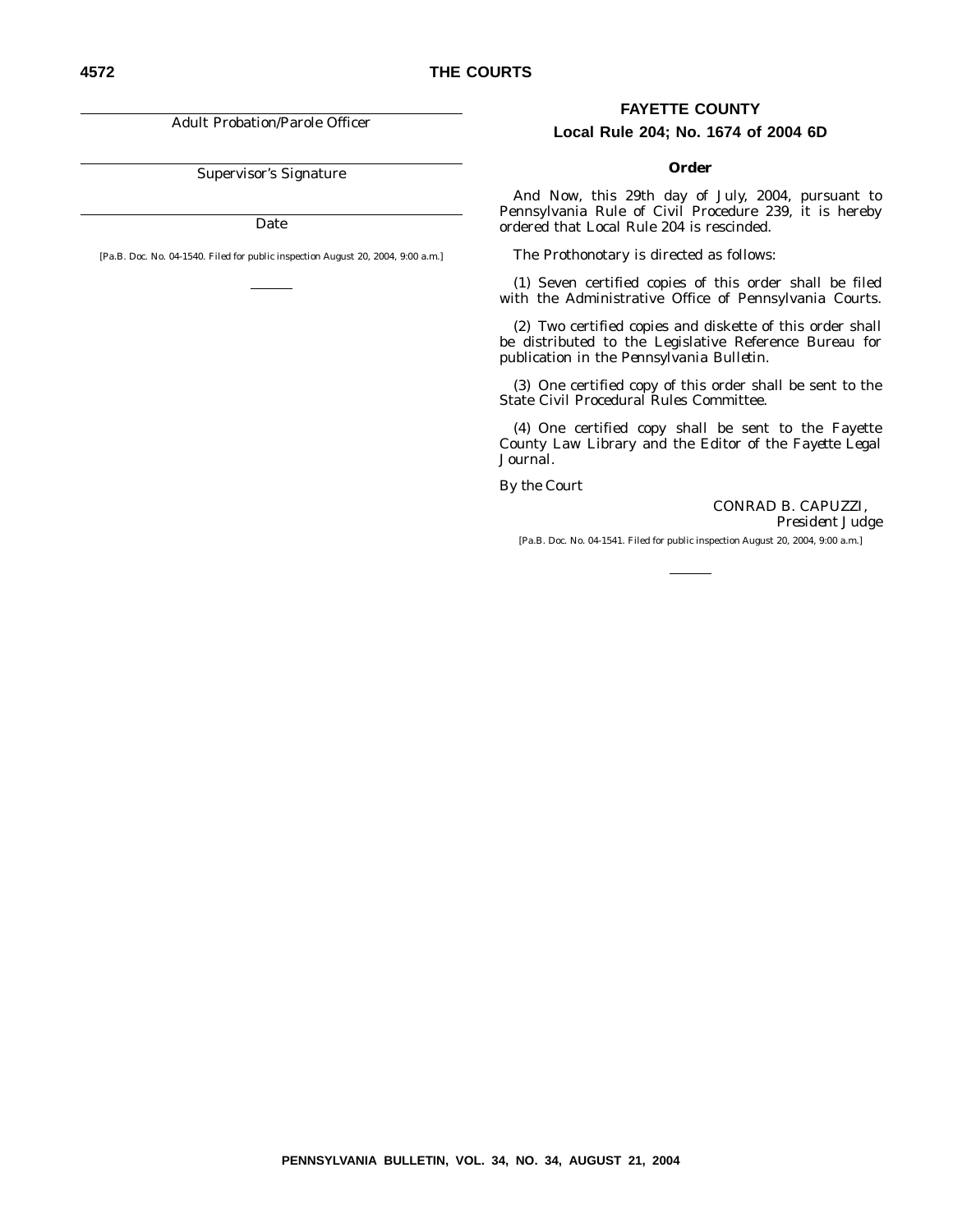Adult Probation/Parole Officer

Supervisor's Signature

Date

[Pa.B. Doc. No. 04-1540. Filed for public inspection August 20, 2004, 9:00 a.m.]

#### **FAYETTE COUNTY**

#### **Local Rule 204; No. 1674 of 2004 6D**

#### **Order**

*And Now*, this 29th day of July, 2004, pursuant to Pennsylvania Rule of Civil Procedure 239, it is hereby ordered that Local Rule 204 is rescinded.

The Prothonotary is directed as follows:

(1) Seven certified copies of this order shall be filed with the Administrative Office of Pennsylvania Courts.

(2) Two certified copies and diskette of this order shall be distributed to the Legislative Reference Bureau for publication in the *Pennsylvania Bulletin*.

(3) One certified copy of this order shall be sent to the State Civil Procedural Rules Committee.

(4) One certified copy shall be sent to the Fayette County Law Library and the Editor of the *Fayette Legal Journal*.

*By the Court*

CONRAD B. CAPUZZI, *President Judge*

[Pa.B. Doc. No. 04-1541. Filed for public inspection August 20, 2004, 9:00 a.m.]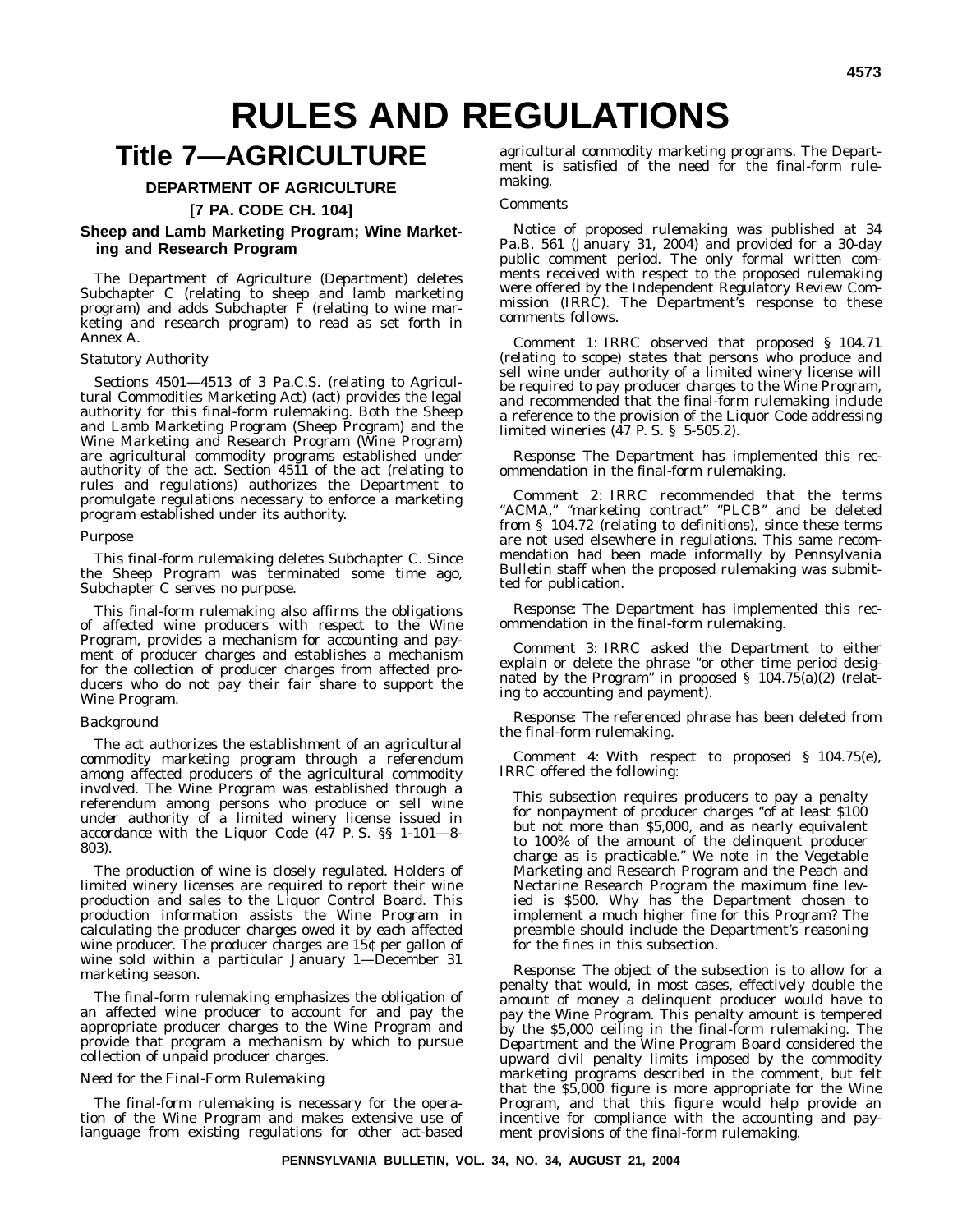# **RULES AND REGULATIONS**

# **Title 7—AGRICULTURE**

#### **DEPARTMENT OF AGRICULTURE**

**[7 PA. CODE CH. 104]**

#### **Sheep and Lamb Marketing Program; Wine Marketing and Research Program**

The Department of Agriculture (Department) deletes Subchapter C (relating to sheep and lamb marketing program) and adds Subchapter  $\vec{F}$  (relating to wine marketing and research program) to read as set forth in Annex A.

#### *Statutory Authority*

Sections 4501—4513 of 3 Pa.C.S. (relating to Agricultural Commodities Marketing Act) (act) provides the legal authority for this final-form rulemaking. Both the Sheep and Lamb Marketing Program (Sheep Program) and the Wine Marketing and Research Program (Wine Program) are agricultural commodity programs established under authority of the act. Section 4511 of the act (relating to rules and regulations) authorizes the Department to promulgate regulations necessary to enforce a marketing program established under its authority.

#### *Purpose*

This final-form rulemaking deletes Subchapter C. Since the Sheep Program was terminated some time ago, Subchapter C serves no purpose.

This final-form rulemaking also affirms the obligations of affected wine producers with respect to the Wine Program, provides a mechanism for accounting and payment of producer charges and establishes a mechanism for the collection of producer charges from affected producers who do not pay their fair share to support the Wine Program.

#### *Background*

The act authorizes the establishment of an agricultural commodity marketing program through a referendum among affected producers of the agricultural commodity involved. The Wine Program was established through a referendum among persons who produce or sell wine under authority of a limited winery license issued in accordance with the Liquor Code (47 P. S. §§ 1-101—8- 803).

The production of wine is closely regulated. Holders of limited winery licenses are required to report their wine production and sales to the Liquor Control Board. This production information assists the Wine Program in calculating the producer charges owed it by each affected wine producer. The producer charges are 15¢ per gallon of wine sold within a particular January 1—December 31 marketing season.

The final-form rulemaking emphasizes the obligation of an affected wine producer to account for and pay the appropriate producer charges to the Wine Program and provide that program a mechanism by which to pursue collection of unpaid producer charges.

#### *Need for the Final-Form Rulemaking*

The final-form rulemaking is necessary for the operation of the Wine Program and makes extensive use of language from existing regulations for other act-based

agricultural commodity marketing programs. The Department is satisfied of the need for the final-form rulemaking.

#### *Comments*

Notice of proposed rulemaking was published at 34 Pa.B. 561 (January 31, 2004) and provided for a 30-day public comment period. The only formal written comments received with respect to the proposed rulemaking were offered by the Independent Regulatory Review Commission (IRRC). The Department's response to these comments follows.

*Comment 1:* IRRC observed that proposed § 104.71 (relating to scope) states that persons who produce and sell wine under authority of a limited winery license will be required to pay producer charges to the Wine Program, and recommended that the final-form rulemaking include a reference to the provision of the Liquor Code addressing limited wineries (47 P. S. § 5-505.2).

*Response:* The Department has implemented this recommendation in the final-form rulemaking.

*Comment 2:* IRRC recommended that the terms "ACMA," "marketing contract" "PLCB" and be deleted from § 104.72 (relating to definitions), since these terms are not used elsewhere in regulations. This same recommendation had been made informally by *Pennsylvania Bulletin* staff when the proposed rulemaking was submitted for publication.

*Response:* The Department has implemented this recommendation in the final-form rulemaking.

*Comment 3:* IRRC asked the Department to either explain or delete the phrase "or other time period designated by the Program'' in proposed § 104.75(a)(2) (relating to accounting and payment).

*Response:* The referenced phrase has been deleted from the final-form rulemaking.

*Comment 4:* With respect to proposed § 104.75(e), IRRC offered the following:

This subsection requires producers to pay a penalty for nonpayment of producer charges "of at least \$100 but not more than \$5,000, and as nearly equivalent to 100% of the amount of the delinquent producer charge as is practicable.'' We note in the Vegetable Marketing and Research Program and the Peach and Nectarine Research Program the maximum fine levied is \$500. Why has the Department chosen to implement a much higher fine for this Program? The preamble should include the Department's reasoning for the fines in this subsection.

*Response:* The object of the subsection is to allow for a penalty that would, in most cases, effectively double the amount of money a delinquent producer would have to pay the Wine Program. This penalty amount is tempered by the \$5,000 ceiling in the final-form rulemaking. The Department and the Wine Program Board considered the upward civil penalty limits imposed by the commodity marketing programs described in the comment, but felt that the \$5,000 figure is more appropriate for the Wine Program, and that this figure would help provide an incentive for compliance with the accounting and payment provisions of the final-form rulemaking.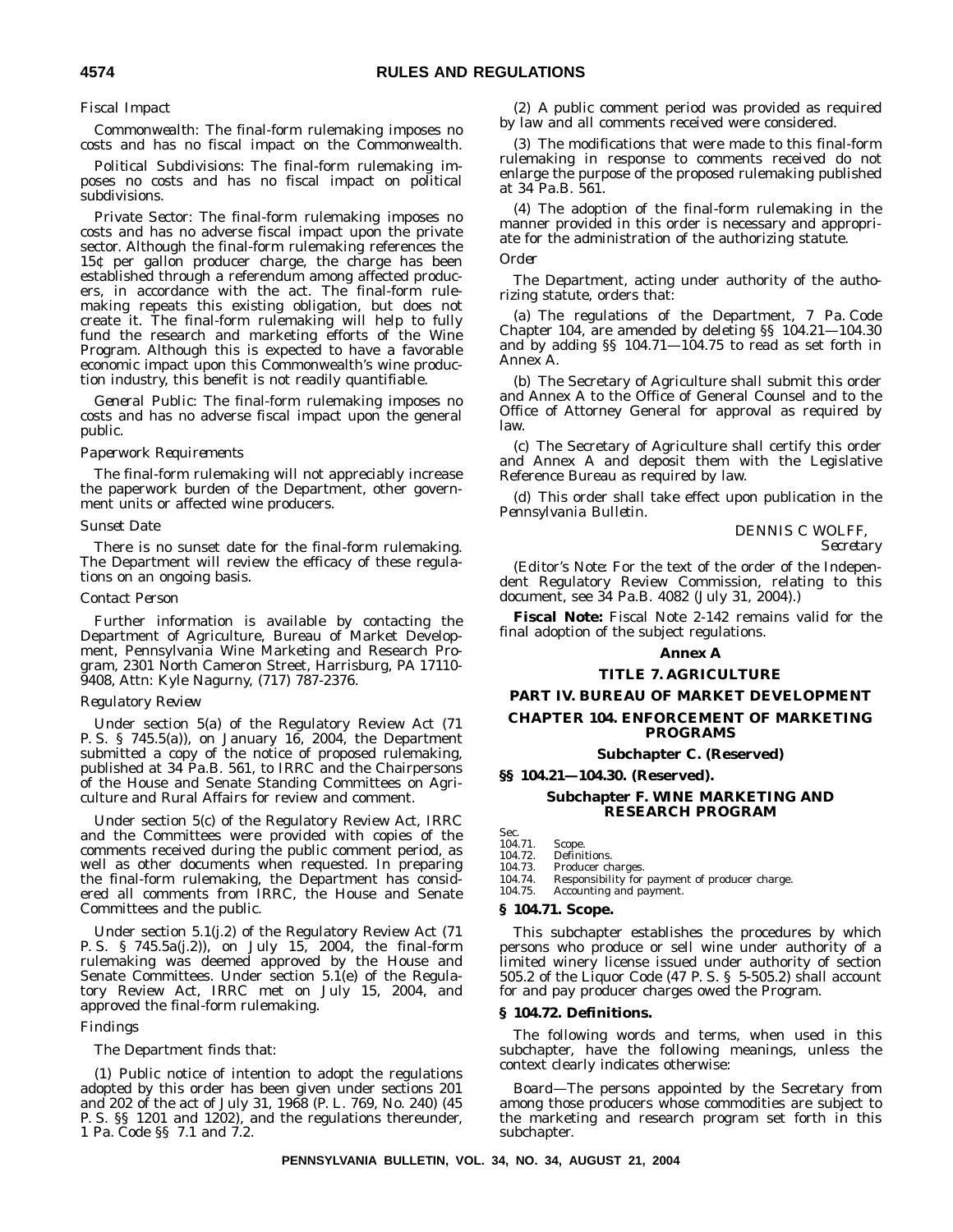#### *Fiscal Impact*

*Commonwealth:* The final-form rulemaking imposes no costs and has no fiscal impact on the Commonwealth.

*Political Subdivisions:* The final-form rulemaking imposes no costs and has no fiscal impact on political subdivisions.

*Private Sector:* The final-form rulemaking imposes no costs and has no adverse fiscal impact upon the private sector. Although the final-form rulemaking references the 15¢ per gallon producer charge, the charge has been established through a referendum among affected producers, in accordance with the act. The final-form rulemaking repeats this existing obligation, but does not create it. The final-form rulemaking will help to fully fund the research and marketing efforts of the Wine Program. Although this is expected to have a favorable economic impact upon this Commonwealth's wine production industry, this benefit is not readily quantifiable.

*General Public:* The final-form rulemaking imposes no costs and has no adverse fiscal impact upon the general public.

#### *Paperwork Requirements*

The final-form rulemaking will not appreciably increase the paperwork burden of the Department, other government units or affected wine producers.

#### *Sunset Date*

There is no sunset date for the final-form rulemaking. The Department will review the efficacy of these regulations on an ongoing basis.

#### *Contact Person*

Further information is available by contacting the Department of Agriculture, Bureau of Market Development, Pennsylvania Wine Marketing and Research Program, 2301 North Cameron Street, Harrisburg, PA 17110- 9408, Attn: Kyle Nagurny, (717) 787-2376.

#### *Regulatory Review*

Under section 5(a) of the Regulatory Review Act (71 P. S. § 745.5(a)), on January 16, 2004, the Department submitted a copy of the notice of proposed rulemaking, published at 34 Pa.B. 561, to IRRC and the Chairpersons of the House and Senate Standing Committees on Agriculture and Rural Affairs for review and comment.

Under section 5(c) of the Regulatory Review Act, IRRC and the Committees were provided with copies of the comments received during the public comment period, as well as other documents when requested. In preparing the final-form rulemaking, the Department has considered all comments from IRRC, the House and Senate Committees and the public.

Under section 5.1(j.2) of the Regulatory Review Act (71 P. S. § 745.5a(j.2)), on July 15, 2004, the final-form rulemaking was deemed approved by the House and Senate Committees. Under section 5.1(e) of the Regulatory Review Act, IRRC met on July 15, 2004, and approved the final-form rulemaking.

#### *Findings*

The Department finds that:

(1) Public notice of intention to adopt the regulations adopted by this order has been given under sections 201 and 202 of the act of July 31, 1968 (P. L. 769, No. 240) (45 P. S. §§ 1201 and 1202), and the regulations thereunder, 1 Pa. Code §§ 7.1 and 7.2.

(2) A public comment period was provided as required by law and all comments received were considered.

(3) The modifications that were made to this final-form rulemaking in response to comments received do not enlarge the purpose of the proposed rulemaking published at 34 Pa.B. 561.

(4) The adoption of the final-form rulemaking in the manner provided in this order is necessary and appropriate for the administration of the authorizing statute.

#### *Order*

The Department, acting under authority of the authorizing statute, orders that:

(a) The regulations of the Department, 7 Pa. Code Chapter 104, are amended by deleting §§ 104.21—104.30 and by adding §§ 104.71—104.75 to read as set forth in Annex A.

(b) The Secretary of Agriculture shall submit this order and Annex A to the Office of General Counsel and to the Office of Attorney General for approval as required by law.

(c) The Secretary of Agriculture shall certify this order and Annex A and deposit them with the Legislative Reference Bureau as required by law.

(d) This order shall take effect upon publication in the *Pennsylvania Bulletin*.

DENNIS C WOLFF,

*Secretary*

(*Editor's Note:* For the text of the order of the Independent Regulatory Review Commission, relating to this document, see 34 Pa.B. 4082 (July 31, 2004).)

**Fiscal Note:** Fiscal Note 2-142 remains valid for the final adoption of the subject regulations.

#### **Annex A**

#### **TITLE 7. AGRICULTURE**

#### **PART IV. BUREAU OF MARKET DEVELOPMENT**

#### **CHAPTER 104. ENFORCEMENT OF MARKETING PROGRAMS**

#### **Subchapter C. (Reserved)**

#### **§§ 104.21—104.30. (Reserved).**

#### **Subchapter F. WINE MARKETING AND RESEARCH PROGRAM**

Sec.<br>104.71.

- Scope.
- 104.72. Definitions.<br>104.73. Producer ch
- 104.73. Producer charges.<br>104.74. Responsibility for 104.74. Responsibility for payment of producer charge.<br>104.75. Accounting and payment.
- Accounting and payment.

#### **§ 104.71. Scope.**

This subchapter establishes the procedures by which persons who produce or sell wine under authority of a limited winery license issued under authority of section 505.2 of the Liquor Code (47 P. S. § 5-505.2) shall account for and pay producer charges owed the Program.

#### **§ 104.72. Definitions.**

The following words and terms, when used in this subchapter, have the following meanings, unless the context clearly indicates otherwise:

*Board—*The persons appointed by the Secretary from among those producers whose commodities are subject to the marketing and research program set forth in this subchapter.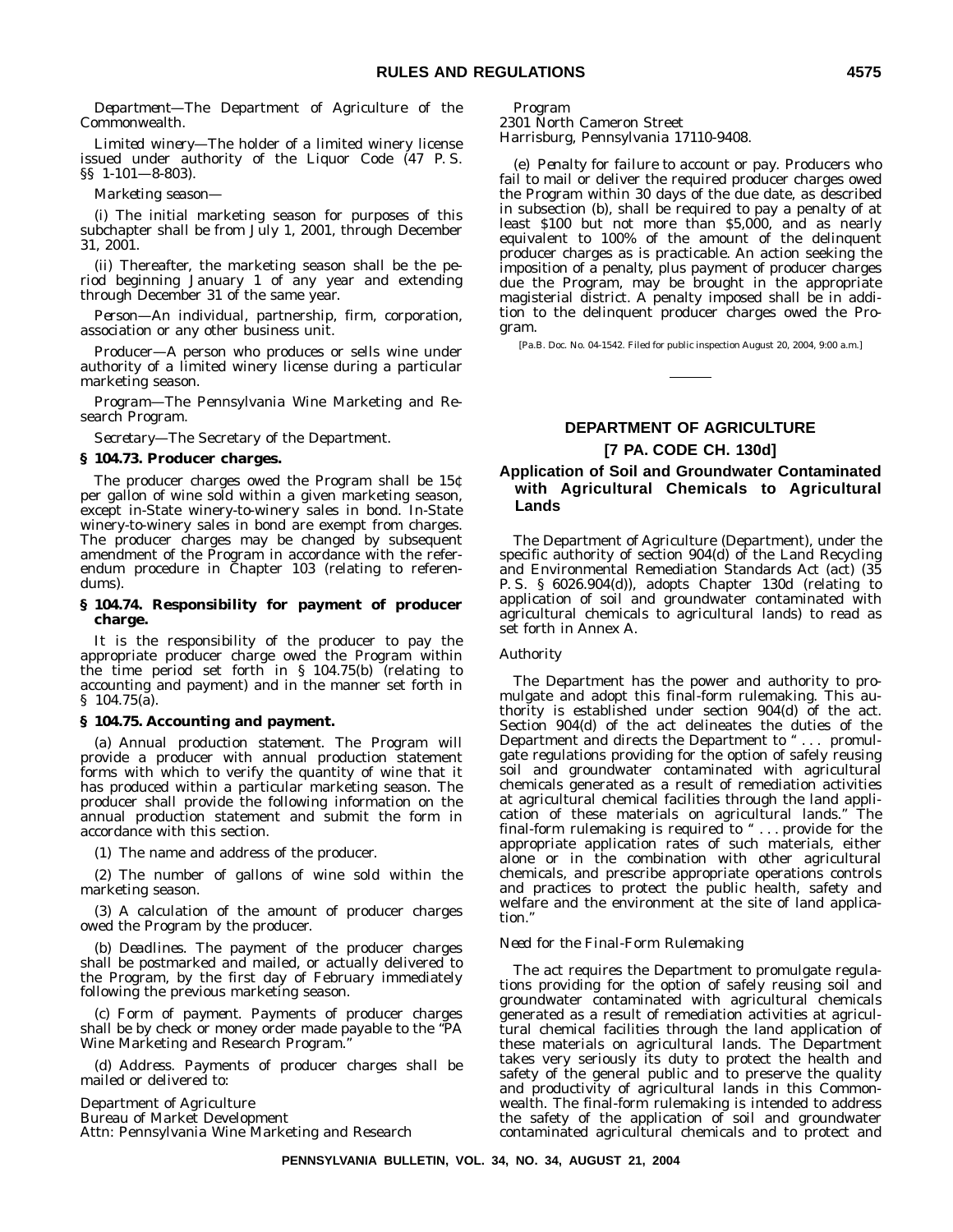*Department—*The Department of Agriculture of the Commonwealth.

*Limited winery—*The holder of a limited winery license issued under authority of the Liquor Code (47 P. S. §§ 1-101—8-803).

*Marketing season—*

(i) The initial marketing season for purposes of this subchapter shall be from July 1, 2001, through December 31, 2001.

(ii) Thereafter, the marketing season shall be the period beginning January 1 of any year and extending through December 31 of the same year.

*Person—*An individual, partnership, firm, corporation, association or any other business unit.

Producer—A person who produces or sells wine under authority of a limited winery license during a particular marketing season.

*Program—*The Pennsylvania Wine Marketing and Research Program.

*Secretary—*The Secretary of the Department.

#### **§ 104.73. Producer charges.**

The producer charges owed the Program shall be 15¢ per gallon of wine sold within a given marketing season, except in-State winery-to-winery sales in bond. In-State winery-to-winery sales in bond are exempt from charges. The producer charges may be changed by subsequent amendment of the Program in accordance with the referendum procedure in Chapter 103 (relating to referendums).

#### **§ 104.74. Responsibility for payment of producer charge.**

It is the responsibility of the producer to pay the appropriate producer charge owed the Program within the time period set forth in § 104.75(b) (relating to accounting and payment) and in the manner set forth in § 104.75(a).

#### **§ 104.75. Accounting and payment.**

(a) *Annual production statement.* The Program will provide a producer with annual production statement forms with which to verify the quantity of wine that it has produced within a particular marketing season. The producer shall provide the following information on the annual production statement and submit the form in accordance with this section.

(1) The name and address of the producer.

(2) The number of gallons of wine sold within the marketing season.

(3) A calculation of the amount of producer charges owed the Program by the producer.

(b) *Deadlines*. The payment of the producer charges shall be postmarked and mailed, or actually delivered to the Program, by the first day of February immediately following the previous marketing season.

(c) *Form of payment*. Payments of producer charges shall be by check or money order made payable to the ''PA Wine Marketing and Research Program.''

(d) *Address*. Payments of producer charges shall be mailed or delivered to:

Department of Agriculture Bureau of Market Development Attn: Pennsylvania Wine Marketing and Research Program

2301 North Cameron Street Harrisburg, Pennsylvania 17110-9408.

(e) *Penalty for failure to account or pay*. Producers who fail to mail or deliver the required producer charges owed the Program within 30 days of the due date, as described in subsection (b), shall be required to pay a penalty of at least \$100 but not more than \$5,000, and as nearly equivalent to 100% of the amount of the delinquent producer charges as is practicable. An action seeking the imposition of a penalty, plus payment of producer charges due the Program, may be brought in the appropriate magisterial district. A penalty imposed shall be in addition to the delinquent producer charges owed the Program.

[Pa.B. Doc. No. 04-1542. Filed for public inspection August 20, 2004, 9:00 a.m.]

#### **DEPARTMENT OF AGRICULTURE [7 PA. CODE CH. 130d]**

#### **Application of Soil and Groundwater Contaminated with Agricultural Chemicals to Agricultural Lands**

The Department of Agriculture (Department), under the specific authority of section 904(d) of the Land Recycling and Environmental Remediation Standards Act (act) (35 P. S. § 6026.904(d)), adopts Chapter 130d (relating to application of soil and groundwater contaminated with agricultural chemicals to agricultural lands) to read as set forth in Annex A.

#### *Authority*

The Department has the power and authority to promulgate and adopt this final-form rulemaking. This authority is established under section 904(d) of the act. Section 904(d) of the act delineates the duties of the Department and directs the Department to " . . . promulgate regulations providing for the option of safely reusing soil and groundwater contaminated with agricultural chemicals generated as a result of remediation activities at agricultural chemical facilities through the land application of these materials on agricultural lands.'' The final-form rulemaking is required to  $" \dots$  provide for the appropriate application rates of such materials, either alone or in the combination with other agricultural chemicals, and prescribe appropriate operations controls and practices to protect the public health, safety and welfare and the environment at the site of land application.''

#### *Need for the Final-Form Rulemaking*

The act requires the Department to promulgate regulations providing for the option of safely reusing soil and groundwater contaminated with agricultural chemicals generated as a result of remediation activities at agricultural chemical facilities through the land application of these materials on agricultural lands. The Department takes very seriously its duty to protect the health and safety of the general public and to preserve the quality and productivity of agricultural lands in this Commonwealth. The final-form rulemaking is intended to address the safety of the application of soil and groundwater contaminated agricultural chemicals and to protect and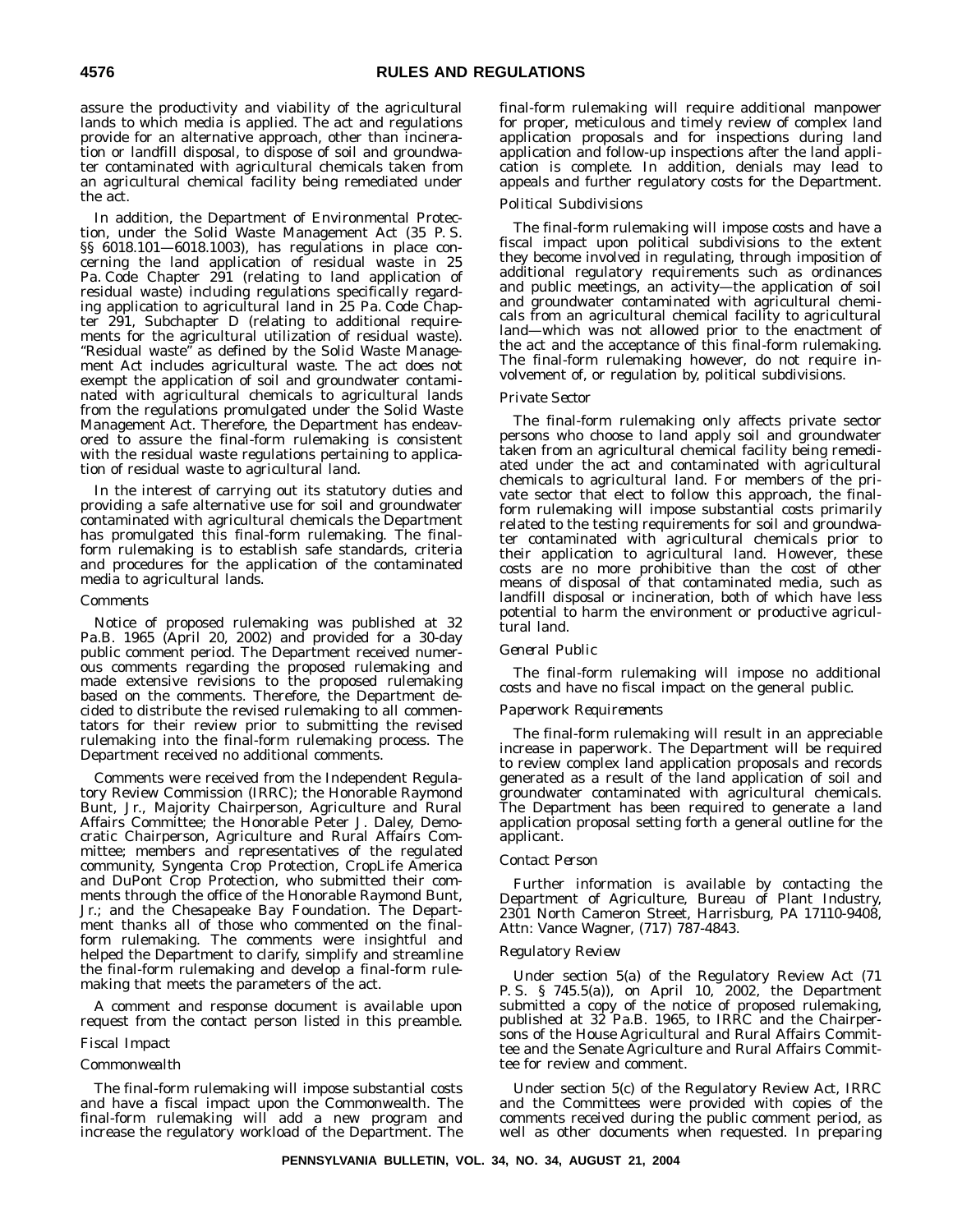assure the productivity and viability of the agricultural lands to which media is applied. The act and regulations provide for an alternative approach, other than incineration or landfill disposal, to dispose of soil and groundwater contaminated with agricultural chemicals taken from an agricultural chemical facility being remediated under the act.

In addition, the Department of Environmental Protection, under the Solid Waste Management Act (35 P. S. §§ 6018.101-6018.1003), has regulations in place concerning the land application of residual waste in 25 Pa. Code Chapter 291 (relating to land application of residual waste) including regulations specifically regarding application to agricultural land in 25 Pa. Code Chapter 291, Subchapter D (relating to additional requirements for the agricultural utilization of residual waste). ''Residual waste'' as defined by the Solid Waste Management Act includes agricultural waste. The act does not exempt the application of soil and groundwater contaminated with agricultural chemicals to agricultural lands from the regulations promulgated under the Solid Waste Management Act. Therefore, the Department has endeavored to assure the final-form rulemaking is consistent with the residual waste regulations pertaining to application of residual waste to agricultural land.

In the interest of carrying out its statutory duties and providing a safe alternative use for soil and groundwater contaminated with agricultural chemicals the Department has promulgated this final-form rulemaking. The finalform rulemaking is to establish safe standards, criteria and procedures for the application of the contaminated media to agricultural lands.

#### *Comments*

Notice of proposed rulemaking was published at 32 Pa.B. 1965 (April 20, 2002) and provided for a 30-day public comment period. The Department received numerous comments regarding the proposed rulemaking and made extensive revisions to the proposed rulemaking based on the comments. Therefore, the Department decided to distribute the revised rulemaking to all commentators for their review prior to submitting the revised rulemaking into the final-form rulemaking process. The Department received no additional comments.

Comments were received from the Independent Regulatory Review Commission (IRRC); the Honorable Raymond Bunt, Jr., Majority Chairperson, Agriculture and Rural Affairs Committee; the Honorable Peter J. Daley, Democratic Chairperson, Agriculture and Rural Affairs Committee; members and representatives of the regulated community, Syngenta Crop Protection, CropLife America and DuPont Crop Protection, who submitted their comments through the office of the Honorable Raymond Bunt, Jr.; and the Chesapeake Bay Foundation. The Department thanks all of those who commented on the finalform rulemaking. The comments were insightful and helped the Department to clarify, simplify and streamline the final-form rulemaking and develop a final-form rulemaking that meets the parameters of the act.

A comment and response document is available upon request from the contact person listed in this preamble.

#### *Fiscal Impact*

#### *Commonwealth*

The final-form rulemaking will impose substantial costs and have a fiscal impact upon the Commonwealth. The final-form rulemaking will add a new program and increase the regulatory workload of the Department. The final-form rulemaking will require additional manpower for proper, meticulous and timely review of complex land application proposals and for inspections during land application and follow-up inspections after the land application is complete. In addition, denials may lead to appeals and further regulatory costs for the Department.

#### *Political Subdivisions*

The final-form rulemaking will impose costs and have a fiscal impact upon political subdivisions to the extent they become involved in regulating, through imposition of additional regulatory requirements such as ordinances and public meetings, an activity—the application of soil and groundwater contaminated with agricultural chemicals from an agricultural chemical facility to agricultural land—which was not allowed prior to the enactment of the act and the acceptance of this final-form rulemaking. The final-form rulemaking however, do not require involvement of, or regulation by, political subdivisions.

#### *Private Sector*

The final-form rulemaking only affects private sector persons who choose to land apply soil and groundwater taken from an agricultural chemical facility being remediated under the act and contaminated with agricultural chemicals to agricultural land. For members of the private sector that elect to follow this approach, the finalform rulemaking will impose substantial costs primarily related to the testing requirements for soil and groundwater contaminated with agricultural chemicals prior to their application to agricultural land. However, these costs are no more prohibitive than the cost of other means of disposal of that contaminated media, such as landfill disposal or incineration, both of which have less potential to harm the environment or productive agricultural land.

#### *General Public*

The final-form rulemaking will impose no additional costs and have no fiscal impact on the general public.

#### *Paperwork Requirements*

The final-form rulemaking will result in an appreciable increase in paperwork. The Department will be required to review complex land application proposals and records generated as a result of the land application of soil and groundwater contaminated with agricultural chemicals. The Department has been required to generate a land application proposal setting forth a general outline for the applicant.

#### *Contact Person*

Further information is available by contacting the Department of Agriculture, Bureau of Plant Industry, 2301 North Cameron Street, Harrisburg, PA 17110-9408, Attn: Vance Wagner, (717) 787-4843.

#### *Regulatory Review*

Under section 5(a) of the Regulatory Review Act (71 P. S. § 745.5(a)), on April 10, 2002, the Department submitted a copy of the notice of proposed rulemaking, published at 32 Pa.B. 1965, to IRRC and the Chairpersons of the House Agricultural and Rural Affairs Committee and the Senate Agriculture and Rural Affairs Committee for review and comment.

Under section 5(c) of the Regulatory Review Act, IRRC and the Committees were provided with copies of the comments received during the public comment period, as well as other documents when requested. In preparing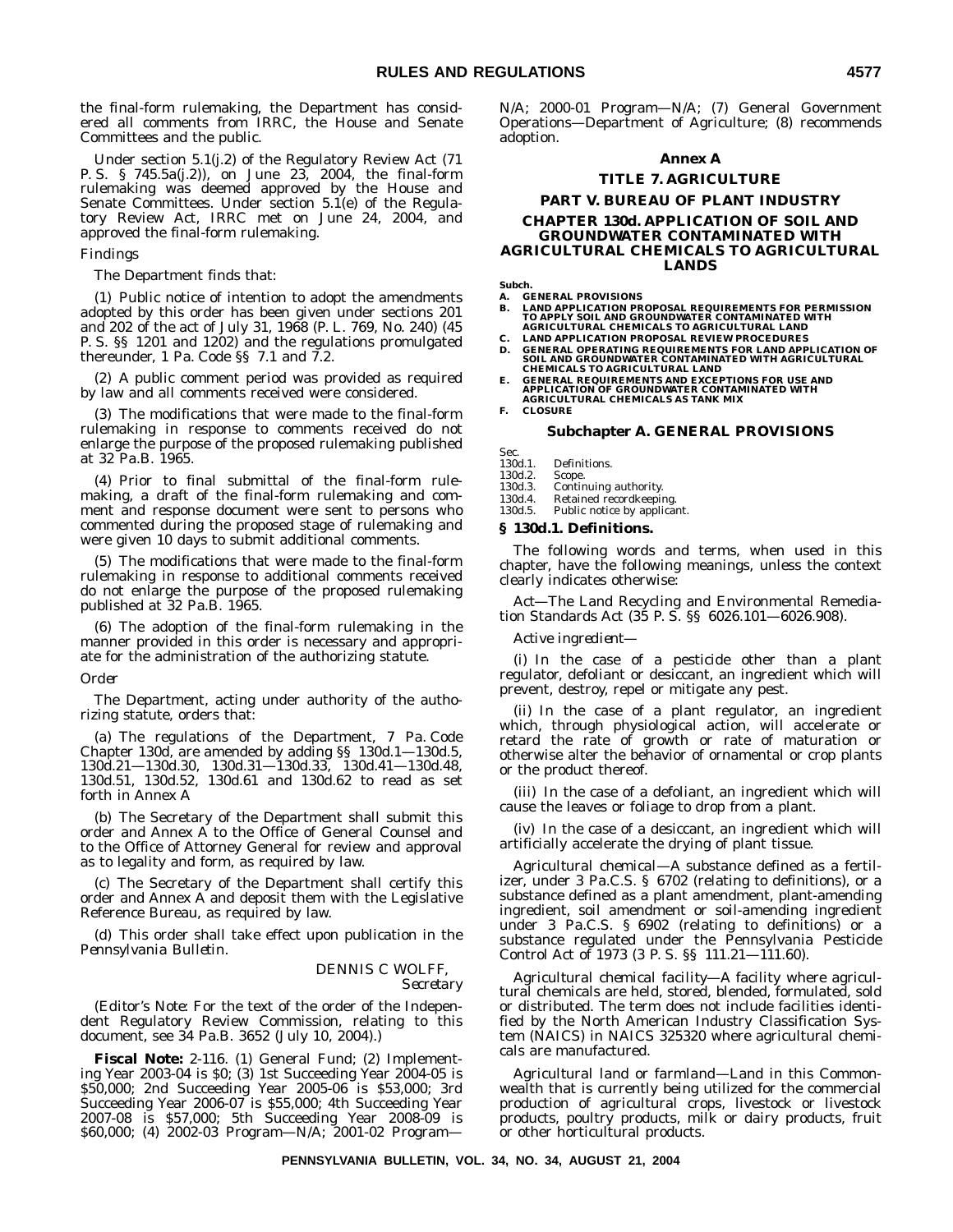the final-form rulemaking, the Department has considered all comments from IRRC, the House and Senate Committees and the public.

Under section 5.1(j.2) of the Regulatory Review Act (71 P. S. § 745.5a(j.2)), on June 23, 2004, the final-form rulemaking was deemed approved by the House and Senate Committees. Under section 5.1(e) of the Regulatory Review Act, IRRC met on June 24, 2004, and approved the final-form rulemaking.

#### *Findings*

The Department finds that:

(1) Public notice of intention to adopt the amendments adopted by this order has been given under sections 201 and 202 of the act of July 31, 1968 (P. L. 769, No. 240) (45 P. S. §§ 1201 and 1202) and the regulations promulgated thereunder, 1 Pa. Code §§ 7.1 and 7.2.

(2) A public comment period was provided as required by law and all comments received were considered.

(3) The modifications that were made to the final-form rulemaking in response to comments received do not enlarge the purpose of the proposed rulemaking published at 32 Pa.B. 1965.

(4) Prior to final submittal of the final-form rulemaking, a draft of the final-form rulemaking and comment and response document were sent to persons who commented during the proposed stage of rulemaking and were given 10 days to submit additional comments.

(5) The modifications that were made to the final-form rulemaking in response to additional comments received do not enlarge the purpose of the proposed rulemaking published at 32 Pa.B. 1965.

(6) The adoption of the final-form rulemaking in the manner provided in this order is necessary and appropriate for the administration of the authorizing statute.

#### *Order*

The Department, acting under authority of the authorizing statute, orders that:

(a) The regulations of the Department, 7 Pa. Code Chapter 130d, are amended by adding §§ 130d.1—130d.5, 130d.21—130d.30, 130d.31—130d.33, 130d.41—130d.48, 130d.51, 130d.52, 130d.61 and 130d.62 to read as set forth in Annex A

(b) The Secretary of the Department shall submit this order and Annex A to the Office of General Counsel and to the Office of Attorney General for review and approval as to legality and form, as required by law.

(c) The Secretary of the Department shall certify this order and Annex A and deposit them with the Legislative Reference Bureau, as required by law.

(d) This order shall take effect upon publication in the *Pennsylvania Bulletin*.

#### DENNIS C WOLFF, *Secretary*

(*Editor's Note:* For the text of the order of the Independent Regulatory Review Commission, relating to this document, see 34 Pa.B. 3652 (July 10, 2004).)

**Fiscal Note:** 2-116. (1) General Fund; (2) Implementing Year 2003-04 is \$0; (3) 1st Succeeding Year 2004-05 is \$50,000; 2nd Succeeding Year 2005-06 is \$53,000; 3rd Succeeding Year 2006-07 is \$55,000; 4th Succeeding Year 2007-08 is \$57,000; 5th Succeeding Year 2008-09 is \$60,000; (4) 2002-03 Program—N/A; 2001-02 ProgramN/A; 2000-01 Program—N/A; (7) General Government Operations—Department of Agriculture; (8) recommends adoption.

#### **Annex A**

#### **TITLE 7. AGRICULTURE**

#### **PART V. BUREAU OF PLANT INDUSTRY**

#### **CHAPTER 130d. APPLICATION OF SOIL AND GROUNDWATER CONTAMINATED WITH AGRICULTURAL CHEMICALS TO AGRICULTURAL LANDS**

**Subch.**

- **A. GENERAL PROVISIONS**
- **B. LAND APPLICATION PROPOSAL REQUIREMENTS FOR PERMISSION TO APPLY SOIL AND GROUNDWATER CONTAMINATED WITH AGRICULTURAL CHEMICALS TO AGRICULTURAL LAND**
- **C. LAND APPLICATION PROPOSAL REVIEW PROCEDURES**
- **D. GENERAL OPERATING REQUIREMENTS FOR LAND APPLICATION OF SOIL AND GROUNDWATER CONTAMINATED WITH AGRICULTURAL CHEMICALS TO AGRICULTURAL LAND**
- **E. GENERAL REQUIREMENTS AND EXCEPTIONS FOR USE AND APPLICATION OF GROUNDWATER CONTAMINATED WITH AGRICULTURAL CHEMICALS AS TANK MIX**

**F. CLOSURE**

#### **Subchapter A. GENERAL PROVISIONS**

Sec.<br>130d.1.

130d.1. Definitions.<br>130d.2. Scope.

130d.2. Scope.

Continuing authority.

130d.4. Retained recordkeeping.<br>130d.5. Public notice by applica Public notice by applicant.

#### **§ 130d.1. Definitions.**

The following words and terms, when used in this chapter, have the following meanings, unless the context clearly indicates otherwise:

*Act—*The Land Recycling and Environmental Remediation Standards Act (35 P. S. §§ 6026.101—6026.908).

*Active ingredient—*

(i) In the case of a pesticide other than a plant regulator, defoliant or desiccant, an ingredient which will prevent, destroy, repel or mitigate any pest.

(ii) In the case of a plant regulator, an ingredient which, through physiological action, will accelerate or retard the rate of growth or rate of maturation or otherwise alter the behavior of ornamental or crop plants or the product thereof.

(iii) In the case of a defoliant, an ingredient which will cause the leaves or foliage to drop from a plant.

(iv) In the case of a desiccant, an ingredient which will artificially accelerate the drying of plant tissue.

*Agricultural chemical—*A substance defined as a fertilizer, under 3 Pa.C.S. § 6702 (relating to definitions), or a substance defined as a plant amendment, plant-amending ingredient, soil amendment or soil-amending ingredient under 3 Pa.C.S. § 6902 (relating to definitions) or a substance regulated under the Pennsylvania Pesticide Control Act of 1973 (3 P. S. §§ 111.21—111.60).

*Agricultural chemical facility—*A facility where agricultural chemicals are held, stored, blended, formulated, sold or distributed. The term does not include facilities identified by the North American Industry Classification System (NAICS) in NAICS 325320 where agricultural chemicals are manufactured.

*Agricultural land* or *farmland—*Land in this Commonwealth that is currently being utilized for the commercial production of agricultural crops, livestock or livestock products, poultry products, milk or dairy products, fruit or other horticultural products.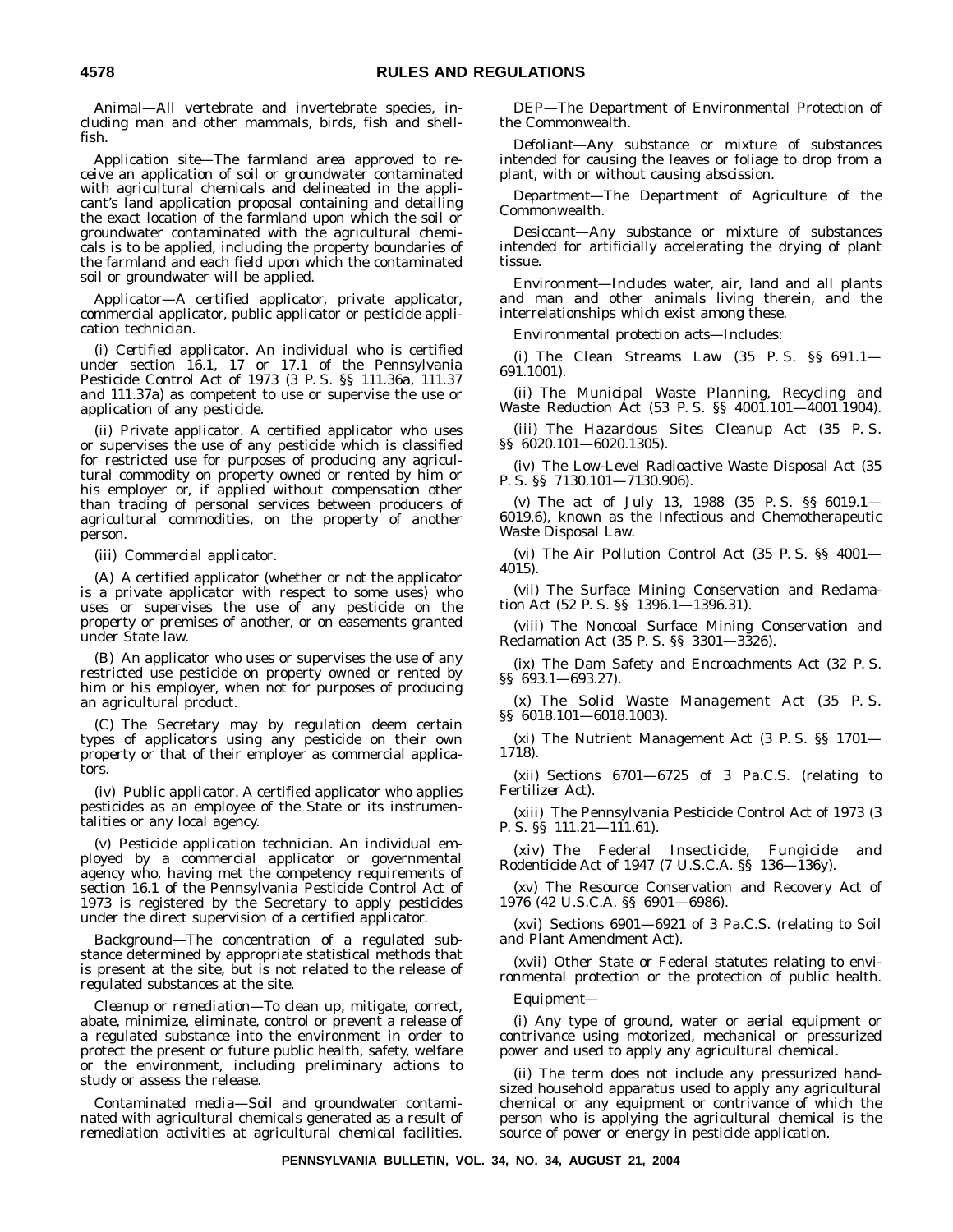*Animal—*All vertebrate and invertebrate species, including man and other mammals, birds, fish and shellfish.

*Application site—*The farmland area approved to receive an application of soil or groundwater contaminated with agricultural chemicals and delineated in the applicant's land application proposal containing and detailing the exact location of the farmland upon which the soil or groundwater contaminated with the agricultural chemicals is to be applied, including the property boundaries of the farmland and each field upon which the contaminated soil or groundwater will be applied.

*Applicator—*A certified applicator, private applicator, commercial applicator, public applicator or pesticide application technician.

(i) *Certified applicator*. An individual who is certified under section 16.1, 17 or 17.1 of the Pennsylvania Pesticide Control Act of 1973 (3 P. S. §§ 111.36a, 111.37 and 111.37a) as competent to use or supervise the use or application of any pesticide.

(ii) *Private applicator*. A certified applicator who uses or supervises the use of any pesticide which is classified for restricted use for purposes of producing any agricultural commodity on property owned or rented by him or his employer or, if applied without compensation other than trading of personal services between producers of agricultural commodities, on the property of another person.

(iii) *Commercial applicator*.

(A) A certified applicator (whether or not the applicator is a private applicator with respect to some uses) who uses or supervises the use of any pesticide on the property or premises of another, or on easements granted under State law.

(B) An applicator who uses or supervises the use of any restricted use pesticide on property owned or rented by him or his employer, when not for purposes of producing an agricultural product.

(C) The Secretary may by regulation deem certain types of applicators using any pesticide on their own property or that of their employer as commercial applicators.

(iv) *Public applicator*. A certified applicator who applies pesticides as an employee of the State or its instrumentalities or any local agency.

(v) *Pesticide application technician*. An individual employed by a commercial applicator or governmental agency who, having met the competency requirements of section 16.1 of the Pennsylvania Pesticide Control Act of 1973 is registered by the Secretary to apply pesticides under the direct supervision of a certified applicator.

*Background—*The concentration of a regulated substance determined by appropriate statistical methods that is present at the site, but is not related to the release of regulated substances at the site.

*Cleanup or remediation—*To clean up, mitigate, correct, abate, minimize, eliminate, control or prevent a release of a regulated substance into the environment in order to protect the present or future public health, safety, welfare or the environment, including preliminary actions to study or assess the release.

*Contaminated media—*Soil and groundwater contaminated with agricultural chemicals generated as a result of remediation activities at agricultural chemical facilities.

*DEP—*The Department of Environmental Protection of the Commonwealth.

*Defoliant—*Any substance or mixture of substances intended for causing the leaves or foliage to drop from a plant, with or without causing abscission.

*Department—*The Department of Agriculture of the Commonwealth.

*Desiccant—*Any substance or mixture of substances intended for artificially accelerating the drying of plant tissue.

*Environment—*Includes water, air, land and all plants and man and other animals living therein, and the interrelationships which exist among these.

*Environmental protection acts—*Includes:

(i) The Clean Streams Law (35 P. S. §§ 691.1— 691.1001).

(ii) The Municipal Waste Planning, Recycling and Waste Reduction Act (53 P. S. §§ 4001.101—4001.1904).

(iii) The Hazardous Sites Cleanup Act (35 P. S. §§ 6020.101—6020.1305).

(iv) The Low-Level Radioactive Waste Disposal Act (35 P. S. §§ 7130.101—7130.906).

(v) The act of July 13, 1988 (35 P. S. §§ 6019.1— 6019.6), known as the Infectious and Chemotherapeutic Waste Disposal Law.

(vi) The Air Pollution Control Act (35 P. S. §§ 4001— 4015).

(vii) The Surface Mining Conservation and Reclamation Act (52 P. S. §§ 1396.1—1396.31).

(viii) The Noncoal Surface Mining Conservation and Reclamation Act (35 P. S. §§ 3301—3326).

(ix) The Dam Safety and Encroachments Act (32 P. S. §§ 693.1—693.27).

(x) The Solid Waste Management Act (35 P. S. §§ 6018.101—6018.1003).

(xi) The Nutrient Management Act (3 P. S. §§ 1701— 1718).

(xii) Sections 6701—6725 of 3 Pa.C.S. (relating to Fertilizer Act).

(xiii) The Pennsylvania Pesticide Control Act of 1973 (3 P. S. §§ 111.21—111.61).

(xiv) The Federal Insecticide, Fungicide and Rodenticide Act of 1947 (7 U.S.C.A. §§ 136—136y).

(xv) The Resource Conservation and Recovery Act of 1976 (42 U.S.C.A. §§ 6901—6986).

(xvi) Sections 6901—6921 of 3 Pa.C.S. (relating to Soil and Plant Amendment Act).

(xvii) Other State or Federal statutes relating to environmental protection or the protection of public health.

*Equipment—*

(i) Any type of ground, water or aerial equipment or contrivance using motorized, mechanical or pressurized power and used to apply any agricultural chemical.

(ii) The term does not include any pressurized handsized household apparatus used to apply any agricultural chemical or any equipment or contrivance of which the person who is applying the agricultural chemical is the source of power or energy in pesticide application.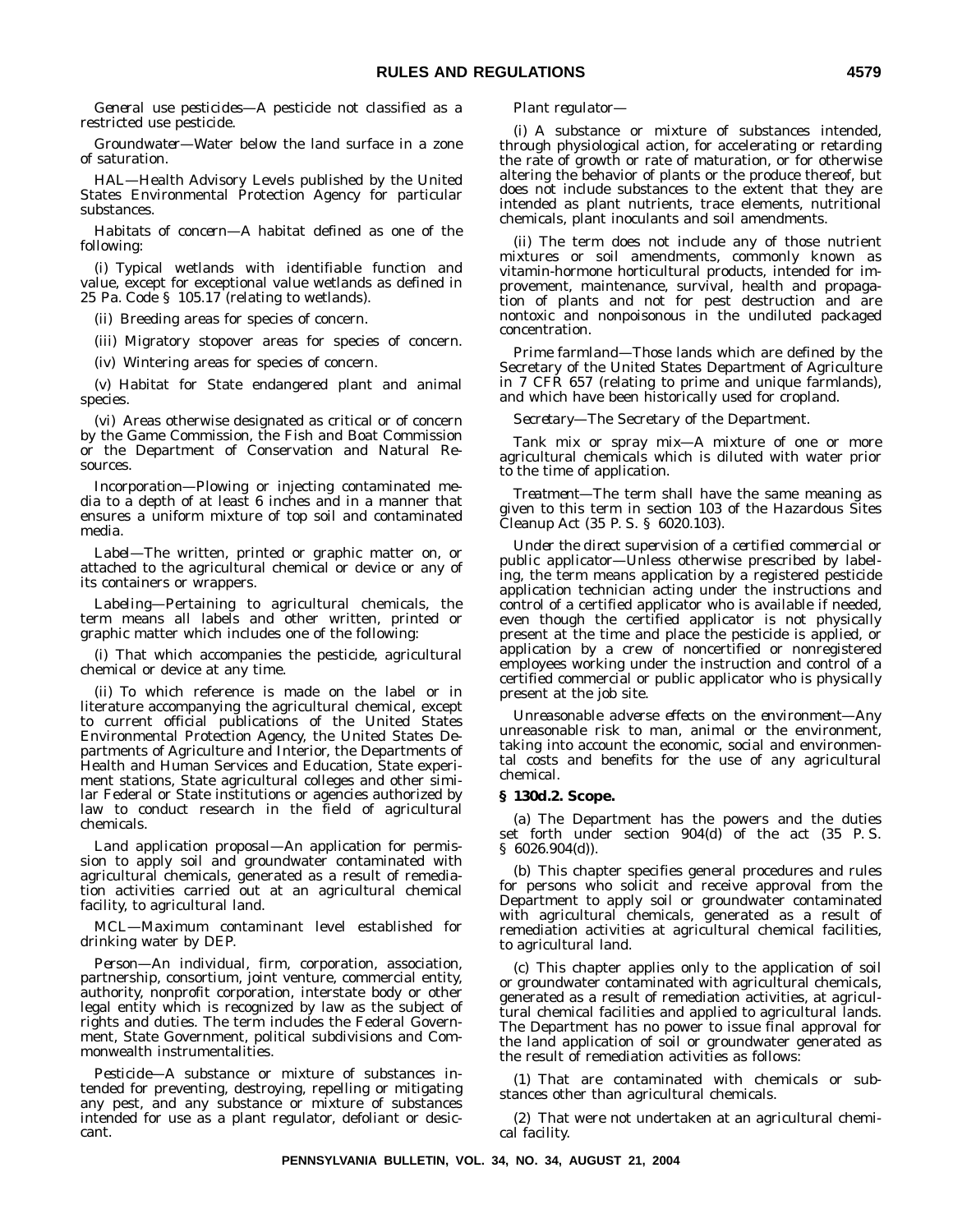*General use pesticides—*A pesticide not classified as a restricted use pesticide.

*Groundwater—*Water below the land surface in a zone of saturation.

*HAL—*Health Advisory Levels published by the United States Environmental Protection Agency for particular substances.

*Habitats of concern—*A habitat defined as one of the following:

(i) Typical wetlands with identifiable function and value, except for exceptional value wetlands as defined in 25 Pa. Code § 105.17 (relating to wetlands).

(ii) Breeding areas for species of concern.

(iii) Migratory stopover areas for species of concern.

(iv) Wintering areas for species of concern.

(v) Habitat for State endangered plant and animal species.

(vi) Areas otherwise designated as critical or of concern by the Game Commission, the Fish and Boat Commission or the Department of Conservation and Natural Resources.

*Incorporation—*Plowing or injecting contaminated media to a depth of at least 6 inches and in a manner that ensures a uniform mixture of top soil and contaminated media.

*Label—*The written, printed or graphic matter on, or attached to the agricultural chemical or device or any of its containers or wrappers.

*Labeling—*Pertaining to agricultural chemicals, the term means all labels and other written, printed or graphic matter which includes one of the following:

(i) That which accompanies the pesticide, agricultural chemical or device at any time.

(ii) To which reference is made on the label or in literature accompanying the agricultural chemical, except to current official publications of the United States Environmental Protection Agency, the United States Departments of Agriculture and Interior, the Departments of Health and Human Services and Education, State experiment stations, State agricultural colleges and other similar Federal or State institutions or agencies authorized by law to conduct research in the field of agricultural chemicals.

*Land application proposal—*An application for permission to apply soil and groundwater contaminated with agricultural chemicals, generated as a result of remediation activities carried out at an agricultural chemical facility, to agricultural land.

*MCL—*Maximum contaminant level established for drinking water by DEP.

*Person—*An individual, firm, corporation, association, partnership, consortium, joint venture, commercial entity, authority, nonprofit corporation, interstate body or other legal entity which is recognized by law as the subject of rights and duties. The term includes the Federal Government, State Government, political subdivisions and Commonwealth instrumentalities.

*Pesticide—*A substance or mixture of substances intended for preventing, destroying, repelling or mitigating any pest, and any substance or mixture of substances intended for use as a plant regulator, defoliant or desiccant.

#### *Plant regulator—*

(i) A substance or mixture of substances intended, through physiological action, for accelerating or retarding the rate of growth or rate of maturation, or for otherwise altering the behavior of plants or the produce thereof, but does not include substances to the extent that they are intended as plant nutrients, trace elements, nutritional chemicals, plant inoculants and soil amendments.

(ii) The term does not include any of those nutrient mixtures or soil amendments, commonly known as vitamin-hormone horticultural products, intended for improvement, maintenance, survival, health and propagation of plants and not for pest destruction and are nontoxic and nonpoisonous in the undiluted packaged concentration.

*Prime farmland—*Those lands which are defined by the Secretary of the United States Department of Agriculture in 7 CFR 657 (relating to prime and unique farmlands), and which have been historically used for cropland.

*Secretary—*The Secretary of the Department.

*Tank mix* or *spray mix—*A mixture of one or more agricultural chemicals which is diluted with water prior to the time of application.

*Treatment—*The term shall have the same meaning as given to this term in section 103 of the Hazardous Sites Cleanup Act (35 P. S. § 6020.103).

*Under the direct supervision of a certified commercial or public applicator—*Unless otherwise prescribed by labeling, the term means application by a registered pesticide application technician acting under the instructions and control of a certified applicator who is available if needed, even though the certified applicator is not physically present at the time and place the pesticide is applied, or application by a crew of noncertified or nonregistered employees working under the instruction and control of a certified commercial or public applicator who is physically present at the job site.

*Unreasonable adverse effects on the environment—*Any unreasonable risk to man, animal or the environment, taking into account the economic, social and environmental costs and benefits for the use of any agricultural chemical.

#### **§ 130d.2. Scope.**

(a) The Department has the powers and the duties set forth under section 904(d) of the act (35 P. S. § 6026.904(d)).

(b) This chapter specifies general procedures and rules for persons who solicit and receive approval from the Department to apply soil or groundwater contaminated with agricultural chemicals, generated as a result of remediation activities at agricultural chemical facilities, to agricultural land.

(c) This chapter applies only to the application of soil or groundwater contaminated with agricultural chemicals, generated as a result of remediation activities, at agricultural chemical facilities and applied to agricultural lands. The Department has no power to issue final approval for the land application of soil or groundwater generated as the result of remediation activities as follows:

(1) That are contaminated with chemicals or substances other than agricultural chemicals.

(2) That were not undertaken at an agricultural chemical facility.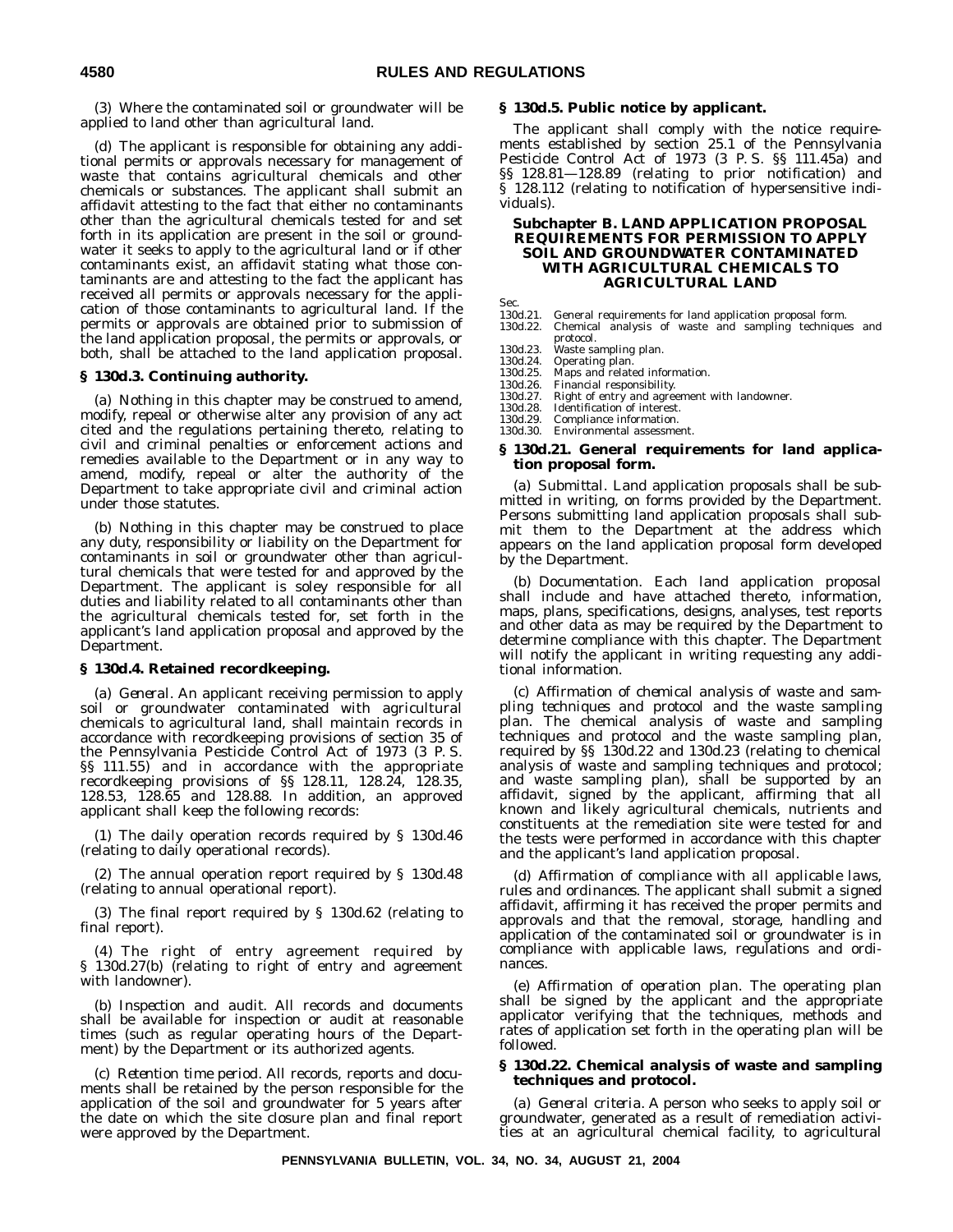(3) Where the contaminated soil or groundwater will be applied to land other than agricultural land.

(d) The applicant is responsible for obtaining any additional permits or approvals necessary for management of waste that contains agricultural chemicals and other chemicals or substances. The applicant shall submit an affidavit attesting to the fact that either no contaminants other than the agricultural chemicals tested for and set forth in its application are present in the soil or groundwater it seeks to apply to the agricultural land or if other contaminants exist, an affidavit stating what those contaminants are and attesting to the fact the applicant has received all permits or approvals necessary for the application of those contaminants to agricultural land. If the permits or approvals are obtained prior to submission of the land application proposal, the permits or approvals, or both, shall be attached to the land application proposal.

#### **§ 130d.3. Continuing authority.**

(a) Nothing in this chapter may be construed to amend, modify, repeal or otherwise alter any provision of any act cited and the regulations pertaining thereto, relating to civil and criminal penalties or enforcement actions and remedies available to the Department or in any way to amend, modify, repeal or alter the authority of the Department to take appropriate civil and criminal action under those statutes.

(b) Nothing in this chapter may be construed to place any duty, responsibility or liability on the Department for contaminants in soil or groundwater other than agricultural chemicals that were tested for and approved by the Department. The applicant is soley responsible for all duties and liability related to all contaminants other than the agricultural chemicals tested for, set forth in the applicant's land application proposal and approved by the Department.

#### **§ 130d.4. Retained recordkeeping.**

(a) *General*. An applicant receiving permission to apply soil or groundwater contaminated with agricultural chemicals to agricultural land, shall maintain records in accordance with recordkeeping provisions of section 35 of the Pennsylvania Pesticide Control Act of 1973 (3 P. S. §§ 111.55) and in accordance with the appropriate recordkeeping provisions of §§ 128.11, 128.24, 128.35, 128.53, 128.65 and 128.88. In addition, an approved applicant shall keep the following records:

(1) The daily operation records required by § 130d.46 (relating to daily operational records).

(2) The annual operation report required by § 130d.48 (relating to annual operational report).

(3) The final report required by § 130d.62 (relating to final report).

(4) The right of entry agreement required by § 130d.27(b) (relating to right of entry and agreement with landowner).

(b) *Inspection and audit*. All records and documents shall be available for inspection or audit at reasonable times (such as regular operating hours of the Department) by the Department or its authorized agents.

(c) *Retention time period*. All records, reports and documents shall be retained by the person responsible for the application of the soil and groundwater for 5 years after the date on which the site closure plan and final report were approved by the Department.

#### **§ 130d.5. Public notice by applicant.**

The applicant shall comply with the notice requirements established by section 25.1 of the Pennsylvania Pesticide Control Act of 1973 (3 P. S. §§ 111.45a) and §§ 128.81—128.89 (relating to prior notification) and § 128.112 (relating to notification of hypersensitive individuals).

#### **Subchapter B. LAND APPLICATION PROPOSAL REQUIREMENTS FOR PERMISSION TO APPLY SOIL AND GROUNDWATER CONTAMINATED WITH AGRICULTURAL CHEMICALS TO AGRICULTURAL LAND**

Sec.

- 130d.21. General requirements for land application proposal form.
- Chemical analysis of waste and sampling techniques and protocol.
- 130d.23. Waste sampling plan.<br>130d.24. Operating plan.

- 130d.24. Operating plan. 130d.25. Maps and related information.
- 130d.26. Financial responsibility.<br>130d.27. Right of entry and agree
- 130d.27. Right of entry and agreement with landowner. 130d.28. Identification of interest.
- 
- 130d.29. Compliance information<br>130d.30. Environmental assessme Environmental assessment.

#### **§ 130d.21. General requirements for land application proposal form.**

(a) *Submittal*. Land application proposals shall be submitted in writing, on forms provided by the Department. Persons submitting land application proposals shall submit them to the Department at the address which appears on the land application proposal form developed by the Department.

(b) *Documentation*. Each land application proposal shall include and have attached thereto, information, maps, plans, specifications, designs, analyses, test reports and other data as may be required by the Department to determine compliance with this chapter. The Department will notify the applicant in writing requesting any additional information.

(c) *Affirmation of chemical analysis of waste and sampling techniques and protocol and the waste sampling plan*. The chemical analysis of waste and sampling techniques and protocol and the waste sampling plan, required by §§ 130d.22 and 130d.23 (relating to chemical analysis of waste and sampling techniques and protocol; and waste sampling plan), shall be supported by an affidavit, signed by the applicant, affirming that all known and likely agricultural chemicals, nutrients and constituents at the remediation site were tested for and the tests were performed in accordance with this chapter and the applicant's land application proposal.

(d) *Affirmation of compliance with all applicable laws, rules and ordinances*. The applicant shall submit a signed affidavit, affirming it has received the proper permits and approvals and that the removal, storage, handling and application of the contaminated soil or groundwater is in compliance with applicable laws, regulations and ordinances.

(e) *Affirmation of operation plan*. The operating plan shall be signed by the applicant and the appropriate applicator verifying that the techniques, methods and rates of application set forth in the operating plan will be followed.

#### **§ 130d.22. Chemical analysis of waste and sampling techniques and protocol.**

(a) *General criteria*. A person who seeks to apply soil or groundwater, generated as a result of remediation activities at an agricultural chemical facility, to agricultural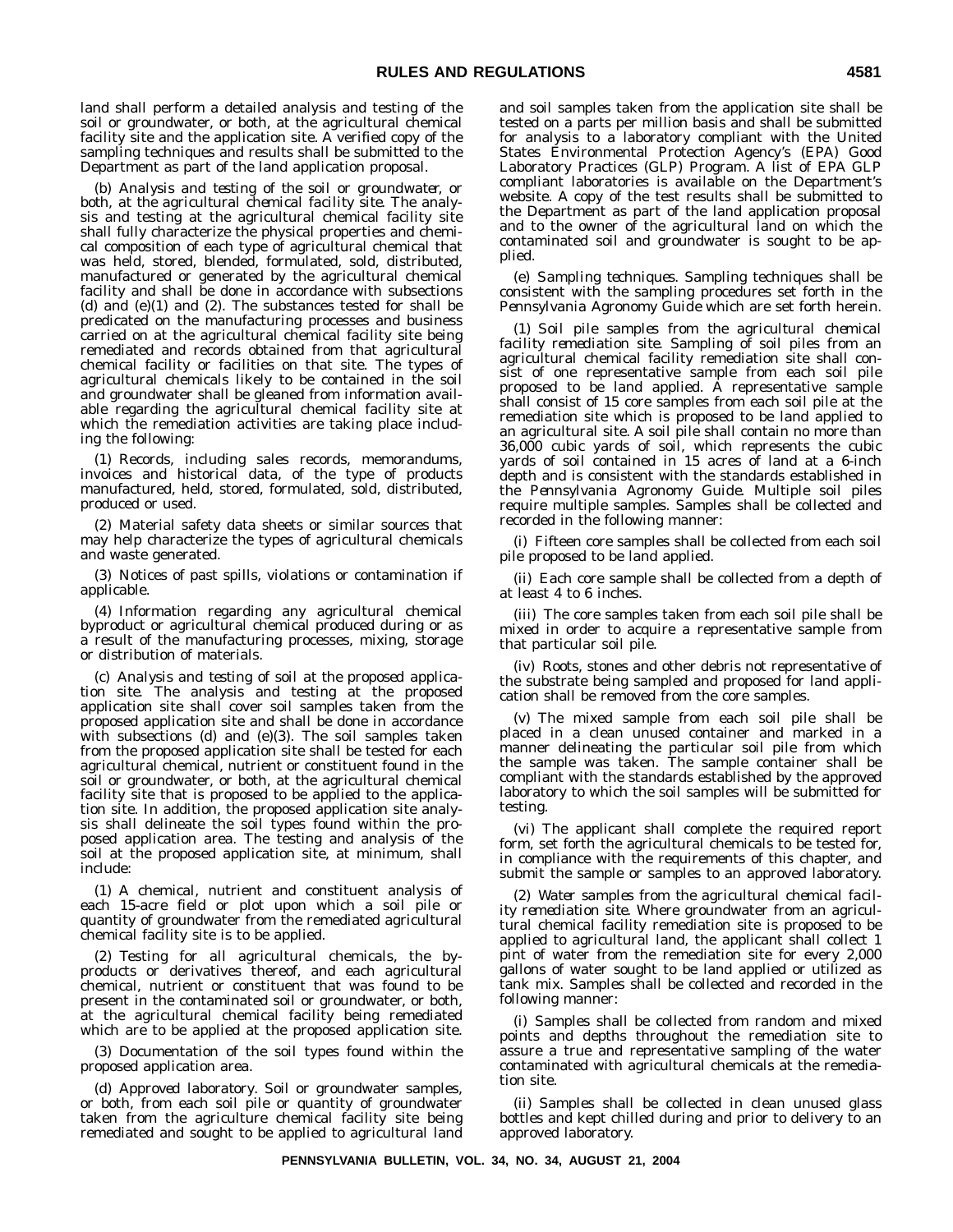land shall perform a detailed analysis and testing of the soil or groundwater, or both, at the agricultural chemical facility site and the application site. A verified copy of the sampling techniques and results shall be submitted to the Department as part of the land application proposal.

(b) *Analysis and testing of the soil or groundwater, or both, at the agricultural chemical facility site*. The analysis and testing at the agricultural chemical facility site shall fully characterize the physical properties and chemical composition of each type of agricultural chemical that was held, stored, blended, formulated, sold, distributed, manufactured or generated by the agricultural chemical facility and shall be done in accordance with subsections (d) and  $(e)(1)$  and  $(2)$ . The substances tested for shall be predicated on the manufacturing processes and business carried on at the agricultural chemical facility site being remediated and records obtained from that agricultural chemical facility or facilities on that site. The types of agricultural chemicals likely to be contained in the soil and groundwater shall be gleaned from information available regarding the agricultural chemical facility site at which the remediation activities are taking place including the following:

(1) Records, including sales records, memorandums, invoices and historical data, of the type of products manufactured, held, stored, formulated, sold, distributed, produced or used.

(2) Material safety data sheets or similar sources that may help characterize the types of agricultural chemicals and waste generated.

(3) Notices of past spills, violations or contamination if applicable.

(4) Information regarding any agricultural chemical byproduct or agricultural chemical produced during or as a result of the manufacturing processes, mixing, storage or distribution of materials.

(c) *Analysis and testing of soil at the proposed application site*. The analysis and testing at the proposed application site shall cover soil samples taken from the proposed application site and shall be done in accordance with subsections (d) and (e)(3). The soil samples taken from the proposed application site shall be tested for each agricultural chemical, nutrient or constituent found in the soil or groundwater, or both, at the agricultural chemical facility site that is proposed to be applied to the application site. In addition, the proposed application site analysis shall delineate the soil types found within the proposed application area. The testing and analysis of the soil at the proposed application site, at minimum, shall include:

(1) A chemical, nutrient and constituent analysis of each 15-acre field or plot upon which a soil pile or quantity of groundwater from the remediated agricultural chemical facility site is to be applied.

(2) Testing for all agricultural chemicals, the byproducts or derivatives thereof, and each agricultural chemical, nutrient or constituent that was found to be present in the contaminated soil or groundwater, or both, at the agricultural chemical facility being remediated which are to be applied at the proposed application site.

(3) Documentation of the soil types found within the proposed application area.

(d) *Approved laboratory*. Soil or groundwater samples, or both, from each soil pile or quantity of groundwater taken from the agriculture chemical facility site being remediated and sought to be applied to agricultural land and soil samples taken from the application site shall be tested on a parts per million basis and shall be submitted for analysis to a laboratory compliant with the United States Environmental Protection Agency's (EPA) Good Laboratory Practices (GLP) Program. A list of EPA GLP compliant laboratories is available on the Department's website. A copy of the test results shall be submitted to the Department as part of the land application proposal and to the owner of the agricultural land on which the contaminated soil and groundwater is sought to be applied.

(e) *Sampling techniques*. Sampling techniques shall be consistent with the sampling procedures set forth in the *Pennsylvania Agronomy Guide* which are set forth herein.

(1) *Soil pile samples from the agricultural chemical facility remediation site*. Sampling of soil piles from an agricultural chemical facility remediation site shall consist of one representative sample from each soil pile proposed to be land applied. A representative sample shall consist of 15 core samples from each soil pile at the remediation site which is proposed to be land applied to an agricultural site. A soil pile shall contain no more than 36,000 cubic yards of soil, which represents the cubic yards of soil contained in 15 acres of land at a 6-inch depth and is consistent with the standards established in the *Pennsylvania Agronomy Guide*. Multiple soil piles require multiple samples. Samples shall be collected and recorded in the following manner:

(i) Fifteen core samples shall be collected from each soil pile proposed to be land applied.

(ii) Each core sample shall be collected from a depth of at least 4 to 6 inches.

(iii) The core samples taken from each soil pile shall be mixed in order to acquire a representative sample from that particular soil pile.

(iv) Roots, stones and other debris not representative of the substrate being sampled and proposed for land application shall be removed from the core samples.

(v) The mixed sample from each soil pile shall be placed in a clean unused container and marked in a manner delineating the particular soil pile from which the sample was taken. The sample container shall be compliant with the standards established by the approved laboratory to which the soil samples will be submitted for testing.

(vi) The applicant shall complete the required report form, set forth the agricultural chemicals to be tested for, in compliance with the requirements of this chapter, and submit the sample or samples to an approved laboratory.

(2) *Water samples from the agricultural chemical facility remediation site*. Where groundwater from an agricultural chemical facility remediation site is proposed to be applied to agricultural land, the applicant shall collect 1 pint of water from the remediation site for every 2,000 gallons of water sought to be land applied or utilized as tank mix. Samples shall be collected and recorded in the following manner:

(i) Samples shall be collected from random and mixed points and depths throughout the remediation site to assure a true and representative sampling of the water contaminated with agricultural chemicals at the remediation site.

(ii) Samples shall be collected in clean unused glass bottles and kept chilled during and prior to delivery to an approved laboratory.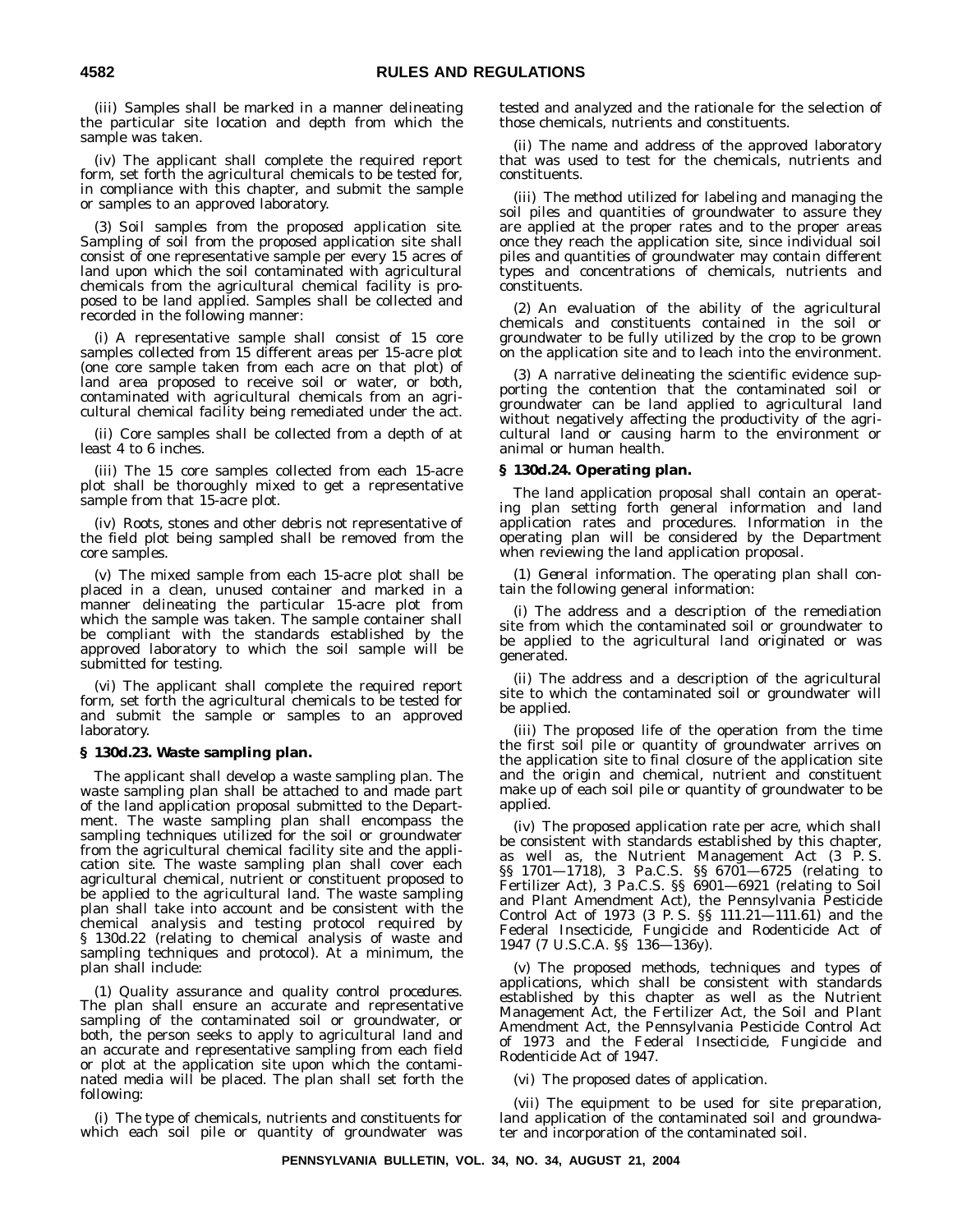(iii) Samples shall be marked in a manner delineating the particular site location and depth from which the sample was taken.

(iv) The applicant shall complete the required report form, set forth the agricultural chemicals to be tested for, in compliance with this chapter, and submit the sample or samples to an approved laboratory.

(3) *Soil samples from the proposed application site*. Sampling of soil from the proposed application site shall consist of one representative sample per every 15 acres of land upon which the soil contaminated with agricultural chemicals from the agricultural chemical facility is proposed to be land applied. Samples shall be collected and recorded in the following manner:

(i) A representative sample shall consist of 15 core samples collected from 15 different areas per 15-acre plot (one core sample taken from each acre on that plot) of land area proposed to receive soil or water, or both, contaminated with agricultural chemicals from an agricultural chemical facility being remediated under the act.

(ii) Core samples shall be collected from a depth of at least 4 to 6 inches.

(iii) The 15 core samples collected from each 15-acre plot shall be thoroughly mixed to get a representative sample from that 15-acre plot.

(iv) Roots, stones and other debris not representative of the field plot being sampled shall be removed from the core samples.

(v) The mixed sample from each 15-acre plot shall be placed in a clean, unused container and marked in a manner delineating the particular 15-acre plot from which the sample was taken. The sample container shall be compliant with the standards established by the approved laboratory to which the soil sample will be submitted for testing.

(vi) The applicant shall complete the required report form, set forth the agricultural chemicals to be tested for and submit the sample or samples to an approved laboratory.

#### **§ 130d.23. Waste sampling plan.**

The applicant shall develop a waste sampling plan. The waste sampling plan shall be attached to and made part of the land application proposal submitted to the Department. The waste sampling plan shall encompass the sampling techniques utilized for the soil or groundwater from the agricultural chemical facility site and the application site. The waste sampling plan shall cover each agricultural chemical, nutrient or constituent proposed to be applied to the agricultural land. The waste sampling plan shall take into account and be consistent with the chemical analysis and testing protocol required by § 130d.22 (relating to chemical analysis of waste and sampling techniques and protocol). At a minimum, the plan shall include:

(1) *Quality assurance and quality control procedures*. The plan shall ensure an accurate and representative sampling of the contaminated soil or groundwater, or both, the person seeks to apply to agricultural land and an accurate and representative sampling from each field or plot at the application site upon which the contaminated media will be placed. The plan shall set forth the following:

(i) The type of chemicals, nutrients and constituents for which each soil pile or quantity of groundwater was tested and analyzed and the rationale for the selection of those chemicals, nutrients and constituents.

(ii) The name and address of the approved laboratory that was used to test for the chemicals, nutrients and constituents.

(iii) The method utilized for labeling and managing the soil piles and quantities of groundwater to assure they are applied at the proper rates and to the proper areas once they reach the application site, since individual soil piles and quantities of groundwater may contain different types and concentrations of chemicals, nutrients and constituents.

(2) An evaluation of the ability of the agricultural chemicals and constituents contained in the soil or groundwater to be fully utilized by the crop to be grown on the application site and to leach into the environment.

(3) A narrative delineating the scientific evidence supporting the contention that the contaminated soil or groundwater can be land applied to agricultural land without negatively affecting the productivity of the agricultural land or causing harm to the environment or animal or human health.

#### **§ 130d.24. Operating plan.**

The land application proposal shall contain an operating plan setting forth general information and land application rates and procedures. Information in the operating plan will be considered by the Department when reviewing the land application proposal.

(1) *General information*. The operating plan shall contain the following general information:

(i) The address and a description of the remediation site from which the contaminated soil or groundwater to be applied to the agricultural land originated or was generated.

(ii) The address and a description of the agricultural site to which the contaminated soil or groundwater will be applied.

(iii) The proposed life of the operation from the time the first soil pile or quantity of groundwater arrives on the application site to final closure of the application site and the origin and chemical, nutrient and constituent make up of each soil pile or quantity of groundwater to be applied.

(iv) The proposed application rate per acre, which shall be consistent with standards established by this chapter, as well as, the Nutrient Management Act (3 P. S. §§ 1701-1718), 3 Pa.C.S. §§ 6701-6725 (relating to Fertilizer Act), 3 Pa.C.S. §§ 6901—6921 (relating to Soil and Plant Amendment Act), the Pennsylvania Pesticide Control Act of 1973 (3 P. S. §§ 111.21—111.61) and the Federal Insecticide, Fungicide and Rodenticide Act of 1947 (7 U.S.C.A. §§ 136—136y).

(v) The proposed methods, techniques and types of applications, which shall be consistent with standards established by this chapter as well as the Nutrient Management Act, the Fertilizer Act, the Soil and Plant Amendment Act, the Pennsylvania Pesticide Control Act of 1973 and the Federal Insecticide, Fungicide and Rodenticide Act of 1947.

(vi) The proposed dates of application.

(vii) The equipment to be used for site preparation, land application of the contaminated soil and groundwater and incorporation of the contaminated soil.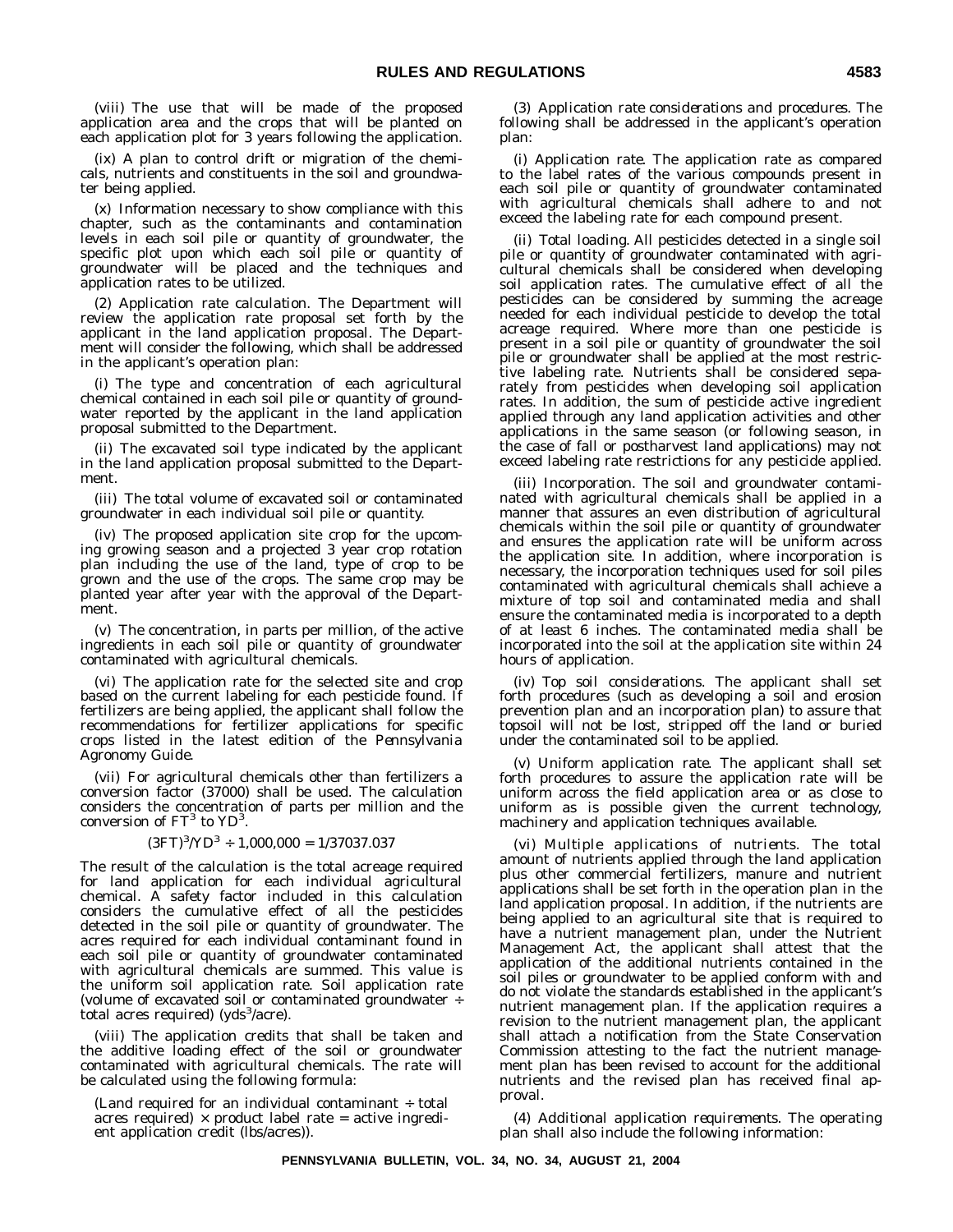(viii) The use that will be made of the proposed application area and the crops that will be planted on each application plot for 3 years following the application.

(ix) A plan to control drift or migration of the chemicals, nutrients and constituents in the soil and groundwater being applied.

(x) Information necessary to show compliance with this chapter, such as the contaminants and contamination levels in each soil pile or quantity of groundwater, the specific plot upon which each soil pile or quantity of groundwater will be placed and the techniques and application rates to be utilized.

(2) *Application rate calculation*. The Department will review the application rate proposal set forth by the applicant in the land application proposal. The Department will consider the following, which shall be addressed in the applicant's operation plan:

(i) The type and concentration of each agricultural chemical contained in each soil pile or quantity of groundwater reported by the applicant in the land application proposal submitted to the Department.

(ii) The excavated soil type indicated by the applicant in the land application proposal submitted to the Department.

(iii) The total volume of excavated soil or contaminated groundwater in each individual soil pile or quantity.

(iv) The proposed application site crop for the upcoming growing season and a projected 3 year crop rotation plan including the use of the land, type of crop to be grown and the use of the crops. The same crop may be planted year after year with the approval of the Department.

(v) The concentration, in parts per million, of the active ingredients in each soil pile or quantity of groundwater contaminated with agricultural chemicals.

(vi) The application rate for the selected site and crop based on the current labeling for each pesticide found. If fertilizers are being applied, the applicant shall follow the recommendations for fertilizer applications for specific crops listed in the latest edition of the *Pennsylvania Agronomy Guide*.

(vii) For agricultural chemicals other than fertilizers a conversion factor (37000) shall be used. The calculation considers the concentration of parts per million and the conversion of  $FT<sup>3</sup>$  to  $YD<sup>3</sup>$ .

#### $(3FT)^3/YD^3 \div 1,000,000 = 1/37037.037$

The result of the calculation is the total acreage required for land application for each individual agricultural chemical. A safety factor included in this calculation considers the cumulative effect of all the pesticides detected in the soil pile or quantity of groundwater. The acres required for each individual contaminant found in each soil pile or quantity of groundwater contaminated with agricultural chemicals are summed. This value is the uniform soil application rate. Soil application rate (volume of excavated soil or contaminated groundwater ÷ total acres required) (yds<sup>3</sup>/acre).

(viii) The application credits that shall be taken and the additive loading effect of the soil or groundwater contaminated with agricultural chemicals. The rate will be calculated using the following formula:

(Land required for an individual contaminant ÷ total acres required)  $\times$  product label rate = active ingredient application credit (lbs/acres)).

(3) *Application rate considerations and procedures*. The following shall be addressed in the applicant's operation plan:

(i) *Application rate*. The application rate as compared to the label rates of the various compounds present in each soil pile or quantity of groundwater contaminated with agricultural chemicals shall adhere to and not exceed the labeling rate for each compound present.

(ii) *Total loading*. All pesticides detected in a single soil pile or quantity of groundwater contaminated with agricultural chemicals shall be considered when developing soil application rates. The cumulative effect of all the pesticides can be considered by summing the acreage needed for each individual pesticide to develop the total acreage required. Where more than one pesticide is present in a soil pile or quantity of groundwater the soil pile or groundwater shall be applied at the most restrictive labeling rate. Nutrients shall be considered separately from pesticides when developing soil application rates. In addition, the sum of pesticide active ingredient applied through any land application activities and other applications in the same season (or following season, in the case of fall or postharvest land applications) may not exceed labeling rate restrictions for any pesticide applied.

(iii) *Incorporation*. The soil and groundwater contaminated with agricultural chemicals shall be applied in a manner that assures an even distribution of agricultural chemicals within the soil pile or quantity of groundwater and ensures the application rate will be uniform across the application site. In addition, where incorporation is necessary, the incorporation techniques used for soil piles contaminated with agricultural chemicals shall achieve a mixture of top soil and contaminated media and shall ensure the contaminated media is incorporated to a depth of at least 6 inches. The contaminated media shall be incorporated into the soil at the application site within 24 hours of application.

(iv) *Top soil considerations*. The applicant shall set forth procedures (such as developing a soil and erosion prevention plan and an incorporation plan) to assure that topsoil will not be lost, stripped off the land or buried under the contaminated soil to be applied.

(v) *Uniform application rate*. The applicant shall set forth procedures to assure the application rate will be uniform across the field application area or as close to uniform as is possible given the current technology, machinery and application techniques available.

(vi) *Multiple applications of nutrients*. The total amount of nutrients applied through the land application plus other commercial fertilizers, manure and nutrient applications shall be set forth in the operation plan in the land application proposal. In addition, if the nutrients are being applied to an agricultural site that is required to have a nutrient management plan, under the Nutrient Management Act, the applicant shall attest that the application of the additional nutrients contained in the soil piles or groundwater to be applied conform with and do not violate the standards established in the applicant's nutrient management plan. If the application requires a revision to the nutrient management plan, the applicant shall attach a notification from the State Conservation Commission attesting to the fact the nutrient management plan has been revised to account for the additional nutrients and the revised plan has received final approval.

(4) *Additional application requirements*. The operating plan shall also include the following information: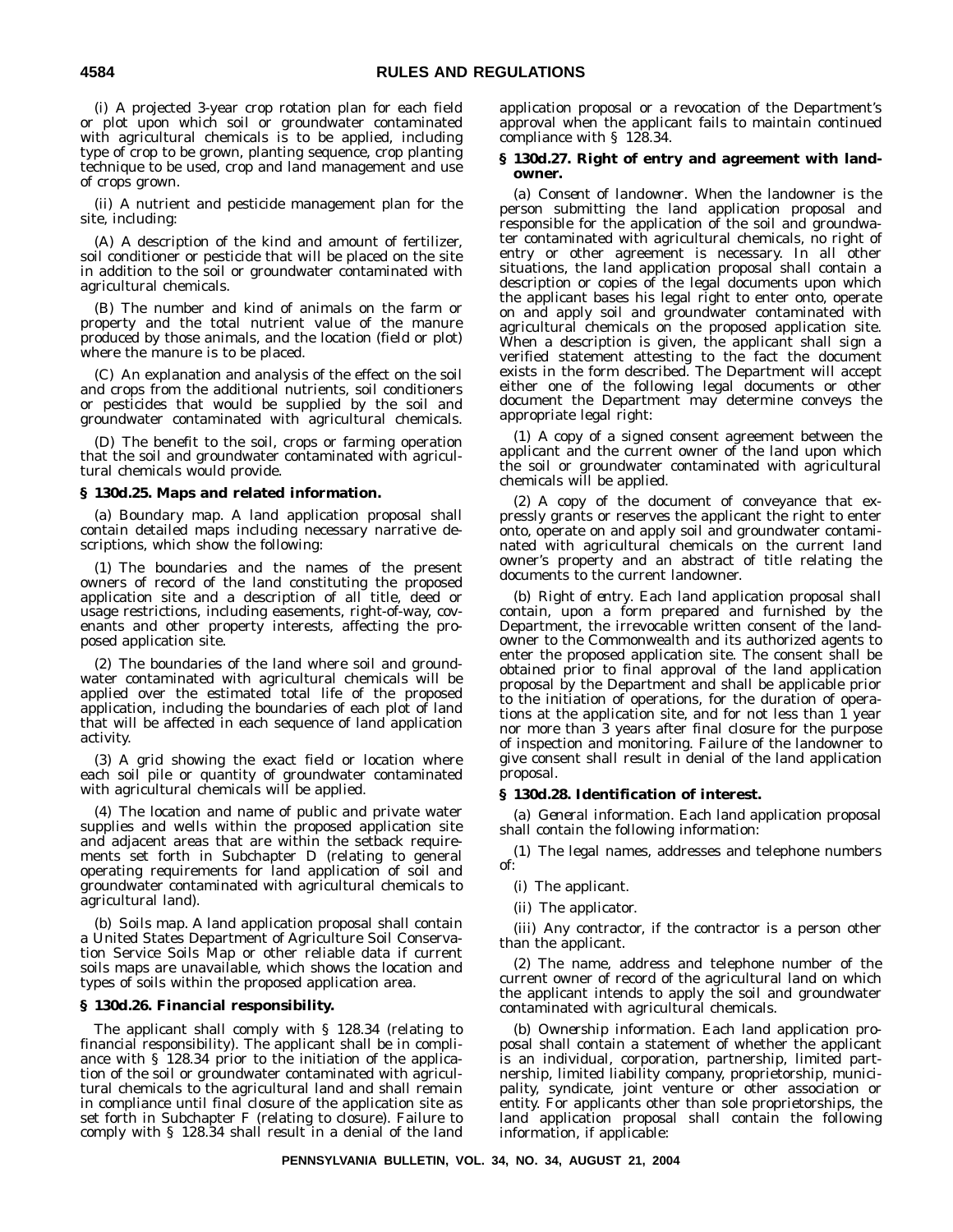(i) A projected 3-year crop rotation plan for each field or plot upon which soil or groundwater contaminated with agricultural chemicals is to be applied, including type of crop to be grown, planting sequence, crop planting technique to be used, crop and land management and use of crops grown.

(ii) A nutrient and pesticide management plan for the site, including:

(A) A description of the kind and amount of fertilizer, soil conditioner or pesticide that will be placed on the site in addition to the soil or groundwater contaminated with agricultural chemicals.

(B) The number and kind of animals on the farm or property and the total nutrient value of the manure produced by those animals, and the location (field or plot) where the manure is to be placed.

(C) An explanation and analysis of the effect on the soil and crops from the additional nutrients, soil conditioners or pesticides that would be supplied by the soil and groundwater contaminated with agricultural chemicals.

(D) The benefit to the soil, crops or farming operation that the soil and groundwater contaminated with agricultural chemicals would provide.

#### **§ 130d.25. Maps and related information.**

(a) *Boundary map*. A land application proposal shall contain detailed maps including necessary narrative descriptions, which show the following:

(1) The boundaries and the names of the present owners of record of the land constituting the proposed application site and a description of all title, deed or usage restrictions, including easements, right-of-way, covenants and other property interests, affecting the proposed application site.

(2) The boundaries of the land where soil and groundwater contaminated with agricultural chemicals will be applied over the estimated total life of the proposed application, including the boundaries of each plot of land that will be affected in each sequence of land application activity.

(3) A grid showing the exact field or location where each soil pile or quantity of groundwater contaminated with agricultural chemicals will be applied.

(4) The location and name of public and private water supplies and wells within the proposed application site and adjacent areas that are within the setback requirements set forth in Subchapter D (relating to general operating requirements for land application of soil and groundwater contaminated with agricultural chemicals to agricultural land).

(b) *Soils map*. A land application proposal shall contain a United States Department of Agriculture Soil Conservation Service Soils Map or other reliable data if current soils maps are unavailable, which shows the location and types of soils within the proposed application area.

#### **§ 130d.26. Financial responsibility.**

The applicant shall comply with § 128.34 (relating to financial responsibility). The applicant shall be in compliance with § 128.34 prior to the initiation of the application of the soil or groundwater contaminated with agricultural chemicals to the agricultural land and shall remain in compliance until final closure of the application site as set forth in Subchapter F (relating to closure). Failure to comply with § 128.34 shall result in a denial of the land application proposal or a revocation of the Department's approval when the applicant fails to maintain continued compliance with § 128.34.

#### **§ 130d.27. Right of entry and agreement with landowner.**

(a) *Consent of landowner*. When the landowner is the person submitting the land application proposal and responsible for the application of the soil and groundwater contaminated with agricultural chemicals, no right of entry or other agreement is necessary. In all other situations, the land application proposal shall contain a description or copies of the legal documents upon which the applicant bases his legal right to enter onto, operate on and apply soil and groundwater contaminated with agricultural chemicals on the proposed application site. When a description is given, the applicant shall sign a verified statement attesting to the fact the document exists in the form described. The Department will accept either one of the following legal documents or other document the Department may determine conveys the appropriate legal right:

(1) A copy of a signed consent agreement between the applicant and the current owner of the land upon which the soil or groundwater contaminated with agricultural chemicals will be applied.

(2) A copy of the document of conveyance that expressly grants or reserves the applicant the right to enter onto, operate on and apply soil and groundwater contaminated with agricultural chemicals on the current land owner's property and an abstract of title relating the documents to the current landowner.

(b) *Right of entry*. Each land application proposal shall contain, upon a form prepared and furnished by the Department, the irrevocable written consent of the landowner to the Commonwealth and its authorized agents to enter the proposed application site. The consent shall be obtained prior to final approval of the land application proposal by the Department and shall be applicable prior to the initiation of operations, for the duration of operations at the application site, and for not less than 1 year nor more than 3 years after final closure for the purpose of inspection and monitoring. Failure of the landowner to give consent shall result in denial of the land application proposal.

#### **§ 130d.28. Identification of interest.**

(a) *General information*. Each land application proposal shall contain the following information:

(1) The legal names, addresses and telephone numbers of:

- (i) The applicant.
- (ii) The applicator.

(iii) Any contractor, if the contractor is a person other than the applicant.

(2) The name, address and telephone number of the current owner of record of the agricultural land on which the applicant intends to apply the soil and groundwater contaminated with agricultural chemicals.

(b) *Ownership information*. Each land application proposal shall contain a statement of whether the applicant is an individual, corporation, partnership, limited partnership, limited liability company, proprietorship, municipality, syndicate, joint venture or other association or entity. For applicants other than sole proprietorships, the land application proposal shall contain the following information, if applicable: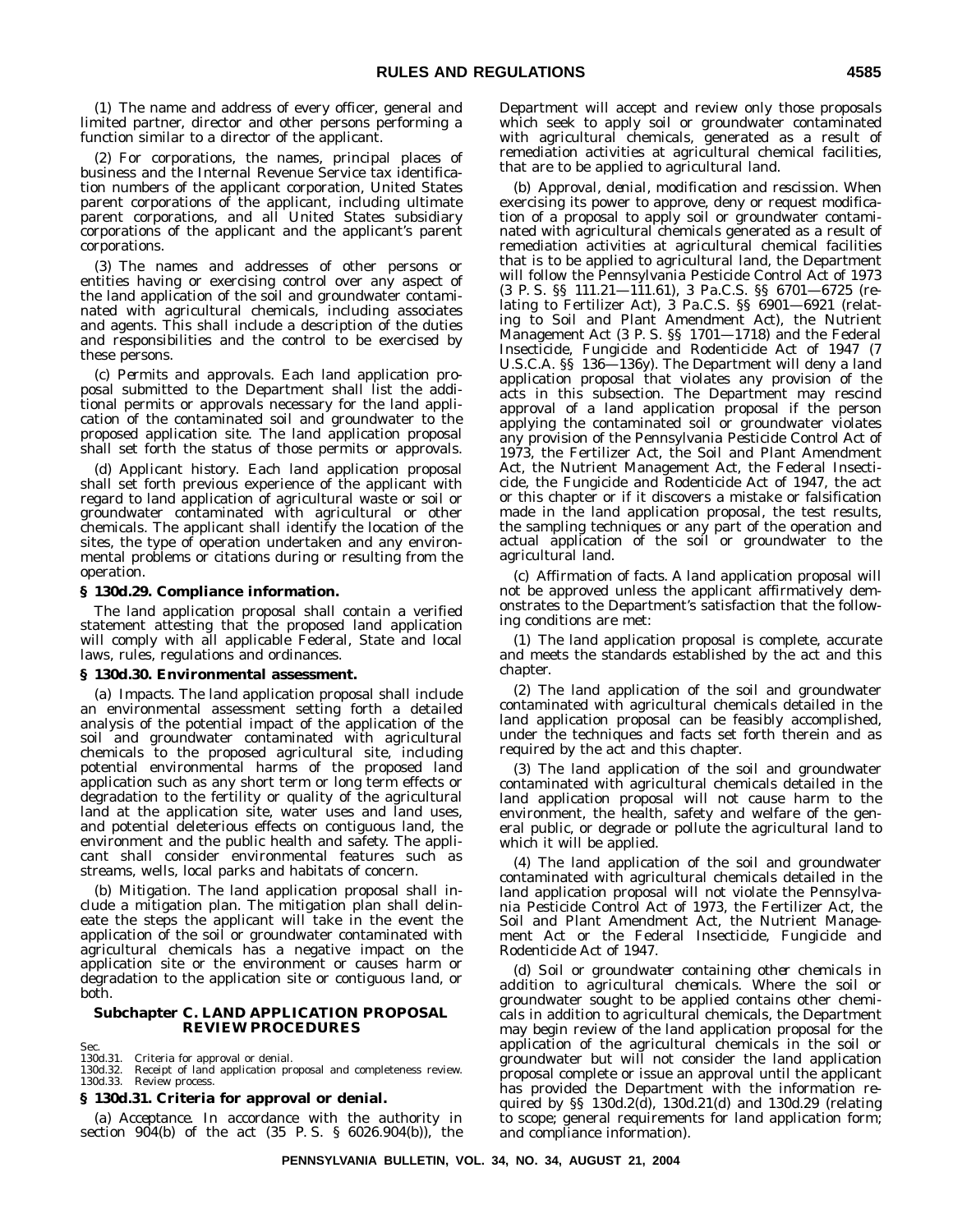(1) The name and address of every officer, general and limited partner, director and other persons performing a function similar to a director of the applicant.

(2) For corporations, the names, principal places of business and the Internal Revenue Service tax identification numbers of the applicant corporation, United States parent corporations of the applicant, including ultimate parent corporations, and all United States subsidiary corporations of the applicant and the applicant's parent corporations.

(3) The names and addresses of other persons or entities having or exercising control over any aspect of the land application of the soil and groundwater contaminated with agricultural chemicals, including associates and agents. This shall include a description of the duties and responsibilities and the control to be exercised by these persons.

(c) *Permits and approvals*. Each land application proposal submitted to the Department shall list the additional permits or approvals necessary for the land application of the contaminated soil and groundwater to the proposed application site. The land application proposal shall set forth the status of those permits or approvals.

(d) *Applicant history*. Each land application proposal shall set forth previous experience of the applicant with regard to land application of agricultural waste or soil or groundwater contaminated with agricultural or other chemicals. The applicant shall identify the location of the sites, the type of operation undertaken and any environmental problems or citations during or resulting from the operation.

#### **§ 130d.29. Compliance information.**

The land application proposal shall contain a verified statement attesting that the proposed land application will comply with all applicable Federal, State and local laws, rules, regulations and ordinances.

#### **§ 130d.30. Environmental assessment.**

(a) *Impacts*. The land application proposal shall include an environmental assessment setting forth a detailed analysis of the potential impact of the application of the soil and groundwater contaminated with agricultural chemicals to the proposed agricultural site, including potential environmental harms of the proposed land application such as any short term or long term effects or degradation to the fertility or quality of the agricultural land at the application site, water uses and land uses, and potential deleterious effects on contiguous land, the environment and the public health and safety. The applicant shall consider environmental features such as streams, wells, local parks and habitats of concern.

(b) *Mitigation*. The land application proposal shall include a mitigation plan. The mitigation plan shall delineate the steps the applicant will take in the event the application of the soil or groundwater contaminated with agricultural chemicals has a negative impact on the application site or the environment or causes harm or degradation to the application site or contiguous land, or both.

#### **Subchapter C. LAND APPLICATION PROPOSAL REVIEW PROCEDURES**

Sec. 130d.31. Criteria for approval or denial.

Receipt of land application proposal and completeness review. 130d.32. Receipt of land<br>130d.33. Review process.

#### **§ 130d.31. Criteria for approval or denial.**

(a) *Acceptance*. In accordance with the authority in section 904(b) of the act (35 P. S. § 6026.904(b)), the Department will accept and review only those proposals which seek to apply soil or groundwater contaminated with agricultural chemicals, generated as a result of remediation activities at agricultural chemical facilities, that are to be applied to agricultural land.

(b) *Approval, denial, modification and rescission*. When exercising its power to approve, deny or request modification of a proposal to apply soil or groundwater contaminated with agricultural chemicals generated as a result of remediation activities at agricultural chemical facilities that is to be applied to agricultural land, the Department will follow the Pennsylvania Pesticide Control Act of 1973 (3 P. S. §§ 111.21—111.61), 3 Pa.C.S. §§ 6701—6725 (relating to Fertilizer Act), 3 Pa.C.S. §§ 6901—6921 (relating to Soil and Plant Amendment Act), the Nutrient Management Act (3 P. S. §§ 1701—1718) and the Federal Insecticide, Fungicide and Rodenticide Act of 1947 (7 U.S.C.A. §§ 136—136y). The Department will deny a land application proposal that violates any provision of the acts in this subsection. The Department may rescind approval of a land application proposal if the person applying the contaminated soil or groundwater violates any provision of the Pennsylvania Pesticide Control Act of 1973, the Fertilizer Act, the Soil and Plant Amendment Act, the Nutrient Management Act, the Federal Insecticide, the Fungicide and Rodenticide Act of 1947, the act or this chapter or if it discovers a mistake or falsification made in the land application proposal, the test results, the sampling techniques or any part of the operation and actual application of the soil or groundwater to the agricultural land.

(c) *Affirmation of facts*. A land application proposal will not be approved unless the applicant affirmatively demonstrates to the Department's satisfaction that the following conditions are met:

(1) The land application proposal is complete, accurate and meets the standards established by the act and this chapter.

(2) The land application of the soil and groundwater contaminated with agricultural chemicals detailed in the land application proposal can be feasibly accomplished, under the techniques and facts set forth therein and as required by the act and this chapter.

(3) The land application of the soil and groundwater contaminated with agricultural chemicals detailed in the land application proposal will not cause harm to the environment, the health, safety and welfare of the general public, or degrade or pollute the agricultural land to which it will be applied.

(4) The land application of the soil and groundwater contaminated with agricultural chemicals detailed in the land application proposal will not violate the Pennsylvania Pesticide Control Act of 1973, the Fertilizer Act, the Soil and Plant Amendment Act, the Nutrient Management Act or the Federal Insecticide, Fungicide and Rodenticide Act of 1947.

(d) *Soil or groundwater containing other chemicals in addition to agricultural chemicals*. Where the soil or groundwater sought to be applied contains other chemicals in addition to agricultural chemicals, the Department may begin review of the land application proposal for the application of the agricultural chemicals in the soil or groundwater but will not consider the land application proposal complete or issue an approval until the applicant has provided the Department with the information required by §§ 130d.2(d), 130d.21(d) and 130d.29 (relating to scope; general requirements for land application form; and compliance information).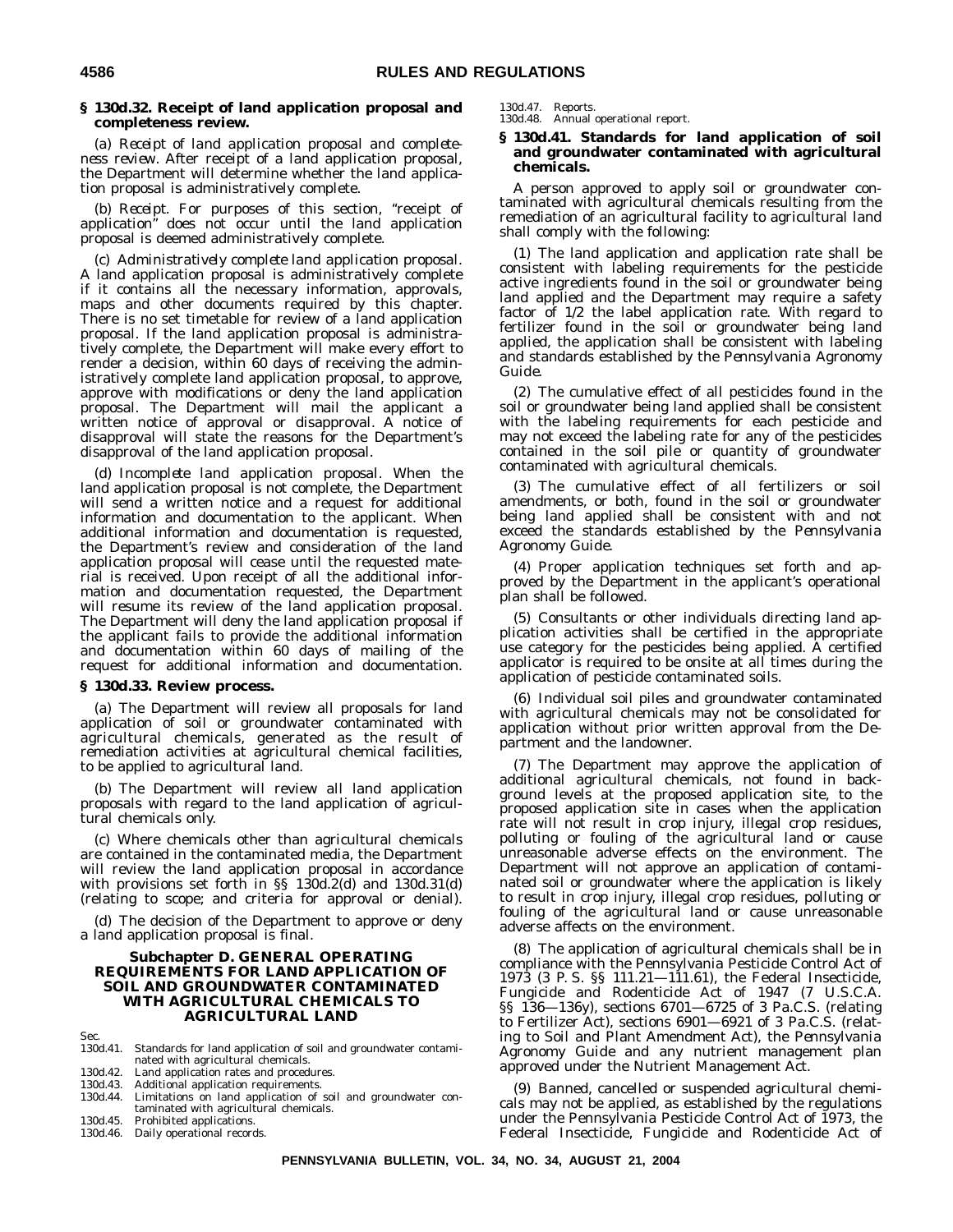#### **§ 130d.32. Receipt of land application proposal and completeness review.**

(a) *Receipt of land application proposal and completeness review*. After receipt of a land application proposal, the Department will determine whether the land application proposal is administratively complete.

(b) *Receipt*. For purposes of this section, ''receipt of application'' does not occur until the land application proposal is deemed administratively complete.

(c) *Administratively complete land application proposal*. A land application proposal is administratively complete if it contains all the necessary information, approvals, maps and other documents required by this chapter. There is no set timetable for review of a land application proposal. If the land application proposal is administratively complete, the Department will make every effort to render a decision, within 60 days of receiving the administratively complete land application proposal, to approve, approve with modifications or deny the land application proposal. The Department will mail the applicant a written notice of approval or disapproval. A notice of disapproval will state the reasons for the Department's disapproval of the land application proposal.

(d) *Incomplete land application proposal*. When the land application proposal is not complete, the Department will send a written notice and a request for additional information and documentation to the applicant. When additional information and documentation is requested, the Department's review and consideration of the land application proposal will cease until the requested material is received. Upon receipt of all the additional information and documentation requested, the Department will resume its review of the land application proposal. The Department will deny the land application proposal if the applicant fails to provide the additional information and documentation within 60 days of mailing of the request for additional information and documentation.

#### **§ 130d.33. Review process.**

(a) The Department will review all proposals for land application of soil or groundwater contaminated with agricultural chemicals, generated as the result of remediation activities at agricultural chemical facilities, to be applied to agricultural land.

(b) The Department will review all land application proposals with regard to the land application of agricultural chemicals only.

(c) Where chemicals other than agricultural chemicals are contained in the contaminated media, the Department will review the land application proposal in accordance with provisions set forth in §§ 130d.2(d) and 130d.31(d) (relating to scope; and criteria for approval or denial).

(d) The decision of the Department to approve or deny a land application proposal is final.

#### **Subchapter D. GENERAL OPERATING REQUIREMENTS FOR LAND APPLICATION OF SOIL AND GROUNDWATER CONTAMINATED WITH AGRICULTURAL CHEMICALS TO AGRICULTURAL LAND**

- Sec.<br>130d.41. Standards for land application of soil and groundwater contaminated with agricultural chemicals.
- 130d.42. Land application rates and procedures.<br>130d.43. Additional application requirements.
- Additional application requirements.

130d.44. Limitations on land application of soil and groundwater contaminated with agricultural chemicals. 130d.45. Prohibited applications.

130d.46. Daily operational records.

### 130d.47. Reports. 130d.48. Annual operational report.

#### **§ 130d.41. Standards for land application of soil and groundwater contaminated with agricultural chemicals.**

A person approved to apply soil or groundwater contaminated with agricultural chemicals resulting from the remediation of an agricultural facility to agricultural land shall comply with the following:

(1) The land application and application rate shall be consistent with labeling requirements for the pesticide active ingredients found in the soil or groundwater being land applied and the Department may require a safety factor of 1/2 the label application rate. With regard to fertilizer found in the soil or groundwater being land applied, the application shall be consistent with labeling and standards established by the *Pennsylvania Agronomy Guide*.

(2) The cumulative effect of all pesticides found in the soil or groundwater being land applied shall be consistent with the labeling requirements for each pesticide and may not exceed the labeling rate for any of the pesticides contained in the soil pile or quantity of groundwater contaminated with agricultural chemicals.

(3) The cumulative effect of all fertilizers or soil amendments, or both, found in the soil or groundwater being land applied shall be consistent with and not exceed the standards established by the *Pennsylvania Agronomy Guide*.

(4) Proper application techniques set forth and approved by the Department in the applicant's operational plan shall be followed.

(5) Consultants or other individuals directing land application activities shall be certified in the appropriate use category for the pesticides being applied. A certified applicator is required to be onsite at all times during the application of pesticide contaminated soils.

(6) Individual soil piles and groundwater contaminated with agricultural chemicals may not be consolidated for application without prior written approval from the Department and the landowner.

(7) The Department may approve the application of additional agricultural chemicals, not found in background levels at the proposed application site, to the proposed application site in cases when the application rate will not result in crop injury, illegal crop residues, polluting or fouling of the agricultural land or cause unreasonable adverse effects on the environment. The Department will not approve an application of contaminated soil or groundwater where the application is likely to result in crop injury, illegal crop residues, polluting or fouling of the agricultural land or cause unreasonable adverse affects on the environment.

(8) The application of agricultural chemicals shall be in compliance with the Pennsylvania Pesticide Control Act of 1973 (3 P. S. §§ 111.21—111.61), the Federal Insecticide, Fungicide and Rodenticide Act of 1947 (7 U.S.C.A. §§ 136—136y), sections 6701—6725 of 3 Pa.C.S. (relating to Fertilizer Act), sections 6901—6921 of 3 Pa.C.S. (relating to Soil and Plant Amendment Act), the *Pennsylvania Agronomy Guide* and any nutrient management plan approved under the Nutrient Management Act.

(9) Banned, cancelled or suspended agricultural chemicals may not be applied, as established by the regulations under the Pennsylvania Pesticide Control Act of 1973, the Federal Insecticide, Fungicide and Rodenticide Act of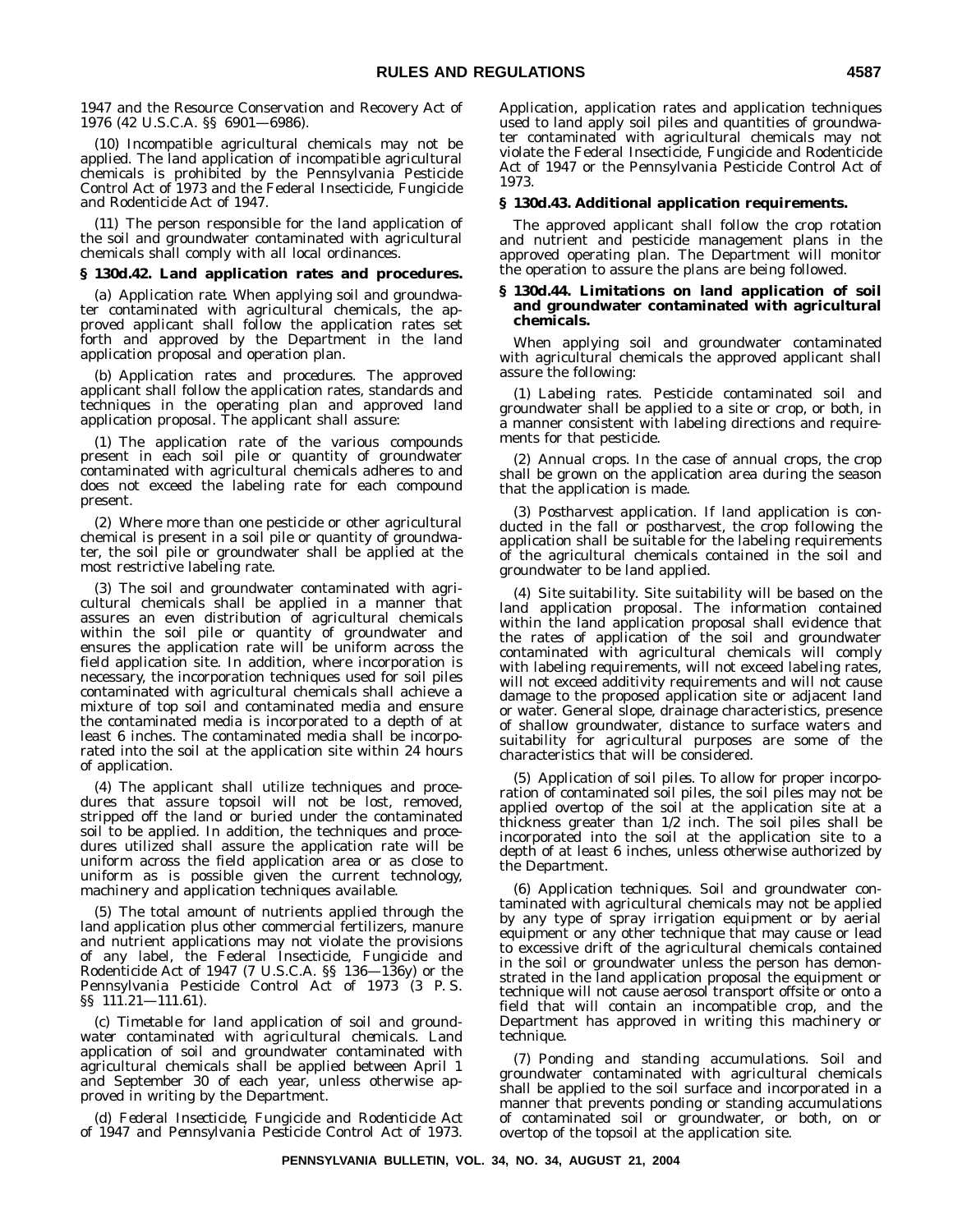1947 and the Resource Conservation and Recovery Act of 1976 (42 U.S.C.A. §§ 6901—6986).

(10) Incompatible agricultural chemicals may not be applied. The land application of incompatible agricultural chemicals is prohibited by the Pennsylvania Pesticide Control Act of 1973 and the Federal Insecticide, Fungicide and Rodenticide Act of 1947.

(11) The person responsible for the land application of the soil and groundwater contaminated with agricultural chemicals shall comply with all local ordinances.

#### **§ 130d.42. Land application rates and procedures.**

(a) *Application rate*. When applying soil and groundwater contaminated with agricultural chemicals, the approved applicant shall follow the application rates set forth and approved by the Department in the land application proposal and operation plan.

(b) *Application rates and procedures*. The approved applicant shall follow the application rates, standards and techniques in the operating plan and approved land application proposal. The applicant shall assure:

(1) The application rate of the various compounds present in each soil pile or quantity of groundwater contaminated with agricultural chemicals adheres to and does not exceed the labeling rate for each compound present.

(2) Where more than one pesticide or other agricultural chemical is present in a soil pile or quantity of groundwater, the soil pile or groundwater shall be applied at the most restrictive labeling rate.

(3) The soil and groundwater contaminated with agricultural chemicals shall be applied in a manner that assures an even distribution of agricultural chemicals within the soil pile or quantity of groundwater and ensures the application rate will be uniform across the field application site. In addition, where incorporation is necessary, the incorporation techniques used for soil piles contaminated with agricultural chemicals shall achieve a mixture of top soil and contaminated media and ensure the contaminated media is incorporated to a depth of at least 6 inches. The contaminated media shall be incorporated into the soil at the application site within 24 hours of application.

(4) The applicant shall utilize techniques and procedures that assure topsoil will not be lost, removed, stripped off the land or buried under the contaminated soil to be applied. In addition, the techniques and procedures utilized shall assure the application rate will be uniform across the field application area or as close to uniform as is possible given the current technology, machinery and application techniques available.

(5) The total amount of nutrients applied through the land application plus other commercial fertilizers, manure and nutrient applications may not violate the provisions of any label, the Federal Insecticide, Fungicide and Rodenticide Act of 1947 (7 U.S.C.A. §§ 136—136y) or the Pennsylvania Pesticide Control Act of 1973 (3 P. S. §§ 111.21—111.61).

(c) *Timetable for land application of soil and groundwater contaminated with agricultural chemicals*. Land application of soil and groundwater contaminated with agricultural chemicals shall be applied between April 1 and September 30 of each year, unless otherwise approved in writing by the Department.

(d) *Federal Insecticide, Fungicide and Rodenticide Act of 1947 and Pennsylvania Pesticide Control Act of 1973*.

Application, application rates and application techniques used to land apply soil piles and quantities of groundwater contaminated with agricultural chemicals may not violate the Federal Insecticide, Fungicide and Rodenticide Act of 1947 or the Pennsylvania Pesticide Control Act of 1973.

#### **§ 130d.43. Additional application requirements.**

The approved applicant shall follow the crop rotation and nutrient and pesticide management plans in the approved operating plan. The Department will monitor the operation to assure the plans are being followed.

#### **§ 130d.44. Limitations on land application of soil and groundwater contaminated with agricultural chemicals.**

When applying soil and groundwater contaminated with agricultural chemicals the approved applicant shall assure the following:

(1) *Labeling rates*. Pesticide contaminated soil and groundwater shall be applied to a site or crop, or both, in a manner consistent with labeling directions and requirements for that pesticide.

(2) *Annual crops*. In the case of annual crops, the crop shall be grown on the application area during the season that the application is made.

(3) *Postharvest application*. If land application is conducted in the fall or postharvest, the crop following the application shall be suitable for the labeling requirements of the agricultural chemicals contained in the soil and groundwater to be land applied.

(4) *Site suitability*. Site suitability will be based on the land application proposal. The information contained within the land application proposal shall evidence that the rates of application of the soil and groundwater contaminated with agricultural chemicals will comply with labeling requirements, will not exceed labeling rates, will not exceed additivity requirements and will not cause damage to the proposed application site or adjacent land or water. General slope, drainage characteristics, presence of shallow groundwater, distance to surface waters and suitability for agricultural purposes are some of the characteristics that will be considered.

(5) *Application of soil piles*. To allow for proper incorporation of contaminated soil piles, the soil piles may not be applied overtop of the soil at the application site at a thickness greater than 1/2 inch. The soil piles shall be incorporated into the soil at the application site to a depth of at least 6 inches, unless otherwise authorized by the Department.

(6) *Application techniques*. Soil and groundwater contaminated with agricultural chemicals may not be applied by any type of spray irrigation equipment or by aerial equipment or any other technique that may cause or lead to excessive drift of the agricultural chemicals contained in the soil or groundwater unless the person has demonstrated in the land application proposal the equipment or technique will not cause aerosol transport offsite or onto a field that will contain an incompatible crop, and the Department has approved in writing this machinery or technique.

(7) *Ponding and standing accumulations*. Soil and groundwater contaminated with agricultural chemicals shall be applied to the soil surface and incorporated in a manner that prevents ponding or standing accumulations of contaminated soil or groundwater, or both, on or overtop of the topsoil at the application site.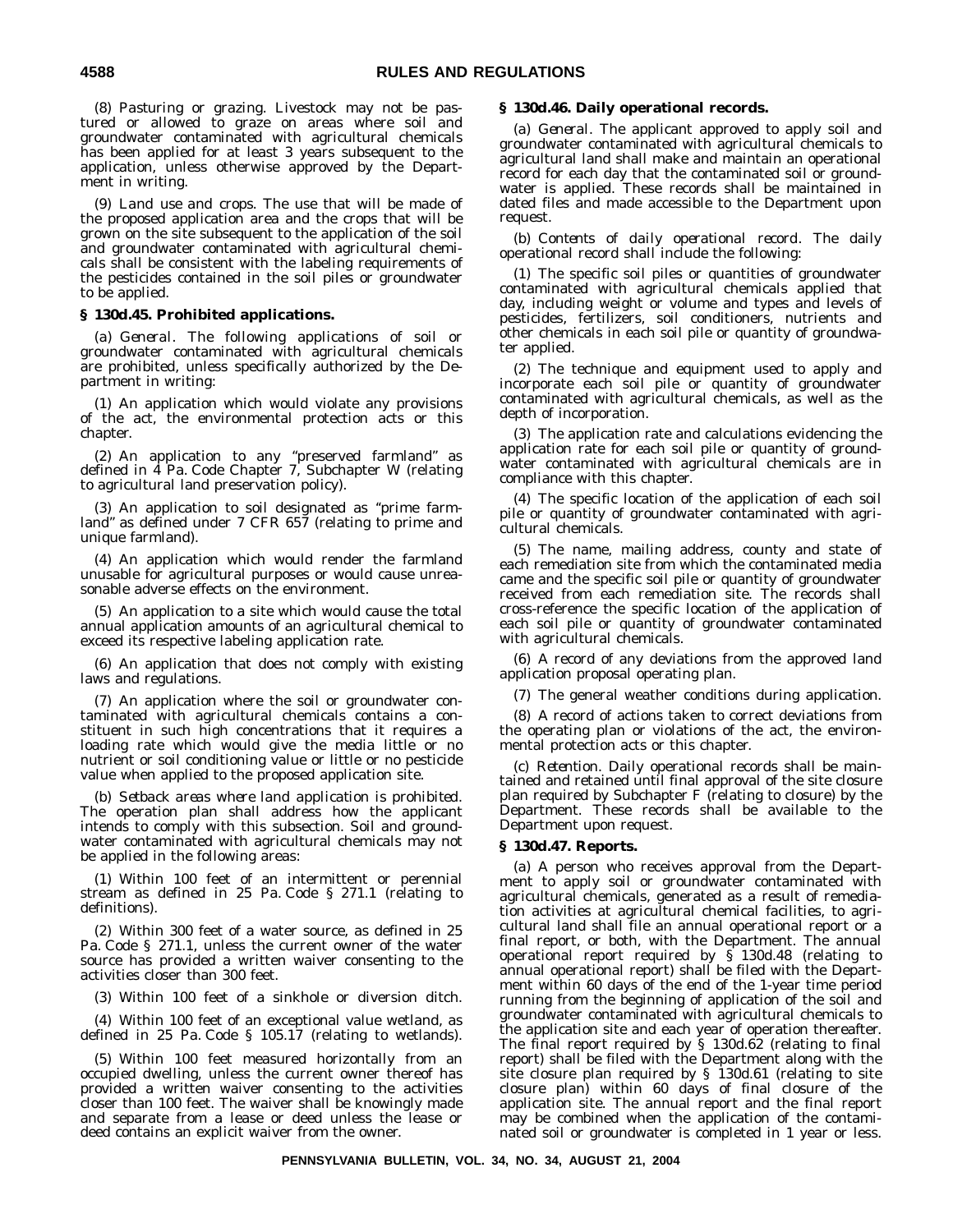(8) *Pasturing or grazing*. Livestock may not be pastured or allowed to graze on areas where soil and groundwater contaminated with agricultural chemicals has been applied for at least 3 years subsequent to the application, unless otherwise approved by the Department in writing.

(9) *Land use and crops*. The use that will be made of the proposed application area and the crops that will be grown on the site subsequent to the application of the soil and groundwater contaminated with agricultural chemicals shall be consistent with the labeling requirements of the pesticides contained in the soil piles or groundwater to be applied.

#### **§ 130d.45. Prohibited applications.**

(a) *General*. The following applications of soil or groundwater contaminated with agricultural chemicals are prohibited, unless specifically authorized by the Department in writing:

(1) An application which would violate any provisions of the act, the environmental protection acts or this chapter.

(2) An application to any ''preserved farmland'' as defined in 4 Pa. Code Chapter 7, Subchapter W (relating to agricultural land preservation policy).

(3) An application to soil designated as ''prime farmland'' as defined under 7 CFR 657 (relating to prime and unique farmland).

(4) An application which would render the farmland unusable for agricultural purposes or would cause unreasonable adverse effects on the environment.

(5) An application to a site which would cause the total annual application amounts of an agricultural chemical to exceed its respective labeling application rate.

(6) An application that does not comply with existing laws and regulations.

(7) An application where the soil or groundwater contaminated with agricultural chemicals contains a constituent in such high concentrations that it requires a loading rate which would give the media little or no nutrient or soil conditioning value or little or no pesticide value when applied to the proposed application site.

(b) *Setback areas where land application is prohibited*. The operation plan shall address how the applicant intends to comply with this subsection. Soil and groundwater contaminated with agricultural chemicals may not be applied in the following areas:

(1) Within 100 feet of an intermittent or perennial stream as defined in 25 Pa. Code § 271.1 (relating to definitions).

(2) Within 300 feet of a water source, as defined in 25 Pa. Code § 271.1, unless the current owner of the water source has provided a written waiver consenting to the activities closer than 300 feet.

(3) Within 100 feet of a sinkhole or diversion ditch.

(4) Within 100 feet of an exceptional value wetland, as defined in 25 Pa. Code § 105.17 (relating to wetlands).

(5) Within 100 feet measured horizontally from an occupied dwelling, unless the current owner thereof has provided a written waiver consenting to the activities closer than 100 feet. The waiver shall be knowingly made and separate from a lease or deed unless the lease or deed contains an explicit waiver from the owner.

#### **§ 130d.46. Daily operational records.**

(a) *General*. The applicant approved to apply soil and groundwater contaminated with agricultural chemicals to agricultural land shall make and maintain an operational record for each day that the contaminated soil or groundwater is applied. These records shall be maintained in dated files and made accessible to the Department upon request.

(b) *Contents of daily operational record*. The daily operational record shall include the following:

(1) The specific soil piles or quantities of groundwater contaminated with agricultural chemicals applied that day, including weight or volume and types and levels of pesticides, fertilizers, soil conditioners, nutrients and other chemicals in each soil pile or quantity of groundwater applied.

(2) The technique and equipment used to apply and incorporate each soil pile or quantity of groundwater contaminated with agricultural chemicals, as well as the depth of incorporation.

(3) The application rate and calculations evidencing the application rate for each soil pile or quantity of groundwater contaminated with agricultural chemicals are in compliance with this chapter.

(4) The specific location of the application of each soil pile or quantity of groundwater contaminated with agricultural chemicals.

(5) The name, mailing address, county and state of each remediation site from which the contaminated media came and the specific soil pile or quantity of groundwater received from each remediation site. The records shall cross-reference the specific location of the application of each soil pile or quantity of groundwater contaminated with agricultural chemicals.

(6) A record of any deviations from the approved land application proposal operating plan.

(7) The general weather conditions during application.

(8) A record of actions taken to correct deviations from the operating plan or violations of the act, the environmental protection acts or this chapter.

(c) *Retention*. Daily operational records shall be maintained and retained until final approval of the site closure plan required by Subchapter F (relating to closure) by the Department. These records shall be available to the Department upon request.

#### **§ 130d.47. Reports.**

(a) A person who receives approval from the Department to apply soil or groundwater contaminated with agricultural chemicals, generated as a result of remediation activities at agricultural chemical facilities, to agricultural land shall file an annual operational report or a final report, or both, with the Department. The annual operational report required by § 130d.48 (relating to annual operational report) shall be filed with the Department within 60 days of the end of the 1-year time period running from the beginning of application of the soil and groundwater contaminated with agricultural chemicals to the application site and each year of operation thereafter. The final report required by § 130d.62 (relating to final report) shall be filed with the Department along with the site closure plan required by § 130d.61 (relating to site closure plan) within 60 days of final closure of the application site. The annual report and the final report may be combined when the application of the contaminated soil or groundwater is completed in 1 year or less.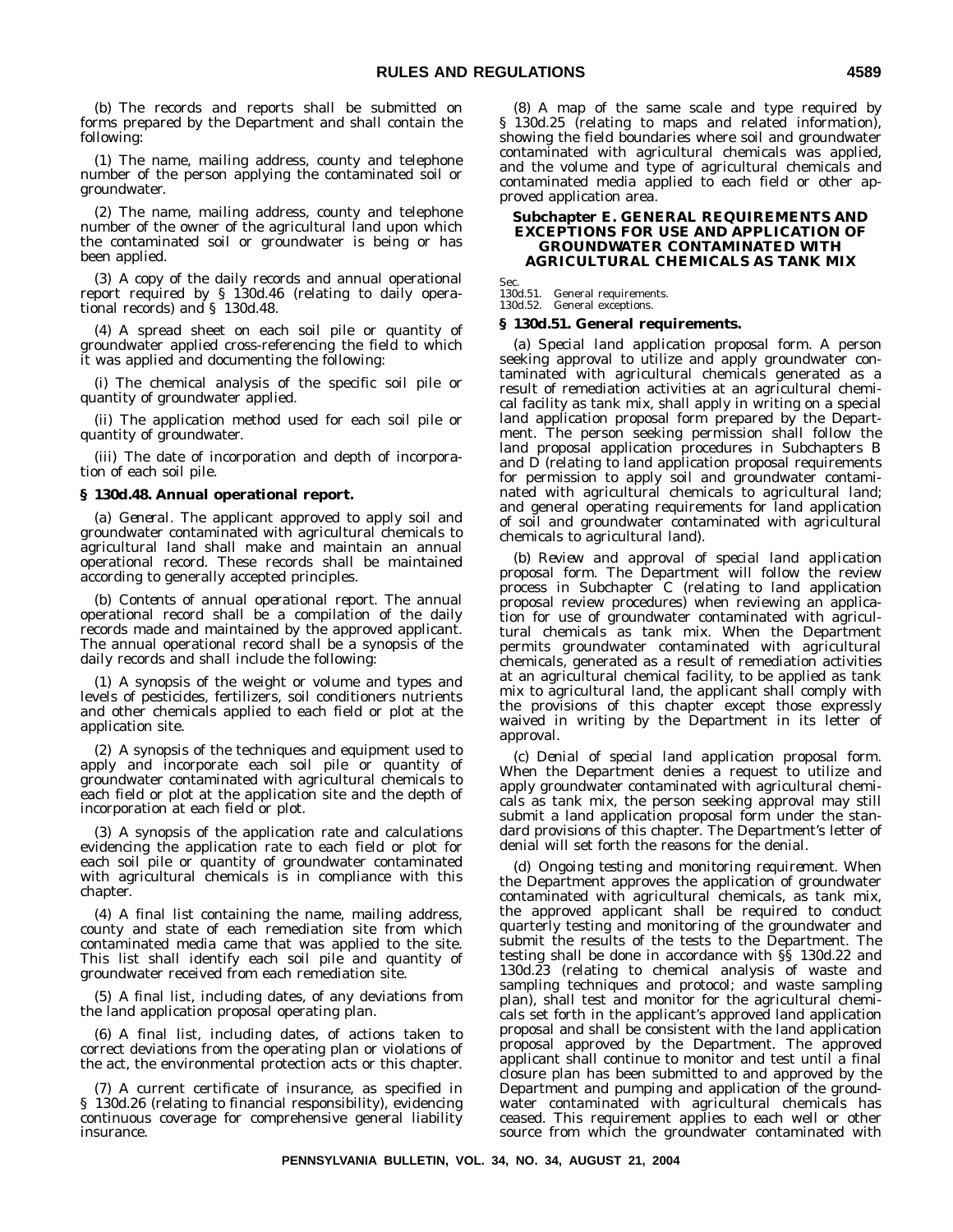(b) The records and reports shall be submitted on forms prepared by the Department and shall contain the following:

(1) The name, mailing address, county and telephone number of the person applying the contaminated soil or groundwater.

(2) The name, mailing address, county and telephone number of the owner of the agricultural land upon which the contaminated soil or groundwater is being or has been applied.

(3) A copy of the daily records and annual operational report required by § 130d.46 (relating to daily operational records) and § 130d.48.

(4) A spread sheet on each soil pile or quantity of groundwater applied cross-referencing the field to which it was applied and documenting the following:

(i) The chemical analysis of the specific soil pile or quantity of groundwater applied.

(ii) The application method used for each soil pile or quantity of groundwater.

(iii) The date of incorporation and depth of incorporation of each soil pile.

#### **§ 130d.48. Annual operational report.**

(a) *General*. The applicant approved to apply soil and groundwater contaminated with agricultural chemicals to agricultural land shall make and maintain an annual operational record. These records shall be maintained according to generally accepted principles.

(b) *Contents of annual operational report*. The annual operational record shall be a compilation of the daily records made and maintained by the approved applicant. The annual operational record shall be a synopsis of the daily records and shall include the following:

(1) A synopsis of the weight or volume and types and levels of pesticides, fertilizers, soil conditioners nutrients and other chemicals applied to each field or plot at the application site.

(2) A synopsis of the techniques and equipment used to apply and incorporate each soil pile or quantity of groundwater contaminated with agricultural chemicals to each field or plot at the application site and the depth of incorporation at each field or plot.

(3) A synopsis of the application rate and calculations evidencing the application rate to each field or plot for each soil pile or quantity of groundwater contaminated with agricultural chemicals is in compliance with this chapter.

(4) A final list containing the name, mailing address, county and state of each remediation site from which contaminated media came that was applied to the site. This list shall identify each soil pile and quantity of groundwater received from each remediation site.

(5) A final list, including dates, of any deviations from the land application proposal operating plan.

(6) A final list, including dates, of actions taken to correct deviations from the operating plan or violations of the act, the environmental protection acts or this chapter.

(7) A current certificate of insurance, as specified in § 130d.26 (relating to financial responsibility), evidencing continuous coverage for comprehensive general liability insurance.

(8) A map of the same scale and type required by § 130d.25 (relating to maps and related information), showing the field boundaries where soil and groundwater contaminated with agricultural chemicals was applied, and the volume and type of agricultural chemicals and contaminated media applied to each field or other approved application area.

#### **Subchapter E. GENERAL REQUIREMENTS AND EXCEPTIONS FOR USE AND APPLICATION OF GROUNDWATER CONTAMINATED WITH AGRICULTURAL CHEMICALS AS TANK MIX**

**Sec.** 

130d.51. General requirements. 130d.52. General exceptions.

#### **§ 130d.51. General requirements.**

(a) *Special land application proposal form*. A person seeking approval to utilize and apply groundwater contaminated with agricultural chemicals generated as a result of remediation activities at an agricultural chemical facility as tank mix, shall apply in writing on a special land application proposal form prepared by the Department. The person seeking permission shall follow the land proposal application procedures in Subchapters B and D (relating to land application proposal requirements for permission to apply soil and groundwater contaminated with agricultural chemicals to agricultural land; and general operating requirements for land application of soil and groundwater contaminated with agricultural chemicals to agricultural land).

(b) *Review and approval of special land application proposal form*. The Department will follow the review process in Subchapter C (relating to land application proposal review procedures) when reviewing an application for use of groundwater contaminated with agricultural chemicals as tank mix. When the Department permits groundwater contaminated with agricultural chemicals, generated as a result of remediation activities at an agricultural chemical facility, to be applied as tank mix to agricultural land, the applicant shall comply with the provisions of this chapter except those expressly waived in writing by the Department in its letter of approval.

(c) *Denial of special land application proposal form*. When the Department denies a request to utilize and apply groundwater contaminated with agricultural chemicals as tank mix, the person seeking approval may still submit a land application proposal form under the standard provisions of this chapter. The Department's letter of denial will set forth the reasons for the denial.

(d) *Ongoing testing and monitoring requirement*. When the Department approves the application of groundwater contaminated with agricultural chemicals, as tank mix, the approved applicant shall be required to conduct quarterly testing and monitoring of the groundwater and submit the results of the tests to the Department. The testing shall be done in accordance with §§ 130d.22 and 130d.23 (relating to chemical analysis of waste and sampling techniques and protocol; and waste sampling plan), shall test and monitor for the agricultural chemicals set forth in the applicant's approved land application proposal and shall be consistent with the land application proposal approved by the Department. The approved applicant shall continue to monitor and test until a final closure plan has been submitted to and approved by the Department and pumping and application of the groundwater contaminated with agricultural chemicals has ceased. This requirement applies to each well or other source from which the groundwater contaminated with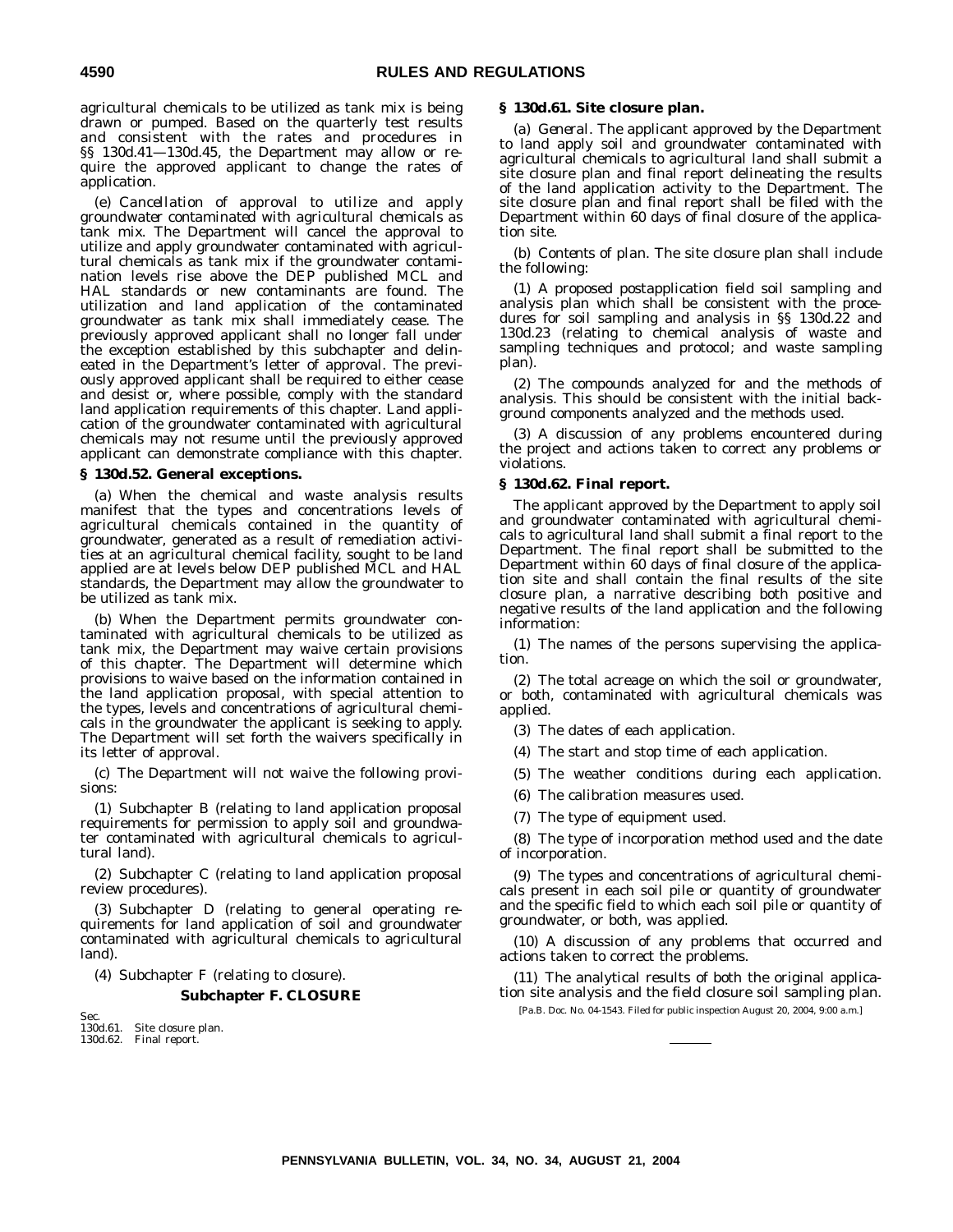agricultural chemicals to be utilized as tank mix is being drawn or pumped. Based on the quarterly test results and consistent with the rates and procedures in §§ 130d.41—130d.45, the Department may allow or require the approved applicant to change the rates of application.

(e) *Cancellation of approval to utilize and apply groundwater contaminated with agricultural chemicals as tank mix*. The Department will cancel the approval to utilize and apply groundwater contaminated with agricultural chemicals as tank mix if the groundwater contamination levels rise above the DEP published MCL and HAL standards or new contaminants are found. The utilization and land application of the contaminated groundwater as tank mix shall immediately cease. The previously approved applicant shall no longer fall under the exception established by this subchapter and delineated in the Department's letter of approval. The previously approved applicant shall be required to either cease and desist or, where possible, comply with the standard land application requirements of this chapter. Land application of the groundwater contaminated with agricultural chemicals may not resume until the previously approved applicant can demonstrate compliance with this chapter.

#### **§ 130d.52. General exceptions.**

(a) When the chemical and waste analysis results manifest that the types and concentrations levels of agricultural chemicals contained in the quantity of groundwater, generated as a result of remediation activities at an agricultural chemical facility, sought to be land applied are at levels below DEP published MCL and HAL standards, the Department may allow the groundwater to be utilized as tank mix.

(b) When the Department permits groundwater contaminated with agricultural chemicals to be utilized as tank mix, the Department may waive certain provisions of this chapter. The Department will determine which provisions to waive based on the information contained in the land application proposal, with special attention to the types, levels and concentrations of agricultural chemicals in the groundwater the applicant is seeking to apply. The Department will set forth the waivers specifically in its letter of approval.

(c) The Department will not waive the following provisions:

(1) Subchapter B (relating to land application proposal requirements for permission to apply soil and groundwater contaminated with agricultural chemicals to agricultural land).

(2) Subchapter C (relating to land application proposal review procedures).

(3) Subchapter D (relating to general operating requirements for land application of soil and groundwater contaminated with agricultural chemicals to agricultural land).

(4) Subchapter F (relating to closure).

#### **Subchapter F. CLOSURE**

| Sec. |                             |
|------|-----------------------------|
|      | 130d.61. Site closure plan. |
|      | 130d.62. Final report.      |

#### **§ 130d.61. Site closure plan.**

(a) *General*. The applicant approved by the Department to land apply soil and groundwater contaminated with agricultural chemicals to agricultural land shall submit a site closure plan and final report delineating the results of the land application activity to the Department. The site closure plan and final report shall be filed with the Department within 60 days of final closure of the application site.

(b) *Contents of plan*. The site closure plan shall include the following:

(1) A proposed postapplication field soil sampling and analysis plan which shall be consistent with the procedures for soil sampling and analysis in §§ 130d.22 and 130d.23 (relating to chemical analysis of waste and sampling techniques and protocol; and waste sampling plan).

(2) The compounds analyzed for and the methods of analysis. This should be consistent with the initial background components analyzed and the methods used.

(3) A discussion of any problems encountered during the project and actions taken to correct any problems or violations.

#### **§ 130d.62. Final report.**

The applicant approved by the Department to apply soil and groundwater contaminated with agricultural chemicals to agricultural land shall submit a final report to the Department. The final report shall be submitted to the Department within 60 days of final closure of the application site and shall contain the final results of the site closure plan, a narrative describing both positive and negative results of the land application and the following information:

(1) The names of the persons supervising the application.

(2) The total acreage on which the soil or groundwater, or both, contaminated with agricultural chemicals was applied.

(3) The dates of each application.

(4) The start and stop time of each application.

(5) The weather conditions during each application.

- (6) The calibration measures used.
- (7) The type of equipment used.

(8) The type of incorporation method used and the date of incorporation.

(9) The types and concentrations of agricultural chemicals present in each soil pile or quantity of groundwater and the specific field to which each soil pile or quantity of groundwater, or both, was applied.

(10) A discussion of any problems that occurred and actions taken to correct the problems.

(11) The analytical results of both the original application site analysis and the field closure soil sampling plan.

[Pa.B. Doc. No. 04-1543. Filed for public inspection August 20, 2004, 9:00 a.m.]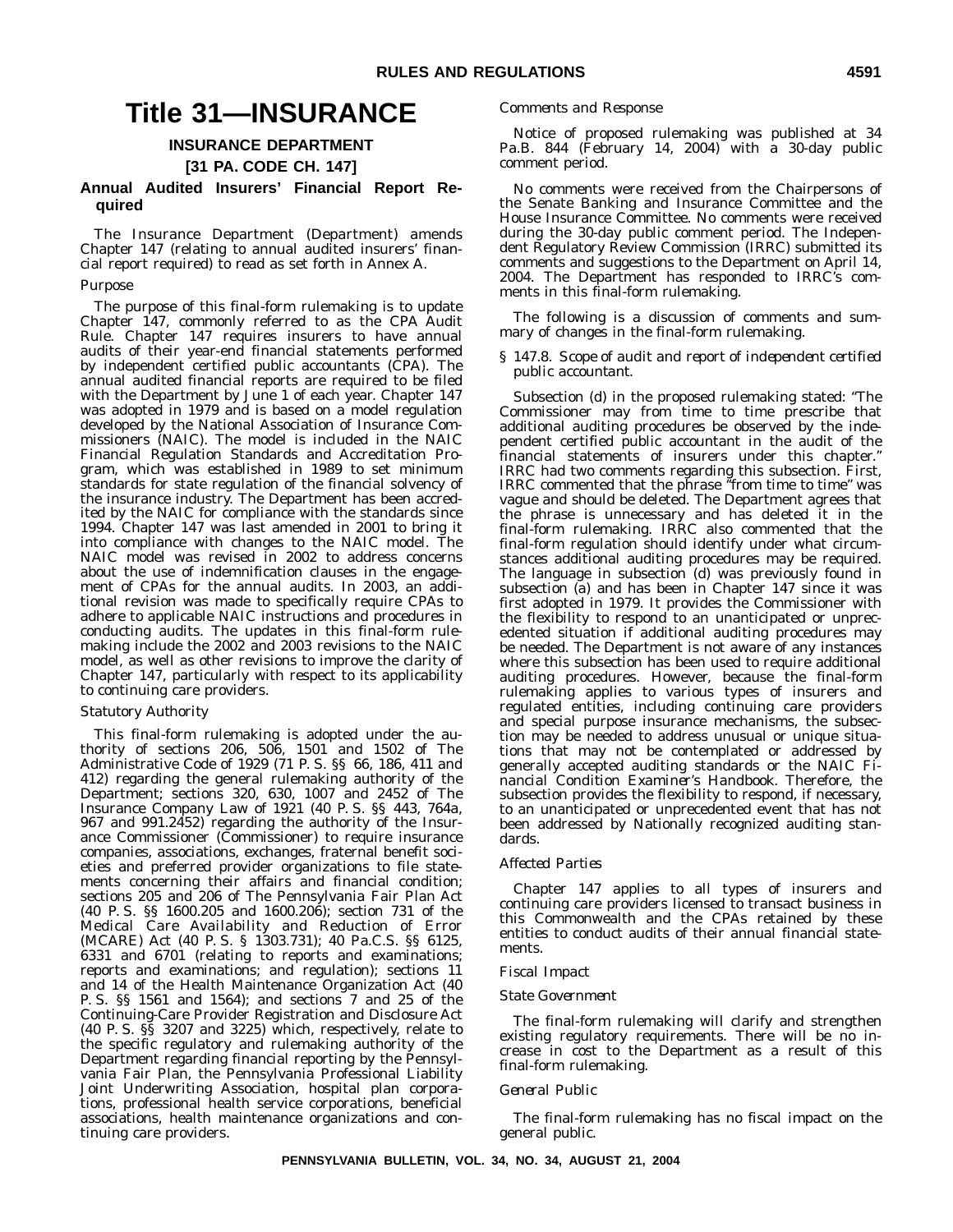### **Title 31—INSURANCE**

#### **INSURANCE DEPARTMENT**

**[31 PA. CODE CH. 147]**

#### **Annual Audited Insurers' Financial Report Required**

The Insurance Department (Department) amends Chapter 147 (relating to annual audited insurers' financial report required) to read as set forth in Annex A.

#### *Purpose*

The purpose of this final-form rulemaking is to update Chapter 147, commonly referred to as the CPA Audit Rule. Chapter 147 requires insurers to have annual audits of their year-end financial statements performed by independent certified public accountants (CPA). The annual audited financial reports are required to be filed with the Department by June 1 of each year. Chapter 147 was adopted in 1979 and is based on a model regulation developed by the National Association of Insurance Commissioners (NAIC). The model is included in the NAIC Financial Regulation Standards and Accreditation Program, which was established in 1989 to set minimum standards for state regulation of the financial solvency of the insurance industry. The Department has been accredited by the NAIC for compliance with the standards since 1994. Chapter 147 was last amended in 2001 to bring it into compliance with changes to the NAIC model. The NAIC model was revised in 2002 to address concerns about the use of indemnification clauses in the engagement of CPAs for the annual audits. In 2003, an additional revision was made to specifically require CPAs to adhere to applicable NAIC instructions and procedures in conducting audits. The updates in this final-form rulemaking include the 2002 and 2003 revisions to the NAIC model, as well as other revisions to improve the clarity of Chapter 147, particularly with respect to its applicability to continuing care providers.

#### *Statutory Authority*

This final-form rulemaking is adopted under the authority of sections 206, 506, 1501 and 1502 of The Administrative Code of 1929 (71 P. S. §§ 66, 186, 411 and 412) regarding the general rulemaking authority of the Department; sections 320, 630, 1007 and 2452 of The Insurance Company Law of 1921 (40 P. S. §§ 443, 764a, 967 and 991.2452) regarding the authority of the Insurance Commissioner (Commissioner) to require insurance companies, associations, exchanges, fraternal benefit societies and preferred provider organizations to file statements concerning their affairs and financial condition; sections 205 and 206 of The Pennsylvania Fair Plan Act (40 P. S. §§ 1600.205 and 1600.206); section 731 of the Medical Care Availability and Reduction of Error (MCARE) Act (40 P. S. § 1303.731); 40 Pa.C.S. §§ 6125, 6331 and 6701 (relating to reports and examinations; reports and examinations; and regulation); sections 11 and 14 of the Health Maintenance Organization Act (40 P. S. §§ 1561 and 1564); and sections 7 and 25 of the Continuing-Care Provider Registration and Disclosure Act (40 P. S. §§ 3207 and 3225) which, respectively, relate to the specific regulatory and rulemaking authority of the Department regarding financial reporting by the Pennsylvania Fair Plan, the Pennsylvania Professional Liability Joint Underwriting Association, hospital plan corporations, professional health service corporations, beneficial associations, health maintenance organizations and continuing care providers.

#### *Comments and Response*

Notice of proposed rulemaking was published at 34 Pa.B. 844 (February 14, 2004) with a 30-day public comment period.

No comments were received from the Chairpersons of the Senate Banking and Insurance Committee and the House Insurance Committee. No comments were received during the 30-day public comment period. The Independent Regulatory Review Commission (IRRC) submitted its comments and suggestions to the Department on April 14, 2004. The Department has responded to IRRC's comments in this final-form rulemaking.

The following is a discussion of comments and summary of changes in the final-form rulemaking.

#### *§ 147.8. Scope of audit and report of independent certified public accountant.*

Subsection (d) in the proposed rulemaking stated: ''The Commissioner may from time to time prescribe that additional auditing procedures be observed by the independent certified public accountant in the audit of the financial statements of insurers under this chapter.'' IRRC had two comments regarding this subsection. First, IRRC commented that the phrase ''from time to time'' was vague and should be deleted. The Department agrees that the phrase is unnecessary and has deleted it in the final-form rulemaking. IRRC also commented that the final-form regulation should identify under what circumstances additional auditing procedures may be required. The language in subsection (d) was previously found in subsection (a) and has been in Chapter 147 since it was first adopted in 1979. It provides the Commissioner with the flexibility to respond to an unanticipated or unprecedented situation if additional auditing procedures may be needed. The Department is not aware of any instances where this subsection has been used to require additional auditing procedures. However, because the final-form rulemaking applies to various types of insurers and regulated entities, including continuing care providers and special purpose insurance mechanisms, the subsection may be needed to address unusual or unique situations that may not be contemplated or addressed by generally accepted auditing standards or the NAIC *Financial Condition Examiner's Handbook*. Therefore, the subsection provides the flexibility to respond, if necessary, to an unanticipated or unprecedented event that has not been addressed by Nationally recognized auditing standards.

#### *Affected Parties*

Chapter 147 applies to all types of insurers and continuing care providers licensed to transact business in this Commonwealth and the CPAs retained by these entities to conduct audits of their annual financial statements.

#### *Fiscal Impact*

#### *State Government*

The final-form rulemaking will clarify and strengthen existing regulatory requirements. There will be no increase in cost to the Department as a result of this final-form rulemaking.

#### *General Public*

The final-form rulemaking has no fiscal impact on the general public.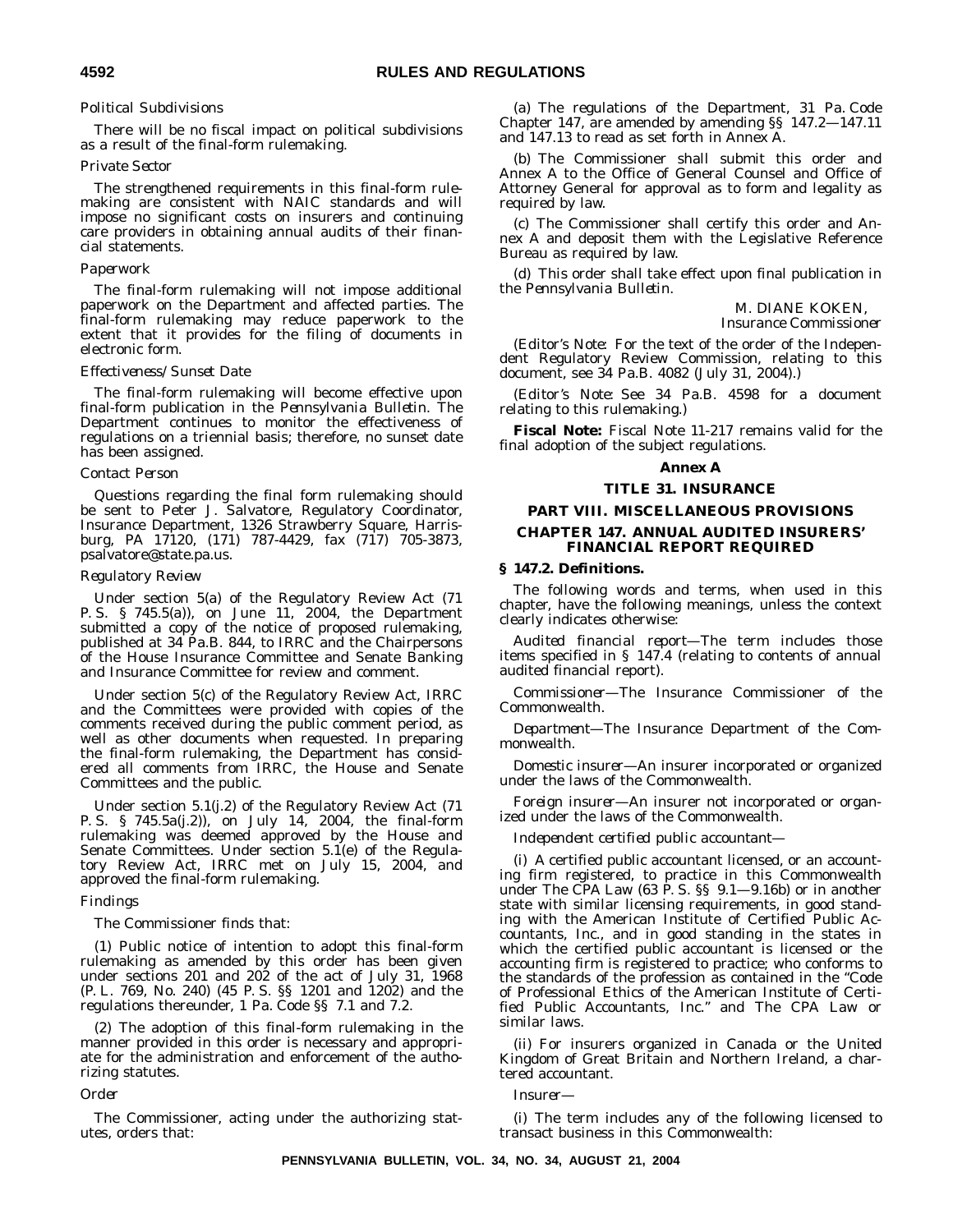#### *Political Subdivisions*

There will be no fiscal impact on political subdivisions as a result of the final-form rulemaking.

#### *Private Sector*

The strengthened requirements in this final-form rulemaking are consistent with NAIC standards and will impose no significant costs on insurers and continuing care providers in obtaining annual audits of their financial statements.

#### *Paperwork*

The final-form rulemaking will not impose additional paperwork on the Department and affected parties. The final-form rulemaking may reduce paperwork to the extent that it provides for the filing of documents in electronic form.

#### *Effectiveness/Sunset Date*

The final-form rulemaking will become effective upon final-form publication in the *Pennsylvania Bulletin*. The Department continues to monitor the effectiveness of regulations on a triennial basis; therefore, no sunset date has been assigned.

#### *Contact Person*

Questions regarding the final form rulemaking should be sent to Peter J. Salvatore, Regulatory Coordinator, Insurance Department, 1326 Strawberry Square, Harrisburg, PA 17120, (171) 787-4429, fax (717) 705-3873, psalvatore@state.pa.us.

#### *Regulatory Review*

Under section 5(a) of the Regulatory Review Act (71 P. S. § 745.5(a)), on June 11, 2004, the Department submitted a copy of the notice of proposed rulemaking, published at 34 Pa.B. 844, to IRRC and the Chairpersons of the House Insurance Committee and Senate Banking and Insurance Committee for review and comment.

Under section 5(c) of the Regulatory Review Act, IRRC and the Committees were provided with copies of the comments received during the public comment period, as well as other documents when requested. In preparing the final-form rulemaking, the Department has considered all comments from IRRC, the House and Senate Committees and the public.

Under section 5.1(j.2) of the Regulatory Review Act (71 P. S. § 745.5a(j.2)), on July 14, 2004, the final-form rulemaking was deemed approved by the House and Senate Committees. Under section  $5.\check{1}(e)$  of the Regulatory Review Act, IRRC met on July 15, 2004, and approved the final-form rulemaking.

#### *Findings*

The Commissioner finds that:

(1) Public notice of intention to adopt this final-form rulemaking as amended by this order has been given under sections 201 and 202 of the act of July 31, 1968 (P. L. 769, No. 240) (45 P. S. §§ 1201 and 1202) and the regulations thereunder, 1 Pa. Code §§ 7.1 and 7.2.

(2) The adoption of this final-form rulemaking in the manner provided in this order is necessary and appropriate for the administration and enforcement of the authorizing statutes.

#### *Order*

The Commissioner, acting under the authorizing statutes, orders that:

(a) The regulations of the Department, 31 Pa. Code Chapter 147, are amended by amending §§ 147.2—147.11 and 147.13 to read as set forth in Annex A.

(b) The Commissioner shall submit this order and Annex A to the Office of General Counsel and Office of Attorney General for approval as to form and legality as required by law.

(c) The Commissioner shall certify this order and Annex A and deposit them with the Legislative Reference Bureau as required by law.

(d) This order shall take effect upon final publication in the *Pennsylvania Bulletin*.

#### M. DIANE KOKEN, *Insurance Commissioner*

(*Editor's Note:* For the text of the order of the Independent Regulatory Review Commission, relating to this document, see 34 Pa.B. 4082 (July 31, 2004).)

(*Editor's Note:* See 34 Pa.B. 4598 for a document relating to this rulemaking.)

**Fiscal Note:** Fiscal Note 11-217 remains valid for the final adoption of the subject regulations.

#### **Annex A**

#### **TITLE 31. INSURANCE**

#### **PART VIII. MISCELLANEOUS PROVISIONS**

#### **CHAPTER 147. ANNUAL AUDITED INSURERS' FINANCIAL REPORT REQUIRED**

#### **§ 147.2. Definitions.**

The following words and terms, when used in this chapter, have the following meanings, unless the context clearly indicates otherwise:

*Audited financial report*—The term includes those items specified in § 147.4 (relating to contents of annual audited financial report).

*Commissioner*—The Insurance Commissioner of the Commonwealth.

*Department*—The Insurance Department of the Commonwealth.

*Domestic insurer*—An insurer incorporated or organized under the laws of the Commonwealth.

*Foreign insurer*—An insurer not incorporated or organized under the laws of the Commonwealth.

*Independent certified public accountant*—

(i) A certified public accountant licensed, or an accounting firm registered, to practice in this Commonwealth under The CPA Law (63 P. S. §§ 9.1—9.16b) or in another state with similar licensing requirements, in good standing with the American Institute of Certified Public Accountants, Inc., and in good standing in the states in which the certified public accountant is licensed or the accounting firm is registered to practice; who conforms to the standards of the profession as contained in the ''Code of Professional Ethics of the American Institute of Certified Public Accountants, Inc.'' and The CPA Law or similar laws.

(ii) For insurers organized in Canada or the United Kingdom of Great Britain and Northern Ireland, a chartered accountant.

*Insurer*—

(i) The term includes any of the following licensed to transact business in this Commonwealth: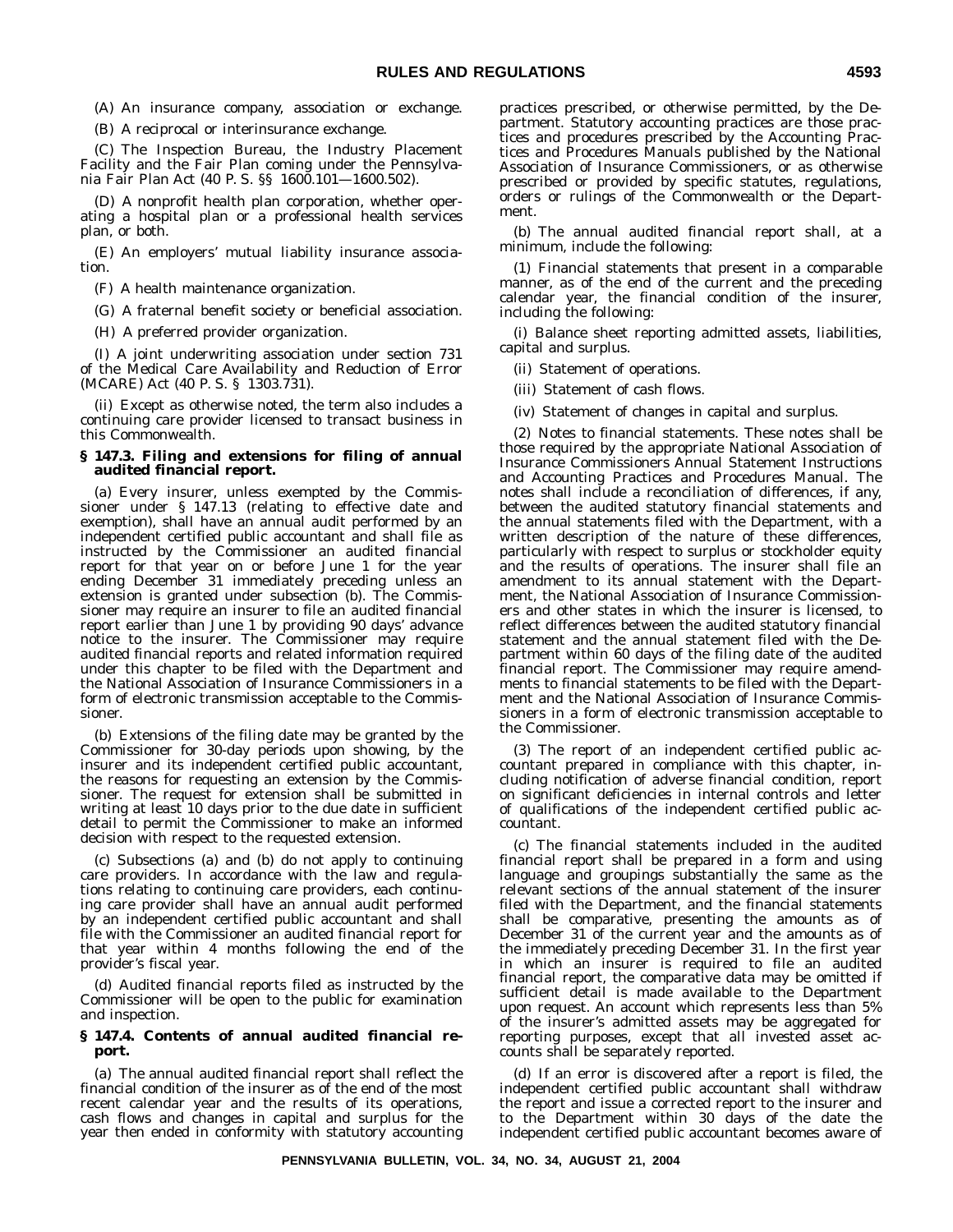(A) An insurance company, association or exchange.

(B) A reciprocal or interinsurance exchange.

(C) The Inspection Bureau, the Industry Placement Facility and the Fair Plan coming under the Pennsylvania Fair Plan Act (40 P. S. §§ 1600.101—1600.502).

(D) A nonprofit health plan corporation, whether operating a hospital plan or a professional health services plan, or both.

(E) An employers' mutual liability insurance association.

(F) A health maintenance organization.

(G) A fraternal benefit society or beneficial association.

(H) A preferred provider organization.

(I) A joint underwriting association under section 731 of the Medical Care Availability and Reduction of Error (MCARE) Act (40 P. S. § 1303.731).

(ii) Except as otherwise noted, the term also includes a continuing care provider licensed to transact business in this Commonwealth.

#### **§ 147.3. Filing and extensions for filing of annual audited financial report.**

(a) Every insurer, unless exempted by the Commissioner under § 147.13 (relating to effective date and exemption), shall have an annual audit performed by an independent certified public accountant and shall file as instructed by the Commissioner an audited financial report for that year on or before June 1 for the year ending December 31 immediately preceding unless an extension is granted under subsection (b). The Commissioner may require an insurer to file an audited financial report earlier than June 1 by providing 90 days' advance notice to the insurer. The Commissioner may require audited financial reports and related information required under this chapter to be filed with the Department and the National Association of Insurance Commissioners in a form of electronic transmission acceptable to the Commissioner.

(b) Extensions of the filing date may be granted by the Commissioner for 30-day periods upon showing, by the insurer and its independent certified public accountant, the reasons for requesting an extension by the Commissioner. The request for extension shall be submitted in writing at least 10 days prior to the due date in sufficient detail to permit the Commissioner to make an informed decision with respect to the requested extension.

(c) Subsections (a) and (b) do not apply to continuing care providers. In accordance with the law and regulations relating to continuing care providers, each continuing care provider shall have an annual audit performed by an independent certified public accountant and shall file with the Commissioner an audited financial report for that year within 4 months following the end of the provider's fiscal year.

(d) Audited financial reports filed as instructed by the Commissioner will be open to the public for examination and inspection.

#### **§ 147.4. Contents of annual audited financial report.**

(a) The annual audited financial report shall reflect the financial condition of the insurer as of the end of the most recent calendar year and the results of its operations, cash flows and changes in capital and surplus for the year then ended in conformity with statutory accounting practices prescribed, or otherwise permitted, by the Department. Statutory accounting practices are those practices and procedures prescribed by the Accounting Practices and Procedures Manuals published by the National Association of Insurance Commissioners, or as otherwise prescribed or provided by specific statutes, regulations, orders or rulings of the Commonwealth or the Department.

(b) The annual audited financial report shall, at a minimum, include the following:

(1) Financial statements that present in a comparable manner, as of the end of the current and the preceding calendar year, the financial condition of the insurer, including the following:

(i) Balance sheet reporting admitted assets, liabilities, capital and surplus.

(ii) Statement of operations.

- (iii) Statement of cash flows.
- (iv) Statement of changes in capital and surplus.

(2) Notes to financial statements. These notes shall be those required by the appropriate National Association of Insurance Commissioners Annual Statement Instructions and Accounting Practices and Procedures Manual. The notes shall include a reconciliation of differences, if any, between the audited statutory financial statements and the annual statements filed with the Department, with a written description of the nature of these differences, particularly with respect to surplus or stockholder equity and the results of operations. The insurer shall file an amendment to its annual statement with the Department, the National Association of Insurance Commissioners and other states in which the insurer is licensed, to reflect differences between the audited statutory financial statement and the annual statement filed with the Department within 60 days of the filing date of the audited financial report. The Commissioner may require amendments to financial statements to be filed with the Department and the National Association of Insurance Commissioners in a form of electronic transmission acceptable to the Commissioner.

(3) The report of an independent certified public accountant prepared in compliance with this chapter, including notification of adverse financial condition, report on significant deficiencies in internal controls and letter of qualifications of the independent certified public accountant.

(c) The financial statements included in the audited financial report shall be prepared in a form and using language and groupings substantially the same as the relevant sections of the annual statement of the insurer filed with the Department, and the financial statements shall be comparative, presenting the amounts as of December 31 of the current year and the amounts as of the immediately preceding December 31. In the first year in which an insurer is required to file an audited financial report, the comparative data may be omitted if sufficient detail is made available to the Department upon request. An account which represents less than 5% of the insurer's admitted assets may be aggregated for reporting purposes, except that all invested asset accounts shall be separately reported.

(d) If an error is discovered after a report is filed, the independent certified public accountant shall withdraw the report and issue a corrected report to the insurer and to the Department within 30 days of the date the independent certified public accountant becomes aware of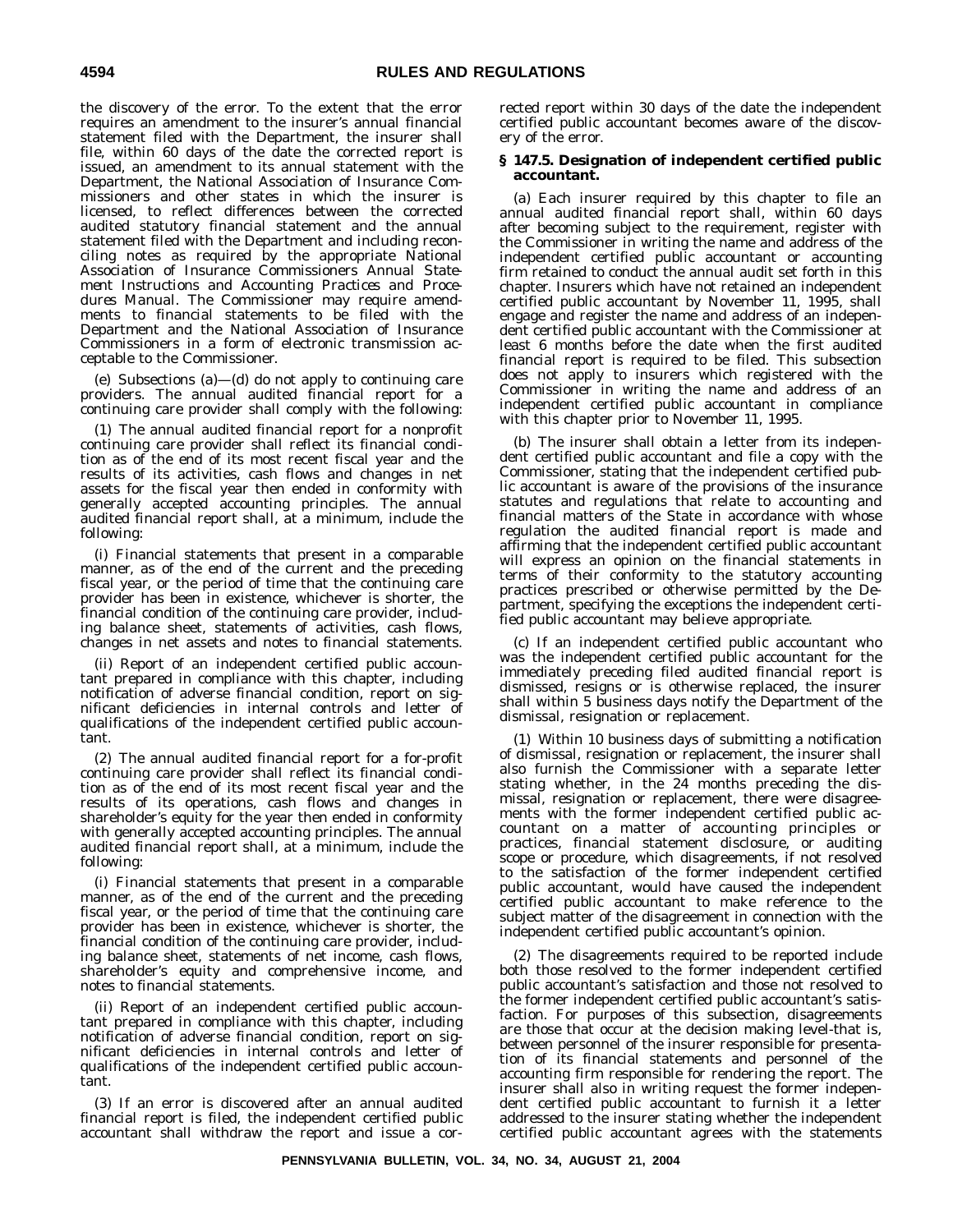the discovery of the error. To the extent that the error requires an amendment to the insurer's annual financial statement filed with the Department, the insurer shall file, within 60 days of the date the corrected report is issued, an amendment to its annual statement with the Department, the National Association of Insurance Commissioners and other states in which the insurer is licensed, to reflect differences between the corrected audited statutory financial statement and the annual statement filed with the Department and including reconciling notes as required by the appropriate National Association of Insurance Commissioners *Annual Statement Instructions* and *Accounting Practices and Procedures Manual.* The Commissioner may require amendments to financial statements to be filed with the Department and the National Association of Insurance Commissioners in a form of electronic transmission acceptable to the Commissioner.

(e) Subsections (a)—(d) do not apply to continuing care providers. The annual audited financial report for a continuing care provider shall comply with the following:

(1) The annual audited financial report for a nonprofit continuing care provider shall reflect its financial condition as of the end of its most recent fiscal year and the results of its activities, cash flows and changes in net assets for the fiscal year then ended in conformity with generally accepted accounting principles. The annual audited financial report shall, at a minimum, include the following:

(i) Financial statements that present in a comparable manner, as of the end of the current and the preceding fiscal year, or the period of time that the continuing care provider has been in existence, whichever is shorter, the financial condition of the continuing care provider, including balance sheet, statements of activities, cash flows, changes in net assets and notes to financial statements.

(ii) Report of an independent certified public accountant prepared in compliance with this chapter, including notification of adverse financial condition, report on significant deficiencies in internal controls and letter of qualifications of the independent certified public accountant.

(2) The annual audited financial report for a for-profit continuing care provider shall reflect its financial condition as of the end of its most recent fiscal year and the results of its operations, cash flows and changes in shareholder's equity for the year then ended in conformity with generally accepted accounting principles. The annual audited financial report shall, at a minimum, include the following:

(i) Financial statements that present in a comparable manner, as of the end of the current and the preceding fiscal year, or the period of time that the continuing care provider has been in existence, whichever is shorter, the financial condition of the continuing care provider, including balance sheet, statements of net income, cash flows, shareholder's equity and comprehensive income, and notes to financial statements.

(ii) Report of an independent certified public accountant prepared in compliance with this chapter, including notification of adverse financial condition, report on significant deficiencies in internal controls and letter of qualifications of the independent certified public accountant.

(3) If an error is discovered after an annual audited financial report is filed, the independent certified public accountant shall withdraw the report and issue a corrected report within 30 days of the date the independent certified public accountant becomes aware of the discovery of the error.

#### **§ 147.5. Designation of independent certified public accountant.**

(a) Each insurer required by this chapter to file an annual audited financial report shall, within 60 days after becoming subject to the requirement, register with the Commissioner in writing the name and address of the independent certified public accountant or accounting firm retained to conduct the annual audit set forth in this chapter. Insurers which have not retained an independent certified public accountant by November 11, 1995, shall engage and register the name and address of an independent certified public accountant with the Commissioner at least 6 months before the date when the first audited financial report is required to be filed. This subsection does not apply to insurers which registered with the Commissioner in writing the name and address of an independent certified public accountant in compliance with this chapter prior to November 11, 1995.

(b) The insurer shall obtain a letter from its independent certified public accountant and file a copy with the Commissioner, stating that the independent certified public accountant is aware of the provisions of the insurance statutes and regulations that relate to accounting and financial matters of the State in accordance with whose regulation the audited financial report is made and affirming that the independent certified public accountant will express an opinion on the financial statements in terms of their conformity to the statutory accounting practices prescribed or otherwise permitted by the Department, specifying the exceptions the independent certified public accountant may believe appropriate.

(c) If an independent certified public accountant who was the independent certified public accountant for the immediately preceding filed audited financial report is dismissed, resigns or is otherwise replaced, the insurer shall within 5 business days notify the Department of the dismissal, resignation or replacement.

(1) Within 10 business days of submitting a notification of dismissal, resignation or replacement, the insurer shall also furnish the Commissioner with a separate letter stating whether, in the 24 months preceding the dismissal, resignation or replacement, there were disagreements with the former independent certified public accountant on a matter of accounting principles or practices, financial statement disclosure, or auditing scope or procedure, which disagreements, if not resolved to the satisfaction of the former independent certified public accountant, would have caused the independent certified public accountant to make reference to the subject matter of the disagreement in connection with the independent certified public accountant's opinion.

(2) The disagreements required to be reported include both those resolved to the former independent certified public accountant's satisfaction and those not resolved to the former independent certified public accountant's satisfaction. For purposes of this subsection, disagreements are those that occur at the decision making level-that is, between personnel of the insurer responsible for presentation of its financial statements and personnel of the accounting firm responsible for rendering the report. The insurer shall also in writing request the former independent certified public accountant to furnish it a letter addressed to the insurer stating whether the independent certified public accountant agrees with the statements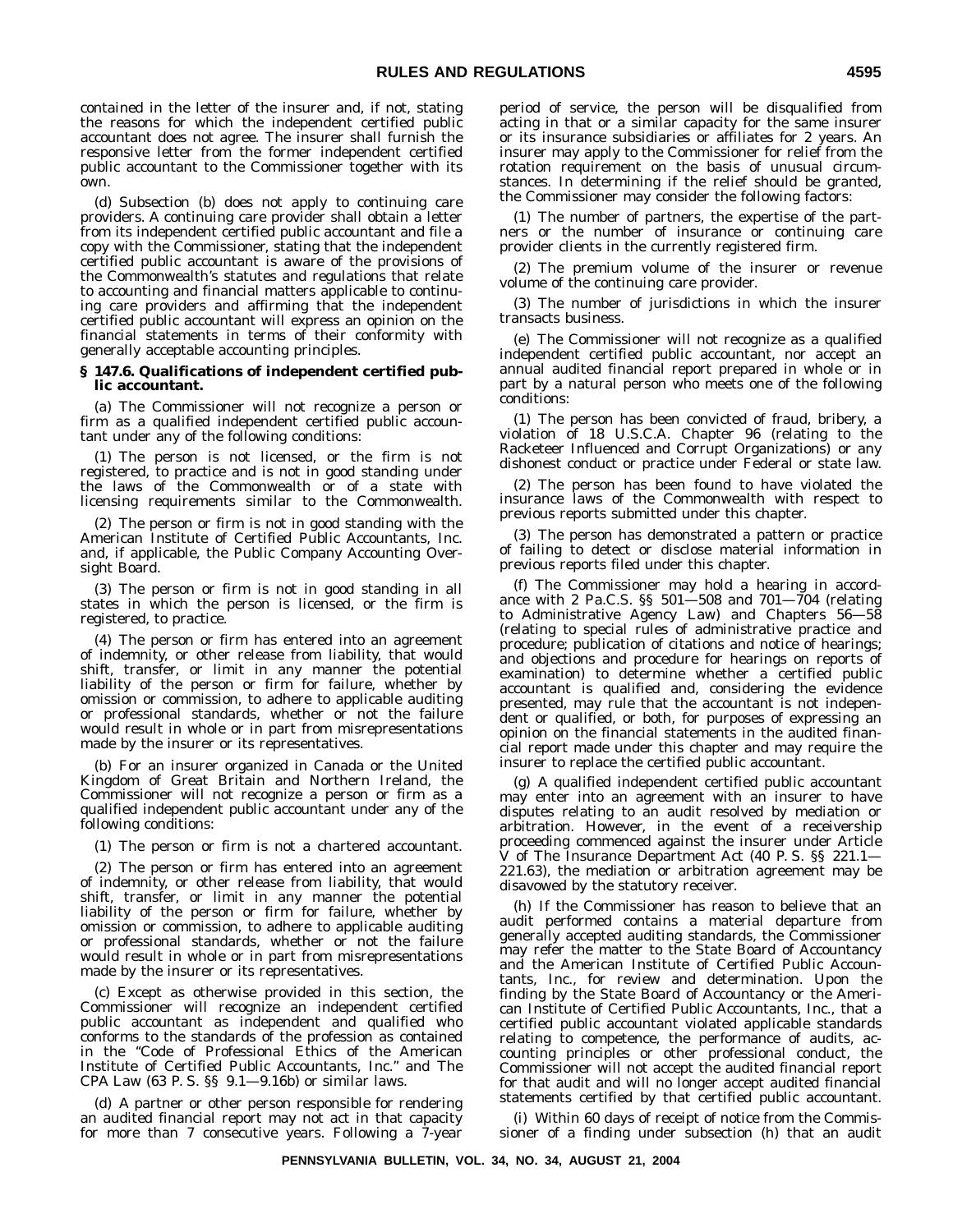contained in the letter of the insurer and, if not, stating the reasons for which the independent certified public accountant does not agree. The insurer shall furnish the responsive letter from the former independent certified public accountant to the Commissioner together with its own.

(d) Subsection (b) does not apply to continuing care providers. A continuing care provider shall obtain a letter from its independent certified public accountant and file a copy with the Commissioner, stating that the independent certified public accountant is aware of the provisions of the Commonwealth's statutes and regulations that relate to accounting and financial matters applicable to continuing care providers and affirming that the independent certified public accountant will express an opinion on the financial statements in terms of their conformity with generally acceptable accounting principles.

#### **§ 147.6. Qualifications of independent certified public accountant.**

(a) The Commissioner will not recognize a person or firm as a qualified independent certified public accountant under any of the following conditions:

(1) The person is not licensed, or the firm is not registered, to practice and is not in good standing under the laws of the Commonwealth or of a state with licensing requirements similar to the Commonwealth.

(2) The person or firm is not in good standing with the American Institute of Certified Public Accountants, Inc. and, if applicable, the Public Company Accounting Oversight Board.

(3) The person or firm is not in good standing in all states in which the person is licensed, or the firm is registered, to practice.

(4) The person or firm has entered into an agreement of indemnity, or other release from liability, that would shift, transfer, or limit in any manner the potential liability of the person or firm for failure, whether by omission or commission, to adhere to applicable auditing or professional standards, whether or not the failure would result in whole or in part from misrepresentations made by the insurer or its representatives.

(b) For an insurer organized in Canada or the United Kingdom of Great Britain and Northern Ireland, the Commissioner will not recognize a person or firm as a qualified independent public accountant under any of the following conditions:

(1) The person or firm is not a chartered accountant.

(2) The person or firm has entered into an agreement of indemnity, or other release from liability, that would shift, transfer, or limit in any manner the potential liability of the person or firm for failure, whether by omission or commission, to adhere to applicable auditing or professional standards, whether or not the failure would result in whole or in part from misrepresentations made by the insurer or its representatives.

(c) Except as otherwise provided in this section, the Commissioner will recognize an independent certified public accountant as independent and qualified who conforms to the standards of the profession as contained in the ''Code of Professional Ethics of the American Institute of Certified Public Accountants, Inc.'' and The CPA Law (63 P. S. §§ 9.1—9.16b) or similar laws.

(d) A partner or other person responsible for rendering an audited financial report may not act in that capacity for more than 7 consecutive years. Following a 7-year period of service, the person will be disqualified from acting in that or a similar capacity for the same insurer or its insurance subsidiaries or affiliates for 2 years. An insurer may apply to the Commissioner for relief from the rotation requirement on the basis of unusual circumstances. In determining if the relief should be granted, the Commissioner may consider the following factors:

(1) The number of partners, the expertise of the partners or the number of insurance or continuing care provider clients in the currently registered firm.

(2) The premium volume of the insurer or revenue volume of the continuing care provider.

(3) The number of jurisdictions in which the insurer transacts business.

(e) The Commissioner will not recognize as a qualified independent certified public accountant, nor accept an annual audited financial report prepared in whole or in part by a natural person who meets one of the following conditions:

(1) The person has been convicted of fraud, bribery, a violation of 18 U.S.C.A. Chapter 96 (relating to the Racketeer Influenced and Corrupt Organizations) or any dishonest conduct or practice under Federal or state law.

(2) The person has been found to have violated the insurance laws of the Commonwealth with respect to previous reports submitted under this chapter.

(3) The person has demonstrated a pattern or practice of failing to detect or disclose material information in previous reports filed under this chapter.

(f) The Commissioner may hold a hearing in accordance with 2 Pa.C.S. §§ 501—508 and 701—704 (relating to Administrative Agency Law) and Chapters 56—58 (relating to special rules of administrative practice and procedure; publication of citations and notice of hearings; and objections and procedure for hearings on reports of examination) to determine whether a certified public accountant is qualified and, considering the evidence presented, may rule that the accountant is not independent or qualified, or both, for purposes of expressing an opinion on the financial statements in the audited financial report made under this chapter and may require the insurer to replace the certified public accountant.

(g) A qualified independent certified public accountant may enter into an agreement with an insurer to have disputes relating to an audit resolved by mediation or arbitration. However, in the event of a receivership proceeding commenced against the insurer under Article V of The Insurance Department Act (40 P. S. §§ 221.1— 221.63), the mediation or arbitration agreement may be disavowed by the statutory receiver.

(h) If the Commissioner has reason to believe that an audit performed contains a material departure from generally accepted auditing standards, the Commissioner may refer the matter to the State Board of Accountancy and the American Institute of Certified Public Accountants, Inc., for review and determination. Upon the finding by the State Board of Accountancy or the American Institute of Certified Public Accountants, Inc., that a certified public accountant violated applicable standards relating to competence, the performance of audits, accounting principles or other professional conduct, the Commissioner will not accept the audited financial report for that audit and will no longer accept audited financial statements certified by that certified public accountant.

(i) Within 60 days of receipt of notice from the Commissioner of a finding under subsection (h) that an audit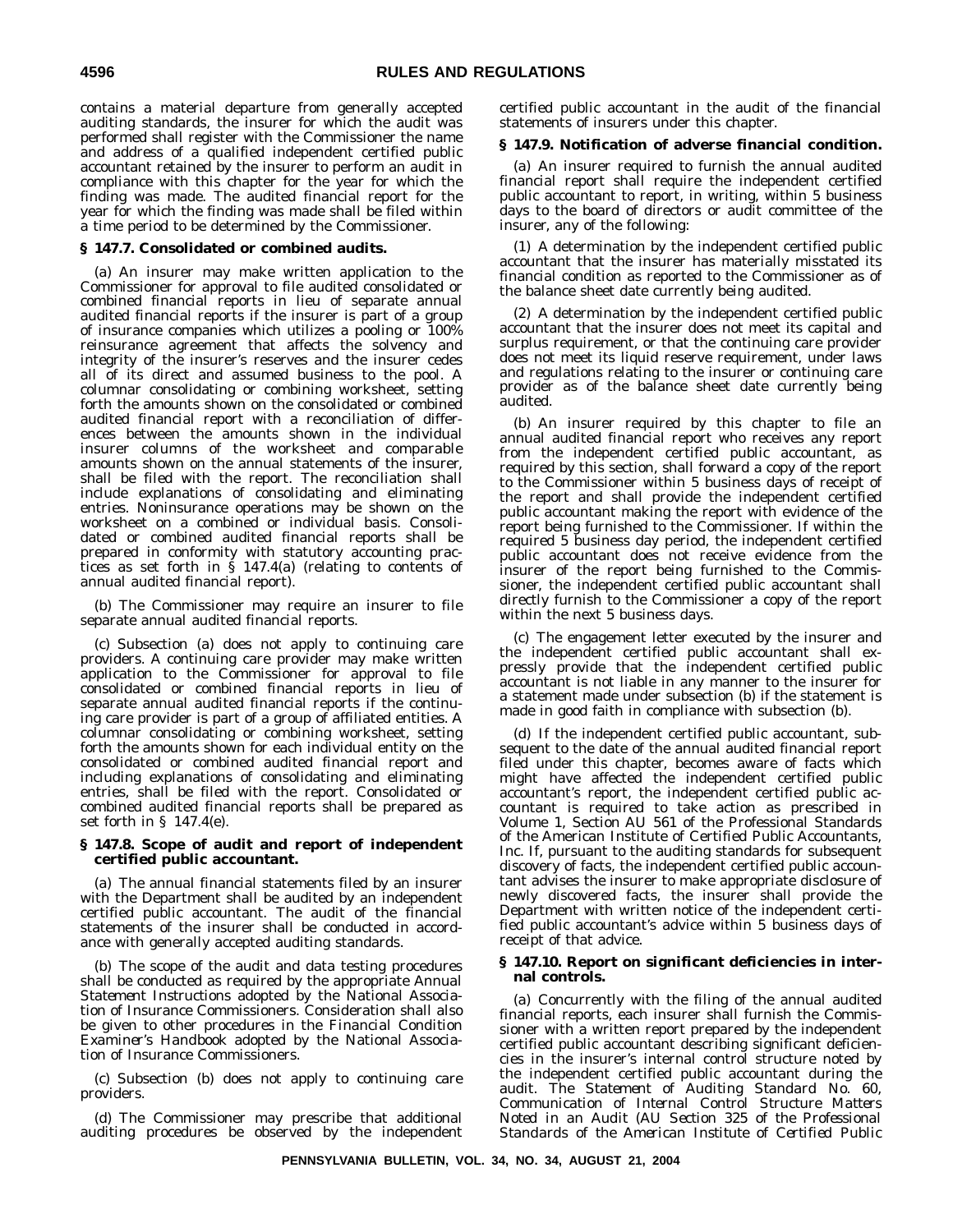contains a material departure from generally accepted auditing standards, the insurer for which the audit was performed shall register with the Commissioner the name and address of a qualified independent certified public accountant retained by the insurer to perform an audit in compliance with this chapter for the year for which the finding was made. The audited financial report for the year for which the finding was made shall be filed within a time period to be determined by the Commissioner.

#### **§ 147.7. Consolidated or combined audits.**

(a) An insurer may make written application to the Commissioner for approval to file audited consolidated or combined financial reports in lieu of separate annual audited financial reports if the insurer is part of a group of insurance companies which utilizes a pooling or 100% reinsurance agreement that affects the solvency and integrity of the insurer's reserves and the insurer cedes all of its direct and assumed business to the pool. A columnar consolidating or combining worksheet, setting forth the amounts shown on the consolidated or combined audited financial report with a reconciliation of differences between the amounts shown in the individual insurer columns of the worksheet and comparable amounts shown on the annual statements of the insurer, shall be filed with the report. The reconciliation shall include explanations of consolidating and eliminating entries. Noninsurance operations may be shown on the worksheet on a combined or individual basis. Consolidated or combined audited financial reports shall be prepared in conformity with statutory accounting practices as set forth in § 147.4(a) (relating to contents of annual audited financial report).

(b) The Commissioner may require an insurer to file separate annual audited financial reports.

(c) Subsection (a) does not apply to continuing care providers. A continuing care provider may make written application to the Commissioner for approval to file consolidated or combined financial reports in lieu of separate annual audited financial reports if the continuing care provider is part of a group of affiliated entities. A columnar consolidating or combining worksheet, setting forth the amounts shown for each individual entity on the consolidated or combined audited financial report and including explanations of consolidating and eliminating entries, shall be filed with the report. Consolidated or combined audited financial reports shall be prepared as set forth in § 147.4(e).

#### **§ 147.8. Scope of audit and report of independent certified public accountant.**

(a) The annual financial statements filed by an insurer with the Department shall be audited by an independent certified public accountant. The audit of the financial statements of the insurer shall be conducted in accordance with generally accepted auditing standards.

(b) The scope of the audit and data testing procedures shall be conducted as required by the appropriate *Annual Statement Instructions* adopted by the National Association of Insurance Commissioners. Consideration shall also be given to other procedures in the *Financial Condition Examiner's Handbook* adopted by the National Association of Insurance Commissioners.

(c) Subsection (b) does not apply to continuing care providers.

(d) The Commissioner may prescribe that additional auditing procedures be observed by the independent certified public accountant in the audit of the financial statements of insurers under this chapter.

#### **§ 147.9. Notification of adverse financial condition.**

(a) An insurer required to furnish the annual audited financial report shall require the independent certified public accountant to report, in writing, within 5 business days to the board of directors or audit committee of the insurer, any of the following:

(1) A determination by the independent certified public accountant that the insurer has materially misstated its financial condition as reported to the Commissioner as of the balance sheet date currently being audited.

(2) A determination by the independent certified public accountant that the insurer does not meet its capital and surplus requirement, or that the continuing care provider does not meet its liquid reserve requirement, under laws and regulations relating to the insurer or continuing care provider as of the balance sheet date currently being audited.

(b) An insurer required by this chapter to file an annual audited financial report who receives any report from the independent certified public accountant, as required by this section, shall forward a copy of the report to the Commissioner within 5 business days of receipt of the report and shall provide the independent certified public accountant making the report with evidence of the report being furnished to the Commissioner. If within the required 5 business day period, the independent certified public accountant does not receive evidence from the insurer of the report being furnished to the Commissioner, the independent certified public accountant shall directly furnish to the Commissioner a copy of the report within the next 5 business days.

(c) The engagement letter executed by the insurer and the independent certified public accountant shall expressly provide that the independent certified public accountant is not liable in any manner to the insurer for a statement made under subsection (b) if the statement is made in good faith in compliance with subsection (b).

(d) If the independent certified public accountant, subsequent to the date of the annual audited financial report filed under this chapter, becomes aware of facts which might have affected the independent certified public accountant's report, the independent certified public accountant is required to take action as prescribed in Volume 1, Section AU 561 of the Professional Standards of the American Institute of Certified Public Accountants, Inc. If, pursuant to the auditing standards for subsequent discovery of facts, the independent certified public accountant advises the insurer to make appropriate disclosure of newly discovered facts, the insurer shall provide the Department with written notice of the independent certified public accountant's advice within 5 business days of receipt of that advice.

#### **§ 147.10. Report on significant deficiencies in internal controls.**

(a) Concurrently with the filing of the annual audited financial reports, each insurer shall furnish the Commissioner with a written report prepared by the independent certified public accountant describing significant deficiencies in the insurer's internal control structure noted by the independent certified public accountant during the audit. The *Statement of Auditing Standard No. 60, Communication of Internal Control Structure Matters Noted in an Audit (AU Section 325 of the Professional Standards of the American Institute of Certified Public*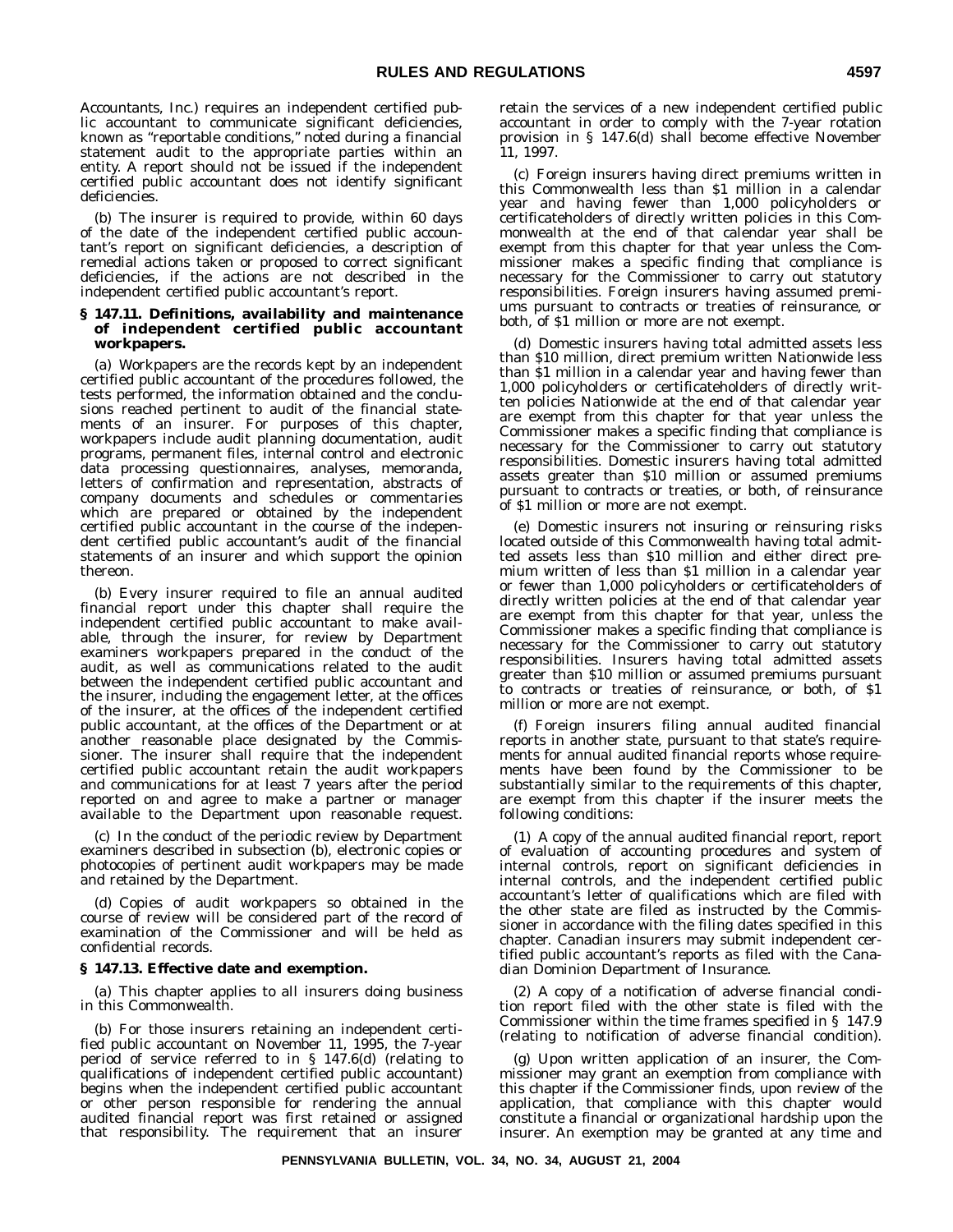*Accountants, Inc.)* requires an independent certified public accountant to communicate significant deficiencies, known as ''reportable conditions,'' noted during a financial statement audit to the appropriate parties within an entity. A report should not be issued if the independent certified public accountant does not identify significant deficiencies.

(b) The insurer is required to provide, within 60 days of the date of the independent certified public accountant's report on significant deficiencies, a description of remedial actions taken or proposed to correct significant deficiencies, if the actions are not described in the independent certified public accountant's report.

#### **§ 147.11. Definitions, availability and maintenance of independent certified public accountant workpapers.**

(a) Workpapers are the records kept by an independent certified public accountant of the procedures followed, the tests performed, the information obtained and the conclusions reached pertinent to audit of the financial statements of an insurer. For purposes of this chapter, workpapers include audit planning documentation, audit programs, permanent files, internal control and electronic data processing questionnaires, analyses, memoranda, letters of confirmation and representation, abstracts of company documents and schedules or commentaries which are prepared or obtained by the independent certified public accountant in the course of the independent certified public accountant's audit of the financial statements of an insurer and which support the opinion thereon.

(b) Every insurer required to file an annual audited financial report under this chapter shall require the independent certified public accountant to make available, through the insurer, for review by Department examiners workpapers prepared in the conduct of the audit, as well as communications related to the audit between the independent certified public accountant and the insurer, including the engagement letter, at the offices of the insurer, at the offices of the independent certified public accountant, at the offices of the Department or at another reasonable place designated by the Commissioner. The insurer shall require that the independent certified public accountant retain the audit workpapers and communications for at least 7 years after the period reported on and agree to make a partner or manager available to the Department upon reasonable request.

(c) In the conduct of the periodic review by Department examiners described in subsection (b), electronic copies or photocopies of pertinent audit workpapers may be made and retained by the Department.

(d) Copies of audit workpapers so obtained in the course of review will be considered part of the record of examination of the Commissioner and will be held as confidential records.

#### **§ 147.13. Effective date and exemption.**

(a) This chapter applies to all insurers doing business in this Commonwealth.

(b) For those insurers retaining an independent certified public accountant on November 11, 1995, the 7-year period of service referred to in § 147.6(d) (relating to qualifications of independent certified public accountant) begins when the independent certified public accountant or other person responsible for rendering the annual audited financial report was first retained or assigned that responsibility. The requirement that an insurer

retain the services of a new independent certified public accountant in order to comply with the 7-year rotation provision in § 147.6(d) shall become effective November 11, 1997.

(c) Foreign insurers having direct premiums written in this Commonwealth less than \$1 million in a calendar year and having fewer than 1,000 policyholders or certificateholders of directly written policies in this Commonwealth at the end of that calendar year shall be exempt from this chapter for that year unless the Commissioner makes a specific finding that compliance is necessary for the Commissioner to carry out statutory responsibilities. Foreign insurers having assumed premiums pursuant to contracts or treaties of reinsurance, or both, of \$1 million or more are not exempt.

(d) Domestic insurers having total admitted assets less than \$10 million, direct premium written Nationwide less than \$1 million in a calendar year and having fewer than 1,000 policyholders or certificateholders of directly written policies Nationwide at the end of that calendar year are exempt from this chapter for that year unless the Commissioner makes a specific finding that compliance is necessary for the Commissioner to carry out statutory responsibilities. Domestic insurers having total admitted assets greater than \$10 million or assumed premiums pursuant to contracts or treaties, or both, of reinsurance of \$1 million or more are not exempt.

(e) Domestic insurers not insuring or reinsuring risks located outside of this Commonwealth having total admitted assets less than \$10 million and either direct premium written of less than \$1 million in a calendar year or fewer than 1,000 policyholders or certificateholders of directly written policies at the end of that calendar year are exempt from this chapter for that year, unless the Commissioner makes a specific finding that compliance is necessary for the Commissioner to carry out statutory responsibilities. Insurers having total admitted assets greater than \$10 million or assumed premiums pursuant to contracts or treaties of reinsurance, or both, of \$1 million or more are not exempt.

(f) Foreign insurers filing annual audited financial reports in another state, pursuant to that state's requirements for annual audited financial reports whose requirements have been found by the Commissioner to be substantially similar to the requirements of this chapter, are exempt from this chapter if the insurer meets the following conditions:

(1) A copy of the annual audited financial report, report of evaluation of accounting procedures and system of internal controls, report on significant deficiencies in internal controls, and the independent certified public accountant's letter of qualifications which are filed with the other state are filed as instructed by the Commissioner in accordance with the filing dates specified in this chapter. Canadian insurers may submit independent certified public accountant's reports as filed with the Canadian Dominion Department of Insurance.

(2) A copy of a notification of adverse financial condition report filed with the other state is filed with the Commissioner within the time frames specified in § 147.9 (relating to notification of adverse financial condition).

(g) Upon written application of an insurer, the Commissioner may grant an exemption from compliance with this chapter if the Commissioner finds, upon review of the application, that compliance with this chapter would constitute a financial or organizational hardship upon the insurer. An exemption may be granted at any time and

**PENNSYLVANIA BULLETIN, VOL. 34, NO. 34, AUGUST 21, 2004**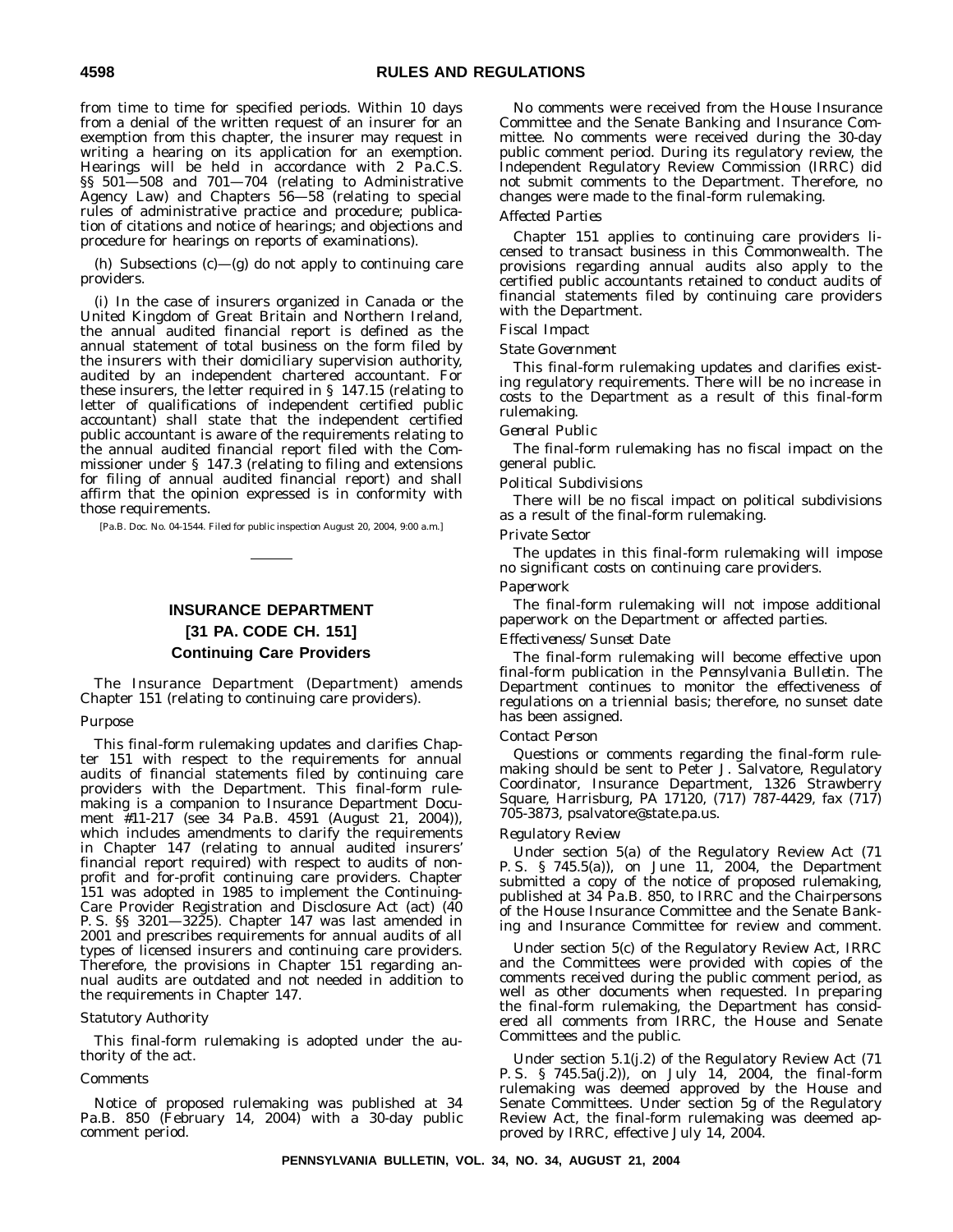from time to time for specified periods. Within 10 days from a denial of the written request of an insurer for an exemption from this chapter, the insurer may request in writing a hearing on its application for an exemption. Hearings will be held in accordance with 2 Pa.C.S. §§ 501-508 and 701-704 (relating to Administrative Agency Law) and Chapters 56—58 (relating to special rules of administrative practice and procedure; publication of citations and notice of hearings; and objections and procedure for hearings on reports of examinations).

(h) Subsections (c)—(g) do not apply to continuing care providers.

(i) In the case of insurers organized in Canada or the United Kingdom of Great Britain and Northern Ireland, the annual audited financial report is defined as the annual statement of total business on the form filed by the insurers with their domiciliary supervision authority, audited by an independent chartered accountant. For these insurers, the letter required in § 147.15 (relating to letter of qualifications of independent certified public accountant) shall state that the independent certified public accountant is aware of the requirements relating to the annual audited financial report filed with the Commissioner under § 147.3 (relating to filing and extensions for filing of annual audited financial report) and shall affirm that the opinion expressed is in conformity with those requirements.

[Pa.B. Doc. No. 04-1544. Filed for public inspection August 20, 2004, 9:00 a.m.]

### **INSURANCE DEPARTMENT [31 PA. CODE CH. 151] Continuing Care Providers**

The Insurance Department (Department) amends Chapter 151 (relating to continuing care providers).

#### *Purpose*

This final-form rulemaking updates and clarifies Chapter 151 with respect to the requirements for annual audits of financial statements filed by continuing care providers with the Department. This final-form rulemaking is a companion to Insurance Department Document #11-217 (see 34 Pa.B. 4591 (August 21, 2004)), which includes amendments to clarify the requirements in Chapter 147 (relating to annual audited insurers' financial report required) with respect to audits of nonprofit and for-profit continuing care providers. Chapter 151 was adopted in 1985 to implement the Continuing-Care Provider Registration and Disclosure Act (act) (40 P. S. §§ 3201—3225). Chapter 147 was last amended in 2001 and prescribes requirements for annual audits of all types of licensed insurers and continuing care providers. Therefore, the provisions in Chapter 151 regarding annual audits are outdated and not needed in addition to the requirements in Chapter 147.

#### *Statutory Authority*

This final-form rulemaking is adopted under the authority of the act.

#### *Comments*

Notice of proposed rulemaking was published at 34 Pa.B. 850 (February 14, 2004) with a 30-day public comment period.

No comments were received from the House Insurance Committee and the Senate Banking and Insurance Committee. No comments were received during the 30-day public comment period. During its regulatory review, the Independent Regulatory Review Commission (IRRC) did not submit comments to the Department. Therefore, no changes were made to the final-form rulemaking.

#### *Affected Parties*

Chapter 151 applies to continuing care providers licensed to transact business in this Commonwealth. The provisions regarding annual audits also apply to the certified public accountants retained to conduct audits of financial statements filed by continuing care providers with the Department.

#### *Fiscal Impact*

*State Government*

This final-form rulemaking updates and clarifies existing regulatory requirements. There will be no increase in costs to the Department as a result of this final-form rulemaking.

#### *General Public*

The final-form rulemaking has no fiscal impact on the general public.

#### *Political Subdivisions*

There will be no fiscal impact on political subdivisions as a result of the final-form rulemaking.

#### *Private Sector*

The updates in this final-form rulemaking will impose no significant costs on continuing care providers.

#### *Paperwork*

The final-form rulemaking will not impose additional paperwork on the Department or affected parties.

#### *Effectiveness/Sunset Date*

The final-form rulemaking will become effective upon final-form publication in the *Pennsylvania Bulletin*. The Department continues to monitor the effectiveness of regulations on a triennial basis; therefore, no sunset date has been assigned.

#### *Contact Person*

Questions or comments regarding the final-form rulemaking should be sent to Peter J. Salvatore, Regulatory Coordinator, Insurance Department, 1326 Strawberry Square, Harrisburg, PA 17120, (717) 787-4429, fax (717) 705-3873, psalvatore@state.pa.us.

#### *Regulatory Review*

Under section 5(a) of the Regulatory Review Act (71 P. S. § 745.5(a)), on June 11, 2004, the Department submitted a copy of the notice of proposed rulemaking, published at 34 Pa.B. 850, to IRRC and the Chairpersons of the House Insurance Committee and the Senate Banking and Insurance Committee for review and comment.

Under section 5(c) of the Regulatory Review Act, IRRC and the Committees were provided with copies of the comments received during the public comment period, as well as other documents when requested. In preparing the final-form rulemaking, the Department has considered all comments from IRRC, the House and Senate Committees and the public.

Under section 5.1(j.2) of the Regulatory Review Act (71 P. S. § 745.5a(j.2)), on July 14, 2004, the final-form rulemaking was deemed approved by the House and Senate Committees. Under section 5g of the Regulatory Review Act, the final-form rulemaking was deemed approved by IRRC, effective July 14, 2004.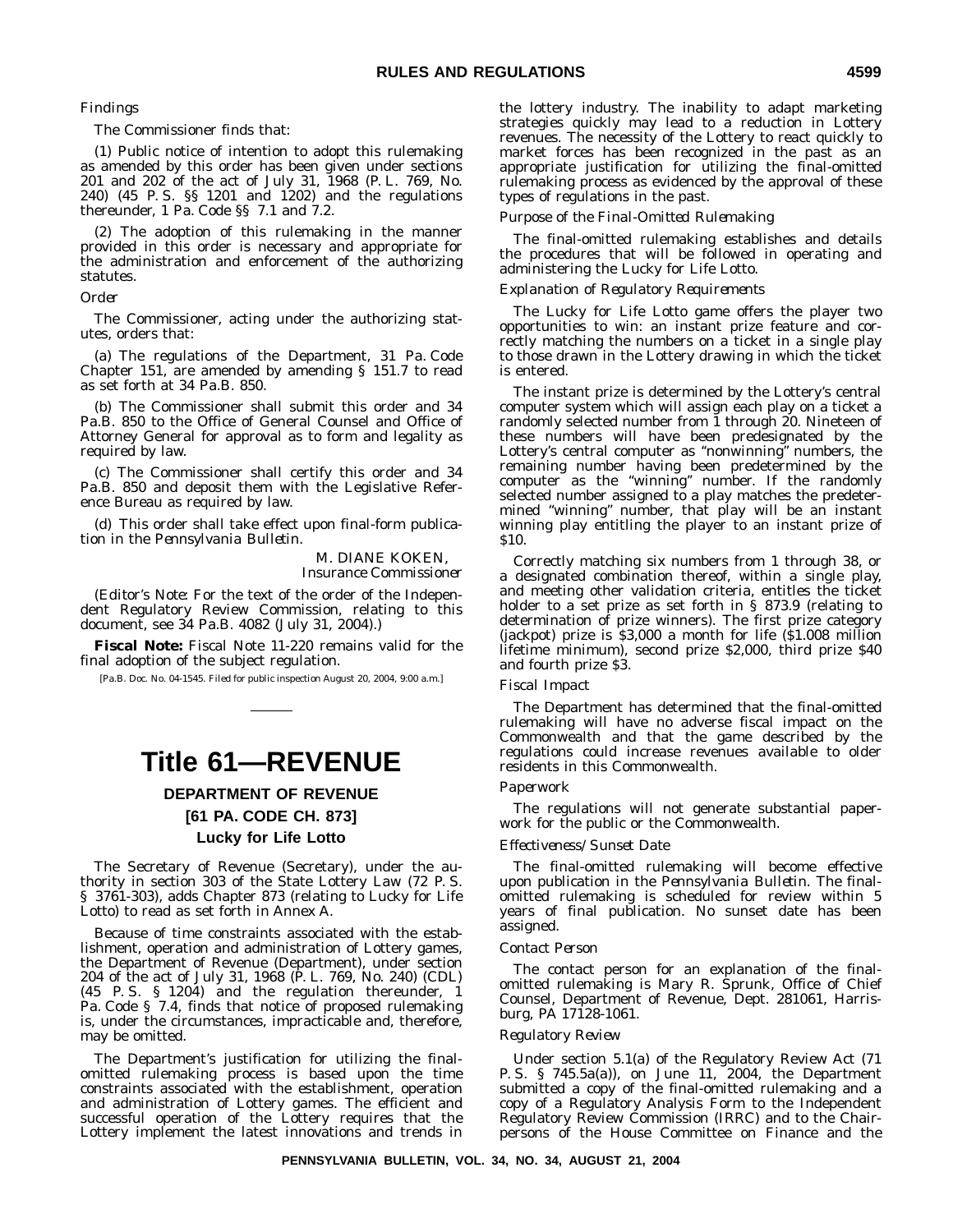#### *Findings*

The Commissioner finds that:

(1) Public notice of intention to adopt this rulemaking as amended by this order has been given under sections 201 and 202 of the act of July 31, 1968 (P. L. 769, No. 240) (45 P. S. §§ 1201 and 1202) and the regulations thereunder, 1 Pa. Code §§ 7.1 and 7.2.

(2) The adoption of this rulemaking in the manner provided in this order is necessary and appropriate for the administration and enforcement of the authorizing statutes.

#### *Order*

The Commissioner, acting under the authorizing statutes, orders that:

(a) The regulations of the Department, 31 Pa. Code Chapter 151, are amended by amending § 151.7 to read as set forth at 34 Pa.B. 850.

(b) The Commissioner shall submit this order and 34 Pa.B. 850 to the Office of General Counsel and Office of Attorney General for approval as to form and legality as required by law.

(c) The Commissioner shall certify this order and 34 Pa.B. 850 and deposit them with the Legislative Reference Bureau as required by law.

(d) This order shall take effect upon final-form publication in the *Pennsylvania Bulletin*.

#### M. DIANE KOKEN, *Insurance Commissioner*

(*Editor's Note:* For the text of the order of the Independent Regulatory Review Commission, relating to this document, see 34 Pa.B. 4082 (July 31, 2004).)

**Fiscal Note:** Fiscal Note 11-220 remains valid for the final adoption of the subject regulation.

[Pa.B. Doc. No. 04-1545. Filed for public inspection August 20, 2004, 9:00 a.m.]

### **Title 61—REVENUE**

#### **DEPARTMENT OF REVENUE [61 PA. CODE CH. 873]**

### **Lucky for Life Lotto**

The Secretary of Revenue (Secretary), under the authority in section 303 of the State Lottery Law (72 P. S. § 3761-303), adds Chapter 873 (relating to Lucky for Life Lotto) to read as set forth in Annex A.

Because of time constraints associated with the establishment, operation and administration of Lottery games, the Department of Revenue (Department), under section 204 of the act of July 31, 1968 (P. L. 769, No. 240) (CDL) (45 P. S. § 1204) and the regulation thereunder, 1 Pa. Code § 7.4, finds that notice of proposed rulemaking is, under the circumstances, impracticable and, therefore, may be omitted.

The Department's justification for utilizing the finalomitted rulemaking process is based upon the time constraints associated with the establishment, operation and administration of Lottery games. The efficient and successful operation of the Lottery requires that the Lottery implement the latest innovations and trends in the lottery industry. The inability to adapt marketing strategies quickly may lead to a reduction in Lottery revenues. The necessity of the Lottery to react quickly to market forces has been recognized in the past as an appropriate justification for utilizing the final-omitted rulemaking process as evidenced by the approval of these types of regulations in the past.

#### *Purpose of the Final-Omitted Rulemaking*

The final-omitted rulemaking establishes and details the procedures that will be followed in operating and administering the Lucky for Life Lotto.

#### *Explanation of Regulatory Requirements*

The Lucky for Life Lotto game offers the player two opportunities to win: an instant prize feature and correctly matching the numbers on a ticket in a single play to those drawn in the Lottery drawing in which the ticket is entered.

The instant prize is determined by the Lottery's central computer system which will assign each play on a ticket a randomly selected number from 1 through 20. Nineteen of these numbers will have been predesignated by the Lottery's central computer as ''nonwinning'' numbers, the remaining number having been predetermined by the computer as the ''winning'' number. If the randomly selected number assigned to a play matches the predetermined ''winning'' number, that play will be an instant winning play entitling the player to an instant prize of \$10.

Correctly matching six numbers from 1 through 38, or a designated combination thereof, within a single play, and meeting other validation criteria, entitles the ticket holder to a set prize as set forth in § 873.9 (relating to determination of prize winners). The first prize category (jackpot) prize is \$3,000 a month for life (\$1.008 million lifetime minimum), second prize \$2,000, third prize \$40 and fourth prize \$3.

#### *Fiscal Impact*

The Department has determined that the final-omitted rulemaking will have no adverse fiscal impact on the Commonwealth and that the game described by the regulations could increase revenues available to older residents in this Commonwealth.

#### *Paperwork*

The regulations will not generate substantial paperwork for the public or the Commonwealth.

#### *Effectiveness/Sunset Date*

The final-omitted rulemaking will become effective upon publication in the *Pennsylvania Bulletin*. The finalomitted rulemaking is scheduled for review within 5 years of final publication. No sunset date has been assigned.

#### *Contact Person*

The contact person for an explanation of the finalomitted rulemaking is Mary R. Sprunk, Office of Chief Counsel, Department of Revenue, Dept. 281061, Harrisburg, PA 17128-1061.

#### *Regulatory Review*

Under section 5.1(a) of the Regulatory Review Act (71 P. S. § 745.5a(a)), on June 11, 2004, the Department submitted a copy of the final-omitted rulemaking and a copy of a Regulatory Analysis Form to the Independent Regulatory Review Commission (IRRC) and to the Chairpersons of the House Committee on Finance and the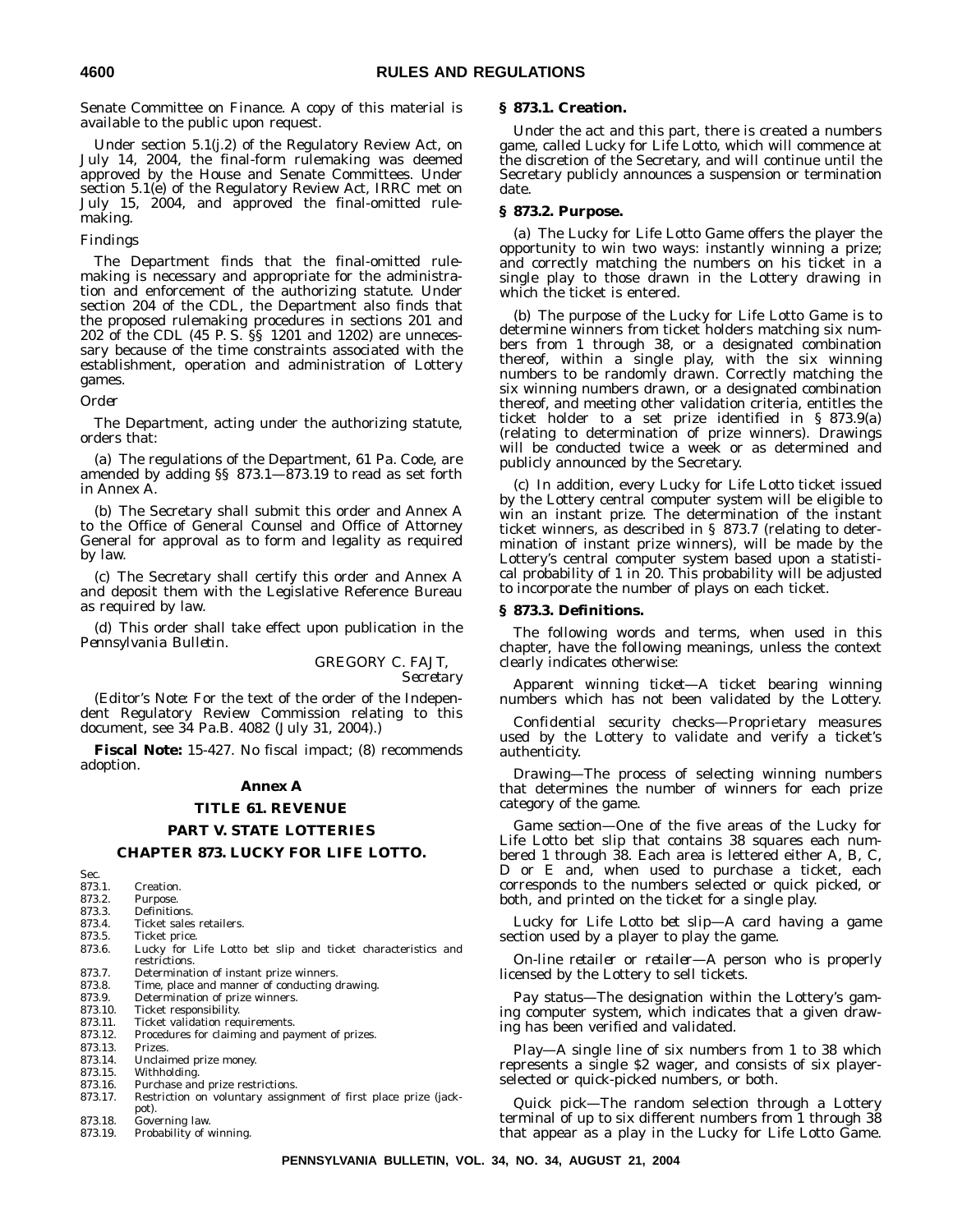Senate Committee on Finance. A copy of this material is available to the public upon request.

Under section 5.1(j.2) of the Regulatory Review Act, on July 14, 2004, the final-form rulemaking was deemed approved by the House and Senate Committees. Under section 5.1(e) of the Regulatory Review Act, IRRC met on July 15, 2004, and approved the final-omitted rulemaking.

#### *Findings*

The Department finds that the final-omitted rulemaking is necessary and appropriate for the administration and enforcement of the authorizing statute. Under section 204 of the CDL, the Department also finds that the proposed rulemaking procedures in sections 201 and 202 of the CDL (45 P. S. §§ 1201 and 1202) are unnecessary because of the time constraints associated with the establishment, operation and administration of Lottery games.

#### *Order*

The Department, acting under the authorizing statute, orders that:

(a) The regulations of the Department, 61 Pa. Code, are amended by adding §§ 873.1—873.19 to read as set forth in Annex A.

(b) The Secretary shall submit this order and Annex A to the Office of General Counsel and Office of Attorney General for approval as to form and legality as required by law.

(c) The Secretary shall certify this order and Annex A and deposit them with the Legislative Reference Bureau as required by law.

(d) This order shall take effect upon publication in the *Pennsylvania Bulletin*.

GREGORY C. FAJT,

*Secretary*

(*Editor's Note:* For the text of the order of the Independent Regulatory Review Commission relating to this document, see 34 Pa.B. 4082 (July 31, 2004).)

**Fiscal Note:** 15-427. No fiscal impact; (8) recommends adoption.

#### **Annex A**

#### **TITLE 61. REVENUE**

#### **PART V. STATE LOTTERIES**

#### **CHAPTER 873. LUCKY FOR LIFE LOTTO.**

Sec.<br>873.1. 873.1. Creation.<br>873.2. Purpose. 873.2. Purpose. 873.3. Definitions.<br>873.4. Ticket sales 873.4. Ticket sales retailers.<br>873.5. Ticket price. 873.5. Ticket price.<br>873.6. Lucky for I Lucky for Life Lotto bet slip and ticket characteristics and restrictions. 873.7. Determination of instant prize winners.<br>873.8. Time, place and manner of conducting 873.8. Time, place and manner of conducting drawing.<br>873.9. Determination of prize winners. 873.9. Determination of prize winners.<br>873.10. Ticket responsibility. 873.10. Ticket responsibility.<br>873.11. Ticket validation req Ticket validation requirements. 873.12. Procedures for claiming and payment of prizes. 873.13. Prizes. 873.14. Unclaimed prize money.<br>873.15. Withholding. 873.15. Withholding.<br>873.16. Purchase an Purchase and prize restrictions. 873.17. Restriction on voluntary assignment of first place prize (jack-

- pot). 873.18. Governing law.
- 873.19. Probability of winning.

#### **§ 873.1. Creation.**

Under the act and this part, there is created a numbers game, called Lucky for Life Lotto, which will commence at the discretion of the Secretary, and will continue until the Secretary publicly announces a suspension or termination date.

#### **§ 873.2. Purpose.**

(a) The Lucky for Life Lotto Game offers the player the opportunity to win two ways: instantly winning a prize; and correctly matching the numbers on his ticket in a single play to those drawn in the Lottery drawing in which the ticket is entered.

(b) The purpose of the Lucky for Life Lotto Game is to determine winners from ticket holders matching six numbers from 1 through 38, or a designated combination thereof, within a single play, with the six winning numbers to be randomly drawn. Correctly matching the six winning numbers drawn, or a designated combination thereof, and meeting other validation criteria, entitles the ticket holder to a set prize identified in § 873.9(a) (relating to determination of prize winners). Drawings will be conducted twice a week or as determined and publicly announced by the Secretary.

(c) In addition, every Lucky for Life Lotto ticket issued by the Lottery central computer system will be eligible to win an instant prize. The determination of the instant ticket winners, as described in § 873.7 (relating to determination of instant prize winners), will be made by the Lottery's central computer system based upon a statistical probability of 1 in 20. This probability will be adjusted to incorporate the number of plays on each ticket.

#### **§ 873.3. Definitions.**

The following words and terms, when used in this chapter, have the following meanings, unless the context clearly indicates otherwise:

*Apparent winning ticket*—A ticket bearing winning numbers which has not been validated by the Lottery.

*Confidential security checks*—Proprietary measures used by the Lottery to validate and verify a ticket's authenticity.

*Drawing*—The process of selecting winning numbers that determines the number of winners for each prize category of the game.

*Game section*—One of the five areas of the Lucky for Life Lotto bet slip that contains 38 squares each numbered 1 through 38. Each area is lettered either A, B, C, D or E and, when used to purchase a ticket, each corresponds to the numbers selected or quick picked, or both, and printed on the ticket for a single play.

*Lucky for Life Lotto bet slip*—A card having a game section used by a player to play the game.

*On-line retailer or retailer*—A person who is properly licensed by the Lottery to sell tickets.

*Pay status*—The designation within the Lottery's gaming computer system, which indicates that a given drawing has been verified and validated.

*Play*—A single line of six numbers from 1 to 38 which represents a single \$2 wager, and consists of six playerselected or quick-picked numbers, or both.

*Quick pick*—The random selection through a Lottery terminal of up to six different numbers from 1 through 38 that appear as a play in the Lucky for Life Lotto Game.

#### **PENNSYLVANIA BULLETIN, VOL. 34, NO. 34, AUGUST 21, 2004**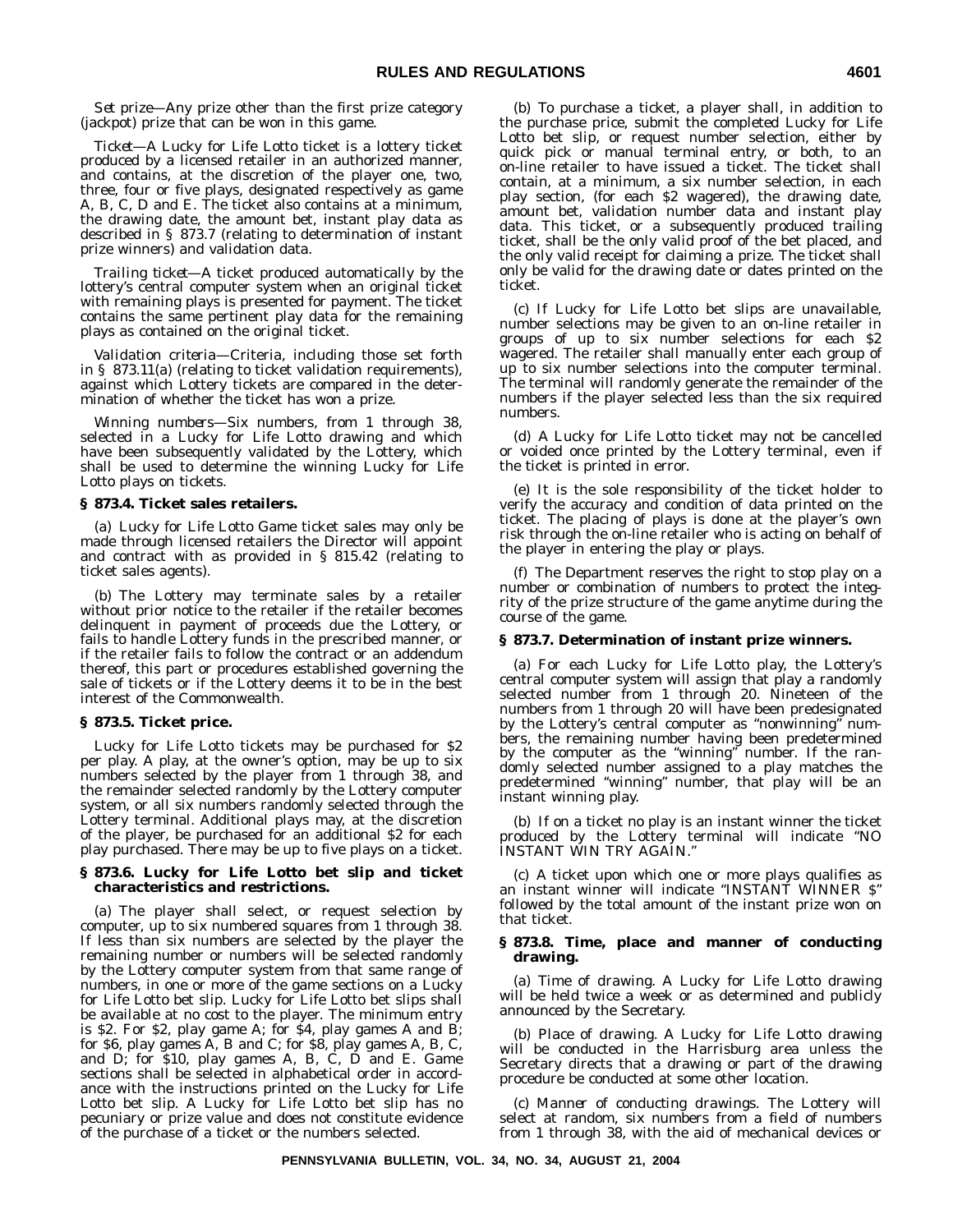*Set prize*—Any prize other than the first prize category (jackpot) prize that can be won in this game.

*Ticket*—A Lucky for Life Lotto ticket is a lottery ticket produced by a licensed retailer in an authorized manner, and contains, at the discretion of the player one, two, three, four or five plays, designated respectively as game A, B, C, D and E. The ticket also contains at a minimum, the drawing date, the amount bet, instant play data as described in § 873.7 (relating to determination of instant prize winners) and validation data.

*Trailing ticket*—A ticket produced automatically by the lottery's central computer system when an original ticket with remaining plays is presented for payment. The ticket contains the same pertinent play data for the remaining plays as contained on the original ticket.

*Validation criteria*—Criteria, including those set forth in § 873.11(a) (relating to ticket validation requirements), against which Lottery tickets are compared in the determination of whether the ticket has won a prize.

*Winning numbers*—Six numbers, from 1 through 38, selected in a Lucky for Life Lotto drawing and which have been subsequently validated by the Lottery, which shall be used to determine the winning Lucky for Life Lotto plays on tickets.

#### **§ 873.4. Ticket sales retailers.**

(a) Lucky for Life Lotto Game ticket sales may only be made through licensed retailers the Director will appoint and contract with as provided in § 815.42 (relating to ticket sales agents).

(b) The Lottery may terminate sales by a retailer without prior notice to the retailer if the retailer becomes delinquent in payment of proceeds due the Lottery, or fails to handle Lottery funds in the prescribed manner, or if the retailer fails to follow the contract or an addendum thereof, this part or procedures established governing the sale of tickets or if the Lottery deems it to be in the best interest of the Commonwealth.

#### **§ 873.5. Ticket price.**

Lucky for Life Lotto tickets may be purchased for \$2 per play. A play, at the owner's option, may be up to six numbers selected by the player from 1 through 38, and the remainder selected randomly by the Lottery computer system, or all six numbers randomly selected through the Lottery terminal. Additional plays may, at the discretion of the player, be purchased for an additional \$2 for each play purchased. There may be up to five plays on a ticket.

#### **§ 873.6. Lucky for Life Lotto bet slip and ticket characteristics and restrictions.**

(a) The player shall select, or request selection by computer, up to six numbered squares from 1 through 38. If less than six numbers are selected by the player the remaining number or numbers will be selected randomly by the Lottery computer system from that same range of numbers, in one or more of the game sections on a Lucky for Life Lotto bet slip. Lucky for Life Lotto bet slips shall be available at no cost to the player. The minimum entry is \$2. For \$2, play game A; for \$4, play games A and B; for \$6, play games A, B and C; for \$8, play games A, B, C, and D; for \$10, play games A, B, C, D and E. Game sections shall be selected in alphabetical order in accordance with the instructions printed on the Lucky for Life Lotto bet slip. A Lucky for Life Lotto bet slip has no pecuniary or prize value and does not constitute evidence of the purchase of a ticket or the numbers selected.

(b) To purchase a ticket, a player shall, in addition to the purchase price, submit the completed Lucky for Life Lotto bet slip, or request number selection, either by quick pick or manual terminal entry, or both, to an on-line retailer to have issued a ticket. The ticket shall contain, at a minimum, a six number selection, in each play section, (for each \$2 wagered), the drawing date, amount bet, validation number data and instant play data. This ticket, or a subsequently produced trailing ticket, shall be the only valid proof of the bet placed, and the only valid receipt for claiming a prize. The ticket shall only be valid for the drawing date or dates printed on the ticket.

(c) If Lucky for Life Lotto bet slips are unavailable, number selections may be given to an on-line retailer in groups of up to six number selections for each \$2 wagered. The retailer shall manually enter each group of up to six number selections into the computer terminal. The terminal will randomly generate the remainder of the numbers if the player selected less than the six required numbers.

(d) A Lucky for Life Lotto ticket may not be cancelled or voided once printed by the Lottery terminal, even if the ticket is printed in error.

(e) It is the sole responsibility of the ticket holder to verify the accuracy and condition of data printed on the ticket. The placing of plays is done at the player's own risk through the on-line retailer who is acting on behalf of the player in entering the play or plays.

(f) The Department reserves the right to stop play on a number or combination of numbers to protect the integrity of the prize structure of the game anytime during the course of the game.

#### **§ 873.7. Determination of instant prize winners.**

(a) For each Lucky for Life Lotto play, the Lottery's central computer system will assign that play a randomly selected number from 1 through 20. Nineteen of the numbers from 1 through 20 will have been predesignated by the Lottery's central computer as "nonwinning" numbers, the remaining number having been predetermined by the computer as the "winning" number. If the randomly selected number assigned to a play matches the predetermined ''winning'' number, that play will be an instant winning play.

(b) If on a ticket no play is an instant winner the ticket produced by the Lottery terminal will indicate ''NO INSTANT WIN TRY AGAIN.''

(c) A ticket upon which one or more plays qualifies as an instant winner will indicate ''INSTANT WINNER \$'' followed by the total amount of the instant prize won on that ticket.

#### **§ 873.8. Time, place and manner of conducting drawing.**

(a) *Time of drawing*. A Lucky for Life Lotto drawing will be held twice a week or as determined and publicly announced by the Secretary.

(b) *Place of drawing*. A Lucky for Life Lotto drawing will be conducted in the Harrisburg area unless the Secretary directs that a drawing or part of the drawing procedure be conducted at some other location.

(c) *Manner of conducting drawings*. The Lottery will select at random, six numbers from a field of numbers from 1 through 38, with the aid of mechanical devices or

**PENNSYLVANIA BULLETIN, VOL. 34, NO. 34, AUGUST 21, 2004**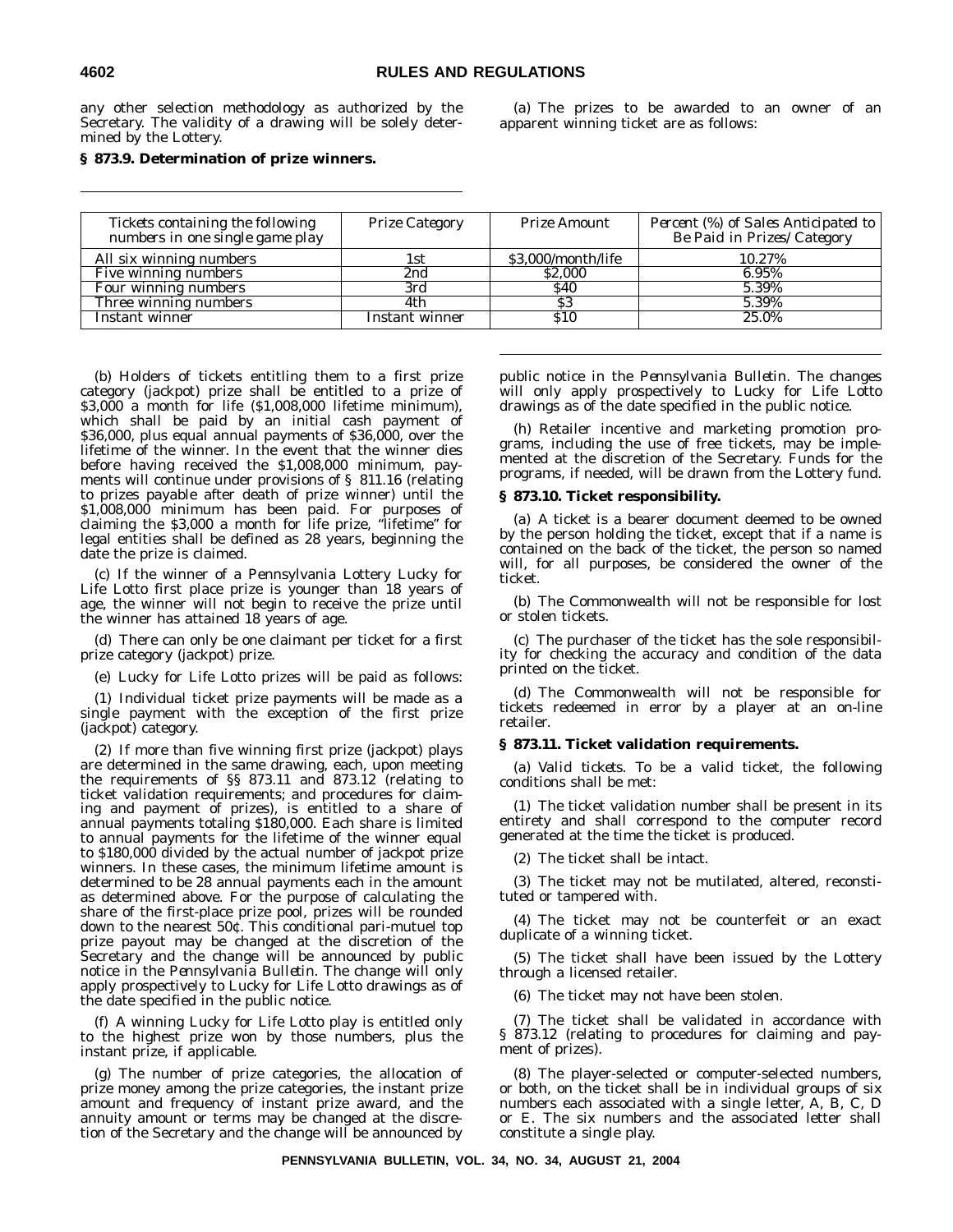any other selection methodology as authorized by the Secretary. The validity of a drawing will be solely determined by the Lottery.

(a) The prizes to be awarded to an owner of an apparent winning ticket are as follows:

#### **§ 873.9. Determination of prize winners.**

| Tickets containing the following<br>numbers in one single game play | <b>Prize Category</b> | Prize Amount       | Percent (%) of Sales Anticipated to<br>Be Paid in Prizes/Category |
|---------------------------------------------------------------------|-----------------------|--------------------|-------------------------------------------------------------------|
| All six winning numbers                                             | 1st.                  | \$3,000/month/life | 10.27%                                                            |
| Five winning numbers                                                | 2nd                   | \$2,000            | 6.95%                                                             |
| Four winning numbers                                                | 3rd                   | <b>S40</b>         | 5.39%                                                             |
| Three winning numbers                                               | 4th                   | \$3                | 5.39%                                                             |
| Instant winner                                                      | Instant winner        | <b>S10</b>         | 25.0%                                                             |

(b) Holders of tickets entitling them to a first prize category (jackpot) prize shall be entitled to a prize of \$3,000 a month for life (\$1,008,000 lifetime minimum), which shall be paid by an initial cash payment of \$36,000, plus equal annual payments of \$36,000, over the lifetime of the winner. In the event that the winner dies before having received the \$1,008,000 minimum, payments will continue under provisions of § 811.16 (relating to prizes payable after death of prize winner) until the \$1,008,000 minimum has been paid. For purposes of claiming the \$3,000 a month for life prize, ''lifetime'' for legal entities shall be defined as 28 years, beginning the date the prize is claimed.

(c) If the winner of a Pennsylvania Lottery Lucky for Life Lotto first place prize is younger than 18 years of age, the winner will not begin to receive the prize until the winner has attained 18 years of age.

(d) There can only be one claimant per ticket for a first prize category (jackpot) prize.

(e) Lucky for Life Lotto prizes will be paid as follows:

(1) Individual ticket prize payments will be made as a single payment with the exception of the first prize (jackpot) category.

(2) If more than five winning first prize (jackpot) plays are determined in the same drawing, each, upon meeting the requirements of §§ 873.11 and 873.12 (relating to ticket validation requirements; and procedures for claiming and payment of prizes), is entitled to a share of annual payments totaling \$180,000. Each share is limited to annual payments for the lifetime of the winner equal to \$180,000 divided by the actual number of jackpot prize winners. In these cases, the minimum lifetime amount is determined to be 28 annual payments each in the amount as determined above. For the purpose of calculating the share of the first-place prize pool, prizes will be rounded down to the nearest 50¢. This conditional pari-mutuel top prize payout may be changed at the discretion of the Secretary and the change will be announced by public notice in the *Pennsylvania Bulletin*. The change will only apply prospectively to Lucky for Life Lotto drawings as of the date specified in the public notice.

(f) A winning Lucky for Life Lotto play is entitled only to the highest prize won by those numbers, plus the instant prize, if applicable.

(g) The number of prize categories, the allocation of prize money among the prize categories, the instant prize amount and frequency of instant prize award, and the annuity amount or terms may be changed at the discretion of the Secretary and the change will be announced by

public notice in the *Pennsylvania Bulletin*. The changes will only apply prospectively to Lucky for Life Lotto drawings as of the date specified in the public notice.

(h) Retailer incentive and marketing promotion programs, including the use of free tickets, may be implemented at the discretion of the Secretary. Funds for the programs, if needed, will be drawn from the Lottery fund.

#### **§ 873.10. Ticket responsibility.**

(a) A ticket is a bearer document deemed to be owned by the person holding the ticket, except that if a name is contained on the back of the ticket, the person so named will, for all purposes, be considered the owner of the ticket.

(b) The Commonwealth will not be responsible for lost or stolen tickets.

(c) The purchaser of the ticket has the sole responsibility for checking the accuracy and condition of the data printed on the ticket.

(d) The Commonwealth will not be responsible for tickets redeemed in error by a player at an on-line retailer.

#### **§ 873.11. Ticket validation requirements.**

(a) *Valid tickets*. To be a valid ticket, the following conditions shall be met:

(1) The ticket validation number shall be present in its entirety and shall correspond to the computer record generated at the time the ticket is produced.

(2) The ticket shall be intact.

(3) The ticket may not be mutilated, altered, reconstituted or tampered with.

(4) The ticket may not be counterfeit or an exact duplicate of a winning ticket.

(5) The ticket shall have been issued by the Lottery through a licensed retailer.

(6) The ticket may not have been stolen.

(7) The ticket shall be validated in accordance with § 873.12 (relating to procedures for claiming and payment of prizes).

(8) The player-selected or computer-selected numbers, or both, on the ticket shall be in individual groups of six numbers each associated with a single letter, A, B, C, D or E. The six numbers and the associated letter shall constitute a single play.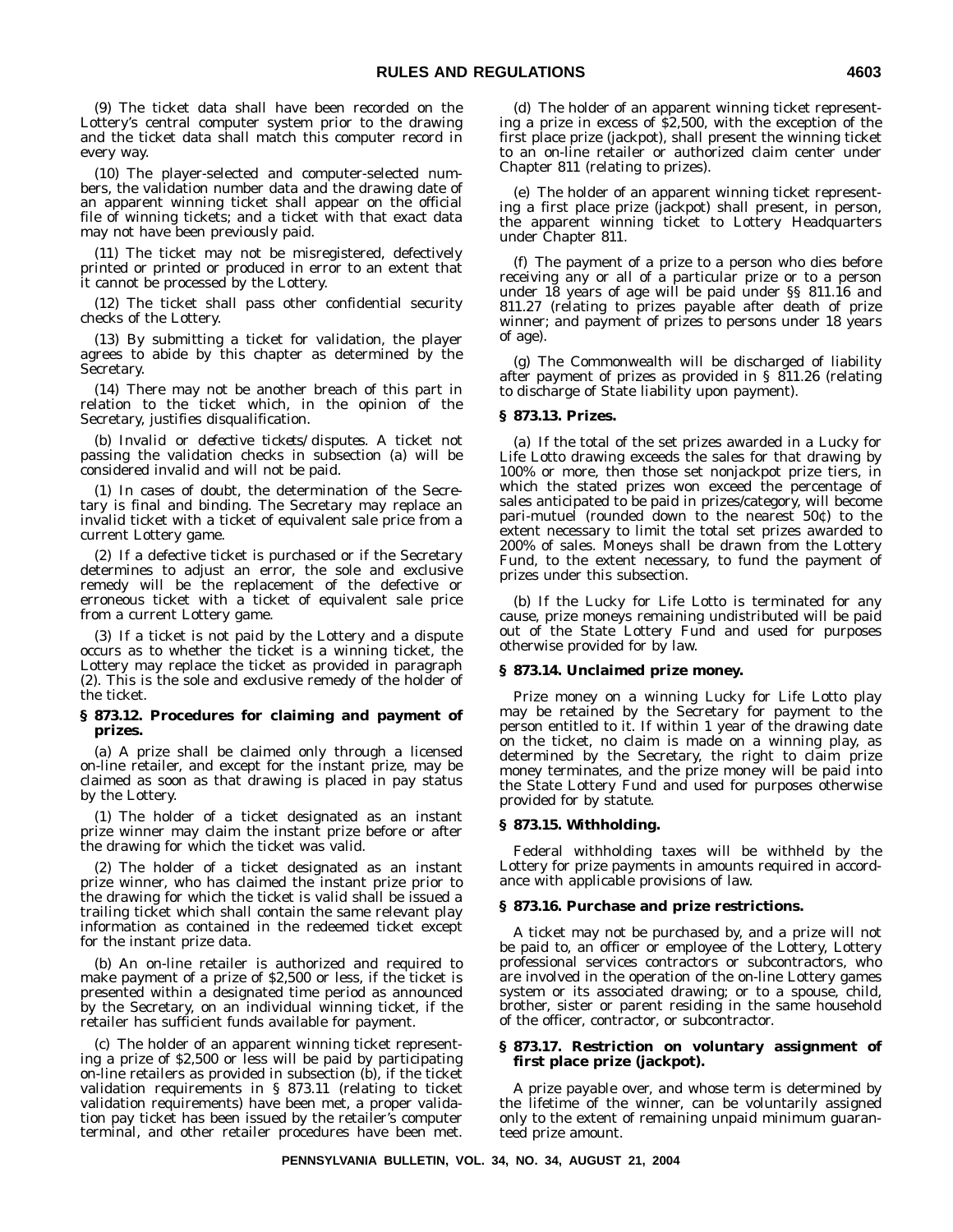(9) The ticket data shall have been recorded on the Lottery's central computer system prior to the drawing and the ticket data shall match this computer record in every way.

(10) The player-selected and computer-selected numbers, the validation number data and the drawing date of an apparent winning ticket shall appear on the official file of winning tickets; and a ticket with that exact data may not have been previously paid.

(11) The ticket may not be misregistered, defectively printed or printed or produced in error to an extent that it cannot be processed by the Lottery.

(12) The ticket shall pass other confidential security checks of the Lottery.

(13) By submitting a ticket for validation, the player agrees to abide by this chapter as determined by the Secretary.

(14) There may not be another breach of this part in relation to the ticket which, in the opinion of the Secretary, justifies disqualification.

(b) *Invalid or defective tickets/disputes*. A ticket not passing the validation checks in subsection (a) will be considered invalid and will not be paid.

(1) In cases of doubt, the determination of the Secretary is final and binding. The Secretary may replace an invalid ticket with a ticket of equivalent sale price from a current Lottery game.

(2) If a defective ticket is purchased or if the Secretary determines to adjust an error, the sole and exclusive remedy will be the replacement of the defective or erroneous ticket with a ticket of equivalent sale price from a current Lottery game.

(3) If a ticket is not paid by the Lottery and a dispute occurs as to whether the ticket is a winning ticket, the Lottery may replace the ticket as provided in paragraph (2). This is the sole and exclusive remedy of the holder of the ticket.

#### **§ 873.12. Procedures for claiming and payment of prizes.**

(a) A prize shall be claimed only through a licensed on-line retailer, and except for the instant prize, may be claimed as soon as that drawing is placed in pay status by the Lottery.

(1) The holder of a ticket designated as an instant prize winner may claim the instant prize before or after the drawing for which the ticket was valid.

(2) The holder of a ticket designated as an instant prize winner, who has claimed the instant prize prior to the drawing for which the ticket is valid shall be issued a trailing ticket which shall contain the same relevant play information as contained in the redeemed ticket except for the instant prize data.

(b) An on-line retailer is authorized and required to make payment of a prize of \$2,500 or less, if the ticket is presented within a designated time period as announced by the Secretary, on an individual winning ticket, if the retailer has sufficient funds available for payment.

(c) The holder of an apparent winning ticket representing a prize of \$2,500 or less will be paid by participating on-line retailers as provided in subsection (b), if the ticket validation requirements in § 873.11 (relating to ticket validation requirements) have been met, a proper validation pay ticket has been issued by the retailer's computer terminal, and other retailer procedures have been met.

(d) The holder of an apparent winning ticket representing a prize in excess of \$2,500, with the exception of the first place prize (jackpot), shall present the winning ticket to an on-line retailer or authorized claim center under Chapter 811 (relating to prizes).

(e) The holder of an apparent winning ticket representing a first place prize (jackpot) shall present, in person, the apparent winning ticket to Lottery Headquarters under Chapter 811.

(f) The payment of a prize to a person who dies before receiving any or all of a particular prize or to a person under 18 years of age will be paid under §§ 811.16 and 811.27 (relating to prizes payable after death of prize winner; and payment of prizes to persons under 18 years of age).

(g) The Commonwealth will be discharged of liability after payment of prizes as provided in § 811.26 (relating to discharge of State liability upon payment).

#### **§ 873.13. Prizes.**

(a) If the total of the set prizes awarded in a Lucky for Life Lotto drawing exceeds the sales for that drawing by 100% or more, then those set nonjackpot prize tiers, in which the stated prizes won exceed the percentage of sales anticipated to be paid in prizes/category, will become pari-mutuel (rounded down to the nearest 50¢) to the extent necessary to limit the total set prizes awarded to 200% of sales. Moneys shall be drawn from the Lottery Fund, to the extent necessary, to fund the payment of prizes under this subsection.

(b) If the Lucky for Life Lotto is terminated for any cause, prize moneys remaining undistributed will be paid out of the State Lottery Fund and used for purposes otherwise provided for by law.

#### **§ 873.14. Unclaimed prize money.**

Prize money on a winning Lucky for Life Lotto play may be retained by the Secretary for payment to the person entitled to it. If within 1 year of the drawing date on the ticket, no claim is made on a winning play, as determined by the Secretary, the right to claim prize money terminates, and the prize money will be paid into the State Lottery Fund and used for purposes otherwise provided for by statute.

#### **§ 873.15. Withholding.**

Federal withholding taxes will be withheld by the Lottery for prize payments in amounts required in accordance with applicable provisions of law.

#### **§ 873.16. Purchase and prize restrictions.**

A ticket may not be purchased by, and a prize will not be paid to, an officer or employee of the Lottery, Lottery professional services contractors or subcontractors, who are involved in the operation of the on-line Lottery games system or its associated drawing; or to a spouse, child, brother, sister or parent residing in the same household of the officer, contractor, or subcontractor.

#### **§ 873.17. Restriction on voluntary assignment of first place prize (jackpot).**

A prize payable over, and whose term is determined by the lifetime of the winner, can be voluntarily assigned only to the extent of remaining unpaid minimum guaranteed prize amount.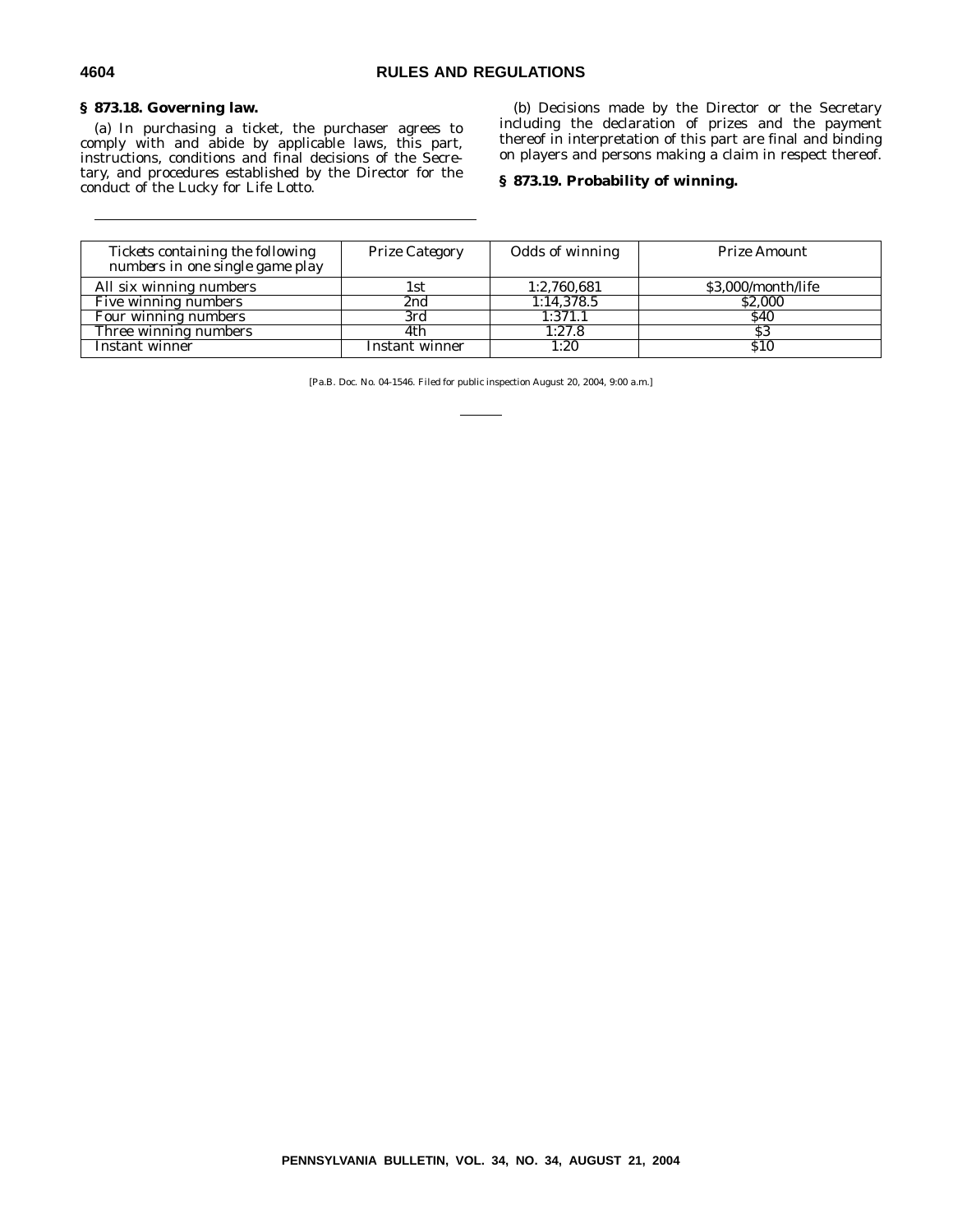#### **§ 873.18. Governing law.**

(a) In purchasing a ticket, the purchaser agrees to comply with and abide by applicable laws, this part, instructions, conditions and final decisions of the Secretary, and procedures established by the Director for the conduct of the Lucky for Life Lotto.

(b) Decisions made by the Director or the Secretary including the declaration of prizes and the payment thereof in interpretation of this part are final and binding on players and persons making a claim in respect thereof.

#### **§ 873.19. Probability of winning.**

| Tickets containing the following<br>numbers in one single game play | <b>Prize Category</b> | Odds of winning | Prize Amount       |
|---------------------------------------------------------------------|-----------------------|-----------------|--------------------|
| All six winning numbers                                             | 1st.                  | 1:2,760,681     | \$3,000/month/life |
| Five winning numbers                                                | 2nd                   | 1:14,378.5      | \$2,000            |
| Four winning numbers                                                | 3rd                   | 1:371.1         | <b>S40</b>         |
| Three winning numbers                                               | 4th                   | 1:27.8          | \$3                |
| Instant winner                                                      | Instant winner        | 1:20            | <b>S10</b>         |

[Pa.B. Doc. No. 04-1546. Filed for public inspection August 20, 2004, 9:00 a.m.]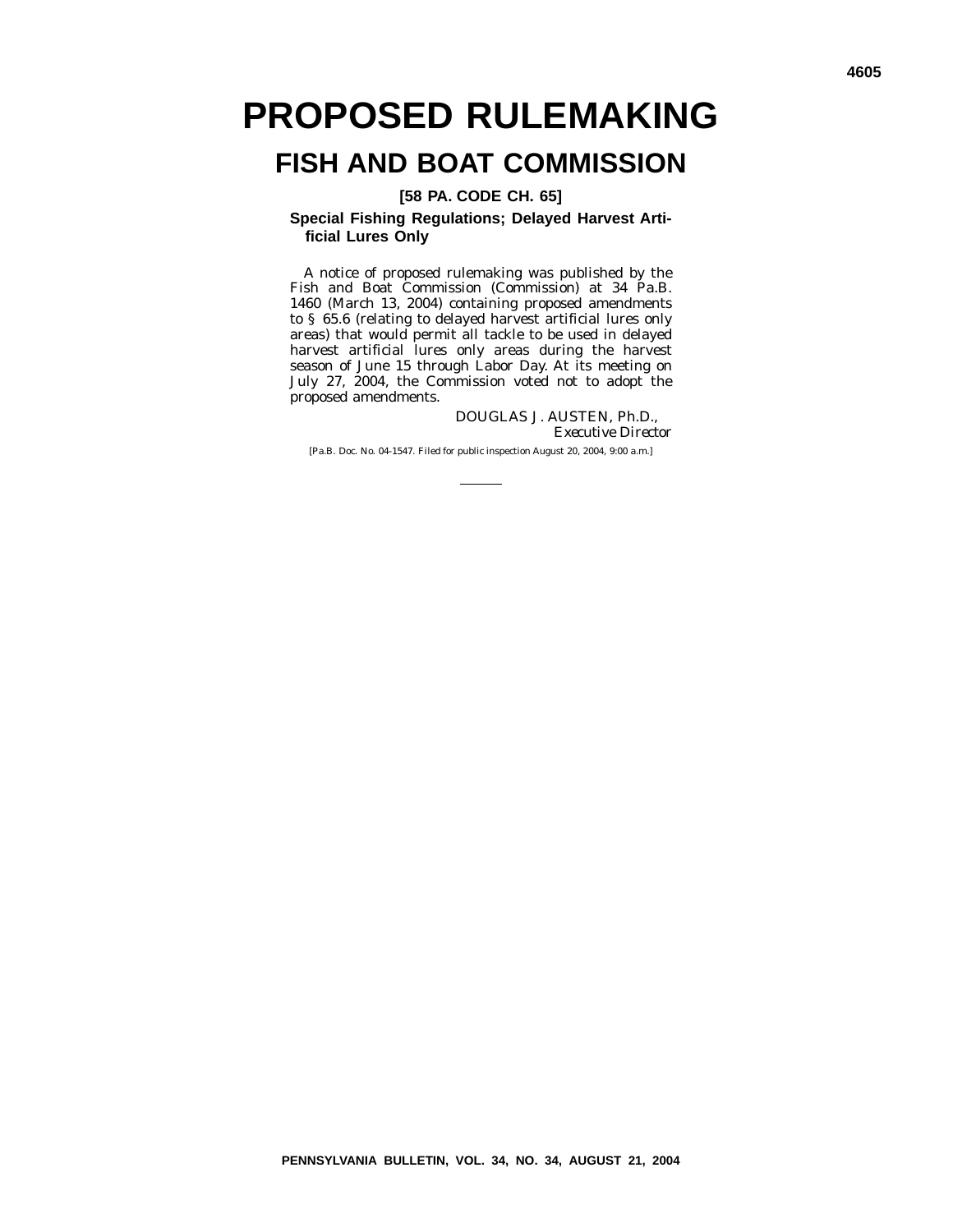# **PROPOSED RULEMAKING**

# **FISH AND BOAT COMMISSION**

**[58 PA. CODE CH. 65]**

**Special Fishing Regulations; Delayed Harvest Artificial Lures Only**

A notice of proposed rulemaking was published by the Fish and Boat Commission (Commission) at 34 Pa.B. 1460 (March 13, 2004) containing proposed amendments to § 65.6 (relating to delayed harvest artificial lures only areas) that would permit all tackle to be used in delayed harvest artificial lures only areas during the harvest season of June 15 through Labor Day. At its meeting on July 27, 2004, the Commission voted not to adopt the proposed amendments.

> DOUGLAS J. AUSTEN, Ph.D., *Executive Director*

[Pa.B. Doc. No. 04-1547. Filed for public inspection August 20, 2004, 9:00 a.m.]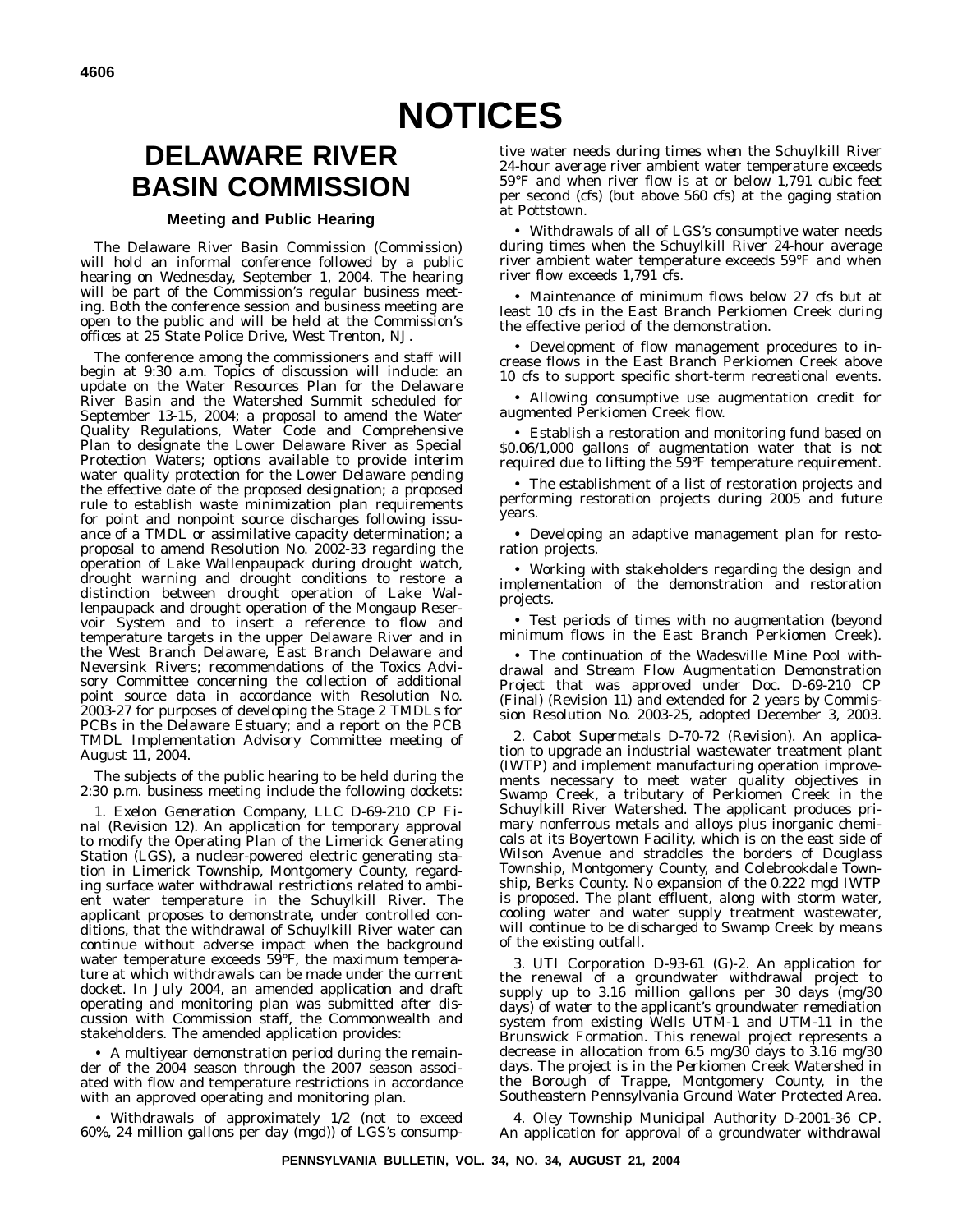# **NOTICES**

# **DELAWARE RIVER BASIN COMMISSION**

#### **Meeting and Public Hearing**

The Delaware River Basin Commission (Commission) will hold an informal conference followed by a public hearing on Wednesday, September 1, 2004. The hearing will be part of the Commission's regular business meeting. Both the conference session and business meeting are open to the public and will be held at the Commission's offices at 25 State Police Drive, West Trenton, NJ.

The conference among the commissioners and staff will begin at 9:30 a.m. Topics of discussion will include: an update on the Water Resources Plan for the Delaware River Basin and the Watershed Summit scheduled for September 13-15, 2004; a proposal to amend the Water Quality Regulations, Water Code and Comprehensive Plan to designate the Lower Delaware River as Special Protection Waters; options available to provide interim water quality protection for the Lower Delaware pending the effective date of the proposed designation; a proposed rule to establish waste minimization plan requirements for point and nonpoint source discharges following issuance of a TMDL or assimilative capacity determination; a proposal to amend Resolution No. 2002-33 regarding the operation of Lake Wallenpaupack during drought watch, drought warning and drought conditions to restore a distinction between drought operation of Lake Wallenpaupack and drought operation of the Mongaup Reservoir System and to insert a reference to flow and temperature targets in the upper Delaware River and in the West Branch Delaware, East Branch Delaware and Neversink Rivers; recommendations of the Toxics Advisory Committee concerning the collection of additional point source data in accordance with Resolution No. 2003-27 for purposes of developing the Stage 2 TMDLs for PCBs in the Delaware Estuary; and a report on the PCB TMDL Implementation Advisory Committee meeting of August 11, 2004.

The subjects of the public hearing to be held during the 2:30 p.m. business meeting include the following dockets:

1. *Exelon Generation Company, LLC D-69-210 CP Final (Revision 12)*. An application for temporary approval to modify the Operating Plan of the Limerick Generating Station (LGS), a nuclear-powered electric generating station in Limerick Township, Montgomery County, regarding surface water withdrawal restrictions related to ambient water temperature in the Schuylkill River. The applicant proposes to demonstrate, under controlled conditions, that the withdrawal of Schuylkill River water can continue without adverse impact when the background water temperature exceeds 59°F, the maximum temperature at which withdrawals can be made under the current docket. In July 2004, an amended application and draft operating and monitoring plan was submitted after discussion with Commission staff, the Commonwealth and stakeholders. The amended application provides:

• A multiyear demonstration period during the remainder of the 2004 season through the 2007 season associated with flow and temperature restrictions in accordance with an approved operating and monitoring plan.

• Withdrawals of approximately 1/2 (not to exceed 60%, 24 million gallons per day (mgd)) of LGS's consumptive water needs during times when the Schuylkill River 24-hour average river ambient water temperature exceeds 59°F and when river flow is at or below 1,791 cubic feet per second (cfs) (but above 560 cfs) at the gaging station at Pottstown.

• Withdrawals of all of LGS's consumptive water needs during times when the Schuylkill River 24-hour average river ambient water temperature exceeds 59°F and when river flow exceeds 1,791 cfs.

• Maintenance of minimum flows below 27 cfs but at least 10 cfs in the East Branch Perkiomen Creek during the effective period of the demonstration.

• Development of flow management procedures to increase flows in the East Branch Perkiomen Creek above 10 cfs to support specific short-term recreational events.

• Allowing consumptive use augmentation credit for augmented Perkiomen Creek flow.

• Establish a restoration and monitoring fund based on \$0.06/1,000 gallons of augmentation water that is not required due to lifting the 59°F temperature requirement.

• The establishment of a list of restoration projects and performing restoration projects during 2005 and future years.

• Developing an adaptive management plan for restoration projects.

• Working with stakeholders regarding the design and implementation of the demonstration and restoration projects.

• Test periods of times with no augmentation (beyond minimum flows in the East Branch Perkiomen Creek).

• The continuation of the Wadesville Mine Pool withdrawal and Stream Flow Augmentation Demonstration Project that was approved under Doc. D-69-210 CP (Final) (Revision 11) and extended for 2 years by Commission Resolution No. 2003-25, adopted December 3, 2003.

2. *Cabot Supermetals D-70-72 (Revision)*. An application to upgrade an industrial wastewater treatment plant (IWTP) and implement manufacturing operation improvements necessary to meet water quality objectives in Swamp Creek, a tributary of Perkiomen Creek in the Schuylkill River Watershed. The applicant produces primary nonferrous metals and alloys plus inorganic chemicals at its Boyertown Facility, which is on the east side of Wilson Avenue and straddles the borders of Douglass Township, Montgomery County, and Colebrookdale Township, Berks County. No expansion of the 0.222 mgd IWTP is proposed. The plant effluent, along with storm water, cooling water and water supply treatment wastewater, will continue to be discharged to Swamp Creek by means of the existing outfall.

3. *UTI Corporation D-93-61 (G)-2*. An application for the renewal of a groundwater withdrawal project to supply up to 3.16 million gallons per 30 days (mg/30 days) of water to the applicant's groundwater remediation system from existing Wells UTM-1 and UTM-11 in the Brunswick Formation. This renewal project represents a decrease in allocation from 6.5 mg/30 days to 3.16 mg/30 days. The project is in the Perkiomen Creek Watershed in the Borough of Trappe, Montgomery County, in the Southeastern Pennsylvania Ground Water Protected Area.

4. *Oley Township Municipal Authority D-2001-36 CP*. An application for approval of a groundwater withdrawal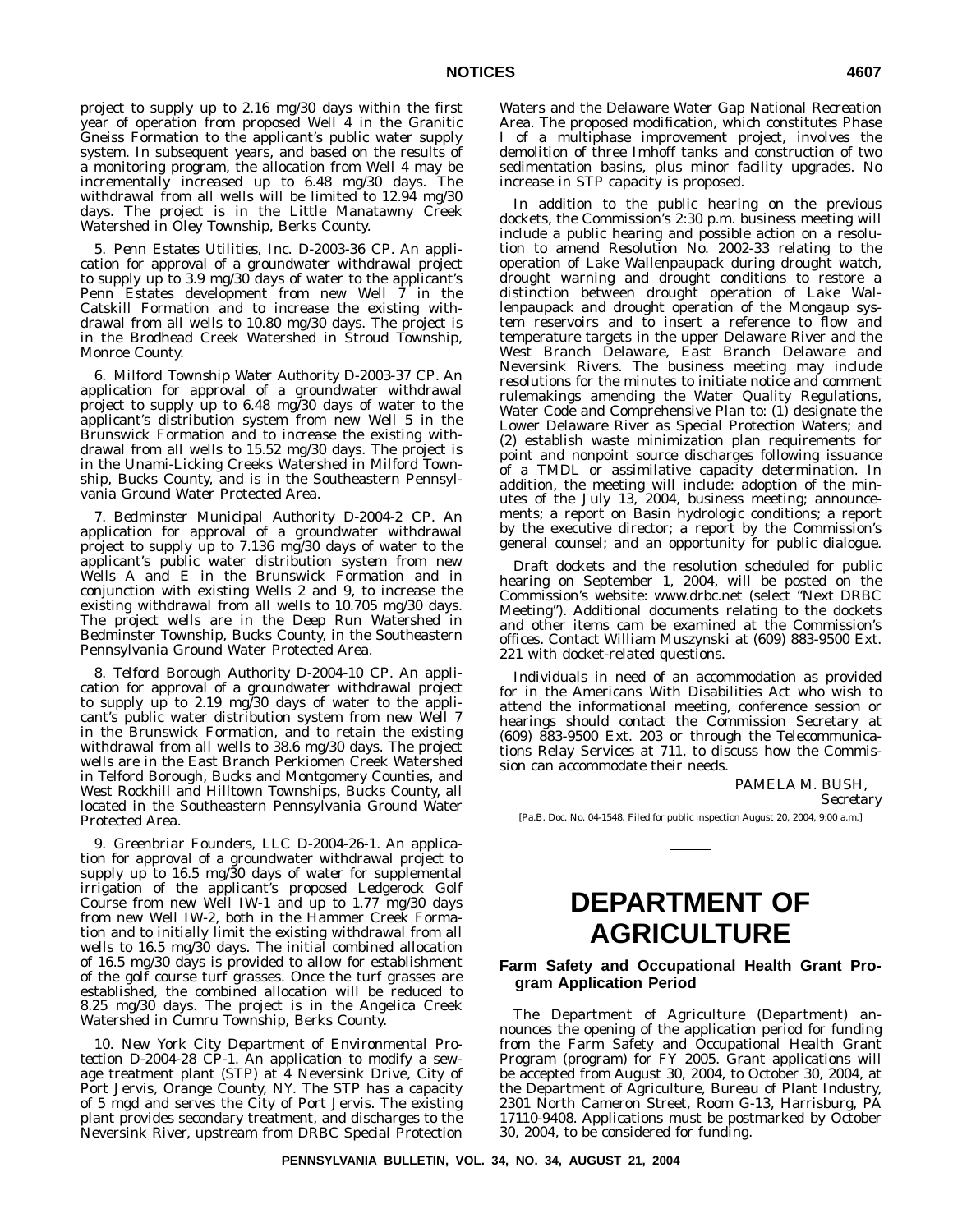project to supply up to 2.16 mg/30 days within the first year of operation from proposed Well 4 in the Granitic Gneiss Formation to the applicant's public water supply system. In subsequent years, and based on the results of a monitoring program, the allocation from Well 4 may be incrementally increased up to 6.48 mg/30 days. The withdrawal from all wells will be limited to 12.94 mg/30 days. The project is in the Little Manatawny Creek Watershed in Oley Township, Berks County.

5. *Penn Estates Utilities, Inc. D-2003-36 CP*. An application for approval of a groundwater withdrawal project to supply up to 3.9 mg/30 days of water to the applicant's Penn Estates development from new Well 7 in the Catskill Formation and to increase the existing withdrawal from all wells to 10.80 mg/30 days. The project is in the Brodhead Creek Watershed in Stroud Township, Monroe County.

6. *Milford Township Water Authority D-2003-37 CP*. An application for approval of a groundwater withdrawal project to supply up to 6.48 mg/30 days of water to the applicant's distribution system from new Well 5 in the Brunswick Formation and to increase the existing withdrawal from all wells to 15.52 mg/30 days. The project is in the Unami-Licking Creeks Watershed in Milford Township, Bucks County, and is in the Southeastern Pennsylvania Ground Water Protected Area.

7. *Bedminster Municipal Authority D-2004-2 CP*. An application for approval of a groundwater withdrawal project to supply up to 7.136 mg/30 days of water to the applicant's public water distribution system from new Wells A and E in the Brunswick Formation and in conjunction with existing Wells 2 and 9, to increase the existing withdrawal from all wells to 10.705 mg/30 days. The project wells are in the Deep Run Watershed in Bedminster Township, Bucks County, in the Southeastern Pennsylvania Ground Water Protected Area.

8. *Telford Borough Authority D-2004-10 CP*. An application for approval of a groundwater withdrawal project to supply up to 2.19 mg/30 days of water to the applicant's public water distribution system from new Well 7 in the Brunswick Formation, and to retain the existing withdrawal from all wells to 38.6 mg/30 days. The project wells are in the East Branch Perkiomen Creek Watershed in Telford Borough, Bucks and Montgomery Counties, and West Rockhill and Hilltown Townships, Bucks County, all located in the Southeastern Pennsylvania Ground Water Protected Area.

9. *Greenbriar Founders, LLC D-2004-26-1*. An application for approval of a groundwater withdrawal project to supply up to 16.5 mg/30 days of water for supplemental irrigation of the applicant's proposed Ledgerock Golf Course from new Well IW-1 and up to 1.77 mg/30 days from new Well IW-2, both in the Hammer Creek Formation and to initially limit the existing withdrawal from all wells to 16.5 mg/30 days. The initial combined allocation of 16.5 mg/30 days is provided to allow for establishment of the golf course turf grasses. Once the turf grasses are established, the combined allocation will be reduced to 8.25 mg/30 days. The project is in the Angelica Creek Watershed in Cumru Township, Berks County.

10. *New York City Department of Environmental Protection D-2004-28 CP-1*. An application to modify a sewage treatment plant (STP) at 4 Neversink Drive, City of Port Jervis, Orange County, NY. The STP has a capacity of 5 mgd and serves the City of Port Jervis. The existing plant provides secondary treatment, and discharges to the Neversink River, upstream from DRBC Special Protection

Waters and the Delaware Water Gap National Recreation Area. The proposed modification, which constitutes Phase I of a multiphase improvement project, involves the demolition of three Imhoff tanks and construction of two sedimentation basins, plus minor facility upgrades. No increase in STP capacity is proposed.

In addition to the public hearing on the previous dockets, the Commission's 2:30 p.m. business meeting will include a public hearing and possible action on a resolution to amend Resolution No. 2002-33 relating to the operation of Lake Wallenpaupack during drought watch, drought warning and drought conditions to restore a distinction between drought operation of Lake Wallenpaupack and drought operation of the Mongaup system reservoirs and to insert a reference to flow and temperature targets in the upper Delaware River and the West Branch Delaware, East Branch Delaware and Neversink Rivers. The business meeting may include resolutions for the minutes to initiate notice and comment rulemakings amending the Water Quality Regulations, Water Code and Comprehensive Plan to: (1) designate the Lower Delaware River as Special Protection Waters; and (2) establish waste minimization plan requirements for point and nonpoint source discharges following issuance of a TMDL or assimilative capacity determination. In addition, the meeting will include: adoption of the minutes of the July 13, 2004, business meeting; announcements; a report on Basin hydrologic conditions; a report by the executive director; a report by the Commission's general counsel; and an opportunity for public dialogue.

Draft dockets and the resolution scheduled for public hearing on September 1, 2004, will be posted on the Commission's website: www.drbc.net (select ''Next DRBC Meeting''). Additional documents relating to the dockets and other items cam be examined at the Commission's offices. Contact William Muszynski at (609) 883-9500 Ext. 221 with docket-related questions.

Individuals in need of an accommodation as provided for in the Americans With Disabilities Act who wish to attend the informational meeting, conference session or hearings should contact the Commission Secretary at (609) 883-9500 Ext. 203 or through the Telecommunications Relay Services at 711, to discuss how the Commission can accommodate their needs.

> PAMELA M. BUSH, *Secretary*

[Pa.B. Doc. No. 04-1548. Filed for public inspection August 20, 2004, 9:00 a.m.]

### **DEPARTMENT OF AGRICULTURE**

#### **Farm Safety and Occupational Health Grant Program Application Period**

The Department of Agriculture (Department) announces the opening of the application period for funding from the Farm Safety and Occupational Health Grant Program (program) for FY 2005. Grant applications will be accepted from August 30, 2004, to October 30, 2004, at the Department of Agriculture, Bureau of Plant Industry, 2301 North Cameron Street, Room G-13, Harrisburg, PA 17110-9408. Applications must be postmarked by October 30, 2004, to be considered for funding.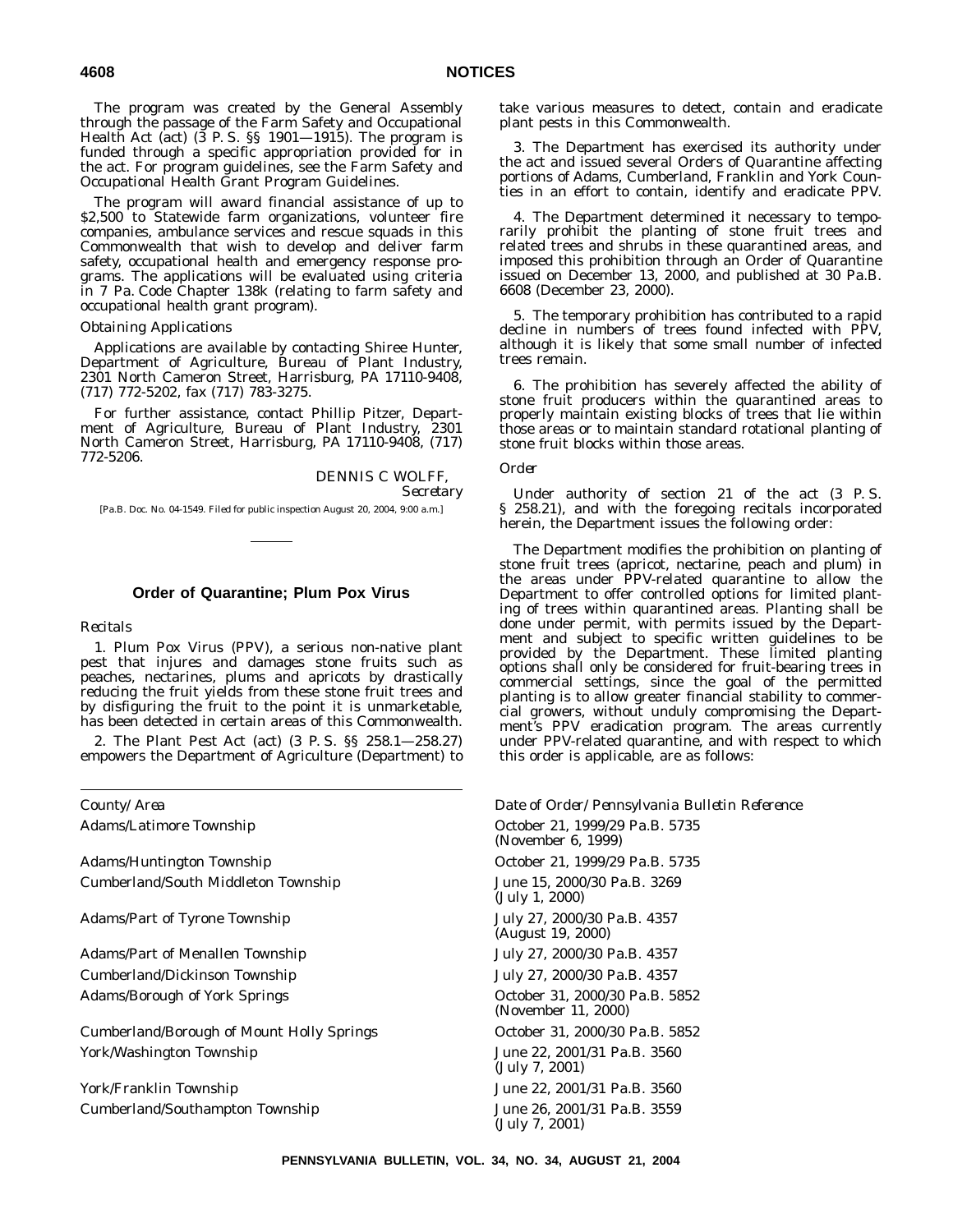The program was created by the General Assembly through the passage of the Farm Safety and Occupational Health Act (act) (3 P. S. §§ 1901—1915). The program is funded through a specific appropriation provided for in the act. For program guidelines, see the Farm Safety and Occupational Health Grant Program Guidelines.

The program will award financial assistance of up to \$2,500 to Statewide farm organizations, volunteer fire companies, ambulance services and rescue squads in this Commonwealth that wish to develop and deliver farm safety, occupational health and emergency response programs. The applications will be evaluated using criteria in 7 Pa. Code Chapter 138k (relating to farm safety and occupational health grant program).

#### *Obtaining Applications*

Applications are available by contacting Shiree Hunter, Department of Agriculture, Bureau of Plant Industry, 2301 North Cameron Street, Harrisburg, PA 17110-9408, (717) 772-5202, fax (717) 783-3275.

For further assistance, contact Phillip Pitzer, Department of Agriculture, Bureau of Plant Industry, 2301 North Cameron Street, Harrisburg, PA 17110-9408, (717) 772-5206.

> DENNIS C WOLFF, *Secretary*

[Pa.B. Doc. No. 04-1549. Filed for public inspection August 20, 2004, 9:00 a.m.]

#### **Order of Quarantine; Plum Pox Virus**

#### *Recitals*

1. Plum Pox Virus (PPV), a serious non-native plant pest that injures and damages stone fruits such as peaches, nectarines, plums and apricots by drastically reducing the fruit yields from these stone fruit trees and by disfiguring the fruit to the point it is unmarketable, has been detected in certain areas of this Commonwealth.

2. The Plant Pest Act (act) (3 P. S. §§ 258.1—258.27) empowers the Department of Agriculture (Department) to

Adams/Huntington Township **Community** October 21, 1999/29 Pa.B. 5735 Cumberland/South Middleton Township June 15, 2000/30 Pa.B. 3269

Adams/Part of Tyrone Township July 27, 2000/30 Pa.B. 4357

Adams/Part of Menallen Township July 27, 2000/30 Pa.B. 4357 Cumberland/Dickinson Township July 27, 2000/30 Pa.B. 4357 Adams/Borough of York Springs The Control of Catalogue of North 2000/30 Pa.B. 5852

Cumberland/Borough of Mount Holly Springs **Cumber 21, 2000/30 Pa.B. 5852** York/Washington Township States and Table 22, 2001/31 Pa.B. 3560

York/Franklin Township 3560 User 22, 2001/31 Pa.B. 3560 Cumberland/Southampton Township June 26, 2001/31 Pa.B. 3559

take various measures to detect, contain and eradicate plant pests in this Commonwealth.

3. The Department has exercised its authority under the act and issued several Orders of Quarantine affecting portions of Adams, Cumberland, Franklin and York Counties in an effort to contain, identify and eradicate PPV.

4. The Department determined it necessary to temporarily prohibit the planting of stone fruit trees and related trees and shrubs in these quarantined areas, and imposed this prohibition through an Order of Quarantine issued on December 13, 2000, and published at 30 Pa.B. 6608 (December 23, 2000).

5. The temporary prohibition has contributed to a rapid decline in numbers of trees found infected with PPV, although it is likely that some small number of infected trees remain.

6. The prohibition has severely affected the ability of stone fruit producers within the quarantined areas to properly maintain existing blocks of trees that lie within those areas or to maintain standard rotational planting of stone fruit blocks within those areas.

#### *Order*

Under authority of section 21 of the act (3 P. S. § 258.21), and with the foregoing recitals incorporated herein, the Department issues the following order:

The Department modifies the prohibition on planting of stone fruit trees (apricot, nectarine, peach and plum) in the areas under PPV-related quarantine to allow the Department to offer controlled options for limited planting of trees within quarantined areas. Planting shall be done under permit, with permits issued by the Department and subject to specific written guidelines to be provided by the Department. These limited planting options shall only be considered for fruit-bearing trees in commercial settings, since the goal of the permitted planting is to allow greater financial stability to commercial growers, without unduly compromising the Department's PPV eradication program. The areas currently under PPV-related quarantine, and with respect to which this order is applicable, are as follows:

*County/Area Date of Order/Pennsylvania Bulletin Reference* Adams/Latimore Township **Containers** October 21, 1999/29 Pa.B. 5735 (November 6, 1999) (July 1, 2000) (August 19, 2000) (November 11, 2000) (July 7, 2001) (July 7, 2001)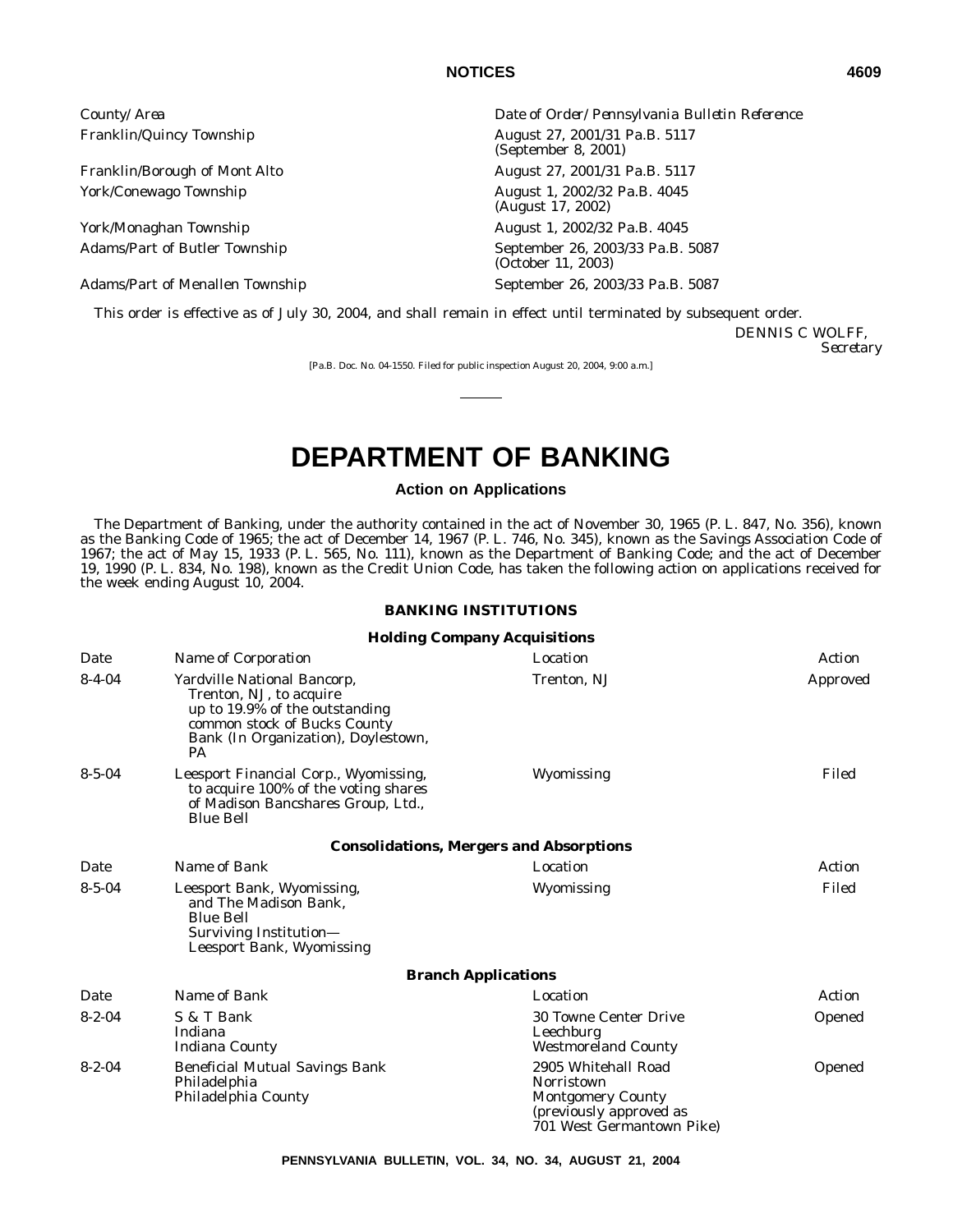York/Conewago Township August 1, 2002/32 Pa.B. 4045

York/Monaghan Township August 1, 2002/32 Pa.B. 4045

Adams/Part of Menallen Township September 26, 2003/33 Pa.B. 5087

*County/Area Date of Order/Pennsylvania Bulletin Reference* Franklin/Quincy Township **August 27, 2001/31 Pa.B. 5117** (September 8, 2001) Franklin/Borough of Mont Alto August 27, 2001/31 Pa.B. 5117 (August 17, 2002) Adams/Part of Butler Township September 26, 2003/33 Pa.B. 5087 (October 11, 2003)

This order is effective as of July 30, 2004, and shall remain in effect until terminated by subsequent order.

DENNIS C WOLFF, *Secretary*

[Pa.B. Doc. No. 04-1550. Filed for public inspection August 20, 2004, 9:00 a.m.]

# **DEPARTMENT OF BANKING**

#### **Action on Applications**

The Department of Banking, under the authority contained in the act of November 30, 1965 (P. L. 847, No. 356), known as the Banking Code of 1965; the act of December 14, 1967 (P. L. 746, No. 345), known as the Savings Association Code of 1967; the act of May 15, 1933 (P. L. 565, No. 111), known as the Department of Banking Code; and the act of December 19, 1990 (P. L. 834, No. 198), known as the Credit Union Code, has taken the following action on applications received for the week ending August 10, 2004.

#### **BANKING INSTITUTIONS**

#### **Holding Company Acquisitions**

| Date         | Name of Corporation                                                                                                                                                          | Location                                                                                                                     | Action        |
|--------------|------------------------------------------------------------------------------------------------------------------------------------------------------------------------------|------------------------------------------------------------------------------------------------------------------------------|---------------|
| $8 - 4 - 04$ | Yardville National Bancorp,<br>Trenton, NJ, to acquire<br>up to 19.9% of the outstanding<br>common stock of Bucks County<br>Bank (In Organization), Doylestown,<br><b>PA</b> | Trenton, NJ                                                                                                                  | Approved      |
| $8 - 5 - 04$ | Leesport Financial Corp., Wyomissing,<br>to acquire 100% of the voting shares<br>of Madison Bancshares Group, Ltd.,<br><b>Blue Bell</b>                                      | Wyomissing                                                                                                                   | Filed         |
|              |                                                                                                                                                                              | <b>Consolidations, Mergers and Absorptions</b>                                                                               |               |
| Date         | Name of Bank                                                                                                                                                                 | Location                                                                                                                     | Action        |
| $8 - 5 - 04$ | Leesport Bank, Wyomissing,<br>and The Madison Bank,<br><b>Blue Bell</b><br>Surviving Institution-<br>Leesport Bank, Wyomissing                                               | Wyomissing                                                                                                                   | Filed         |
|              |                                                                                                                                                                              | <b>Branch Applications</b>                                                                                                   |               |
| Date         | Name of Bank                                                                                                                                                                 | Location                                                                                                                     | Action        |
| $8 - 2 - 04$ | S & T Bank<br>Indiana<br><b>Indiana County</b>                                                                                                                               | <b>30 Towne Center Drive</b><br>Leechburg<br><b>Westmoreland County</b>                                                      | Opened        |
| $8 - 2 - 04$ | <b>Beneficial Mutual Savings Bank</b><br>Philadelphia<br>Philadelphia County                                                                                                 | 2905 Whitehall Road<br><b>Norristown</b><br><b>Montgomery County</b><br>(previously approved as<br>701 West Germantown Pike) | <b>Opened</b> |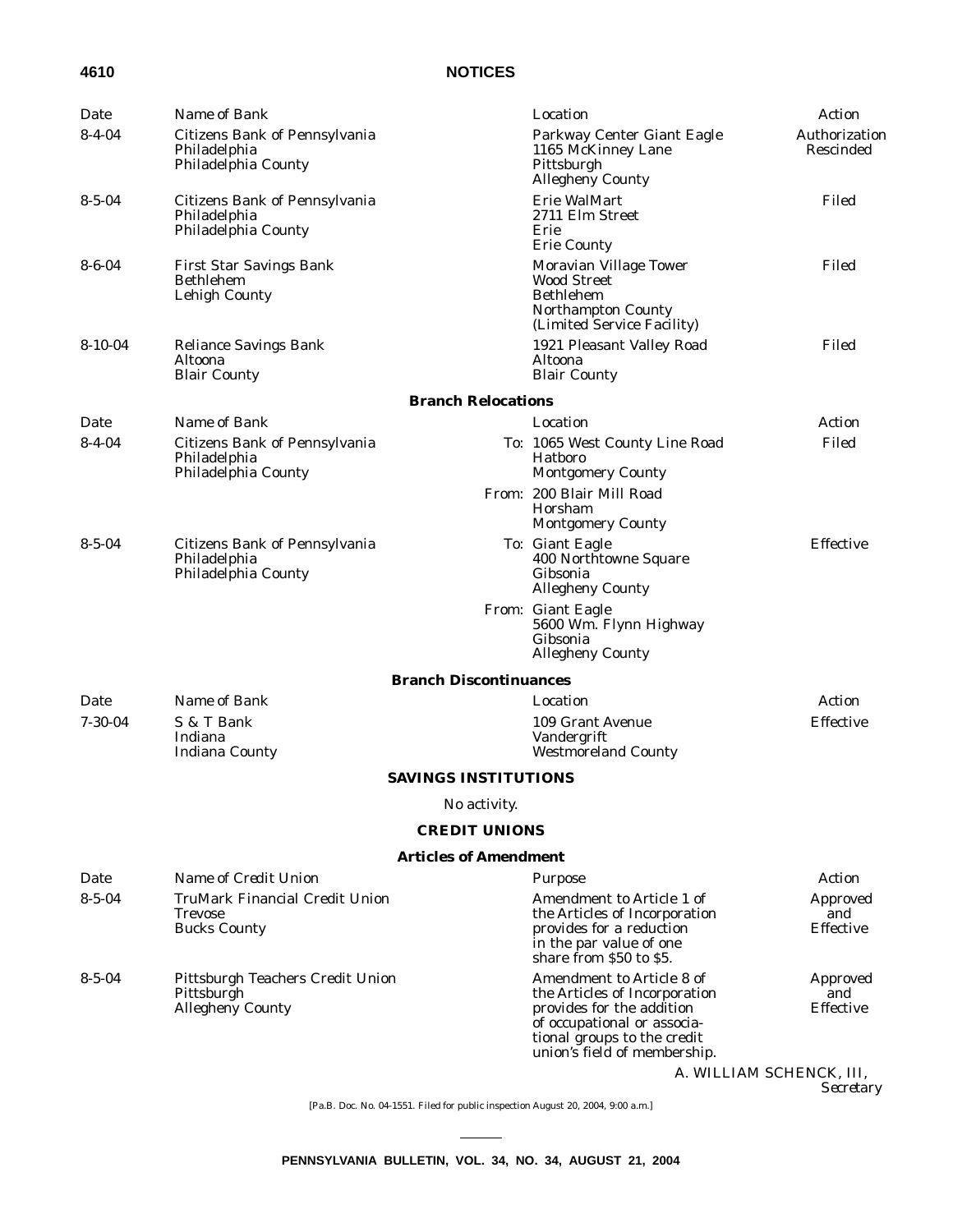### **4610 NOTICES**

| Date          | Name of Bank                                                              |                               | Location                                                                                                                                                                              | Action                                     |
|---------------|---------------------------------------------------------------------------|-------------------------------|---------------------------------------------------------------------------------------------------------------------------------------------------------------------------------------|--------------------------------------------|
| $8 - 4 - 04$  | Citizens Bank of Pennsylvania<br>Philadelphia<br>Philadelphia County      |                               | Parkway Center Giant Eagle<br>1165 McKinney Lane<br>Pittsburgh<br>Allegheny County                                                                                                    | Authorization<br>Rescinded                 |
| $8 - 5 - 04$  | Citizens Bank of Pennsylvania<br>Philadelphia<br>Philadelphia County      |                               | Erie WalMart<br>2711 Elm Street<br>Erie<br><b>Erie County</b>                                                                                                                         | Filed                                      |
| $8 - 6 - 04$  | <b>First Star Savings Bank</b><br><b>Bethlehem</b><br>Lehigh County       |                               | Moravian Village Tower<br><b>Wood Street</b><br><b>Bethlehem</b><br>Northampton County<br>(Limited Service Facility)                                                                  | Filed                                      |
| $8-10-04$     | <b>Reliance Savings Bank</b><br>Altoona<br><b>Blair County</b>            |                               | 1921 Pleasant Valley Road<br>Altoona<br><b>Blair County</b>                                                                                                                           | Filed                                      |
|               |                                                                           | <b>Branch Relocations</b>     |                                                                                                                                                                                       |                                            |
| Date          | Name of Bank                                                              |                               | Location                                                                                                                                                                              | Action                                     |
| $8 - 4 - 04$  | Citizens Bank of Pennsylvania<br>Philadelphia<br>Philadelphia County      |                               | To: 1065 West County Line Road<br>Hatboro<br><b>Montgomery County</b>                                                                                                                 | Filed                                      |
|               |                                                                           |                               | From: 200 Blair Mill Road<br>Horsham<br><b>Montgomery County</b>                                                                                                                      |                                            |
| $8 - 5 - 04$  | Citizens Bank of Pennsylvania<br>Philadelphia<br>Philadelphia County      |                               | To: Giant Eagle<br>400 Northtowne Square<br>Gibsonia<br><b>Allegheny County</b>                                                                                                       | Effective                                  |
|               |                                                                           |                               | From: Giant Eagle<br>5600 Wm. Flynn Highway<br>Gibsonia<br><b>Allegheny County</b>                                                                                                    |                                            |
|               |                                                                           | <b>Branch Discontinuances</b> |                                                                                                                                                                                       |                                            |
| Date          | Name of Bank                                                              |                               | Location                                                                                                                                                                              | Action                                     |
| $7 - 30 - 04$ | S & T Bank<br>Indiana<br><b>Indiana County</b>                            |                               | 109 Grant Avenue<br>Vandergrift<br><b>Westmoreland County</b>                                                                                                                         | Effective                                  |
|               |                                                                           | <b>SAVINGS INSTITUTIONS</b>   |                                                                                                                                                                                       |                                            |
|               |                                                                           | No activity.                  |                                                                                                                                                                                       |                                            |
|               |                                                                           | <b>CREDIT UNIONS</b>          |                                                                                                                                                                                       |                                            |
|               |                                                                           | <b>Articles of Amendment</b>  |                                                                                                                                                                                       |                                            |
| Date          | Name of Credit Union                                                      |                               | Purpose                                                                                                                                                                               | Action                                     |
| $8 - 5 - 04$  | <b>TruMark Financial Credit Union</b><br>Trevose<br><b>Bucks County</b>   |                               | Amendment to Article 1 of<br>the Articles of Incorporation<br>provides for a reduction<br>in the par value of one<br>share from \$50 to \$5.                                          | <b>Approved</b><br>and<br><b>Effective</b> |
| $8 - 5 - 04$  | Pittsburgh Teachers Credit Union<br>Pittsburgh<br><b>Allegheny County</b> |                               | Amendment to Article 8 of<br>the Articles of Incorporation<br>provides for the addition<br>of occupational or associa-<br>tional groups to the credit<br>union's field of membership. | Approved<br>and<br><b>Effective</b>        |
|               |                                                                           |                               |                                                                                                                                                                                       | A. WILLIAM SCHENCK, III,<br>Secretary      |

[Pa.B. Doc. No. 04-1551. Filed for public inspection August 20, 2004, 9:00 a.m.]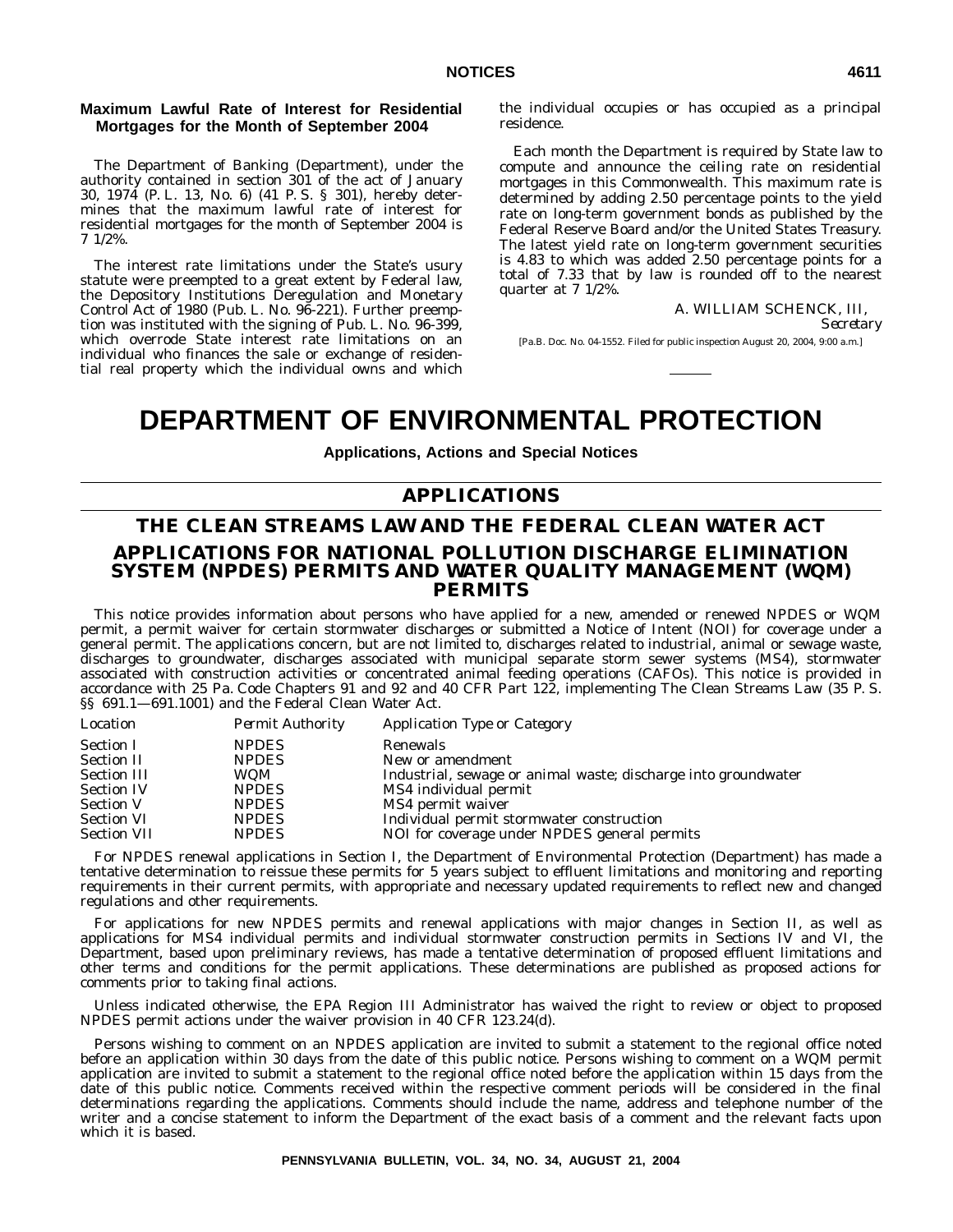#### **Maximum Lawful Rate of Interest for Residential Mortgages for the Month of September 2004**

The Department of Banking (Department), under the authority contained in section 301 of the act of January 30, 1974 (P. L. 13, No. 6) (41 P. S. § 301), hereby determines that the maximum lawful rate of interest for residential mortgages for the month of September 2004 is 7 1/2%.

The interest rate limitations under the State's usury statute were preempted to a great extent by Federal law, the Depository Institutions Deregulation and Monetary Control Act of 1980 (Pub. L. No. 96-221). Further preemption was instituted with the signing of Pub. L. No. 96-399, which overrode State interest rate limitations on an individual who finances the sale or exchange of residential real property which the individual owns and which the individual occupies or has occupied as a principal residence.

Each month the Department is required by State law to compute and announce the ceiling rate on residential mortgages in this Commonwealth. This maximum rate is determined by adding 2.50 percentage points to the yield rate on long-term government bonds as published by the Federal Reserve Board and/or the United States Treasury. The latest yield rate on long-term government securities is 4.83 to which was added 2.50 percentage points for a total of 7.33 that by law is rounded off to the nearest quarter at 7 1/2%.

A. WILLIAM SCHENCK, III,

*Secretary*

[Pa.B. Doc. No. 04-1552. Filed for public inspection August 20, 2004, 9:00 a.m.]

### **DEPARTMENT OF ENVIRONMENTAL PROTECTION**

#### **Applications, Actions and Special Notices**

### **APPLICATIONS**

### **THE CLEAN STREAMS LAW AND THE FEDERAL CLEAN WATER ACT APPLICATIONS FOR NATIONAL POLLUTION DISCHARGE ELIMINATION SYSTEM (NPDES) PERMITS AND WATER QUALITY MANAGEMENT (WQM) PERMITS**

This notice provides information about persons who have applied for a new, amended or renewed NPDES or WQM permit, a permit waiver for certain stormwater discharges or submitted a Notice of Intent (NOI) for coverage under a general permit. The applications concern, but are not limited to, discharges related to industrial, animal or sewage waste, discharges to groundwater, discharges associated with municipal separate storm sewer systems (MS4), stormwater associated with construction activities or concentrated animal feeding operations (CAFOs). This notice is provided in accordance with 25 Pa. Code Chapters 91 and 92 and 40 CFR Part 122, implementing The Clean Streams Law (35 P. S. §§ 691.1-691.1001) and the Federal Clean Water Act.

| Location           | <b>Permit Authority</b> | Application Type or Category                                   |
|--------------------|-------------------------|----------------------------------------------------------------|
| <b>Section I</b>   | <b>NPDES</b>            | Renewals                                                       |
| <b>Section II</b>  | <b>NPDES</b>            | New or amendment                                               |
| <b>Section III</b> | <b>WOM</b>              | Industrial, sewage or animal waste; discharge into groundwater |
| <b>Section IV</b>  | <b>NPDES</b>            | MS4 individual permit                                          |
| <b>Section V</b>   | <b>NPDES</b>            | MS4 permit waiver                                              |
| <b>Section VI</b>  | <b>NPDES</b>            | Individual permit stormwater construction                      |
| <b>Section VII</b> | <b>NPDES</b>            | NOI for coverage under NPDES general permits                   |
|                    |                         |                                                                |

For NPDES renewal applications in Section I, the Department of Environmental Protection (Department) has made a tentative determination to reissue these permits for 5 years subject to effluent limitations and monitoring and reporting requirements in their current permits, with appropriate and necessary updated requirements to reflect new and changed regulations and other requirements.

For applications for new NPDES permits and renewal applications with major changes in Section II, as well as applications for MS4 individual permits and individual stormwater construction permits in Sections IV and VI, the Department, based upon preliminary reviews, has made a tentative determination of proposed effluent limitations and other terms and conditions for the permit applications. These determinations are published as proposed actions for comments prior to taking final actions.

Unless indicated otherwise, the EPA Region III Administrator has waived the right to review or object to proposed NPDES permit actions under the waiver provision in 40 CFR 123.24(d).

Persons wishing to comment on an NPDES application are invited to submit a statement to the regional office noted before an application within 30 days from the date of this public notice. Persons wishing to comment on a WQM permit application are invited to submit a statement to the regional office noted before the application within 15 days from the date of this public notice. Comments received within the respective comment periods will be considered in the final determinations regarding the applications. Comments should include the name, address and telephone number of the writer and a concise statement to inform the Department of the exact basis of a comment and the relevant facts upon which it is based.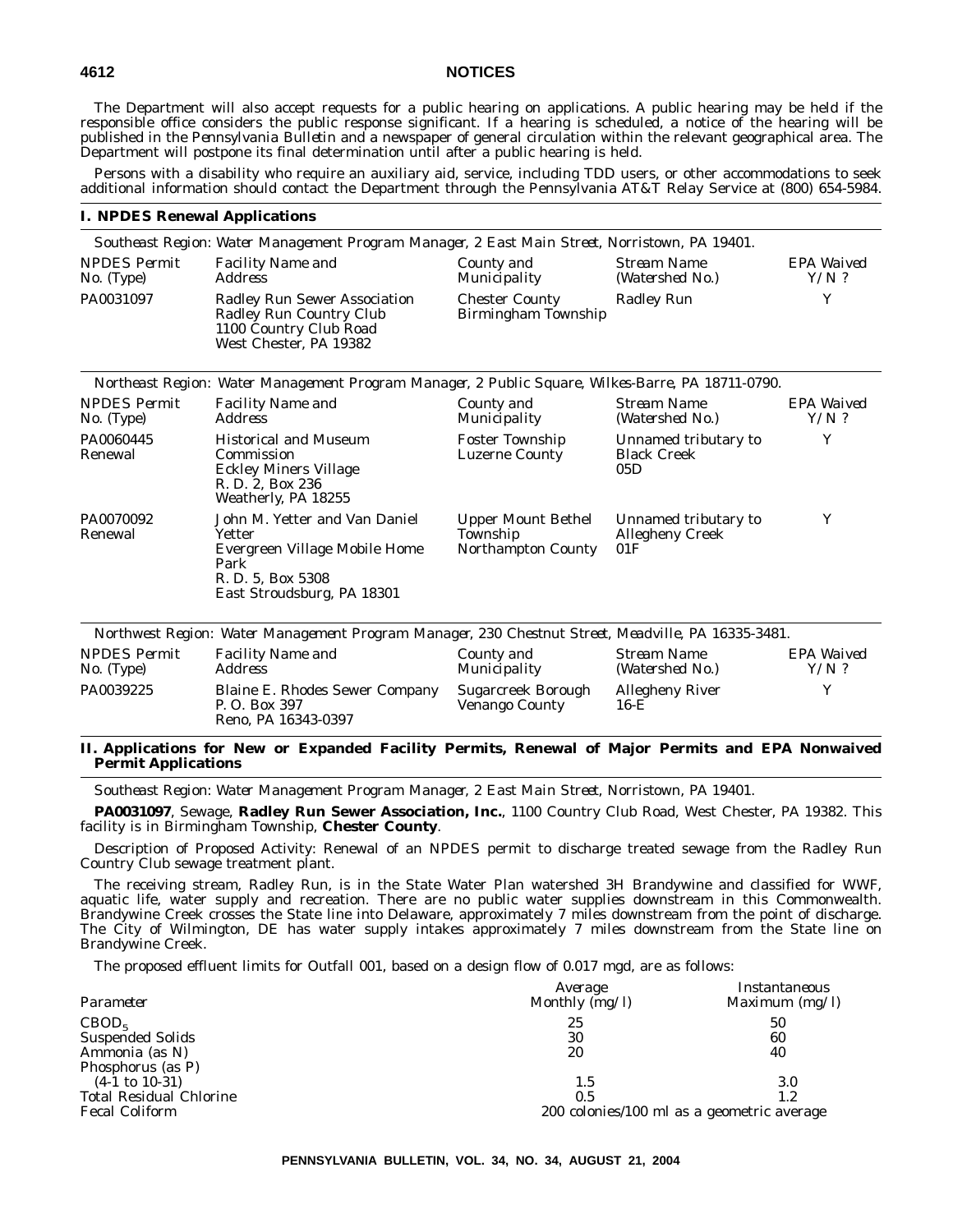#### **4612 NOTICES**

The Department will also accept requests for a public hearing on applications. A public hearing may be held if the responsible office considers the public response significant. If a hearing is scheduled, a notice of the hearing will be published in the *Pennsylvania Bulletin* and a newspaper of general circulation within the relevant geographical area. The Department will postpone its final determination until after a public hearing is held.

Persons with a disability who require an auxiliary aid, service, including TDD users, or other accommodations to seek additional information should contact the Department through the Pennsylvania AT&T Relay Service at (800) 654-5984.

#### **I. NPDES Renewal Applications**

|                                     | Southeast Region: Water Management Program Manager, 2 East Main Street, Norristown, PA 19401.                                       |                                                             |                                                       |                       |
|-------------------------------------|-------------------------------------------------------------------------------------------------------------------------------------|-------------------------------------------------------------|-------------------------------------------------------|-----------------------|
| <b>NPDES</b> Permit<br>$No.$ (Type) | <b>Facility Name and</b><br><b>Address</b>                                                                                          | County and<br>Municipality                                  | <b>Stream Name</b><br>(Watershed No.)                 | EPA Waived<br>$Y/N$ ? |
| PA0031097                           | Radley Run Sewer Association<br>Radley Run Country Club<br>1100 Country Club Road<br>West Chester, PA 19382                         | <b>Chester County</b><br>Birmingham Township                | <b>Radley Run</b>                                     | Y                     |
|                                     | Northeast Region: Water Management Program Manager, 2 Public Square, Wilkes-Barre, PA 18711-0790.                                   |                                                             |                                                       |                       |
| <b>NPDES</b> Permit<br>$No.$ (Type) | <b>Facility Name and</b><br><i>Address</i>                                                                                          | County and<br>Municipality                                  | Stream Name<br>(Watershed No.)                        | EPA Waived<br>$Y/N$ ? |
| PA0060445<br>Renewal                | <b>Historical and Museum</b><br>Commission<br><b>Eckley Miners Village</b><br>R. D. 2, Box 236<br>Weatherly, PA 18255               | <b>Foster Township</b><br><b>Luzerne County</b>             | Unnamed tributary to<br><b>Black Creek</b><br>05D     | Y                     |
| PA0070092<br>Renewal                | John M. Yetter and Van Daniel<br>Yetter<br>Evergreen Village Mobile Home<br>Park<br>R. D. 5, Box 5308<br>East Stroudsburg, PA 18301 | <b>Upper Mount Bethel</b><br>Township<br>Northampton County | Unnamed tributary to<br><b>Allegheny Creek</b><br>01F | Y                     |

|                                     | Northwest Region: Water Management Program Manager, 230 Chestnut Street, Meadville, PA 16335-3481. |                                      |                                  |                       |
|-------------------------------------|----------------------------------------------------------------------------------------------------|--------------------------------------|----------------------------------|-----------------------|
| <b>NPDES Permit</b><br>$No.$ (Type) | <b>Facility Name and</b><br>Address                                                                | County and<br>Municipality           | Stream Name<br>(Watershed No.)   | EPA Waived<br>$Y/N$ ? |
| PA0039225                           | <b>Blaine E. Rhodes Sewer Company</b><br>P. O. Box 397<br>Reno, PA 16343-0397                      | Sugarcreek Borough<br>Venango County | <b>Allegheny River</b><br>$16-E$ |                       |

#### **II. Applications for New or Expanded Facility Permits, Renewal of Major Permits and EPA Nonwaived Permit Applications**

*Southeast Region: Water Management Program Manager, 2 East Main Street, Norristown, PA 19401.*

**PA0031097**, Sewage, **Radley Run Sewer Association, Inc.**, 1100 Country Club Road, West Chester, PA 19382. This facility is in Birmingham Township, **Chester County**.

Description of Proposed Activity: Renewal of an NPDES permit to discharge treated sewage from the Radley Run Country Club sewage treatment plant.

The receiving stream, Radley Run, is in the State Water Plan watershed 3H Brandywine and classified for WWF, aquatic life, water supply and recreation. There are no public water supplies downstream in this Commonwealth. Brandywine Creek crosses the State line into Delaware, approximately 7 miles downstream from the point of discharge. The City of Wilmington, DE has water supply intakes approximately 7 miles downstream from the State line on Brandywine Creek.

The proposed effluent limits for Outfall 001, based on a design flow of 0.017 mgd, are as follows:

|                                | Average                                    | Instantaneous    |  |
|--------------------------------|--------------------------------------------|------------------|--|
| Parameter                      | Monthly $(mg/l)$                           | Maximum $(mg/l)$ |  |
| CBOD <sub>5</sub>              | 25                                         | 50               |  |
| <b>Suspended Solids</b>        | 30                                         | 60               |  |
| Ammonia (as N)                 | 20                                         | 40               |  |
| Phosphorus (as P)              |                                            |                  |  |
| $(4-1 \text{ to } 10-31)$      | 1.5                                        | 3.0              |  |
| <b>Total Residual Chlorine</b> | 0.5                                        | 1.2              |  |
| <b>Fecal Coliform</b>          | 200 colonies/100 ml as a geometric average |                  |  |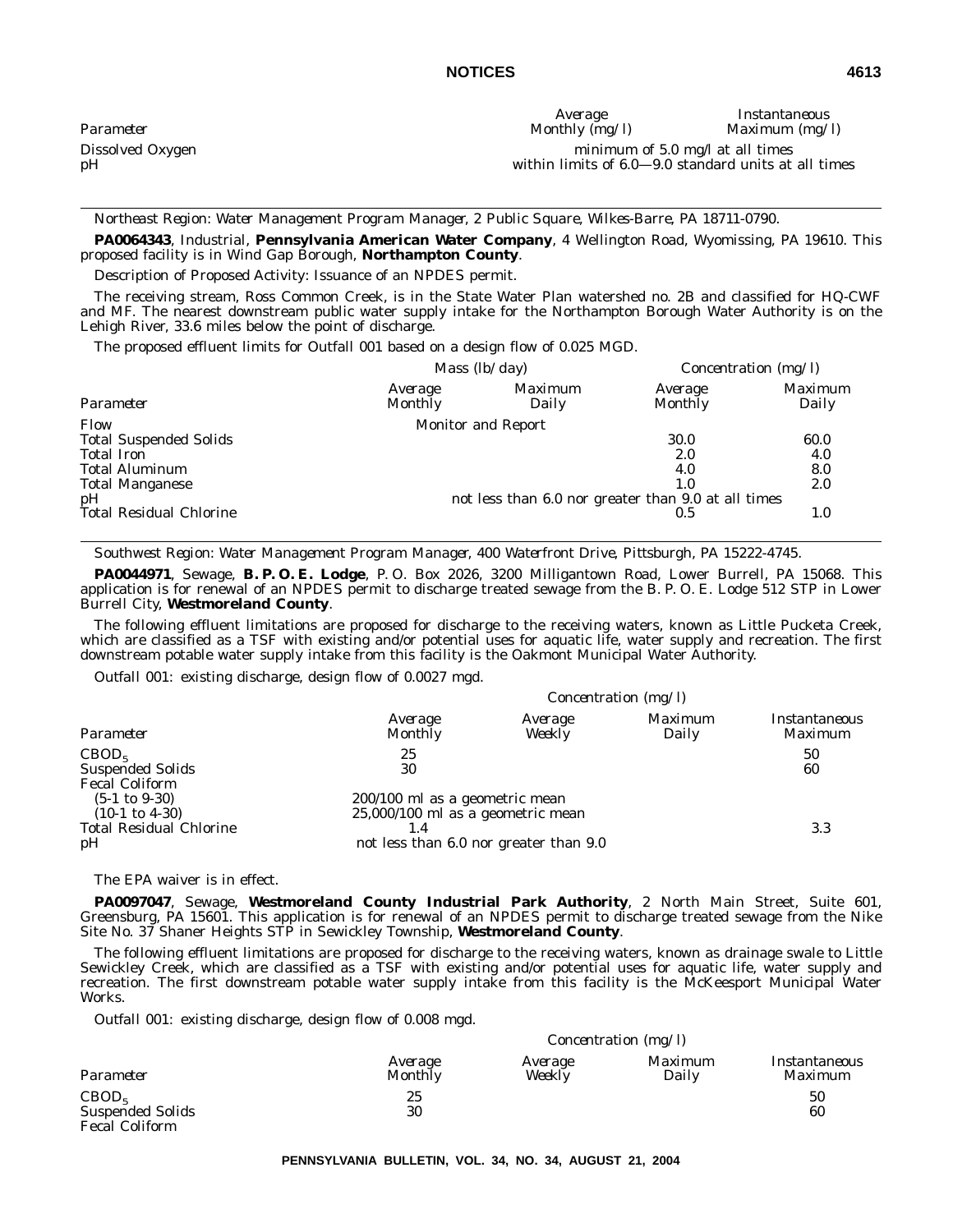|                  | Average                                              | Instantaneous    |
|------------------|------------------------------------------------------|------------------|
| Parameter        | Monthly $(mg/l)$                                     | Maximum $(mg/l)$ |
| Dissolved Oxygen | minimum of $5.0$ mg/l at all times                   |                  |
| pН               | within limits of 6.0–9.0 standard units at all times |                  |

*Northeast Region: Water Management Program Manager, 2 Public Square, Wilkes-Barre, PA 18711-0790.*

**PA0064343**, Industrial, **Pennsylvania American Water Company**, 4 Wellington Road, Wyomissing, PA 19610. This proposed facility is in Wind Gap Borough, **Northampton County**.

Description of Proposed Activity: Issuance of an NPDES permit.

The receiving stream, Ross Common Creek, is in the State Water Plan watershed no. 2B and classified for HQ-CWF and MF. The nearest downstream public water supply intake for the Northampton Borough Water Authority is on the Lehigh River, 33.6 miles below the point of discharge.

The proposed effluent limits for Outfall 001 based on a design flow of 0.025 MGD.

|                                |                    | Mass $(lb/day)$                                     |                    | Concentration $(mg/l)$ |
|--------------------------------|--------------------|-----------------------------------------------------|--------------------|------------------------|
| Parameter                      | Average<br>Monthly | Maximum<br>Daily                                    | Average<br>Monthly | Maximum<br>Daily       |
| Flow                           |                    | <b>Monitor and Report</b>                           |                    |                        |
| <b>Total Suspended Solids</b>  |                    |                                                     | 30.0               | 60.0                   |
| <b>Total Iron</b>              |                    |                                                     | 2.0                | 4.0                    |
| <b>Total Aluminum</b>          |                    |                                                     | 4.0                | 8.0                    |
| <b>Total Manganese</b>         |                    |                                                     | 1.0                | 2.0                    |
| pH                             |                    | not less than 6.0 nor greater than 9.0 at all times |                    |                        |
| <b>Total Residual Chlorine</b> |                    |                                                     | 0.5                | 1.0                    |

*Southwest Region: Water Management Program Manager, 400 Waterfront Drive, Pittsburgh, PA 15222-4745.*

**PA0044971**, Sewage, **B. P. O. E. Lodge**, P. O. Box 2026, 3200 Milligantown Road, Lower Burrell, PA 15068. This application is for renewal of an NPDES permit to discharge treated sewage from the B. P. O. E. Lodge 512 STP in Lower Burrell City, **Westmoreland County**.

The following effluent limitations are proposed for discharge to the receiving waters, known as Little Pucketa Creek, which are classified as a TSF with existing and/or potential uses for aquatic life, water supply and recreation. The first downstream potable water supply intake from this facility is the Oakmont Municipal Water Authority.

*Outfall 001:* existing discharge, design flow of 0.0027 mgd.

| Parameter                                                                      |                                                                       | Concentration $(mg/l)$                 |                  |                          |  |  |
|--------------------------------------------------------------------------------|-----------------------------------------------------------------------|----------------------------------------|------------------|--------------------------|--|--|
|                                                                                | Average<br>Monthly                                                    | Average<br>Weekly                      | Maximum<br>Daily | Instantaneous<br>Maximum |  |  |
| CBOD <sub>5</sub>                                                              | 25                                                                    |                                        |                  | 50                       |  |  |
| <b>Suspended Solids</b>                                                        | 30                                                                    |                                        |                  | 60                       |  |  |
| <b>Fecal Coliform</b><br>$(5-1 \text{ to } 9-30)$<br>$(10-1 \text{ to } 4-30)$ | 200/100 ml as a geometric mean<br>$25,000/100$ ml as a geometric mean |                                        |                  |                          |  |  |
| <b>Total Residual Chlorine</b><br>pH                                           |                                                                       | not less than 6.0 nor greater than 9.0 |                  | 3.3                      |  |  |

The EPA waiver is in effect.

**PA0097047**, Sewage, **Westmoreland County Industrial Park Authority**, 2 North Main Street, Suite 601, Greensburg, PA 15601. This application is for renewal of an NPDES permit to discharge treated sewage from the Nike Site No. 37 Shaner Heights STP in Sewickley Township, **Westmoreland County**.

The following effluent limitations are proposed for discharge to the receiving waters, known as drainage swale to Little Sewickley Creek, which are classified as a TSF with existing and/or potential uses for aquatic life, water supply and recreation. The first downstream potable water supply intake from this facility is the McKeesport Municipal Water Works.

*Outfall 001:* existing discharge, design flow of 0.008 mgd.

|                         |                    |                   | <i>Concentration</i> ( $mg/l$ ) |                          |
|-------------------------|--------------------|-------------------|---------------------------------|--------------------------|
| Parameter               | Average<br>Monthly | Average<br>Weekly | <i>Maximum</i><br>Daily         | Instantaneous<br>Maximum |
| CBOD <sub>5</sub>       | 25                 |                   |                                 | 50                       |
| <b>Suspended Solids</b> | 30                 |                   |                                 | 60                       |
| <b>Fecal Coliform</b>   |                    |                   |                                 |                          |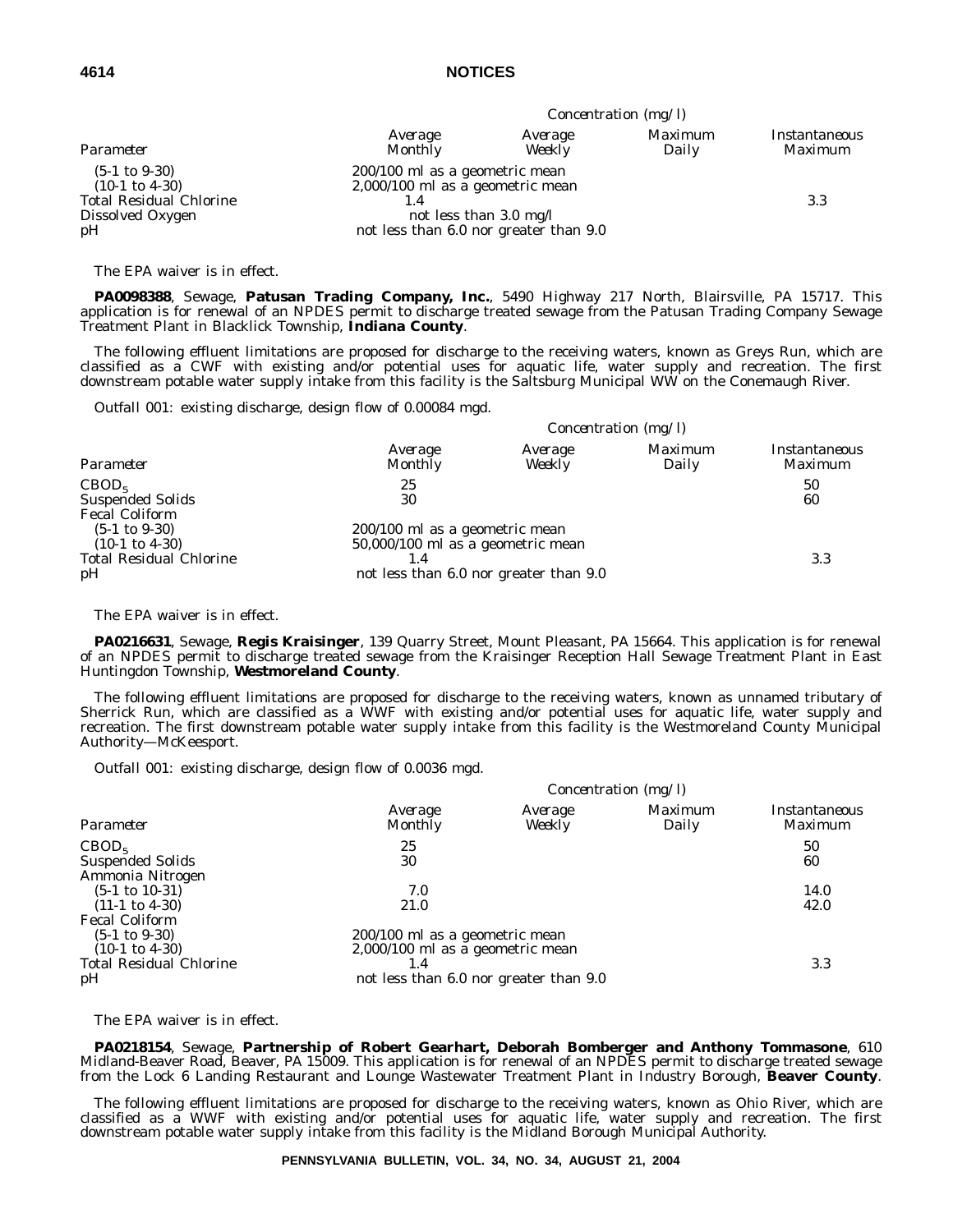| Parameter                                                                                                         |                                                                                                                                          |                   | Concentration $(mg/l)$ |                                        |  |  |
|-------------------------------------------------------------------------------------------------------------------|------------------------------------------------------------------------------------------------------------------------------------------|-------------------|------------------------|----------------------------------------|--|--|
|                                                                                                                   | Average<br><b>Monthly</b>                                                                                                                | Average<br>Weekly | Maximum<br>Daily       | <i>Instantaneous</i><br><i>Maximum</i> |  |  |
| $(5-1 \text{ to } 9-30)$<br>$(10-1 \text{ to } 4-30)$<br><b>Total Residual Chlorine</b><br>Dissolved Oxygen<br>pH | 200/100 ml as a geometric mean<br>$2,000/100$ ml as a geometric mean<br>not less than 3.0 mg/l<br>not less than 6.0 nor greater than 9.0 |                   |                        | 3.3                                    |  |  |

The EPA waiver is in effect.

**PA0098388**, Sewage, **Patusan Trading Company, Inc.**, 5490 Highway 217 North, Blairsville, PA 15717. This application is for renewal of an NPDES permit to discharge treated sewage from the Patusan Trading Company Sewage Treatment Plant in Blacklick Township, **Indiana County**.

The following effluent limitations are proposed for discharge to the receiving waters, known as Greys Run, which are classified as a CWF with existing and/or potential uses for aquatic life, water supply and recreation. The first downstream potable water supply intake from this facility is the Saltsburg Municipal WW on the Conemaugh River.

*Outfall 001:* existing discharge, design flow of 0.00084 mgd.

| Parameter                                                                      |                                                                       | Concentration (mg/l) |                  |                          |  |  |
|--------------------------------------------------------------------------------|-----------------------------------------------------------------------|----------------------|------------------|--------------------------|--|--|
|                                                                                | Average<br><b>Monthly</b>                                             | Average<br>Weekly    | Maximum<br>Daily | Instantaneous<br>Maximum |  |  |
| CBOD <sub>5</sub>                                                              | 25                                                                    |                      |                  | 50                       |  |  |
| <b>Suspended Solids</b>                                                        | 30                                                                    |                      |                  | 60                       |  |  |
| <b>Fecal Coliform</b><br>$(5-1 \text{ to } 9-30)$<br>$(10-1 \text{ to } 4-30)$ | 200/100 ml as a geometric mean<br>$50,000/100$ ml as a geometric mean |                      |                  |                          |  |  |
| <b>Total Residual Chlorine</b>                                                 |                                                                       |                      |                  | 3.3                      |  |  |
| pH                                                                             | not less than 6.0 nor greater than 9.0                                |                      |                  |                          |  |  |

The EPA waiver is in effect.

**PA0216631**, Sewage, **Regis Kraisinger**, 139 Quarry Street, Mount Pleasant, PA 15664. This application is for renewal of an NPDES permit to discharge treated sewage from the Kraisinger Reception Hall Sewage Treatment Plant in East Huntingdon Township, **Westmoreland County**.

The following effluent limitations are proposed for discharge to the receiving waters, known as unnamed tributary of Sherrick Run, which are classified as a WWF with existing and/or potential uses for aquatic life, water supply and recreation. The first downstream potable water supply intake from this facility is the Westmoreland County Municipal Authority—McKeesport.

*Outfall 001:* existing discharge, design flow of 0.0036 mgd.

|                                                                                |                                                                      |                                        | Concentration $(mg/l)$ |                                        |
|--------------------------------------------------------------------------------|----------------------------------------------------------------------|----------------------------------------|------------------------|----------------------------------------|
| Parameter                                                                      | Average<br>Monthly                                                   | Average<br>Weekly                      | Maximum<br>Daily       | <i>Instantaneous</i><br><i>Maximum</i> |
| CBOD <sub>5</sub><br><b>Suspended Solids</b>                                   | 25<br>30                                                             |                                        |                        | 50<br>60                               |
| Ammonia Nitrogen<br>$(5-1 \text{ to } 10-31)$<br>$(11-1 \text{ to } 4-30)$     | 7.0<br>21.0                                                          |                                        |                        | 14.0<br>42.0                           |
| <b>Fecal Coliform</b><br>$(5-1 \text{ to } 9-30)$<br>$(10-1 \text{ to } 4-30)$ | 200/100 ml as a geometric mean<br>$2,000/100$ ml as a geometric mean |                                        |                        |                                        |
| <b>Total Residual Chlorine</b><br>pH                                           | 1.4                                                                  | not less than 6.0 nor greater than 9.0 |                        | 3.3                                    |

The EPA waiver is in effect.

**PA0218154**, Sewage, **Partnership of Robert Gearhart, Deborah Bomberger and Anthony Tommasone**, 610 Midland-Beaver Road, Beaver, PA 15009. This application is for renewal of an NPDES permit to discharge treated sewage from the Lock 6 Landing Restaurant and Lounge Wastewater Treatment Plant in Industry Borough, **Beaver County**.

The following effluent limitations are proposed for discharge to the receiving waters, known as Ohio River, which are classified as a WWF with existing and/or potential uses for aquatic life, water supply and recreation. The first downstream potable water supply intake from this facility is the Midland Borough Municipal Authority.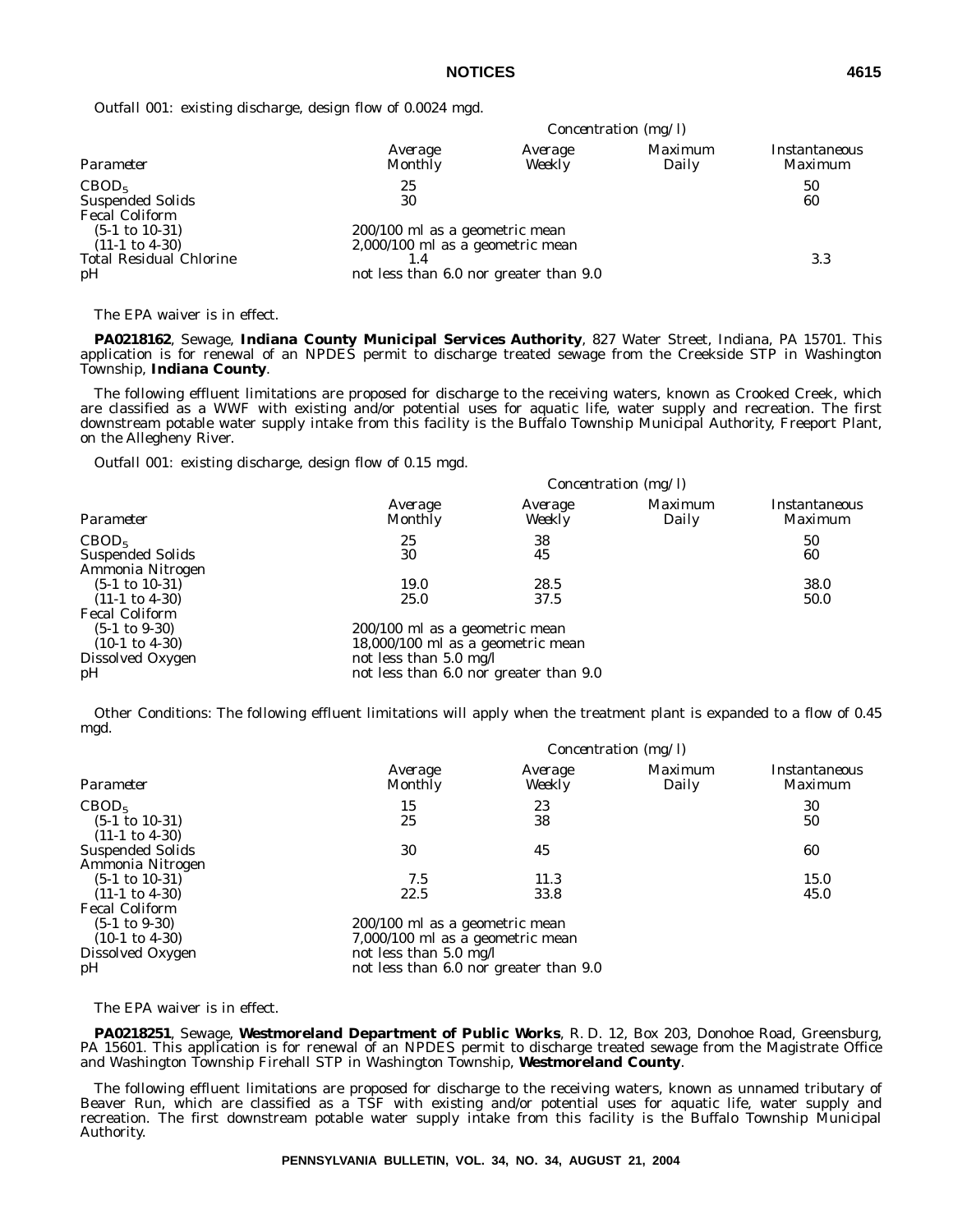*Outfall 001:* existing discharge, design flow of 0.0024 mgd.

| Parameter                                                                                      |                                                                                                              |                   | Concentration (mg/l) |                          |  |  |
|------------------------------------------------------------------------------------------------|--------------------------------------------------------------------------------------------------------------|-------------------|----------------------|--------------------------|--|--|
|                                                                                                | Average<br><b>Monthly</b>                                                                                    | Average<br>Weekly | Maximum<br>Daily     | Instantaneous<br>Maximum |  |  |
| CBOD <sub>5</sub><br><b>Suspended Solids</b><br><b>Fecal Coliform</b>                          | 25<br>30                                                                                                     |                   |                      | 50<br>60                 |  |  |
| $(5-1 \text{ to } 10-31)$<br>$(11-1 \text{ to } 4-30)$<br><b>Total Residual Chlorine</b><br>pH | 200/100 ml as a geometric mean<br>2,000/100 ml as a geometric mean<br>not less than 6.0 nor greater than 9.0 |                   |                      | 3.3                      |  |  |

The EPA waiver is in effect.

**PA0218162**, Sewage, **Indiana County Municipal Services Authority**, 827 Water Street, Indiana, PA 15701. This application is for renewal of an NPDES permit to discharge treated sewage from the Creekside STP in Washington Township, **Indiana County**.

The following effluent limitations are proposed for discharge to the receiving waters, known as Crooked Creek, which are classified as a WWF with existing and/or potential uses for aquatic life, water supply and recreation. The first downstream potable water supply intake from this facility is the Buffalo Township Municipal Authority, Freeport Plant, on the Allegheny River.

*Outfall 001:* existing discharge, design flow of 0.15 mgd.

|                           |                                        | Concentration $(mg/l)$ |                         |                          |  |
|---------------------------|----------------------------------------|------------------------|-------------------------|--------------------------|--|
| Parameter                 | Average<br><b>Monthly</b>              | Average<br>Weekly      | <i>Maximum</i><br>Daily | Instantaneous<br>Maximum |  |
| CBOD <sub>5</sub>         | 25                                     | 38                     |                         | 50                       |  |
| <b>Suspended Solids</b>   | 30                                     | 45                     |                         | 60                       |  |
| Ammonia Nitrogen          |                                        |                        |                         |                          |  |
| $(5-1 \text{ to } 10-31)$ | 19.0                                   | 28.5                   |                         | 38.0                     |  |
| $(11-1 \text{ to } 4-30)$ | 25.0                                   | 37.5                   |                         | 50.0                     |  |
| <b>Fecal Coliform</b>     |                                        |                        |                         |                          |  |
| $(5-1 \text{ to } 9-30)$  | 200/100 ml as a geometric mean         |                        |                         |                          |  |
| $(10-1 \text{ to } 4-30)$ | 18,000/100 ml as a geometric mean      |                        |                         |                          |  |
| Dissolved Oxygen          | not less than $5.0 \text{ mg/l}$       |                        |                         |                          |  |
| pH                        | not less than 6.0 nor greater than 9.0 |                        |                         |                          |  |

Other Conditions: The following effluent limitations will apply when the treatment plant is expanded to a flow of 0.45 mgd.

|                                                                                                          |                                                                                                                                        |                   | Concentration (mg/l) |                          |
|----------------------------------------------------------------------------------------------------------|----------------------------------------------------------------------------------------------------------------------------------------|-------------------|----------------------|--------------------------|
| Parameter                                                                                                | Average<br><b>Monthly</b>                                                                                                              | Average<br>Weekly | Maximum<br>Daily     | Instantaneous<br>Maximum |
| CBOD <sub>5</sub><br>$(5-1 \text{ to } 10-31)$<br>$(11-1 \text{ to } 4-30)$                              | 15<br>25                                                                                                                               | 23<br>38          |                      | 30<br>50                 |
| <b>Suspended Solids</b><br>Ammonia Nitrogen                                                              | 30                                                                                                                                     | 45                |                      | 60                       |
| $(5-1 \text{ to } 10-31)$                                                                                | 7.5                                                                                                                                    | 11.3              |                      | 15.0                     |
| $(11-1 \text{ to } 4-30)$                                                                                | 22.5                                                                                                                                   | 33.8              |                      | 45.0                     |
| <b>Fecal Coliform</b><br>$(5-1 \text{ to } 9-30)$<br>$(10-1 \text{ to } 4-30)$<br>Dissolved Oxygen<br>pH | 200/100 ml as a geometric mean<br>7,000/100 ml as a geometric mean<br>not less than 5.0 mg/l<br>not less than 6.0 nor greater than 9.0 |                   |                      |                          |

The EPA waiver is in effect.

**PA0218251**, Sewage, **Westmoreland Department of Public Works**, R. D. 12, Box 203, Donohoe Road, Greensburg, PA 15601. This application is for renewal of an NPDES permit to discharge treated sewage from the Magistrate Office and Washington Township Firehall STP in Washington Township, **Westmoreland County**.

The following effluent limitations are proposed for discharge to the receiving waters, known as unnamed tributary of Beaver Run, which are classified as a TSF with existing and/or potential uses for aquatic life, water supply and recreation. The first downstream potable water supply intake from this facility is the Buffalo Township Municipal Authority.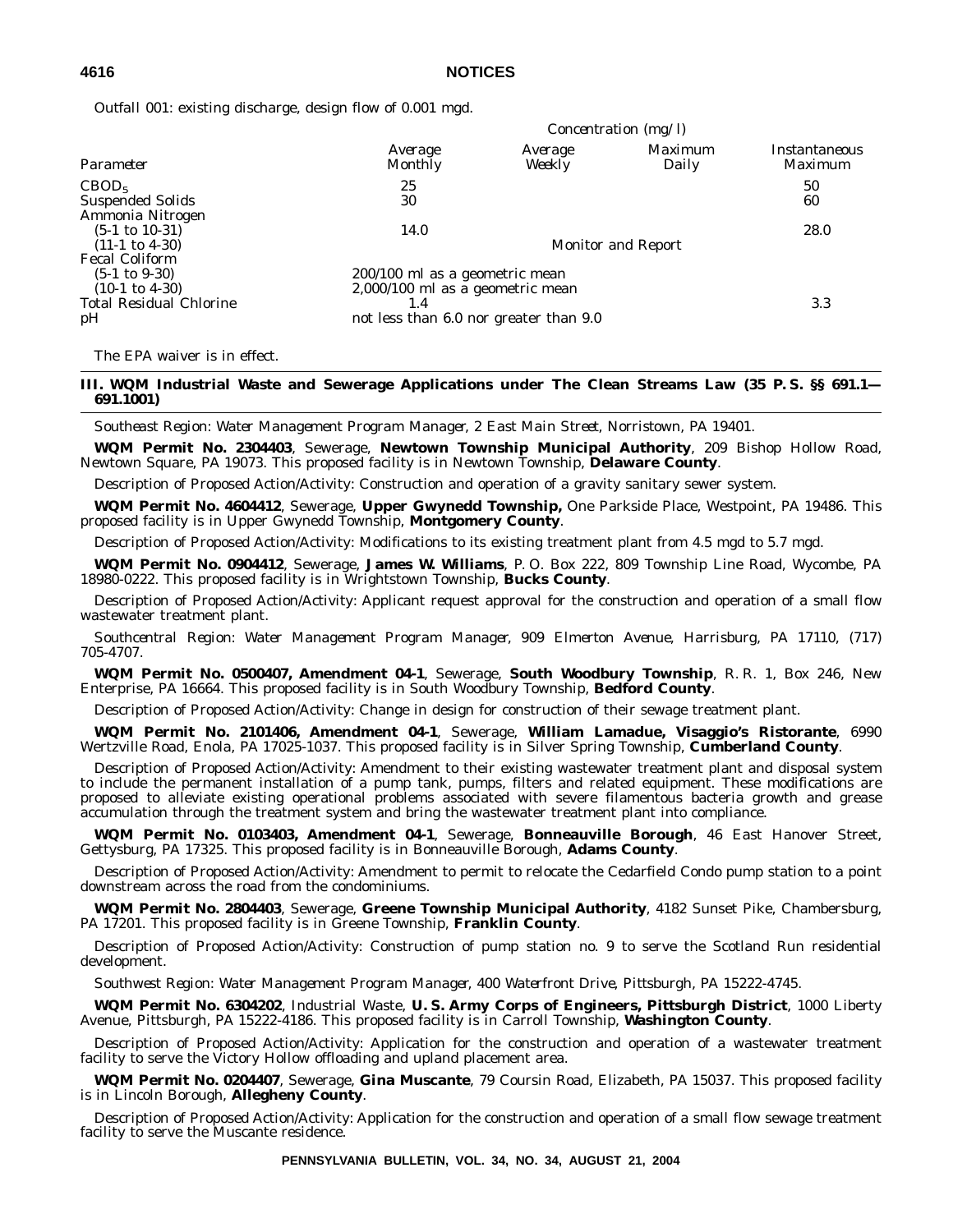*Outfall 001:* existing discharge, design flow of 0.001 mgd.

|                                                                                                                        |                                                                                                                                 |                   | <i>Concentration (mg/l)</i> |                                 |
|------------------------------------------------------------------------------------------------------------------------|---------------------------------------------------------------------------------------------------------------------------------|-------------------|-----------------------------|---------------------------------|
| Parameter                                                                                                              | Average<br>Monthly                                                                                                              | Average<br>Weekly | Maximum<br>Daily            | Instantaneous<br><i>Maximum</i> |
| CBOD <sub>5</sub><br><b>Suspended Solids</b>                                                                           | 25<br>30                                                                                                                        |                   |                             | 50<br>60                        |
| Ammonia Nitrogen<br>$(5-1 \text{ to } 10-31)$<br>$(11-1 \text{ to } 4-30)$                                             | 14.0                                                                                                                            |                   | <b>Monitor and Report</b>   | 28.0                            |
| <b>Fecal Coliform</b><br>$(5-1 \text{ to } 9-30)$<br>$(10-1 \text{ to } 4-30)$<br><b>Total Residual Chlorine</b><br>pH | 200/100 ml as a geometric mean<br>$2,000/100$ ml as a geometric mean<br>$1.4^{\circ}$<br>not less than 6.0 nor greater than 9.0 |                   |                             | 3.3                             |

The EPA waiver is in effect.

**III. WQM Industrial Waste and Sewerage Applications under The Clean Streams Law (35 P. S. §§ 691.1— 691.1001)**

*Southeast Region: Water Management Program Manager, 2 East Main Street, Norristown, PA 19401.*

**WQM Permit No. 2304403**, Sewerage, **Newtown Township Municipal Authority**, 209 Bishop Hollow Road, Newtown Square, PA 19073. This proposed facility is in Newtown Township, **Delaware County**.

Description of Proposed Action/Activity: Construction and operation of a gravity sanitary sewer system.

**WQM Permit No. 4604412**, Sewerage, **Upper Gwynedd Township,** One Parkside Place, Westpoint, PA 19486. This proposed facility is in Upper Gwynedd Township, **Montgomery County**.

Description of Proposed Action/Activity: Modifications to its existing treatment plant from 4.5 mgd to 5.7 mgd.

**WQM Permit No. 0904412**, Sewerage, **James W. Williams**, P. O. Box 222, 809 Township Line Road, Wycombe, PA 18980-0222. This proposed facility is in Wrightstown Township, **Bucks County**.

Description of Proposed Action/Activity: Applicant request approval for the construction and operation of a small flow wastewater treatment plant.

*Southcentral Region: Water Management Program Manager, 909 Elmerton Avenue, Harrisburg, PA 17110, (717) 705-4707.*

**WQM Permit No. 0500407, Amendment 04-1**, Sewerage, **South Woodbury Township**, R. R. 1, Box 246, New Enterprise, PA 16664. This proposed facility is in South Woodbury Township, **Bedford County**.

Description of Proposed Action/Activity: Change in design for construction of their sewage treatment plant.

**WQM Permit No. 2101406, Amendment 04-1**, Sewerage, **William Lamadue, Visaggio's Ristorante**, 6990 Wertzville Road, Enola, PA 17025-1037. This proposed facility is in Silver Spring Township, **Cumberland County**.

Description of Proposed Action/Activity: Amendment to their existing wastewater treatment plant and disposal system to include the permanent installation of a pump tank, pumps, filters and related equipment. These modifications are proposed to alleviate existing operational problems associated with severe filamentous bacteria growth and grease accumulation through the treatment system and bring the wastewater treatment plant into compliance.

**WQM Permit No. 0103403, Amendment 04-1**, Sewerage, **Bonneauville Borough**, 46 East Hanover Street, Gettysburg, PA 17325. This proposed facility is in Bonneauville Borough, **Adams County**.

Description of Proposed Action/Activity: Amendment to permit to relocate the Cedarfield Condo pump station to a point downstream across the road from the condominiums.

**WQM Permit No. 2804403**, Sewerage, **Greene Township Municipal Authority**, 4182 Sunset Pike, Chambersburg, PA 17201. This proposed facility is in Greene Township, **Franklin County**.

Description of Proposed Action/Activity: Construction of pump station no. 9 to serve the Scotland Run residential development.

*Southwest Region: Water Management Program Manager, 400 Waterfront Drive, Pittsburgh, PA 15222-4745.*

**WQM Permit No. 6304202**, Industrial Waste, **U. S. Army Corps of Engineers, Pittsburgh District**, 1000 Liberty Avenue, Pittsburgh, PA 15222-4186. This proposed facility is in Carroll Township, **Washington County**.

Description of Proposed Action/Activity: Application for the construction and operation of a wastewater treatment facility to serve the Victory Hollow offloading and upland placement area.

**WQM Permit No. 0204407**, Sewerage, **Gina Muscante**, 79 Coursin Road, Elizabeth, PA 15037. This proposed facility is in Lincoln Borough, **Allegheny County**.

Description of Proposed Action/Activity: Application for the construction and operation of a small flow sewage treatment facility to serve the Muscante residence.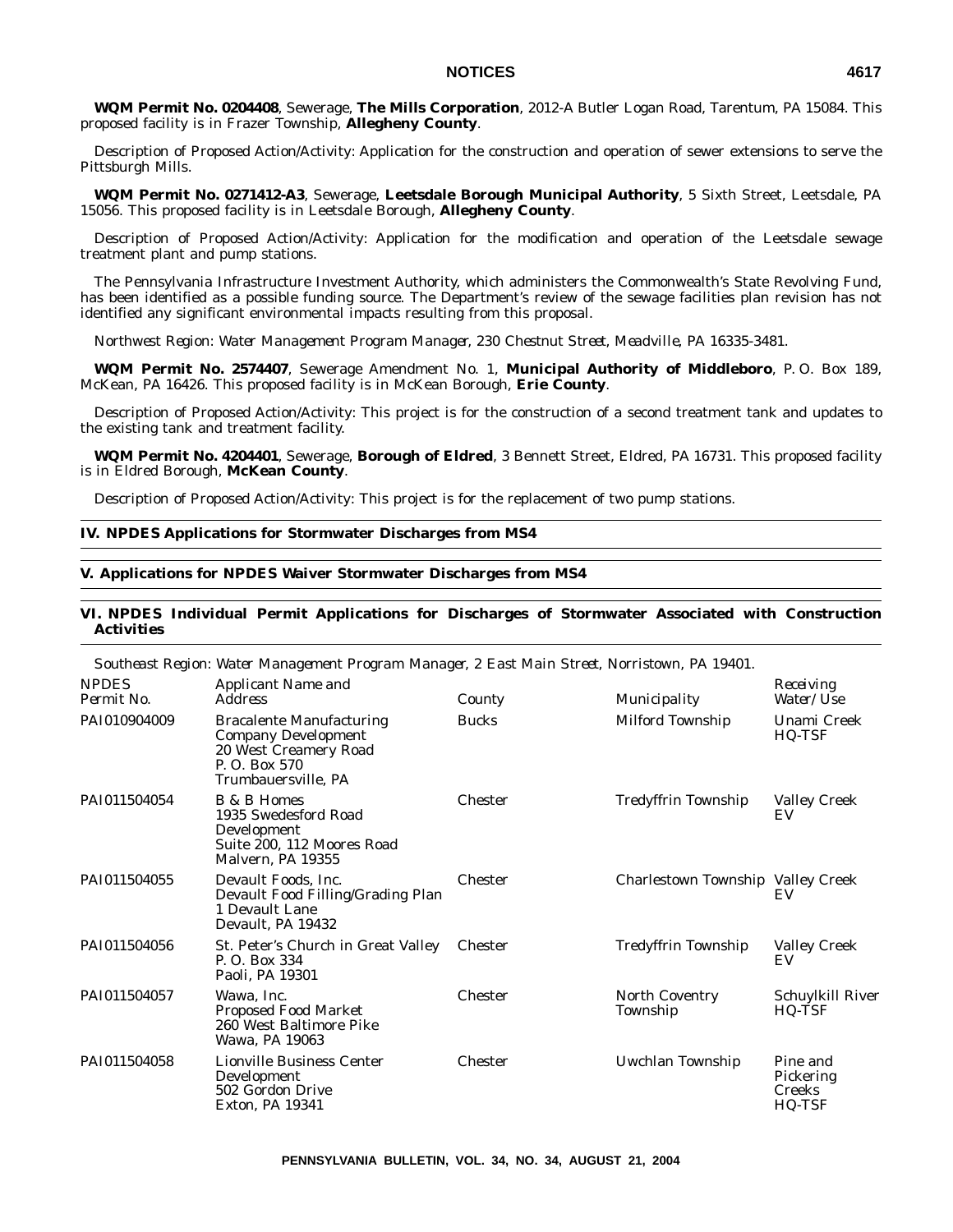**WQM Permit No. 0204408**, Sewerage, **The Mills Corporation**, 2012-A Butler Logan Road, Tarentum, PA 15084. This proposed facility is in Frazer Township, **Allegheny County**.

Description of Proposed Action/Activity: Application for the construction and operation of sewer extensions to serve the Pittsburgh Mills.

**WQM Permit No. 0271412-A3**, Sewerage, **Leetsdale Borough Municipal Authority**, 5 Sixth Street, Leetsdale, PA 15056. This proposed facility is in Leetsdale Borough, **Allegheny County**.

Description of Proposed Action/Activity: Application for the modification and operation of the Leetsdale sewage treatment plant and pump stations.

The Pennsylvania Infrastructure Investment Authority, which administers the Commonwealth's State Revolving Fund, has been identified as a possible funding source. The Department's review of the sewage facilities plan revision has not identified any significant environmental impacts resulting from this proposal.

*Northwest Region: Water Management Program Manager, 230 Chestnut Street, Meadville, PA 16335-3481.*

**WQM Permit No. 2574407**, Sewerage Amendment No. 1, **Municipal Authority of Middleboro**, P. O. Box 189, McKean, PA 16426. This proposed facility is in McKean Borough, **Erie County**.

Description of Proposed Action/Activity: This project is for the construction of a second treatment tank and updates to the existing tank and treatment facility.

**WQM Permit No. 4204401**, Sewerage, **Borough of Eldred**, 3 Bennett Street, Eldred, PA 16731. This proposed facility is in Eldred Borough, **McKean County**.

Description of Proposed Action/Activity: This project is for the replacement of two pump stations.

## **IV. NPDES Applications for Stormwater Discharges from MS4**

## **V. Applications for NPDES Waiver Stormwater Discharges from MS4**

## **VI. NPDES Individual Permit Applications for Discharges of Stormwater Associated with Construction Activities**

| Southeast Region: Water Management Program Manager, 2 East Main Street, Norristown, PA 19401. |                                                                                                                                |                |                                   |                                                  |
|-----------------------------------------------------------------------------------------------|--------------------------------------------------------------------------------------------------------------------------------|----------------|-----------------------------------|--------------------------------------------------|
| <b>NPDES</b><br>Permit No.                                                                    | Applicant Name and<br><b>Address</b>                                                                                           | County         | Municipality                      | Receiving<br>Water/Use                           |
| PAI010904009                                                                                  | <b>Bracalente Manufacturing</b><br><b>Company Development</b><br>20 West Creamery Road<br>P. O. Box 570<br>Trumbauersville, PA | <b>Bucks</b>   | Milford Township                  | Unami Creek<br>HQ-TSF                            |
| PAI011504054                                                                                  | <b>B</b> & <b>B</b> Homes<br>1935 Swedesford Road<br>Development<br>Suite 200, 112 Moores Road<br>Malvern, PA 19355            | <b>Chester</b> | <b>Tredyffrin Township</b>        | <b>Valley Creek</b><br>EV                        |
| PAI011504055                                                                                  | Devault Foods, Inc.<br>Devault Food Filling/Grading Plan<br>1 Devault Lane<br>Devault, PA 19432                                | <b>Chester</b> | Charlestown Township Valley Creek | EV                                               |
| PAI011504056                                                                                  | St. Peter's Church in Great Valley<br>P. O. Box 334<br>Paoli, PA 19301                                                         | <b>Chester</b> | <b>Tredyffrin Township</b>        | <b>Valley Creek</b><br>EV                        |
| PAI011504057                                                                                  | Wawa, Inc.<br><b>Proposed Food Market</b><br>260 West Baltimore Pike<br>Wawa, PA 19063                                         | <b>Chester</b> | <b>North Coventry</b><br>Township | Schuylkill River<br>HQ-TSF                       |
| PAI011504058                                                                                  | <b>Lionville Business Center</b><br>Development<br>502 Gordon Drive<br>Exton, PA 19341                                         | <b>Chester</b> | Uwchlan Township                  | Pine and<br>Pickering<br><b>Creeks</b><br>HQ-TSF |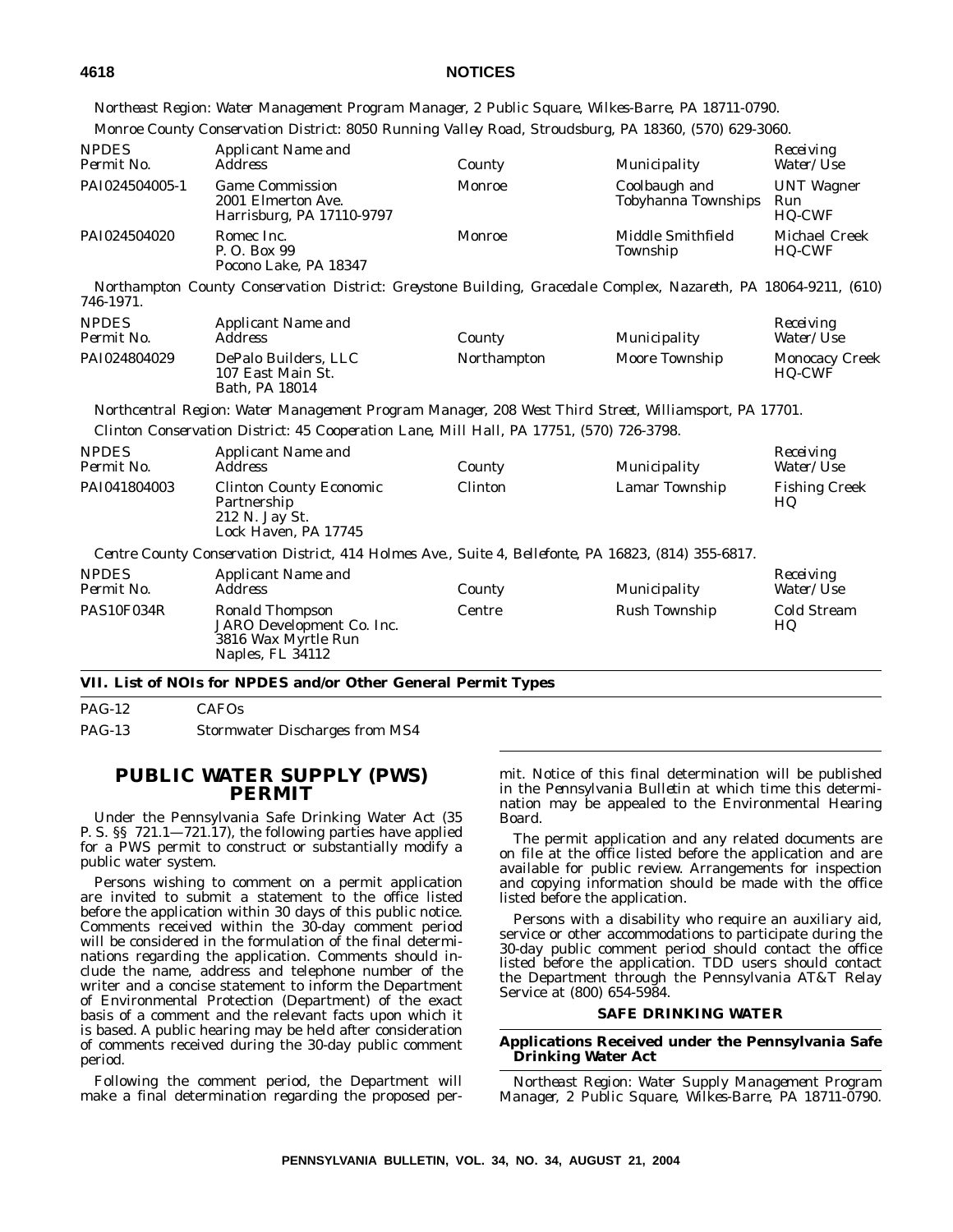*Northeast Region: Water Management Program Manager, 2 Public Square, Wilkes-Barre, PA 18711-0790. Monroe County Conservation District: 8050 Running Valley Road, Stroudsburg, PA 18360, (570) 629-3060.*

| <b>NPDES</b><br>Permit No. | <b>Applicant Name and</b><br><i>Address</i>                               | County | Municipality                         | Receiving<br><i>Water/Use</i>             |
|----------------------------|---------------------------------------------------------------------------|--------|--------------------------------------|-------------------------------------------|
| PAI024504005-1             | <b>Game Commission</b><br>2001 Elmerton Ave.<br>Harrisburg, PA 17110-9797 | Monroe | Coolbaugh and<br>Tobyhanna Townships | <b>UNT</b> Wagner<br>Run<br><b>HQ-CWF</b> |
| PAI024504020               | Romec Inc.<br>P. O. Box 99<br>Pocono Lake, PA 18347                       | Monroe | Middle Smithfield<br>Township        | <b>Michael Creek</b><br><b>HQ-CWF</b>     |

*Northampton County Conservation District: Greystone Building, Gracedale Complex, Nazareth, PA 18064-9211, (610) 746-1971.*

| <b>NPDES</b> | Applicant Name and                                          |             |                | Receiving                              |
|--------------|-------------------------------------------------------------|-------------|----------------|----------------------------------------|
| Permit No.   | Address                                                     | County      | Municipality   | <i>Water/Use</i>                       |
| PAI024804029 | DePalo Builders, LLC<br>107 East Main St.<br>Bath, PA 18014 | Northampton | Moore Township | <b>Monocacy Creek</b><br><b>HO-CWF</b> |

*Northcentral Region: Water Management Program Manager, 208 West Third Street, Williamsport, PA 17701. Clinton Conservation District: 45 Cooperation Lane, Mill Hall, PA 17751, (570) 726-3798.*

| <i>NPDES</i> | <b>Applicant Name and</b>                                                                            |         |                | Receiving                  |
|--------------|------------------------------------------------------------------------------------------------------|---------|----------------|----------------------------|
| Permit No.   | <i>Address</i>                                                                                       | County  | Municipality   | <i>Water/Use</i>           |
| PAI041804003 | <b>Clinton County Economic</b><br>Partnership<br>212 N. Jay St.<br>Lock Haven, PA 17745              | Clinton | Lamar Township | <b>Fishing Creek</b><br>HQ |
|              | Centre County Conservation District, 414 Holmes Ave., Suite 4, Bellefonte, PA 16823, (814) 355-6817. |         |                |                            |

| <b>NPDES</b><br>Permit No. | Applicant Name and<br>Address                                                           | County | Municipality  | Receiving<br><i>Water/Use</i> |
|----------------------------|-----------------------------------------------------------------------------------------|--------|---------------|-------------------------------|
| PAS10F034R                 | Ronald Thompson<br>JARO Development Co. Inc.<br>3816 Wax Myrtle Run<br>Naples, FL 34112 | Centre | Rush Township | Cold Stream<br>HQ             |

## **VII. List of NOIs for NPDES and/or Other General Permit Types**

PAG-12 CAFOs PAG-13 Stormwater Discharges from MS4

# **PUBLIC WATER SUPPLY (PWS) PERMIT**

Under the Pennsylvania Safe Drinking Water Act (35 P. S. §§ 721.1—721.17), the following parties have applied for a PWS permit to construct or substantially modify a public water system.

Persons wishing to comment on a permit application are invited to submit a statement to the office listed before the application within 30 days of this public notice. Comments received within the 30-day comment period will be considered in the formulation of the final determinations regarding the application. Comments should include the name, address and telephone number of the writer and a concise statement to inform the Department of Environmental Protection (Department) of the exact basis of a comment and the relevant facts upon which it is based. A public hearing may be held after consideration of comments received during the 30-day public comment period.

Following the comment period, the Department will make a final determination regarding the proposed permit. Notice of this final determination will be published in the *Pennsylvania Bulletin* at which time this determination may be appealed to the Environmental Hearing Board.

The permit application and any related documents are on file at the office listed before the application and are available for public review. Arrangements for inspection and copying information should be made with the office listed before the application.

Persons with a disability who require an auxiliary aid, service or other accommodations to participate during the 30-day public comment period should contact the office listed before the application. TDD users should contact the Department through the Pennsylvania AT&T Relay Service at (800) 654-5984.

## **SAFE DRINKING WATER**

## **Applications Received under the Pennsylvania Safe Drinking Water Act**

*Northeast Region: Water Supply Management Program Manager, 2 Public Square, Wilkes-Barre, PA 18711-0790.*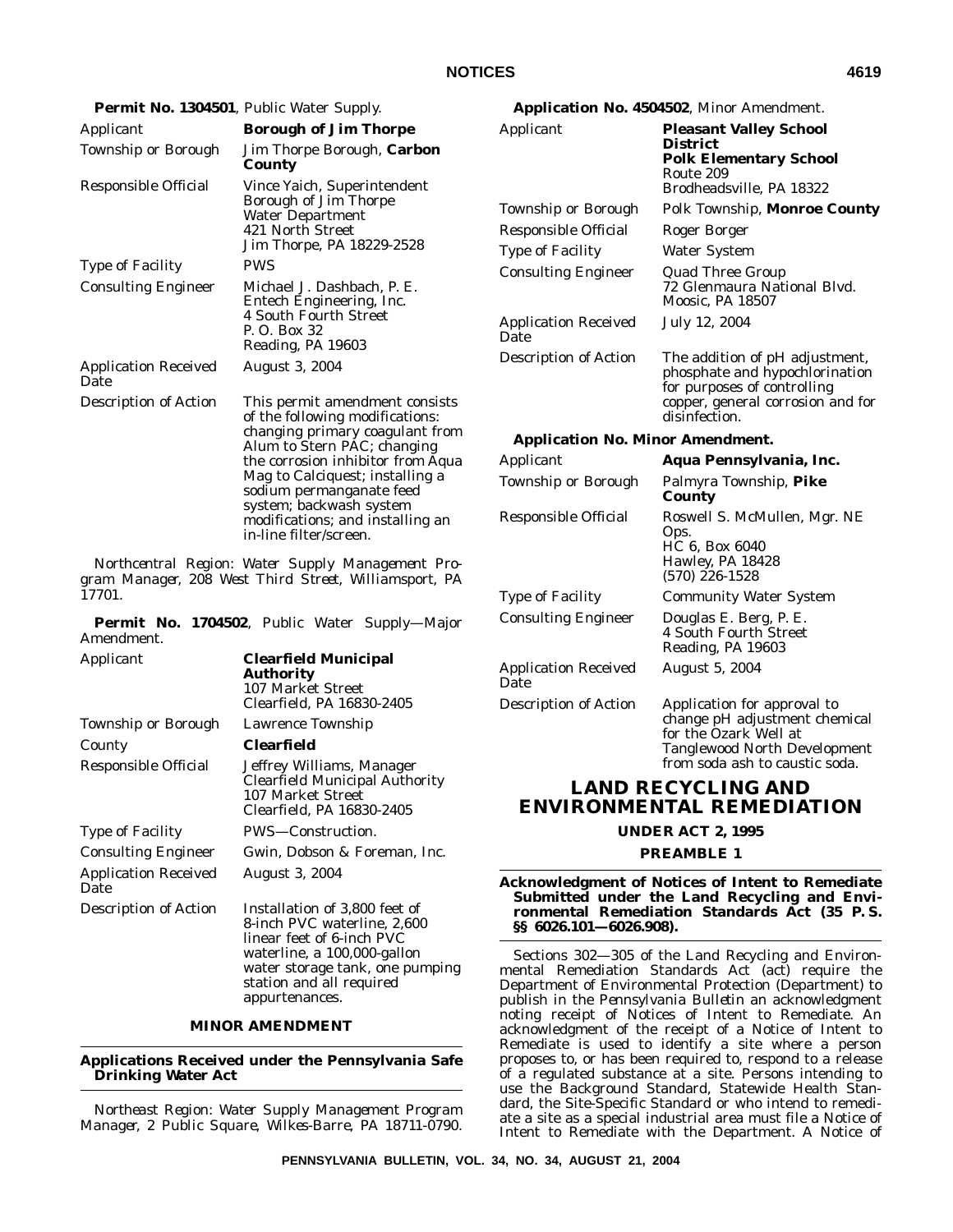|                                                                                                            | Permit No. 1304501, Public Water Supply.                                               |                                         | Application No. 4504502, Minor Amendment.                                                       |  |
|------------------------------------------------------------------------------------------------------------|----------------------------------------------------------------------------------------|-----------------------------------------|-------------------------------------------------------------------------------------------------|--|
| Applicant                                                                                                  | <b>Borough of Jim Thorpe</b>                                                           | Applicant                               | <b>Pleasant Valley School</b>                                                                   |  |
| Township or Borough                                                                                        | Jim Thorpe Borough, Carbon<br>County                                                   |                                         | <b>District</b><br><b>Polk Elementary School</b><br>Route 209                                   |  |
| Responsible Official                                                                                       | Vince Yaich, Superintendent                                                            |                                         | Brodheadsville, PA 18322                                                                        |  |
|                                                                                                            | Borough of Jim Thorpe<br><b>Water Department</b>                                       | <b>Township or Borough</b>              | Polk Township, Monroe County                                                                    |  |
|                                                                                                            | 421 North Street                                                                       | Responsible Official                    | <b>Roger Borger</b>                                                                             |  |
|                                                                                                            | Jim Thorpe, PA 18229-2528                                                              | <b>Type of Facility</b>                 | <b>Water System</b>                                                                             |  |
| <b>Type of Facility</b><br><b>Consulting Engineer</b>                                                      | <b>PWS</b><br>Michael J. Dashbach, P. E.<br>Entech Engineering, Inc.                   | <b>Consulting Engineer</b>              | <b>Quad Three Group</b><br>72 Glenmaura National Blvd.<br><b>Moosic, PA 18507</b>               |  |
|                                                                                                            | 4 South Fourth Street<br>P. O. Box 32<br>Reading, PA 19603                             | <b>Application Received</b><br>Date     | July 12, 2004                                                                                   |  |
| <b>Application Received</b><br>Date                                                                        | August 3, 2004                                                                         | <b>Description of Action</b>            | The addition of pH adjustment,<br>phosphate and hypochlorination<br>for purposes of controlling |  |
| <b>Description of Action</b>                                                                               | This permit amendment consists<br>of the following modifications:                      |                                         | copper, general corrosion and for<br>disinfection.                                              |  |
|                                                                                                            | changing primary coagulant from<br>Alum to Stern PAC; changing                         | <b>Application No. Minor Amendment.</b> |                                                                                                 |  |
|                                                                                                            | the corrosion inhibitor from Aqua                                                      | Applicant                               | Aqua Pennsylvania, Inc.                                                                         |  |
|                                                                                                            | Mag to Calciquest; installing a<br>sodium permanganate feed<br>system; backwash system | Township or Borough                     | Palmyra Township, Pike<br>County                                                                |  |
|                                                                                                            | modifications; and installing an<br>in-line filter/screen.                             | Responsible Official                    | Roswell S. McMullen, Mgr. NE<br>Ops.                                                            |  |
| Northcentral Region: Water Supply Management Pro-<br>gram Manager, 208 West Third Street, Williamsport, PA |                                                                                        |                                         | HC 6, Box 6040<br>Hawley, PA 18428<br>$(570)$ 226-1528                                          |  |
| 17701.                                                                                                     |                                                                                        | <b>Type of Facility</b>                 | <b>Community Water System</b>                                                                   |  |
| Amendment.                                                                                                 | Permit No. 1704502, Public Water Supply-Major                                          | <b>Consulting Engineer</b>              | Douglas E. Berg, P. E.<br>4 South Fourth Street<br>Reading, PA 19603                            |  |
| Applicant                                                                                                  | <b>Clearfield Municipal</b><br><b>Authority</b><br>107 Market Street                   | <b>Application Received</b><br>Date     | <b>August 5, 2004</b>                                                                           |  |
|                                                                                                            | Clearfield, PA 16830-2405                                                              | <b>Description of Action</b>            | Application for approval to                                                                     |  |
| <b>Township or Borough</b>                                                                                 | Lawrence Township                                                                      |                                         | change pH adjustment chemical<br>$0 - 1.501$                                                    |  |

# **LAND RECYCLING AND ENVIRONMENTAL REMEDIATION**

for the Ozark Well at

Tanglewood North Development from soda ash to caustic soda.

**UNDER ACT 2, 1995**

## **PREAMBLE 1**

## **Acknowledgment of Notices of Intent to Remediate Submitted under the Land Recycling and Environmental Remediation Standards Act (35 P. S. §§ 6026.101—6026.908).**

Sections 302—305 of the Land Recycling and Environmental Remediation Standards Act (act) require the Department of Environmental Protection (Department) to publish in the *Pennsylvania Bulletin* an acknowledgment noting receipt of Notices of Intent to Remediate. An acknowledgment of the receipt of a Notice of Intent to Remediate is used to identify a site where a person proposes to, or has been required to, respond to a release of a regulated substance at a site. Persons intending to use the Background Standard, Statewide Health Standard, the Site-Specific Standard or who intend to remediate a site as a special industrial area must file a Notice of Intent to Remediate with the Department. A Notice of

County **Clearfield**

Application Received

**Drinking Water Act**

Date

Responsible Official Jeffrey Williams, Manager

Consulting Engineer Gwin, Dobson & Foreman, Inc.

Description of Action Installation of 3,800 feet of

Type of Facility PWS—Construction.

Clearfield Municipal Authority

8-inch PVC waterline, 2,600 linear feet of 6-inch PVC waterline, a 100,000-gallon water storage tank, one pumping

station and all required

107 Market Street Clearfield, PA 16830-2405

August 3, 2004

appurtenances.

**MINOR AMENDMENT**

**Applications Received under the Pennsylvania Safe**

*Northeast Region: Water Supply Management Program Manager, 2 Public Square, Wilkes-Barre, PA 18711-0790.*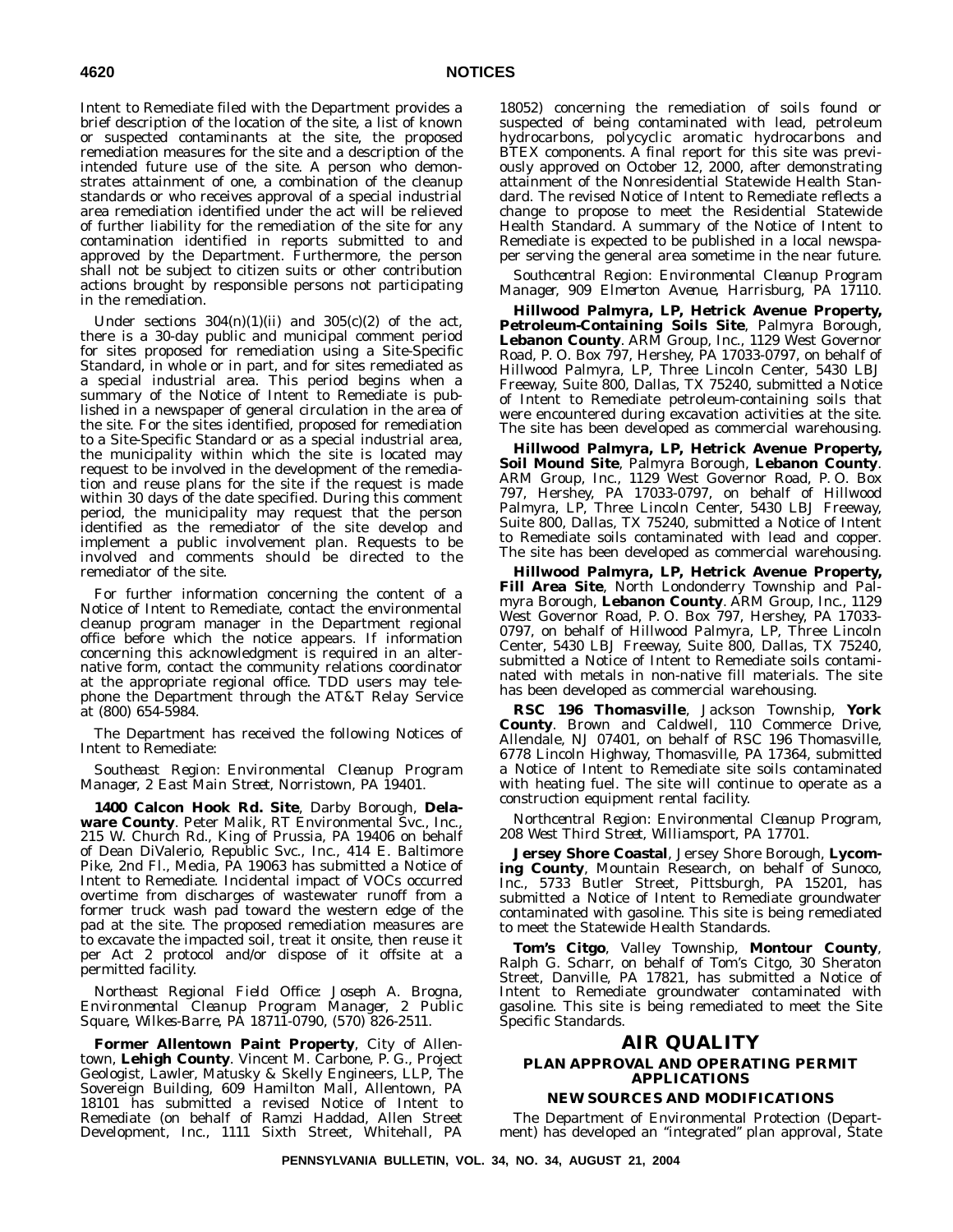Intent to Remediate filed with the Department provides a brief description of the location of the site, a list of known or suspected contaminants at the site, the proposed remediation measures for the site and a description of the intended future use of the site. A person who demonstrates attainment of one, a combination of the cleanup standards or who receives approval of a special industrial area remediation identified under the act will be relieved of further liability for the remediation of the site for any contamination identified in reports submitted to and approved by the Department. Furthermore, the person shall not be subject to citizen suits or other contribution actions brought by responsible persons not participating in the remediation.

Under sections  $304(n)(1)(ii)$  and  $305(c)(2)$  of the act, there is a 30-day public and municipal comment period for sites proposed for remediation using a Site-Specific Standard, in whole or in part, and for sites remediated as a special industrial area. This period begins when a summary of the Notice of Intent to Remediate is published in a newspaper of general circulation in the area of the site. For the sites identified, proposed for remediation to a Site-Specific Standard or as a special industrial area, the municipality within which the site is located may request to be involved in the development of the remediation and reuse plans for the site if the request is made within 30 days of the date specified. During this comment period, the municipality may request that the person identified as the remediator of the site develop and implement a public involvement plan. Requests to be involved and comments should be directed to the remediator of the site.

For further information concerning the content of a Notice of Intent to Remediate, contact the environmental cleanup program manager in the Department regional office before which the notice appears. If information concerning this acknowledgment is required in an alternative form, contact the community relations coordinator at the appropriate regional office. TDD users may telephone the Department through the AT&T Relay Service at (800) 654-5984.

The Department has received the following Notices of Intent to Remediate:

*Southeast Region: Environmental Cleanup Program Manager, 2 East Main Street, Norristown, PA 19401.*

**1400 Calcon Hook Rd. Site**, Darby Borough, **Dela**ware County. Peter Malik, RT Environmental Svc., Inc., 215 W. Church Rd., King of Prussia, PA 19406 on behalf of Dean DiValerio, Republic Svc., Inc., 414 E. Baltimore Pike, 2nd Fl., Media, PA 19063 has submitted a Notice of Intent to Remediate. Incidental impact of VOCs occurred overtime from discharges of wastewater runoff from a former truck wash pad toward the western edge of the pad at the site. The proposed remediation measures are to excavate the impacted soil, treat it onsite, then reuse it per Act 2 protocol and/or dispose of it offsite at a permitted facility.

*Northeast Regional Field Office: Joseph A. Brogna, Environmental Cleanup Program Manager, 2 Public Square, Wilkes-Barre, PA 18711-0790, (570) 826-2511.*

**Former Allentown Paint Property**, City of Allentown, **Lehigh County**. Vincent M. Carbone, P. G., Project Geologist, Lawler, Matusky & Skelly Engineers, LLP, The Sovereign Building, 609 Hamilton Mall, Allentown, PA 18101 has submitted a revised Notice of Intent to Remediate (on behalf of Ramzi Haddad, Allen Street Development, Inc., 1111 Sixth Street, Whitehall, PA

18052) concerning the remediation of soils found or suspected of being contaminated with lead, petroleum hydrocarbons, polycyclic aromatic hydrocarbons and BTEX components. A final report for this site was previously approved on October 12, 2000, after demonstrating attainment of the Nonresidential Statewide Health Standard. The revised Notice of Intent to Remediate reflects a change to propose to meet the Residential Statewide Health Standard. A summary of the Notice of Intent to Remediate is expected to be published in a local newspaper serving the general area sometime in the near future.

*Southcentral Region: Environmental Cleanup Program Manager, 909 Elmerton Avenue, Harrisburg, PA 17110.*

**Hillwood Palmyra, LP, Hetrick Avenue Property, Petroleum-Containing Soils Site**, Palmyra Borough, **Lebanon County**. ARM Group, Inc., 1129 West Governor Road, P. O. Box 797, Hershey, PA 17033-0797, on behalf of Hillwood Palmyra, LP, Three Lincoln Center, 5430 LBJ Freeway, Suite 800, Dallas, TX 75240, submitted a Notice of Intent to Remediate petroleum-containing soils that were encountered during excavation activities at the site. The site has been developed as commercial warehousing.

**Hillwood Palmyra, LP, Hetrick Avenue Property, Soil Mound Site**, Palmyra Borough, **Lebanon County**. ARM Group, Inc., 1129 West Governor Road, P. O. Box 797, Hershey, PA 17033-0797, on behalf of Hillwood Palmyra, LP, Three Lincoln Center, 5430 LBJ Freeway, Suite 800, Dallas, TX 75240, submitted a Notice of Intent to Remediate soils contaminated with lead and copper. The site has been developed as commercial warehousing.

**Hillwood Palmyra, LP, Hetrick Avenue Property, Fill Area Site**, North Londonderry Township and Palmyra Borough, **Lebanon County**. ARM Group, Inc., 1129 West Governor Road, P. O. Box 797, Hershey, PA 17033- 0797, on behalf of Hillwood Palmyra, LP, Three Lincoln Center, 5430 LBJ Freeway, Suite 800, Dallas, TX 75240, submitted a Notice of Intent to Remediate soils contaminated with metals in non-native fill materials. The site has been developed as commercial warehousing.

**RSC 196 Thomasville**, Jackson Township, **York County**. Brown and Caldwell, 110 Commerce Drive, Allendale, NJ 07401, on behalf of RSC 196 Thomasville, 6778 Lincoln Highway, Thomasville, PA 17364, submitted a Notice of Intent to Remediate site soils contaminated with heating fuel. The site will continue to operate as a construction equipment rental facility.

*Northcentral Region: Environmental Cleanup Program, 208 West Third Street, Williamsport, PA 17701.*

**Jersey Shore Coastal**, Jersey Shore Borough, **Lycoming County**, Mountain Research, on behalf of Sunoco, Inc., 5733 Butler Street, Pittsburgh, PA 15201, has submitted a Notice of Intent to Remediate groundwater contaminated with gasoline. This site is being remediated to meet the Statewide Health Standards.

**Tom's Citgo**, Valley Township, **Montour County**, Ralph G. Scharr, on behalf of Tom's Citgo, 30 Sheraton Street, Danville, PA 17821, has submitted a Notice of Intent to Remediate groundwater contaminated with gasoline. This site is being remediated to meet the Site Specific Standards.

# **AIR QUALITY**

## **PLAN APPROVAL AND OPERATING PERMIT APPLICATIONS**

## **NEW SOURCES AND MODIFICATIONS**

The Department of Environmental Protection (Department) has developed an ''integrated'' plan approval, State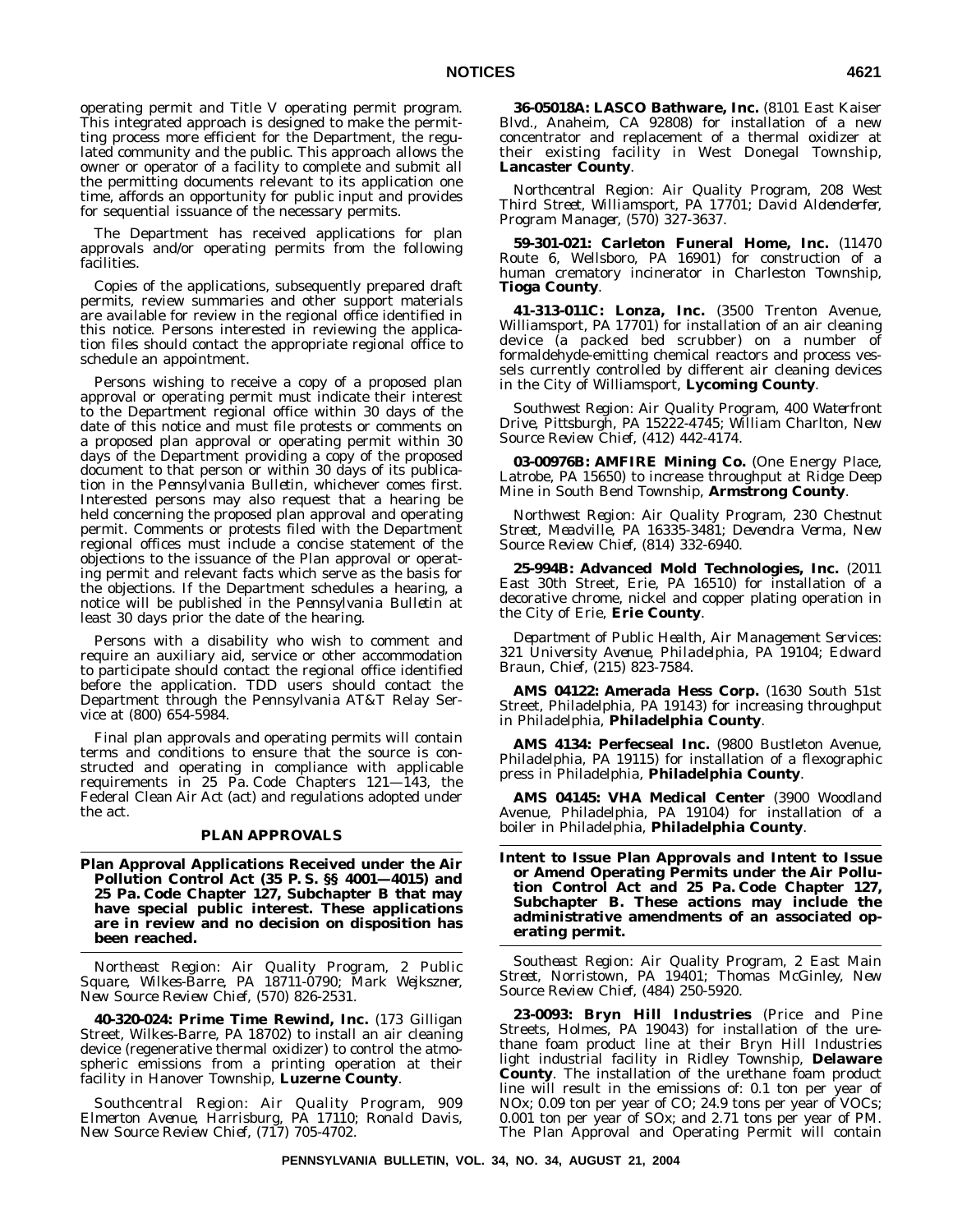operating permit and Title V operating permit program. This integrated approach is designed to make the permitting process more efficient for the Department, the regulated community and the public. This approach allows the owner or operator of a facility to complete and submit all the permitting documents relevant to its application one time, affords an opportunity for public input and provides for sequential issuance of the necessary permits.

The Department has received applications for plan approvals and/or operating permits from the following facilities.

Copies of the applications, subsequently prepared draft permits, review summaries and other support materials are available for review in the regional office identified in this notice. Persons interested in reviewing the application files should contact the appropriate regional office to schedule an appointment.

Persons wishing to receive a copy of a proposed plan approval or operating permit must indicate their interest to the Department regional office within 30 days of the date of this notice and must file protests or comments on a proposed plan approval or operating permit within 30 days of the Department providing a copy of the proposed document to that person or within 30 days of its publication in the *Pennsylvania Bulletin*, whichever comes first. Interested persons may also request that a hearing be held concerning the proposed plan approval and operating permit. Comments or protests filed with the Department regional offices must include a concise statement of the objections to the issuance of the Plan approval or operating permit and relevant facts which serve as the basis for the objections. If the Department schedules a hearing, a notice will be published in the *Pennsylvania Bulletin* at least 30 days prior the date of the hearing.

Persons with a disability who wish to comment and require an auxiliary aid, service or other accommodation to participate should contact the regional office identified before the application. TDD users should contact the Department through the Pennsylvania AT&T Relay Service at (800) 654-5984.

Final plan approvals and operating permits will contain terms and conditions to ensure that the source is constructed and operating in compliance with applicable requirements in 25 Pa. Code Chapters 121—143, the Federal Clean Air Act (act) and regulations adopted under the act.

## **PLAN APPROVALS**

**Plan Approval Applications Received under the Air Pollution Control Act (35 P. S. §§ 4001—4015) and 25 Pa. Code Chapter 127, Subchapter B that may have special public interest. These applications are in review and no decision on disposition has been reached.**

*Northeast Region: Air Quality Program, 2 Public Square, Wilkes-Barre, PA 18711-0790; Mark Wejkszner, New Source Review Chief, (570) 826-2531.*

**40-320-024: Prime Time Rewind, Inc.** (173 Gilligan Street, Wilkes-Barre, PA 18702) to install an air cleaning device (regenerative thermal oxidizer) to control the atmospheric emissions from a printing operation at their facility in Hanover Township, **Luzerne County**.

*Southcentral Region: Air Quality Program, 909 Elmerton Avenue, Harrisburg, PA 17110; Ronald Davis, New Source Review Chief, (717) 705-4702.*

**36-05018A: LASCO Bathware, Inc.** (8101 East Kaiser Blvd., Anaheim, CA 92808) for installation of a new concentrator and replacement of a thermal oxidizer at their existing facility in West Donegal Township, **Lancaster County**.

*Northcentral Region: Air Quality Program, 208 West Third Street, Williamsport, PA 17701; David Aldenderfer, Program Manager, (570) 327-3637.*

**59-301-021: Carleton Funeral Home, Inc.** (11470 Route 6, Wellsboro, PA 16901) for construction of a human crematory incinerator in Charleston Township, **Tioga County**.

**41-313-011C: Lonza, Inc.** (3500 Trenton Avenue, Williamsport, PA 17701) for installation of an air cleaning device (a packed bed scrubber) on a number of formaldehyde-emitting chemical reactors and process vessels currently controlled by different air cleaning devices in the City of Williamsport, **Lycoming County**.

*Southwest Region: Air Quality Program, 400 Waterfront Drive, Pittsburgh, PA 15222-4745; William Charlton, New Source Review Chief, (412) 442-4174.*

**03-00976B: AMFIRE Mining Co.** (One Energy Place, Latrobe, PA 15650) to increase throughput at Ridge Deep Mine in South Bend Township, **Armstrong County**.

*Northwest Region: Air Quality Program, 230 Chestnut Street, Meadville, PA 16335-3481; Devendra Verma, New Source Review Chief, (814) 332-6940.*

**25-994B: Advanced Mold Technologies, Inc.** (2011 East 30th Street, Erie, PA 16510) for installation of a decorative chrome, nickel and copper plating operation in the City of Erie, **Erie County**.

*Department of Public Health, Air Management Services: 321 University Avenue, Philadelphia, PA 19104; Edward Braun, Chief, (215) 823-7584.*

**AMS 04122: Amerada Hess Corp.** (1630 South 51st Street, Philadelphia, PA 19143) for increasing throughput in Philadelphia, **Philadelphia County**.

**AMS 4134: Perfecseal Inc.** (9800 Bustleton Avenue, Philadelphia, PA 19115) for installation of a flexographic press in Philadelphia, **Philadelphia County**.

**AMS 04145: VHA Medical Center** (3900 Woodland Avenue, Philadelphia, PA 19104) for installation of a boiler in Philadelphia, **Philadelphia County**.

**Intent to Issue Plan Approvals and Intent to Issue or Amend Operating Permits under the Air Pollution Control Act and 25 Pa. Code Chapter 127, Subchapter B. These actions may include the administrative amendments of an associated operating permit.**

*Southeast Region: Air Quality Program, 2 East Main Street, Norristown, PA 19401; Thomas McGinley, New Source Review Chief, (484) 250-5920.*

**23-0093: Bryn Hill Industries** (Price and Pine Streets, Holmes, PA 19043) for installation of the urethane foam product line at their Bryn Hill Industries light industrial facility in Ridley Township, **Delaware County**. The installation of the urethane foam product line will result in the emissions of: 0.1 ton per year of NOx; 0.09 ton per year of CO; 24.9 tons per year of VOCs; 0.001 ton per year of SOx; and 2.71 tons per year of PM. The Plan Approval and Operating Permit will contain

**PENNSYLVANIA BULLETIN, VOL. 34, NO. 34, AUGUST 21, 2004**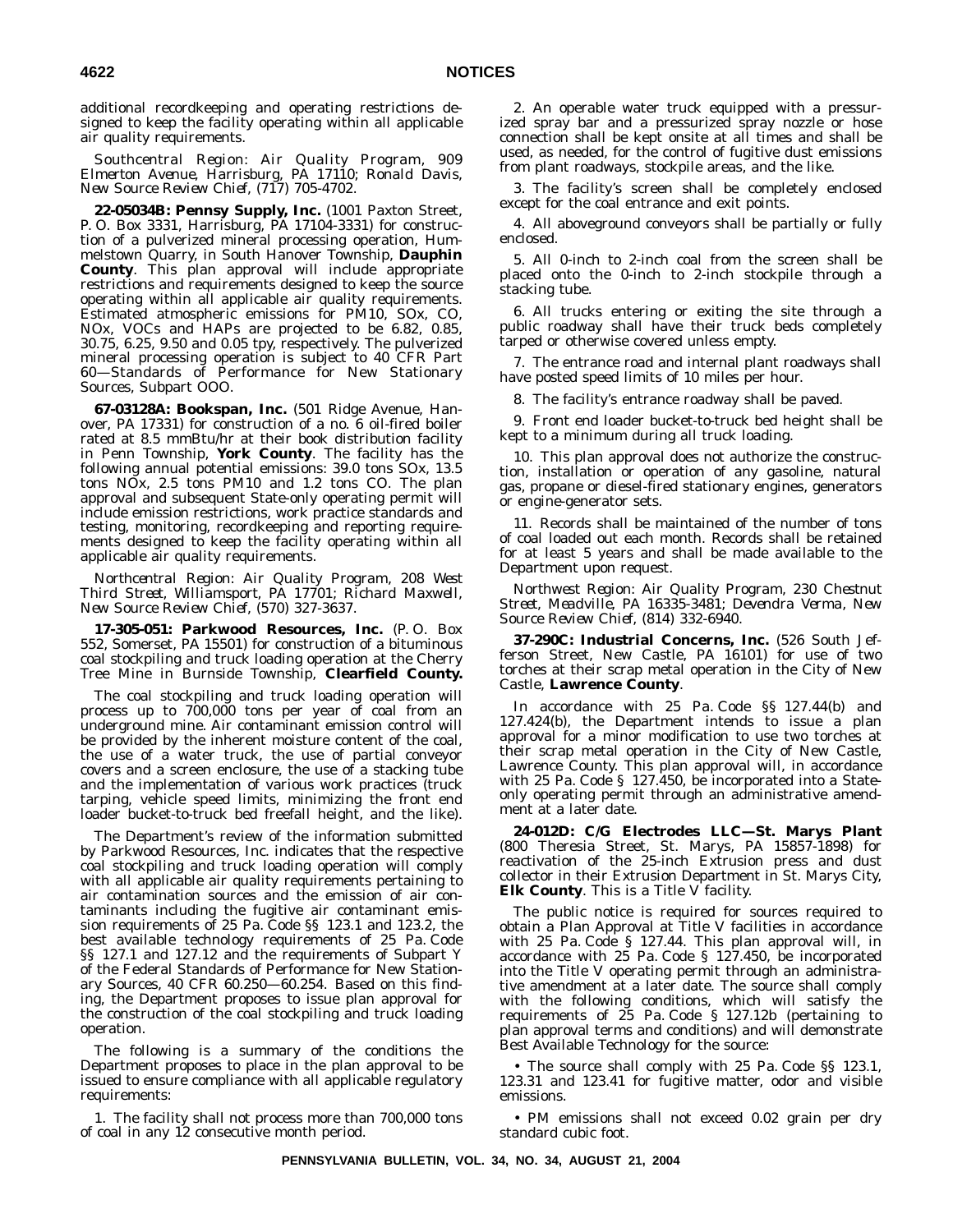additional recordkeeping and operating restrictions designed to keep the facility operating within all applicable air quality requirements.

*Southcentral Region: Air Quality Program, 909 Elmerton Avenue, Harrisburg, PA 17110; Ronald Davis, New Source Review Chief, (717) 705-4702.*

**22-05034B: Pennsy Supply, Inc.** (1001 Paxton Street, P. O. Box 3331, Harrisburg, PA 17104-3331) for construction of a pulverized mineral processing operation, Hummelstown Quarry, in South Hanover Township, **Dauphin County**. This plan approval will include appropriate restrictions and requirements designed to keep the source operating within all applicable air quality requirements. Estimated atmospheric emissions for PM10, SOx, CO, NOx, VOCs and HAPs are projected to be 6.82, 0.85, 30.75, 6.25, 9.50 and 0.05 tpy, respectively. The pulverized mineral processing operation is subject to 40 CFR Part 60—Standards of Performance for New Stationary Sources, Subpart OOO.

**67-03128A: Bookspan, Inc.** (501 Ridge Avenue, Hanover, PA 17331) for construction of a no. 6 oil-fired boiler rated at 8.5 mmBtu/hr at their book distribution facility in Penn Township, **York County**. The facility has the following annual potential emissions: 39.0 tons SOx, 13.5 tons NOx, 2.5 tons PM10 and 1.2 tons CO. The plan approval and subsequent State-only operating permit will include emission restrictions, work practice standards and testing, monitoring, recordkeeping and reporting requirements designed to keep the facility operating within all applicable air quality requirements.

*Northcentral Region: Air Quality Program, 208 West Third Street, Williamsport, PA 17701; Richard Maxwell, New Source Review Chief, (570) 327-3637.*

**17-305-051: Parkwood Resources, Inc.** (P. O. Box 552, Somerset, PA 15501) for construction of a bituminous coal stockpiling and truck loading operation at the Cherry Tree Mine in Burnside Township, **Clearfield County.**

The coal stockpiling and truck loading operation will process up to 700,000 tons per year of coal from an underground mine. Air contaminant emission control will be provided by the inherent moisture content of the coal, the use of a water truck, the use of partial conveyor covers and a screen enclosure, the use of a stacking tube and the implementation of various work practices (truck tarping, vehicle speed limits, minimizing the front end loader bucket-to-truck bed freefall height, and the like).

The Department's review of the information submitted by Parkwood Resources, Inc. indicates that the respective coal stockpiling and truck loading operation will comply with all applicable air quality requirements pertaining to air contamination sources and the emission of air contaminants including the fugitive air contaminant emission requirements of 25 Pa. Code §§ 123.1 and 123.2, the best available technology requirements of 25 Pa. Code §§ 127.1 and 127.12 and the requirements of Subpart Y of the Federal Standards of Performance for New Stationary Sources, 40 CFR 60.250—60.254. Based on this finding, the Department proposes to issue plan approval for the construction of the coal stockpiling and truck loading operation.

The following is a summary of the conditions the Department proposes to place in the plan approval to be issued to ensure compliance with all applicable regulatory requirements:

1. The facility shall not process more than 700,000 tons of coal in any 12 consecutive month period.

2. An operable water truck equipped with a pressurized spray bar and a pressurized spray nozzle or hose connection shall be kept onsite at all times and shall be used, as needed, for the control of fugitive dust emissions from plant roadways, stockpile areas, and the like.

3. The facility's screen shall be completely enclosed except for the coal entrance and exit points.

4. All aboveground conveyors shall be partially or fully enclosed.

5. All 0-inch to 2-inch coal from the screen shall be placed onto the 0-inch to 2-inch stockpile through a stacking tube.

6. All trucks entering or exiting the site through a public roadway shall have their truck beds completely tarped or otherwise covered unless empty.

7. The entrance road and internal plant roadways shall have posted speed limits of 10 miles per hour.

8. The facility's entrance roadway shall be paved.

9. Front end loader bucket-to-truck bed height shall be kept to a minimum during all truck loading.

10. This plan approval does not authorize the construction, installation or operation of any gasoline, natural gas, propane or diesel-fired stationary engines, generators or engine-generator sets.

11. Records shall be maintained of the number of tons of coal loaded out each month. Records shall be retained for at least 5 years and shall be made available to the Department upon request.

*Northwest Region: Air Quality Program, 230 Chestnut Street, Meadville, PA 16335-3481; Devendra Verma, New Source Review Chief, (814) 332-6940.*

**37-290C: Industrial Concerns, Inc.** (526 South Jefferson Street, New Castle, PA 16101) for use of two torches at their scrap metal operation in the City of New Castle, **Lawrence County**.

In accordance with 25 Pa. Code §§ 127.44(b) and 127.424(b), the Department intends to issue a plan approval for a minor modification to use two torches at their scrap metal operation in the City of New Castle, Lawrence County. This plan approval will, in accordance with 25 Pa. Code § 127.450, be incorporated into a Stateonly operating permit through an administrative amendment at a later date.

**24-012D: C/G Electrodes LLC—St. Marys Plant** (800 Theresia Street, St. Marys, PA 15857-1898) for reactivation of the 25-inch Extrusion press and dust collector in their Extrusion Department in St. Marys City, **Elk County**. This is a Title V facility.

The public notice is required for sources required to obtain a Plan Approval at Title V facilities in accordance with 25 Pa. Code § 127.44. This plan approval will, in accordance with 25 Pa. Code § 127.450, be incorporated into the Title V operating permit through an administrative amendment at a later date. The source shall comply with the following conditions, which will satisfy the requirements of 25 Pa. Code § 127.12b (pertaining to plan approval terms and conditions) and will demonstrate Best Available Technology for the source:

The source shall comply with 25 Pa. Code §§ 123.1, 123.31 and 123.41 for fugitive matter, odor and visible emissions.

• PM emissions shall not exceed 0.02 grain per dry standard cubic foot.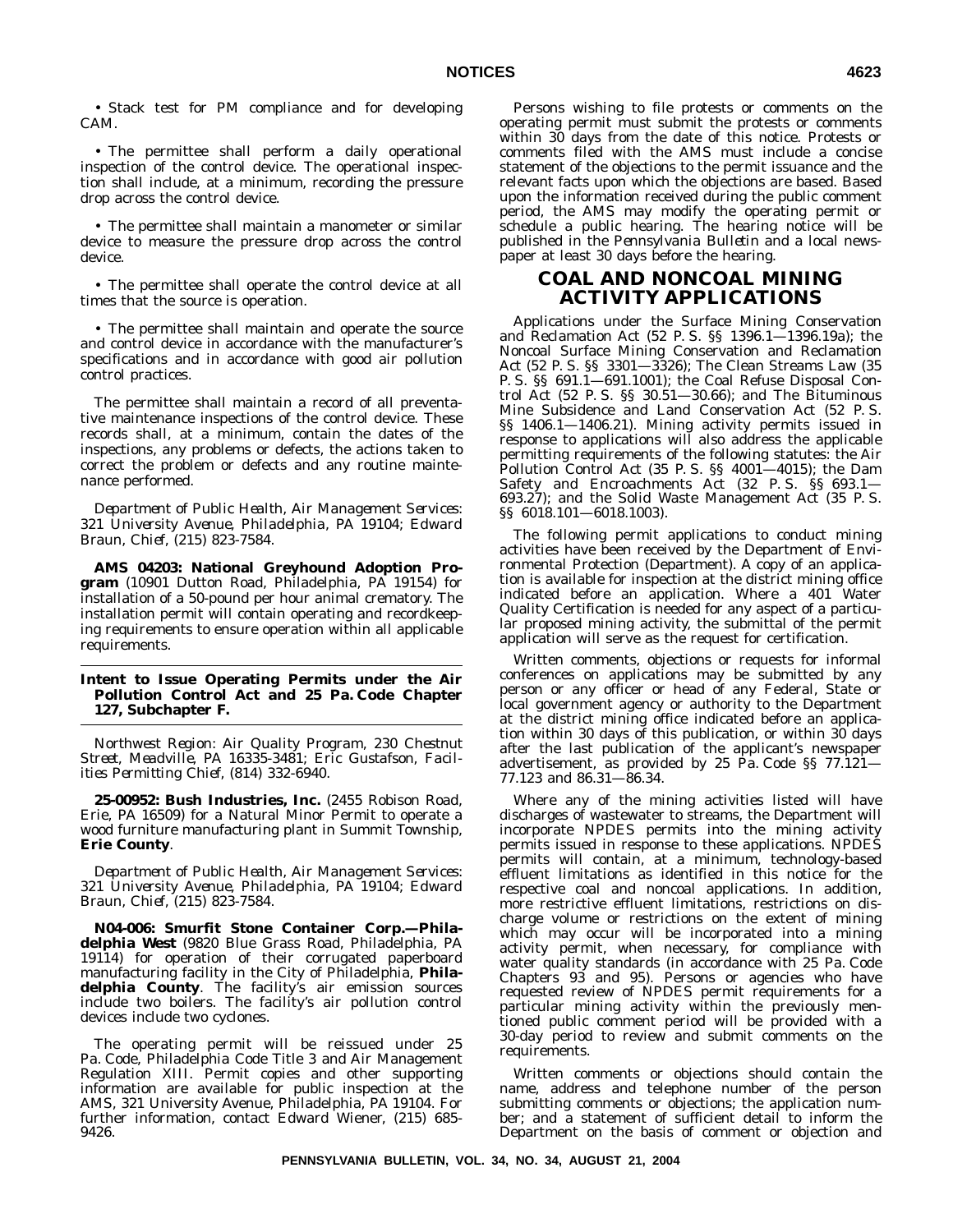• Stack test for PM compliance and for developing CAM.

• The permittee shall perform a daily operational inspection of the control device. The operational inspection shall include, at a minimum, recording the pressure drop across the control device.

• The permittee shall maintain a manometer or similar device to measure the pressure drop across the control device.

• The permittee shall operate the control device at all times that the source is operation.

• The permittee shall maintain and operate the source and control device in accordance with the manufacturer's specifications and in accordance with good air pollution control practices.

The permittee shall maintain a record of all preventative maintenance inspections of the control device. These records shall, at a minimum, contain the dates of the inspections, any problems or defects, the actions taken to correct the problem or defects and any routine maintenance performed.

*Department of Public Health, Air Management Services: 321 University Avenue, Philadelphia, PA 19104; Edward Braun, Chief, (215) 823-7584.*

**AMS 04203: National Greyhound Adoption Program** (10901 Dutton Road, Philadelphia, PA 19154) for installation of a 50-pound per hour animal crematory. The installation permit will contain operating and recordkeeping requirements to ensure operation within all applicable requirements.

## **Intent to Issue Operating Permits under the Air Pollution Control Act and 25 Pa. Code Chapter 127, Subchapter F.**

*Northwest Region: Air Quality Program, 230 Chestnut Street, Meadville, PA 16335-3481; Eric Gustafson, Facilities Permitting Chief, (814) 332-6940.*

**25-00952: Bush Industries, Inc.** (2455 Robison Road, Erie, PA 16509) for a Natural Minor Permit to operate a wood furniture manufacturing plant in Summit Township, **Erie County**.

*Department of Public Health, Air Management Services: 321 University Avenue, Philadelphia, PA 19104; Edward Braun, Chief, (215) 823-7584.*

**N04-006: Smurfit Stone Container Corp.—Philadelphia West** (9820 Blue Grass Road, Philadelphia, PA 19114) for operation of their corrugated paperboard manufacturing facility in the City of Philadelphia, **Philadelphia County**. The facility's air emission sources include two boilers. The facility's air pollution control devices include two cyclones.

The operating permit will be reissued under 25 Pa. Code, Philadelphia Code Title 3 and Air Management Regulation XIII. Permit copies and other supporting information are available for public inspection at the AMS, 321 University Avenue, Philadelphia, PA 19104. For further information, contact Edward Wiener, (215) 685- 9426.

Persons wishing to file protests or comments on the operating permit must submit the protests or comments within 30 days from the date of this notice. Protests or comments filed with the AMS must include a concise statement of the objections to the permit issuance and the relevant facts upon which the objections are based. Based upon the information received during the public comment period, the AMS may modify the operating permit or schedule a public hearing. The hearing notice will be published in the *Pennsylvania Bulletin* and a local newspaper at least 30 days before the hearing.

# **COAL AND NONCOAL MINING ACTIVITY APPLICATIONS**

Applications under the Surface Mining Conservation and Reclamation Act (52 P. S. §§ 1396.1—1396.19a); the Noncoal Surface Mining Conservation and Reclamation Act (52 P. S. §§ 3301—3326); The Clean Streams Law (35 P. S. §§ 691.1—691.1001); the Coal Refuse Disposal Control Act (52 P. S. §§ 30.51—30.66); and The Bituminous Mine Subsidence and Land Conservation Act (52 P. S. §§ 1406.1—1406.21). Mining activity permits issued in response to applications will also address the applicable permitting requirements of the following statutes: the Air Pollution Control Act (35 P. S. §§ 4001—4015); the Dam Safety and Encroachments Act (32 P. S. §§ 693.1— 693.27); and the Solid Waste Management Act (35 P. S. §§ 6018.101—6018.1003).

The following permit applications to conduct mining activities have been received by the Department of Environmental Protection (Department). A copy of an application is available for inspection at the district mining office indicated before an application. Where a 401 Water Quality Certification is needed for any aspect of a particular proposed mining activity, the submittal of the permit application will serve as the request for certification.

Written comments, objections or requests for informal conferences on applications may be submitted by any person or any officer or head of any Federal, State or local government agency or authority to the Department at the district mining office indicated before an application within 30 days of this publication, or within 30 days after the last publication of the applicant's newspaper advertisement, as provided by 25 Pa. Code §§ 77.121— 77.123 and 86.31—86.34.

Where any of the mining activities listed will have discharges of wastewater to streams, the Department will incorporate NPDES permits into the mining activity permits issued in response to these applications. NPDES permits will contain, at a minimum, technology-based effluent limitations as identified in this notice for the respective coal and noncoal applications. In addition, more restrictive effluent limitations, restrictions on discharge volume or restrictions on the extent of mining which may occur will be incorporated into a mining activity permit, when necessary, for compliance with water quality standards (in accordance with 25 Pa. Code Chapters 93 and 95). Persons or agencies who have requested review of NPDES permit requirements for a particular mining activity within the previously mentioned public comment period will be provided with a 30-day period to review and submit comments on the requirements.

Written comments or objections should contain the name, address and telephone number of the person submitting comments or objections; the application number; and a statement of sufficient detail to inform the Department on the basis of comment or objection and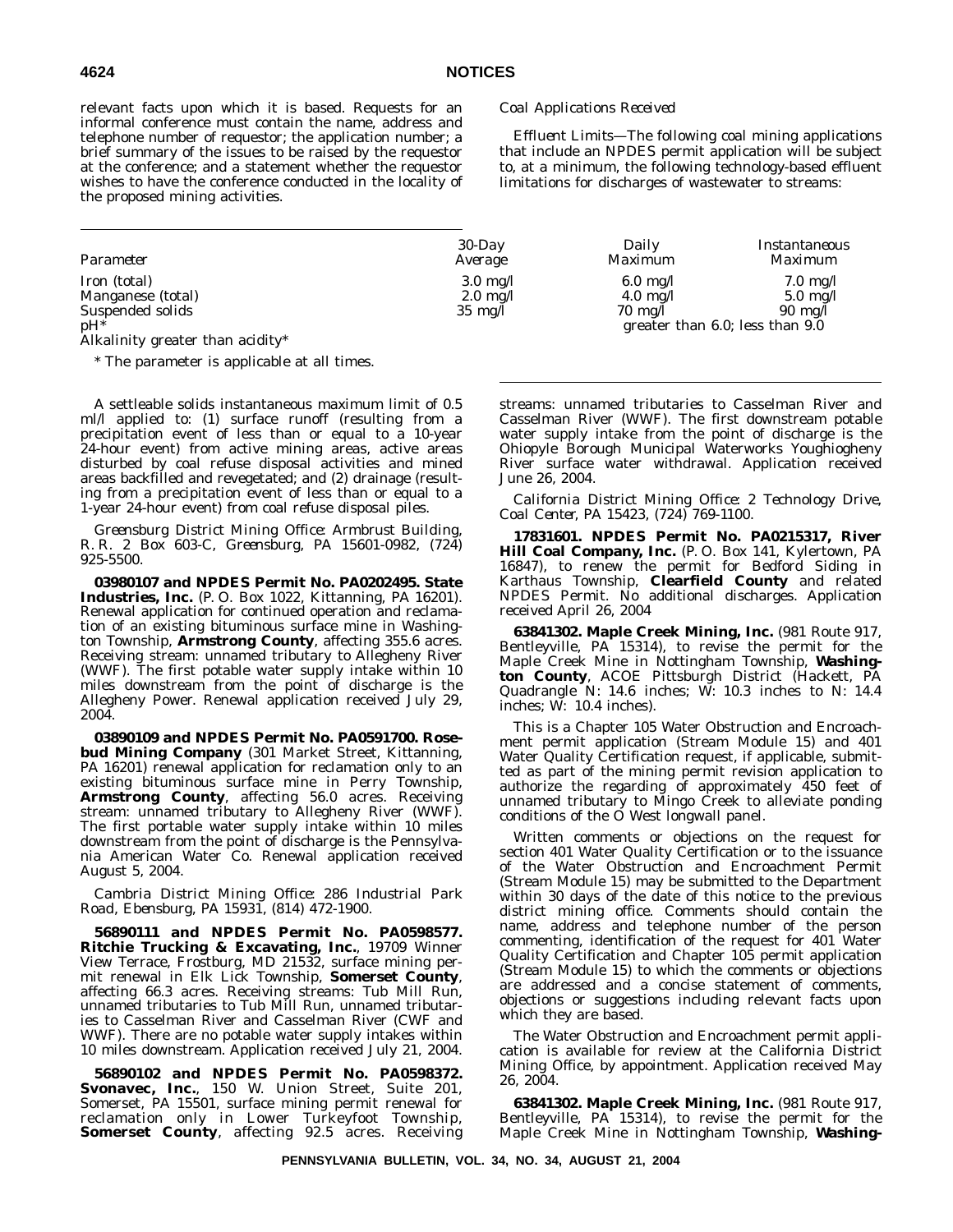relevant facts upon which it is based. Requests for an informal conference must contain the name, address and telephone number of requestor; the application number; a brief summary of the issues to be raised by the requestor at the conference; and a statement whether the requestor wishes to have the conference conducted in the locality of the proposed mining activities.

## *Coal Applications Received*

*Effluent Limits*—The following coal mining applications that include an NPDES permit application will be subject to, at a minimum, the following technology-based effluent limitations for discharges of wastewater to streams:

| Parameter         | $30$ -Day          | Daily              | Instantaneous                        |
|-------------------|--------------------|--------------------|--------------------------------------|
|                   | Average            | Maximum            | <i>Maximum</i>                       |
| Iron (total)      | $3.0 \text{ mg}/l$ | $6.0 \text{ mg/l}$ | $7.0 \text{ mg/l}$                   |
| Manganese (total) | $2.0 \text{ mg}/l$ | $4.0 \text{ mg}/l$ | $5.0 \text{ mg}/l$                   |
| Suspended solids  | $35 \text{ mg}/l$  | $70 \text{ me}/l$  | $90 \text{ mg/l}$                    |
| nH*               |                    |                    | greater than $6.0$ ; less than $9.0$ |

Alkalinity greater than acidity\*

\* The parameter is applicable at all times.

A settleable solids instantaneous maximum limit of 0.5 ml/l applied to: (1) surface runoff (resulting from a precipitation event of less than or equal to a 10-year 24-hour event) from active mining areas, active areas disturbed by coal refuse disposal activities and mined areas backfilled and revegetated; and (2) drainage (resulting from a precipitation event of less than or equal to a 1-year 24-hour event) from coal refuse disposal piles.

*Greensburg District Mining Office: Armbrust Building, R. R. 2 Box 603-C, Greensburg, PA 15601-0982, (724) 925-5500.*

**03980107 and NPDES Permit No. PA0202495. State Industries, Inc.** (P. O. Box 1022, Kittanning, PA 16201). Renewal application for continued operation and reclamation of an existing bituminous surface mine in Washington Township, **Armstrong County**, affecting 355.6 acres. Receiving stream: unnamed tributary to Allegheny River (WWF). The first potable water supply intake within 10 miles downstream from the point of discharge is the Allegheny Power. Renewal application received July 29, 2004.

**03890109 and NPDES Permit No. PA0591700. Rosebud Mining Company** (301 Market Street, Kittanning, PA 16201) renewal application for reclamation only to an existing bituminous surface mine in Perry Township, **Armstrong County**, affecting 56.0 acres. Receiving stream: unnamed tributary to Allegheny River (WWF). The first portable water supply intake within 10 miles downstream from the point of discharge is the Pennsylvania American Water Co. Renewal application received August 5, 2004.

## *Cambria District Mining Office: 286 Industrial Park Road, Ebensburg, PA 15931, (814) 472-1900.*

**56890111 and NPDES Permit No. PA0598577. Ritchie Trucking & Excavating, Inc.**, 19709 Winner View Terrace, Frostburg, MD 21532, surface mining permit renewal in Elk Lick Township, **Somerset County**, affecting 66.3 acres. Receiving streams: Tub Mill Run, unnamed tributaries to Tub Mill Run, unnamed tributaries to Casselman River and Casselman River (CWF and WWF). There are no potable water supply intakes within 10 miles downstream. Application received July 21, 2004.

**56890102 and NPDES Permit No. PA0598372. Svonavec, Inc.**, 150 W. Union Street, Suite 201, Somerset, PA 15501, surface mining permit renewal for reclamation only in Lower Turkeyfoot Township, **Somerset County**, affecting 92.5 acres. Receiving streams: unnamed tributaries to Casselman River and Casselman River (WWF). The first downstream potable water supply intake from the point of discharge is the Ohiopyle Borough Municipal Waterworks Youghiogheny River surface water withdrawal. Application received June 26, 2004.

*California District Mining Office: 2 Technology Drive, Coal Center, PA 15423, (724) 769-1100.*

**17831601. NPDES Permit No. PA0215317, River Hill Coal Company, Inc.** (P. O. Box 141, Kylertown, PA 16847), to renew the permit for Bedford Siding in Karthaus Township, **Clearfield County** and related NPDES Permit. No additional discharges. Application received April 26, 2004

**63841302. Maple Creek Mining, Inc.** (981 Route 917, Bentleyville, PA 15314), to revise the permit for the Maple Creek Mine in Nottingham Township, **Washington County**, ACOE Pittsburgh District (Hackett, PA Quadrangle N: 14.6 inches; W: 10.3 inches to N: 14.4 inches;  $\overline{W}$ : 10.4 inches).

This is a Chapter 105 Water Obstruction and Encroachment permit application (Stream Module 15) and 401 Water Quality Certification request, if applicable, submitted as part of the mining permit revision application to authorize the regarding of approximately 450 feet of unnamed tributary to Mingo Creek to alleviate ponding conditions of the O West longwall panel.

Written comments or objections on the request for section 401 Water Quality Certification or to the issuance of the Water Obstruction and Encroachment Permit (Stream Module 15) may be submitted to the Department within 30 days of the date of this notice to the previous district mining office. Comments should contain the name, address and telephone number of the person commenting, identification of the request for 401 Water Quality Certification and Chapter 105 permit application (Stream Module 15) to which the comments or objections are addressed and a concise statement of comments, objections or suggestions including relevant facts upon which they are based.

The Water Obstruction and Encroachment permit application is available for review at the California District Mining Office, by appointment. Application received May 26, 2004.

**63841302. Maple Creek Mining, Inc.** (981 Route 917, Bentleyville, PA 15314), to revise the permit for the Maple Creek Mine in Nottingham Township, **Washing-**

**PENNSYLVANIA BULLETIN, VOL. 34, NO. 34, AUGUST 21, 2004**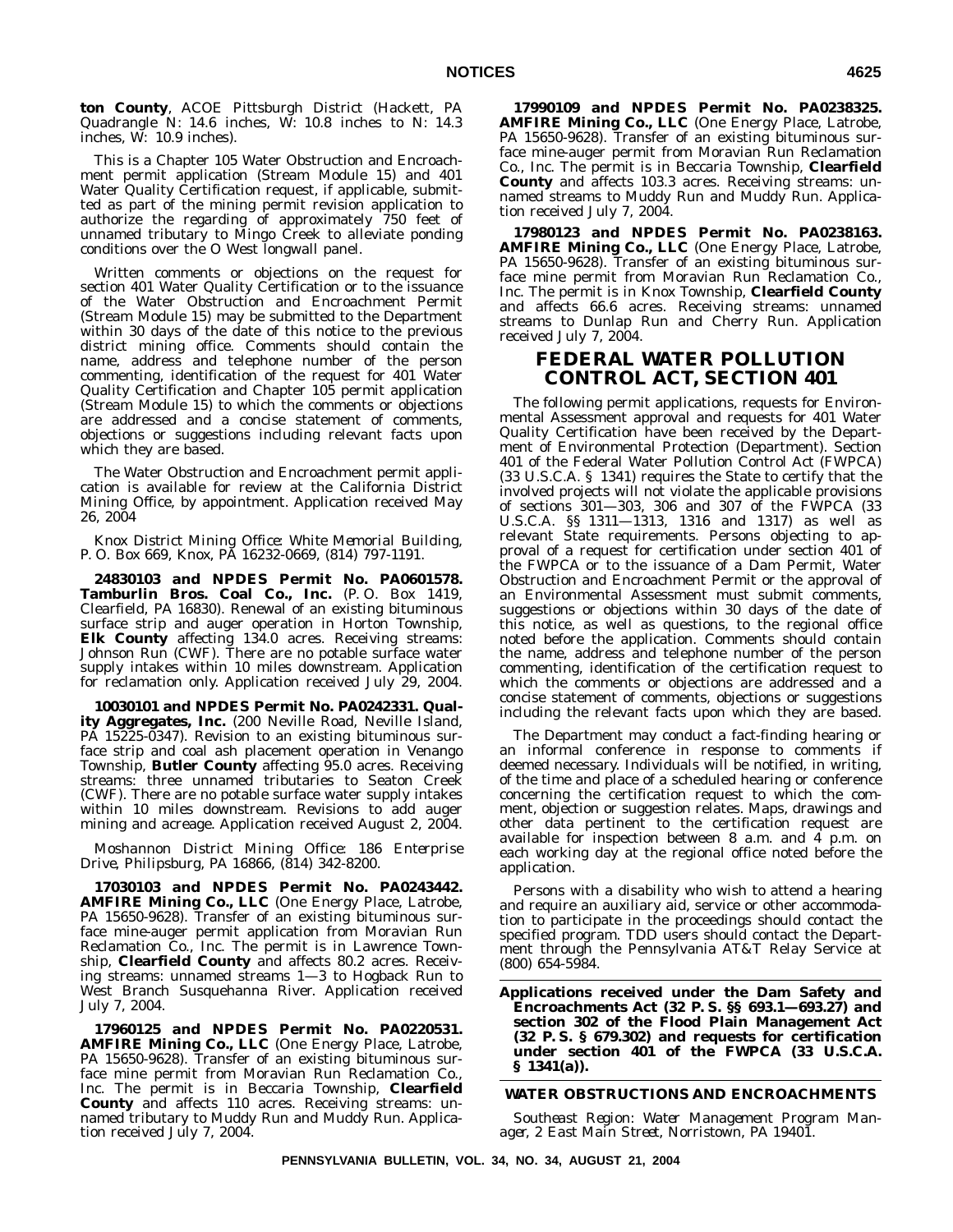**ton County**, ACOE Pittsburgh District (Hackett, PA Quadrangle N: 14.6 inches, W: 10.8 inches to N: 14.3 inches, W: 10.9 inches).

This is a Chapter 105 Water Obstruction and Encroachment permit application (Stream Module 15) and 401 Water Quality Certification request, if applicable, submitted as part of the mining permit revision application to authorize the regarding of approximately 750 feet of unnamed tributary to Mingo Creek to alleviate ponding conditions over the O West longwall panel.

Written comments or objections on the request for section 401 Water Quality Certification or to the issuance of the Water Obstruction and Encroachment Permit (Stream Module 15) may be submitted to the Department within 30 days of the date of this notice to the previous district mining office. Comments should contain the name, address and telephone number of the person commenting, identification of the request for 401 Water Quality Certification and Chapter 105 permit application (Stream Module 15) to which the comments or objections are addressed and a concise statement of comments, objections or suggestions including relevant facts upon which they are based.

The Water Obstruction and Encroachment permit application is available for review at the California District Mining Office, by appointment. Application received May 26, 2004

*Knox District Mining Office: White Memorial Building, P. O. Box 669, Knox, PA 16232-0669, (814) 797-1191.*

**24830103 and NPDES Permit No. PA0601578. Tamburlin Bros. Coal Co., Inc.** (P. O. Box 1419, Clearfield, PA 16830). Renewal of an existing bituminous surface strip and auger operation in Horton Township, **Elk County** affecting 134.0 acres. Receiving streams: Johnson Run (CWF). There are no potable surface water supply intakes within 10 miles downstream. Application for reclamation only. Application received July 29, 2004.

**10030101 and NPDES Permit No. PA0242331. Quality Aggregates, Inc.** (200 Neville Road, Neville Island, PA 15225-0347). Revision to an existing bituminous surface strip and coal ash placement operation in Venango Township, **Butler County** affecting 95.0 acres. Receiving streams: three unnamed tributaries to Seaton Creek (CWF). There are no potable surface water supply intakes within 10 miles downstream. Revisions to add auger mining and acreage. Application received August 2, 2004.

*Moshannon District Mining Office: 186 Enterprise Drive, Philipsburg, PA 16866, (814) 342-8200.*

**17030103 and NPDES Permit No. PA0243442. AMFIRE Mining Co., LLC** (One Energy Place, Latrobe, PA 15650-9628). Transfer of an existing bituminous surface mine-auger permit application from Moravian Run Reclamation Co., Inc. The permit is in Lawrence Township, **Clearfield County** and affects 80.2 acres. Receiving streams: unnamed streams 1—3 to Hogback Run to West Branch Susquehanna River. Application received July 7, 2004.

**17960125 and NPDES Permit No. PA0220531. AMFIRE Mining Co., LLC** (One Energy Place, Latrobe, PA 15650-9628). Transfer of an existing bituminous surface mine permit from Moravian Run Reclamation Co., Inc. The permit is in Beccaria Township, **Clearfield County** and affects 110 acres. Receiving streams: unnamed tributary to Muddy Run and Muddy Run. Application received July 7, 2004.

**17990109 and NPDES Permit No. PA0238325. AMFIRE Mining Co., LLC** (One Energy Place, Latrobe, PA 15650-9628). Transfer of an existing bituminous surface mine-auger permit from Moravian Run Reclamation Co., Inc. The permit is in Beccaria Township, **Clearfield County** and affects 103.3 acres. Receiving streams: unnamed streams to Muddy Run and Muddy Run. Application received July 7, 2004.

**17980123 and NPDES Permit No. PA0238163. AMFIRE Mining Co., LLC** (One Energy Place, Latrobe, PA 15650-9628). Transfer of an existing bituminous surface mine permit from Moravian Run Reclamation Co., Inc. The permit is in Knox Township, **Clearfield County** and affects 66.6 acres. Receiving streams: unnamed streams to Dunlap Run and Cherry Run. Application received July 7, 2004.

## **FEDERAL WATER POLLUTION CONTROL ACT, SECTION 401**

The following permit applications, requests for Environmental Assessment approval and requests for 401 Water Quality Certification have been received by the Department of Environmental Protection (Department). Section 401 of the Federal Water Pollution Control Act (FWPCA) (33 U.S.C.A. § 1341) requires the State to certify that the involved projects will not violate the applicable provisions of sections 301—303, 306 and 307 of the FWPCA (33 U.S.C.A. §§ 1311—1313, 1316 and 1317) as well as relevant State requirements. Persons objecting to approval of a request for certification under section 401 of the FWPCA or to the issuance of a Dam Permit, Water Obstruction and Encroachment Permit or the approval of an Environmental Assessment must submit comments, suggestions or objections within 30 days of the date of this notice, as well as questions, to the regional office noted before the application. Comments should contain the name, address and telephone number of the person commenting, identification of the certification request to which the comments or objections are addressed and a concise statement of comments, objections or suggestions including the relevant facts upon which they are based.

The Department may conduct a fact-finding hearing or an informal conference in response to comments if deemed necessary. Individuals will be notified, in writing, of the time and place of a scheduled hearing or conference concerning the certification request to which the comment, objection or suggestion relates. Maps, drawings and other data pertinent to the certification request are available for inspection between  $8$  a.m. and  $4$  p.m. on each working day at the regional office noted before the application.

Persons with a disability who wish to attend a hearing and require an auxiliary aid, service or other accommodation to participate in the proceedings should contact the specified program. TDD users should contact the Department through the Pennsylvania AT&T Relay Service at (800) 654-5984.

**Applications received under the Dam Safety and Encroachments Act (32 P. S. §§ 693.1—693.27) and section 302 of the Flood Plain Management Act (32 P. S. § 679.302) and requests for certification under section 401 of the FWPCA (33 U.S.C.A. § 1341(a)).**

## **WATER OBSTRUCTIONS AND ENCROACHMENTS**

*Southeast Region: Water Management Program Manager, 2 East Main Street, Norristown, PA 19401.*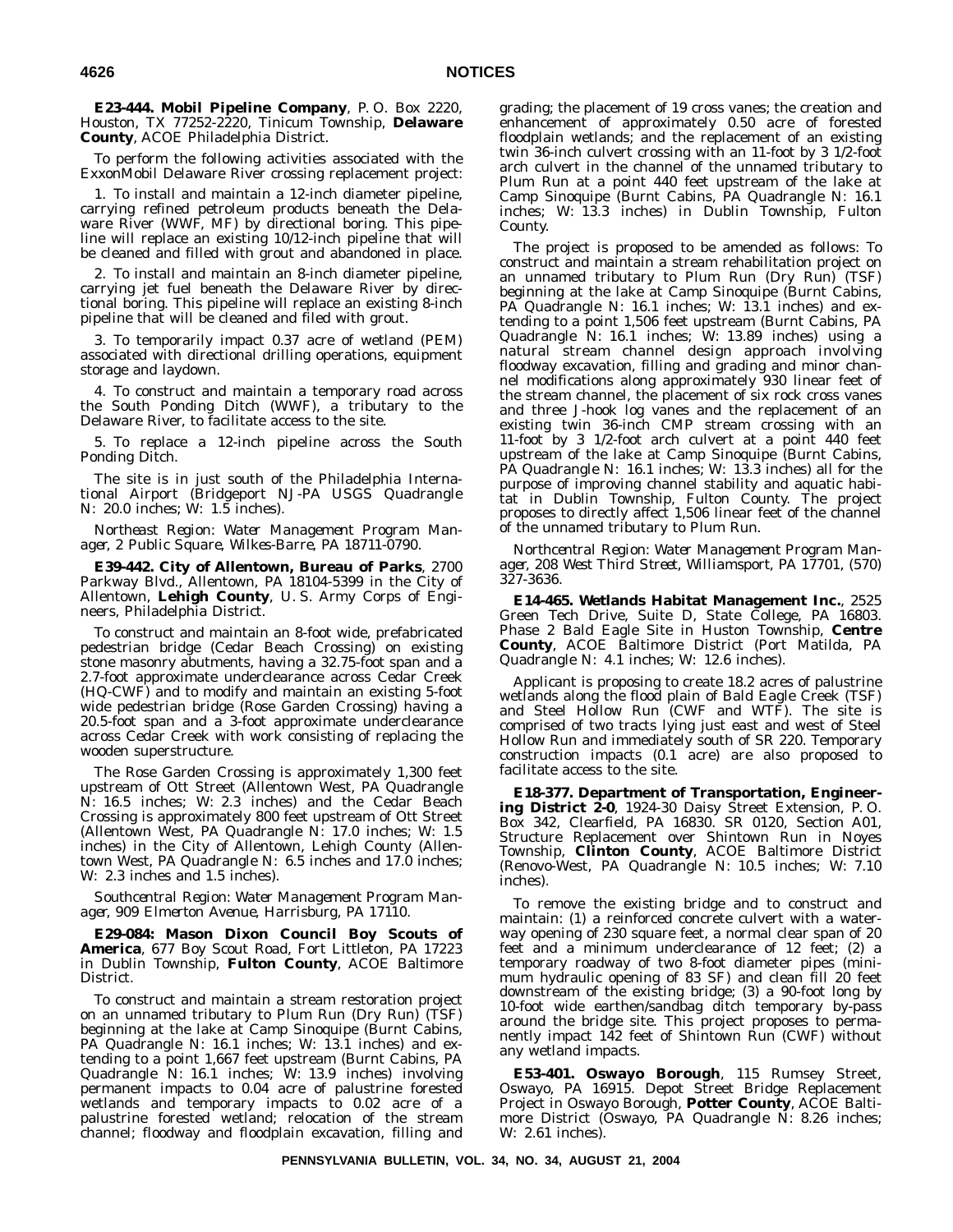**E23-444. Mobil Pipeline Company**, P. O. Box 2220, Houston, TX 77252-2220, Tinicum Township, **Delaware County**, ACOE Philadelphia District.

To perform the following activities associated with the ExxonMobil Delaware River crossing replacement project:

1. To install and maintain a 12-inch diameter pipeline, carrying refined petroleum products beneath the Delaware River (WWF, MF) by directional boring. This pipeline will replace an existing 10/12-inch pipeline that will be cleaned and filled with grout and abandoned in place.

2. To install and maintain an 8-inch diameter pipeline, carrying jet fuel beneath the Delaware River by directional boring. This pipeline will replace an existing 8-inch pipeline that will be cleaned and filed with grout.

3. To temporarily impact 0.37 acre of wetland (PEM) associated with directional drilling operations, equipment storage and laydown.

4. To construct and maintain a temporary road across the South Ponding Ditch (WWF), a tributary to the Delaware River, to facilitate access to the site.

5. To replace a 12-inch pipeline across the South Ponding Ditch.

The site is in just south of the Philadelphia International Airport (Bridgeport NJ-PA USGS Quadrangle N: 20.0 inches; W: 1.5 inches).

*Northeast Region: Water Management Program Manager, 2 Public Square, Wilkes-Barre, PA 18711-0790.*

**E39-442. City of Allentown, Bureau of Parks**, 2700 Parkway Blvd., Allentown, PA 18104-5399 in the City of Allentown, **Lehigh County**, U. S. Army Corps of Engineers, Philadelphia District.

To construct and maintain an 8-foot wide, prefabricated pedestrian bridge (Cedar Beach Crossing) on existing stone masonry abutments, having a 32.75-foot span and a 2.7-foot approximate underclearance across Cedar Creek (HQ-CWF) and to modify and maintain an existing 5-foot wide pedestrian bridge (Rose Garden Crossing) having a 20.5-foot span and a 3-foot approximate underclearance across Cedar Creek with work consisting of replacing the wooden superstructure.

The Rose Garden Crossing is approximately 1,300 feet upstream of Ott Street (Allentown West, PA Quadrangle N: 16.5 inches; W: 2.3 inches) and the Cedar Beach Crossing is approximately 800 feet upstream of Ott Street (Allentown West, PA Quadrangle N: 17.0 inches; W: 1.5 inches) in the City of Allentown, Lehigh County (Allentown West, PA Quadrangle N: 6.5 inches and 17.0 inches; W: 2.3 inches and 1.5 inches).

*Southcentral Region: Water Management Program Manager, 909 Elmerton Avenue, Harrisburg, PA 17110.*

**E29-084: Mason Dixon Council Boy Scouts of America**, 677 Boy Scout Road, Fort Littleton, PA 17223 in Dublin Township, **Fulton County**, ACOE Baltimore District.

To construct and maintain a stream restoration project on an unnamed tributary to Plum Run (Dry Run) (TSF) beginning at the lake at Camp Sinoquipe (Burnt Cabins, PA Quadrangle N: 16.1 inches; W: 13.1 inches) and extending to a point 1,667 feet upstream (Burnt Cabins, PA Quadrangle N: 16.1 inches; W: 13.9 inches) involving permanent impacts to 0.04 acre of palustrine forested wetlands and temporary impacts to 0.02 acre of a palustrine forested wetland; relocation of the stream channel; floodway and floodplain excavation, filling and

grading; the placement of 19 cross vanes; the creation and enhancement of approximately 0.50 acre of forested floodplain wetlands; and the replacement of an existing twin 36-inch culvert crossing with an 11-foot by 3 1/2-foot arch culvert in the channel of the unnamed tributary to Plum Run at a point 440 feet upstream of the lake at Camp Sinoquipe (Burnt Cabins, PA Quadrangle N: 16.1 inches; W: 13.3 inches) in Dublin Township, Fulton County.

The project is proposed to be amended as follows: To construct and maintain a stream rehabilitation project on an unnamed tributary to Plum Run (Dry Run) (TSF) beginning at the lake at Camp Sinoquipe (Burnt Cabins, PA Quadrangle N: 16.1 inches; W: 13.1 inches) and extending to a point 1,506 feet upstream (Burnt Cabins, PA Quadrangle N: 16.1 inches; W: 13.89 inches) using a natural stream channel design approach involving floodway excavation, filling and grading and minor channel modifications along approximately 930 linear feet of the stream channel, the placement of six rock cross vanes and three J-hook log vanes and the replacement of an existing twin 36-inch CMP stream crossing with an 11-foot by 3 1/2-foot arch culvert at a point 440 feet upstream of the lake at Camp Sinoquipe (Burnt Cabins, PA Quadrangle N: 16.1 inches; W: 13.3 inches) all for the purpose of improving channel stability and aquatic habitat in Dublin Township, Fulton County. The project proposes to directly affect 1,506 linear feet of the channel of the unnamed tributary to Plum Run.

*Northcentral Region: Water Management Program Manager, 208 West Third Street, Williamsport, PA 17701, (570) 327-3636.*

**E14-465. Wetlands Habitat Management Inc.**, 2525 Green Tech Drive, Suite D, State College, PA 16803. Phase 2 Bald Eagle Site in Huston Township, **Centre County**, ACOE Baltimore District (Port Matilda, PA Quadrangle N: 4.1 inches; W: 12.6 inches).

Applicant is proposing to create 18.2 acres of palustrine wetlands along the flood plain of Bald Eagle Creek (TSF) and Steel Hollow Run (CWF and WTF). The site is comprised of two tracts lying just east and west of Steel Hollow Run and immediately south of SR 220. Temporary construction impacts (0.1 acre) are also proposed to facilitate access to the site.

**E18-377. Department of Transportation, Engineering District 2-0**, 1924-30 Daisy Street Extension, P. O. Box 342, Clearfield, PA 16830. SR 0120, Section A01, Structure Replacement over Shintown Run in Noyes Township, **Clinton County**, ACOE Baltimore District (Renovo-West, PA Quadrangle N: 10.5 inches; W: 7.10 inches).

To remove the existing bridge and to construct and maintain: (1) a reinforced concrete culvert with a waterway opening of 230 square feet, a normal clear span of 20 feet and a minimum underclearance of 12 feet; (2) a temporary roadway of two 8-foot diameter pipes (minimum hydraulic opening of 83 SF) and clean fill 20 feet downstream of the existing bridge; (3) a 90-foot long by 10-foot wide earthen/sandbag ditch temporary by-pass around the bridge site. This project proposes to permanently impact 142 feet of Shintown Run (CWF) without any wetland impacts.

**E53-401. Oswayo Borough**, 115 Rumsey Street, Oswayo, PA 16915. Depot Street Bridge Replacement Project in Oswayo Borough, **Potter County**, ACOE Baltimore District (Oswayo, PA Quadrangle N: 8.26 inches; W: 2.61 inches).

**PENNSYLVANIA BULLETIN, VOL. 34, NO. 34, AUGUST 21, 2004**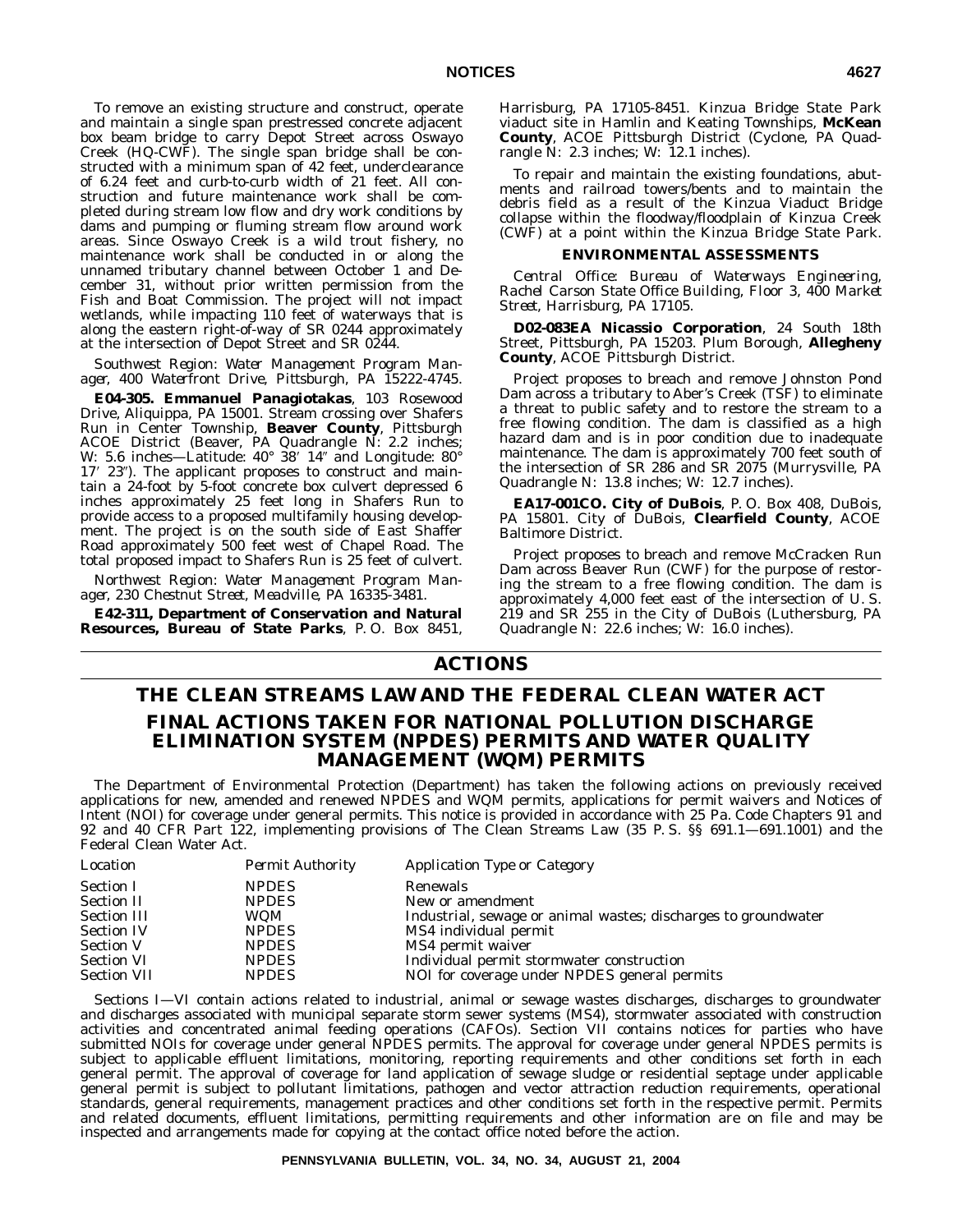To remove an existing structure and construct, operate and maintain a single span prestressed concrete adjacent box beam bridge to carry Depot Street across Oswayo Creek (HQ-CWF). The single span bridge shall be constructed with a minimum span of 42 feet, underclearance of 6.24 feet and curb-to-curb width of 21 feet. All construction and future maintenance work shall be completed during stream low flow and dry work conditions by dams and pumping or fluming stream flow around work areas. Since Oswayo Creek is a wild trout fishery, no maintenance work shall be conducted in or along the unnamed tributary channel between October 1 and December 31, without prior written permission from the Fish and Boat Commission. The project will not impact wetlands, while impacting 110 feet of waterways that is along the eastern right-of-way of SR 0244 approximately at the intersection of Depot Street and SR 0244.

*Southwest Region: Water Management Program Manager, 400 Waterfront Drive, Pittsburgh, PA 15222-4745.*

**E04-305. Emmanuel Panagiotakas**, 103 Rosewood Drive, Aliquippa, PA 15001. Stream crossing over Shafers Run in Center Township, **Beaver County**, Pittsburgh ACOE District (Beaver, PA Quadrangle N: 2.2 inches; W: 5.6 inches—Latitude: 40° 38' 14" and Longitude: 80° 17' 23"). The applicant proposes to construct and maintain a 24-foot by 5-foot concrete box culvert depressed 6 inches approximately 25 feet long in Shafers Run to provide access to a proposed multifamily housing development. The project is on the south side of East Shaffer Road approximately 500 feet west of Chapel Road. The total proposed impact to Shafers Run is 25 feet of culvert.

*Northwest Region: Water Management Program Manager, 230 Chestnut Street, Meadville, PA 16335-3481.*

**E42-311, Department of Conservation and Natural Resources, Bureau of State Parks**, P. O. Box 8451, Harrisburg, PA 17105-8451. Kinzua Bridge State Park viaduct site in Hamlin and Keating Townships, **McKean County**, ACOE Pittsburgh District (Cyclone, PA Quadrangle N: 2.3 inches; W: 12.1 inches).

To repair and maintain the existing foundations, abutments and railroad towers/bents and to maintain the debris field as a result of the Kinzua Viaduct Bridge collapse within the floodway/floodplain of Kinzua Creek (CWF) at a point within the Kinzua Bridge State Park.

## **ENVIRONMENTAL ASSESSMENTS**

*Central Office: Bureau of Waterways Engineering, Rachel Carson State Office Building, Floor 3, 400 Market Street, Harrisburg, PA 17105.*

**D02-083EA Nicassio Corporation**, 24 South 18th Street, Pittsburgh, PA 15203. Plum Borough, **Allegheny County**, ACOE Pittsburgh District.

Project proposes to breach and remove Johnston Pond Dam across a tributary to Aber's Creek (TSF) to eliminate a threat to public safety and to restore the stream to a free flowing condition. The dam is classified as a high hazard dam and is in poor condition due to inadequate maintenance. The dam is approximately 700 feet south of the intersection of SR 286 and SR 2075 (Murrysville, PA Quadrangle N: 13.8 inches; W: 12.7 inches).

**EA17-001CO. City of DuBois**, P. O. Box 408, DuBois, PA 15801. City of DuBois, **Clearfield County**, ACOE Baltimore District.

Project proposes to breach and remove McCracken Run Dam across Beaver Run (CWF) for the purpose of restoring the stream to a free flowing condition. The dam is approximately 4,000 feet east of the intersection of U. S. 219 and SR 255 in the City of DuBois (Luthersburg, PA Quadrangle N: 22.6 inches; W: 16.0 inches).

# **ACTIONS**

# **THE CLEAN STREAMS LAW AND THE FEDERAL CLEAN WATER ACT FINAL ACTIONS TAKEN FOR NATIONAL POLLUTION DISCHARGE ELIMINATION SYSTEM (NPDES) PERMITS AND WATER QUALITY MANAGEMENT (WQM) PERMITS**

The Department of Environmental Protection (Department) has taken the following actions on previously received applications for new, amended and renewed NPDES and WQM permits, applications for permit waivers and Notices of Intent (NOI) for coverage under general permits. This notice is provided in accordance with 25 Pa. Code Chapters 91 and 92 and 40 CFR Part 122, implementing provisions of The Clean Streams Law (35 P. S. §§ 691.1—691.1001) and the Federal Clean Water Act.

| Location           | <b>Permit Authority</b> | Application Type or Category                                   |
|--------------------|-------------------------|----------------------------------------------------------------|
| <b>Section I</b>   | <b>NPDES</b>            | Renewals                                                       |
| <b>Section II</b>  | <b>NPDES</b>            | New or amendment                                               |
| <b>Section III</b> | WOM                     | Industrial, sewage or animal wastes; discharges to groundwater |
| <b>Section IV</b>  | <b>NPDES</b>            | MS4 individual permit                                          |
| <b>Section V</b>   | <b>NPDES</b>            | MS4 permit waiver                                              |
| <b>Section VI</b>  | <b>NPDES</b>            | Individual permit stormwater construction                      |
| <b>Section VII</b> | <b>NPDES</b>            | NOI for coverage under NPDES general permits                   |

Sections I—VI contain actions related to industrial, animal or sewage wastes discharges, discharges to groundwater and discharges associated with municipal separate storm sewer systems (MS4), stormwater associated with construction activities and concentrated animal feeding operations (CAFOs). Section VII contains notices for parties who have submitted NOIs for coverage under general NPDES permits. The approval for coverage under general NPDES permits is subject to applicable effluent limitations, monitoring, reporting requirements and other conditions set forth in each general permit. The approval of coverage for land application of sewage sludge or residential septage under applicable general permit is subject to pollutant limitations, pathogen and vector attraction reduction requirements, operational standards, general requirements, management practices and other conditions set forth in the respective permit. Permits and related documents, effluent limitations, permitting requirements and other information are on file and may be inspected and arrangements made for copying at the contact office noted before the action.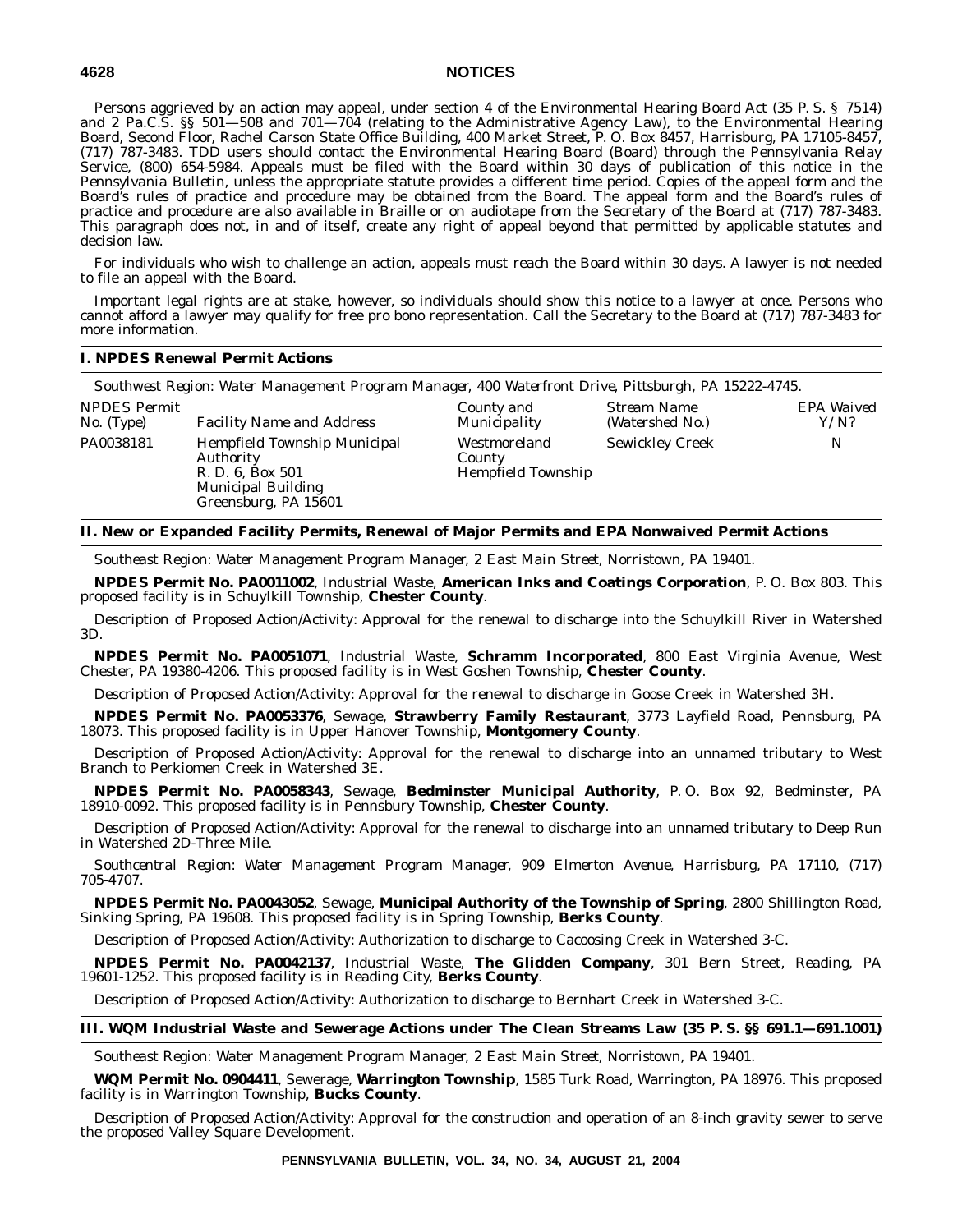Persons aggrieved by an action may appeal, under section 4 of the Environmental Hearing Board Act (35 P. S. § 7514) and 2 Pa.C.S. §§ 501—508 and 701—704 (relating to the Administrative Agency Law), to the Environmental Hearing Board, Second Floor, Rachel Carson State Office Building, 400 Market Street, P. O. Box 8457, Harrisburg, PA 17105-8457, (717) 787-3483. TDD users should contact the Environmental Hearing Board (Board) through the Pennsylvania Relay Service, (800) 654-5984. Appeals must be filed with the Board within 30 days of publication of this notice in the *Pennsylvania Bulletin*, unless the appropriate statute provides a different time period. Copies of the appeal form and the Board's rules of practice and procedure may be obtained from the Board. The appeal form and the Board's rules of practice and procedure are also available in Braille or on audiotape from the Secretary of the Board at (717) 787-3483. This paragraph does not, in and of itself, create any right of appeal beyond that permitted by applicable statutes and decision law.

For individuals who wish to challenge an action, appeals must reach the Board within 30 days. A lawyer is not needed to file an appeal with the Board.

Important legal rights are at stake, however, so individuals should show this notice to a lawyer at once. Persons who cannot afford a lawyer may qualify for free pro bono representation. Call the Secretary to the Board at (717) 787-3483 for more information.

## **I. NPDES Renewal Permit Actions**

*Southwest Region: Water Management Program Manager, 400 Waterfront Drive, Pittsburgh, PA 15222-4745.*

| <i>NPDES Permit</i> | <b>Facility Name and Address</b>                                                                                   | County and                                          | Stream Name            | EPA Waived |
|---------------------|--------------------------------------------------------------------------------------------------------------------|-----------------------------------------------------|------------------------|------------|
| No. (Type)          |                                                                                                                    | Municipality                                        | (Watershed No.)        | Y/N?       |
| PA0038181           | Hempfield Township Municipal<br>Authority<br>R. D. 6, Box 501<br><b>Municipal Building</b><br>Greensburg, PA 15601 | Westmoreland<br>County<br><b>Hempfield Township</b> | <b>Sewickley Creek</b> | N          |

## **II. New or Expanded Facility Permits, Renewal of Major Permits and EPA Nonwaived Permit Actions**

*Southeast Region: Water Management Program Manager, 2 East Main Street, Norristown, PA 19401.*

**NPDES Permit No. PA0011002**, Industrial Waste, **American Inks and Coatings Corporation**, P. O. Box 803. This proposed facility is in Schuylkill Township, **Chester County**.

Description of Proposed Action/Activity: Approval for the renewal to discharge into the Schuylkill River in Watershed 3D.

**NPDES Permit No. PA0051071**, Industrial Waste, **Schramm Incorporated**, 800 East Virginia Avenue, West Chester, PA 19380-4206. This proposed facility is in West Goshen Township, **Chester County**.

Description of Proposed Action/Activity: Approval for the renewal to discharge in Goose Creek in Watershed 3H.

**NPDES Permit No. PA0053376**, Sewage, **Strawberry Family Restaurant**, 3773 Layfield Road, Pennsburg, PA 18073. This proposed facility is in Upper Hanover Township, **Montgomery County**.

Description of Proposed Action/Activity: Approval for the renewal to discharge into an unnamed tributary to West Branch to Perkiomen Creek in Watershed 3E.

**NPDES Permit No. PA0058343**, Sewage, **Bedminster Municipal Authority**, P. O. Box 92, Bedminster, PA 18910-0092. This proposed facility is in Pennsbury Township, **Chester County**.

Description of Proposed Action/Activity: Approval for the renewal to discharge into an unnamed tributary to Deep Run in Watershed 2D-Three Mile.

*Southcentral Region: Water Management Program Manager, 909 Elmerton Avenue, Harrisburg, PA 17110, (717) 705-4707.*

**NPDES Permit No. PA0043052**, Sewage, **Municipal Authority of the Township of Spring**, 2800 Shillington Road, Sinking Spring, PA 19608. This proposed facility is in Spring Township, **Berks County**.

Description of Proposed Action/Activity: Authorization to discharge to Cacoosing Creek in Watershed 3-C.

**NPDES Permit No. PA0042137**, Industrial Waste, **The Glidden Company**, 301 Bern Street, Reading, PA 19601-1252. This proposed facility is in Reading City, **Berks County**.

Description of Proposed Action/Activity: Authorization to discharge to Bernhart Creek in Watershed 3-C.

## **III. WQM Industrial Waste and Sewerage Actions under The Clean Streams Law (35 P. S. §§ 691.1—691.1001)**

*Southeast Region: Water Management Program Manager, 2 East Main Street, Norristown, PA 19401.*

**WQM Permit No. 0904411**, Sewerage, **Warrington Township**, 1585 Turk Road, Warrington, PA 18976. This proposed facility is in Warrington Township, **Bucks County**.

Description of Proposed Action/Activity: Approval for the construction and operation of an 8-inch gravity sewer to serve the proposed Valley Square Development.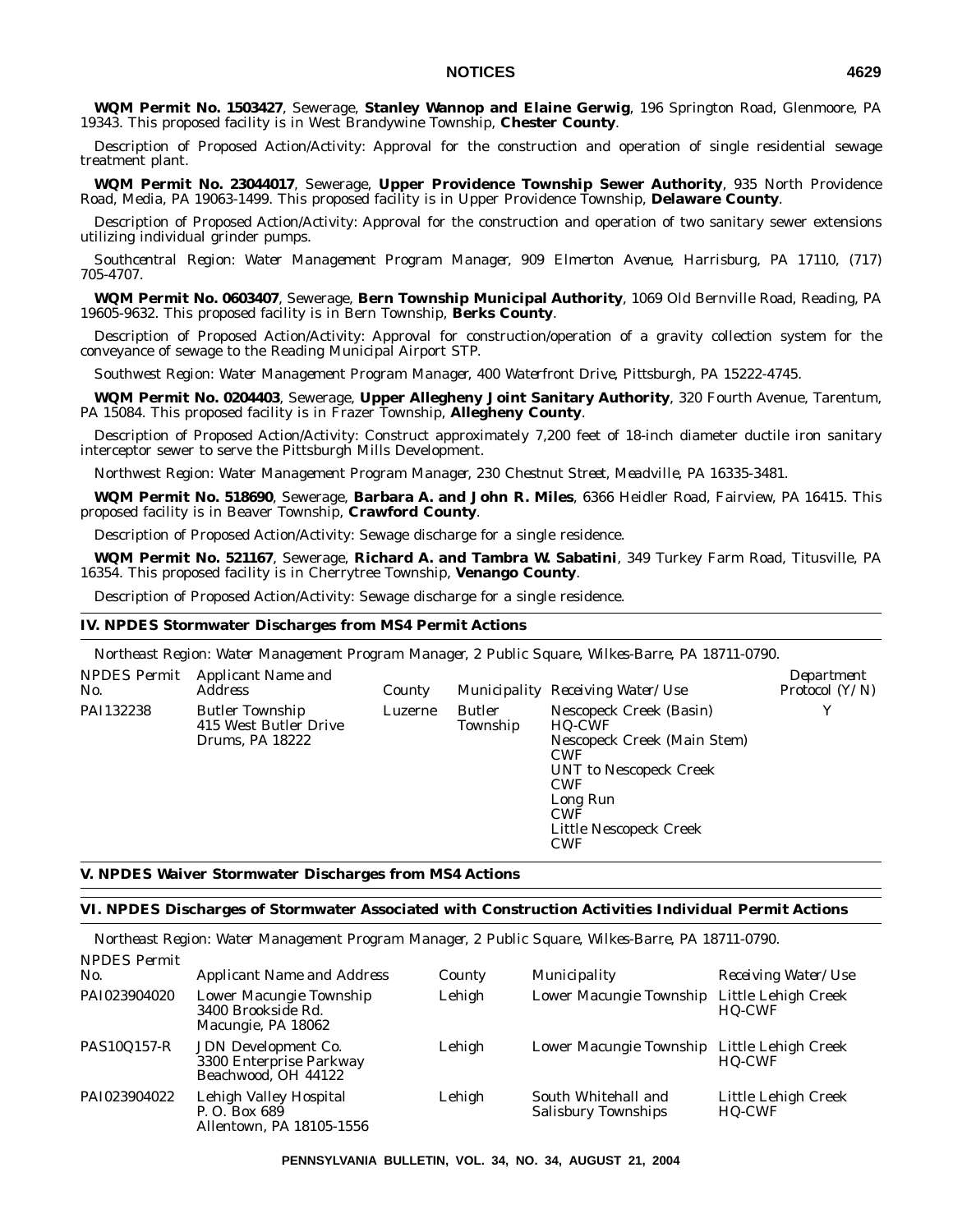**WQM Permit No. 1503427**, Sewerage, **Stanley Wannop and Elaine Gerwig**, 196 Springton Road, Glenmoore, PA 19343. This proposed facility is in West Brandywine Township, **Chester County**.

Description of Proposed Action/Activity: Approval for the construction and operation of single residential sewage treatment plant.

**WQM Permit No. 23044017**, Sewerage, **Upper Providence Township Sewer Authority**, 935 North Providence Road, Media, PA 19063-1499. This proposed facility is in Upper Providence Township, **Delaware County**.

Description of Proposed Action/Activity: Approval for the construction and operation of two sanitary sewer extensions utilizing individual grinder pumps.

*Southcentral Region: Water Management Program Manager, 909 Elmerton Avenue, Harrisburg, PA 17110, (717) 705-4707.*

**WQM Permit No. 0603407**, Sewerage, **Bern Township Municipal Authority**, 1069 Old Bernville Road, Reading, PA 19605-9632. This proposed facility is in Bern Township, **Berks County**.

Description of Proposed Action/Activity: Approval for construction/operation of a gravity collection system for the conveyance of sewage to the Reading Municipal Airport STP.

*Southwest Region: Water Management Program Manager, 400 Waterfront Drive, Pittsburgh, PA 15222-4745.*

**WQM Permit No. 0204403**, Sewerage, **Upper Allegheny Joint Sanitary Authority**, 320 Fourth Avenue, Tarentum, PA 15084. This proposed facility is in Frazer Township, **Allegheny County**.

Description of Proposed Action/Activity: Construct approximately 7,200 feet of 18-inch diameter ductile iron sanitary interceptor sewer to serve the Pittsburgh Mills Development.

*Northwest Region: Water Management Program Manager, 230 Chestnut Street, Meadville, PA 16335-3481.*

**WQM Permit No. 518690**, Sewerage, **Barbara A. and John R. Miles**, 6366 Heidler Road, Fairview, PA 16415. This proposed facility is in Beaver Township, **Crawford County**.

Description of Proposed Action/Activity: Sewage discharge for a single residence.

**WQM Permit No. 521167**, Sewerage, **Richard A. and Tambra W. Sabatini**, 349 Turkey Farm Road, Titusville, PA 16354. This proposed facility is in Cherrytree Township, **Venango County**.

Description of Proposed Action/Activity: Sewage discharge for a single residence.

## **IV. NPDES Stormwater Discharges from MS4 Permit Actions**

*Northeast Region: Water Management Program Manager, 2 Public Square, Wilkes-Barre, PA 18711-0790.*

| PAI132238<br>Nescopeck Creek (Basin)<br><b>Butler Township</b><br><b>Butler</b><br>Luzerne<br>415 West Butler Drive<br>Township<br><b>HQ-CWF</b>                       | Y |
|------------------------------------------------------------------------------------------------------------------------------------------------------------------------|---|
| Nescopeck Creek (Main Stem)<br>Drums, PA 18222<br><b>CWF</b><br>UNT to Nescopeck Creek<br><b>CWF</b><br>Long Run<br><b>CWF</b><br>Little Nescopeck Creek<br><b>CWF</b> |   |

## **V. NPDES Waiver Stormwater Discharges from MS4 Actions**

### **VI. NPDES Discharges of Stormwater Associated with Construction Activities Individual Permit Actions**

*Northeast Region: Water Management Program Manager, 2 Public Square, Wilkes-Barre, PA 18711-0790. NPDES Permit*

| No.                | <b>Applicant Name and Address</b>                                     | County | Municipality                                      | Receiving Water/Use                  |
|--------------------|-----------------------------------------------------------------------|--------|---------------------------------------------------|--------------------------------------|
| PAI023904020       | Lower Macungie Township<br>3400 Brookside Rd.<br>Macungie, PA 18062   | Lehigh | Lower Macungie Township                           | Little Lehigh Creek<br><b>HO-CWF</b> |
| <b>PAS10Q157-R</b> | JDN Development Co.<br>3300 Enterprise Parkway<br>Beachwood, OH 44122 | Lehigh | Lower Macungie Township Little Lehigh Creek       | <b>HO-CWF</b>                        |
| PAI023904022       | Lehigh Valley Hospital<br>P.O. Box 689<br>Allentown, PA 18105-1556    | Lehigh | South Whitehall and<br><b>Salisbury Townships</b> | Little Lehigh Creek<br><b>HQ-CWF</b> |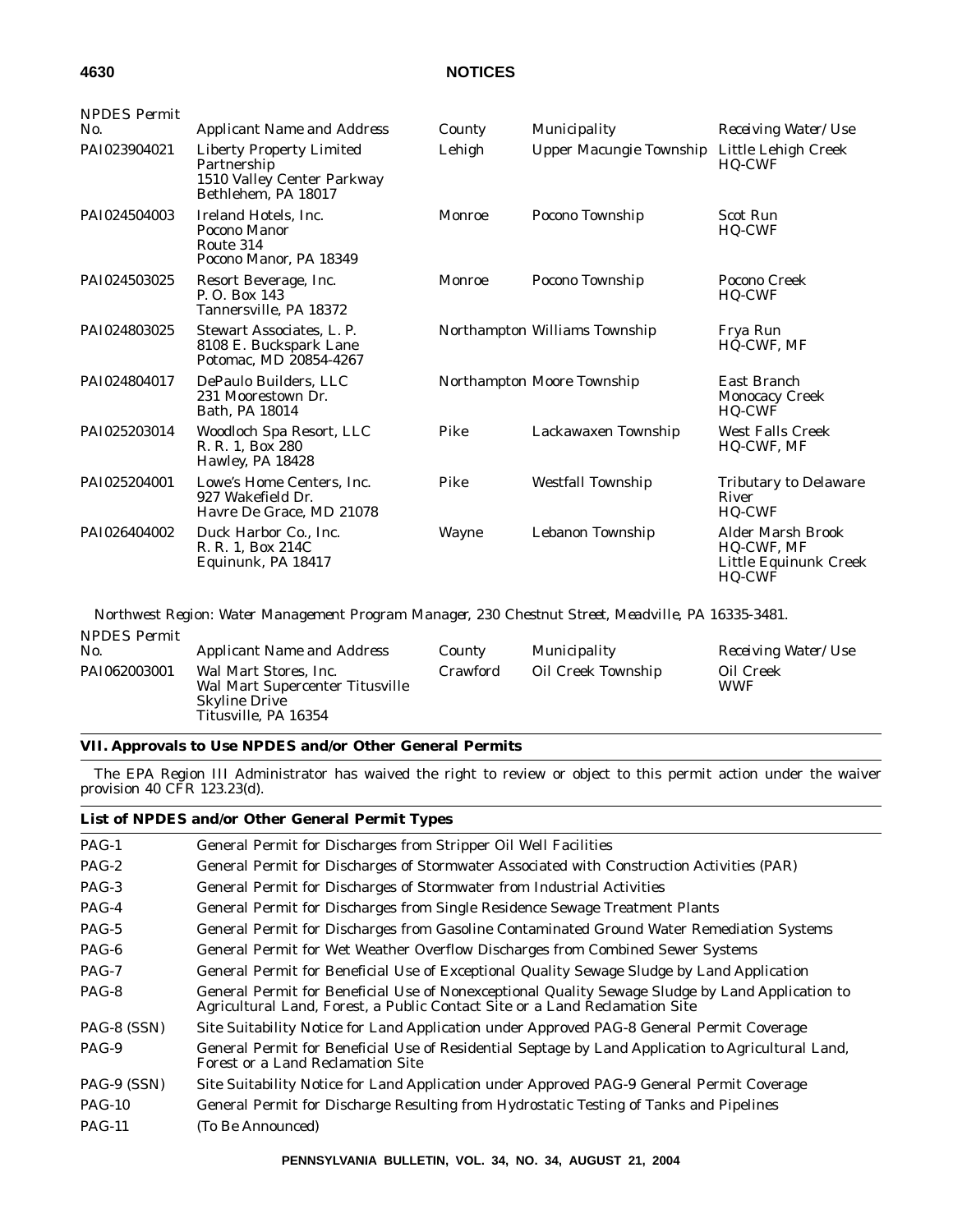| <b>NPDES Permit</b> |                                                                                                     |               |                               |                                                                           |
|---------------------|-----------------------------------------------------------------------------------------------------|---------------|-------------------------------|---------------------------------------------------------------------------|
| No.                 | <b>Applicant Name and Address</b>                                                                   | County        | Municipality                  | Receiving Water/Use                                                       |
| PAI023904021        | <b>Liberty Property Limited</b><br>Partnership<br>1510 Valley Center Parkway<br>Bethlehem. PA 18017 | Lehigh        | Upper Macungie Township       | Little Lehigh Creek<br><b>HQ-CWF</b>                                      |
| PAI024504003        | Ireland Hotels, Inc.<br>Pocono Manor<br>Route 314<br>Pocono Manor. PA 18349                         | Monroe        | Pocono Township               | <b>Scot Run</b><br>HQ-CWF                                                 |
| PAI024503025        | Resort Beverage, Inc.<br>P. O. Box 143<br>Tannersville, PA 18372                                    | <b>Monroe</b> | Pocono Township               | Pocono Creek<br><b>HQ-CWF</b>                                             |
| PAI024803025        | Stewart Associates, L. P.<br>8108 E. Buckspark Lane<br>Potomac, MD 20854-4267                       |               | Northampton Williams Township | Frya Run<br><b>HQ-CWF, MF</b>                                             |
| PAI024804017        | DePaulo Builders, LLC<br>231 Moorestown Dr.<br>Bath, PA 18014                                       |               | Northampton Moore Township    | East Branch<br><b>Monocacy Creek</b><br><b>HQ-CWF</b>                     |
| PAI025203014        | Woodloch Spa Resort, LLC<br>R. R. 1, Box 280<br>Hawley, PA 18428                                    | Pike          | Lackawaxen Township           | <b>West Falls Creek</b><br><b>HQ-CWF, MF</b>                              |
| PAI025204001        | Lowe's Home Centers, Inc.<br>927 Wakefield Dr.<br>Havre De Grace, MD 21078                          | Pike          | <b>Westfall Township</b>      | <b>Tributary to Delaware</b><br>River<br><b>HQ-CWF</b>                    |
| PAI026404002        | Duck Harbor Co., Inc.<br>R. R. 1, Box 214C<br>Equinunk, PA 18417                                    | Wayne         | Lebanon Township              | <b>Alder Marsh Brook</b><br>HQ-CWF, MF<br>Little Equinunk Creek<br>HQ-CWF |

*Northwest Region: Water Management Program Manager, 230 Chestnut Street, Meadville, PA 16335-3481. NPDES Permit*

| PAI062003001<br>Oil Creek Township<br>Wal Mart Stores, Inc.<br>Crawford<br>Oil Creek<br>Wal Mart Supercenter Titusville<br><b>WWF</b><br><b>Skyline Drive</b><br>Titusville, PA 16354 | <i>NPDES Permit</i><br>No. | <b>Applicant Name and Address</b> | County | Municipality | <i>Receiving Water/Use</i> |
|---------------------------------------------------------------------------------------------------------------------------------------------------------------------------------------|----------------------------|-----------------------------------|--------|--------------|----------------------------|
|                                                                                                                                                                                       |                            |                                   |        |              |                            |

## **VII. Approvals to Use NPDES and/or Other General Permits**

The EPA Region III Administrator has waived the right to review or object to this permit action under the waiver provision 40 CFR 123.23(d).

|  |  | List of NPDES and/or Other General Permit Types |  |
|--|--|-------------------------------------------------|--|
|  |  |                                                 |  |

| $PAG-1$       | General Permit for Discharges from Stripper Oil Well Facilities                                                                                                                 |
|---------------|---------------------------------------------------------------------------------------------------------------------------------------------------------------------------------|
| $PAG-2$       | General Permit for Discharges of Stormwater Associated with Construction Activities (PAR)                                                                                       |
| $PAG-3$       | General Permit for Discharges of Stormwater from Industrial Activities                                                                                                          |
| $PAG-4$       | General Permit for Discharges from Single Residence Sewage Treatment Plants                                                                                                     |
| $PAG-5$       | General Permit for Discharges from Gasoline Contaminated Ground Water Remediation Systems                                                                                       |
| $PAG-6$       | General Permit for Wet Weather Overflow Discharges from Combined Sewer Systems                                                                                                  |
| $PAG-7$       | General Permit for Beneficial Use of Exceptional Quality Sewage Sludge by Land Application                                                                                      |
| PAG-8         | General Permit for Beneficial Use of Nonexceptional Quality Sewage Sludge by Land Application to<br>Agricultural Land, Forest, a Public Contact Site or a Land Reclamation Site |
| PAG-8 (SSN)   | Site Suitability Notice for Land Application under Approved PAG-8 General Permit Coverage                                                                                       |
| PAG-9         | General Permit for Beneficial Use of Residential Septage by Land Application to Agricultural Land,<br>Forest or a Land Reclamation Site                                         |
| PAG-9 (SSN)   | Site Suitability Notice for Land Application under Approved PAG-9 General Permit Coverage                                                                                       |
| <b>PAG-10</b> | General Permit for Discharge Resulting from Hydrostatic Testing of Tanks and Pipelines                                                                                          |
| $PAG-11$      | (To Be Announced)                                                                                                                                                               |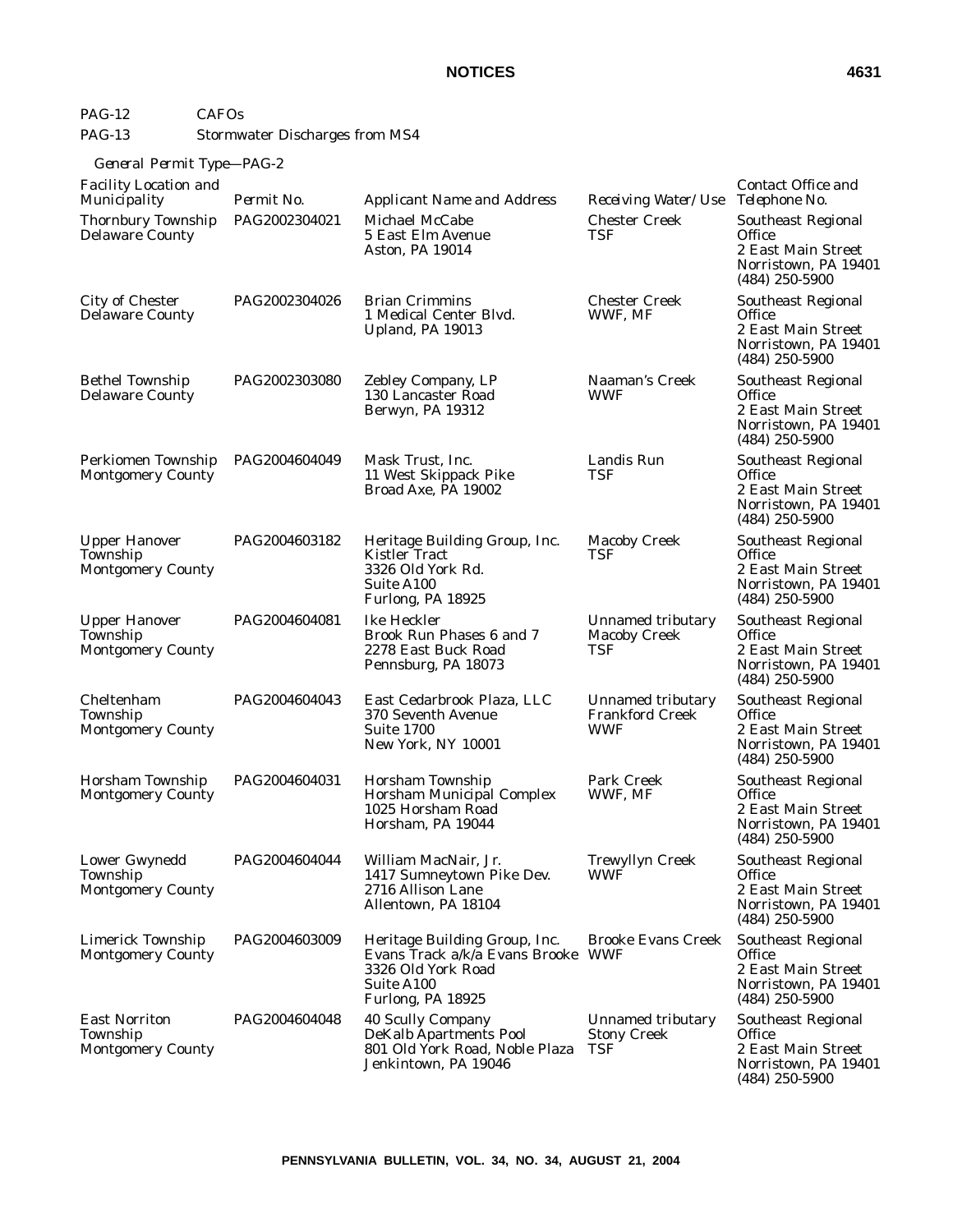# PAG-12 CAFOs PAG-13 Stormwater Discharges from MS4

# *General Permit Type—PAG-2*

| <b>Facility Location and</b><br>Municipality                 | Permit No.    | <b>Applicant Name and Address</b>                                                                                            | Receiving Water/Use                                              | Contact Office and<br>Telephone No.                                                                          |
|--------------------------------------------------------------|---------------|------------------------------------------------------------------------------------------------------------------------------|------------------------------------------------------------------|--------------------------------------------------------------------------------------------------------------|
| Thornbury Township<br><b>Delaware County</b>                 | PAG2002304021 | Michael McCabe<br>5 East Elm Avenue<br>Aston, PA 19014                                                                       | <b>Chester Creek</b><br>TSF                                      | <b>Southeast Regional</b><br><b>Office</b><br>2 East Main Street<br>Norristown, PA 19401<br>$(484)$ 250-5900 |
| City of Chester<br><b>Delaware County</b>                    | PAG2002304026 | <b>Brian Crimmins</b><br>1 Medical Center Blvd.<br>Upland, PA 19013                                                          | <b>Chester Creek</b><br>WWF, MF                                  | <b>Southeast Regional</b><br><b>Office</b><br>2 East Main Street<br>Norristown, PA 19401<br>$(484)$ 250-5900 |
| <b>Bethel Township</b><br><b>Delaware County</b>             | PAG2002303080 | Zebley Company, LP<br>130 Lancaster Road<br>Berwyn, PA 19312                                                                 | Naaman's Creek<br><b>WWF</b>                                     | <b>Southeast Regional</b><br>Office<br>2 East Main Street<br>Norristown, PA 19401<br>$(484)$ 250-5900        |
| Perkiomen Township<br><b>Montgomery County</b>               | PAG2004604049 | Mask Trust, Inc.<br>11 West Skippack Pike<br>Broad Axe, PA 19002                                                             | Landis Run<br>TSF                                                | <b>Southeast Regional</b><br><b>Office</b><br>2 East Main Street<br>Norristown, PA 19401<br>$(484)$ 250-5900 |
| <b>Upper Hanover</b><br>Township<br><b>Montgomery County</b> | PAG2004603182 | Heritage Building Group, Inc.<br><b>Kistler Tract</b><br>3326 Old York Rd.<br>Suite A100<br>Furlong, PA 18925                | <b>Macoby Creek</b><br>TSF                                       | <b>Southeast Regional</b><br>Office<br>2 East Main Street<br>Norristown, PA 19401<br>$(484)$ 250-5900        |
| <b>Upper Hanover</b><br>Township<br><b>Montgomery County</b> | PAG2004604081 | Ike Heckler<br>Brook Run Phases 6 and 7<br>2278 East Buck Road<br>Pennsburg, PA 18073                                        | Unnamed tributary<br><b>Macoby Creek</b><br>TSF                  | Southeast Regional<br>Office<br>2 East Main Street<br>Norristown, PA 19401<br>$(484)$ 250-5900               |
| Cheltenham<br>Township<br><b>Montgomery County</b>           | PAG2004604043 | East Cedarbrook Plaza, LLC<br>370 Seventh Avenue<br><b>Suite 1700</b><br>New York, NY 10001                                  | <b>Unnamed tributary</b><br><b>Frankford Creek</b><br><b>WWF</b> | <b>Southeast Regional</b><br>Office<br>2 East Main Street<br>Norristown, PA 19401<br>$(484)$ 250-5900        |
| Horsham Township<br><b>Montgomery County</b>                 | PAG2004604031 | Horsham Township<br><b>Horsham Municipal Complex</b><br>1025 Horsham Road<br>Horsham, PA 19044                               | Park Creek<br>WWF, MF                                            | Southeast Regional<br>Office<br>2 East Main Street<br>Norristown, PA 19401<br>$(484)$ 250-5900               |
| Lower Gwynedd<br>Township<br><b>Montgomery County</b>        | PAG2004604044 | William MacNair, Jr.<br>1417 Sumneytown Pike Dev.<br>2716 Allison Lane<br>Allentown, PA 18104                                | <b>Trewyllyn Creek</b><br><b>WWF</b>                             | Southeast Regional<br>Office<br>2 East Main Street<br>Norristown, PA 19401<br>$(484)$ 250-5900               |
| <b>Limerick Township</b><br><b>Montgomery County</b>         | PAG2004603009 | Heritage Building Group, Inc.<br>Evans Track a/k/a Evans Brooke WWF<br>3326 Old York Road<br>Suite A100<br>Furlong, PA 18925 | <b>Brooke Evans Creek</b>                                        | <b>Southeast Regional</b><br>Office<br>2 East Main Street<br>Norristown, PA 19401<br>$(484)$ 250-5900        |
| <b>East Norriton</b><br>Township<br><b>Montgomery County</b> | PAG2004604048 | 40 Scully Company<br><b>DeKalb Apartments Pool</b><br>801 Old York Road, Noble Plaza<br>Jenkintown, PA 19046                 | Unnamed tributary<br><b>Stony Creek</b><br>TSF                   | <b>Southeast Regional</b><br>Office<br>2 East Main Street<br>Norristown, PA 19401<br>$(484)$ 250-5900        |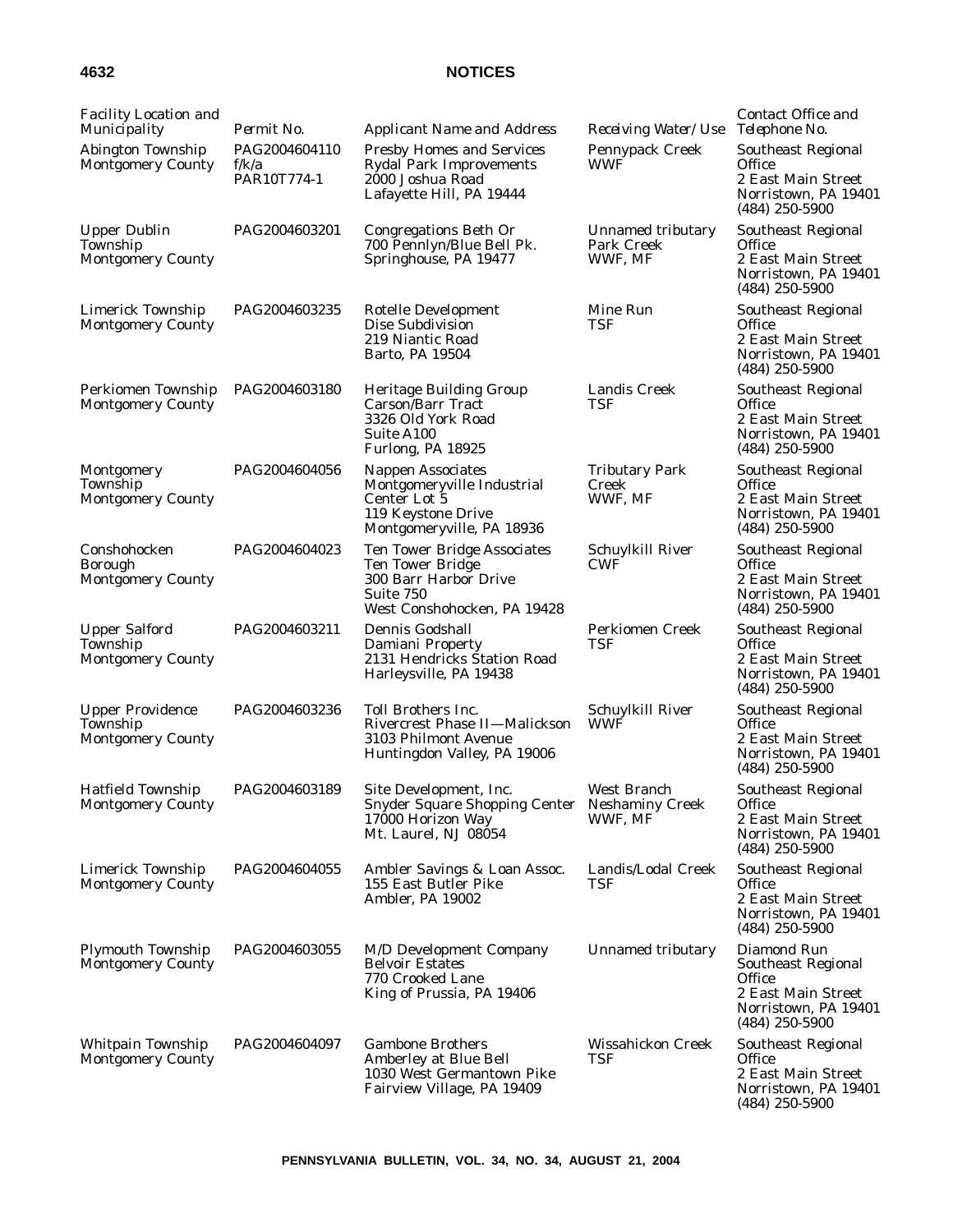| <b>Facility Location and</b><br>Municipality                    | Permit No.                            | <b>Applicant Name and Address</b>                                                                                                  | Receiving Water/Use                        | Contact Office and<br>Telephone No.                                                                                         |
|-----------------------------------------------------------------|---------------------------------------|------------------------------------------------------------------------------------------------------------------------------------|--------------------------------------------|-----------------------------------------------------------------------------------------------------------------------------|
| Abington Township<br><b>Montgomery County</b>                   | PAG2004604110<br>f/k/a<br>PAR10T774-1 | <b>Presby Homes and Services</b><br><b>Rydal Park Improvements</b><br>2000 Joshua Road<br>Lafayette Hill, PA 19444                 | Pennypack Creek<br>WWF                     | Southeast Regional<br>Office<br>2 East Main Street<br>Norristown, PA 19401<br>$(484)$ 250-5900                              |
| <b>Upper Dublin</b><br>Township<br><b>Montgomery County</b>     | PAG2004603201                         | Congregations Beth Or<br>700 Pennlyn/Blue Bell Pk.<br>Springhouse, PA 19477                                                        | Unnamed tributary<br>Park Creek<br>WWF, MF | <b>Southeast Regional</b><br>Office<br>2 East Main Street<br>Norristown, PA 19401<br>$(484)$ 250-5900                       |
| <b>Limerick Township</b><br><b>Montgomery County</b>            | PAG2004603235                         | Rotelle Development<br>Dise Subdivision<br>219 Niantic Road<br>Barto, PA 19504                                                     | Mine Run<br>TSF                            | <b>Southeast Regional</b><br><b>Office</b><br>2 East Main Street<br>Norristown, PA 19401<br>$(484)$ 250-5900                |
| Perkiomen Township<br><b>Montgomery County</b>                  | PAG2004603180                         | Heritage Building Group<br><b>Carson/Barr Tract</b><br>3326 Old York Road<br>Suite A100<br>Furlong, PA 18925                       | <b>Landis Creek</b><br>TSF                 | <b>Southeast Regional</b><br>Office<br>2 East Main Street<br>Norristown, PA 19401<br>$(484)$ 250-5900                       |
| Montgomery<br>Township<br><b>Montgomery County</b>              | PAG2004604056                         | <b>Nappen Associates</b><br>Montgomeryville Industrial<br>Center Lot 5<br>119 Keystone Drive<br>Montgomeryville, PA 18936          | <b>Tributary Park</b><br>Creek<br>WWF, MF  | <b>Southeast Regional</b><br>Office<br>2 East Main Street<br>Norristown, PA 19401<br>$(484)$ 250-5900                       |
| Conshohocken<br><b>Borough</b><br><b>Montgomery County</b>      | PAG2004604023                         | <b>Ten Tower Bridge Associates</b><br><b>Ten Tower Bridge</b><br>300 Barr Harbor Drive<br>Suite 750<br>West Conshohocken, PA 19428 | Schuylkill River<br><b>CWF</b>             | <b>Southeast Regional</b><br><b>Office</b><br>2 East Main Street<br>Norristown, PA 19401<br>$(484)$ 250-5900                |
| <b>Upper Salford</b><br>Township<br><b>Montgomery County</b>    | PAG2004603211                         | Dennis Godshall<br>Damiani Property<br>2131 Hendricks Station Road<br>Harleysville, PA 19438                                       | <b>Perkiomen Creek</b><br>TSF              | Southeast Regional<br><b>Office</b><br>2 East Main Street<br>Norristown, PA 19401<br>$(484)$ 250-5900                       |
| <b>Upper Providence</b><br>Township<br><b>Montgomery County</b> | PAG2004603236                         | <b>Toll Brothers Inc.</b><br><b>Rivercrest Phase II-Malickson</b><br>3103 Philmont Avenue<br>Huntingdon Valley, PA 19006           | Schuylkill River<br><b>WWF</b>             | Southeast Regional<br><b>Office</b><br>2 East Main Street<br>Norristown, PA 19401<br>$(484)$ 250-5900                       |
| <b>Hatfield Township</b><br><b>Montgomery County</b>            | PAG2004603189                         | Site Development, Inc.<br>Snyder Square Shopping Center Neshaminy Creek<br>17000 Horizon Way<br>Mt. Laurel, NJ 08054               | West Branch<br>WWF, MF                     | <b>Southeast Regional</b><br>Office<br>2 East Main Street<br>Norristown, PA 19401<br>$(484)$ 250-5900                       |
| Limerick Township<br><b>Montgomery County</b>                   | PAG2004604055                         | Ambler Savings & Loan Assoc.<br>155 East Butler Pike<br>Ambler, PA 19002                                                           | Landis/Lodal Creek<br>TSF                  | <b>Southeast Regional</b><br>Office<br>2 East Main Street<br>Norristown, PA 19401<br>$(484)$ 250-5900                       |
| <b>Plymouth Township</b><br><b>Montgomery County</b>            | PAG2004603055                         | <b>M/D Development Company</b><br><b>Belvoir Estates</b><br>770 Crooked Lane<br>King of Prussia, PA 19406                          | Unnamed tributary                          | Diamond Run<br><b>Southeast Regional</b><br><b>Office</b><br>2 East Main Street<br>Norristown, PA 19401<br>$(484)$ 250-5900 |
| Whitpain Township<br><b>Montgomery County</b>                   | PAG2004604097                         | <b>Gambone Brothers</b><br>Amberley at Blue Bell<br>1030 West Germantown Pike<br>Fairview Village, PA 19409                        | Wissahickon Creek<br>TSF                   | <b>Southeast Regional</b><br><b>Office</b><br>2 East Main Street<br>Norristown, PA 19401<br>$(484)$ 250-5900                |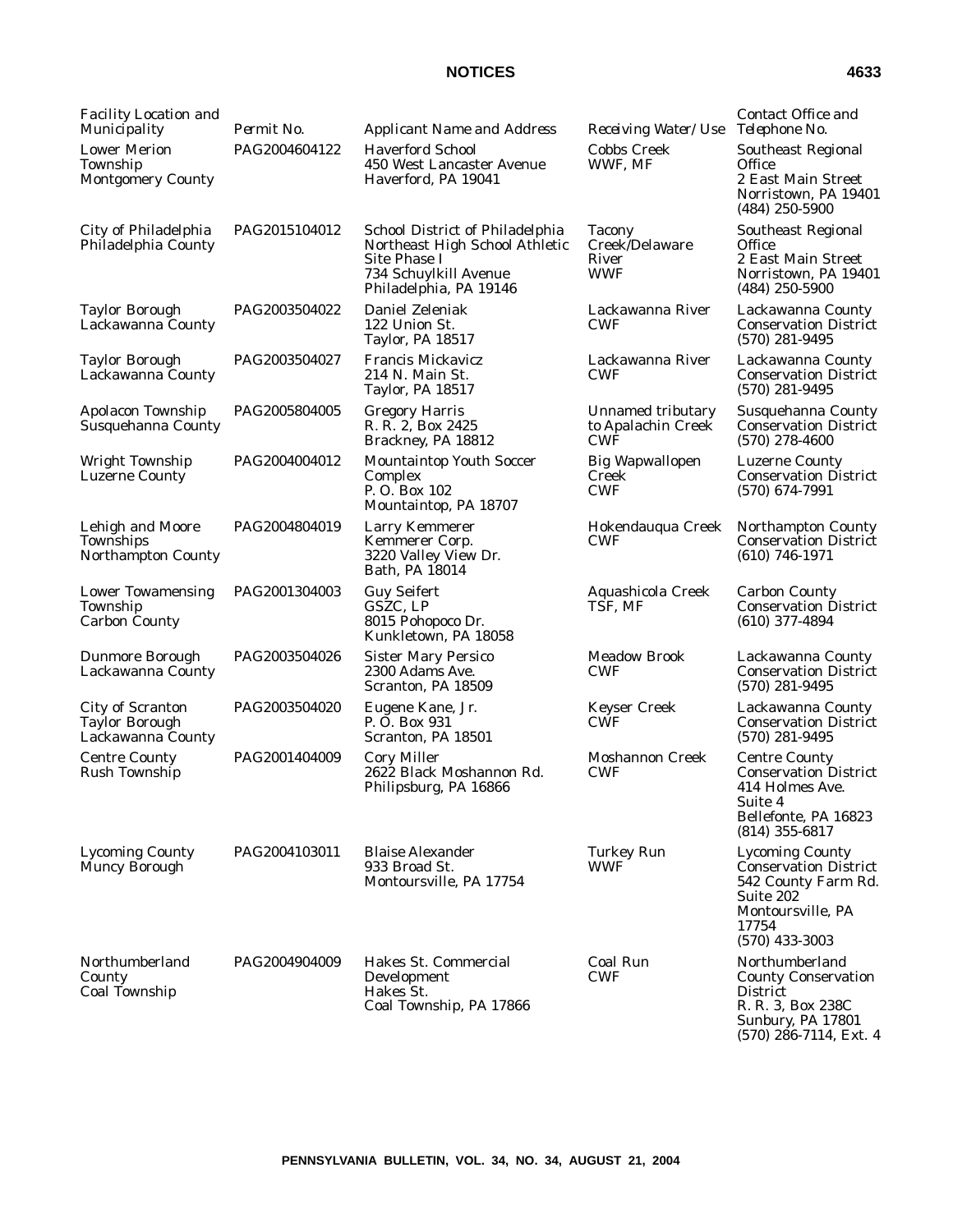| ×<br>×<br>I |
|-------------|
|-------------|

| <b>Facility Location and</b><br>Municipality                          | Permit No.    | <b>Applicant Name and Address</b>                                                                                                    | Receiving Water/Use                             | Contact Office and<br>Telephone No.                                                                                                          |
|-----------------------------------------------------------------------|---------------|--------------------------------------------------------------------------------------------------------------------------------------|-------------------------------------------------|----------------------------------------------------------------------------------------------------------------------------------------------|
| <b>Lower Merion</b><br>Township<br><b>Montgomery County</b>           | PAG2004604122 | <b>Haverford School</b><br>450 West Lancaster Avenue<br>Haverford, PA 19041                                                          | <b>Cobbs Creek</b><br>WWF, MF                   | <b>Southeast Regional</b><br><b>Office</b><br>2 East Main Street<br>Norristown, PA 19401<br>$(484)$ 250-5900                                 |
| City of Philadelphia<br>Philadelphia County                           | PAG2015104012 | School District of Philadelphia<br>Northeast High School Athletic<br>Site Phase I<br>734 Schuylkill Avenue<br>Philadelphia, PA 19146 | Tacony<br>Creek/Delaware<br>River<br><b>WWF</b> | <b>Southeast Regional</b><br>Office<br>2 East Main Street<br>Norristown, PA 19401<br>$(484)$ 250-5900                                        |
| <b>Taylor Borough</b><br>Lackawanna County                            | PAG2003504022 | Daniel Zeleniak<br>122 Union St.<br><b>Taylor, PA 18517</b>                                                                          | Lackawanna River<br><b>CWF</b>                  | Lackawanna County<br><b>Conservation District</b><br>$(570)$ 281-9495                                                                        |
| <b>Taylor Borough</b><br>Lackawanna County                            | PAG2003504027 | Francis Mickavicz<br>214 N. Main St.<br><b>Taylor, PA 18517</b>                                                                      | Lackawanna River<br><b>CWF</b>                  | Lackawanna County<br><b>Conservation District</b><br>$(570)$ 281-9495                                                                        |
| Apolacon Township<br>Susquehanna County                               | PAG2005804005 | <b>Gregory Harris</b><br>R. R. 2, Box 2425<br>Brackney, PA 18812                                                                     | Unnamed tributary<br>to Apalachin Creek<br>CWF  | Susquehanna County<br><b>Conservation District</b><br>$(570)$ 278-4600                                                                       |
| Wright Township<br><b>Luzerne County</b>                              | PAG2004004012 | <b>Mountaintop Youth Soccer</b><br>Complex<br>P.O. Box 102<br>Mountaintop, PA 18707                                                  | <b>Big Wapwallopen</b><br>Creek<br><b>CWF</b>   | <b>Luzerne County</b><br><b>Conservation District</b><br>$(570)$ 674-7991                                                                    |
| Lehigh and Moore<br>Townships<br>Northampton County                   | PAG2004804019 | <b>Larry Kemmerer</b><br>Kemmerer Corp.<br>3220 Valley View Dr.<br>Bath, PA 18014                                                    | Hokendauqua Creek<br><b>CWF</b>                 | <b>Northampton County</b><br><b>Conservation District</b><br>$(610)$ 746-1971                                                                |
| <b>Lower Towamensing</b><br>Township<br><b>Carbon County</b>          | PAG2001304003 | <b>Guy Seifert</b><br>GSZC, LP<br>8015 Pohopoco Dr.<br>Kunkletown, PA 18058                                                          | Aquashicola Creek<br>TSF, MF                    | <b>Carbon County</b><br><b>Conservation District</b><br>$(610)$ 377-4894                                                                     |
| <b>Dunmore Borough</b><br>Lackawanna County                           | PAG2003504026 | <b>Sister Mary Persico</b><br>2300 Adams Ave.<br>Scranton, PA 18509                                                                  | <b>Meadow Brook</b><br><b>CWF</b>               | Lackawanna County<br><b>Conservation District</b><br>$(570)$ 281-9495                                                                        |
| <b>City of Scranton</b><br><b>Taylor Borough</b><br>Lackawanna County | PAG2003504020 | Eugene Kane, Jr.<br>P. O. Box 931<br>Scranton, PA 18501                                                                              | <b>Keyser Creek</b><br><b>CWF</b>               | Lackawanna County<br><b>Conservation District</b><br>$(570)$ 281-9495                                                                        |
| <b>Centre County</b><br><b>Rush Township</b>                          | PAG2001404009 | <b>Cory Miller</b><br>2622 Black Moshannon Rd.<br>Philipsburg, PA 16866                                                              | Moshannon Creek<br><b>CWF</b>                   | <b>Centre County</b><br><b>Conservation District</b><br>414 Holmes Ave.<br>Suite 4<br>Bellefonte, PA 16823<br>(814) 355-6817                 |
| <b>Lycoming County</b><br>Muncy Borough                               | PAG2004103011 | <b>Blaise Alexander</b><br>933 Broad St.<br>Montoursville, PA 17754                                                                  | <b>Turkey Run</b><br><b>WWF</b>                 | <b>Lycoming County</b><br><b>Conservation District</b><br>542 County Farm Rd.<br>Suite 202<br>Montoursville, PA<br>17754<br>$(570)$ 433-3003 |
| Northumberland<br>County<br>Coal Township                             | PAG2004904009 | Hakes St. Commercial<br>Development<br>Hakes St.<br>Coal Township, PA 17866                                                          | Coal Run<br><b>CWF</b>                          | Northumberland<br><b>County Conservation</b><br><b>District</b><br>R. R. 3, Box 238C<br>Sunbury, PA 17801<br>$(570)$ 286-7114, Ext. 4        |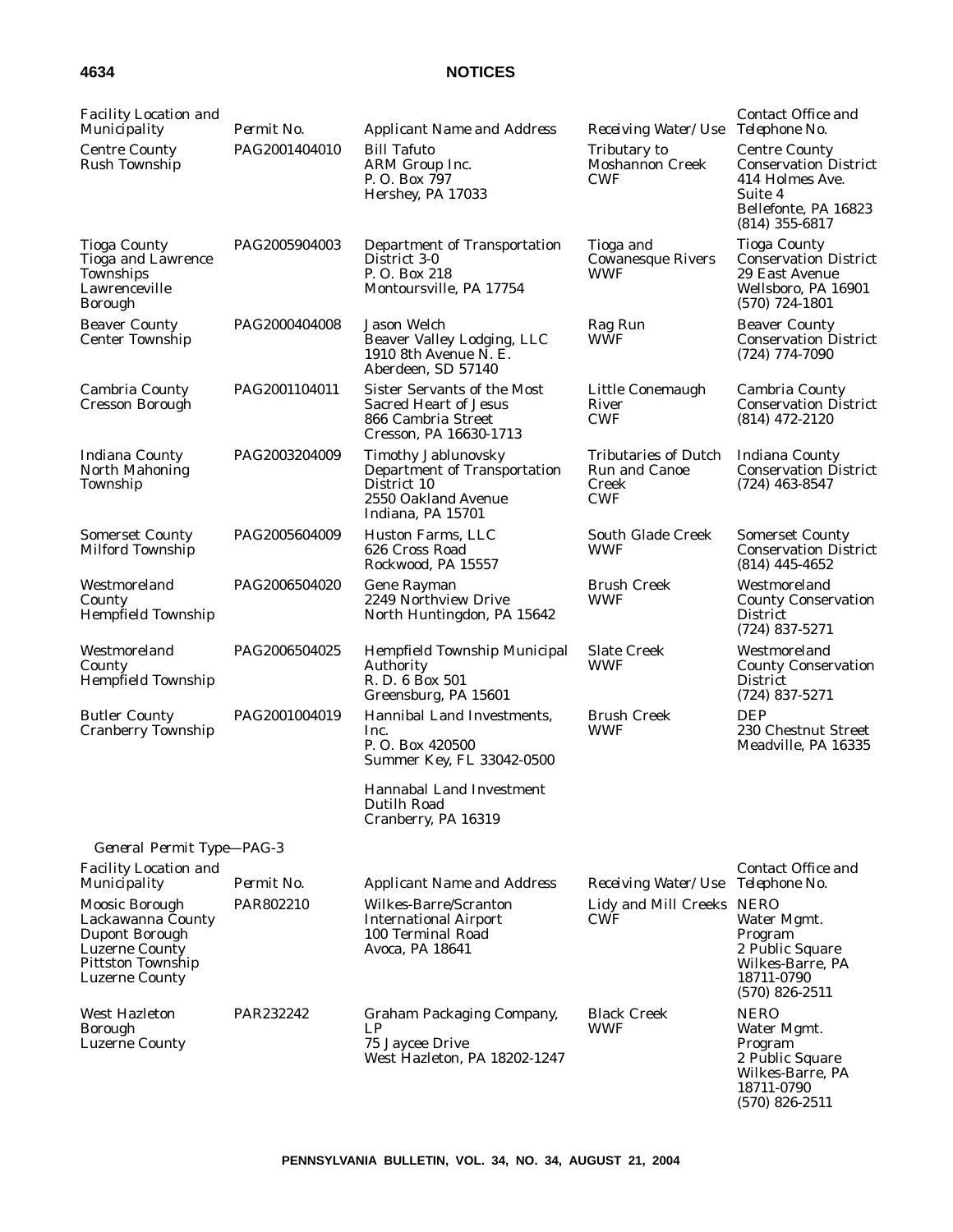| <b>Facility Location and</b><br>Municipality                                                                                 | Permit No.    | <b>Applicant Name and Address</b>                                                                                     | Receiving Water/Use                                                 | Contact Office and<br>Telephone No.                                                                                            |
|------------------------------------------------------------------------------------------------------------------------------|---------------|-----------------------------------------------------------------------------------------------------------------------|---------------------------------------------------------------------|--------------------------------------------------------------------------------------------------------------------------------|
| <b>Centre County</b><br><b>Rush Township</b>                                                                                 | PAG2001404010 | <b>Bill Tafuto</b><br>ARM Group Inc.<br>P.O. Box 797<br>Hershey, PA 17033                                             | Tributary to<br><b>Moshannon Creek</b><br><b>CWF</b>                | <b>Centre County</b><br><b>Conservation District</b><br>414 Holmes Ave.<br>Suite 4<br>Bellefonte, PA 16823<br>$(814)$ 355-6817 |
| <b>Tioga County</b><br>Tioga and Lawrence<br>Townships<br>Lawrenceville<br><b>Borough</b>                                    | PAG2005904003 | Department of Transportation<br>District 3-0<br>P.O. Box 218<br>Montoursville, PA 17754                               | Tioga and<br><b>Cowanesque Rivers</b><br><b>WWF</b>                 | <b>Tioga County</b><br><b>Conservation District</b><br>29 East Avenue<br>Wellsboro, PA 16901<br>$(570)$ 724-1801               |
| <b>Beaver County</b><br><b>Center Township</b>                                                                               | PAG2000404008 | Jason Welch<br>Beaver Valley Lodging, LLC<br>1910 8th Avenue N. E.<br>Aberdeen, SD 57140                              | Rag Run<br><b>WWF</b>                                               | <b>Beaver County</b><br><b>Conservation District</b><br>$(724)$ 774-7090                                                       |
| <b>Cambria County</b><br>Cresson Borough                                                                                     | PAG2001104011 | Sister Servants of the Most<br><b>Sacred Heart of Jesus</b><br>866 Cambria Street<br>Cresson, PA 16630-1713           | Little Conemaugh<br>River<br><b>CWF</b>                             | Cambria County<br><b>Conservation District</b><br>$(814)$ 472-2120                                                             |
| <b>Indiana County</b><br><b>North Mahoning</b><br>Township                                                                   | PAG2003204009 | <b>Timothy Jablunovsky</b><br>Department of Transportation<br>District 10<br>2550 Oakland Avenue<br>Indiana, PA 15701 | <b>Tributaries of Dutch</b><br>Run and Canoe<br>Creek<br><b>CWF</b> | <b>Indiana County</b><br><b>Conservation District</b><br>$(724)$ 463-8547                                                      |
| <b>Somerset County</b><br>Milford Township                                                                                   | PAG2005604009 | Huston Farms, LLC<br>626 Cross Road<br>Rockwood, PA 15557                                                             | <b>South Glade Creek</b><br><b>WWF</b>                              | <b>Somerset County</b><br><b>Conservation District</b><br>$(814)$ 445-4652                                                     |
| Westmoreland<br>County<br><b>Hempfield Township</b>                                                                          | PAG2006504020 | Gene Rayman<br>2249 Northview Drive<br>North Huntingdon, PA 15642                                                     | <b>Brush Creek</b><br><b>WWF</b>                                    | Westmoreland<br><b>County Conservation</b><br><b>District</b><br>$(724)$ 837-5271                                              |
| Westmoreland<br>County<br>Hempfield Township                                                                                 | PAG2006504025 | Hempfield Township Municipal<br>Authority<br>R. D. 6 Box 501<br>Greensburg, PA 15601                                  | <b>Slate Creek</b><br><b>WWF</b>                                    | Westmoreland<br><b>County Conservation</b><br><b>District</b><br>$(724)$ 837-5271                                              |
| <b>Butler County</b><br><b>Cranberry Township</b>                                                                            | PAG2001004019 | Hannibal Land Investments,<br>Inc.<br>P.O. Box 420500<br>Summer Key, FL 33042-0500                                    | <b>Brush Creek</b><br><b>WWF</b>                                    | <b>DEP</b><br>230 Chestnut Street<br>Meadville, PA 16335                                                                       |
|                                                                                                                              |               | <b>Hannabal Land Investment</b><br>Dutilh Road<br>Cranberry, PA 16319                                                 |                                                                     |                                                                                                                                |
| General Permit Type-PAG-3                                                                                                    |               |                                                                                                                       |                                                                     |                                                                                                                                |
| <b>Facility Location and</b><br>Municipality                                                                                 | Permit No.    | <b>Applicant Name and Address</b>                                                                                     | Receiving Water/Use                                                 | Contact Office and<br>Telephone No.                                                                                            |
| Moosic Borough<br>Lackawanna County<br>Dupont Borough<br><b>Luzerne County</b><br>Pittston Township<br><b>Luzerne County</b> | PAR802210     | Wilkes-Barre/Scranton<br><b>International Airport</b><br>100 Terminal Road<br>Avoca, PA 18641                         | Lidy and Mill Creeks NERO<br><b>CWF</b>                             | Water Mgmt.<br>Program<br>2 Public Square<br>Wilkes-Barre, PA<br>18711-0790<br>$(570)$ 826-2511                                |
| <b>West Hazleton</b><br>Borough<br><b>Luzerne County</b>                                                                     | PAR232242     | <b>Graham Packaging Company,</b><br>LP<br>75 Jaycee Drive<br>West Hazleton, PA 18202-1247                             | <b>Black Creek</b><br><b>WWF</b>                                    | <b>NERO</b><br>Water Mgmt.<br>Program<br>2 Public Square<br>Wilkes-Barre, PA<br>18711-0790<br>$(570)$ 826-2511                 |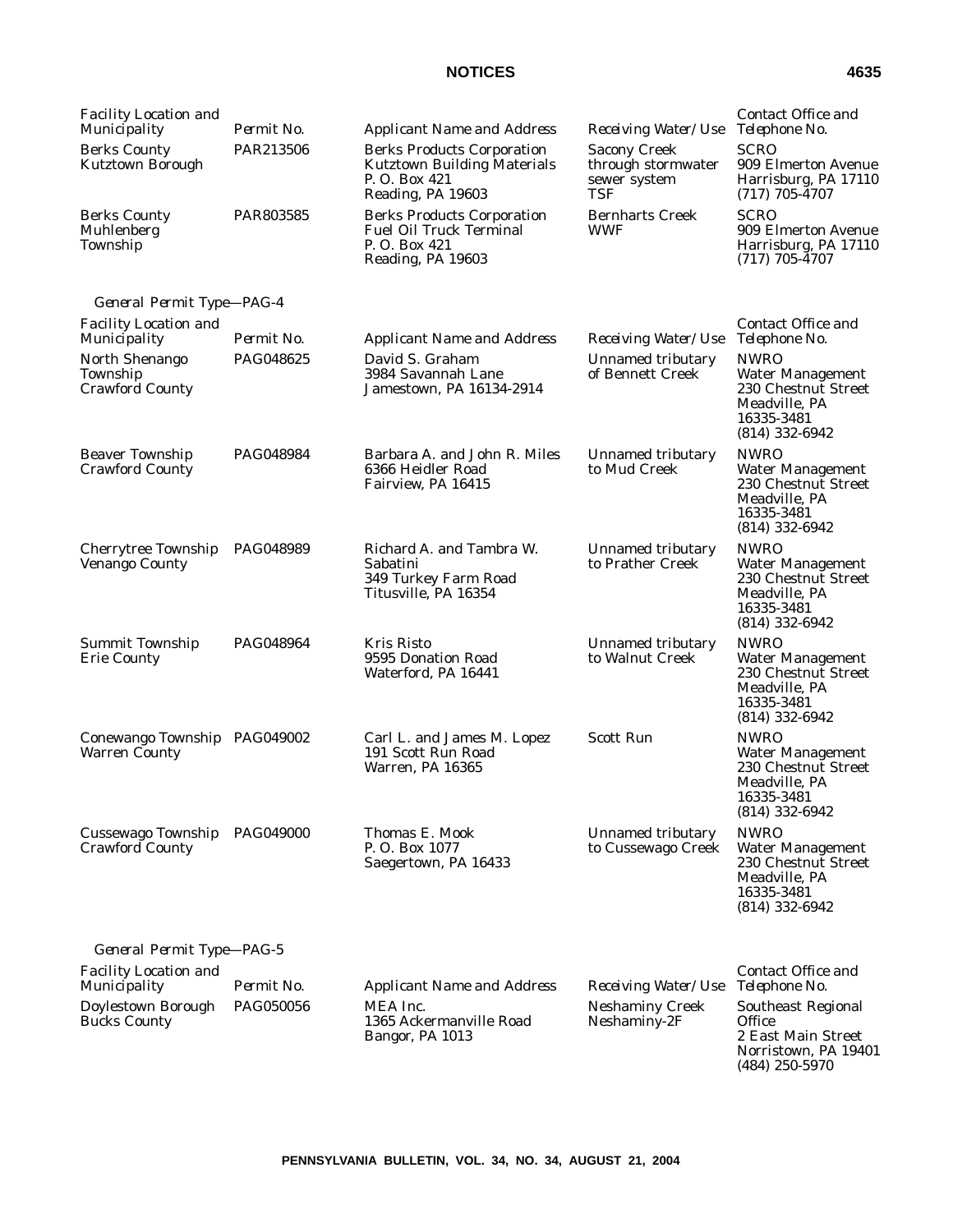|--|--|

(484) 250-5970

| <b>Facility Location and</b><br>Municipality         | Permit No.       | <b>Applicant Name and Address</b>                                                                            | Receiving Water/Use                                                     | Contact Office and<br>Telephone No.                                                                              |
|------------------------------------------------------|------------------|--------------------------------------------------------------------------------------------------------------|-------------------------------------------------------------------------|------------------------------------------------------------------------------------------------------------------|
| <b>Berks County</b><br><b>Kutztown Borough</b>       | PAR213506        | <b>Berks Products Corporation</b><br><b>Kutztown Building Materials</b><br>P.O. Box 421<br>Reading, PA 19603 | <b>Sacony Creek</b><br>through stormwater<br>sewer system<br><b>TSF</b> | <b>SCRO</b><br>909 Elmerton Avenue<br>Harrisburg, PA 17110<br>$(717)$ 705-4707                                   |
| <b>Berks County</b><br>Muhlenberg<br>Township        | PAR803585        | <b>Berks Products Corporation</b><br><b>Fuel Oil Truck Terminal</b><br>P.O. Box 421<br>Reading, PA 19603     | <b>Bernharts Creek</b><br><b>WWF</b>                                    | <b>SCRO</b><br>909 Elmerton Avenue<br>Harrisburg, PA 17110<br>$(717)$ 705-4707                                   |
| General Permit Type-PAG-4                            |                  |                                                                                                              |                                                                         |                                                                                                                  |
| <b>Facility Location and</b><br>Municipality         | Permit No.       | <b>Applicant Name and Address</b>                                                                            | Receiving Water/Use                                                     | Contact Office and<br>Telephone No.                                                                              |
| North Shenango<br>Township<br><b>Crawford County</b> | PAG048625        | David S. Graham<br>3984 Savannah Lane<br>Jamestown, PA 16134-2914                                            | <b>Unnamed tributary</b><br>of Bennett Creek                            | <b>NWRO</b><br><b>Water Management</b><br>230 Chestnut Street<br>Meadville, PA<br>16335-3481<br>$(814)$ 332-6942 |
| <b>Beaver Township</b><br>Crawford County            | PAG048984        | Barbara A. and John R. Miles<br>6366 Heidler Road<br>Fairview, PA 16415                                      | Unnamed tributary<br>to Mud Creek                                       | <b>NWRO</b><br><b>Water Management</b><br>230 Chestnut Street<br>Meadville, PA<br>16335-3481<br>$(814)$ 332-6942 |
| Cherrytree Township<br><b>Venango County</b>         | PAG048989        | Richard A. and Tambra W.<br>Sabatini<br>349 Turkey Farm Road<br>Titusville, PA 16354                         | Unnamed tributary<br>to Prather Creek                                   | <b>NWRO</b><br><b>Water Management</b><br>230 Chestnut Street<br>Meadville, PA<br>16335-3481<br>$(814)$ 332-6942 |
| Summit Township<br><b>Erie County</b>                | PAG048964        | Kris Risto<br>9595 Donation Road<br>Waterford, PA 16441                                                      | Unnamed tributary<br>to Walnut Creek                                    | <b>NWRO</b><br><b>Water Management</b><br>230 Chestnut Street<br>Meadville, PA<br>16335-3481<br>(814) 332-6942   |
| Conewango Township PAG049002<br><b>Warren County</b> |                  | Carl L. and James M. Lopez<br>191 Scott Run Road<br>Warren, PA 16365                                         | <b>Scott Run</b>                                                        | <b>NWRO</b><br><b>Water Management</b><br>230 Chestnut Street<br>Meadville, PA<br>16335-3481<br>(814) 332-6942   |
| Cussewago Township<br><b>Crawford County</b>         | <b>PAG049000</b> | Thomas E. Mook<br>P.O. Box 1077<br>Saegertown, PA 16433                                                      | Unnamed tributary<br>to Cussewago Creek                                 | <b>NWRO</b><br><b>Water Management</b><br>230 Chestnut Street<br>Meadville, PA<br>16335-3481<br>$(814)$ 332-6942 |
| General Permit Type-PAG-5                            |                  |                                                                                                              |                                                                         |                                                                                                                  |
| <b>Facility Location and</b><br><i>Municipality</i>  | Permit No.       | <b>Applicant Name and Address</b>                                                                            | Receiving Water/Use                                                     | <i>Contact Office and</i><br>Telephone No.                                                                       |
| Doylestown Borough<br><b>Bucks County</b>            | PAG050056        | MEA Inc.<br>1365 Ackermanville Road<br>Bangor, PA 1013                                                       | <b>Neshaminy Creek</b><br>Neshaminy-2F                                  | <b>Southeast Regional</b><br><b>Office</b><br>2 East Main Street<br>Norristown, PA 19401                         |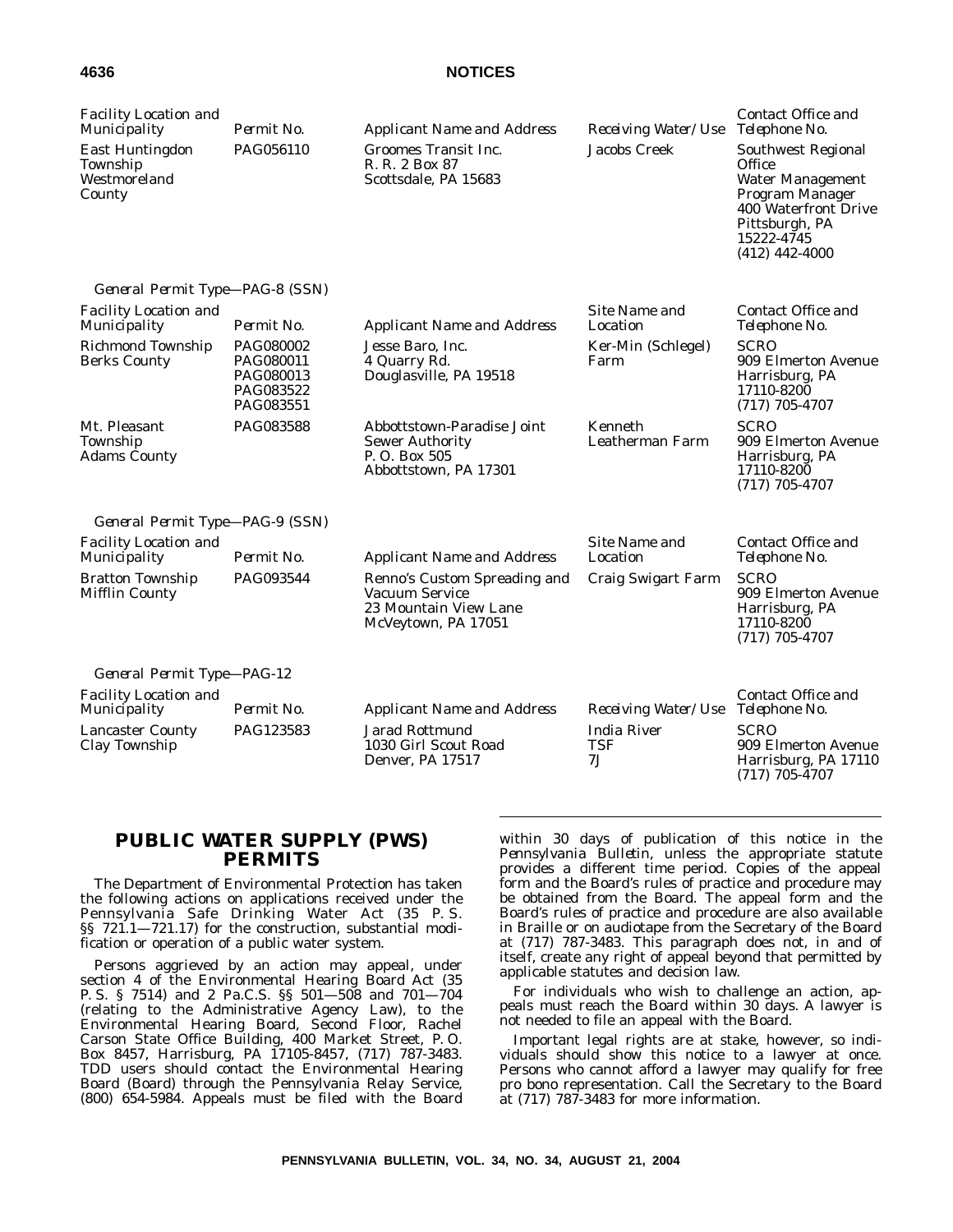| <b>Facility Location and</b><br>Municipality                 | Permit No.                                                    | <b>Applicant Name and Address</b>                                                              | Receiving Water/Use             | Contact Office and<br>Telephone No.                                                                                                                    |
|--------------------------------------------------------------|---------------------------------------------------------------|------------------------------------------------------------------------------------------------|---------------------------------|--------------------------------------------------------------------------------------------------------------------------------------------------------|
| <b>East Huntingdon</b><br>Township<br>Westmoreland<br>County | PAG056110                                                     | Groomes Transit Inc.<br>R. R. 2 Box 87<br>Scottsdale, PA 15683                                 | <b>Jacobs Creek</b>             | Southwest Regional<br>Office<br><b>Water Management</b><br>Program Manager<br>400 Waterfront Drive<br>Pittsburgh, PA<br>15222-4745<br>$(412)$ 442-4000 |
| General Permit Type-PAG-8 (SSN)                              |                                                               |                                                                                                |                                 |                                                                                                                                                        |
| <b>Facility Location and</b><br>Municipality                 | Permit No.                                                    | <b>Applicant Name and Address</b>                                                              | Site Name and<br>Location       | Contact Office and<br>Telephone No.                                                                                                                    |
| Richmond Township<br><b>Berks County</b>                     | PAG080002<br>PAG080011<br>PAG080013<br>PAG083522<br>PAG083551 | Jesse Baro, Inc.<br>4 Quarry Rd.<br>Douglasville, PA 19518                                     | Ker-Min (Schlegel)<br>Farm      | <b>SCRO</b><br>909 Elmerton Avenue<br>Harrisburg, PA<br>17110-8200<br>$(717)$ 705-4707                                                                 |
| Mt. Pleasant<br>Township<br><b>Adams County</b>              | PAG083588                                                     | Abbottstown-Paradise Joint<br><b>Sewer Authority</b><br>P.O. Box 505<br>Abbottstown, PA 17301  | Kenneth<br>Leatherman Farm      | <b>SCRO</b><br>909 Elmerton Avenue<br>Harrisburg, PA<br>17110-8200<br>$(717)$ 705-4707                                                                 |
| General Permit Type-PAG-9 (SSN)                              |                                                               |                                                                                                |                                 |                                                                                                                                                        |
| <b>Facility Location and</b><br>Municipality                 | Permit No.                                                    | <b>Applicant Name and Address</b>                                                              | Site Name and<br>Location       | Contact Office and<br>Telephone No.                                                                                                                    |
| <b>Bratton Township</b><br><b>Mifflin County</b>             | PAG093544                                                     | Renno's Custom Spreading and<br>Vacuum Service<br>23 Mountain View Lane<br>McVeytown, PA 17051 | Craig Swigart Farm              | <b>SCRO</b><br>909 Elmerton Avenue<br>Harrisburg, PA<br>17110-8200<br>$(717)$ 705-4707                                                                 |
| General Permit Type-PAG-12                                   |                                                               |                                                                                                |                                 |                                                                                                                                                        |
| <b>Facility Location and</b><br>Municipality                 | Permit No.                                                    | <b>Applicant Name and Address</b>                                                              | Receiving Water/Use             | Contact Office and<br>Telephone No.                                                                                                                    |
| <b>Lancaster County</b><br>Clay Township                     | PAG123583                                                     | <b>Jarad Rottmund</b><br>1030 Girl Scout Road<br>Denver, PA 17517                              | <b>India River</b><br>TSF<br>7J | <b>SCRO</b><br>909 Elmerton Avenue<br>Harrisburg, PA 17110<br>$(717)$ 705-4707                                                                         |

# **PUBLIC WATER SUPPLY (PWS) PERMITS**

The Department of Environmental Protection has taken the following actions on applications received under the Pennsylvania Safe Drinking Water Act (35 P. S. §§ 721.1—721.17) for the construction, substantial modification or operation of a public water system.

Persons aggrieved by an action may appeal, under section 4 of the Environmental Hearing Board Act (35 P. S. § 7514) and 2 Pa.C.S. §§ 501—508 and 701—704 (relating to the Administrative Agency Law), to the Environmental Hearing Board, Second Floor, Rachel Carson State Office Building, 400 Market Street, P. O. Box 8457, Harrisburg, PA 17105-8457, (717) 787-3483. TDD users should contact the Environmental Hearing Board (Board) through the Pennsylvania Relay Service, (800) 654-5984. Appeals must be filed with the Board within 30 days of publication of this notice in the *Pennsylvania Bulletin*, unless the appropriate statute provides a different time period. Copies of the appeal form and the Board's rules of practice and procedure may be obtained from the Board. The appeal form and the Board's rules of practice and procedure are also available in Braille or on audiotape from the Secretary of the Board at (717) 787-3483. This paragraph does not, in and of itself, create any right of appeal beyond that permitted by applicable statutes and decision law.

For individuals who wish to challenge an action, appeals must reach the Board within 30 days. A lawyer is not needed to file an appeal with the Board.

Important legal rights are at stake, however, so individuals should show this notice to a lawyer at once. Persons who cannot afford a lawyer may qualify for free pro bono representation. Call the Secretary to the Board at (717) 787-3483 for more information.

**PENNSYLVANIA BULLETIN, VOL. 34, NO. 34, AUGUST 21, 2004**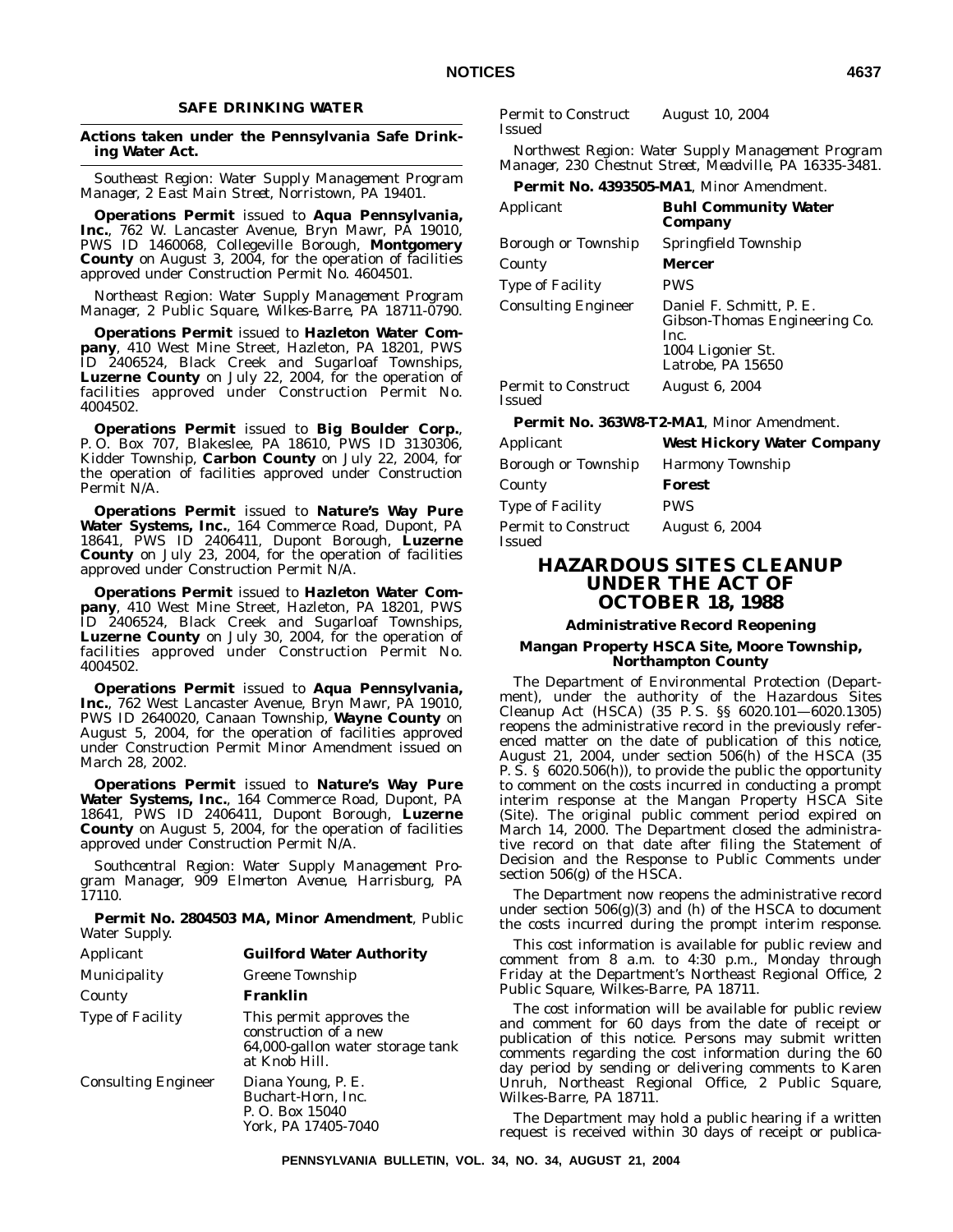## **SAFE DRINKING WATER**

## **Actions taken under the Pennsylvania Safe Drinking Water Act.**

*Southeast Region: Water Supply Management Program Manager, 2 East Main Street, Norristown, PA 19401.*

**Operations Permit** issued to **Aqua Pennsylvania, Inc.**, 762 W. Lancaster Avenue, Bryn Mawr, PA 19010, PWS ID 1460068, Collegeville Borough, **Montgomery County** on August 3, 2004, for the operation of facilities approved under Construction Permit No. 4604501.

*Northeast Region: Water Supply Management Program Manager, 2 Public Square, Wilkes-Barre, PA 18711-0790.*

**Operations Permit** issued to **Hazleton Water Company**, 410 West Mine Street, Hazleton, PA 18201, PWS ID 2406524, Black Creek and Sugarloaf Townships, **Luzerne County** on July 22, 2004, for the operation of facilities approved under Construction Permit No. 4004502.

**Operations Permit** issued to **Big Boulder Corp.**, P. O. Box 707, Blakeslee, PA 18610, PWS ID 3130306, Kidder Township, **Carbon County** on July 22, 2004, for the operation of facilities approved under Construction Permit N/A.

**Operations Permit** issued to **Nature's Way Pure Water Systems, Inc.**, 164 Commerce Road, Dupont, PA 18641, PWS ID 2406411, Dupont Borough, **Luzerne County** on July 23, 2004, for the operation of facilities approved under Construction Permit N/A.

**Operations Permit** issued to **Hazleton Water Company**, 410 West Mine Street, Hazleton, PA 18201, PWS ID 2406524, Black Creek and Sugarloaf Townships, **Luzerne County** on July 30, 2004, for the operation of facilities approved under Construction Permit No. 4004502.

**Operations Permit** issued to **Aqua Pennsylvania, Inc.**, 762 West Lancaster Avenue, Bryn Mawr, PA 19010, PWS ID 2640020, Canaan Township, **Wayne County** on August 5, 2004, for the operation of facilities approved under Construction Permit Minor Amendment issued on March 28, 2002.

**Operations Permit** issued to **Nature's Way Pure Water Systems, Inc.**, 164 Commerce Road, Dupont, PA 18641, PWS ID 2406411, Dupont Borough, **Luzerne County** on August 5, 2004, for the operation of facilities approved under Construction Permit N/A.

*Southcentral Region: Water Supply Management Program Manager, 909 Elmerton Avenue, Harrisburg, PA 17110.*

**Permit No. 2804503 MA, Minor Amendment**, Public Water Supply.

| Applicant                  | <b>Guilford Water Authority</b>                                                                        |
|----------------------------|--------------------------------------------------------------------------------------------------------|
| Municipality               | Greene Township                                                                                        |
| County                     | Franklin                                                                                               |
| <b>Type of Facility</b>    | This permit approves the<br>construction of a new<br>64,000-gallon water storage tank<br>at Knob Hill. |
| <b>Consulting Engineer</b> | Diana Young, P. E.<br>Buchart-Horn, Inc.<br>P. O. Box 15040<br>York. PA 17405-7040                     |

Permit to Construct Issued August 10, 2004

*Northwest Region: Water Supply Management Program Manager, 230 Chestnut Street, Meadville, PA 16335-3481.*

**Permit No. 4393505-MA1**, Minor Amendment.

| Applicant                                   | <b>Buhl Community Water</b><br>Company                                                                      |
|---------------------------------------------|-------------------------------------------------------------------------------------------------------------|
| Borough or Township                         | Springfield Township                                                                                        |
| County                                      | Mercer                                                                                                      |
| <b>Type of Facility</b>                     | <b>PWS</b>                                                                                                  |
| <b>Consulting Engineer</b>                  | Daniel F. Schmitt, P. E.<br>Gibson-Thomas Engineering Co.<br>Inc.<br>1004 Ligonier St.<br>Latrobe, PA 15650 |
| <b>Permit to Construct</b><br><b>Issued</b> | <b>August 6, 2004</b>                                                                                       |

**Permit No. 363W8-T2-MA1**, Minor Amendment.

| Applicant                            | <b>West Hickory Water Company</b> |
|--------------------------------------|-----------------------------------|
| Borough or Township                  | <b>Harmony Township</b>           |
| County                               | Forest                            |
| <b>Type of Facility</b>              | <b>PWS</b>                        |
| <b>Permit to Construct</b><br>Issued | <b>August 6, 2004</b>             |

# **HAZARDOUS SITES CLEANUP UNDER THE ACT OF OCTOBER 18, 1988**

## **Administrative Record Reopening**

## **Mangan Property HSCA Site, Moore Township, Northampton County**

The Department of Environmental Protection (Department), under the authority of the Hazardous Sites Cleanup Act (HSCA) (35 P. S. §§ 6020.101—6020.1305) reopens the administrative record in the previously referenced matter on the date of publication of this notice, August 21, 2004, under section 506(h) of the HSCA (35 P. S. § 6020.506(h)), to provide the public the opportunity to comment on the costs incurred in conducting a prompt interim response at the Mangan Property HSCA Site (Site). The original public comment period expired on March 14, 2000. The Department closed the administrative record on that date after filing the Statement of Decision and the Response to Public Comments under section 506(g) of the HSCA.

The Department now reopens the administrative record under section  $506(g)(3)$  and (h) of the HSCA to document the costs incurred during the prompt interim response.

This cost information is available for public review and comment from 8 a.m. to 4:30 p.m., Monday through Friday at the Department's Northeast Regional Office, 2 Public Square, Wilkes-Barre, PA 18711.

The cost information will be available for public review and comment for 60 days from the date of receipt or publication of this notice. Persons may submit written comments regarding the cost information during the 60 day period by sending or delivering comments to Karen Unruh, Northeast Regional Office, 2 Public Square, Wilkes-Barre, PA 18711.

The Department may hold a public hearing if a written request is received within 30 days of receipt or publica-

**PENNSYLVANIA BULLETIN, VOL. 34, NO. 34, AUGUST 21, 2004**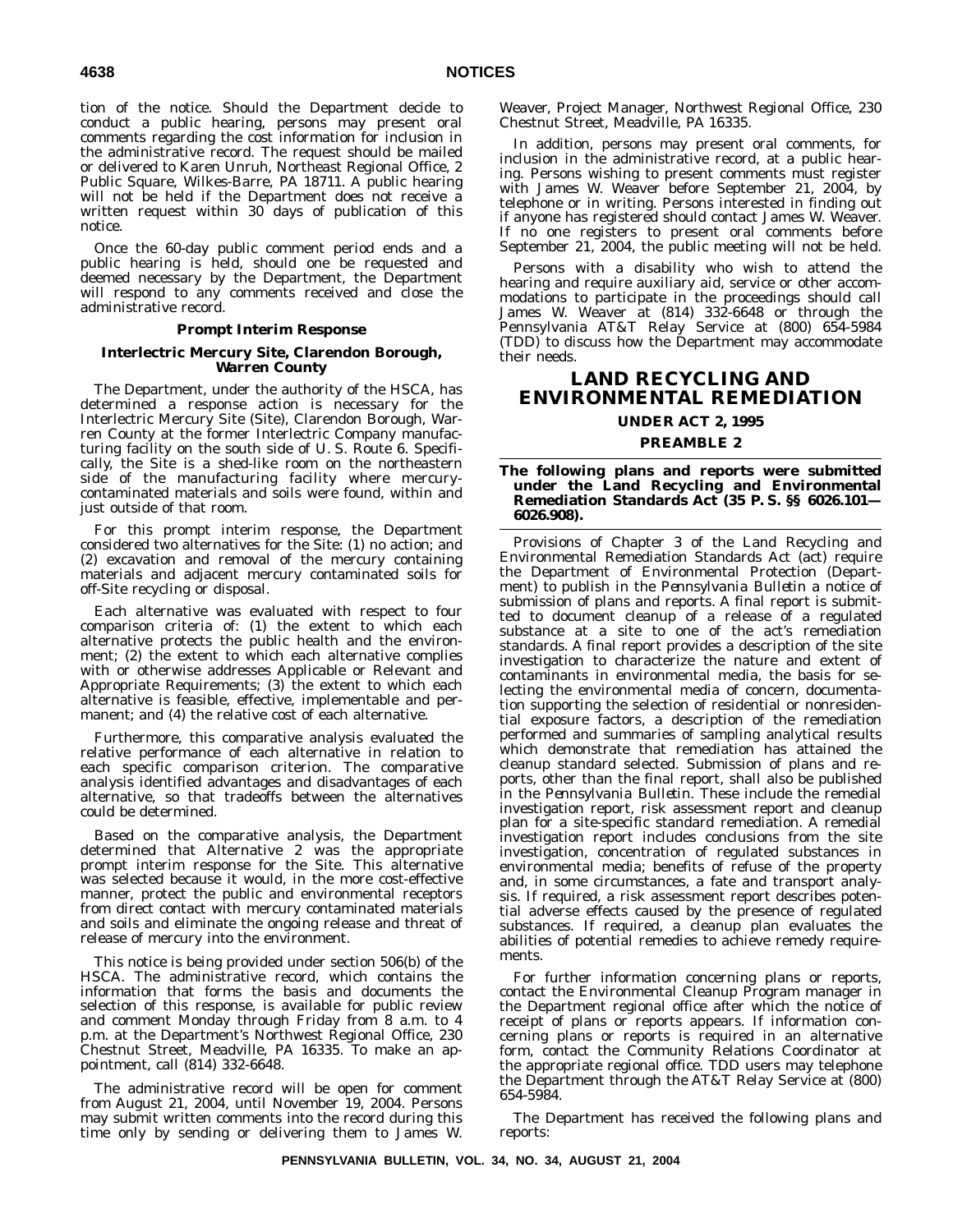tion of the notice. Should the Department decide to conduct a public hearing, persons may present oral comments regarding the cost information for inclusion in the administrative record. The request should be mailed or delivered to Karen Unruh, Northeast Regional Office, 2 Public Square, Wilkes-Barre, PA 18711. A public hearing will not be held if the Department does not receive a written request within 30 days of publication of this notice.

Once the 60-day public comment period ends and a public hearing is held, should one be requested and deemed necessary by the Department, the Department will respond to any comments received and close the administrative record.

## **Prompt Interim Response**

## **Interlectric Mercury Site, Clarendon Borough, Warren County**

The Department, under the authority of the HSCA, has determined a response action is necessary for the Interlectric Mercury Site (Site), Clarendon Borough, Warren County at the former Interlectric Company manufacturing facility on the south side of U. S. Route 6. Specifically, the Site is a shed-like room on the northeastern side of the manufacturing facility where mercurycontaminated materials and soils were found, within and just outside of that room.

For this prompt interim response, the Department considered two alternatives for the Site: (1) no action; and (2) excavation and removal of the mercury containing materials and adjacent mercury contaminated soils for off-Site recycling or disposal.

Each alternative was evaluated with respect to four comparison criteria of: (1) the extent to which each alternative protects the public health and the environment; (2) the extent to which each alternative complies with or otherwise addresses Applicable or Relevant and Appropriate Requirements; (3) the extent to which each alternative is feasible, effective, implementable and permanent; and (4) the relative cost of each alternative.

Furthermore, this comparative analysis evaluated the relative performance of each alternative in relation to each specific comparison criterion. The comparative analysis identified advantages and disadvantages of each alternative, so that tradeoffs between the alternatives could be determined.

Based on the comparative analysis, the Department determined that Alternative 2 was the appropriate prompt interim response for the Site. This alternative was selected because it would, in the more cost-effective manner, protect the public and environmental receptors from direct contact with mercury contaminated materials and soils and eliminate the ongoing release and threat of release of mercury into the environment.

This notice is being provided under section 506(b) of the HSCA. The administrative record, which contains the information that forms the basis and documents the selection of this response, is available for public review and comment Monday through Friday from 8 a.m. to 4 p.m. at the Department's Northwest Regional Office, 230 Chestnut Street, Meadville, PA 16335. To make an appointment, call (814) 332-6648.

The administrative record will be open for comment from August 21, 2004, until November 19, 2004. Persons may submit written comments into the record during this time only by sending or delivering them to James W.

Weaver, Project Manager, Northwest Regional Office, 230 Chestnut Street, Meadville, PA 16335.

In addition, persons may present oral comments, for inclusion in the administrative record, at a public hearing. Persons wishing to present comments must register with James W. Weaver before September 21, 2004, by telephone or in writing. Persons interested in finding out if anyone has registered should contact James W. Weaver. If no one registers to present oral comments before September 21, 2004, the public meeting will not be held.

Persons with a disability who wish to attend the hearing and require auxiliary aid, service or other accommodations to participate in the proceedings should call James W. Weaver at (814) 332-6648 or through the Pennsylvania AT&T Relay Service at (800) 654-5984 (TDD) to discuss how the Department may accommodate their needs.

# **LAND RECYCLING AND ENVIRONMENTAL REMEDIATION**

**UNDER ACT 2, 1995**

## **PREAMBLE 2**

**The following plans and reports were submitted under the Land Recycling and Environmental Remediation Standards Act (35 P. S. §§ 6026.101— 6026.908).**

Provisions of Chapter 3 of the Land Recycling and Environmental Remediation Standards Act (act) require the Department of Environmental Protection (Department) to publish in the *Pennsylvania Bulletin* a notice of submission of plans and reports. A final report is submitted to document cleanup of a release of a regulated substance at a site to one of the act's remediation standards. A final report provides a description of the site investigation to characterize the nature and extent of contaminants in environmental media, the basis for selecting the environmental media of concern, documentation supporting the selection of residential or nonresidential exposure factors, a description of the remediation performed and summaries of sampling analytical results which demonstrate that remediation has attained the cleanup standard selected. Submission of plans and reports, other than the final report, shall also be published in the *Pennsylvania Bulletin*. These include the remedial investigation report, risk assessment report and cleanup plan for a site-specific standard remediation. A remedial investigation report includes conclusions from the site investigation, concentration of regulated substances in environmental media; benefits of refuse of the property and, in some circumstances, a fate and transport analysis. If required, a risk assessment report describes potential adverse effects caused by the presence of regulated substances. If required, a cleanup plan evaluates the abilities of potential remedies to achieve remedy requirements.

For further information concerning plans or reports, contact the Environmental Cleanup Program manager in the Department regional office after which the notice of receipt of plans or reports appears. If information concerning plans or reports is required in an alternative form, contact the Community Relations Coordinator at the appropriate regional office. TDD users may telephone the Department through the AT&T Relay Service at (800) 654-5984.

The Department has received the following plans and reports: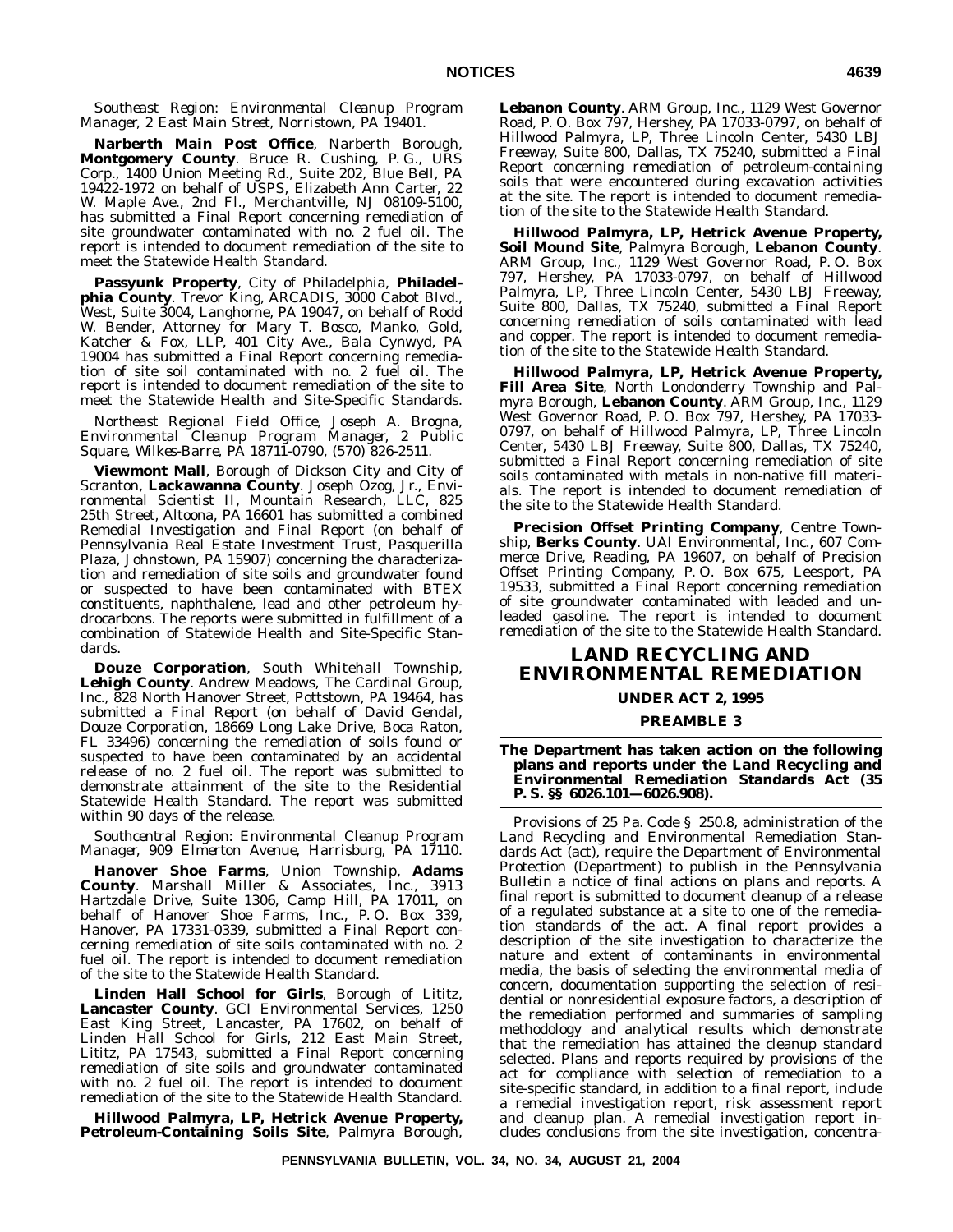## *Southeast Region: Environmental Cleanup Program Manager, 2 East Main Street, Norristown, PA 19401.*

**Narberth Main Post Office**, Narberth Borough, **Montgomery County**. Bruce R. Cushing, P. G., URS Corp., 1400 Union Meeting Rd., Suite 202, Blue Bell, PA 19422-1972 on behalf of USPS, Elizabeth Ann Carter, 22 W. Maple Ave., 2nd Fl., Merchantville, NJ 08109-5100, has submitted a Final Report concerning remediation of site groundwater contaminated with no. 2 fuel oil. The report is intended to document remediation of the site to meet the Statewide Health Standard.

**Passyunk Property**, City of Philadelphia, **Philadelphia County**. Trevor King, ARCADIS, 3000 Cabot Blvd., West, Suite 3004, Langhorne, PA 19047, on behalf of Rodd W. Bender, Attorney for Mary T. Bosco, Manko, Gold, Katcher & Fox, LLP, 401 City Ave., Bala Cynwyd, PA 19004 has submitted a Final Report concerning remediation of site soil contaminated with no. 2 fuel oil. The report is intended to document remediation of the site to meet the Statewide Health and Site-Specific Standards.

*Northeast Regional Field Office, Joseph A. Brogna, Environmental Cleanup Program Manager, 2 Public Square, Wilkes-Barre, PA 18711-0790, (570) 826-2511.*

**Viewmont Mall**, Borough of Dickson City and City of Scranton, **Lackawanna County**. Joseph Ozog, Jr., Environmental Scientist II, Mountain Research, LLC, 825 25th Street, Altoona, PA 16601 has submitted a combined Remedial Investigation and Final Report (on behalf of Pennsylvania Real Estate Investment Trust, Pasquerilla Plaza, Johnstown, PA 15907) concerning the characterization and remediation of site soils and groundwater found or suspected to have been contaminated with BTEX constituents, naphthalene, lead and other petroleum hydrocarbons. The reports were submitted in fulfillment of a combination of Statewide Health and Site-Specific Standards.

**Douze Corporation**, South Whitehall Township, **Lehigh County**. Andrew Meadows, The Cardinal Group, Inc., 828 North Hanover Street, Pottstown, PA 19464, has submitted a Final Report (on behalf of David Gendal, Douze Corporation, 18669 Long Lake Drive, Boca Raton, FL 33496) concerning the remediation of soils found or suspected to have been contaminated by an accidental release of no. 2 fuel oil. The report was submitted to demonstrate attainment of the site to the Residential Statewide Health Standard. The report was submitted within 90 days of the release.

*Southcentral Region: Environmental Cleanup Program Manager, 909 Elmerton Avenue, Harrisburg, PA 17110.*

**Hanover Shoe Farms**, Union Township, **Adams County**. Marshall Miller & Associates, Inc., 3913 Hartzdale Drive, Suite 1306, Camp Hill, PA 17011, on behalf of Hanover Shoe Farms, Inc., P. O. Box 339, Hanover, PA 17331-0339, submitted a Final Report concerning remediation of site soils contaminated with no. 2 fuel oil. The report is intended to document remediation of the site to the Statewide Health Standard.

**Linden Hall School for Girls**, Borough of Lititz, **Lancaster County**. GCI Environmental Services, 1250 East King Street, Lancaster, PA 17602, on behalf of Linden Hall School for Girls, 212 East Main Street, Lititz, PA 17543, submitted a Final Report concerning remediation of site soils and groundwater contaminated with no. 2 fuel oil. The report is intended to document remediation of the site to the Statewide Health Standard.

**Hillwood Palmyra, LP, Hetrick Avenue Property, Petroleum-Containing Soils Site**, Palmyra Borough, **Lebanon County**. ARM Group, Inc., 1129 West Governor Road, P. O. Box 797, Hershey, PA 17033-0797, on behalf of Hillwood Palmyra, LP, Three Lincoln Center, 5430 LBJ Freeway, Suite 800, Dallas, TX 75240, submitted a Final Report concerning remediation of petroleum-containing soils that were encountered during excavation activities at the site. The report is intended to document remediation of the site to the Statewide Health Standard.

**Hillwood Palmyra, LP, Hetrick Avenue Property, Soil Mound Site**, Palmyra Borough, **Lebanon County**. ARM Group, Inc., 1129 West Governor Road, P. O. Box 797, Hershey, PA 17033-0797, on behalf of Hillwood Palmyra, LP, Three Lincoln Center, 5430 LBJ Freeway, Suite 800, Dallas, TX 75240, submitted a Final Report concerning remediation of soils contaminated with lead and copper. The report is intended to document remediation of the site to the Statewide Health Standard.

**Hillwood Palmyra, LP, Hetrick Avenue Property, Fill Area Site**, North Londonderry Township and Palmyra Borough, **Lebanon County**. ARM Group, Inc., 1129 West Governor Road, P. O. Box 797, Hershey, PA 17033- 0797, on behalf of Hillwood Palmyra, LP, Three Lincoln Center, 5430 LBJ Freeway, Suite 800, Dallas, TX 75240, submitted a Final Report concerning remediation of site soils contaminated with metals in non-native fill materials. The report is intended to document remediation of the site to the Statewide Health Standard.

**Precision Offset Printing Company**, Centre Township, **Berks County**. UAI Environmental, Inc., 607 Commerce Drive, Reading, PA 19607, on behalf of Precision Offset Printing Company, P. O. Box 675, Leesport, PA 19533, submitted a Final Report concerning remediation of site groundwater contaminated with leaded and unleaded gasoline. The report is intended to document remediation of the site to the Statewide Health Standard.

# **LAND RECYCLING AND ENVIRONMENTAL REMEDIATION**

## **UNDER ACT 2, 1995**

## **PREAMBLE 3**

**The Department has taken action on the following plans and reports under the Land Recycling and Environmental Remediation Standards Act (35 P. S. §§ 6026.101—6026.908).**

Provisions of 25 Pa. Code § 250.8, administration of the Land Recycling and Environmental Remediation Standards Act (act), require the Department of Environmental Protection (Department) to publish in the *Pennsylvania Bulletin* a notice of final actions on plans and reports. A final report is submitted to document cleanup of a release of a regulated substance at a site to one of the remediation standards of the act. A final report provides a description of the site investigation to characterize the nature and extent of contaminants in environmental media, the basis of selecting the environmental media of concern, documentation supporting the selection of residential or nonresidential exposure factors, a description of the remediation performed and summaries of sampling methodology and analytical results which demonstrate that the remediation has attained the cleanup standard selected. Plans and reports required by provisions of the act for compliance with selection of remediation to a site-specific standard, in addition to a final report, include a remedial investigation report, risk assessment report and cleanup plan. A remedial investigation report includes conclusions from the site investigation, concentra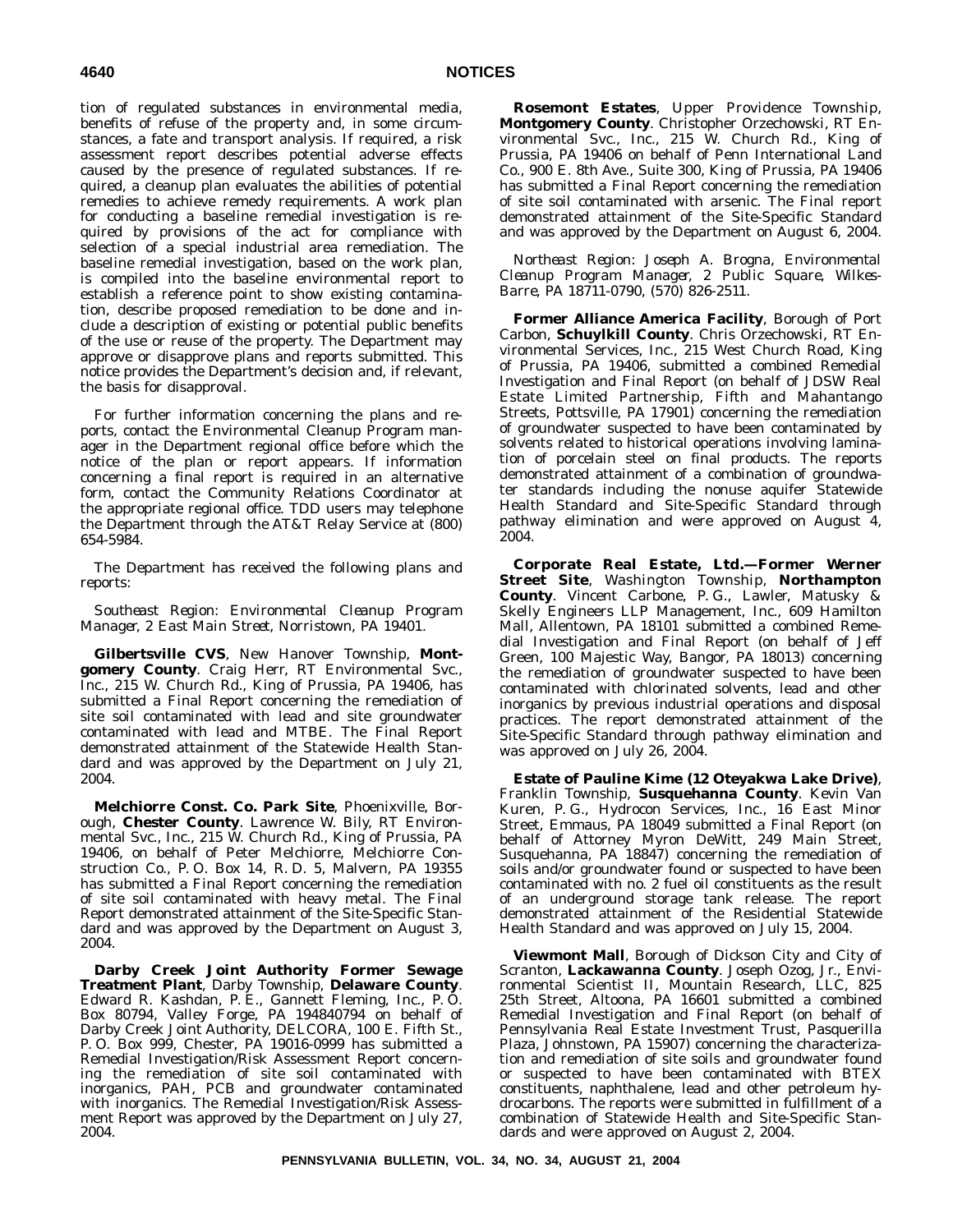tion of regulated substances in environmental media, benefits of refuse of the property and, in some circumstances, a fate and transport analysis. If required, a risk assessment report describes potential adverse effects caused by the presence of regulated substances. If required, a cleanup plan evaluates the abilities of potential remedies to achieve remedy requirements. A work plan for conducting a baseline remedial investigation is required by provisions of the act for compliance with selection of a special industrial area remediation. The baseline remedial investigation, based on the work plan, is compiled into the baseline environmental report to establish a reference point to show existing contamination, describe proposed remediation to be done and include a description of existing or potential public benefits of the use or reuse of the property. The Department may approve or disapprove plans and reports submitted. This notice provides the Department's decision and, if relevant, the basis for disapproval.

For further information concerning the plans and reports, contact the Environmental Cleanup Program manager in the Department regional office before which the notice of the plan or report appears. If information concerning a final report is required in an alternative form, contact the Community Relations Coordinator at the appropriate regional office. TDD users may telephone the Department through the AT&T Relay Service at (800) 654-5984.

The Department has received the following plans and reports:

*Southeast Region: Environmental Cleanup Program Manager, 2 East Main Street, Norristown, PA 19401.*

**Gilbertsville CVS**, New Hanover Township, **Montgomery County**. Craig Herr, RT Environmental Svc., Inc., 215 W. Church Rd., King of Prussia, PA 19406, has submitted a Final Report concerning the remediation of site soil contaminated with lead and site groundwater contaminated with lead and MTBE. The Final Report demonstrated attainment of the Statewide Health Standard and was approved by the Department on July 21, 2004.

**Melchiorre Const. Co. Park Site**, Phoenixville, Borough, **Chester County**. Lawrence W. Bily, RT Environmental Svc., Inc., 215 W. Church Rd., King of Prussia, PA 19406, on behalf of Peter Melchiorre, Melchiorre Construction Co., P. O. Box 14, R. D. 5, Malvern, PA 19355 has submitted a Final Report concerning the remediation of site soil contaminated with heavy metal. The Final Report demonstrated attainment of the Site-Specific Standard and was approved by the Department on August 3, 2004.

**Darby Creek Joint Authority Former Sewage Treatment Plant**, Darby Township, **Delaware County**. Edward R. Kashdan, P. E., Gannett Fleming, Inc., P. O. Box 80794, Valley Forge, PA 194840794 on behalf of Darby Creek Joint Authority, DELCORA, 100 E. Fifth St., P. O. Box 999, Chester, PA 19016-0999 has submitted a Remedial Investigation/Risk Assessment Report concerning the remediation of site soil contaminated with inorganics, PAH, PCB and groundwater contaminated with inorganics. The Remedial Investigation/Risk Assessment Report was approved by the Department on July 27, 2004.

**Rosemont Estates**, Upper Providence Township, **Montgomery County**. Christopher Orzechowski, RT Environmental Svc., Inc., 215 W. Church Rd., King of Prussia, PA 19406 on behalf of Penn International Land Co., 900 E. 8th Ave., Suite 300, King of Prussia, PA 19406 has submitted a Final Report concerning the remediation of site soil contaminated with arsenic. The Final report demonstrated attainment of the Site-Specific Standard and was approved by the Department on August 6, 2004.

*Northeast Region: Joseph A. Brogna, Environmental Cleanup Program Manager, 2 Public Square, Wilkes-Barre, PA 18711-0790, (570) 826-2511.*

**Former Alliance America Facility**, Borough of Port Carbon, **Schuylkill County**. Chris Orzechowski, RT Environmental Services, Inc., 215 West Church Road, King of Prussia, PA 19406, submitted a combined Remedial Investigation and Final Report (on behalf of JDSW Real Estate Limited Partnership, Fifth and Mahantango Streets, Pottsville, PA 17901) concerning the remediation of groundwater suspected to have been contaminated by solvents related to historical operations involving lamination of porcelain steel on final products. The reports demonstrated attainment of a combination of groundwater standards including the nonuse aquifer Statewide Health Standard and Site-Specific Standard through pathway elimination and were approved on August 4, 2004.

**Corporate Real Estate, Ltd.—Former Werner Street Site**, Washington Township, **Northampton County**. Vincent Carbone, P. G., Lawler, Matusky & Skelly Engineers LLP Management, Inc., 609 Hamilton Mall, Allentown, PA 18101 submitted a combined Remedial Investigation and Final Report (on behalf of Jeff Green, 100 Majestic Way, Bangor, PA 18013) concerning the remediation of groundwater suspected to have been contaminated with chlorinated solvents, lead and other inorganics by previous industrial operations and disposal practices. The report demonstrated attainment of the Site-Specific Standard through pathway elimination and was approved on July 26, 2004.

**Estate of Pauline Kime (12 Oteyakwa Lake Drive)**, Franklin Township, **Susquehanna County**. Kevin Van Kuren, P. G., Hydrocon Services, Inc., 16 East Minor Street, Emmaus, PA 18049 submitted a Final Report (on behalf of Attorney Myron DeWitt, 249 Main Street, Susquehanna, PA 18847) concerning the remediation of soils and/or groundwater found or suspected to have been contaminated with no. 2 fuel oil constituents as the result of an underground storage tank release. The report demonstrated attainment of the Residential Statewide Health Standard and was approved on July 15, 2004.

**Viewmont Mall**, Borough of Dickson City and City of Scranton, **Lackawanna County**. Joseph Ozog, Jr., Environmental Scientist II, Mountain Research, LLC, 825 25th Street, Altoona, PA 16601 submitted a combined Remedial Investigation and Final Report (on behalf of Pennsylvania Real Estate Investment Trust, Pasquerilla Plaza, Johnstown, PA 15907) concerning the characterization and remediation of site soils and groundwater found or suspected to have been contaminated with BTEX constituents, naphthalene, lead and other petroleum hydrocarbons. The reports were submitted in fulfillment of a combination of Statewide Health and Site-Specific Standards and were approved on August 2, 2004.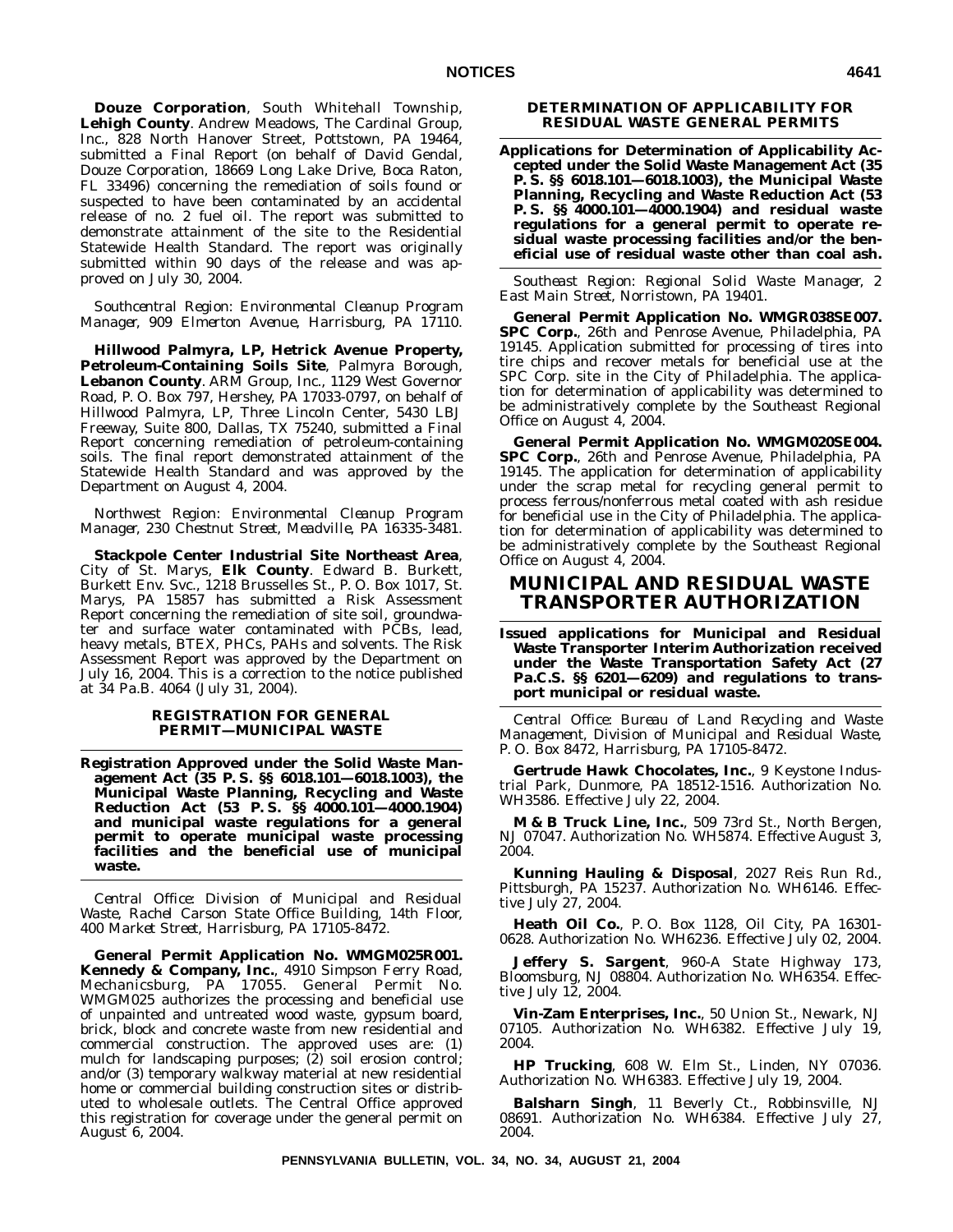**Douze Corporation**, South Whitehall Township, **Lehigh County**. Andrew Meadows, The Cardinal Group, Inc., 828 North Hanover Street, Pottstown, PA 19464, submitted a Final Report (on behalf of David Gendal, Douze Corporation, 18669 Long Lake Drive, Boca Raton, FL 33496) concerning the remediation of soils found or suspected to have been contaminated by an accidental release of no. 2 fuel oil. The report was submitted to demonstrate attainment of the site to the Residential Statewide Health Standard. The report was originally submitted within 90 days of the release and was approved on July 30, 2004.

*Southcentral Region: Environmental Cleanup Program Manager, 909 Elmerton Avenue, Harrisburg, PA 17110.*

**Hillwood Palmyra, LP, Hetrick Avenue Property, Petroleum-Containing Soils Site**, Palmyra Borough, **Lebanon County**. ARM Group, Inc., 1129 West Governor Road, P. O. Box 797, Hershey, PA 17033-0797, on behalf of Hillwood Palmyra, LP, Three Lincoln Center, 5430 LBJ Freeway, Suite 800, Dallas, TX 75240, submitted a Final Report concerning remediation of petroleum-containing soils. The final report demonstrated attainment of the Statewide Health Standard and was approved by the Department on August 4, 2004.

*Northwest Region: Environmental Cleanup Program Manager, 230 Chestnut Street, Meadville, PA 16335-3481.*

**Stackpole Center Industrial Site Northeast Area**, City of St. Marys, **Elk County**. Edward B. Burkett, Burkett Env. Svc., 1218 Brusselles St., P. O. Box 1017, St. Marys, PA 15857 has submitted a Risk Assessment Report concerning the remediation of site soil, groundwater and surface water contaminated with PCBs, lead, heavy metals, BTEX, PHCs, PAHs and solvents. The Risk Assessment Report was approved by the Department on July 16, 2004. This is a correction to the notice published at 34 Pa.B. 4064 (July 31, 2004).

## **REGISTRATION FOR GENERAL PERMIT—MUNICIPAL WASTE**

**Registration Approved under the Solid Waste Management Act (35 P. S. §§ 6018.101—6018.1003), the Municipal Waste Planning, Recycling and Waste Reduction Act (53 P. S. §§ 4000.101—4000.1904) and municipal waste regulations for a general permit to operate municipal waste processing facilities and the beneficial use of municipal waste.**

*Central Office: Division of Municipal and Residual Waste, Rachel Carson State Office Building, 14th Floor, 400 Market Street, Harrisburg, PA 17105-8472.*

**General Permit Application No. WMGM025R001. Kennedy & Company, Inc.**, 4910 Simpson Ferry Road, Mechanicsburg, PA 17055. General Permit No. WMGM025 authorizes the processing and beneficial use of unpainted and untreated wood waste, gypsum board, brick, block and concrete waste from new residential and commercial construction. The approved uses are: (1) mulch for landscaping purposes; (2) soil erosion control; and/or (3) temporary walkway material at new residential home or commercial building construction sites or distributed to wholesale outlets. The Central Office approved this registration for coverage under the general permit on August 6, 2004.

## **DETERMINATION OF APPLICABILITY FOR RESIDUAL WASTE GENERAL PERMITS**

**Applications for Determination of Applicability Accepted under the Solid Waste Management Act (35 P. S. §§ 6018.101—6018.1003), the Municipal Waste Planning, Recycling and Waste Reduction Act (53 P. S. §§ 4000.101—4000.1904) and residual waste regulations for a general permit to operate residual waste processing facilities and/or the beneficial use of residual waste other than coal ash.**

*Southeast Region: Regional Solid Waste Manager, 2 East Main Street, Norristown, PA 19401.*

**General Permit Application No. WMGR038SE007. SPC Corp.**, 26th and Penrose Avenue, Philadelphia, PA 19145. Application submitted for processing of tires into tire chips and recover metals for beneficial use at the SPC Corp. site in the City of Philadelphia. The application for determination of applicability was determined to be administratively complete by the Southeast Regional Office on August 4, 2004.

**General Permit Application No. WMGM020SE004. SPC Corp.**, 26th and Penrose Avenue, Philadelphia, PA 19145. The application for determination of applicability under the scrap metal for recycling general permit to process ferrous/nonferrous metal coated with ash residue for beneficial use in the City of Philadelphia. The application for determination of applicability was determined to be administratively complete by the Southeast Regional Office on August 4, 2004.

# **MUNICIPAL AND RESIDUAL WASTE TRANSPORTER AUTHORIZATION**

**Issued applications for Municipal and Residual Waste Transporter Interim Authorization received under the Waste Transportation Safety Act (27** Pa.C.S. §§ 6201-6209) and regulations to trans**port municipal or residual waste.**

*Central Office: Bureau of Land Recycling and Waste Management, Division of Municipal and Residual Waste, P. O. Box 8472, Harrisburg, PA 17105-8472.*

**Gertrude Hawk Chocolates, Inc.**, 9 Keystone Industrial Park, Dunmore, PA 18512-1516. Authorization No. WH3586. Effective July 22, 2004.

**M & B Truck Line, Inc.**, 509 73rd St., North Bergen, NJ 07047. Authorization No. WH5874. Effective August 3, 2004.

**Kunning Hauling & Disposal**, 2027 Reis Run Rd., Pittsburgh, PA 15237. Authorization No. WH6146. Effective July 27, 2004.

**Heath Oil Co.**, P. O. Box 1128, Oil City, PA 16301- 0628. Authorization No. WH6236. Effective July 02, 2004.

**Jeffery S. Sargent**, 960-A State Highway 173, Bloomsburg, NJ 08804. Authorization No. WH6354. Effective July 12, 2004.

**Vin-Zam Enterprises, Inc.**, 50 Union St., Newark, NJ 07105. Authorization No. WH6382. Effective July 19, 2004.

**HP Trucking**, 608 W. Elm St., Linden, NY 07036. Authorization No. WH6383. Effective July 19, 2004.

**Balsharn Singh**, 11 Beverly Ct., Robbinsville, NJ 08691. Authorization No. WH6384. Effective July 27, 2004.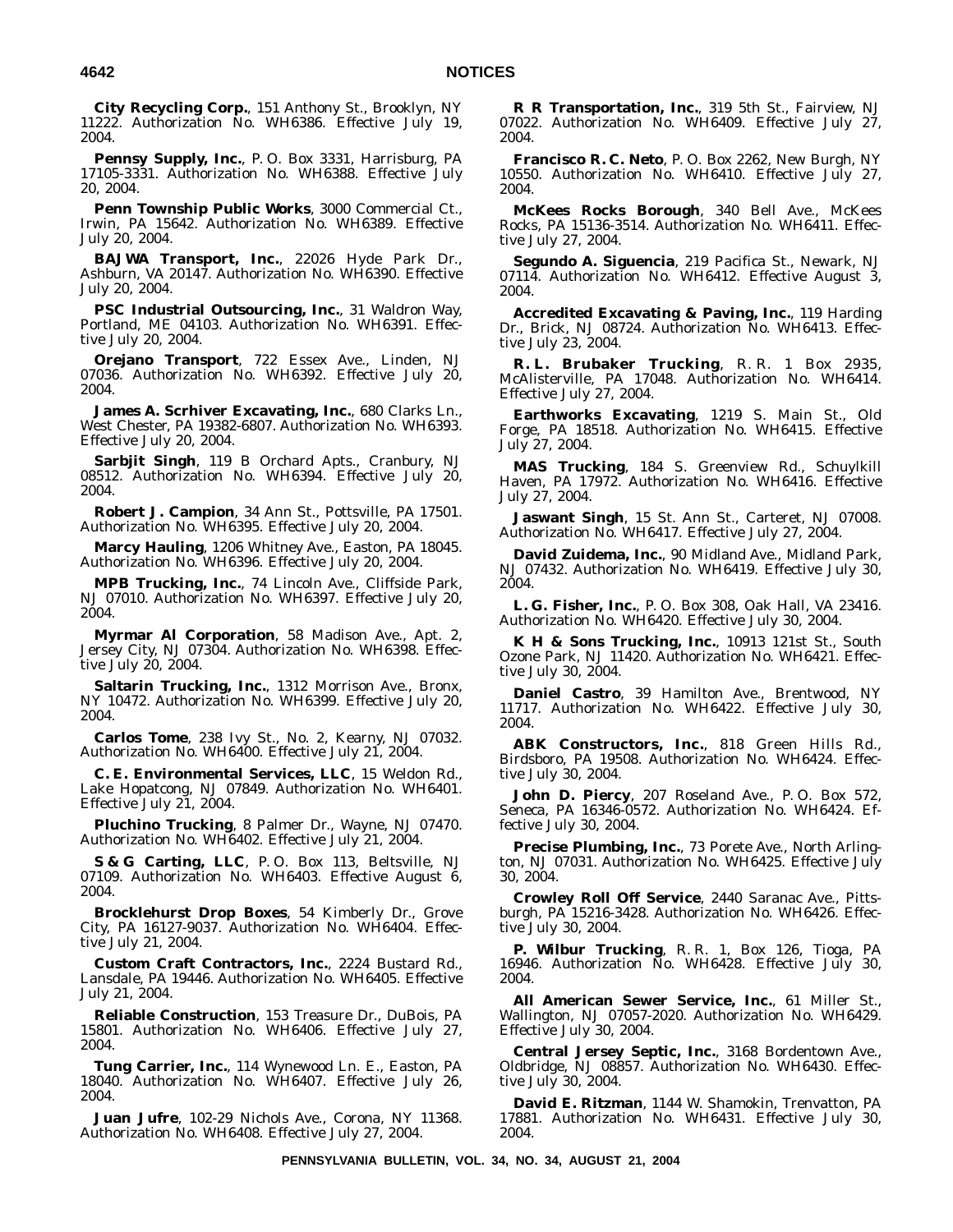**City Recycling Corp.**, 151 Anthony St., Brooklyn, NY 11222. Authorization No. WH6386. Effective July 19, 2004.

**Pennsy Supply, Inc.**, P. O. Box 3331, Harrisburg, PA 17105-3331. Authorization No. WH6388. Effective July 20, 2004.

**Penn Township Public Works**, 3000 Commercial Ct., Irwin, PA 15642. Authorization No. WH6389. Effective July 20, 2004.

**BAJWA Transport, Inc.**, 22026 Hyde Park Dr., Ashburn, VA 20147. Authorization No. WH6390. Effective July 20, 2004.

**PSC Industrial Outsourcing, Inc.**, 31 Waldron Way, Portland, ME 04103. Authorization No. WH6391. Effective July 20, 2004.

**Orejano Transport**, 722 Essex Ave., Linden, NJ 07036. Authorization No. WH6392. Effective July 20, 2004.

**James A. Scrhiver Excavating, Inc.**, 680 Clarks Ln., West Chester, PA 19382-6807. Authorization No. WH6393. Effective July 20, 2004.

**Sarbjit Singh**, 119 B Orchard Apts., Cranbury, NJ 08512. Authorization No. WH6394. Effective July 20, 2004.

**Robert J. Campion**, 34 Ann St., Pottsville, PA 17501. Authorization No. WH6395. Effective July 20, 2004.

**Marcy Hauling**, 1206 Whitney Ave., Easton, PA 18045. Authorization No. WH6396. Effective July 20, 2004.

**MPB Trucking, Inc.**, 74 Lincoln Ave., Cliffside Park, NJ 07010. Authorization No. WH6397. Effective July 20, 2004.

**Myrmar Al Corporation**, 58 Madison Ave., Apt. 2, Jersey City, NJ 07304. Authorization No. WH6398. Effective July 20, 2004.

**Saltarin Trucking, Inc.**, 1312 Morrison Ave., Bronx, NY 10472. Authorization No. WH6399. Effective July 20, 2004.

**Carlos Tome**, 238 Ivy St., No. 2, Kearny, NJ 07032. Authorization No. WH6400. Effective July 21, 2004.

**C. E. Environmental Services, LLC**, 15 Weldon Rd., Lake Hopatcong, NJ 07849. Authorization No. WH6401. Effective July 21, 2004.

**Pluchino Trucking**, 8 Palmer Dr., Wayne, NJ 07470. Authorization No. WH6402. Effective July 21, 2004.

**S & G Carting, LLC**, P. O. Box 113, Beltsville, NJ 07109. Authorization No. WH6403. Effective August 6, 2004.

**Brocklehurst Drop Boxes**, 54 Kimberly Dr., Grove City, PA 16127-9037. Authorization No. WH6404. Effective July 21, 2004.

**Custom Craft Contractors, Inc.**, 2224 Bustard Rd., Lansdale, PA 19446. Authorization No. WH6405. Effective July 21, 2004.

**Reliable Construction**, 153 Treasure Dr., DuBois, PA 15801. Authorization No. WH6406. Effective July 27, 2004.

**Tung Carrier, Inc.**, 114 Wynewood Ln. E., Easton, PA 18040. Authorization No. WH6407. Effective July 26, 2004.

**Juan Jufre**, 102-29 Nichols Ave., Corona, NY 11368. Authorization No. WH6408. Effective July 27, 2004.

**R R Transportation, Inc.**, 319 5th St., Fairview, NJ 07022. Authorization No. WH6409. Effective July 27, 2004.

**Francisco R. C. Neto**, P. O. Box 2262, New Burgh, NY 10550. Authorization No. WH6410. Effective July 27, 2004.

**McKees Rocks Borough**, 340 Bell Ave., McKees Rocks, PA 15136-3514. Authorization No. WH6411. Effective July 27, 2004.

**Segundo A. Siguencia**, 219 Pacifica St., Newark, NJ 07114. Authorization No. WH6412. Effective August 3, 2004.

**Accredited Excavating & Paving, Inc.**, 119 Harding Dr., Brick, NJ 08724. Authorization No. WH6413. Effective July 23, 2004.

**R. L. Brubaker Trucking**, R. R. 1 Box 2935, McAlisterville, PA 17048. Authorization No. WH6414. Effective July 27, 2004.

**Earthworks Excavating**, 1219 S. Main St., Old Forge, PA 18518. Authorization No. WH6415. Effective July 27, 2004.

**MAS Trucking**, 184 S. Greenview Rd., Schuylkill Haven, PA 17972. Authorization No. WH6416. Effective July 27, 2004.

**Jaswant Singh**, 15 St. Ann St., Carteret, NJ 07008. Authorization No. WH6417. Effective July 27, 2004.

**David Zuidema, Inc.**, 90 Midland Ave., Midland Park, NJ 07432. Authorization No. WH6419. Effective July 30, 2004.

**L. G. Fisher, Inc.**, P. O. Box 308, Oak Hall, VA 23416. Authorization No. WH6420. Effective July 30, 2004.

**K H & Sons Trucking, Inc.**, 10913 121st St., South Ozone Park, NJ 11420. Authorization No. WH6421. Effective July 30, 2004.

**Daniel Castro**, 39 Hamilton Ave., Brentwood, NY 11717. Authorization No. WH6422. Effective July 30, 2004.

**ABK Constructors, Inc.**, 818 Green Hills Rd., Birdsboro, PA 19508. Authorization No. WH6424. Effective July 30, 2004.

**John D. Piercy**, 207 Roseland Ave., P. O. Box 572, Seneca, PA 16346-0572. Authorization No. WH6424. Effective July 30, 2004.

**Precise Plumbing, Inc.**, 73 Porete Ave., North Arlington, NJ 07031. Authorization No. WH6425. Effective July 30, 2004.

**Crowley Roll Off Service**, 2440 Saranac Ave., Pittsburgh, PA 15216-3428. Authorization No. WH6426. Effective July 30, 2004.

**P. Wilbur Trucking**, R. R. 1, Box 126, Tioga, PA 16946. Authorization No. WH6428. Effective July 30, 2004.

**All American Sewer Service, Inc.**, 61 Miller St., Wallington, NJ 07057-2020. Authorization No. WH6429. Effective July 30, 2004.

**Central Jersey Septic, Inc.**, 3168 Bordentown Ave., Oldbridge, NJ 08857. Authorization No. WH6430. Effective July 30, 2004.

**David E. Ritzman**, 1144 W. Shamokin, Trenvatton, PA 17881. Authorization No. WH6431. Effective July 30, 2004.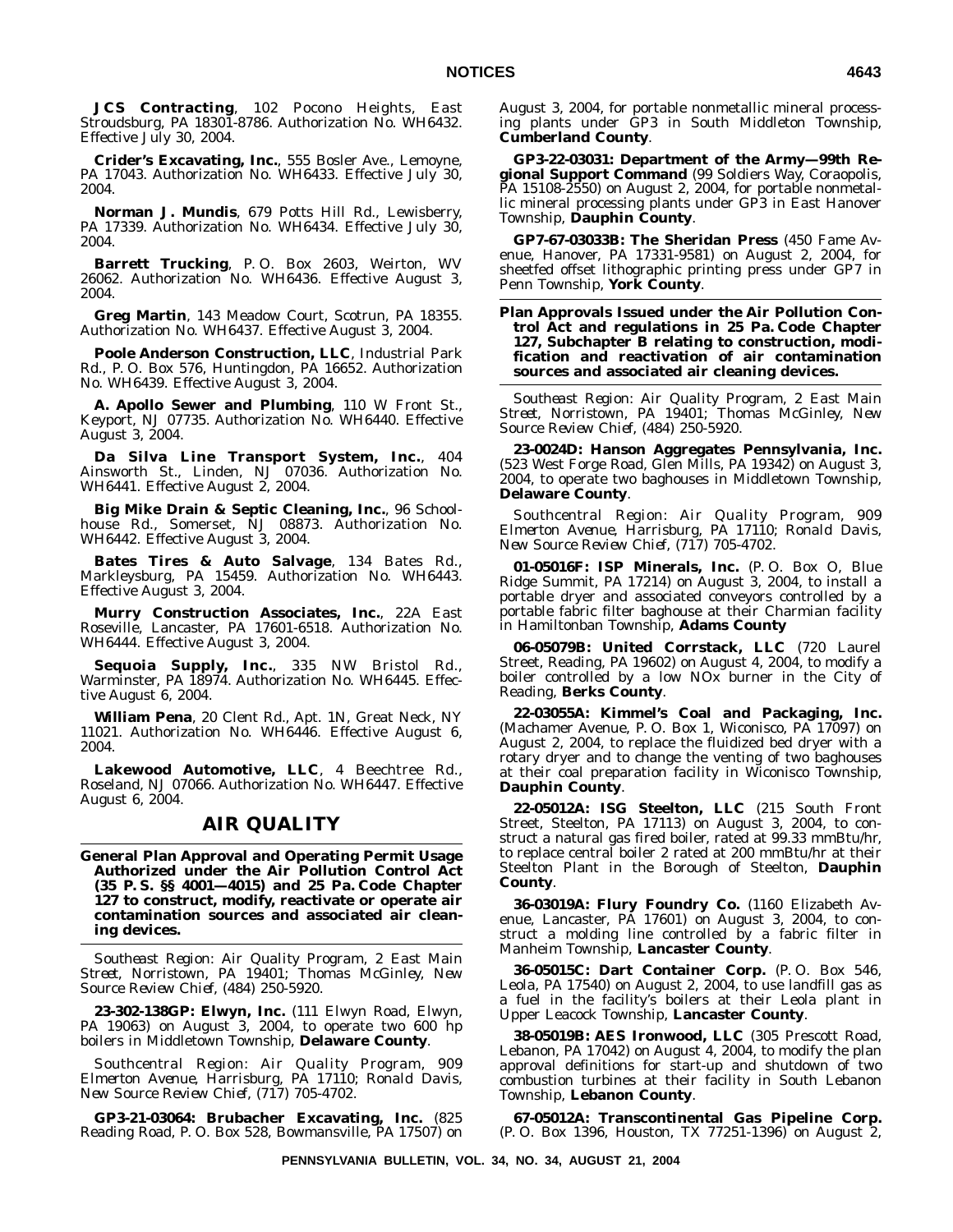**JCS Contracting**, 102 Pocono Heights, East Stroudsburg, PA 18301-8786. Authorization No. WH6432. Effective July 30, 2004.

**Crider's Excavating, Inc.**, 555 Bosler Ave., Lemoyne, PA 17043. Authorization No. WH6433. Effective July 30, 2004.

**Norman J. Mundis**, 679 Potts Hill Rd., Lewisberry, PA 17339. Authorization No. WH6434. Effective July 30, 2004.

**Barrett Trucking**, P. O. Box 2603, Weirton, WV 26062. Authorization No. WH6436. Effective August 3, 2004.

**Greg Martin**, 143 Meadow Court, Scotrun, PA 18355. Authorization No. WH6437. Effective August 3, 2004.

**Poole Anderson Construction, LLC**, Industrial Park Rd., P. O. Box 576, Huntingdon, PA 16652. Authorization No. WH6439. Effective August 3, 2004.

**A. Apollo Sewer and Plumbing**, 110 W Front St., Keyport, NJ 07735. Authorization No. WH6440. Effective August 3, 2004.

**Da Silva Line Transport System, Inc.**, 404 Ainsworth St., Linden, NJ 07036. Authorization No. WH6441. Effective August 2, 2004.

**Big Mike Drain & Septic Cleaning, Inc.**, 96 Schoolhouse Rd., Somerset, NJ 08873. Authorization No. WH6442. Effective August 3, 2004.

**Bates Tires & Auto Salvage**, 134 Bates Rd., Markleysburg, PA 15459. Authorization No. WH6443. Effective August 3, 2004.

**Murry Construction Associates, Inc.**, 22A East Roseville, Lancaster, PA 17601-6518. Authorization No. WH6444. Effective August 3, 2004.

**Sequoia Supply, Inc.**, 335 NW Bristol Rd., Warminster, PA 18974. Authorization No. WH6445. Effective August 6, 2004.

**William Pena**, 20 Clent Rd., Apt. 1N, Great Neck, NY 11021. Authorization No. WH6446. Effective August 6, 2004.

**Lakewood Automotive, LLC**, 4 Beechtree Rd., Roseland, NJ 07066. Authorization No. WH6447. Effective August 6, 2004.

## **AIR QUALITY**

**General Plan Approval and Operating Permit Usage Authorized under the Air Pollution Control Act (35 P. S. §§ 4001—4015) and 25 Pa. Code Chapter 127 to construct, modify, reactivate or operate air contamination sources and associated air cleaning devices.**

*Southeast Region: Air Quality Program, 2 East Main Street, Norristown, PA 19401; Thomas McGinley, New Source Review Chief, (484) 250-5920.*

**23-302-138GP: Elwyn, Inc.** (111 Elwyn Road, Elwyn, PA 19063) on August 3, 2004, to operate two 600 hp boilers in Middletown Township, **Delaware County**.

*Southcentral Region: Air Quality Program, 909 Elmerton Avenue, Harrisburg, PA 17110; Ronald Davis, New Source Review Chief, (717) 705-4702.*

**GP3-21-03064: Brubacher Excavating, Inc.** (825 Reading Road, P. O. Box 528, Bowmansville, PA 17507) on August 3, 2004, for portable nonmetallic mineral processing plants under GP3 in South Middleton Township, **Cumberland County**.

**GP3-22-03031: Department of the Army—99th Regional Support Command** (99 Soldiers Way, Coraopolis, PA 15108-2550) on August 2, 2004, for portable nonmetallic mineral processing plants under GP3 in East Hanover Township, **Dauphin County**.

**GP7-67-03033B: The Sheridan Press** (450 Fame Avenue, Hanover, PA 17331-9581) on August 2, 2004, for sheetfed offset lithographic printing press under GP7 in Penn Township, **York County**.

## **Plan Approvals Issued under the Air Pollution Control Act and regulations in 25 Pa. Code Chapter 127, Subchapter B relating to construction, modification and reactivation of air contamination sources and associated air cleaning devices.**

*Southeast Region: Air Quality Program, 2 East Main Street, Norristown, PA 19401; Thomas McGinley, New Source Review Chief, (484) 250-5920.*

**23-0024D: Hanson Aggregates Pennsylvania, Inc.** (523 West Forge Road, Glen Mills, PA 19342) on August 3, 2004, to operate two baghouses in Middletown Township, **Delaware County**.

*Southcentral Region: Air Quality Program, 909 Elmerton Avenue, Harrisburg, PA 17110; Ronald Davis, New Source Review Chief, (717) 705-4702.*

**01-05016F: ISP Minerals, Inc.** (P. O. Box O, Blue Ridge Summit, PA 17214) on August 3, 2004, to install a portable dryer and associated conveyors controlled by a portable fabric filter baghouse at their Charmian facility in Hamiltonban Township, **Adams County**

**06-05079B: United Corrstack, LLC** (720 Laurel Street, Reading, PA 19602) on August 4, 2004, to modify a boiler controlled by a low NOx burner in the City of Reading, **Berks County**.

**22-03055A: Kimmel's Coal and Packaging, Inc.** (Machamer Avenue, P. O. Box 1, Wiconisco, PA 17097) on August 2, 2004, to replace the fluidized bed dryer with a rotary dryer and to change the venting of two baghouses at their coal preparation facility in Wiconisco Township, **Dauphin County**.

**22-05012A: ISG Steelton, LLC** (215 South Front Street, Steelton, PA 17113) on August 3, 2004, to construct a natural gas fired boiler, rated at 99.33 mmBtu/hr, to replace central boiler 2 rated at 200 mmBtu/hr at their Steelton Plant in the Borough of Steelton, **Dauphin County**.

**36-03019A: Flury Foundry Co.** (1160 Elizabeth Avenue, Lancaster, PA 17601) on August 3, 2004, to construct a molding line controlled by a fabric filter in Manheim Township, **Lancaster County**.

**36-05015C: Dart Container Corp.** (P. O. Box 546, Leola, PA 17540) on August 2, 2004, to use landfill gas as a fuel in the facility's boilers at their Leola plant in Upper Leacock Township, **Lancaster County**.

**38-05019B: AES Ironwood, LLC** (305 Prescott Road, Lebanon, PA 17042) on August 4, 2004, to modify the plan approval definitions for start-up and shutdown of two combustion turbines at their facility in South Lebanon Township, **Lebanon County**.

**67-05012A: Transcontinental Gas Pipeline Corp.** (P. O. Box 1396, Houston, TX 77251-1396) on August 2,

**PENNSYLVANIA BULLETIN, VOL. 34, NO. 34, AUGUST 21, 2004**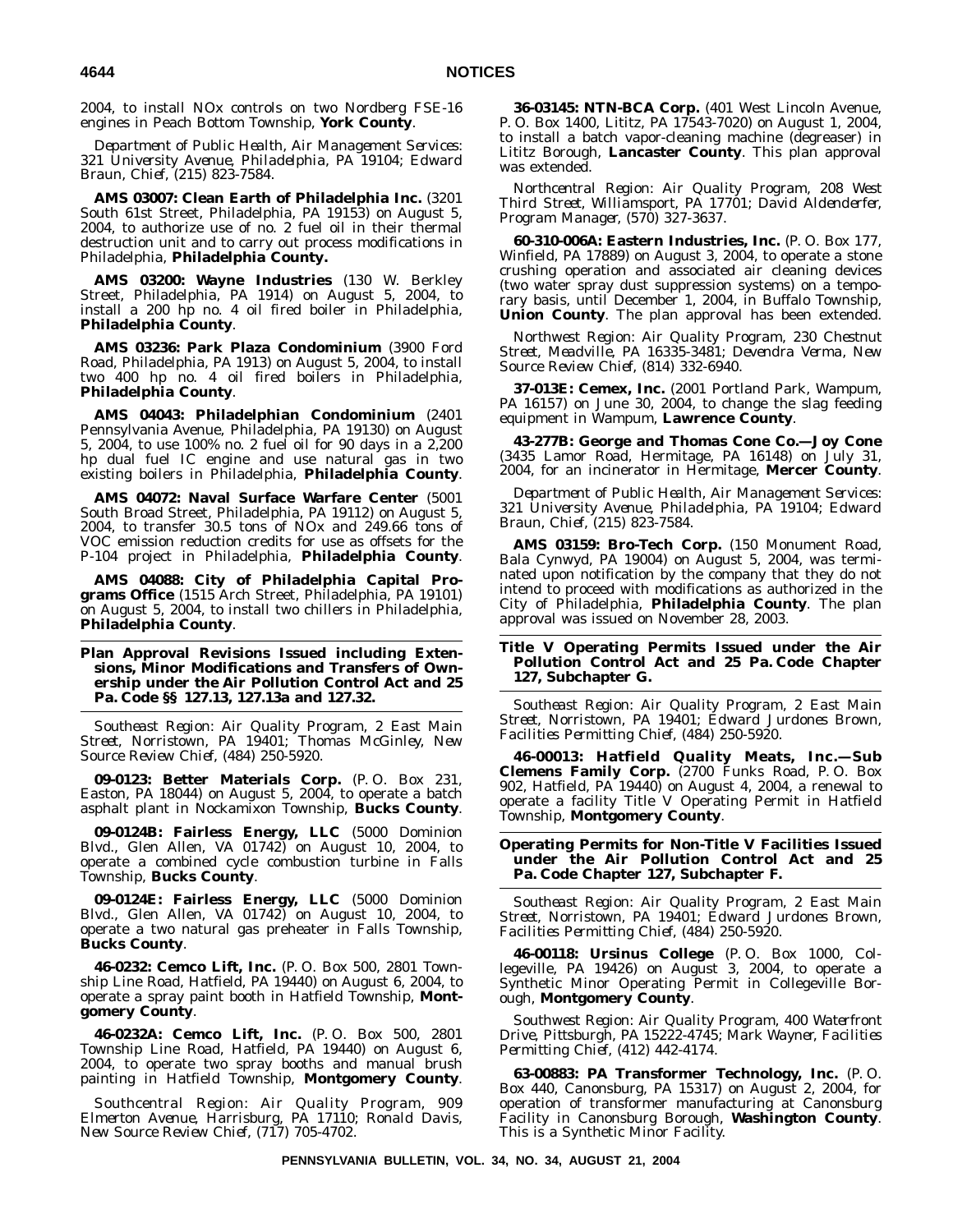2004, to install NOx controls on two Nordberg FSE-16 engines in Peach Bottom Township, **York County**.

*Department of Public Health, Air Management Services: 321 University Avenue, Philadelphia, PA 19104; Edward Braun, Chief, (215) 823-7584.*

**AMS 03007: Clean Earth of Philadelphia Inc.** (3201 South 61st Street, Philadelphia, PA 19153) on August 5, 2004, to authorize use of no. 2 fuel oil in their thermal destruction unit and to carry out process modifications in Philadelphia, **Philadelphia County.**

**AMS 03200: Wayne Industries** (130 W. Berkley Street, Philadelphia, PA 1914) on August 5, 2004, to install a 200 hp no. 4 oil fired boiler in Philadelphia, **Philadelphia County**.

**AMS 03236: Park Plaza Condominium** (3900 Ford Road, Philadelphia, PA 1913) on August 5, 2004, to install two 400 hp no. 4 oil fired boilers in Philadelphia, **Philadelphia County**.

**AMS 04043: Philadelphian Condominium** (2401 Pennsylvania Avenue, Philadelphia, PA 19130) on August 5, 2004, to use 100% no. 2 fuel oil for 90 days in a 2,200 hp dual fuel IC engine and use natural gas in two existing boilers in Philadelphia, **Philadelphia County**.

**AMS 04072: Naval Surface Warfare Center** (5001 South Broad Street, Philadelphia, PA 19112) on August 5, 2004, to transfer 30.5 tons of NOx and 249.66 tons of VOC emission reduction credits for use as offsets for the P-104 project in Philadelphia, **Philadelphia County**.

**AMS 04088: City of Philadelphia Capital Programs Office** (1515 Arch Street, Philadelphia, PA 19101) on August 5, 2004, to install two chillers in Philadelphia, **Philadelphia County**.

## **Plan Approval Revisions Issued including Extensions, Minor Modifications and Transfers of Ownership under the Air Pollution Control Act and 25 Pa. Code §§ 127.13, 127.13a and 127.32.**

*Southeast Region: Air Quality Program, 2 East Main Street, Norristown, PA 19401; Thomas McGinley, New Source Review Chief, (484) 250-5920.*

**09-0123: Better Materials Corp.** (P. O. Box 231, Easton, PA 18044) on August 5, 2004, to operate a batch asphalt plant in Nockamixon Township, **Bucks County**.

**09-0124B: Fairless Energy, LLC** (5000 Dominion Blvd., Glen Allen, VA 01742) on August 10, 2004, to operate a combined cycle combustion turbine in Falls Township, **Bucks County**.

**09-0124E: Fairless Energy, LLC** (5000 Dominion Blvd., Glen Allen, VA 01742) on August 10, 2004, to operate a two natural gas preheater in Falls Township, **Bucks County**.

**46-0232: Cemco Lift, Inc.** (P. O. Box 500, 2801 Township Line Road, Hatfield, PA 19440) on August 6, 2004, to operate a spray paint booth in Hatfield Township, **Montgomery County**.

**46-0232A: Cemco Lift, Inc.** (P. O. Box 500, 2801 Township Line Road, Hatfield, PA 19440) on August 6, 2004, to operate two spray booths and manual brush painting in Hatfield Township, **Montgomery County**.

*Southcentral Region: Air Quality Program, 909 Elmerton Avenue, Harrisburg, PA 17110; Ronald Davis, New Source Review Chief, (717) 705-4702.*

**36-03145: NTN-BCA Corp.** (401 West Lincoln Avenue, P. O. Box 1400, Lititz, PA 17543-7020) on August 1, 2004, to install a batch vapor-cleaning machine (degreaser) in Lititz Borough, **Lancaster County**. This plan approval was extended.

*Northcentral Region: Air Quality Program, 208 West Third Street, Williamsport, PA 17701; David Aldenderfer, Program Manager, (570) 327-3637.*

**60-310-006A: Eastern Industries, Inc.** (P. O. Box 177, Winfield, PA 17889) on August 3, 2004, to operate a stone crushing operation and associated air cleaning devices (two water spray dust suppression systems) on a temporary basis, until December 1, 2004, in Buffalo Township, **Union County**. The plan approval has been extended.

*Northwest Region: Air Quality Program, 230 Chestnut Street, Meadville, PA 16335-3481; Devendra Verma, New Source Review Chief, (814) 332-6940.*

**37-013E: Cemex, Inc.** (2001 Portland Park, Wampum, PA 16157) on June 30, 2004, to change the slag feeding equipment in Wampum, **Lawrence County**.

**43-277B: George and Thomas Cone Co.—Joy Cone** (3435 Lamor Road, Hermitage, PA 16148) on July 31, 2004, for an incinerator in Hermitage, **Mercer County**.

*Department of Public Health, Air Management Services: 321 University Avenue, Philadelphia, PA 19104; Edward Braun, Chief, (215) 823-7584.*

**AMS 03159: Bro-Tech Corp.** (150 Monument Road, Bala Cynwyd, PA 19004) on August 5, 2004, was terminated upon notification by the company that they do not intend to proceed with modifications as authorized in the City of Philadelphia, **Philadelphia County**. The plan approval was issued on November 28, 2003.

## **Title V Operating Permits Issued under the Air Pollution Control Act and 25 Pa. Code Chapter 127, Subchapter G.**

*Southeast Region: Air Quality Program, 2 East Main Street, Norristown, PA 19401; Edward Jurdones Brown, Facilities Permitting Chief, (484) 250-5920.*

**46-00013: Hatfield Quality Meats, Inc.—Sub Clemens Family Corp.** (2700 Funks Road, P. O. Box 902, Hatfield, PA 19440) on August 4, 2004, a renewal to operate a facility Title V Operating Permit in Hatfield Township, **Montgomery County**.

**Operating Permits for Non-Title V Facilities Issued under the Air Pollution Control Act and 25 Pa. Code Chapter 127, Subchapter F.**

*Southeast Region: Air Quality Program, 2 East Main Street, Norristown, PA 19401; Edward Jurdones Brown, Facilities Permitting Chief, (484) 250-5920.*

**46-00118: Ursinus College** (P. O. Box 1000, Collegeville, PA 19426) on August 3, 2004, to operate a Synthetic Minor Operating Permit in Collegeville Borough, **Montgomery County**.

*Southwest Region: Air Quality Program, 400 Waterfront Drive, Pittsburgh, PA 15222-4745; Mark Wayner, Facilities Permitting Chief, (412) 442-4174.*

**63-00883: PA Transformer Technology, Inc.** (P. O. Box 440, Canonsburg, PA 15317) on August 2, 2004, for operation of transformer manufacturing at Canonsburg Facility in Canonsburg Borough, **Washington County**. This is a Synthetic Minor Facility.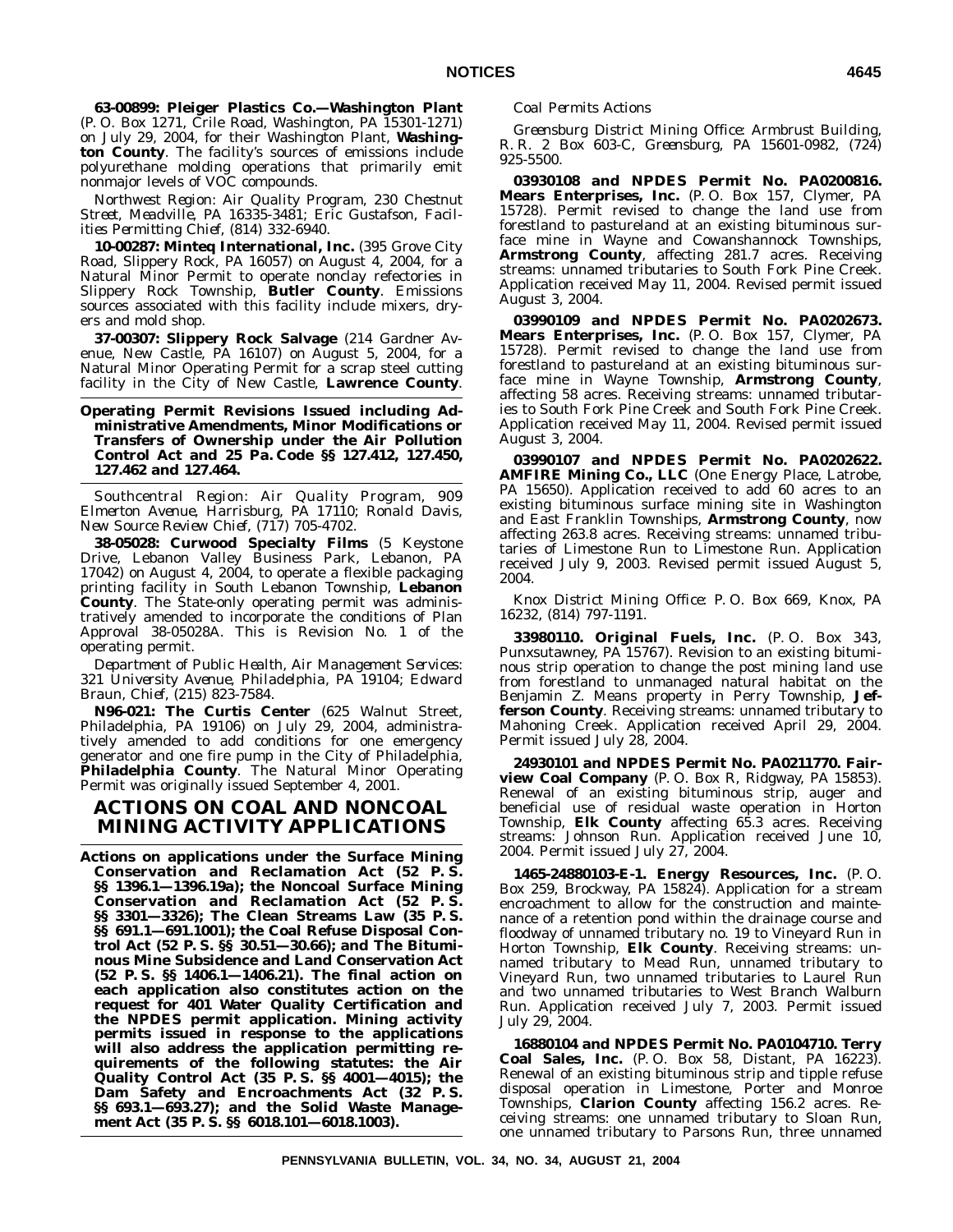**63-00899: Pleiger Plastics Co.—Washington Plant** (P. O. Box 1271, Crile Road, Washington, PA 15301-1271) on July 29, 2004, for their Washington Plant, **Washington County**. The facility's sources of emissions include polyurethane molding operations that primarily emit nonmajor levels of VOC compounds.

*Northwest Region: Air Quality Program, 230 Chestnut Street, Meadville, PA 16335-3481; Eric Gustafson, Facilities Permitting Chief, (814) 332-6940.*

**10-00287: Minteq International, Inc.** (395 Grove City Road, Slippery Rock, PA 16057) on August 4, 2004, for a Natural Minor Permit to operate nonclay refectories in Slippery Rock Township, **Butler County**. Emissions sources associated with this facility include mixers, dryers and mold shop.

**37-00307: Slippery Rock Salvage** (214 Gardner Avenue, New Castle, PA 16107) on August 5, 2004, for a Natural Minor Operating Permit for a scrap steel cutting facility in the City of New Castle, **Lawrence County**.

## **Operating Permit Revisions Issued including Administrative Amendments, Minor Modifications or Transfers of Ownership under the Air Pollution Control Act and 25 Pa. Code §§ 127.412, 127.450, 127.462 and 127.464.**

*Southcentral Region: Air Quality Program, 909 Elmerton Avenue, Harrisburg, PA 17110; Ronald Davis, New Source Review Chief, (717) 705-4702.*

**38-05028: Curwood Specialty Films** (5 Keystone Drive, Lebanon Valley Business Park, Lebanon, PA 17042) on August 4, 2004, to operate a flexible packaging printing facility in South Lebanon Township, **Lebanon County**. The State-only operating permit was administratively amended to incorporate the conditions of Plan Approval 38-05028A. This is Revision No. 1 of the operating permit.

*Department of Public Health, Air Management Services: 321 University Avenue, Philadelphia, PA 19104; Edward Braun, Chief, (215) 823-7584.*

**N96-021: The Curtis Center** (625 Walnut Street, Philadelphia, PA 19106) on July 29, 2004, administratively amended to add conditions for one emergency generator and one fire pump in the City of Philadelphia, **Philadelphia County**. The Natural Minor Operating Permit was originally issued September 4, 2001.

# **ACTIONS ON COAL AND NONCOAL MINING ACTIVITY APPLICATIONS**

**Actions on applications under the Surface Mining Conservation and Reclamation Act (52 P. S. §§ 1396.1—1396.19a); the Noncoal Surface Mining Conservation and Reclamation Act (52 P. S. §§ 3301—3326); The Clean Streams Law (35 P. S. §§ 691.1—691.1001); the Coal Refuse Disposal Control Act (52 P. S. §§ 30.51—30.66); and The Bituminous Mine Subsidence and Land Conservation Act (52 P. S. §§ 1406.1—1406.21). The final action on each application also constitutes action on the request for 401 Water Quality Certification and the NPDES permit application. Mining activity permits issued in response to the applications will also address the application permitting requirements of the following statutes: the Air Quality Control Act (35 P. S. §§ 4001—4015); the Dam Safety and Encroachments Act (32 P. S. §§ 693.1—693.27); and the Solid Waste Management Act (35 P. S. §§ 6018.101—6018.1003).**

## *Coal Permits Actions*

*Greensburg District Mining Office: Armbrust Building, R. R. 2 Box 603-C, Greensburg, PA 15601-0982, (724) 925-5500.*

**03930108 and NPDES Permit No. PA0200816. Mears Enterprises, Inc.** (P. O. Box 157, Clymer, PA 15728). Permit revised to change the land use from forestland to pastureland at an existing bituminous surface mine in Wayne and Cowanshannock Townships, **Armstrong County**, affecting 281.7 acres. Receiving streams: unnamed tributaries to South Fork Pine Creek. Application received May 11, 2004. Revised permit issued August 3, 2004.

**03990109 and NPDES Permit No. PA0202673. Mears Enterprises, Inc.** (P. O. Box 157, Clymer, PA 15728). Permit revised to change the land use from forestland to pastureland at an existing bituminous surface mine in Wayne Township, **Armstrong County**, affecting 58 acres. Receiving streams: unnamed tributaries to South Fork Pine Creek and South Fork Pine Creek. Application received May 11, 2004. Revised permit issued August 3, 2004.

**03990107 and NPDES Permit No. PA0202622. AMFIRE Mining Co., LLC** (One Energy Place, Latrobe, PA 15650). Application received to add 60 acres to an existing bituminous surface mining site in Washington and East Franklin Townships, **Armstrong County**, now affecting 263.8 acres. Receiving streams: unnamed tributaries of Limestone Run to Limestone Run. Application received July 9, 2003. Revised permit issued August 5, 2004.

*Knox District Mining Office: P. O. Box 669, Knox, PA 16232, (814) 797-1191.*

**33980110. Original Fuels, Inc.** (P. O. Box 343, Punxsutawney, PA 15767). Revision to an existing bituminous strip operation to change the post mining land use from forestland to unmanaged natural habitat on the Benjamin Z. Means property in Perry Township, **Jefferson County**. Receiving streams: unnamed tributary to Mahoning Creek. Application received April 29, 2004. Permit issued July 28, 2004.

**24930101 and NPDES Permit No. PA0211770. Fairview Coal Company** (P. O. Box R, Ridgway, PA 15853). Renewal of an existing bituminous strip, auger and beneficial use of residual waste operation in Horton Township, **Elk County** affecting 65.3 acres. Receiving streams: Johnson Run. Application received June 10, 2004. Permit issued July 27, 2004.

**1465-24880103-E-1. Energy Resources, Inc.** (P. O. Box 259, Brockway, PA 15824). Application for a stream encroachment to allow for the construction and maintenance of a retention pond within the drainage course and floodway of unnamed tributary no. 19 to Vineyard Run in Horton Township, **Elk County**. Receiving streams: unnamed tributary to Mead Run, unnamed tributary to Vineyard Run, two unnamed tributaries to Laurel Run and two unnamed tributaries to West Branch Walburn Run. Application received July 7, 2003. Permit issued July 29, 2004.

**16880104 and NPDES Permit No. PA0104710. Terry Coal Sales, Inc.** (P. O. Box 58, Distant, PA 16223). Renewal of an existing bituminous strip and tipple refuse disposal operation in Limestone, Porter and Monroe Townships, **Clarion County** affecting 156.2 acres. Receiving streams: one unnamed tributary to Sloan Run, one unnamed tributary to Parsons Run, three unnamed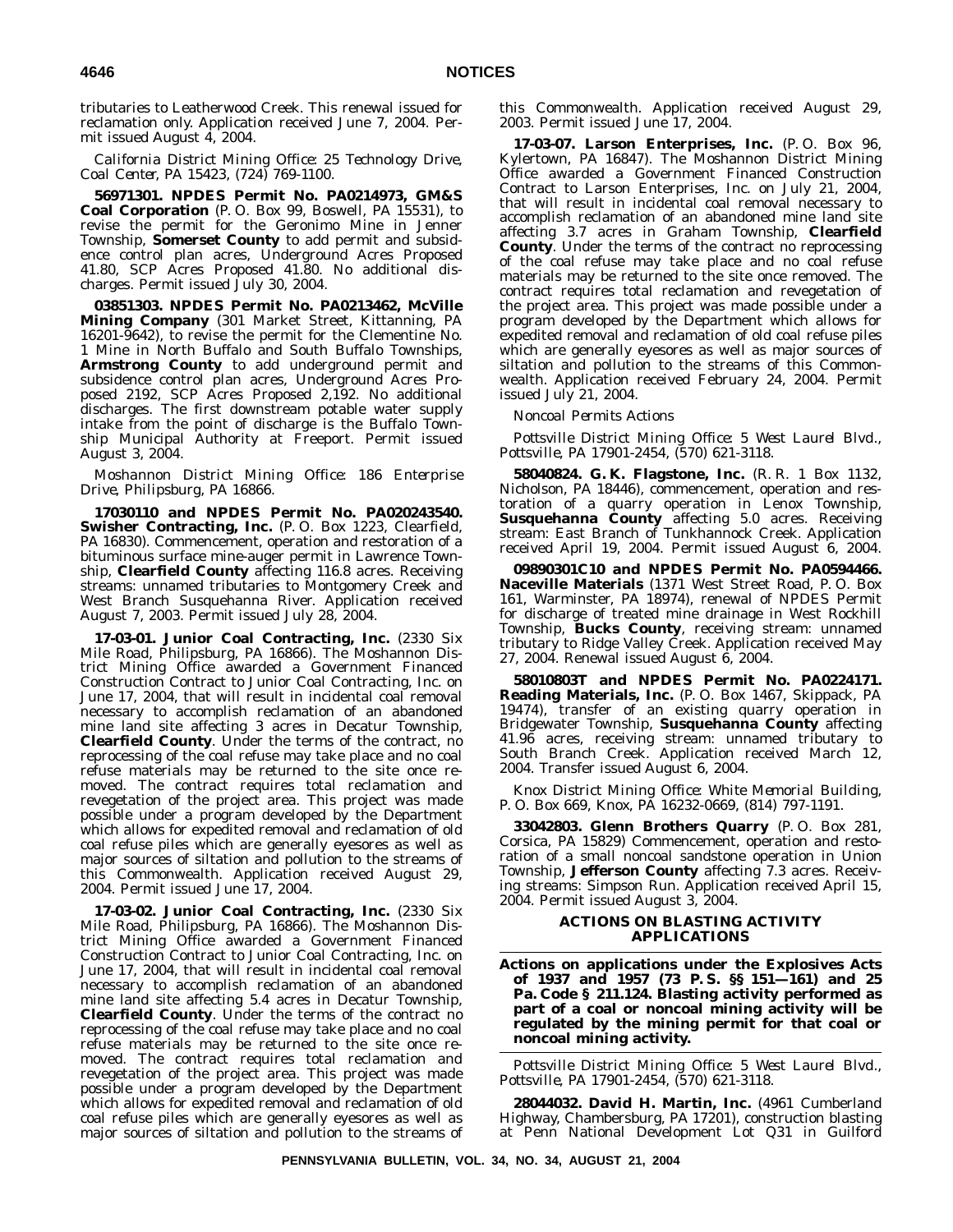tributaries to Leatherwood Creek. This renewal issued for reclamation only. Application received June 7, 2004. Permit issued August 4, 2004.

*California District Mining Office: 25 Technology Drive, Coal Center, PA 15423, (724) 769-1100.*

**56971301. NPDES Permit No. PA0214973, GM&S Coal Corporation** (P. O. Box 99, Boswell, PA 15531), to revise the permit for the Geronimo Mine in Jenner Township, **Somerset County** to add permit and subsidence control plan acres, Underground Acres Proposed 41.80, SCP Acres Proposed 41.80. No additional discharges. Permit issued July 30, 2004.

**03851303. NPDES Permit No. PA0213462, McVille Mining Company** (301 Market Street, Kittanning, PA 16201-9642), to revise the permit for the Clementine No. 1 Mine in North Buffalo and South Buffalo Townships, **Armstrong County** to add underground permit and subsidence control plan acres, Underground Acres Proposed 2192, SCP Acres Proposed 2,192. No additional discharges. The first downstream potable water supply intake from the point of discharge is the Buffalo Township Municipal Authority at Freeport. Permit issued August 3, 2004.

*Moshannon District Mining Office: 186 Enterprise Drive, Philipsburg, PA 16866.*

**17030110 and NPDES Permit No. PA020243540. Swisher Contracting, Inc.** (P. O. Box 1223, Clearfield, PA 16830). Commencement, operation and restoration of a bituminous surface mine-auger permit in Lawrence Township, **Clearfield County** affecting 116.8 acres. Receiving streams: unnamed tributaries to Montgomery Creek and West Branch Susquehanna River. Application received August 7, 2003. Permit issued July 28, 2004.

**17-03-01. Junior Coal Contracting, Inc.** (2330 Six Mile Road, Philipsburg, PA 16866). The Moshannon District Mining Office awarded a Government Financed Construction Contract to Junior Coal Contracting, Inc. on June 17, 2004, that will result in incidental coal removal necessary to accomplish reclamation of an abandoned mine land site affecting 3 acres in Decatur Township, **Clearfield County**. Under the terms of the contract, no reprocessing of the coal refuse may take place and no coal refuse materials may be returned to the site once removed. The contract requires total reclamation and revegetation of the project area. This project was made possible under a program developed by the Department which allows for expedited removal and reclamation of old coal refuse piles which are generally eyesores as well as major sources of siltation and pollution to the streams of this Commonwealth. Application received August 29, 2004. Permit issued June 17, 2004.

**17-03-02. Junior Coal Contracting, Inc.** (2330 Six Mile Road, Philipsburg, PA 16866). The Moshannon District Mining Office awarded a Government Financed Construction Contract to Junior Coal Contracting, Inc. on June 17, 2004, that will result in incidental coal removal necessary to accomplish reclamation of an abandoned mine land site affecting 5.4 acres in Decatur Township, **Clearfield County**. Under the terms of the contract no reprocessing of the coal refuse may take place and no coal refuse materials may be returned to the site once removed. The contract requires total reclamation and revegetation of the project area. This project was made possible under a program developed by the Department which allows for expedited removal and reclamation of old coal refuse piles which are generally eyesores as well as major sources of siltation and pollution to the streams of

this Commonwealth. Application received August 29, 2003. Permit issued June 17, 2004.

**17-03-07. Larson Enterprises, Inc.** (P. O. Box 96, Kylertown, PA 16847). The Moshannon District Mining Office awarded a Government Financed Construction Contract to Larson Enterprises, Inc. on July 21, 2004, that will result in incidental coal removal necessary to accomplish reclamation of an abandoned mine land site affecting 3.7 acres in Graham Township, **Clearfield County**. Under the terms of the contract no reprocessing of the coal refuse may take place and no coal refuse materials may be returned to the site once removed. The contract requires total reclamation and revegetation of the project area. This project was made possible under a program developed by the Department which allows for expedited removal and reclamation of old coal refuse piles which are generally eyesores as well as major sources of siltation and pollution to the streams of this Commonwealth. Application received February 24, 2004. Permit issued July 21, 2004.

*Noncoal Permits Actions*

*Pottsville District Mining Office: 5 West Laurel Blvd., Pottsville, PA 17901-2454, (570) 621-3118.*

**58040824. G. K. Flagstone, Inc.** (R. R. 1 Box 1132, Nicholson, PA 18446), commencement, operation and restoration of a quarry operation in Lenox Township, **Susquehanna County** affecting 5.0 acres. Receiving stream: East Branch of Tunkhannock Creek. Application received April 19, 2004. Permit issued August 6, 2004.

**09890301C10 and NPDES Permit No. PA0594466. Naceville Materials** (1371 West Street Road, P. O. Box 161, Warminster, PA 18974), renewal of NPDES Permit for discharge of treated mine drainage in West Rockhill Township, **Bucks County**, receiving stream: unnamed tributary to Ridge Valley Creek. Application received May 27, 2004. Renewal issued August 6, 2004.

**58010803T and NPDES Permit No. PA0224171. Reading Materials, Inc.** (P. O. Box 1467, Skippack, PA 19474), transfer of an existing quarry operation in Bridgewater Township, **Susquehanna County** affecting 41.96 acres, receiving stream: unnamed tributary to South Branch Creek. Application received March 12, 2004. Transfer issued August 6, 2004.

*Knox District Mining Office: White Memorial Building, P. O. Box 669, Knox, PA 16232-0669, (814) 797-1191.*

**33042803. Glenn Brothers Quarry** (P. O. Box 281, Corsica, PA 15829) Commencement, operation and restoration of a small noncoal sandstone operation in Union Township, **Jefferson County** affecting 7.3 acres. Receiving streams: Simpson Run. Application received April 15, 2004. Permit issued August 3, 2004.

## **ACTIONS ON BLASTING ACTIVITY APPLICATIONS**

**Actions on applications under the Explosives Acts of 1937 and 1957 (73 P. S. §§ 151—161) and 25 Pa. Code § 211.124. Blasting activity performed as part of a coal or noncoal mining activity will be regulated by the mining permit for that coal or noncoal mining activity.**

*Pottsville District Mining Office: 5 West Laurel Blvd., Pottsville, PA 17901-2454, (570) 621-3118.*

**28044032. David H. Martin, Inc.** (4961 Cumberland Highway, Chambersburg, PA 17201), construction blasting at Penn National Development Lot Q31 in Guilford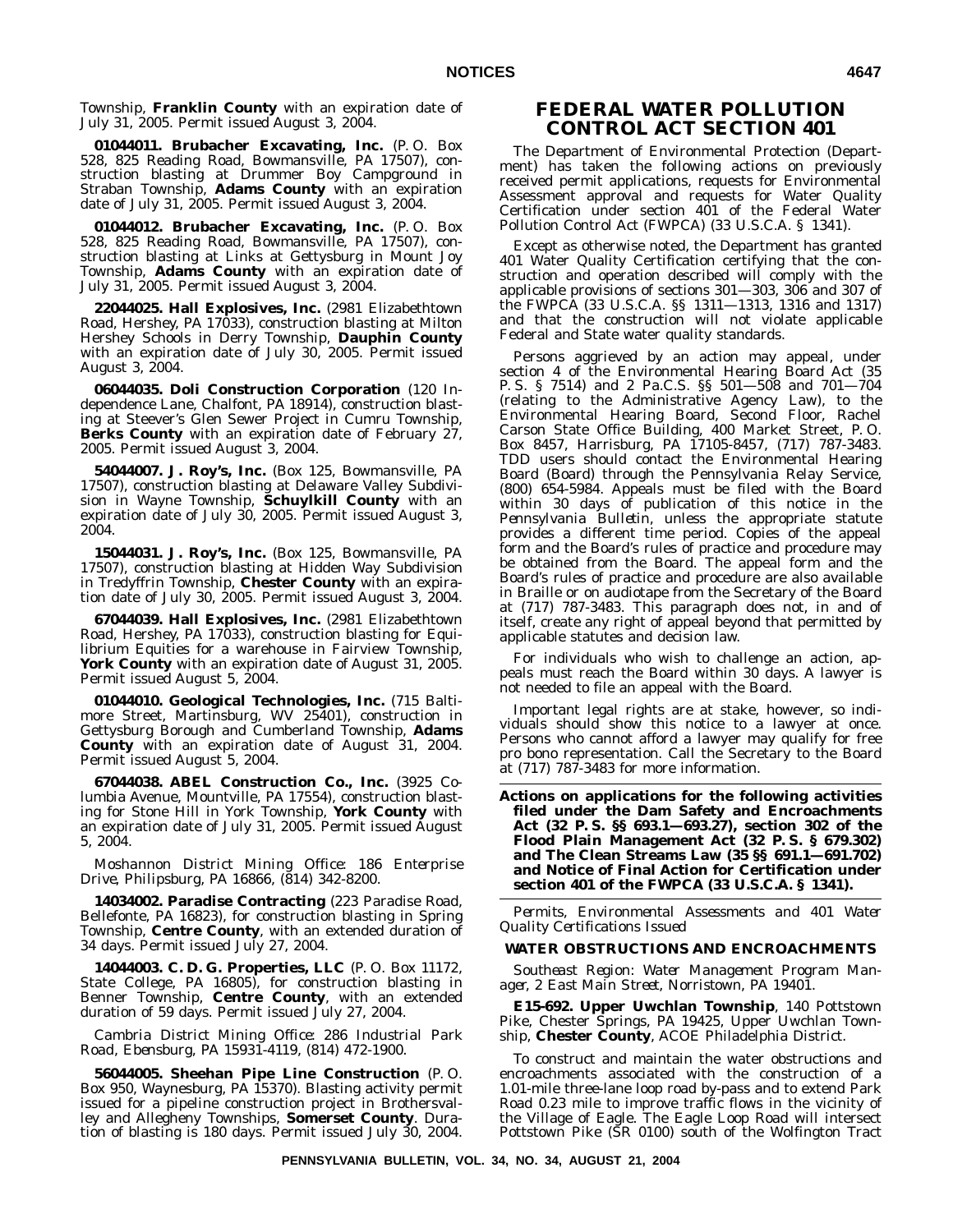Township, **Franklin County** with an expiration date of July 31, 2005. Permit issued August 3, 2004.

**01044011. Brubacher Excavating, Inc.** (P. O. Box 528, 825 Reading Road, Bowmansville, PA 17507), construction blasting at Drummer Boy Campground in Straban Township, **Adams County** with an expiration date of July 31, 2005. Permit issued August 3, 2004.

**01044012. Brubacher Excavating, Inc.** (P. O. Box 528, 825 Reading Road, Bowmansville, PA 17507), construction blasting at Links at Gettysburg in Mount Joy Township, **Adams County** with an expiration date of July 31, 2005. Permit issued August 3, 2004.

**22044025. Hall Explosives, Inc.** (2981 Elizabethtown Road, Hershey, PA 17033), construction blasting at Milton Hershey Schools in Derry Township, **Dauphin County** with an expiration date of July 30, 2005. Permit issued August 3, 2004.

**06044035. Doli Construction Corporation** (120 Independence Lane, Chalfont, PA 18914), construction blasting at Steever's Glen Sewer Project in Cumru Township, **Berks County** with an expiration date of February 27, 2005. Permit issued August 3, 2004.

**54044007. J. Roy's, Inc.** (Box 125, Bowmansville, PA 17507), construction blasting at Delaware Valley Subdivision in Wayne Township, **Schuylkill County** with an expiration date of July 30, 2005. Permit issued August 3, 2004.

**15044031. J. Roy's, Inc.** (Box 125, Bowmansville, PA 17507), construction blasting at Hidden Way Subdivision in Tredyffrin Township, **Chester County** with an expiration date of July 30, 2005. Permit issued August 3, 2004.

**67044039. Hall Explosives, Inc.** (2981 Elizabethtown Road, Hershey, PA 17033), construction blasting for Equilibrium Equities for a warehouse in Fairview Township, **York County** with an expiration date of August 31, 2005. Permit issued August 5, 2004.

**01044010. Geological Technologies, Inc.** (715 Baltimore Street, Martinsburg, WV 25401), construction in Gettysburg Borough and Cumberland Township, **Adams County** with an expiration date of August 31, 2004. Permit issued August 5, 2004.

**67044038. ABEL Construction Co., Inc.** (3925 Columbia Avenue, Mountville, PA 17554), construction blasting for Stone Hill in York Township, **York County** with an expiration date of July 31, 2005. Permit issued August 5, 2004.

*Moshannon District Mining Office: 186 Enterprise Drive, Philipsburg, PA 16866, (814) 342-8200.*

**14034002. Paradise Contracting** (223 Paradise Road, Bellefonte, PA 16823), for construction blasting in Spring Township, **Centre County**, with an extended duration of 34 days. Permit issued July 27, 2004.

**14044003. C. D. G. Properties, LLC** (P. O. Box 11172, State College, PA 16805), for construction blasting in Benner Township, **Centre County**, with an extended duration of 59 days. Permit issued July 27, 2004.

*Cambria District Mining Office: 286 Industrial Park Road, Ebensburg, PA 15931-4119, (814) 472-1900.*

**56044005. Sheehan Pipe Line Construction** (P. O. Box 950, Waynesburg, PA 15370). Blasting activity permit issued for a pipeline construction project in Brothersvalley and Allegheny Townships, **Somerset County**. Duration of blasting is 180 days. Permit issued July 30, 2004.

# **FEDERAL WATER POLLUTION CONTROL ACT SECTION 401**

The Department of Environmental Protection (Department) has taken the following actions on previously received permit applications, requests for Environmental Assessment approval and requests for Water Quality Certification under section 401 of the Federal Water Pollution Control Act (FWPCA) (33 U.S.C.A. § 1341).

Except as otherwise noted, the Department has granted 401 Water Quality Certification certifying that the construction and operation described will comply with the applicable provisions of sections 301—303, 306 and 307 of the FWPCA (33 U.S.C.A. §§ 1311—1313, 1316 and 1317) and that the construction will not violate applicable Federal and State water quality standards.

Persons aggrieved by an action may appeal, under section 4 of the Environmental Hearing Board Act (35 P. S. § 7514) and 2 Pa.C.S. §§ 501—508 and 701—704 (relating to the Administrative Agency Law), to the Environmental Hearing Board, Second Floor, Rachel Carson State Office Building, 400 Market Street, P. O. Box 8457, Harrisburg, PA 17105-8457, (717) 787-3483. TDD users should contact the Environmental Hearing Board (Board) through the Pennsylvania Relay Service, (800) 654-5984. Appeals must be filed with the Board within 30 days of publication of this notice in the *Pennsylvania Bulletin*, unless the appropriate statute provides a different time period. Copies of the appeal form and the Board's rules of practice and procedure may be obtained from the Board. The appeal form and the Board's rules of practice and procedure are also available in Braille or on audiotape from the Secretary of the Board at (717) 787-3483. This paragraph does not, in and of itself, create any right of appeal beyond that permitted by applicable statutes and decision law.

For individuals who wish to challenge an action, appeals must reach the Board within 30 days. A lawyer is not needed to file an appeal with the Board.

Important legal rights are at stake, however, so individuals should show this notice to a lawyer at once. Persons who cannot afford a lawyer may qualify for free pro bono representation. Call the Secretary to the Board at (717) 787-3483 for more information.

**Actions on applications for the following activities filed under the Dam Safety and Encroachments Act (32 P. S. §§ 693.1—693.27), section 302 of the Flood Plain Management Act (32 P. S. § 679.302) and The Clean Streams Law (35 §§ 691.1—691.702) and Notice of Final Action for Certification under section 401 of the FWPCA (33 U.S.C.A. § 1341).**

*Permits, Environmental Assessments and 401 Water Quality Certifications Issued*

## **WATER OBSTRUCTIONS AND ENCROACHMENTS**

*Southeast Region: Water Management Program Manager, 2 East Main Street, Norristown, PA 19401.*

**E15-692. Upper Uwchlan Township**, 140 Pottstown Pike, Chester Springs, PA 19425, Upper Uwchlan Township, **Chester County**, ACOE Philadelphia District.

To construct and maintain the water obstructions and encroachments associated with the construction of a 1.01-mile three-lane loop road by-pass and to extend Park Road 0.23 mile to improve traffic flows in the vicinity of the Village of Eagle. The Eagle Loop Road will intersect Pottstown Pike (SR 0100) south of the Wolfington Tract

**PENNSYLVANIA BULLETIN, VOL. 34, NO. 34, AUGUST 21, 2004**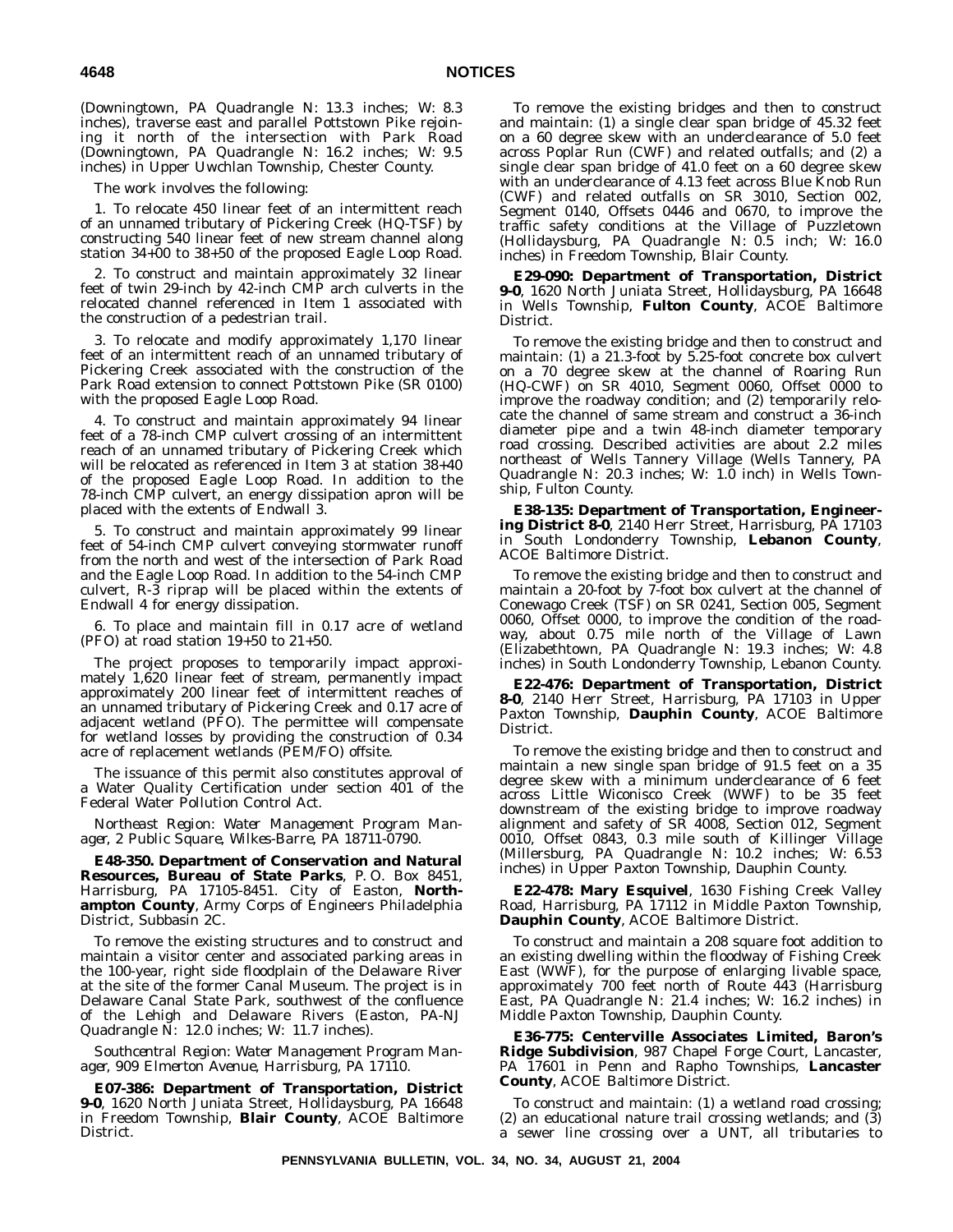(Downingtown, PA Quadrangle N: 13.3 inches; W: 8.3 inches), traverse east and parallel Pottstown Pike rejoining it north of the intersection with Park Road (Downingtown, PA Quadrangle N: 16.2 inches; W: 9.5 inches) in Upper Uwchlan Township, Chester County.

The work involves the following:

1. To relocate 450 linear feet of an intermittent reach of an unnamed tributary of Pickering Creek (HQ-TSF) by constructing 540 linear feet of new stream channel along station 34+00 to 38+50 of the proposed Eagle Loop Road.

2. To construct and maintain approximately 32 linear feet of twin 29-inch by 42-inch CMP arch culverts in the relocated channel referenced in Item 1 associated with the construction of a pedestrian trail.

3. To relocate and modify approximately 1,170 linear feet of an intermittent reach of an unnamed tributary of Pickering Creek associated with the construction of the Park Road extension to connect Pottstown Pike (SR 0100) with the proposed Eagle Loop Road.

4. To construct and maintain approximately 94 linear feet of a 78-inch CMP culvert crossing of an intermittent reach of an unnamed tributary of Pickering Creek which will be relocated as referenced in Item 3 at station 38+40 of the proposed Eagle Loop Road. In addition to the 78-inch CMP culvert, an energy dissipation apron will be placed with the extents of Endwall 3.

5. To construct and maintain approximately 99 linear feet of 54-inch CMP culvert conveying stormwater runoff from the north and west of the intersection of Park Road and the Eagle Loop Road. In addition to the 54-inch CMP culvert, R-3 riprap will be placed within the extents of Endwall 4 for energy dissipation.

6. To place and maintain fill in 0.17 acre of wetland (PFO) at road station  $19+50$  to  $21+50$ .

The project proposes to temporarily impact approximately 1,620 linear feet of stream, permanently impact approximately 200 linear feet of intermittent reaches of an unnamed tributary of Pickering Creek and 0.17 acre of adjacent wetland (PFO). The permittee will compensate for wetland losses by providing the construction of 0.34 acre of replacement wetlands (PEM/FO) offsite.

The issuance of this permit also constitutes approval of a Water Quality Certification under section 401 of the Federal Water Pollution Control Act.

*Northeast Region: Water Management Program Manager, 2 Public Square, Wilkes-Barre, PA 18711-0790.*

**E48-350. Department of Conservation and Natural Resources, Bureau of State Parks**, P. O. Box 8451, Harrisburg, PA 17105-8451. City of Easton, **Northampton County**, Army Corps of Engineers Philadelphia District, Subbasin 2C.

To remove the existing structures and to construct and maintain a visitor center and associated parking areas in the 100-year, right side floodplain of the Delaware River at the site of the former Canal Museum. The project is in Delaware Canal State Park, southwest of the confluence of the Lehigh and Delaware Rivers (Easton, PA-NJ Quadrangle N: 12.0 inches; W: 11.7 inches).

*Southcentral Region: Water Management Program Manager, 909 Elmerton Avenue, Harrisburg, PA 17110.*

**E07-386: Department of Transportation, District 9-0**, 1620 North Juniata Street, Hollidaysburg, PA 16648 in Freedom Township, **Blair County**, ACOE Baltimore District.

To remove the existing bridges and then to construct and maintain: (1) a single clear span bridge of 45.32 feet on a 60 degree skew with an underclearance of 5.0 feet across Poplar Run (CWF) and related outfalls; and (2) a single clear span bridge of 41.0 feet on a 60 degree skew with an underclearance of 4.13 feet across Blue Knob Run (CWF) and related outfalls on SR 3010, Section 002, Segment 0140, Offsets 0446 and 0670, to improve the traffic safety conditions at the Village of Puzzletown (Hollidaysburg, PA Quadrangle N: 0.5 inch; W: 16.0 inches) in Freedom Township, Blair County.

**E29-090: Department of Transportation, District 9-0**, 1620 North Juniata Street, Hollidaysburg, PA 16648 in Wells Township, **Fulton County**, ACOE Baltimore District.

To remove the existing bridge and then to construct and maintain: (1) a 21.3-foot by 5.25-foot concrete box culvert on a 70 degree skew at the channel of Roaring Run  $(HQ-CWF)$  on SR 4010, Segment 0060, Offset 0000 to improve the roadway condition; and (2) temporarily relocate the channel of same stream and construct a 36-inch diameter pipe and a twin 48-inch diameter temporary road crossing. Described activities are about 2.2 miles northeast of Wells Tannery Village (Wells Tannery, PA Quadrangle N: 20.3 inches; W: 1.0 inch) in Wells Township, Fulton County.

**E38-135: Department of Transportation, Engineering District 8-0**, 2140 Herr Street, Harrisburg, PA 17103 in South Londonderry Township, **Lebanon County**, ACOE Baltimore District.

To remove the existing bridge and then to construct and maintain a 20-foot by 7-foot box culvert at the channel of Conewago Creek (TSF) on SR 0241, Section 005, Segment 0060, Offset 0000, to improve the condition of the roadway, about 0.75 mile north of the Village of Lawn (Elizabethtown, PA Quadrangle N: 19.3 inches; W: 4.8 inches) in South Londonderry Township, Lebanon County.

**E22-476: Department of Transportation, District 8-0**, 2140 Herr Street, Harrisburg, PA 17103 in Upper Paxton Township, **Dauphin County**, ACOE Baltimore District.

To remove the existing bridge and then to construct and maintain a new single span bridge of 91.5 feet on a 35 degree skew with a minimum underclearance of 6 feet across Little Wiconisco Creek (WWF) to be 35 feet downstream of the existing bridge to improve roadway alignment and safety of SR 4008, Section 012, Segment 0010, Offset 0843, 0.3 mile south of Killinger Village (Millersburg, PA Quadrangle N: 10.2 inches; W: 6.53 inches) in Upper Paxton Township, Dauphin County.

**E22-478: Mary Esquivel**, 1630 Fishing Creek Valley Road, Harrisburg, PA 17112 in Middle Paxton Township, **Dauphin County**, ACOE Baltimore District.

To construct and maintain a 208 square foot addition to an existing dwelling within the floodway of Fishing Creek East (WWF), for the purpose of enlarging livable space, approximately 700 feet north of Route 443 (Harrisburg East, PA Quadrangle N: 21.4 inches; W: 16.2 inches) in Middle Paxton Township, Dauphin County.

**E36-775: Centerville Associates Limited, Baron's Ridge Subdivision**, 987 Chapel Forge Court, Lancaster, PA 17601 in Penn and Rapho Townships, **Lancaster County**, ACOE Baltimore District.

To construct and maintain: (1) a wetland road crossing; (2) an educational nature trail crossing wetlands; and (3) a sewer line crossing over a UNT, all tributaries to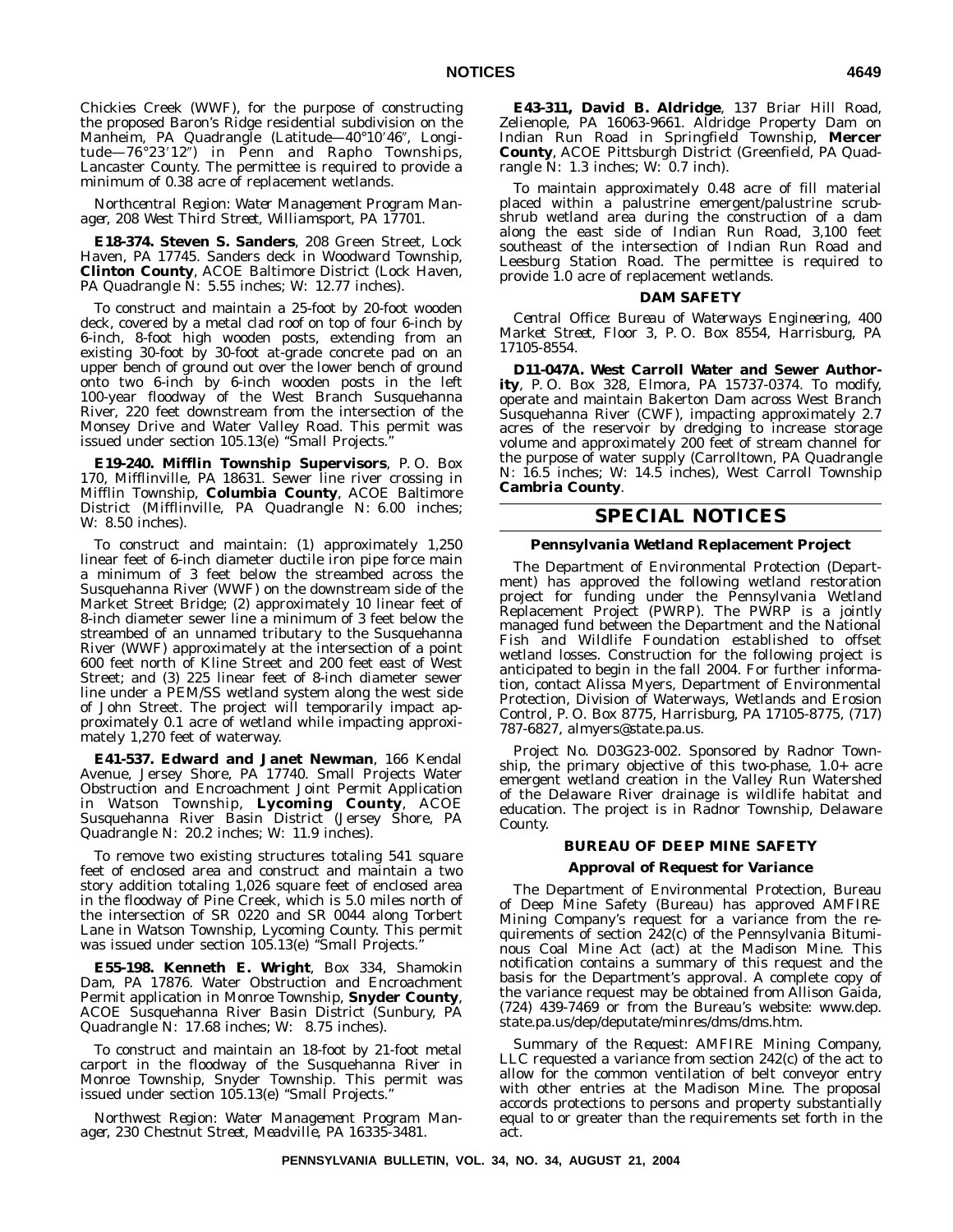Chickies Creek (WWF), for the purpose of constructing the proposed Baron's Ridge residential subdivision on the Manheim, PA Quadrangle (Latitude—40°10'46", Longitude—76°23′12″) in Penn and Rapho Townships, Lancaster County. The permittee is required to provide a minimum of 0.38 acre of replacement wetlands.

*Northcentral Region: Water Management Program Manager, 208 West Third Street, Williamsport, PA 17701.*

**E18-374. Steven S. Sanders**, 208 Green Street, Lock Haven, PA 17745. Sanders deck in Woodward Township, **Clinton County**, ACOE Baltimore District (Lock Haven, PA Quadrangle N: 5.55 inches; W: 12.77 inches).

To construct and maintain a 25-foot by 20-foot wooden deck, covered by a metal clad roof on top of four 6-inch by 6-inch, 8-foot high wooden posts, extending from an existing 30-foot by 30-foot at-grade concrete pad on an upper bench of ground out over the lower bench of ground onto two 6-inch by 6-inch wooden posts in the left 100-year floodway of the West Branch Susquehanna River, 220 feet downstream from the intersection of the Monsey Drive and Water Valley Road. This permit was issued under section 105.13(e) ''Small Projects.''

**E19-240. Mifflin Township Supervisors**, P. O. Box 170, Mifflinville, PA 18631. Sewer line river crossing in Mifflin Township, **Columbia County**, ACOE Baltimore District (Mifflinville, PA Quadrangle N: 6.00 inches; W: 8.50 inches).

To construct and maintain: (1) approximately 1,250 linear feet of 6-inch diameter ductile iron pipe force main a minimum of 3 feet below the streambed across the Susquehanna River (WWF) on the downstream side of the Market Street Bridge; (2) approximately 10 linear feet of 8-inch diameter sewer line a minimum of 3 feet below the streambed of an unnamed tributary to the Susquehanna River (WWF) approximately at the intersection of a point 600 feet north of Kline Street and 200 feet east of West Street; and (3) 225 linear feet of 8-inch diameter sewer line under a PEM/SS wetland system along the west side of John Street. The project will temporarily impact approximately 0.1 acre of wetland while impacting approximately 1,270 feet of waterway.

**E41-537. Edward and Janet Newman**, 166 Kendal Avenue, Jersey Shore, PA 17740. Small Projects Water Obstruction and Encroachment Joint Permit Application in Watson Township, **Lycoming County**, ACOE Susquehanna River Basin District (Jersey Shore, PA Quadrangle N: 20.2 inches; W: 11.9 inches).

To remove two existing structures totaling 541 square feet of enclosed area and construct and maintain a two story addition totaling 1,026 square feet of enclosed area in the floodway of Pine Creek, which is 5.0 miles north of the intersection of SR 0220 and SR 0044 along Torbert Lane in Watson Township, Lycoming County. This permit was issued under section 105.13(e) ''Small Projects.''

**E55-198. Kenneth E. Wright**, Box 334, Shamokin Dam, PA 17876. Water Obstruction and Encroachment Permit application in Monroe Township, **Snyder County**, ACOE Susquehanna River Basin District (Sunbury, PA Quadrangle N: 17.68 inches; W: 8.75 inches).

To construct and maintain an 18-foot by 21-foot metal carport in the floodway of the Susquehanna River in Monroe Township, Snyder Township. This permit was issued under section 105.13(e) "Small Projects.

*Northwest Region: Water Management Program Manager, 230 Chestnut Street, Meadville, PA 16335-3481.*

**E43-311, David B. Aldridge**, 137 Briar Hill Road, Zelienople, PA 16063-9661. Aldridge Property Dam on Indian Run Road in Springfield Township, **Mercer County**, ACOE Pittsburgh District (Greenfield, PA Quadrangle N: 1.3 inches; W: 0.7 inch).

To maintain approximately 0.48 acre of fill material placed within a palustrine emergent/palustrine scrubshrub wetland area during the construction of a dam along the east side of Indian Run Road, 3,100 feet southeast of the intersection of Indian Run Road and Leesburg Station Road. The permittee is required to provide 1.0 acre of replacement wetlands.

#### **DAM SAFETY**

*Central Office: Bureau of Waterways Engineering, 400 Market Street, Floor 3, P. O. Box 8554, Harrisburg, PA 17105-8554.*

**D11-047A. West Carroll Water and Sewer Authority**, P. O. Box 328, Elmora, PA 15737-0374. To modify, operate and maintain Bakerton Dam across West Branch Susquehanna River (CWF), impacting approximately 2.7 acres of the reservoir by dredging to increase storage volume and approximately 200 feet of stream channel for the purpose of water supply (Carrolltown, PA Quadrangle N: 16.5 inches; W: 14.5 inches), West Carroll Township **Cambria County**.

# **SPECIAL NOTICES**

#### **Pennsylvania Wetland Replacement Project**

The Department of Environmental Protection (Department) has approved the following wetland restoration project for funding under the Pennsylvania Wetland Replacement Project (PWRP). The PWRP is a jointly managed fund between the Department and the National Fish and Wildlife Foundation established to offset wetland losses. Construction for the following project is anticipated to begin in the fall 2004. For further information, contact Alissa Myers, Department of Environmental Protection, Division of Waterways, Wetlands and Erosion Control, P. O. Box 8775, Harrisburg, PA 17105-8775, (717) 787-6827, almyers@state.pa.us.

Project No. D03G23-002. Sponsored by Radnor Township, the primary objective of this two-phase, 1.0+ acre emergent wetland creation in the Valley Run Watershed of the Delaware River drainage is wildlife habitat and education. The project is in Radnor Township, Delaware County.

# **BUREAU OF DEEP MINE SAFETY**

#### **Approval of Request for Variance**

The Department of Environmental Protection, Bureau of Deep Mine Safety (Bureau) has approved AMFIRE Mining Company's request for a variance from the requirements of section 242(c) of the Pennsylvania Bituminous Coal Mine Act (act) at the Madison Mine. This notification contains a summary of this request and the basis for the Department's approval. A complete copy of the variance request may be obtained from Allison Gaida, (724) 439-7469 or from the Bureau's website: www.dep. state.pa.us/dep/deputate/minres/dms/dms.htm.

*Summary of the Request:* AMFIRE Mining Company, LLC requested a variance from section 242(c) of the act to allow for the common ventilation of belt conveyor entry with other entries at the Madison Mine. The proposal accords protections to persons and property substantially equal to or greater than the requirements set forth in the act.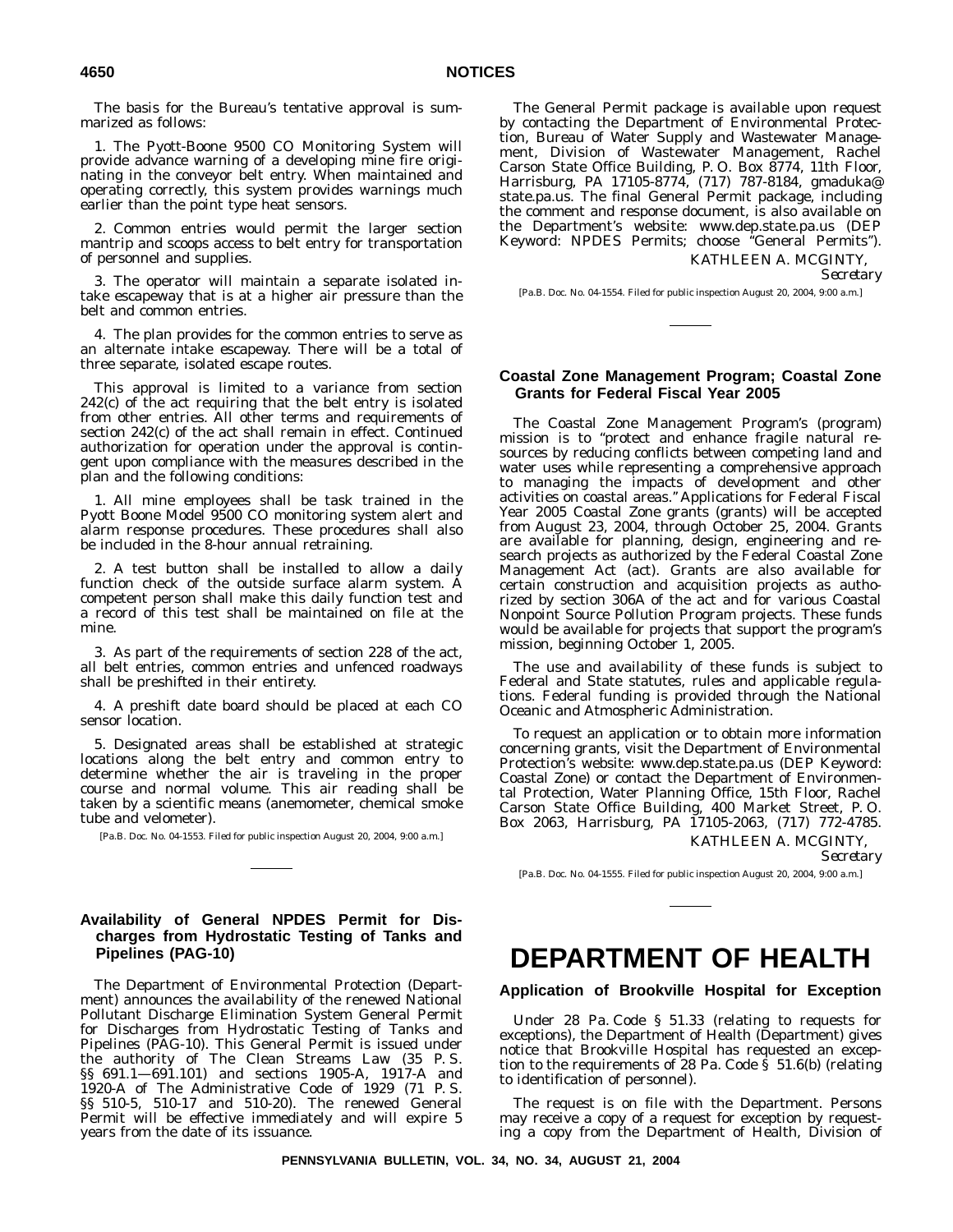The basis for the Bureau's tentative approval is summarized as follows:

1. The Pyott-Boone 9500 CO Monitoring System will provide advance warning of a developing mine fire originating in the conveyor belt entry. When maintained and operating correctly, this system provides warnings much earlier than the point type heat sensors.

2. Common entries would permit the larger section mantrip and scoops access to belt entry for transportation of personnel and supplies.

3. The operator will maintain a separate isolated intake escapeway that is at a higher air pressure than the belt and common entries.

4. The plan provides for the common entries to serve as an alternate intake escapeway. There will be a total of three separate, isolated escape routes.

This approval is limited to a variance from section 242(c) of the act requiring that the belt entry is isolated from other entries. All other terms and requirements of section 242(c) of the act shall remain in effect. Continued authorization for operation under the approval is contingent upon compliance with the measures described in the plan and the following conditions:

1. All mine employees shall be task trained in the Pyott Boone Model 9500 CO monitoring system alert and alarm response procedures. These procedures shall also be included in the 8-hour annual retraining.

2. A test button shall be installed to allow a daily function check of the outside surface alarm system. A competent person shall make this daily function test and a record of this test shall be maintained on file at the mine.

3. As part of the requirements of section 228 of the act, all belt entries, common entries and unfenced roadways shall be preshifted in their entirety.

4. A preshift date board should be placed at each CO sensor location.

5. Designated areas shall be established at strategic locations along the belt entry and common entry to determine whether the air is traveling in the proper course and normal volume. This air reading shall be taken by a scientific means (anemometer, chemical smoke tube and velometer).

[Pa.B. Doc. No. 04-1553. Filed for public inspection August 20, 2004, 9:00 a.m.]

# **Availability of General NPDES Permit for Discharges from Hydrostatic Testing of Tanks and Pipelines (PAG-10)**

The Department of Environmental Protection (Department) announces the availability of the renewed National Pollutant Discharge Elimination System General Permit for Discharges from Hydrostatic Testing of Tanks and Pipelines (PAG-10). This General Permit is issued under the authority of The Clean Streams Law (35 P. S. §§ 691.1—691.101) and sections 1905-A, 1917-A and 1920-A of The Administrative Code of 1929 (71 P. S. §§ 510-5, 510-17 and 510-20). The renewed General Permit will be effective immediately and will expire 5 years from the date of its issuance.

The General Permit package is available upon request by contacting the Department of Environmental Protection, Bureau of Water Supply and Wastewater Management, Division of Wastewater Management, Rachel Carson State Office Building, P. O. Box 8774, 11th Floor, Harrisburg, PA 17105-8774, (717) 787-8184, gmaduka@ state.pa.us. The final General Permit package, including the comment and response document, is also available on the Department's website: www.dep.state.pa.us (DEP Keyword: NPDES Permits; choose ''General Permits''). KATHLEEN A. MCGINTY,

*Secretary*

[Pa.B. Doc. No. 04-1554. Filed for public inspection August 20, 2004, 9:00 a.m.]

# **Coastal Zone Management Program; Coastal Zone Grants for Federal Fiscal Year 2005**

The Coastal Zone Management Program's (program) mission is to ''protect and enhance fragile natural resources by reducing conflicts between competing land and water uses while representing a comprehensive approach to managing the impacts of development and other activities on coastal areas.'' Applications for Federal Fiscal Year 2005 Coastal Zone grants (grants) will be accepted from August 23, 2004, through October 25, 2004. Grants are available for planning, design, engineering and research projects as authorized by the Federal Coastal Zone Management Act (act). Grants are also available for certain construction and acquisition projects as authorized by section 306A of the act and for various Coastal Nonpoint Source Pollution Program projects. These funds would be available for projects that support the program's mission, beginning October 1, 2005.

The use and availability of these funds is subject to Federal and State statutes, rules and applicable regulations. Federal funding is provided through the National Oceanic and Atmospheric Administration.

To request an application or to obtain more information concerning grants, visit the Department of Environmental Protection's website: www.dep.state.pa.us (DEP Keyword: Coastal Zone) or contact the Department of Environmental Protection, Water Planning Office, 15th Floor, Rachel Carson State Office Building, 400 Market Street, P. O. Box 2063, Harrisburg, PA 17105-2063, (717) 772-4785.

> KATHLEEN A. MCGINTY, *Secretary*

[Pa.B. Doc. No. 04-1555. Filed for public inspection August 20, 2004, 9:00 a.m.]

# **DEPARTMENT OF HEALTH**

**Application of Brookville Hospital for Exception**

Under 28 Pa. Code § 51.33 (relating to requests for exceptions), the Department of Health (Department) gives notice that Brookville Hospital has requested an exception to the requirements of 28 Pa. Code § 51.6(b) (relating to identification of personnel).

The request is on file with the Department. Persons may receive a copy of a request for exception by requesting a copy from the Department of Health, Division of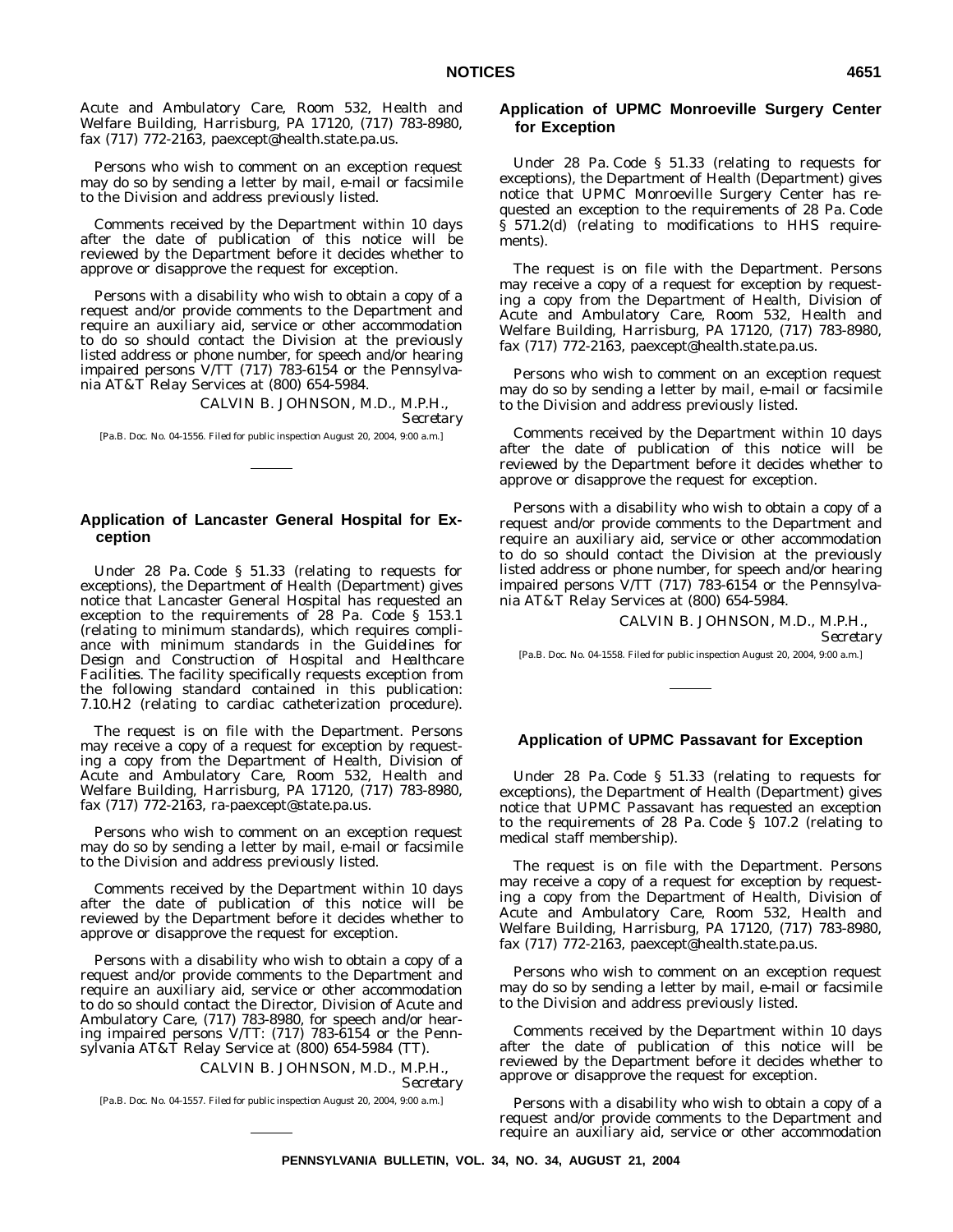Acute and Ambulatory Care, Room 532, Health and Welfare Building, Harrisburg, PA 17120, (717) 783-8980, fax (717) 772-2163, paexcept@health.state.pa.us.

Persons who wish to comment on an exception request may do so by sending a letter by mail, e-mail or facsimile to the Division and address previously listed.

Comments received by the Department within 10 days after the date of publication of this notice will be reviewed by the Department before it decides whether to approve or disapprove the request for exception.

Persons with a disability who wish to obtain a copy of a request and/or provide comments to the Department and require an auxiliary aid, service or other accommodation to do so should contact the Division at the previously listed address or phone number, for speech and/or hearing impaired persons V/TT (717) 783-6154 or the Pennsylvania AT&T Relay Services at (800) 654-5984.

> CALVIN B. JOHNSON, M.D., M.P.H., *Secretary*

[Pa.B. Doc. No. 04-1556. Filed for public inspection August 20, 2004, 9:00 a.m.]

### **Application of Lancaster General Hospital for Exception**

Under 28 Pa. Code § 51.33 (relating to requests for exceptions), the Department of Health (Department) gives notice that Lancaster General Hospital has requested an exception to the requirements of 28 Pa. Code § 153.1 (relating to minimum standards), which requires compliance with minimum standards in the *Guidelines for Design and Construction of Hospital and Healthcare Facilities*. The facility specifically requests exception from the following standard contained in this publication: 7.10.H2 (relating to cardiac catheterization procedure).

The request is on file with the Department. Persons may receive a copy of a request for exception by requesting a copy from the Department of Health, Division of Acute and Ambulatory Care, Room 532, Health and Welfare Building, Harrisburg, PA 17120, (717) 783-8980, fax (717) 772-2163, ra-paexcept@state.pa.us.

Persons who wish to comment on an exception request may do so by sending a letter by mail, e-mail or facsimile to the Division and address previously listed.

Comments received by the Department within 10 days after the date of publication of this notice will be reviewed by the Department before it decides whether to approve or disapprove the request for exception.

Persons with a disability who wish to obtain a copy of a request and/or provide comments to the Department and require an auxiliary aid, service or other accommodation to do so should contact the Director, Division of Acute and Ambulatory Care, (717) 783-8980, for speech and/or hearing impaired persons V/TT: (717) 783-6154 or the Pennsylvania AT&T Relay Service at (800) 654-5984 (TT).

> CALVIN B. JOHNSON, M.D., M.P.H., *Secretary*

[Pa.B. Doc. No. 04-1557. Filed for public inspection August 20, 2004, 9:00 a.m.]

# **Application of UPMC Monroeville Surgery Center for Exception**

Under 28 Pa. Code § 51.33 (relating to requests for exceptions), the Department of Health (Department) gives notice that UPMC Monroeville Surgery Center has requested an exception to the requirements of 28 Pa. Code § 571.2(d) (relating to modifications to HHS requirements).

The request is on file with the Department. Persons may receive a copy of a request for exception by requesting a copy from the Department of Health, Division of Acute and Ambulatory Care, Room 532, Health and Welfare Building, Harrisburg, PA 17120, (717) 783-8980, fax (717) 772-2163, paexcept@health.state.pa.us.

Persons who wish to comment on an exception request may do so by sending a letter by mail, e-mail or facsimile to the Division and address previously listed.

Comments received by the Department within 10 days after the date of publication of this notice will be reviewed by the Department before it decides whether to approve or disapprove the request for exception.

Persons with a disability who wish to obtain a copy of a request and/or provide comments to the Department and require an auxiliary aid, service or other accommodation to do so should contact the Division at the previously listed address or phone number, for speech and/or hearing impaired persons V/TT (717) 783-6154 or the Pennsylvania AT&T Relay Services at (800) 654-5984.

#### CALVIN B. JOHNSON, M.D., M.P.H., *Secretary*

[Pa.B. Doc. No. 04-1558. Filed for public inspection August 20, 2004, 9:00 a.m.]

#### **Application of UPMC Passavant for Exception**

Under 28 Pa. Code § 51.33 (relating to requests for exceptions), the Department of Health (Department) gives notice that UPMC Passavant has requested an exception to the requirements of 28 Pa. Code § 107.2 (relating to medical staff membership).

The request is on file with the Department. Persons may receive a copy of a request for exception by requesting a copy from the Department of Health, Division of Acute and Ambulatory Care, Room 532, Health and Welfare Building, Harrisburg, PA 17120, (717) 783-8980, fax (717) 772-2163, paexcept@health.state.pa.us.

Persons who wish to comment on an exception request may do so by sending a letter by mail, e-mail or facsimile to the Division and address previously listed.

Comments received by the Department within 10 days after the date of publication of this notice will be reviewed by the Department before it decides whether to approve or disapprove the request for exception.

Persons with a disability who wish to obtain a copy of a request and/or provide comments to the Department and require an auxiliary aid, service or other accommodation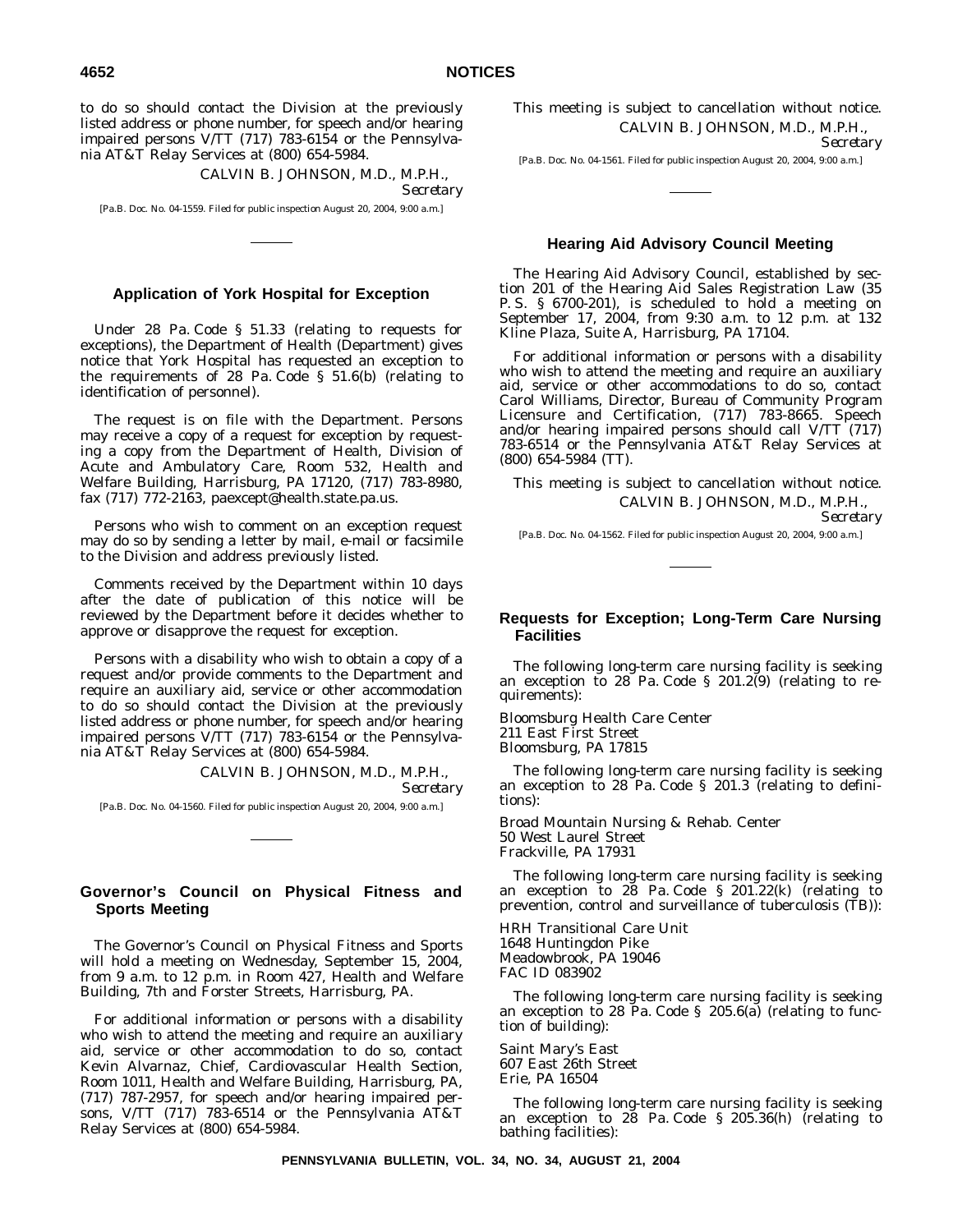to do so should contact the Division at the previously listed address or phone number, for speech and/or hearing impaired persons V/TT (717) 783-6154 or the Pennsylvania AT&T Relay Services at (800) 654-5984.

CALVIN B. JOHNSON, M.D., M.P.H.,

*Secretary*

[Pa.B. Doc. No. 04-1559. Filed for public inspection August 20, 2004, 9:00 a.m.]

#### **Application of York Hospital for Exception**

Under 28 Pa. Code § 51.33 (relating to requests for exceptions), the Department of Health (Department) gives notice that York Hospital has requested an exception to the requirements of 28 Pa. Code § 51.6(b) (relating to identification of personnel).

The request is on file with the Department. Persons may receive a copy of a request for exception by requesting a copy from the Department of Health, Division of Acute and Ambulatory Care, Room 532, Health and Welfare Building, Harrisburg, PA 17120, (717) 783-8980, fax (717) 772-2163, paexcept@health.state.pa.us.

Persons who wish to comment on an exception request may do so by sending a letter by mail, e-mail or facsimile to the Division and address previously listed.

Comments received by the Department within 10 days after the date of publication of this notice will be reviewed by the Department before it decides whether to approve or disapprove the request for exception.

Persons with a disability who wish to obtain a copy of a request and/or provide comments to the Department and require an auxiliary aid, service or other accommodation to do so should contact the Division at the previously listed address or phone number, for speech and/or hearing impaired persons V/TT (717) 783-6154 or the Pennsylvania AT&T Relay Services at (800) 654-5984.

> CALVIN B. JOHNSON, M.D., M.P.H., *Secretary*

[Pa.B. Doc. No. 04-1560. Filed for public inspection August 20, 2004, 9:00 a.m.]

# **Governor's Council on Physical Fitness and Sports Meeting**

The Governor's Council on Physical Fitness and Sports will hold a meeting on Wednesday, September 15, 2004, from 9 a.m. to 12 p.m. in Room 427, Health and Welfare Building, 7th and Forster Streets, Harrisburg, PA.

For additional information or persons with a disability who wish to attend the meeting and require an auxiliary aid, service or other accommodation to do so, contact Kevin Alvarnaz, Chief, Cardiovascular Health Section, Room 1011, Health and Welfare Building, Harrisburg, PA, (717) 787-2957, for speech and/or hearing impaired persons, V/TT (717) 783-6514 or the Pennsylvania AT&T Relay Services at (800) 654-5984.

This meeting is subject to cancellation without notice. CALVIN B. JOHNSON, M.D., M.P.H., *Secretary*

[Pa.B. Doc. No. 04-1561. Filed for public inspection August 20, 2004, 9:00 a.m.]

### **Hearing Aid Advisory Council Meeting**

The Hearing Aid Advisory Council, established by section 201 of the Hearing Aid Sales Registration Law (35 P. S. § 6700-201), is scheduled to hold a meeting on September 17, 2004, from 9:30 a.m. to 12 p.m. at 132 Kline Plaza, Suite A, Harrisburg, PA 17104.

For additional information or persons with a disability who wish to attend the meeting and require an auxiliary aid, service or other accommodations to do so, contact Carol Williams, Director, Bureau of Community Program Licensure and Certification, (717) 783-8665. Speech and/or hearing impaired persons should call V/TT (717) 783-6514 or the Pennsylvania AT&T Relay Services at (800) 654-5984 (TT).

This meeting is subject to cancellation without notice. CALVIN B. JOHNSON, M.D., M.P.H.,

*Secretary*

[Pa.B. Doc. No. 04-1562. Filed for public inspection August 20, 2004, 9:00 a.m.]

#### **Requests for Exception; Long-Term Care Nursing Facilities**

The following long-term care nursing facility is seeking an exception to 28 Pa. Code § 201.2(9) (relating to requirements):

Bloomsburg Health Care Center 211 East First Street Bloomsburg, PA 17815

The following long-term care nursing facility is seeking an exception to 28 Pa. Code § 201.3 (relating to definitions):

Broad Mountain Nursing & Rehab. Center 50 West Laurel Street Frackville, PA 17931

The following long-term care nursing facility is seeking an exception to 28 Pa. Code § 201.22(k) (relating to prevention, control and surveillance of tuberculosis (TB)):

HRH Transitional Care Unit 1648 Huntingdon Pike Meadowbrook, PA 19046 FAC ID 083902

The following long-term care nursing facility is seeking an exception to 28 Pa. Code § 205.6(a) (relating to function of building):

Saint Mary's East 607 East 26th Street Erie, PA 16504

The following long-term care nursing facility is seeking an exception to 28 Pa. Code § 205.36(h) (relating to bathing facilities):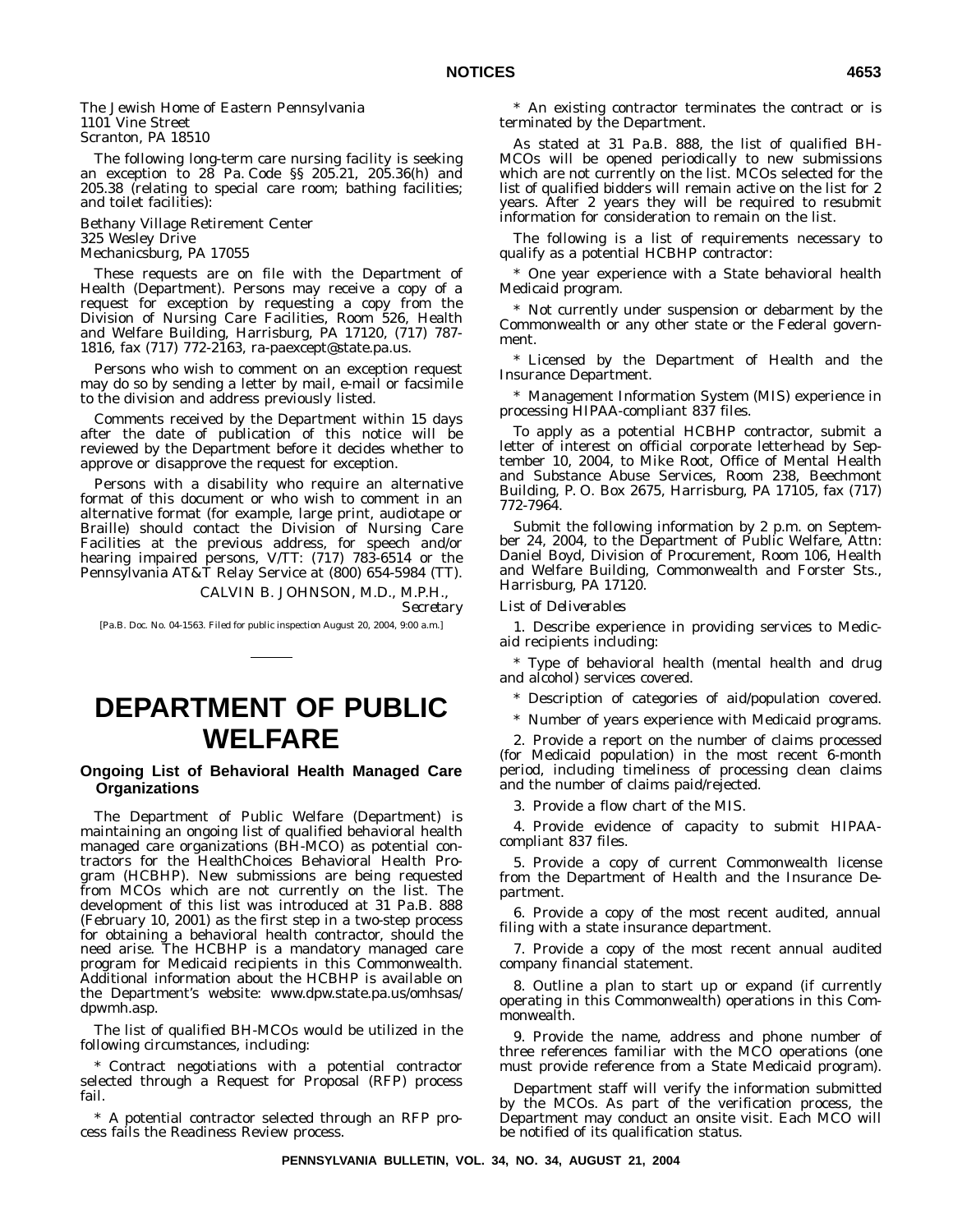The Jewish Home of Eastern Pennsylvania 1101 Vine Street Scranton, PA 18510

The following long-term care nursing facility is seeking an exception to 28 Pa. Code §§ 205.21, 205.36(h) and 205.38 (relating to special care room; bathing facilities; and toilet facilities):

Bethany Village Retirement Center 325 Wesley Drive Mechanicsburg, PA 17055

These requests are on file with the Department of Health (Department). Persons may receive a copy of a request for exception by requesting a copy from the Division of Nursing Care Facilities, Room 526, Health and Welfare Building, Harrisburg, PA 17120, (717) 787- 1816, fax (717) 772-2163, ra-paexcept@state.pa.us.

Persons who wish to comment on an exception request may do so by sending a letter by mail, e-mail or facsimile to the division and address previously listed.

Comments received by the Department within 15 days after the date of publication of this notice will be reviewed by the Department before it decides whether to approve or disapprove the request for exception.

Persons with a disability who require an alternative format of this document or who wish to comment in an alternative format (for example, large print, audiotape or Braille) should contact the Division of Nursing Care Facilities at the previous address, for speech and/or hearing impaired persons, V/TT: (717) 783-6514 or the Pennsylvania AT&T Relay Service at (800) 654-5984 (TT).

> CALVIN B. JOHNSON, M.D., M.P.H., *Secretary*

[Pa.B. Doc. No. 04-1563. Filed for public inspection August 20, 2004, 9:00 a.m.]

# **DEPARTMENT OF PUBLIC WELFARE**

### **Ongoing List of Behavioral Health Managed Care Organizations**

The Department of Public Welfare (Department) is maintaining an ongoing list of qualified behavioral health managed care organizations (BH-MCO) as potential contractors for the HealthChoices Behavioral Health Program (HCBHP). New submissions are being requested from MCOs which are not currently on the list. The development of this list was introduced at 31 Pa.B. 888 (February 10, 2001) as the first step in a two-step process for obtaining a behavioral health contractor, should the need arise. The HCBHP is a mandatory managed care program for Medicaid recipients in this Commonwealth. Additional information about the HCBHP is available on the Department's website: www.dpw.state.pa.us/omhsas/ dpwmh.asp.

The list of qualified BH-MCOs would be utilized in the following circumstances, including:

Contract negotiations with a potential contractor selected through a Request for Proposal (RFP) process fail.

\* A potential contractor selected through an RFP process fails the Readiness Review process.

\* An existing contractor terminates the contract or is terminated by the Department.

As stated at 31 Pa.B. 888, the list of qualified BH-MCOs will be opened periodically to new submissions which are not currently on the list. MCOs selected for the list of qualified bidders will remain active on the list for 2 years. After 2 years they will be required to resubmit information for consideration to remain on the list.

The following is a list of requirements necessary to qualify as a potential HCBHP contractor:

\* One year experience with a State behavioral health Medicaid program.

\* Not currently under suspension or debarment by the Commonwealth or any other state or the Federal government.

\* Licensed by the Department of Health and the Insurance Department.

\* Management Information System (MIS) experience in processing HIPAA-compliant 837 files.

To apply as a potential HCBHP contractor, submit a letter of interest on official corporate letterhead by September 10, 2004, to Mike Root, Office of Mental Health and Substance Abuse Services, Room 238, Beechmont Building, P. O. Box 2675, Harrisburg, PA 17105, fax (717) 772-7964.

Submit the following information by 2 p.m. on September 24, 2004, to the Department of Public Welfare, Attn: Daniel Boyd, Division of Procurement, Room 106, Health and Welfare Building, Commonwealth and Forster Sts., Harrisburg, PA 17120.

#### *List of Deliverables*

1. Describe experience in providing services to Medicaid recipients including:

\* Type of behavioral health (mental health and drug and alcohol) services covered.

\* Description of categories of aid/population covered.

\* Number of years experience with Medicaid programs.

2. Provide a report on the number of claims processed (for Medicaid population) in the most recent 6-month period, including timeliness of processing clean claims and the number of claims paid/rejected.

3. Provide a flow chart of the MIS.

4. Provide evidence of capacity to submit HIPAAcompliant 837 files.

5. Provide a copy of current Commonwealth license from the Department of Health and the Insurance Department.

6. Provide a copy of the most recent audited, annual filing with a state insurance department.

7. Provide a copy of the most recent annual audited company financial statement.

8. Outline a plan to start up or expand (if currently operating in this Commonwealth) operations in this Commonwealth.

9. Provide the name, address and phone number of three references familiar with the MCO operations (one must provide reference from a State Medicaid program).

Department staff will verify the information submitted by the MCOs. As part of the verification process, the Department may conduct an onsite visit. Each MCO will be notified of its qualification status.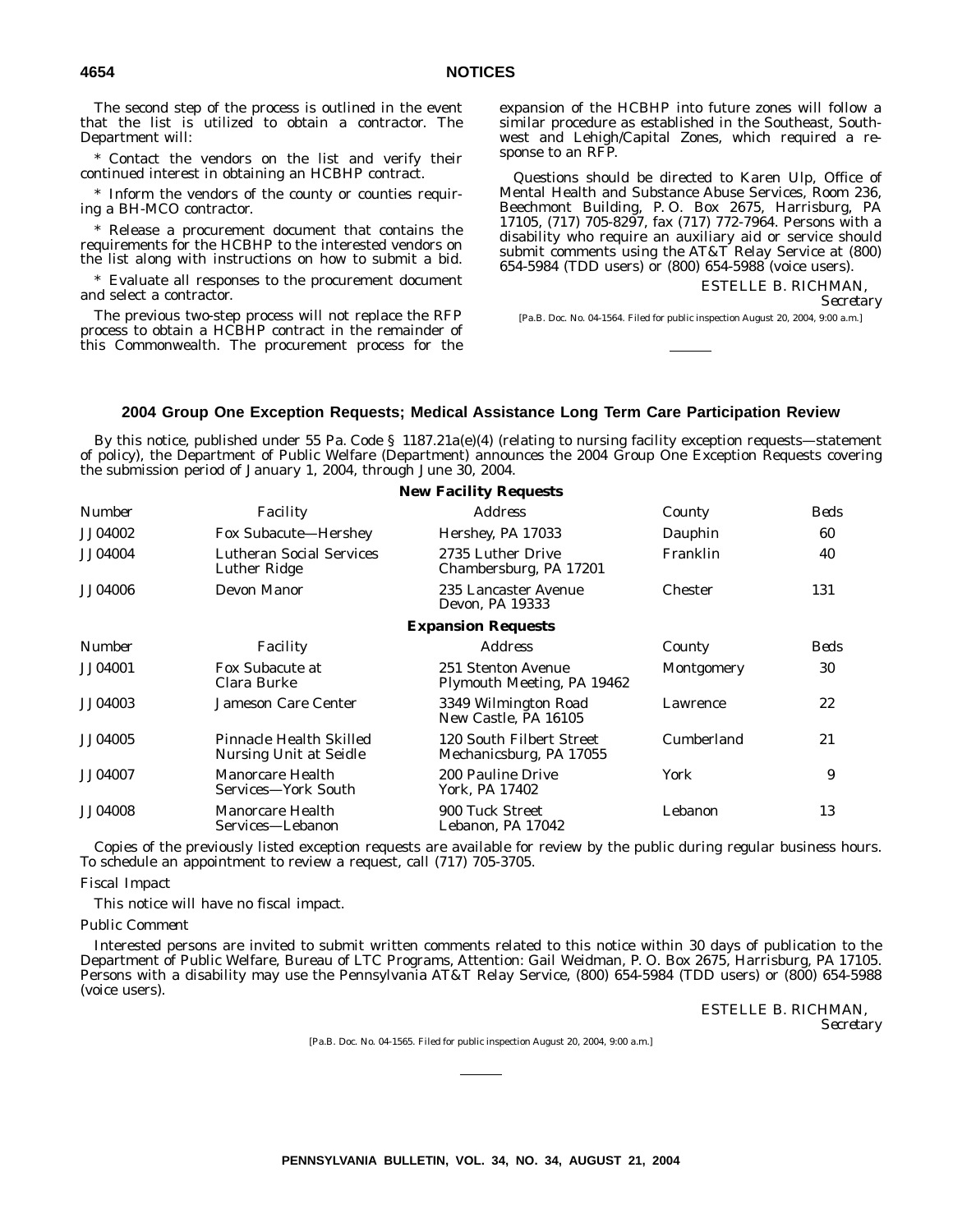The second step of the process is outlined in the event that the list is utilized to obtain a contractor. The Department will:

\* Contact the vendors on the list and verify their continued interest in obtaining an HCBHP contract.

\* Inform the vendors of the county or counties requiring a BH-MCO contractor.

Release a procurement document that contains the requirements for the HCBHP to the interested vendors on the list along with instructions on how to submit a bid.

\* Evaluate all responses to the procurement document and select a contractor.

The previous two-step process will not replace the RFP process to obtain a HCBHP contract in the remainder of this Commonwealth. The procurement process for the expansion of the HCBHP into future zones will follow a similar procedure as established in the Southeast, Southwest and Lehigh/Capital Zones, which required a response to an RFP.

Questions should be directed to Karen Ulp, Office of Mental Health and Substance Abuse Services, Room 236, Beechmont Building, P. O. Box 2675, Harrisburg, PA 17105, (717) 705-8297, fax (717) 772-7964. Persons with a disability who require an auxiliary aid or service should submit comments using the AT&T Relay Service at (800) 654-5984 (TDD users) or (800) 654-5988 (voice users).

> ESTELLE B. RICHMAN, *Secretary*

[Pa.B. Doc. No. 04-1564. Filed for public inspection August 20, 2004, 9:00 a.m.]

#### **2004 Group One Exception Requests; Medical Assistance Long Term Care Participation Review**

By this notice, published under 55 Pa. Code § 1187.21a(e)(4) (relating to nursing facility exception requests—statement of policy), the Department of Public Welfare (Department) announces the 2004 Group One Exception Requests covering the submission period of January 1, 2004, through June 30, 2004.

|                |                                                   | <b>New Facility Requests</b>                        |                |      |
|----------------|---------------------------------------------------|-----------------------------------------------------|----------------|------|
| <b>Number</b>  | Facility                                          | <i>Address</i>                                      | County         | Beds |
| JJ04002        | <b>Fox Subacute–Hershey</b>                       | Hershey, PA 17033                                   | Dauphin        | 60   |
| JJ04004        | <b>Lutheran Social Services</b><br>Luther Ridge   | 2735 Luther Drive<br>Chambersburg, PA 17201         | Franklin       | 40   |
| JJ04006        | <b>Devon Manor</b>                                | 235 Lancaster Avenue<br>Devon, PA 19333             | <b>Chester</b> | 131  |
|                |                                                   | <b>Expansion Requests</b>                           |                |      |
| Number         | Facility                                          | <b>Address</b>                                      | County         | Beds |
| JJ04001        | Fox Subacute at<br>Clara Burke                    | 251 Stenton Avenue<br>Plymouth Meeting, PA 19462    | Montgomery     | 30   |
| JJ04003        | <b>Jameson Care Center</b>                        | 3349 Wilmington Road<br>New Castle, PA 16105        | Lawrence       | 22   |
| JJ04005        | Pinnacle Health Skilled<br>Nursing Unit at Seidle | 120 South Filbert Street<br>Mechanicsburg, PA 17055 | Cumberland     | 21   |
| JJ04007        | Manorcare Health<br>Services—York South           | 200 Pauline Drive<br>York, PA 17402                 | York           | 9    |
| <b>JJ04008</b> | Manorcare Health<br>Services—Lebanon              | 900 Tuck Street<br>Lebanon, PA 17042                | Lebanon        | 13   |

Copies of the previously listed exception requests are available for review by the public during regular business hours. To schedule an appointment to review a request, call (717) 705-3705.

#### *Fiscal Impact*

This notice will have no fiscal impact.

#### *Public Comment*

Interested persons are invited to submit written comments related to this notice within 30 days of publication to the Department of Public Welfare, Bureau of LTC Programs, Attention: Gail Weidman, P. O. Box 2675, Harrisburg, PA 17105. Persons with a disability may use the Pennsylvania AT&T Relay Service, (800) 654-5984 (TDD users) or (800) 654-5988 (voice users).

> ESTELLE B. RICHMAN, *Secretary*

[Pa.B. Doc. No. 04-1565. Filed for public inspection August 20, 2004, 9:00 a.m.]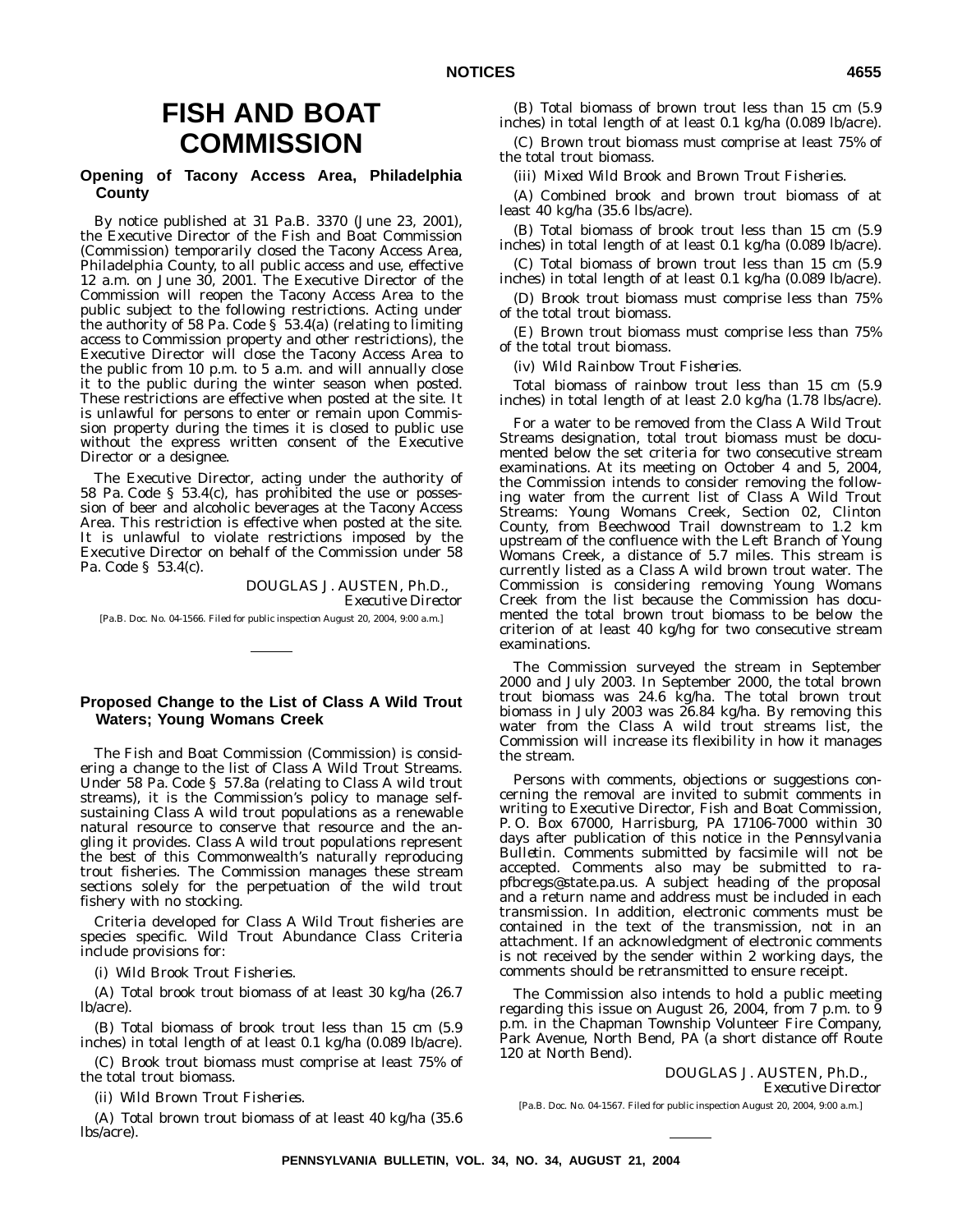# **FISH AND BOAT COMMISSION**

# **Opening of Tacony Access Area, Philadelphia County**

By notice published at 31 Pa.B. 3370 (June 23, 2001), the Executive Director of the Fish and Boat Commission (Commission) temporarily closed the Tacony Access Area, Philadelphia County, to all public access and use, effective 12 a.m. on June 30, 2001. The Executive Director of the Commission will reopen the Tacony Access Area to the public subject to the following restrictions. Acting under the authority of 58 Pa. Code  $\frac{1}{5}$  53.4(a) (relating to limiting access to Commission property and other restrictions), the Executive Director will close the Tacony Access Area to the public from 10 p.m. to 5 a.m. and will annually close it to the public during the winter season when posted. These restrictions are effective when posted at the site. It is unlawful for persons to enter or remain upon Commission property during the times it is closed to public use without the express written consent of the Executive Director or a designee.

The Executive Director, acting under the authority of 58 Pa. Code § 53.4(c), has prohibited the use or possession of beer and alcoholic beverages at the Tacony Access Area. This restriction is effective when posted at the site. It is unlawful to violate restrictions imposed by the Executive Director on behalf of the Commission under 58 Pa. Code § 53.4(c).

> DOUGLAS J. AUSTEN, Ph.D., *Executive Director*

[Pa.B. Doc. No. 04-1566. Filed for public inspection August 20, 2004, 9:00 a.m.]

# **Proposed Change to the List of Class A Wild Trout Waters; Young Womans Creek**

The Fish and Boat Commission (Commission) is considering a change to the list of Class A Wild Trout Streams. Under 58 Pa. Code § 57.8a (relating to Class A wild trout streams), it is the Commission's policy to manage selfsustaining Class A wild trout populations as a renewable natural resource to conserve that resource and the angling it provides. Class A wild trout populations represent the best of this Commonwealth's naturally reproducing trout fisheries. The Commission manages these stream sections solely for the perpetuation of the wild trout fishery with no stocking.

Criteria developed for Class A Wild Trout fisheries are species specific. Wild Trout Abundance Class Criteria include provisions for:

(i) *Wild Brook Trout Fisheries.*

(A) Total brook trout biomass of at least 30 kg/ha (26.7 lb/acre).

(B) Total biomass of brook trout less than 15 cm (5.9 inches) in total length of at least 0.1 kg/ha (0.089 lb/acre).

(C) Brook trout biomass must comprise at least 75% of the total trout biomass.

(ii) *Wild Brown Trout Fisheries.*

(A) Total brown trout biomass of at least 40 kg/ha (35.6 lbs/acre).

(B) Total biomass of brown trout less than 15 cm (5.9 inches) in total length of at least 0.1 kg/ha (0.089 lb/acre).

(C) Brown trout biomass must comprise at least 75% of the total trout biomass.

(iii) *Mixed Wild Brook and Brown Trout Fisheries.*

(A) Combined brook and brown trout biomass of at least 40 kg/ha (35.6 lbs/acre).

(B) Total biomass of brook trout less than 15 cm (5.9 inches) in total length of at least 0.1 kg/ha (0.089 lb/acre).

(C) Total biomass of brown trout less than 15 cm (5.9 inches) in total length of at least 0.1 kg/ha (0.089 lb/acre).

(D) Brook trout biomass must comprise less than 75% of the total trout biomass.

(E) Brown trout biomass must comprise less than 75% of the total trout biomass.

(iv) *Wild Rainbow Trout Fisheries.*

Total biomass of rainbow trout less than 15 cm (5.9 inches) in total length of at least 2.0 kg/ha (1.78 lbs/acre).

For a water to be removed from the Class A Wild Trout Streams designation, total trout biomass must be documented below the set criteria for two consecutive stream examinations. At its meeting on October 4 and 5, 2004, the Commission intends to consider removing the following water from the current list of Class A Wild Trout Streams: Young Womans Creek, Section 02, Clinton County, from Beechwood Trail downstream to 1.2 km upstream of the confluence with the Left Branch of Young Womans Creek, a distance of 5.7 miles. This stream is currently listed as a Class A wild brown trout water. The Commission is considering removing Young Womans Creek from the list because the Commission has documented the total brown trout biomass to be below the criterion of at least 40 kg/hg for two consecutive stream examinations.

The Commission surveyed the stream in September 2000 and July 2003. In September 2000, the total brown trout biomass was 24.6 kg/ha. The total brown trout biomass in July 2003 was 26.84 kg/ha. By removing this water from the Class A wild trout streams list, the Commission will increase its flexibility in how it manages the stream.

Persons with comments, objections or suggestions concerning the removal are invited to submit comments in writing to Executive Director, Fish and Boat Commission, P. O. Box 67000, Harrisburg, PA 17106-7000 within 30 days after publication of this notice in the *Pennsylvania Bulletin*. Comments submitted by facsimile will not be accepted. Comments also may be submitted to rapfbcregs@state.pa.us. A subject heading of the proposal and a return name and address must be included in each transmission. In addition, electronic comments must be contained in the text of the transmission, not in an attachment. If an acknowledgment of electronic comments is not received by the sender within 2 working days, the comments should be retransmitted to ensure receipt.

The Commission also intends to hold a public meeting regarding this issue on August 26, 2004, from 7 p.m. to  $\overline{9}$ p.m. in the Chapman Township Volunteer Fire Company, Park Avenue, North Bend, PA (a short distance off Route 120 at North Bend).

> DOUGLAS J. AUSTEN, Ph.D., *Executive Director*

[Pa.B. Doc. No. 04-1567. Filed for public inspection August 20, 2004, 9:00 a.m.]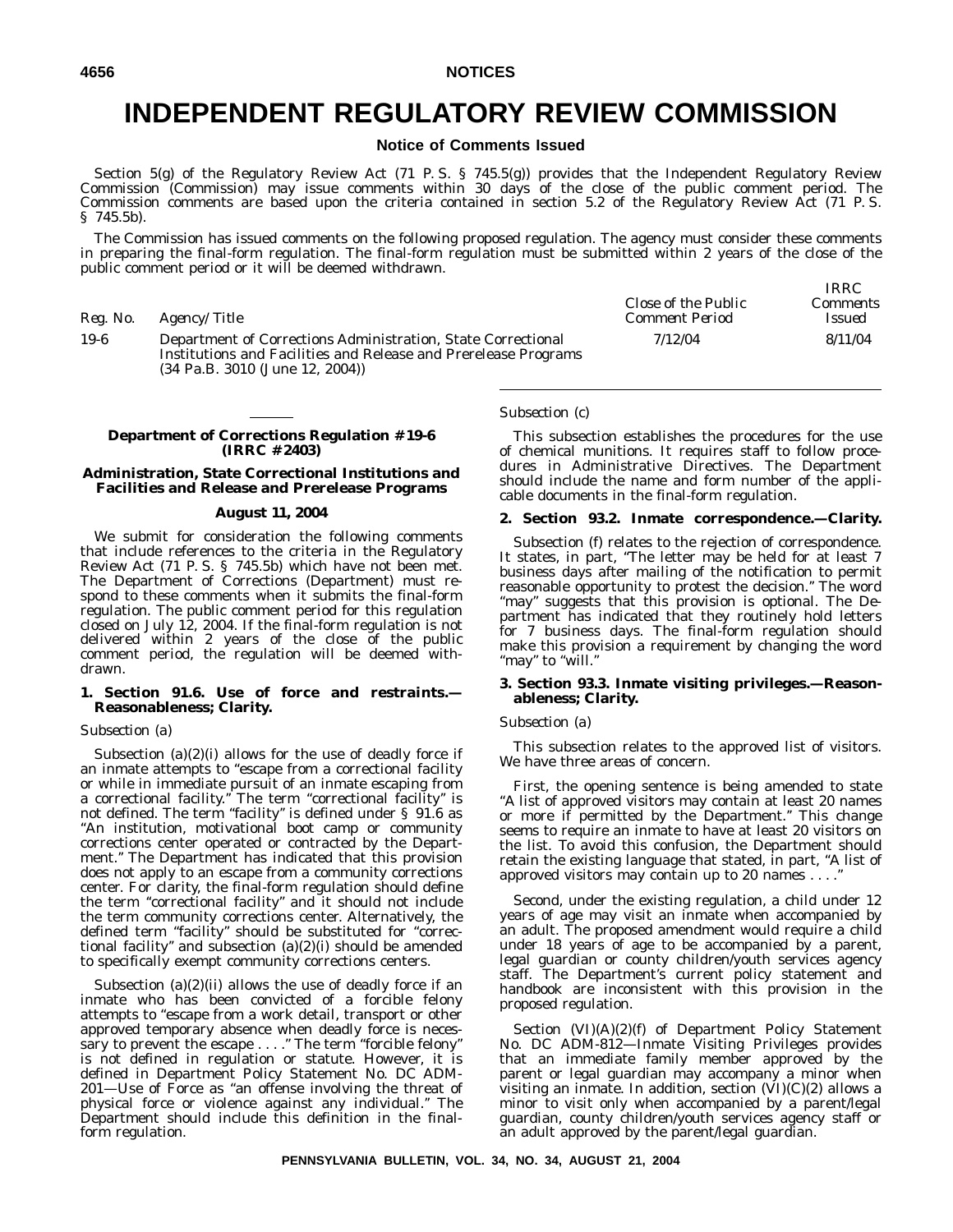# **INDEPENDENT REGULATORY REVIEW COMMISSION**

# **Notice of Comments Issued**

Section 5(g) of the Regulatory Review Act (71 P.S. § 745.5(g)) provides that the Independent Regulatory Review Commission (Commission) may issue comments within 30 days of the close of the public comment period. The Commission comments are based upon the criteria contained in section 5.2 of the Regulatory Review Act (71 P. S. § 745.5b).

The Commission has issued comments on the following proposed regulation. The agency must consider these comments in preparing the final-form regulation. The final-form regulation must be submitted within 2 years of the close of the public comment period or it will be deemed withdrawn.

| Reg. No. | <i>Agency/Title</i>                                                                                                                                                                    | Close of the Public<br>Comment Period | <i>IRRC</i><br>Comments<br><i>Issued</i> |
|----------|----------------------------------------------------------------------------------------------------------------------------------------------------------------------------------------|---------------------------------------|------------------------------------------|
| $19-6$   | Department of Corrections Administration, State Correctional<br>Institutions and Facilities and Release and Prerelease Programs<br>$(34 \text{ Pa.B. } 3010 \text{ (June } 12, 2004))$ | 7/12/04                               | 8/11/04                                  |

#### **Department of Corrections Regulation # 19-6 (IRRC # 2403)**

#### **Administration, State Correctional Institutions and Facilities and Release and Prerelease Programs**

#### **August 11, 2004**

We submit for consideration the following comments that include references to the criteria in the Regulatory Review Act (71 P. S. § 745.5b) which have not been met. The Department of Corrections (Department) must respond to these comments when it submits the final-form regulation. The public comment period for this regulation closed on July 12, 2004. If the final-form regulation is not delivered within 2 years of the close of the public comment period, the regulation will be deemed withdrawn.

#### **1. Section 91.6. Use of force and restraints.— Reasonableness; Clarity.**

#### *Subsection (a)*

Subsection  $(a)(2)(i)$  allows for the use of deadly force if an inmate attempts to "escape from a correctional facility or while in immediate pursuit of an inmate escaping from a correctional facility." The term "correctional facility" is not defined. The term ''facility'' is defined under § 91.6 as ''An institution, motivational boot camp or community corrections center operated or contracted by the Department.'' The Department has indicated that this provision does not apply to an escape from a community corrections center. For clarity, the final-form regulation should define the term ''correctional facility'' and it should not include the term community corrections center. Alternatively, the defined term "facility" should be substituted for "correctional facility'' and subsection (a)(2)(i) should be amended to specifically exempt community corrections centers.

Subsection  $(a)(2)(ii)$  allows the use of deadly force if an inmate who has been convicted of a forcible felony attempts to ''escape from a work detail, transport or other approved temporary absence when deadly force is necessary to prevent the escape . . . ." The term "forcible felony" is not defined in regulation or statute. However, it is defined in Department Policy Statement No. DC ADM-201—Use of Force as ''an offense involving the threat of physical force or violence against any individual.'' The Department should include this definition in the finalform regulation.

#### *Subsection (c)*

This subsection establishes the procedures for the use of chemical munitions. It requires staff to follow procedures in Administrative Directives. The Department should include the name and form number of the applicable documents in the final-form regulation.

#### **2. Section 93.2. Inmate correspondence.—Clarity.**

Subsection (f) relates to the rejection of correspondence. It states, in part, ''The letter may be held for at least 7 business days after mailing of the notification to permit reasonable opportunity to protest the decision.'' The word ''may'' suggests that this provision is optional. The Department has indicated that they routinely hold letters for 7 business days. The final-form regulation should make this provision a requirement by changing the word "may" to "will."

#### **3. Section 93.3. Inmate visiting privileges.—Reasonableness; Clarity.**

#### *Subsection (a)*

This subsection relates to the approved list of visitors. We have three areas of concern.

First, the opening sentence is being amended to state ''A list of approved visitors may contain at least 20 names or more if permitted by the Department.'' This change seems to require an inmate to have at least 20 visitors on the list. To avoid this confusion, the Department should retain the existing language that stated, in part, "A list of approved visitors may contain up to 20 names . . . .

Second, under the existing regulation, a child under 12 years of age may visit an inmate when accompanied by an adult. The proposed amendment would require a child under 18 years of age to be accompanied by a parent, legal guardian or county children/youth services agency staff. The Department's current policy statement and handbook are inconsistent with this provision in the proposed regulation.

Section  $(VI)(A)(2)(f)$  of Department Policy Statement No. DC ADM-812—Inmate Visiting Privileges provides that an immediate family member approved by the parent or legal guardian may accompany a minor when visiting an inmate. In addition, section  $(VI)(C)(2)$  allows a minor to visit only when accompanied by a parent/legal guardian, county children/youth services agency staff or an adult approved by the parent/legal guardian.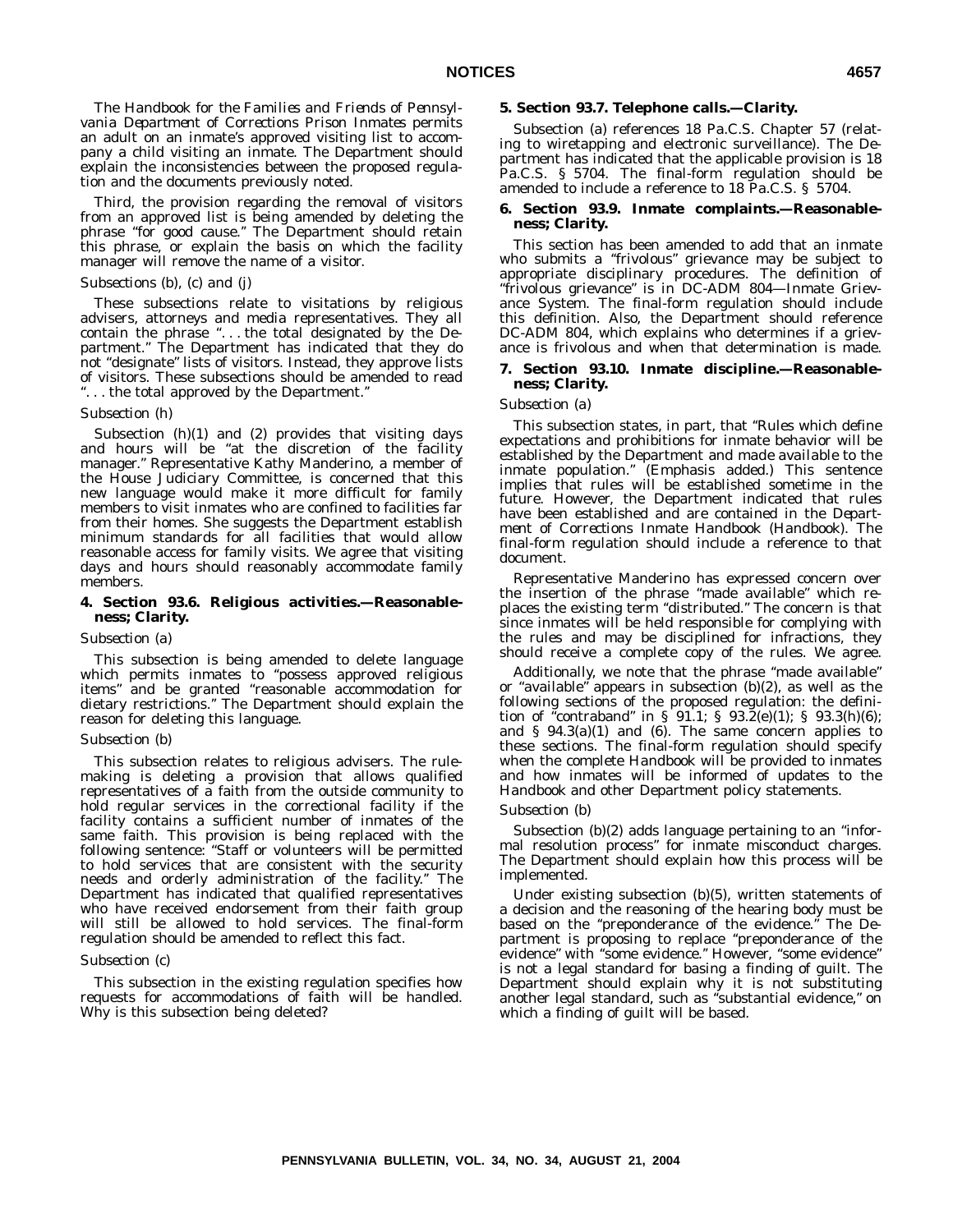The *Handbook for the Families and Friends of Pennsylvania Department of Corrections Prison Inmates* permits an adult on an inmate's approved visiting list to accompany a child visiting an inmate. The Department should explain the inconsistencies between the proposed regulation and the documents previously noted.

Third, the provision regarding the removal of visitors from an approved list is being amended by deleting the phrase ''for good cause.'' The Department should retain this phrase, or explain the basis on which the facility manager will remove the name of a visitor.

#### *Subsections (b), (c) and (j)*

These subsections relate to visitations by religious advisers, attorneys and media representatives. They all contain the phrase "... the total designated by the Department.'' The Department has indicated that they do not "designate" lists of visitors. Instead, they approve lists of visitors. These subsections should be amended to read ... the total approved by the Department."

#### *Subsection (h)*

Subsection (h)(1) and (2) provides that visiting days and hours will be "at the discretion of the facility manager.'' Representative Kathy Manderino, a member of the House Judiciary Committee, is concerned that this new language would make it more difficult for family members to visit inmates who are confined to facilities far from their homes. She suggests the Department establish minimum standards for all facilities that would allow reasonable access for family visits. We agree that visiting days and hours should reasonably accommodate family members.

#### **4. Section 93.6. Religious activities.—Reasonableness; Clarity.**

#### *Subsection (a)*

This subsection is being amended to delete language which permits inmates to ''possess approved religious items'' and be granted ''reasonable accommodation for dietary restrictions.'' The Department should explain the reason for deleting this language.

#### *Subsection (b)*

This subsection relates to religious advisers. The rulemaking is deleting a provision that allows qualified representatives of a faith from the outside community to hold regular services in the correctional facility if the facility contains a sufficient number of inmates of the same faith. This provision is being replaced with the following sentence: ''Staff or volunteers will be permitted to hold services that are consistent with the security needs and orderly administration of the facility.'' The Department has indicated that qualified representatives who have received endorsement from their faith group will still be allowed to hold services. The final-form regulation should be amended to reflect this fact.

#### *Subsection (c)*

This subsection in the existing regulation specifies how requests for accommodations of faith will be handled. Why is this subsection being deleted?

#### **5. Section 93.7. Telephone calls.—Clarity.**

Subsection (a) references 18 Pa.C.S. Chapter 57 (relating to wiretapping and electronic surveillance). The Department has indicated that the applicable provision is 18 Pa.C.S. § 5704. The final-form regulation should be amended to include a reference to 18 Pa.C.S. § 5704.

#### **6. Section 93.9. Inmate complaints.—Reasonableness; Clarity.**

This section has been amended to add that an inmate who submits a "frivolous" grievance may be subject to appropriate disciplinary procedures. The definition of ''frivolous grievance'' is in DC-ADM 804—Inmate Grievance System. The final-form regulation should include this definition. Also, the Department should reference DC-ADM 804, which explains who determines if a grievance is frivolous and when that determination is made.

#### **7. Section 93.10. Inmate discipline.—Reasonableness; Clarity.**

#### *Subsection (a)*

This subsection states, in part, that ''Rules which define expectations and prohibitions for inmate behavior will be established by the Department and *made available* to the inmate population.'' (Emphasis added.) This sentence implies that rules will be established sometime in the future. However, the Department indicated that rules have been established and are contained in the *Department of Corrections Inmate Handbook (Handbook)*. The final-form regulation should include a reference to that document.

Representative Manderino has expressed concern over the insertion of the phrase ''made available'' which replaces the existing term "distributed." The concern is that since inmates will be held responsible for complying with the rules and may be disciplined for infractions, they should receive a complete copy of the rules. We agree.

Additionally, we note that the phrase ''made available'' or ''available'' appears in subsection (b)(2), as well as the following sections of the proposed regulation: the definition of "contraband" in  $\S$  91.1;  $\S$  93.2(e)(1);  $\S$  93.3(h)(6); and  $§$  94.3(a)(1) and (6). The same concern applies to these sections. The final-form regulation should specify when the complete *Handbook* will be provided to inmates and how inmates will be informed of updates to the *Handbook* and other Department policy statements.

#### *Subsection (b)*

Subsection (b)(2) adds language pertaining to an "informal resolution process'' for inmate misconduct charges. The Department should explain how this process will be implemented.

Under existing subsection (b)(5), written statements of a decision and the reasoning of the hearing body must be based on the "preponderance of the evidence." The Department is proposing to replace ''preponderance of the evidence'' with ''some evidence.'' However, ''some evidence'' is not a legal standard for basing a finding of guilt. The Department should explain why it is not substituting another legal standard, such as ''substantial evidence,'' on which a finding of guilt will be based.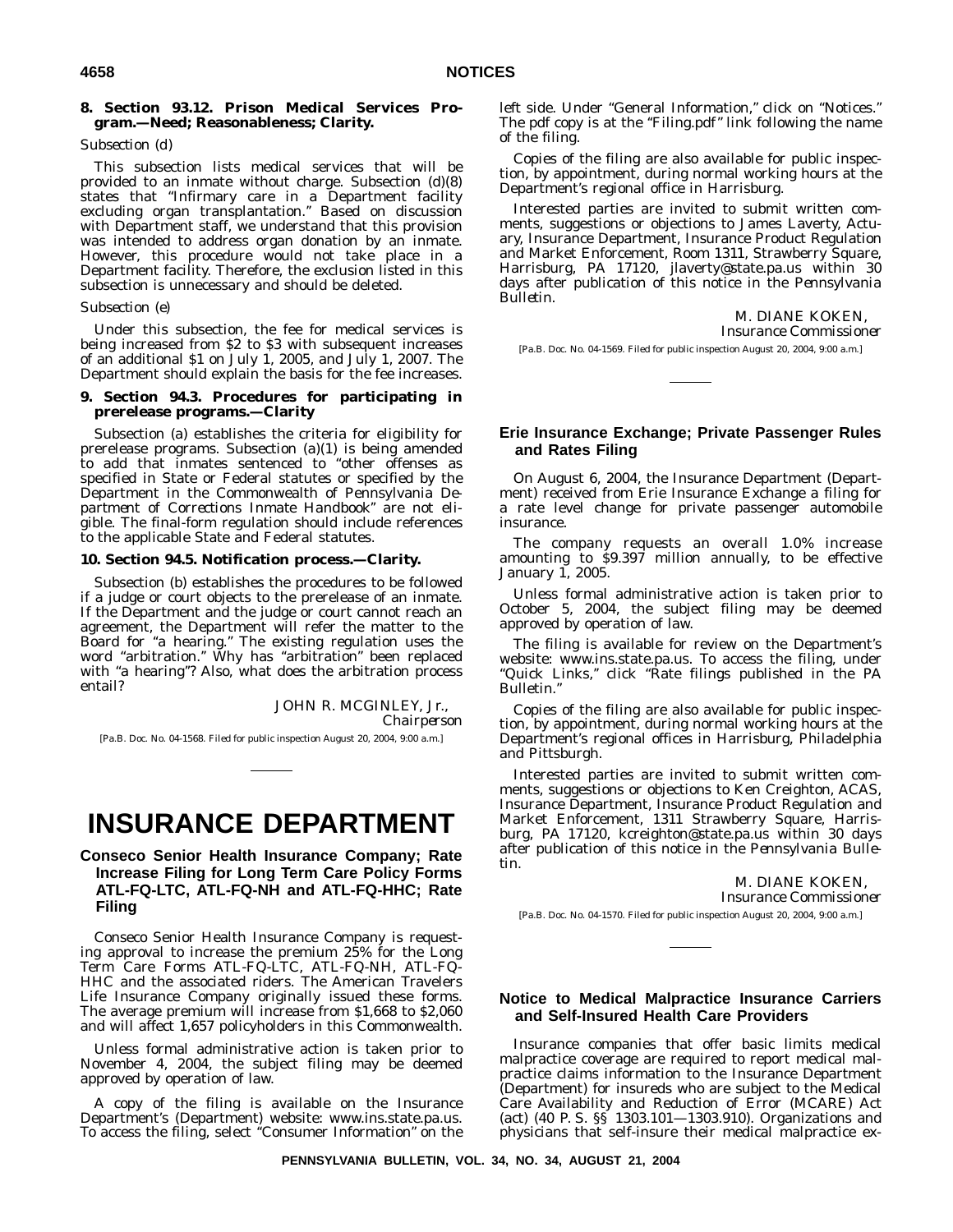#### **8. Section 93.12. Prison Medical Services Program.—Need; Reasonableness; Clarity.**

#### *Subsection (d)*

This subsection lists medical services that will be provided to an inmate without charge. Subsection (d)(8) states that ''Infirmary care in a Department facility excluding organ transplantation.'' Based on discussion with Department staff, we understand that this provision was intended to address organ donation by an inmate. However, this procedure would not take place in a Department facility. Therefore, the exclusion listed in this subsection is unnecessary and should be deleted.

#### *Subsection (e)*

Under this subsection, the fee for medical services is being increased from \$2 to \$3 with subsequent increases of an additional \$1 on July 1, 2005, and July 1, 2007. The Department should explain the basis for the fee increases.

#### **9. Section 94.3. Procedures for participating in prerelease programs.—Clarity**

Subsection (a) establishes the criteria for eligibility for prerelease programs. Subsection (a)(1) is being amended to add that inmates sentenced to ''other offenses as specified in State or Federal statutes or specified by the Department in the Commonwealth of Pennsylvania *Department of Corrections Inmate Handbook*'' are not eligible. The final-form regulation should include references to the applicable State and Federal statutes.

#### **10. Section 94.5. Notification process.—Clarity.**

Subsection (b) establishes the procedures to be followed if a judge or court objects to the prerelease of an inmate. If the Department and the judge or court cannot reach an agreement, the Department will refer the matter to the Board for ''a hearing.'' The existing regulation uses the word ''arbitration.'' Why has ''arbitration'' been replaced with "a hearing"? Also, what does the arbitration process entail?

> JOHN R. MCGINLEY, Jr., *Chairperson*

[Pa.B. Doc. No. 04-1568. Filed for public inspection August 20, 2004, 9:00 a.m.]

# **INSURANCE DEPARTMENT**

# **Conseco Senior Health Insurance Company; Rate Increase Filing for Long Term Care Policy Forms ATL-FQ-LTC, ATL-FQ-NH and ATL-FQ-HHC; Rate Filing**

Conseco Senior Health Insurance Company is requesting approval to increase the premium 25% for the Long Term Care Forms ATL-FQ-LTC, ATL-FQ-NH, ATL-FQ-HHC and the associated riders. The American Travelers Life Insurance Company originally issued these forms. The average premium will increase from \$1,668 to \$2,060 and will affect 1,657 policyholders in this Commonwealth.

Unless formal administrative action is taken prior to November 4, 2004, the subject filing may be deemed approved by operation of law.

A copy of the filing is available on the Insurance Department's (Department) website: www.ins.state.pa.us. To access the filing, select ''Consumer Information'' on the left side. Under "General Information," click on "Notices." The pdf copy is at the "Filing.pdf" link following the name of the filing.

Copies of the filing are also available for public inspection, by appointment, during normal working hours at the Department's regional office in Harrisburg.

Interested parties are invited to submit written comments, suggestions or objections to James Laverty, Actuary, Insurance Department, Insurance Product Regulation and Market Enforcement, Room 1311, Strawberry Square, Harrisburg, PA 17120, jlaverty@state.pa.us within 30 days after publication of this notice in the *Pennsylvania Bulletin*.

> M. DIANE KOKEN, *Insurance Commissioner*

[Pa.B. Doc. No. 04-1569. Filed for public inspection August 20, 2004, 9:00 a.m.]

### **Erie Insurance Exchange; Private Passenger Rules and Rates Filing**

On August 6, 2004, the Insurance Department (Department) received from Erie Insurance Exchange a filing for a rate level change for private passenger automobile insurance.

The company requests an overall 1.0% increase amounting to \$9.397 million annually, to be effective January 1, 2005.

Unless formal administrative action is taken prior to October 5, 2004, the subject filing may be deemed approved by operation of law.

The filing is available for review on the Department's website: www.ins.state.pa.us. To access the filing, under ''Quick Links,'' click ''Rate filings published in the PA Bulletin.''

Copies of the filing are also available for public inspection, by appointment, during normal working hours at the Department's regional offices in Harrisburg, Philadelphia and Pittsburgh.

Interested parties are invited to submit written comments, suggestions or objections to Ken Creighton, ACAS, Insurance Department, Insurance Product Regulation and Market Enforcement, 1311 Strawberry Square, Harrisburg, PA 17120, kcreighton@state.pa.us within 30 days after publication of this notice in the *Pennsylvania Bulletin*.

> M. DIANE KOKEN, *Insurance Commissioner*

[Pa.B. Doc. No. 04-1570. Filed for public inspection August 20, 2004, 9:00 a.m.]

#### **Notice to Medical Malpractice Insurance Carriers and Self-Insured Health Care Providers**

Insurance companies that offer basic limits medical malpractice coverage are required to report medical malpractice claims information to the Insurance Department (Department) for insureds who are subject to the Medical Care Availability and Reduction of Error (MCARE) Act (act) (40 P. S. §§ 1303.101—1303.910). Organizations and physicians that self-insure their medical malpractice ex-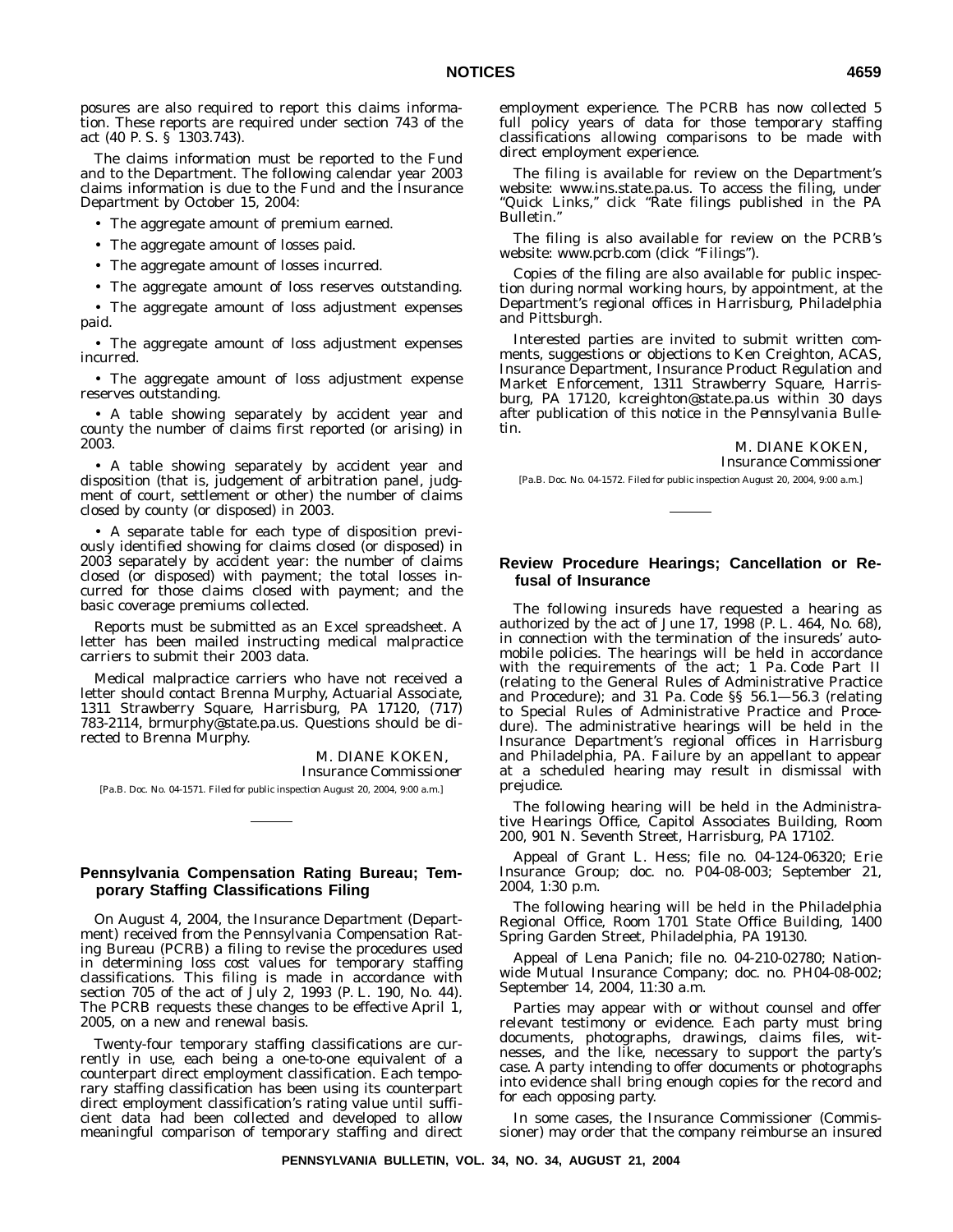posures are also required to report this claims information. These reports are required under section 743 of the act (40 P. S. § 1303.743).

The claims information must be reported to the Fund and to the Department. The following calendar year 2003 claims information is due to the Fund and the Insurance Department by October 15, 2004:

• The aggregate amount of premium earned.

- The aggregate amount of losses paid.
- The aggregate amount of losses incurred.
- The aggregate amount of loss reserves outstanding.

• The aggregate amount of loss adjustment expenses paid.

• The aggregate amount of loss adjustment expenses incurred.

• The aggregate amount of loss adjustment expense reserves outstanding.

• A table showing separately by accident year and county the number of claims first reported (or arising) in 2003.

• A table showing separately by accident year and disposition (that is, judgement of arbitration panel, judgment of court, settlement or other) the number of claims closed by county (or disposed) in 2003.

• A separate table for each type of disposition previously identified showing for claims closed (or disposed) in 2003 separately by accident year: the number of claims closed (or disposed) with payment; the total losses incurred for those claims closed with payment; and the basic coverage premiums collected.

Reports must be submitted as an Excel spreadsheet. A letter has been mailed instructing medical malpractice carriers to submit their 2003 data.

Medical malpractice carriers who have not received a letter should contact Brenna Murphy, Actuarial Associate, 1311 Strawberry Square, Harrisburg, PA 17120, (717) 783-2114, brmurphy@state.pa.us. Questions should be directed to Brenna Murphy.

> M. DIANE KOKEN, *Insurance Commissioner*

[Pa.B. Doc. No. 04-1571. Filed for public inspection August 20, 2004, 9:00 a.m.]

#### **Pennsylvania Compensation Rating Bureau; Temporary Staffing Classifications Filing**

On August 4, 2004, the Insurance Department (Department) received from the Pennsylvania Compensation Rating Bureau (PCRB) a filing to revise the procedures used in determining loss cost values for temporary staffing classifications. This filing is made in accordance with section 705 of the act of July 2, 1993 (P. L. 190, No. 44). The PCRB requests these changes to be effective April 1, 2005, on a new and renewal basis.

Twenty-four temporary staffing classifications are currently in use, each being a one-to-one equivalent of a counterpart direct employment classification. Each temporary staffing classification has been using its counterpart direct employment classification's rating value until sufficient data had been collected and developed to allow meaningful comparison of temporary staffing and direct

employment experience. The PCRB has now collected 5 full policy years of data for those temporary staffing classifications allowing comparisons to be made with direct employment experience.

The filing is available for review on the Department's website: www.ins.state.pa.us. To access the filing, under "Quick Links," click "Rate filings published in the PA Bulletin.''

The filing is also available for review on the PCRB's website: www.pcrb.com (click "Filings").

Copies of the filing are also available for public inspection during normal working hours, by appointment, at the Department's regional offices in Harrisburg, Philadelphia and Pittsburgh.

Interested parties are invited to submit written comments, suggestions or objections to Ken Creighton, ACAS, Insurance Department, Insurance Product Regulation and Market Enforcement, 1311 Strawberry Square, Harrisburg, PA 17120, kcreighton@state.pa.us within 30 days after publication of this notice in the *Pennsylvania Bulletin*.

M. DIANE KOKEN,

*Insurance Commissioner*

[Pa.B. Doc. No. 04-1572. Filed for public inspection August 20, 2004, 9:00 a.m.]

# **Review Procedure Hearings; Cancellation or Refusal of Insurance**

The following insureds have requested a hearing as authorized by the act of June 17, 1998 (P. L. 464, No. 68), in connection with the termination of the insureds' automobile policies. The hearings will be held in accordance with the requirements of the act; 1 Pa. Code Part II (relating to the General Rules of Administrative Practice and Procedure); and 31 Pa. Code §§ 56.1—56.3 (relating to Special Rules of Administrative Practice and Procedure). The administrative hearings will be held in the Insurance Department's regional offices in Harrisburg and Philadelphia, PA. Failure by an appellant to appear at a scheduled hearing may result in dismissal with prejudice.

The following hearing will be held in the Administrative Hearings Office, Capitol Associates Building, Room 200, 901 N. Seventh Street, Harrisburg, PA 17102.

Appeal of Grant L. Hess; file no. 04-124-06320; Erie Insurance Group; doc. no. P04-08-003; September 21, 2004, 1:30 p.m.

The following hearing will be held in the Philadelphia Regional Office, Room 1701 State Office Building, 1400 Spring Garden Street, Philadelphia, PA 19130.

Appeal of Lena Panich; file no. 04-210-02780; Nationwide Mutual Insurance Company; doc. no. PH04-08-002; September 14, 2004, 11:30 a.m.

Parties may appear with or without counsel and offer relevant testimony or evidence. Each party must bring documents, photographs, drawings, claims files, witnesses, and the like, necessary to support the party's case. A party intending to offer documents or photographs into evidence shall bring enough copies for the record and for each opposing party.

In some cases, the Insurance Commissioner (Commissioner) may order that the company reimburse an insured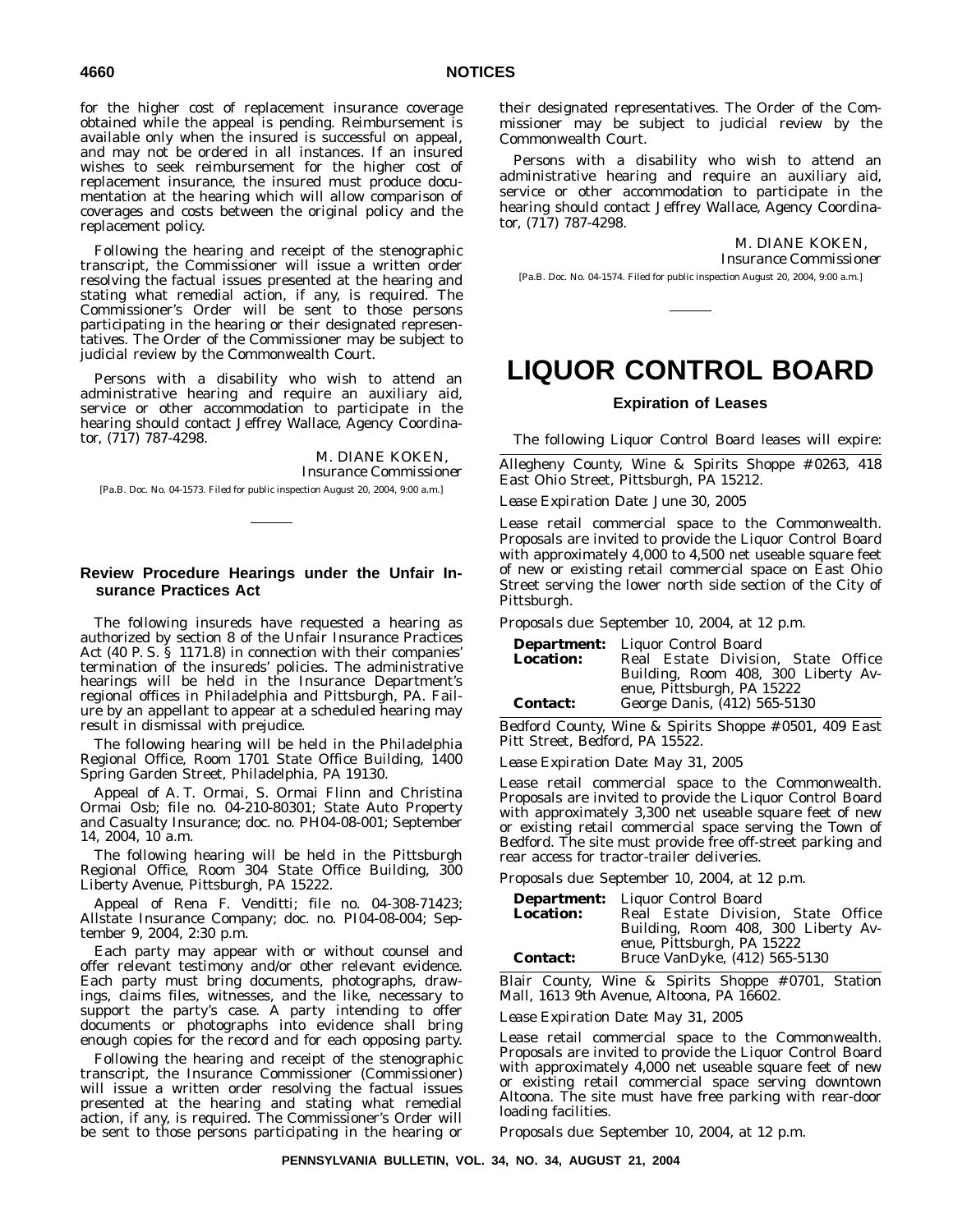for the higher cost of replacement insurance coverage obtained while the appeal is pending. Reimbursement is available only when the insured is successful on appeal, and may not be ordered in all instances. If an insured wishes to seek reimbursement for the higher cost of replacement insurance, the insured must produce documentation at the hearing which will allow comparison of coverages and costs between the original policy and the replacement policy.

Following the hearing and receipt of the stenographic transcript, the Commissioner will issue a written order resolving the factual issues presented at the hearing and stating what remedial action, if any, is required. The Commissioner's Order will be sent to those persons participating in the hearing or their designated representatives. The Order of the Commissioner may be subject to judicial review by the Commonwealth Court.

Persons with a disability who wish to attend an administrative hearing and require an auxiliary aid, service or other accommodation to participate in the hearing should contact Jeffrey Wallace, Agency Coordinator, (717) 787-4298.

> M. DIANE KOKEN *Insurance Commissioner*

[Pa.B. Doc. No. 04-1573. Filed for public inspection August 20, 2004, 9:00 a.m.]

# **Review Procedure Hearings under the Unfair Insurance Practices Act**

The following insureds have requested a hearing as authorized by section 8 of the Unfair Insurance Practices Act (40 P. S. § 1171.8) in connection with their companies' termination of the insureds' policies. The administrative hearings will be held in the Insurance Department's regional offices in Philadelphia and Pittsburgh, PA. Failure by an appellant to appear at a scheduled hearing may result in dismissal with prejudice.

The following hearing will be held in the Philadelphia Regional Office, Room 1701 State Office Building, 1400 Spring Garden Street, Philadelphia, PA 19130.

Appeal of A. T. Ormai, S. Ormai Flinn and Christina Ormai Osb; file no. 04-210-80301; State Auto Property and Casualty Insurance; doc. no. PH04-08-001; September 14, 2004, 10 a.m.

The following hearing will be held in the Pittsburgh Regional Office, Room 304 State Office Building, 300 Liberty Avenue, Pittsburgh, PA 15222.

Appeal of Rena F. Venditti; file no. 04-308-71423; Allstate Insurance Company; doc. no. PI04-08-004; September 9, 2004, 2:30 p.m.

Each party may appear with or without counsel and offer relevant testimony and/or other relevant evidence. Each party must bring documents, photographs, drawings, claims files, witnesses, and the like, necessary to support the party's case. A party intending to offer documents or photographs into evidence shall bring enough copies for the record and for each opposing party.

Following the hearing and receipt of the stenographic transcript, the Insurance Commissioner (Commissioner) will issue a written order resolving the factual issues presented at the hearing and stating what remedial action, if any, is required. The Commissioner's Order will be sent to those persons participating in the hearing or

their designated representatives. The Order of the Commissioner may be subject to judicial review by the Commonwealth Court.

Persons with a disability who wish to attend an administrative hearing and require an auxiliary aid, service or other accommodation to participate in the hearing should contact Jeffrey Wallace, Agency Coordinator, (717) 787-4298.

> M. DIANE KOKEN, *Insurance Commissioner*

[Pa.B. Doc. No. 04-1574. Filed for public inspection August 20, 2004, 9:00 a.m.]

# **LIQUOR CONTROL BOARD**

### **Expiration of Leases**

The following Liquor Control Board leases will expire:

Allegheny County, Wine & Spirits Shoppe # 0263, 418 East Ohio Street, Pittsburgh, PA 15212.

*Lease Expiration Date:* June 30, 2005

Lease retail commercial space to the Commonwealth. Proposals are invited to provide the Liquor Control Board with approximately 4,000 to 4,500 net useable square feet of new or existing retail commercial space on East Ohio Street serving the lower north side section of the City of Pittsburgh.

*Proposals due:* September 10, 2004, at 12 p.m.

| <b>Department:</b> | Liquor Control Board                                              |
|--------------------|-------------------------------------------------------------------|
| <b>Location:</b>   | Real Estate Division, State Office                                |
|                    | Building, Room 408, 300 Liberty Av-<br>enue, Pittsburgh, PA 15222 |
| <b>Contact:</b>    | George Danis, (412) 565-5130                                      |

Bedford County, Wine & Spirits Shoppe # 0501, 409 East Pitt Street, Bedford, PA 15522.

*Lease Expiration Date:* May 31, 2005

Lease retail commercial space to the Commonwealth. Proposals are invited to provide the Liquor Control Board with approximately 3,300 net useable square feet of new or existing retail commercial space serving the Town of Bedford. The site must provide free off-street parking and rear access for tractor-trailer deliveries.

*Proposals due:* September 10, 2004, at 12 p.m.

|                  | <b>Department:</b> Liquor Control Board |
|------------------|-----------------------------------------|
| <b>Location:</b> | Real Estate Division, State Office      |
|                  | Building, Room 408, 300 Liberty Av-     |
|                  | enue, Pittsburgh, PA 15222              |
| <b>Contact:</b>  | Bruce VanDyke, (412) 565-5130           |

Blair County, Wine & Spirits Shoppe # 0701, Station Mall, 1613 9th Avenue, Altoona, PA 16602.

*Lease Expiration Date:* May 31, 2005

Lease retail commercial space to the Commonwealth. Proposals are invited to provide the Liquor Control Board with approximately 4,000 net useable square feet of new or existing retail commercial space serving downtown Altoona. The site must have free parking with rear-door loading facilities.

*Proposals due:* September 10, 2004, at 12 p.m.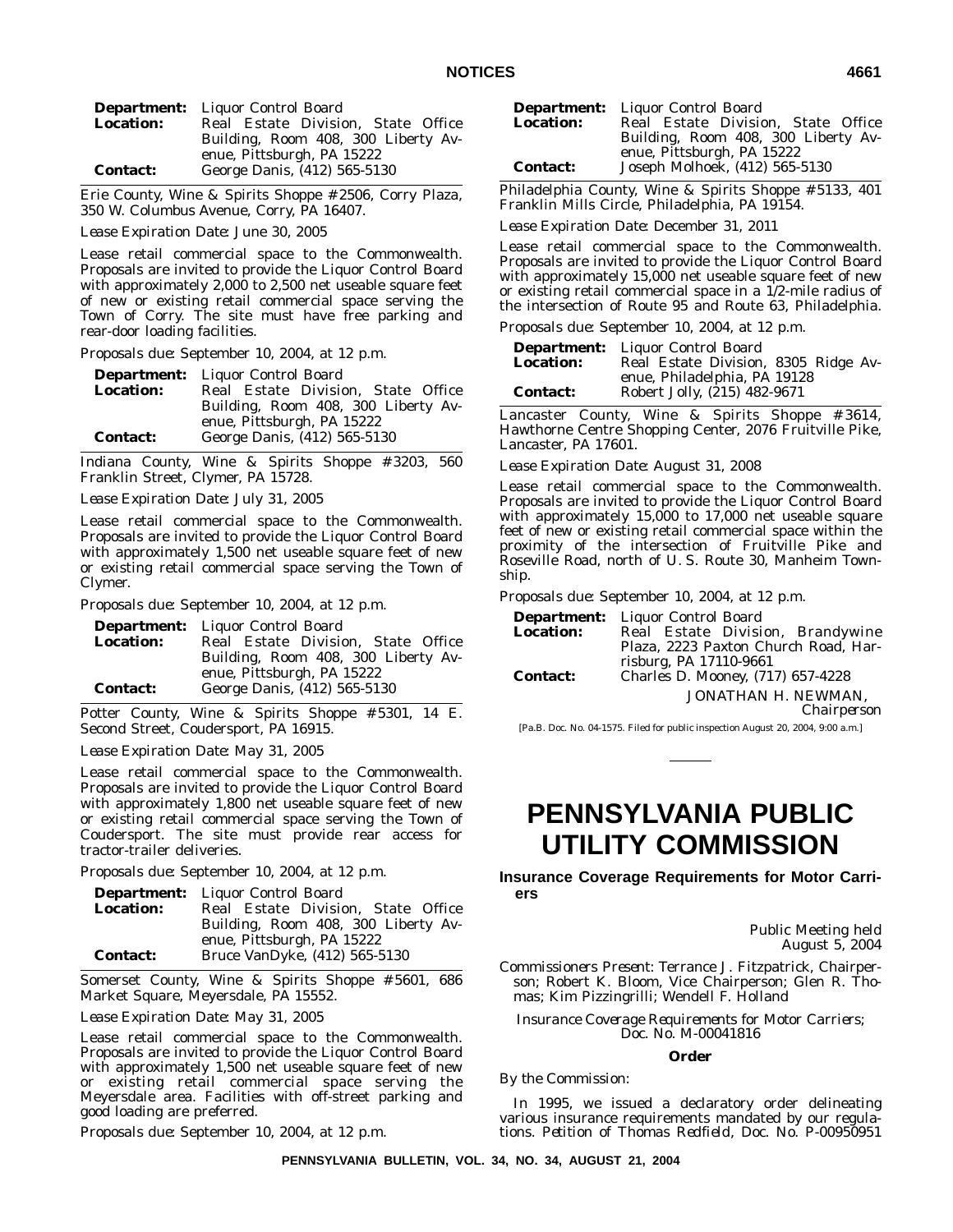|                  | <b>Department:</b> Liquor Control Board                           |
|------------------|-------------------------------------------------------------------|
| <b>Location:</b> | Real Estate Division, State Office                                |
|                  | Building, Room 408, 300 Liberty Av-<br>enue, Pittsburgh, PA 15222 |
| <b>Contact:</b>  | George Danis, (412) 565-5130                                      |

Erie County, Wine & Spirits Shoppe # 2506, Corry Plaza, 350 W. Columbus Avenue, Corry, PA 16407.

*Lease Expiration Date:* June 30, 2005

Lease retail commercial space to the Commonwealth. Proposals are invited to provide the Liquor Control Board with approximately 2,000 to 2,500 net useable square feet of new or existing retail commercial space serving the Town of Corry. The site must have free parking and rear-door loading facilities.

*Proposals due:* September 10, 2004, at 12 p.m.

|                  | <b>Department:</b> Liquor Control Board |
|------------------|-----------------------------------------|
| <b>Location:</b> | Real Estate Division, State Office      |
|                  | Building, Room 408, 300 Liberty Av-     |
|                  | enue, Pittsburgh, PA 15222              |
| <b>Contact:</b>  | George Danis, (412) 565-5130            |

Indiana County, Wine & Spirits Shoppe # 3203, 560 Franklin Street, Clymer, PA 15728.

*Lease Expiration Date:* July 31, 2005

Lease retail commercial space to the Commonwealth. Proposals are invited to provide the Liquor Control Board with approximately 1,500 net useable square feet of new or existing retail commercial space serving the Town of Clymer.

*Proposals due:* September 10, 2004, at 12 p.m.

|                  | <b>Department:</b> Liquor Control Board                           |
|------------------|-------------------------------------------------------------------|
| <b>Location:</b> | Real Estate Division, State Office                                |
|                  | Building, Room 408, 300 Liberty Av-<br>enue, Pittsburgh, PA 15222 |
| <b>Contact:</b>  | George Danis, (412) 565-5130                                      |

Potter County, Wine & Spirits Shoppe # 5301, 14 E. Second Street, Coudersport, PA 16915.

*Lease Expiration Date:* May 31, 2005

Lease retail commercial space to the Commonwealth. Proposals are invited to provide the Liquor Control Board with approximately 1,800 net useable square feet of new or existing retail commercial space serving the Town of Coudersport. The site must provide rear access for tractor-trailer deliveries.

*Proposals due:* September 10, 2004, at 12 p.m.

|                  | <b>Department:</b> Liquor Control Board |
|------------------|-----------------------------------------|
| <b>Location:</b> | Real Estate Division, State Office      |
|                  | Building, Room 408, 300 Liberty Av-     |
|                  | enue, Pittsburgh, PA 15222              |
| <b>Contact:</b>  | Bruce VanDyke, (412) 565-5130           |

Somerset County, Wine & Spirits Shoppe # 5601, 686 Market Square, Meyersdale, PA 15552.

*Lease Expiration Date:* May 31, 2005

Lease retail commercial space to the Commonwealth. Proposals are invited to provide the Liquor Control Board with approximately 1,500 net useable square feet of new or existing retail commercial space serving the Meyersdale area. Facilities with off-street parking and good loading are preferred.

*Proposals due:* September 10, 2004, at 12 p.m.

| Location:       | <b>Department:</b> Liquor Control Board<br>Real Estate Division, State Office<br>Building, Room 408, 300 Liberty Av-<br>enue, Pittsburgh, PA 15222 |
|-----------------|----------------------------------------------------------------------------------------------------------------------------------------------------|
| <b>Contact:</b> | Joseph Molhoek, (412) 565-5130                                                                                                                     |

Philadelphia County, Wine & Spirits Shoppe # 5133, 401 Franklin Mills Circle, Philadelphia, PA 19154.

*Lease Expiration Date:* December 31, 2011

Lease retail commercial space to the Commonwealth. Proposals are invited to provide the Liquor Control Board with approximately 15,000 net useable square feet of new or existing retail commercial space in a 1/2-mile radius of the intersection of Route 95 and Route 63, Philadelphia.

*Proposals due:* September 10, 2004, at 12 p.m.

| <b>Department:</b> | Liquor Control Board                                         |
|--------------------|--------------------------------------------------------------|
| <b>Location:</b>   | Real Estate Division, 8305 Ridge Av-                         |
| <b>Contact:</b>    | enue, Philadelphia, PA 19128<br>Robert Jolly, (215) 482-9671 |

Lancaster County, Wine & Spirits Shoppe # 3614, Hawthorne Centre Shopping Center, 2076 Fruitville Pike, Lancaster, PA 17601.

*Lease Expiration Date:* August 31, 2008

Lease retail commercial space to the Commonwealth. Proposals are invited to provide the Liquor Control Board with approximately 15,000 to 17,000 net useable square feet of new or existing retail commercial space within the proximity of the intersection of Fruitville Pike and Roseville Road, north of U. S. Route 30, Manheim Township.

*Proposals due:* September 10, 2004, at 12 p.m.

|                  | <b>Department:</b> Liquor Control Board |
|------------------|-----------------------------------------|
| <b>Location:</b> | Real Estate Division, Brandywine        |
|                  | Plaza, 2223 Paxton Church Road, Har-    |
|                  | risburg, PA 17110-9661                  |
| <b>Contact:</b>  | Charles D. Mooney, (717) 657-4228       |
|                  | JONATHAN H. NEWMAN,                     |

*Chairperson*

[Pa.B. Doc. No. 04-1575. Filed for public inspection August 20, 2004, 9:00 a.m.]

# **PENNSYLVANIA PUBLIC UTILITY COMMISSION**

**Insurance Coverage Requirements for Motor Carriers**

> Public Meeting held August 5, 2004

*Commissioners Present:* Terrance J. Fitzpatrick, Chairperson; Robert K. Bloom, Vice Chairperson; Glen R. Thomas; Kim Pizzingrilli; Wendell F. Holland

*Insurance Coverage Requirements for Motor Carriers; Doc. No. M-00041816*

#### **Order**

*By the Commission:*

In 1995, we issued a declaratory order delineating various insurance requirements mandated by our regulations. *Petition of Thomas Redfield*, Doc. No. P-00950951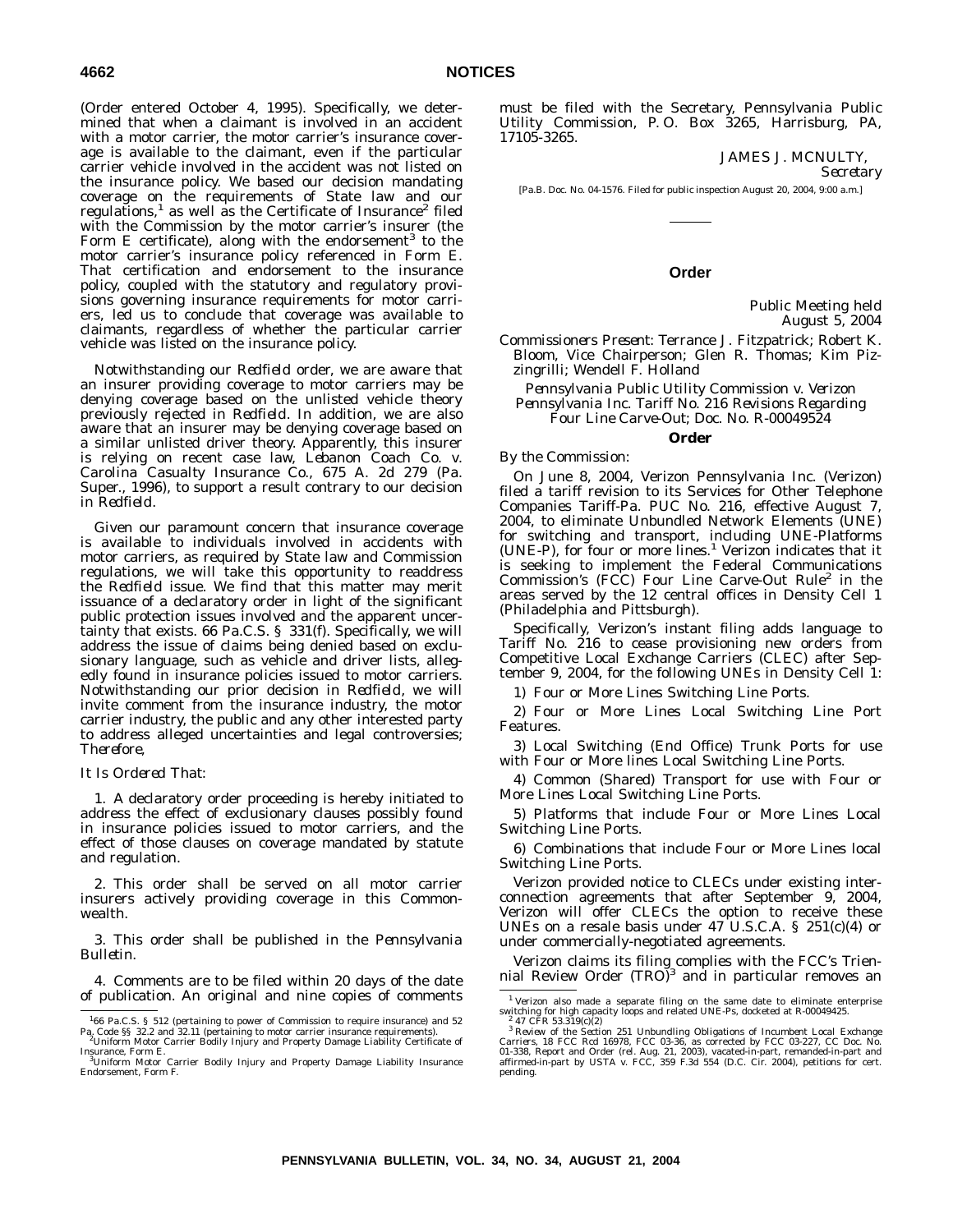(Order entered October 4, 1995). Specifically, we determined that when a claimant is involved in an accident with a motor carrier, the motor carrier's insurance coverage is available to the claimant, even if the particular carrier vehicle involved in the accident was not listed on the insurance policy. We based our decision mandating coverage on the requirements of State law and our regulations, $\frac{1}{1}$  as well as the Certificate of Insurance<sup>2</sup> filed with the Commission by the motor carrier's insurer (the Form E certificate), along with the endorsement<sup>3</sup> to the motor carrier's insurance policy referenced in Form E. That certification and endorsement to the insurance policy, coupled with the statutory and regulatory provisions governing insurance requirements for motor carriers, led us to conclude that coverage was available to claimants, regardless of whether the particular carrier vehicle was listed on the insurance policy.

Notwithstanding our *Redfield* order, we are aware that an insurer providing coverage to motor carriers may be denying coverage based on the unlisted vehicle theory previously rejected in *Redfield*. In addition, we are also aware that an insurer may be denying coverage based on a similar unlisted driver theory. Apparently, this insurer is relying on recent case law, *Lebanon Coach Co. v. Carolina Casualty Insurance Co.*, 675 A. 2d 279 (Pa. Super., 1996), to support a result contrary to our decision in *Redfield*.

Given our paramount concern that insurance coverage is available to individuals involved in accidents with motor carriers, as required by State law and Commission regulations, we will take this opportunity to readdress the *Redfield* issue. We find that this matter may merit issuance of a declaratory order in light of the significant public protection issues involved and the apparent uncertainty that exists. 66 Pa.C.S. § 331(f). Specifically, we will address the issue of claims being denied based on exclusionary language, such as vehicle and driver lists, allegedly found in insurance policies issued to motor carriers. Notwithstanding our prior decision in *Redfield*, we will invite comment from the insurance industry, the motor carrier industry, the public and any other interested party to address alleged uncertainties and legal controversies; *Therefore*,

#### *It Is Ordered That:*

1. A declaratory order proceeding is hereby initiated to address the effect of exclusionary clauses possibly found in insurance policies issued to motor carriers, and the effect of those clauses on coverage mandated by statute and regulation.

2. This order shall be served on all motor carrier insurers actively providing coverage in this Commonwealth.

3. This order shall be published in the *Pennsylvania Bulletin*.

4. Comments are to be filed within 20 days of the date of publication. An original and nine copies of comments must be filed with the Secretary, Pennsylvania Public Utility Commission, P. O. Box 3265, Harrisburg, PA, 17105-3265.

> JAMES J. MCNULTY, *Secretary*

[Pa.B. Doc. No. 04-1576. Filed for public inspection August 20, 2004, 9:00 a.m.]

#### **Order**

Public Meeting held August 5, 2004

*Commissioners Present:* Terrance J. Fitzpatrick; Robert K. Bloom, Vice Chairperson; Glen R. Thomas; Kim Pizzingrilli; Wendell F. Holland

*Pennsylvania Public Utility Commission v. Verizon Pennsylvania Inc. Tariff No. 216 Revisions Regarding Four Line Carve-Out; Doc. No. R-00049524*

# **Order**

*By the Commission:*

On June 8, 2004, Verizon Pennsylvania Inc. (Verizon) filed a tariff revision to its Services for Other Telephone Companies Tariff-Pa. PUC No. 216, effective August 7, 2004, to eliminate Unbundled Network Elements (UNE) for switching and transport, including UNE-Platforms  $(UNE-P)$ , for four or more lines.<sup>1</sup> Verizon indicates that it is seeking to implement the Federal Communications Commission's (FCC) Four Line Carve-Out Rule<sup>2</sup> in the areas served by the 12 central offices in Density Cell 1 (Philadelphia and Pittsburgh).

Specifically, Verizon's instant filing adds language to Tariff No. 216 to cease provisioning new orders from Competitive Local Exchange Carriers (CLEC) after September 9, 2004, for the following UNEs in Density Cell 1:

1) Four or More Lines Switching Line Ports.

2) Four or More Lines Local Switching Line Port Features.

3) Local Switching (End Office) Trunk Ports for use with Four or More lines Local Switching Line Ports.

4) Common (Shared) Transport for use with Four or More Lines Local Switching Line Ports.

5) Platforms that include Four or More Lines Local Switching Line Ports.

6) Combinations that include Four or More Lines local Switching Line Ports.

Verizon provided notice to CLECs under existing interconnection agreements that after September 9, 2004, Verizon will offer CLECs the option to receive these UNEs on a resale basis under 47 U.S.C.A. § 251(c)(4) or under commercially-negotiated agreements.

Verizon claims its filing complies with the FCC's Trien-<br>nial Review Order (TRO)<sup>3</sup> and in particular removes an

<sup>&</sup>lt;sup>1</sup>66 Pa.C.S. § 512 (pertaining to power of Commission to require insurance) and 52<br>Pa. Code §§ 32.2 and 32.11 (pertaining to motor carrier insurance requirements).<br><sup>2</sup>Uniform Motor Carrier Bodily Injury and Property Dama

Insurance, Form E.<br><sup>3</sup>Uniform Motor Carrier Bodily Injury and Property Damage Liability Insurance Endorsement, Form F.

<sup>&</sup>lt;sup>1</sup> Verizon also made a separate filing on the same date to eliminate enterprise<br>switching for high capacity loops and related UNE-Ps, docketed at R-00049425.<br><sup>2</sup> 47 CFR 53.319(c)(2)<br><sup>3</sup> Review of the Section 251 Unbundli

*Carriers,* 18 FCC Rcd 16978, FCC 03-36, as corrected by FCC 03-227, CC Doc. No.<br>01-338, Report and Order (rel. Aug. 21, 2003), vacated in part, remanded in part and<br>affirmed in part by *USTA v. FCC*, 359 F.3d 554 (D.C. Ci pending.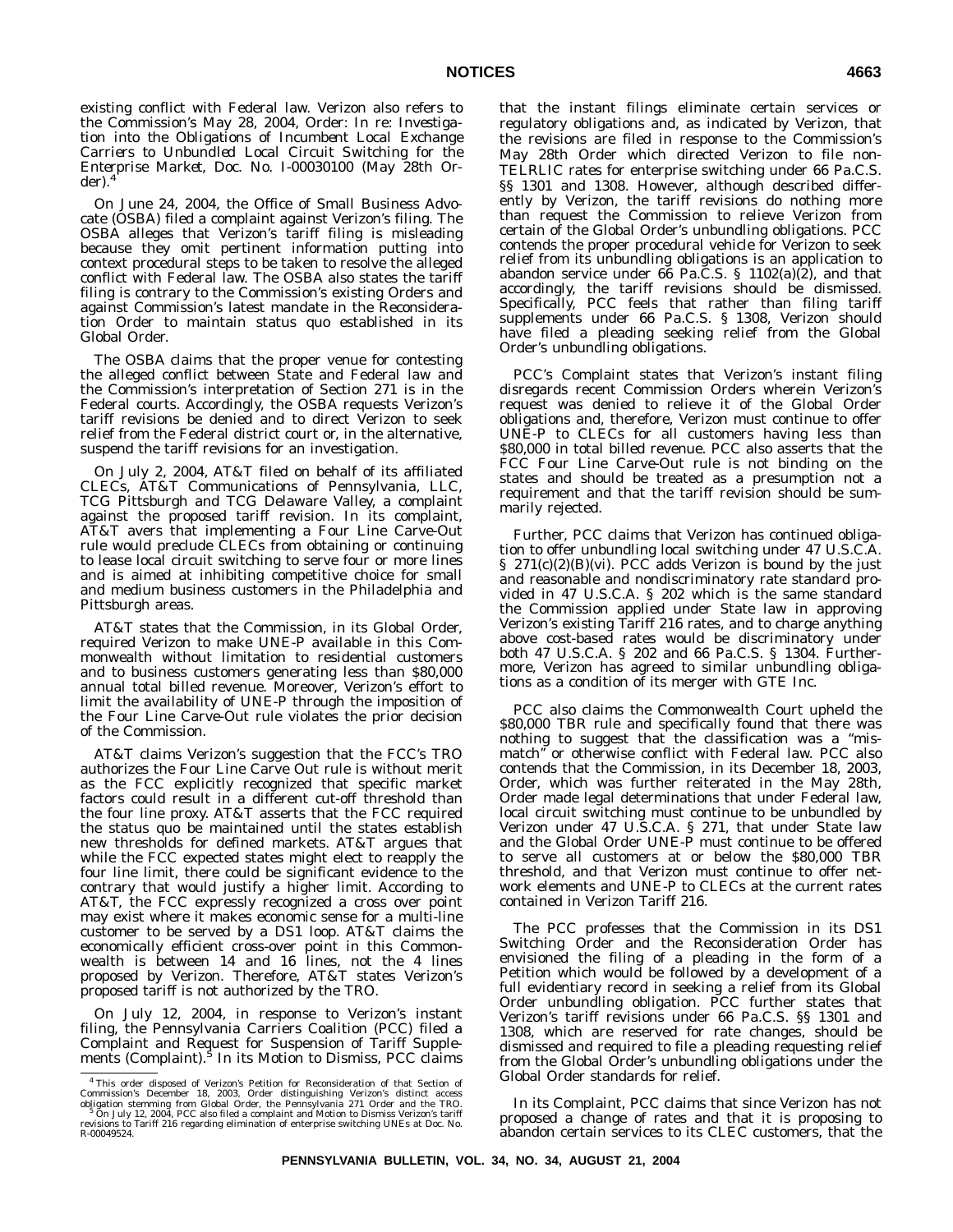existing conflict with Federal law. Verizon also refers to the Commission's May 28, 2004, Order: In re: *Investigation into the Obligations of Incumbent Local Exchange Carriers to Unbundled Local Circuit Switching for the Enterprise Market*, Doc. No. I-00030100 (May 28th Order).

On June 24, 2004, the Office of Small Business Advocate (OSBA) filed a complaint against Verizon's filing. The OSBA alleges that Verizon's tariff filing is misleading because they omit pertinent information putting into context procedural steps to be taken to resolve the alleged conflict with Federal law. The OSBA also states the tariff filing is contrary to the Commission's existing Orders and against Commission's latest mandate in the Reconsideration Order to maintain status quo established in its Global Order.

The OSBA claims that the proper venue for contesting the alleged conflict between State and Federal law and the Commission's interpretation of Section 271 is in the Federal courts. Accordingly, the OSBA requests Verizon's tariff revisions be denied and to direct Verizon to seek relief from the Federal district court or, in the alternative, suspend the tariff revisions for an investigation.

On July 2, 2004, AT&T filed on behalf of its affiliated CLECs, AT&T Communications of Pennsylvania, LLC, TCG Pittsburgh and TCG Delaware Valley, a complaint against the proposed tariff revision. In its complaint, AT&T avers that implementing a Four Line Carve-Out rule would preclude CLECs from obtaining or continuing to lease local circuit switching to serve four or more lines and is aimed at inhibiting competitive choice for small and medium business customers in the Philadelphia and Pittsburgh areas.

AT&T states that the Commission, in its Global Order, required Verizon to make UNE-P available in this Commonwealth without limitation to residential customers and to business customers generating less than \$80,000 annual total billed revenue. Moreover, Verizon's effort to limit the availability of UNE-P through the imposition of the Four Line Carve-Out rule violates the prior decision of the Commission.

AT&T claims Verizon's suggestion that the FCC's TRO authorizes the Four Line Carve Out rule is without merit as the FCC explicitly recognized that specific market factors could result in a different cut-off threshold than the four line proxy. AT&T asserts that the FCC required the status quo be maintained until the states establish new thresholds for defined markets. AT&T argues that while the FCC expected states might elect to reapply the four line limit, there could be significant evidence to the contrary that would justify a higher limit. According to AT&T, the FCC expressly recognized a cross over point may exist where it makes economic sense for a multi-line customer to be served by a DS1 loop. AT&T claims the economically efficient cross-over point in this Commonwealth is between 14 and 16 lines, not the 4 lines proposed by Verizon. Therefore, AT&T states Verizon's proposed tariff is not authorized by the TRO.

On July 12, 2004, in response to Verizon's instant filing, the Pennsylvania Carriers Coalition (PCC) filed a Complaint and Request for Suspension of Tariff Supple-<br>ments (Complaint).<sup>5</sup> In its Motion to Dismiss, PCC claims that the instant filings eliminate certain services or regulatory obligations and, as indicated by Verizon, that the revisions are filed in response to the Commission's May 28th Order which directed Verizon to file non-TELRLIC rates for enterprise switching under 66 Pa.C.S. §§ 1301 and 1308. However, although described differently by Verizon, the tariff revisions do nothing more than request the Commission to relieve Verizon from certain of the Global Order's unbundling obligations. PCC contends the proper procedural vehicle for Verizon to seek relief from its unbundling obligations is an application to abandon service under  $66$  Pa.C.S. § 1102(a)(2), and that accordingly, the tariff revisions should be dismissed. Specifically, PCC feels that rather than filing tariff supplements under 66 Pa.C.S. § 1308, Verizon should have filed a pleading seeking relief from the Global Order's unbundling obligations.

PCC's Complaint states that Verizon's instant filing disregards recent Commission Orders wherein Verizon's request was denied to relieve it of the Global Order obligations and, therefore, Verizon must continue to offer UNE-P to CLECs for all customers having less than \$80,000 in total billed revenue. PCC also asserts that the FCC Four Line Carve-Out rule is not binding on the states and should be treated as a presumption not a requirement and that the tariff revision should be summarily rejected.

Further, PCC claims that Verizon has continued obligation to offer unbundling local switching under 47 U.S.C.A.  $\S$  271(c)(2)(B)(vi). PCC adds Verizon is bound by the just and reasonable and nondiscriminatory rate standard provided in 47 U.S.C.A. § 202 which is the same standard the Commission applied under State law in approving Verizon's existing Tariff 216 rates, and to charge anything above cost-based rates would be discriminatory under both 47 U.S.C.A. § 202 and 66 Pa.C.S. § 1304. Furthermore, Verizon has agreed to similar unbundling obligations as a condition of its merger with GTE Inc.

PCC also claims the Commonwealth Court upheld the \$80,000 TBR rule and specifically found that there was nothing to suggest that the classification was a ''mismatch'' or otherwise conflict with Federal law. PCC also contends that the Commission, in its December 18, 2003, Order, which was further reiterated in the May 28th, Order made legal determinations that under Federal law, local circuit switching must continue to be unbundled by Verizon under 47 U.S.C.A. § 271, that under State law and the Global Order UNE-P must continue to be offered to serve all customers at or below the \$80,000 TBR threshold, and that Verizon must continue to offer network elements and UNE-P to CLECs at the current rates contained in Verizon Tariff 216.

The PCC professes that the Commission in its DS1 Switching Order and the Reconsideration Order has envisioned the filing of a pleading in the form of a Petition which would be followed by a development of a full evidentiary record in seeking a relief from its Global Order unbundling obligation. PCC further states that Verizon's tariff revisions under 66 Pa.C.S. §§ 1301 and 1308, which are reserved for rate changes, should be dismissed and required to file a pleading requesting relief from the Global Order's unbundling obligations under the Global Order standards for relief.

In its Complaint, PCC claims that since Verizon has not proposed a change of rates and that it is proposing to abandon certain services to its CLEC customers, that the

<sup>&</sup>lt;sup>4</sup> This order disposed of Verizon's Petition for Reconsideration of that Section of Commission's December 18, 2003, Order distinguishing Verizon's distinct access obligation stemming from Global Order, the Pennsylvania 2 R-00049524.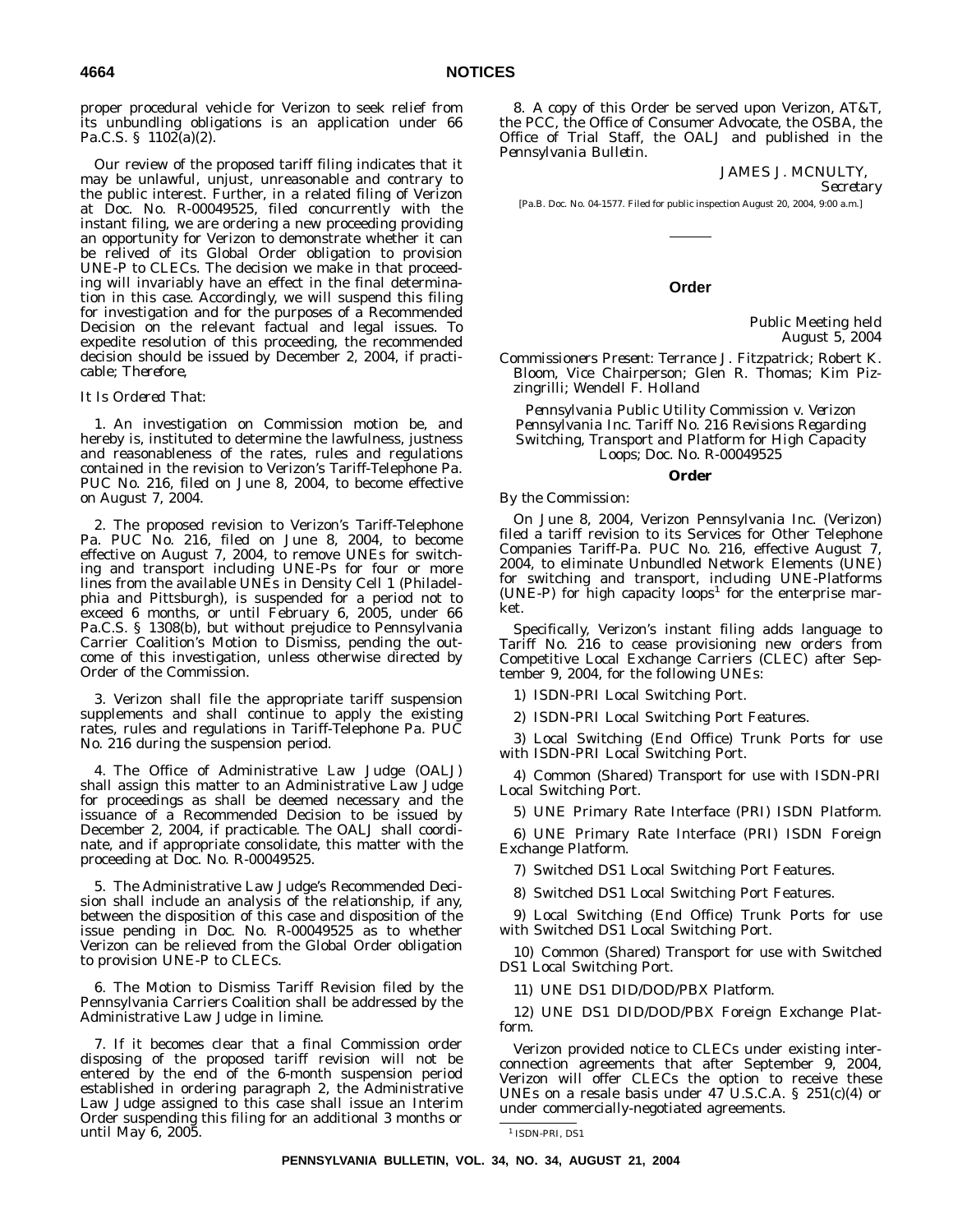proper procedural vehicle for Verizon to seek relief from its unbundling obligations is an application under 66 Pa.C.S. § 1102(a)(2).

Our review of the proposed tariff filing indicates that it may be unlawful, unjust, unreasonable and contrary to the public interest. Further, in a related filing of Verizon at Doc. No. R-00049525, filed concurrently with the instant filing, we are ordering a new proceeding providing an opportunity for Verizon to demonstrate whether it can be relived of its Global Order obligation to provision UNE-P to CLECs. The decision we make in that proceeding will invariably have an effect in the final determination in this case. Accordingly, we will suspend this filing for investigation and for the purposes of a Recommended Decision on the relevant factual and legal issues. To expedite resolution of this proceeding, the recommended decision should be issued by December 2, 2004, if practicable; *Therefore*,

#### *It Is Ordered That:*

1. An investigation on Commission motion be, and hereby is, instituted to determine the lawfulness, justness and reasonableness of the rates, rules and regulations contained in the revision to Verizon's Tariff-Telephone Pa. PUC No. 216, filed on June 8, 2004, to become effective on August 7, 2004.

2. The proposed revision to Verizon's Tariff-Telephone Pa. PUC No. 216, filed on June 8, 2004, to become effective on August 7, 2004, to remove UNEs for switching and transport including UNE-Ps for four or more lines from the available UNEs in Density Cell 1 (Philadelphia and Pittsburgh), is suspended for a period not to exceed 6 months, or until February 6, 2005, under 66 Pa.C.S. § 1308(b), but without prejudice to Pennsylvania Carrier Coalition's Motion to Dismiss, pending the outcome of this investigation, unless otherwise directed by Order of the Commission.

3. Verizon shall file the appropriate tariff suspension supplements and shall continue to apply the existing rates, rules and regulations in Tariff-Telephone Pa. PUC No. 216 during the suspension period.

4. The Office of Administrative Law Judge (OALJ) shall assign this matter to an Administrative Law Judge for proceedings as shall be deemed necessary and the issuance of a Recommended Decision to be issued by December 2, 2004, if practicable. The OALJ shall coordinate, and if appropriate consolidate, this matter with the proceeding at Doc. No. R-00049525.

5. The Administrative Law Judge's Recommended Decision shall include an analysis of the relationship, if any, between the disposition of this case and disposition of the issue pending in Doc. No. R-00049525 as to whether Verizon can be relieved from the Global Order obligation to provision UNE-P to CLECs.

6. The Motion to Dismiss Tariff Revision filed by the Pennsylvania Carriers Coalition shall be addressed by the Administrative Law Judge in limine.

7. If it becomes clear that a final Commission order disposing of the proposed tariff revision will not be entered by the end of the 6-month suspension period established in ordering paragraph 2, the Administrative Law Judge assigned to this case shall issue an Interim Order suspending this filing for an additional 3 months or until May 6, 2005.

8. A copy of this Order be served upon Verizon, AT&T, the PCC, the Office of Consumer Advocate, the OSBA, the Office of Trial Staff, the OALJ and published in the *Pennsylvania Bulletin*.

JAMES J. MCNULTY,

*Secretary*

[Pa.B. Doc. No. 04-1577. Filed for public inspection August 20, 2004, 9:00 a.m.]

#### **Order**

Public Meeting held August 5, 2004

*Commissioners Present:* Terrance J. Fitzpatrick; Robert K. Bloom, Vice Chairperson; Glen R. Thomas; Kim Pizzingrilli; Wendell F. Holland

*Pennsylvania Public Utility Commission v. Verizon Pennsylvania Inc. Tariff No. 216 Revisions Regarding Switching, Transport and Platform for High Capacity Loops; Doc. No. R-00049525*

#### **Order**

#### *By the Commission:*

On June 8, 2004, Verizon Pennsylvania Inc. (Verizon) filed a tariff revision to its Services for Other Telephone Companies Tariff-Pa. PUC No. 216, effective August 7, 2004, to eliminate Unbundled Network Elements (UNE) for switching and transport, including UNE-Platforms (UNE-P) for high capacity loops<sup>1</sup> for the enterprise market.

Specifically, Verizon's instant filing adds language to Tariff No. 216 to cease provisioning new orders from Competitive Local Exchange Carriers (CLEC) after September 9, 2004, for the following UNEs:

1) ISDN-PRI Local Switching Port.

2) ISDN-PRI Local Switching Port Features.

3) Local Switching (End Office) Trunk Ports for use with ISDN-PRI Local Switching Port.

4) Common (Shared) Transport for use with ISDN-PRI Local Switching Port.

5) UNE Primary Rate Interface (PRI) ISDN Platform.

6) UNE Primary Rate Interface (PRI) ISDN Foreign Exchange Platform.

7) Switched DS1 Local Switching Port Features.

8) Switched DS1 Local Switching Port Features.

9) Local Switching (End Office) Trunk Ports for use with Switched DS1 Local Switching Port.

10) Common (Shared) Transport for use with Switched DS1 Local Switching Port.

11) UNE DS1 DID/DOD/PBX Platform.

12) UNE DS1 DID/DOD/PBX Foreign Exchange Platform.

Verizon provided notice to CLECs under existing interconnection agreements that after September 9, 2004, Verizon will offer CLECs the option to receive these UNEs on a resale basis under  $47$  U.S.C.A. §  $251(c)(4)$  or under commercially-negotiated agreements.

<sup>1</sup> ISDN-PRI, DS1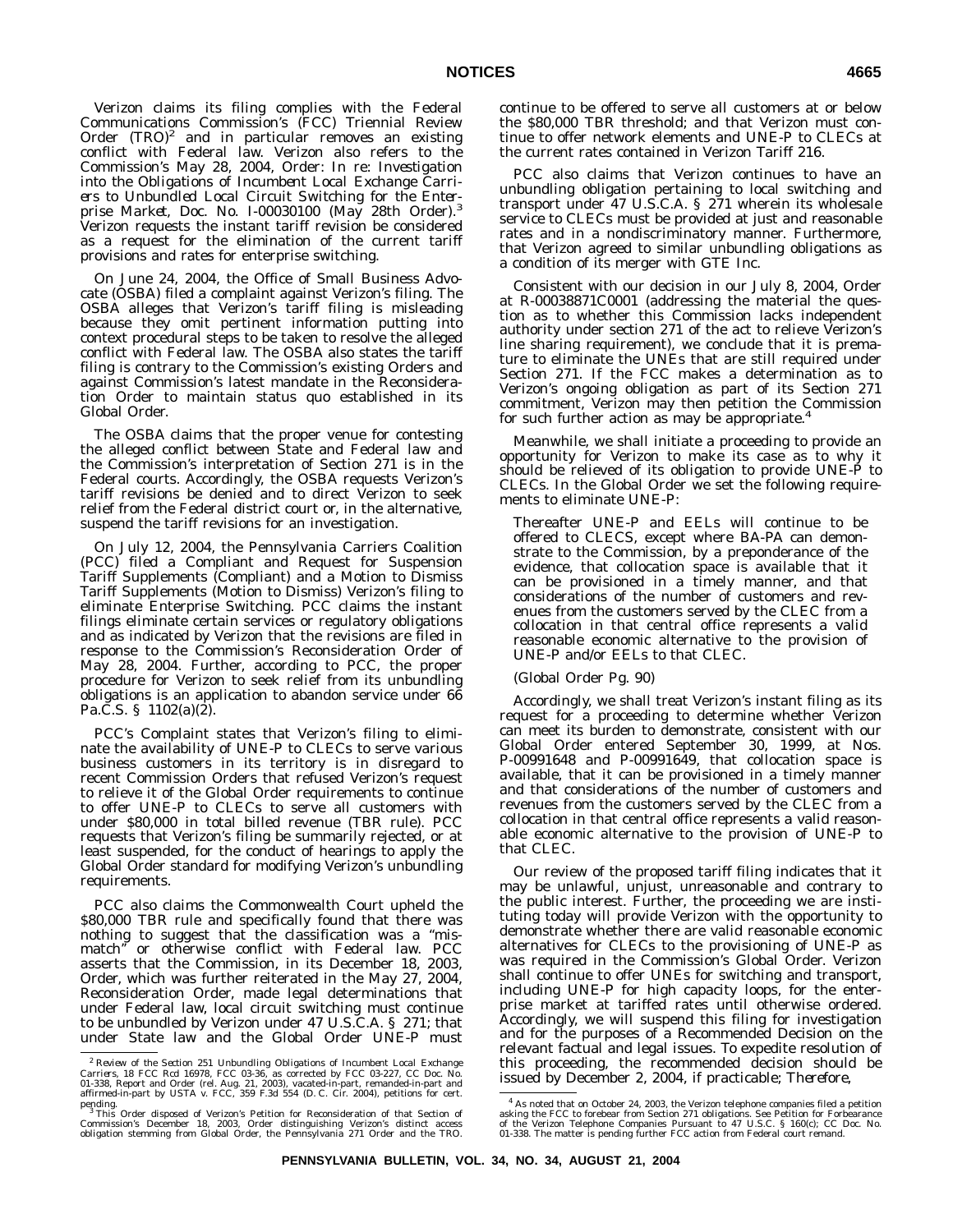Verizon claims its filing complies with the Federal Communications Commission's (FCC) Triennial Review Order  $(TRO)^2$  and in particular removes an existing conflict with Federal law. Verizon also refers to the Commission's May 28, 2004, Order: In re: *Investigation into the Obligations of Incumbent Local Exchange Carriers to Unbundled Local Circuit Switching for the Enter-prise Market*, Doc. No. I-00030100 (May 28th Order).3 Verizon requests the instant tariff revision be considered as a request for the elimination of the current tariff provisions and rates for enterprise switching.

On June 24, 2004, the Office of Small Business Advocate (OSBA) filed a complaint against Verizon's filing. The OSBA alleges that Verizon's tariff filing is misleading because they omit pertinent information putting into context procedural steps to be taken to resolve the alleged conflict with Federal law. The OSBA also states the tariff filing is contrary to the Commission's existing Orders and against Commission's latest mandate in the Reconsideration Order to maintain status quo established in its Global Order.

The OSBA claims that the proper venue for contesting the alleged conflict between State and Federal law and the Commission's interpretation of Section 271 is in the Federal courts. Accordingly, the OSBA requests Verizon's tariff revisions be denied and to direct Verizon to seek relief from the Federal district court or, in the alternative, suspend the tariff revisions for an investigation.

On July 12, 2004, the Pennsylvania Carriers Coalition (PCC) filed a Compliant and Request for Suspension Tariff Supplements (Compliant) and a Motion to Dismiss Tariff Supplements (Motion to Dismiss) Verizon's filing to eliminate Enterprise Switching. PCC claims the instant filings eliminate certain services or regulatory obligations and as indicated by Verizon that the revisions are filed in response to the Commission's Reconsideration Order of May 28, 2004. Further, according to PCC, the proper procedure for Verizon to seek relief from its unbundling obligations is an application to abandon service under 66 Pa.C.S. § 1102(a)(2).

PCC's Complaint states that Verizon's filing to eliminate the availability of UNE-P to CLECs to serve various business customers in its territory is in disregard to recent Commission Orders that refused Verizon's request to relieve it of the Global Order requirements to continue to offer UNE-P to CLECs to serve all customers with under \$80,000 in total billed revenue (TBR rule). PCC requests that Verizon's filing be summarily rejected, or at least suspended, for the conduct of hearings to apply the Global Order standard for modifying Verizon's unbundling requirements.

PCC also claims the Commonwealth Court upheld the \$80,000 TBR rule and specifically found that there was nothing to suggest that the classification was a ''mismatch'' or otherwise conflict with Federal law. PCC asserts that the Commission, in its December 18, 2003, Order, which was further reiterated in the May 27, 2004, Reconsideration Order, made legal determinations that under Federal law, local circuit switching must continue to be unbundled by Verizon under 47 U.S.C.A. § 271; that under State law and the Global Order UNE-P must continue to be offered to serve all customers at or below the \$80,000 TBR threshold; and that Verizon must continue to offer network elements and UNE-P to CLECs at the current rates contained in Verizon Tariff 216.

PCC also claims that Verizon continues to have an unbundling obligation pertaining to local switching and transport under 47 U.S.C.A. § 271 wherein its wholesale service to CLECs must be provided at just and reasonable rates and in a nondiscriminatory manner. Furthermore, that Verizon agreed to similar unbundling obligations as a condition of its merger with GTE Inc.

Consistent with our decision in our July 8, 2004, Order at R-00038871C0001 (addressing the material the question as to whether this Commission lacks independent authority under section 271 of the act to relieve Verizon's line sharing requirement), we conclude that it is premature to eliminate the UNEs that are still required under Section 271. If the FCC makes a determination as to Verizon's ongoing obligation as part of its Section 271 commitment, Verizon may then petition the Commission for such further action as may be appropriate.<sup>4</sup>

Meanwhile, we shall initiate a proceeding to provide an opportunity for Verizon to make its case as to why it should be relieved of its obligation to provide UNE-P to CLECs. In the Global Order we set the following requirements to eliminate UNE-P:

Thereafter UNE-P and EELs will continue to be offered to CLECS, except where BA-PA can demonstrate to the Commission, by a preponderance of the evidence, that collocation space is available that it can be provisioned in a timely manner, and that considerations of the number of customers and revenues from the customers served by the CLEC from a collocation in that central office represents a valid reasonable economic alternative to the provision of UNE-P and/or EELs to that CLEC.

#### (Global Order Pg. 90)

Accordingly, we shall treat Verizon's instant filing as its request for a proceeding to determine whether Verizon can meet its burden to demonstrate, consistent with our Global Order entered September 30, 1999, at Nos. P-00991648 and P-00991649, that collocation space is available, that it can be provisioned in a timely manner and that considerations of the number of customers and revenues from the customers served by the CLEC from a collocation in that central office represents a valid reasonable economic alternative to the provision of UNE-P to that CLEC.

Our review of the proposed tariff filing indicates that it may be unlawful, unjust, unreasonable and contrary to the public interest. Further, the proceeding we are instituting today will provide Verizon with the opportunity to demonstrate whether there are valid reasonable economic alternatives for CLECs to the provisioning of UNE-P as was required in the Commission's Global Order. Verizon shall continue to offer UNEs for switching and transport, including UNE-P for high capacity loops, for the enterprise market at tariffed rates until otherwise ordered. Accordingly, we will suspend this filing for investigation and for the purposes of a Recommended Decision on the relevant factual and legal issues. To expedite resolution of this proceeding, the recommended decision should be issued by December 2, 2004, if practicable; *Therefore*,

<sup>&</sup>lt;sup>2</sup> Review of the Section 251 Unbundling Obligations of Incumbent Local Exchange Carriers, 18 FCC Rcd 16978, FCC 03-36, as corrected by FCC 03-227, CC Doc. No. 01-338, Report and Order (rel. Aug. 21, 2003), vacated in-par

pending.<br><sup>3</sup> This Order disposed of Verizon's Petition for Reconsideration of that Section of<br>Commission's December 18, 2003, Order distinguishing Verizon's distinct access<br>obligation stemming from Global Order, the Pennsy

<sup>4</sup> As noted that on October 24, 2003, the Verizon telephone companies filed a petition asking the FCC to forebear from Section 271 obligations. See Petition for Forbearance<br>of the Verizon Telephone Companies Pursuant to 47 U.S.C. § 160(c); CC Doc. No.<br>01-338. The matter is pending further FCC action from Fed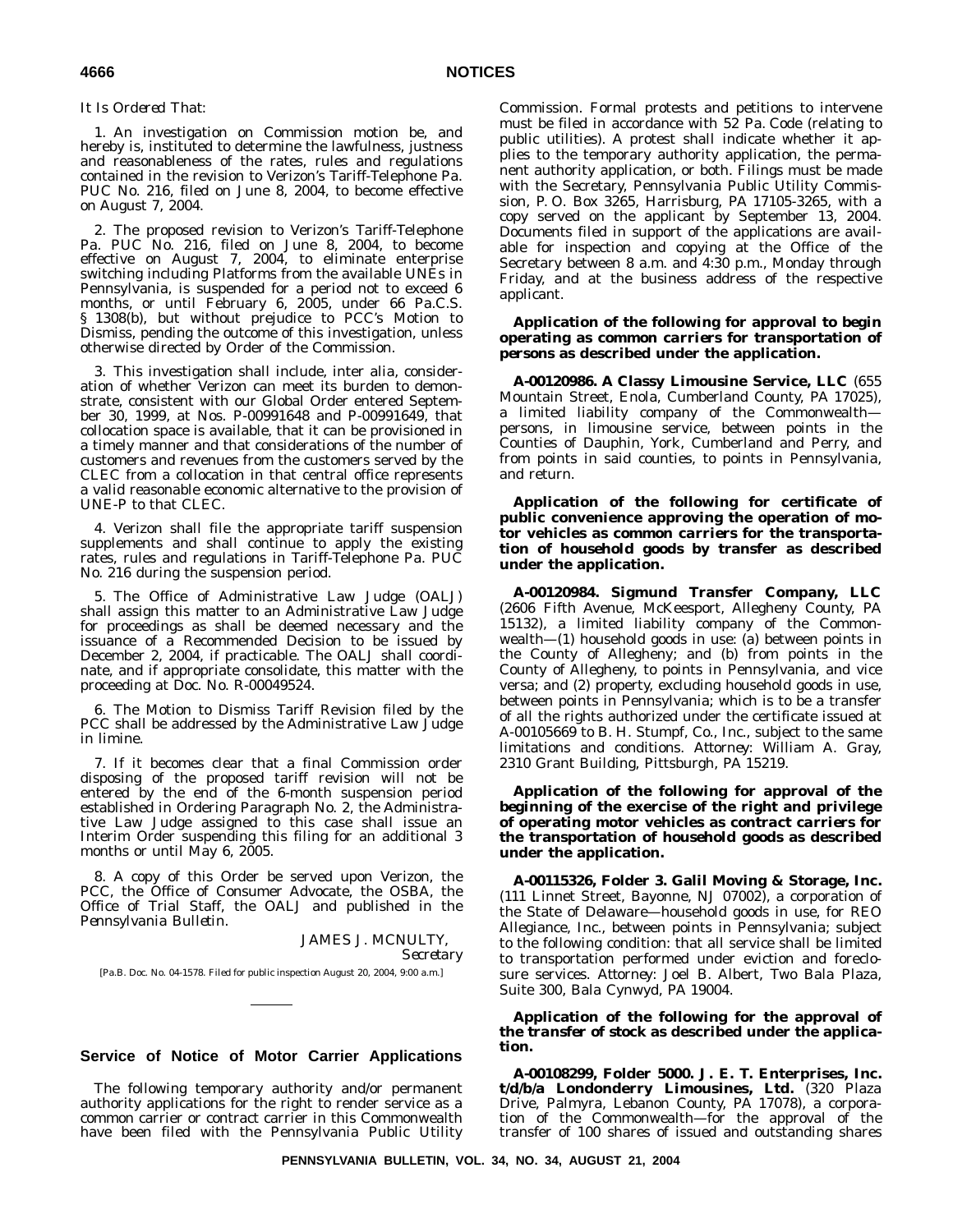#### *It Is Ordered That:*

1. An investigation on Commission motion be, and hereby is, instituted to determine the lawfulness, justness and reasonableness of the rates, rules and regulations contained in the revision to Verizon's Tariff-Telephone Pa. PUC No. 216, filed on June 8, 2004, to become effective on August 7, 2004.

2. The proposed revision to Verizon's Tariff-Telephone Pa. PUC No. 216, filed on June 8, 2004, to become effective on August 7, 2004, to eliminate enterprise switching including Platforms from the available UNEs in Pennsylvania, is suspended for a period not to exceed 6 months, or until February 6, 2005, under 66 Pa.C.S. § 1308(b), but without prejudice to PCC's Motion to Dismiss, pending the outcome of this investigation, unless otherwise directed by Order of the Commission.

3. This investigation shall include, inter alia, consideration of whether Verizon can meet its burden to demonstrate, consistent with our Global Order entered September 30, 1999, at Nos. P-00991648 and P-00991649, that collocation space is available, that it can be provisioned in a timely manner and that considerations of the number of customers and revenues from the customers served by the CLEC from a collocation in that central office represents a valid reasonable economic alternative to the provision of UNE-P to that CLEC.

4. Verizon shall file the appropriate tariff suspension supplements and shall continue to apply the existing rates, rules and regulations in Tariff-Telephone Pa. PUC No. 216 during the suspension period.

5. The Office of Administrative Law Judge (OALJ) shall assign this matter to an Administrative Law Judge for proceedings as shall be deemed necessary and the issuance of a Recommended Decision to be issued by December 2, 2004, if practicable. The OALJ shall coordinate, and if appropriate consolidate, this matter with the proceeding at Doc. No. R-00049524.

6. The Motion to Dismiss Tariff Revision filed by the PCC shall be addressed by the Administrative Law Judge in limine.

7. If it becomes clear that a final Commission order disposing of the proposed tariff revision will not be entered by the end of the 6-month suspension period established in Ordering Paragraph No. 2, the Administrative Law Judge assigned to this case shall issue an Interim Order suspending this filing for an additional 3 months or until May 6, 2005.

8. A copy of this Order be served upon Verizon, the PCC, the Office of Consumer Advocate, the OSBA, the Office of Trial Staff, the OALJ and published in the *Pennsylvania Bulletin*.

JAMES J. MCNULTY, *Secretary* [Pa.B. Doc. No. 04-1578. Filed for public inspection August 20, 2004, 9:00 a.m.]

### **Service of Notice of Motor Carrier Applications**

The following temporary authority and/or permanent authority applications for the right to render service as a common carrier or contract carrier in this Commonwealth have been filed with the Pennsylvania Public Utility

Commission. Formal protests and petitions to intervene must be filed in accordance with 52 Pa. Code (relating to public utilities). A protest shall indicate whether it applies to the temporary authority application, the permanent authority application, or both. Filings must be made with the Secretary, Pennsylvania Public Utility Commission, P. O. Box 3265, Harrisburg, PA 17105-3265, with a copy served on the applicant by September 13, 2004. Documents filed in support of the applications are available for inspection and copying at the Office of the Secretary between 8 a.m. and 4:30 p.m., Monday through Friday, and at the business address of the respective applicant.

#### **Application of the following for approval to** *begin* **operating as** *common carriers* **for transportation of** *persons* **as described under the application.**

**A-00120986. A Classy Limousine Service, LLC** (655 Mountain Street, Enola, Cumberland County, PA 17025), a limited liability company of the Commonwealth persons, in limousine service, between points in the Counties of Dauphin, York, Cumberland and Perry, and from points in said counties, to points in Pennsylvania, and return.

**Application of the following for certificate of public convenience approving the operation of motor vehicles as** *common carriers* **for the transportation of** *household goods* **by transfer as described under the application.**

**A-00120984. Sigmund Transfer Company, LLC** (2606 Fifth Avenue, McKeesport, Allegheny County, PA 15132), a limited liability company of the Commonwealth—(1) household goods in use: (a) between points in the County of Allegheny; and (b) from points in the County of Allegheny, to points in Pennsylvania, and vice versa; and (2) property, excluding household goods in use, between points in Pennsylvania; which is to be a transfer of all the rights authorized under the certificate issued at A-00105669 to B. H. Stumpf, Co., Inc., subject to the same limitations and conditions. *Attorney:* William A. Gray, 2310 Grant Building, Pittsburgh, PA 15219.

**Application of the following for approval of the** *beginning* **of the exercise of the right and privilege of operating motor vehicles as** *contract carriers* **for the transportation of** *household goods* **as described under the application.**

**A-00115326, Folder 3. Galil Moving & Storage, Inc.** (111 Linnet Street, Bayonne, NJ 07002), a corporation of the State of Delaware—household goods in use, for REO Allegiance, Inc., between points in Pennsylvania; subject to the following condition: that all service shall be limited to transportation performed under eviction and foreclosure services. *Attorney:* Joel B. Albert, Two Bala Plaza, Suite 300, Bala Cynwyd, PA 19004.

**Application of the following for the approval of the** *transfer of stock* **as described under the application.**

**A-00108299, Folder 5000. J. E. T. Enterprises, Inc. t/d/b/a Londonderry Limousines, Ltd.** (320 Plaza Drive, Palmyra, Lebanon County, PA 17078), a corporation of the Commonwealth—for the approval of the transfer of 100 shares of issued and outstanding shares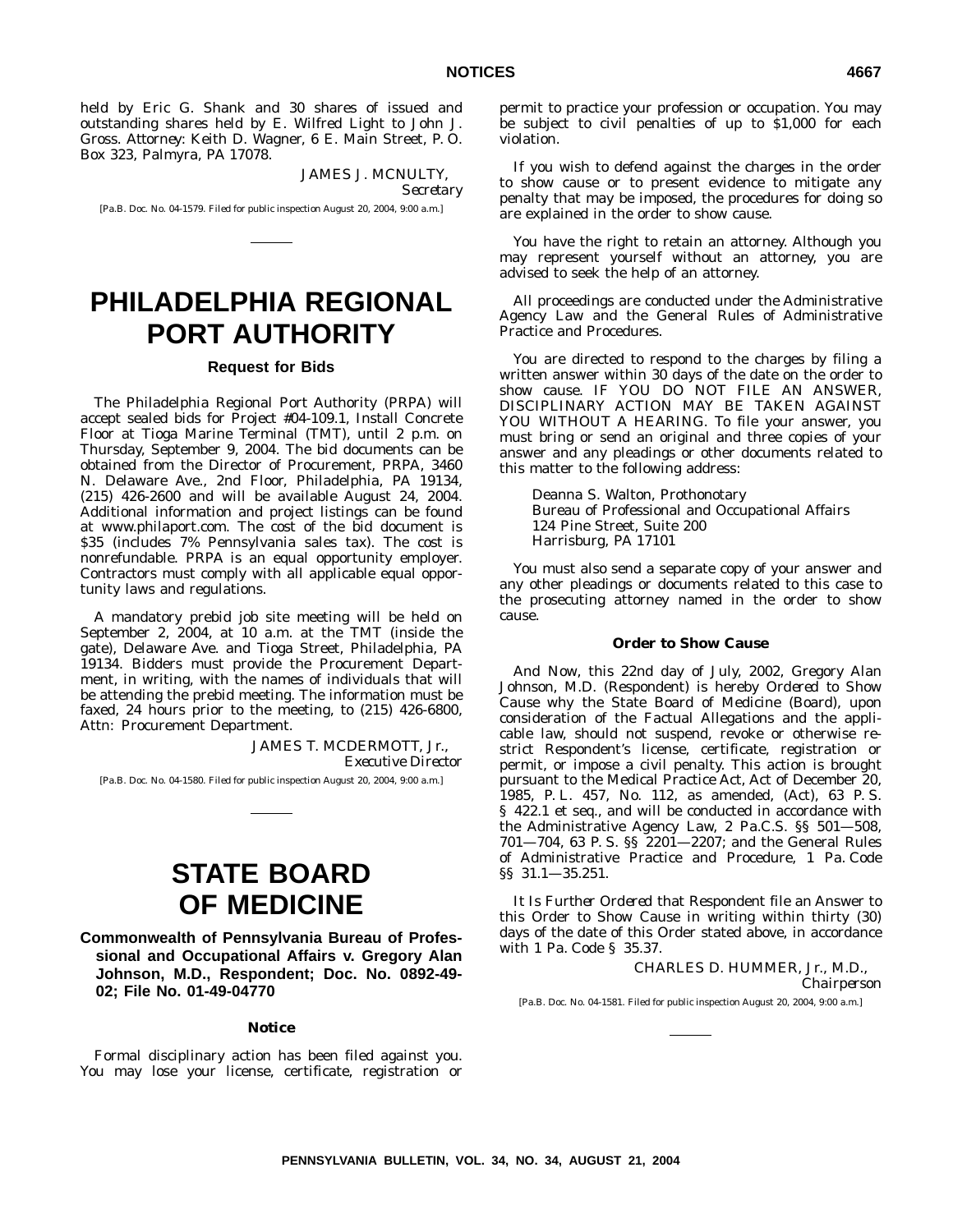held by Eric G. Shank and 30 shares of issued and outstanding shares held by E. Wilfred Light to John J. Gross. *Attorney:* Keith D. Wagner, 6 E. Main Street, P. O. Box 323, Palmyra, PA 17078.

> JAMES J. MCNULTY, *Secretary*

[Pa.B. Doc. No. 04-1579. Filed for public inspection August 20, 2004, 9:00 a.m.]

# **PHILADELPHIA REGIONAL PORT AUTHORITY**

# **Request for Bids**

The Philadelphia Regional Port Authority (PRPA) will accept sealed bids for Project #04-109.1, Install Concrete Floor at Tioga Marine Terminal (TMT), until 2 p.m. on Thursday, September 9, 2004. The bid documents can be obtained from the Director of Procurement, PRPA, 3460 N. Delaware Ave., 2nd Floor, Philadelphia, PA 19134, (215) 426-2600 and will be available August 24, 2004. Additional information and project listings can be found at www.philaport.com. The cost of the bid document is \$35 (includes 7% Pennsylvania sales tax). The cost is nonrefundable. PRPA is an equal opportunity employer. Contractors must comply with all applicable equal opportunity laws and regulations.

A mandatory prebid job site meeting will be held on September 2, 2004, at 10 a.m. at the TMT (inside the gate), Delaware Ave. and Tioga Street, Philadelphia, PA 19134. Bidders must provide the Procurement Department, in writing, with the names of individuals that will be attending the prebid meeting. The information must be faxed, 24 hours prior to the meeting, to (215) 426-6800, Attn: Procurement Department.

> JAMES T. MCDERMOTT, Jr., *Executive Director*

[Pa.B. Doc. No. 04-1580. Filed for public inspection August 20, 2004, 9:00 a.m.]

# **STATE BOARD OF MEDICINE**

**Commonwealth of Pennsylvania Bureau of Professional and Occupational Affairs v. Gregory Alan Johnson, M.D., Respondent; Doc. No. 0892-49- 02; File No. 01-49-04770**

#### **Notice**

Formal disciplinary action has been filed against you. You may lose your license, certificate, registration or permit to practice your profession or occupation. You may be subject to civil penalties of up to \$1,000 for each violation.

If you wish to defend against the charges in the order to show cause or to present evidence to mitigate any penalty that may be imposed, the procedures for doing so are explained in the order to show cause.

You have the right to retain an attorney. Although you may represent yourself without an attorney, you are advised to seek the help of an attorney.

All proceedings are conducted under the Administrative Agency Law and the General Rules of Administrative Practice and Procedures.

You are directed to respond to the charges by filing a written answer within 30 days of the date on the order to show cause. IF YOU DO NOT FILE AN ANSWER, DISCIPLINARY ACTION MAY BE TAKEN AGAINST YOU WITHOUT A HEARING. To file your answer, you must bring or send an original and three copies of your answer and any pleadings or other documents related to this matter to the following address:

Deanna S. Walton, Prothonotary Bureau of Professional and Occupational Affairs 124 Pine Street, Suite 200 Harrisburg, PA 17101

You must also send a separate copy of your answer and any other pleadings or documents related to this case to the prosecuting attorney named in the order to show cause.

#### **Order to Show Cause**

*And Now*, this 22nd day of July, 2002, Gregory Alan Johnson, M.D. (Respondent) is hereby *Ordered to Show Cause* why the State Board of Medicine (Board), upon consideration of the Factual Allegations and the applicable law, should not suspend, revoke or otherwise restrict Respondent's license, certificate, registration or permit, or impose a civil penalty. This action is brought pursuant to the Medical Practice Act, Act of December 20, 1985, P. L. 457, No. 112, as amended, (Act), 63 P. S. § 422.1 et seq., and will be conducted in accordance with the Administrative Agency Law, 2 Pa.C.S. §§ 501—508, 701—704, 63 P. S. §§ 2201—2207; and the General Rules of Administrative Practice and Procedure, 1 Pa. Code §§ 31.1—35.251.

*It Is Further Ordered* that Respondent file an Answer to this Order to Show Cause in writing within thirty (30) days of the date of this Order stated above, in accordance with 1 Pa. Code § 35.37.

> CHARLES D. HUMMER, Jr., M.D., *Chairperson*

[Pa.B. Doc. No. 04-1581. Filed for public inspection August 20, 2004, 9:00 a.m.]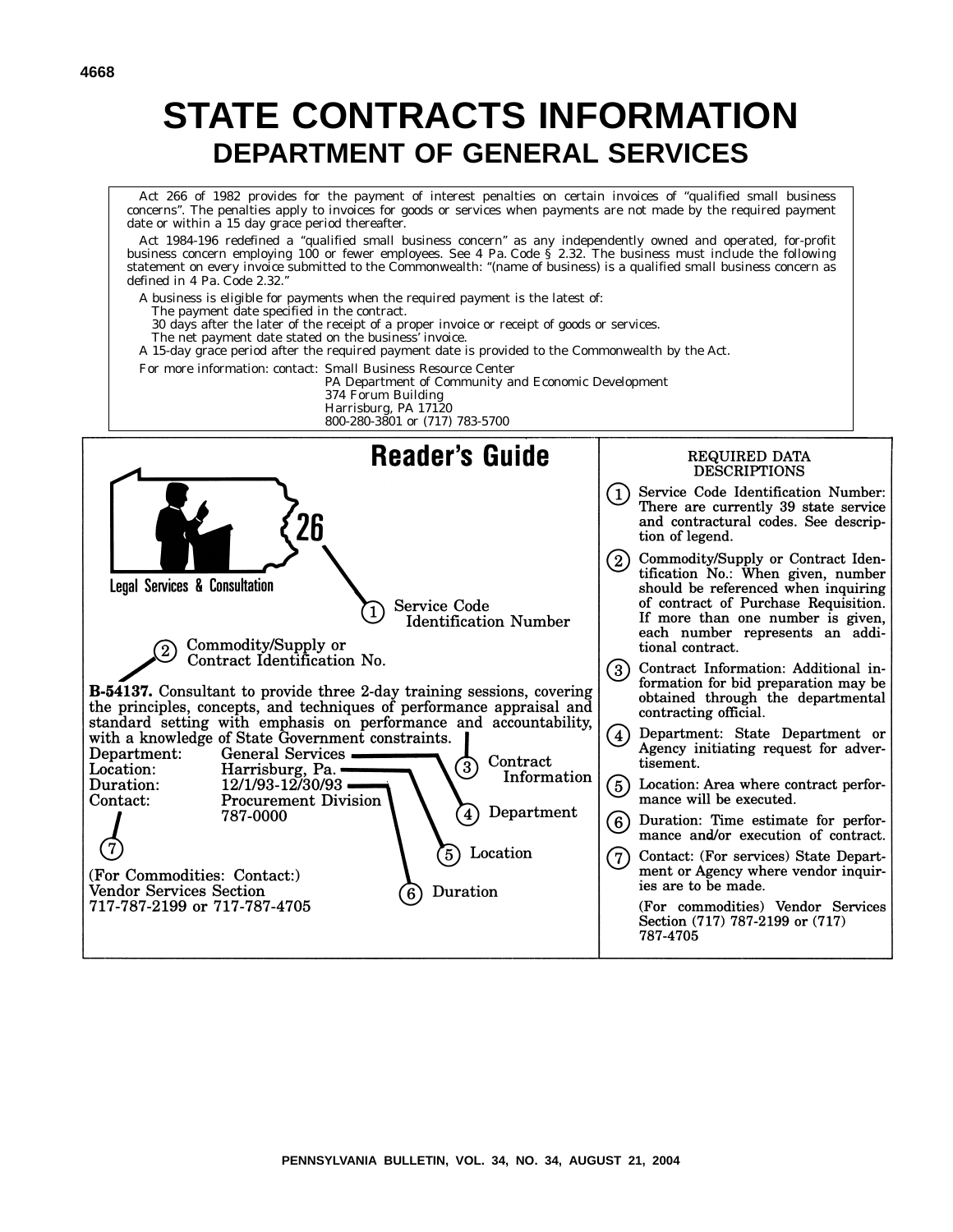# **STATE CONTRACTS INFORMATION DEPARTMENT OF GENERAL SERVICES**

Act 266 of 1982 provides for the payment of interest penalties on certain invoices of ''qualified small business concerns''. The penalties apply to invoices for goods or services when payments are not made by the required payment date or within a 15 day grace period thereafter.

Act 1984-196 redefined a ''qualified small business concern'' as any independently owned and operated, for-profit business concern employing 100 or fewer employees. See 4 Pa. Code § 2.32. The business must include the following statement on every invoice submitted to the Commonwealth: ''(name of business) is a qualified small business concern as defined in 4 Pa. Code 2.32.''

- A business is eligible for payments when the required payment is the latest of:
- The payment date specified in the contract.
- 30 days after the later of the receipt of a proper invoice or receipt of goods or services.
- The net payment date stated on the business' invoice.
- A 15-day grace period after the required payment date is provided to the Commonwealth by the Act.
- For more information: contact: Small Business Resource Center
	- PA Department of Community and Economic Development 374 Forum Building Harrisburg, PA 17120
	- 800-280-3801 or (717) 783-5700

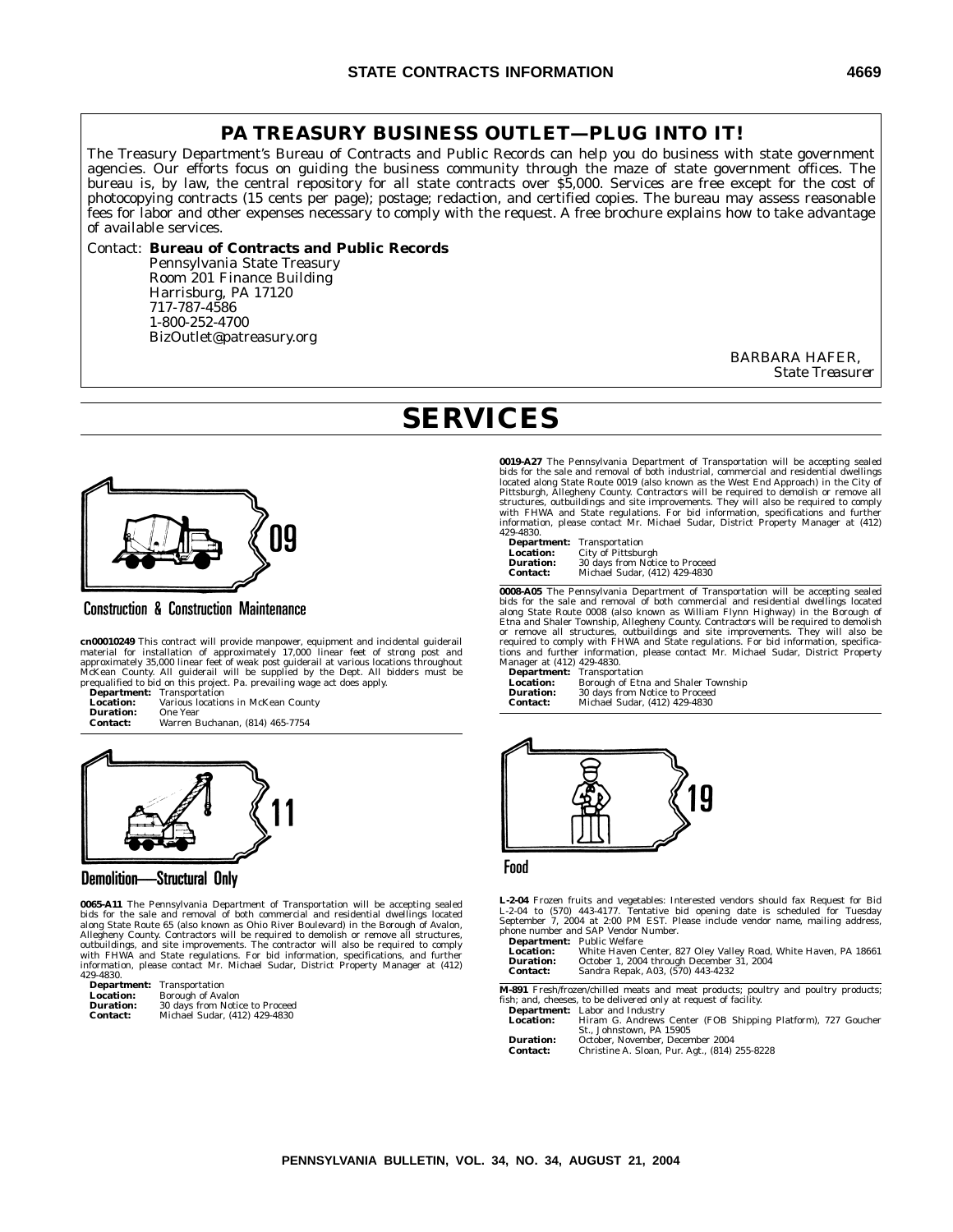# **PA TREASURY BUSINESS OUTLET—PLUG INTO IT!**

The Treasury Department's Bureau of Contracts and Public Records can help you do business with state government agencies. Our efforts focus on guiding the business community through the maze of state government offices. The bureau is, by law, the central repository for all state contracts over \$5,000. Services are free except for the cost of photocopying contracts (15 cents per page); postage; redaction, and certified copies. The bureau may assess reasonable fees for labor and other expenses necessary to comply with the request. A free brochure explains how to take advantage of available services.

#### Contact: **Bureau of Contracts and Public Records**

Pennsylvania State Treasury Room 201 Finance Building Harrisburg, PA 17120 717-787-4586 1-800-252-4700 BizOutlet@patreasury.org

> BARBARA HAFER, *State Treasurer*

# **SERVICES**



**Construction & Construction Maintenance** 

**cn00010249** This contract will provide manpower, equipment and incidental guiderail<br>material for installation of approximately 17,000 linear feet of strong post and<br>approximately 35,000 linear feet of weak post guiderail

| Department:     | Transportation                     |
|-----------------|------------------------------------|
| Location:       | Various locations in McKean County |
| Duration:       | One Year                           |
| <b>Contact:</b> | Warren Buchanan, (814) 465-7754    |



#### Demolition-Structural Only

**0065-A11** The Pennsylvania Department of Transportation will be accepting sealed bids for the sale and removal of both commercial and residential dwellings located<br>along State Route 65 (also known as Ohio River Boulevard) in the Borough of Avalon,<br>Allegheny County. Contractors will be required to demol with FHWA and State regulations. For bid information, specifications, and further information, please contact Mr. Michael Sudar, District Property Manager at (412) 429-4830.

| Department:      | Transportation                 |
|------------------|--------------------------------|
| <b>Location:</b> | <b>Borough of Avalon</b>       |
| <b>Duration:</b> | 30 days from Notice to Proceed |
| Contact:         | Michael Sudar (419) 420-4830   |

**0019-A27** The Pennsylvania Department of Transportation will be accepting sealed<br>bids for the sale and removal of both industrial, commercial and residential dwellings<br>located along State Route 0019 (also known as the Wes

| Department:      | Transportation                 |
|------------------|--------------------------------|
| Location:        | City of Pittsburgh             |
| <b>Duration:</b> | 30 days from Notice to Proceed |
| <b>Contact:</b>  | Michael Sudar. (412) 429-4830  |

**0008-A05** The Pennsylvania Department of Transportation will be accepting sealed bids for the sale and removal of both commercial and residential dwellings located along State Route 0008 (also known as William Flynn Highway) in the Borough of Etna and Shaler Township, Allegheny County. Contractors will be required to demolish<br>or remove all structures, outbuildings and site improvements. They will also be<br>required to comply with FHWA and State regulations. For b

Manager at (412) 429-4830. **Department:** Transportation **Location:** Borough of Etna and Shaler Township<br> **Duration:** 30 days from Notice to Proceed<br> **Contact:** Michael Sudar, (412) 429-4830 **Duration:** 30 days from Notice to Proceed **Contact:** Michael Sudar, (412) 429-4830



Food

**L-2-04** Frozen fruits and vegetables: Interested vendors should fax Request for Bid<br>L-2-04 to (570) 443-4177. Tentative bid opening date is scheduled for Tuesday<br>September 7, 2004 at 2:00 PM EST. Please include vendor nam phone number and SAP Vendor Number.

**Department:** Public Welfare **Location:** White Haven Center, 827 Oley Valley Road, White Haven, PA 18661 **Duration:** October 1, 2004 through December 31, 2004 **Contact:** Sandra Repak, A03, (570) 443-4232

**M-891** Fresh/frozen/chilled meats and meat products; poultry and poultry products; fish; and, cheeses, to be delivered only at request of facility.

- **Department:** Labor and Industry **Location:** Hiram G. Andrews Center (FOB Shipping Platform), 727 Goucher St., Johnstown, PA 15905
- **Duration:** October, November, December 2004 **Contact:** Christine A. Sloan, Pur. Agt., (814) 255-8228
-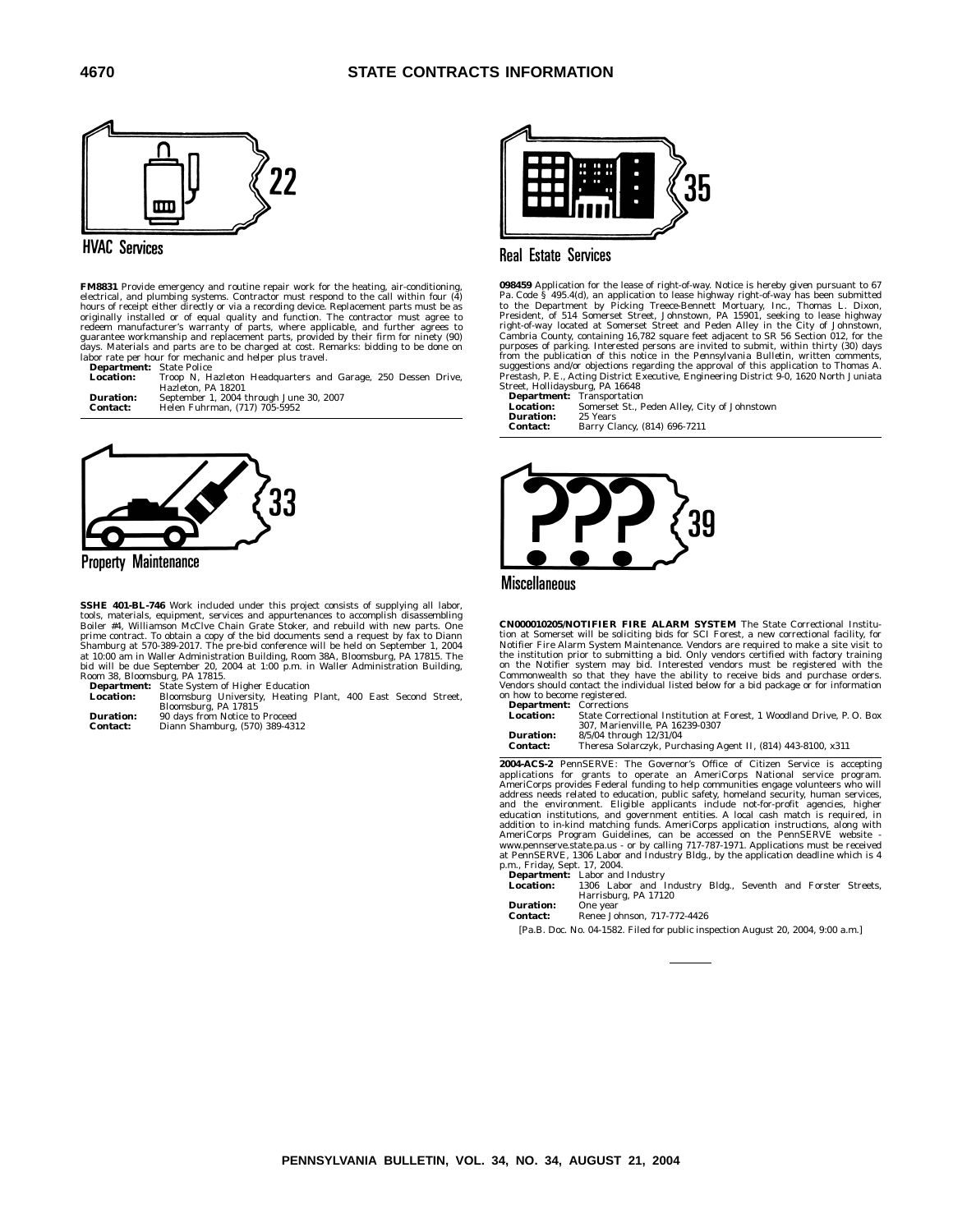

### **HVAC Services**

**FM8831** Provide emergency and routine repair work for the heating, air-conditioning, electrical, and plumbing systems. Contractor must respond to the call within four (4) hours of receipt either directly or via a recordin days. Materials and parts are to be charged at cost. Remarks: bidding to be done on labor rate per hour for mechanic and helper plus travel.

**Department:** State Police **Location:** Troop N, Hazleton Headquarters and Garage, 250 Dessen Drive, Hazleton, PA 18201 **Duration:** September 1, 2004 through June 30, 2007 **Contact:** Helen Fuhrman, (717) 705-5952

**Property Maintenance** 

**SSHE 401-BL-746** Work included under this project consists of supplying all labor,<br>tools, materials, equipment, services and appurtenances to accomplish disassembling<br>Boiler #4, Williamson McClve Chain Grate Stoker, and r prime contract. To obtain a copy of the bid documents send a request by fax to Diann<br>Shamburg at 570-389-2017. The pre-bid conference will be held on September 1, 2004<br>at 10:00 am in Waller Administration Building, Room 38

Room 38, Bloomsburg, PA 17815. **Department:** State System of Higher Education

**Location:** Bloomsburg University, Heating Plant, 400 East Second Street, Bloomsburg, PA 17815

| <b>Duration:</b> | 90 days from Notice to Proceed |
|------------------|--------------------------------|
| <b>Contact:</b>  | Diann Shamburg, (570) 389-4312 |



# **Real Estate Services**

**098459** Application for the lease of right-of-way. Notice is hereby given pursuant to 67<br>Pa. Code § 495.4(d), an application to lease highway right-of-way has been submitted<br>to the Department by Picking Trecee-Bennett Mor from the publication of this notice in the *Pennsylvania Bulletin*, written comments,<br>suggestions and/or objections regarding the approval of this application to Thomas A.<br>Prestash, P. E., Acting District Executive, Engine Street, Hollidaysburg, PA 16648

**Department:** Transportation **Location:** Somerset St., Peden Alley, City of Johnstown **Duration:** 25 Years<br>**Contact:** Barry Cl. **Contact:** Barry Clancy, (814) 696-7211





**CN000010205/NOTIFIER FIRE ALARM SYSTEM** The State Correctional Institution at Somerset will be soliciting bids for SCI Forest, a new correctional facility, for<br>Notifier Fire Alarm System Maintenance. Vendors are required to make a site visit to<br>the institution prior to submitting a bid. Only Commonwealth so that they have the ability to receive bids and purchase orders. Vendors should contact the individual listed below for a bid package or for information on how to become registered.

**Department:** Corrections<br> **Location:** State Corre

**Location:** State Correctional Institution at Forest, 1 Woodland Drive, P. O. Box 307, Marienville, PA 16239-0307 **Duration:** 8/5/04 through 12/31/04

**Contact:** Theresa Solarczyk, Purchasing Agent II, (814) 443-8100, x311

**2004-ACS-2** PennSERVE: The Governor's Office of Citizen Service is accepting applications for grants to operate an AmeriCorps National service program. AmeriCorps provides Federal funding to help communities engage volunteers who will address needs related to education, public safety, homeland security, human services, and the environment. Eligible applicants include not-for-profit agencies, higher education institutions, and government entities. A loca

p.m., Friday, Sept. 17, 2004. **Department:** Labor and Industry **Location:** 1306 Labor and Industry Bldg., Seventh and Forster Streets, Harrisburg, PA 17120

**Duration:** One year **Contact:** Renee Johnson, 717-772-4426

[Pa.B. Doc. No. 04-1582. Filed for public inspection August 20, 2004, 9:00 a.m.]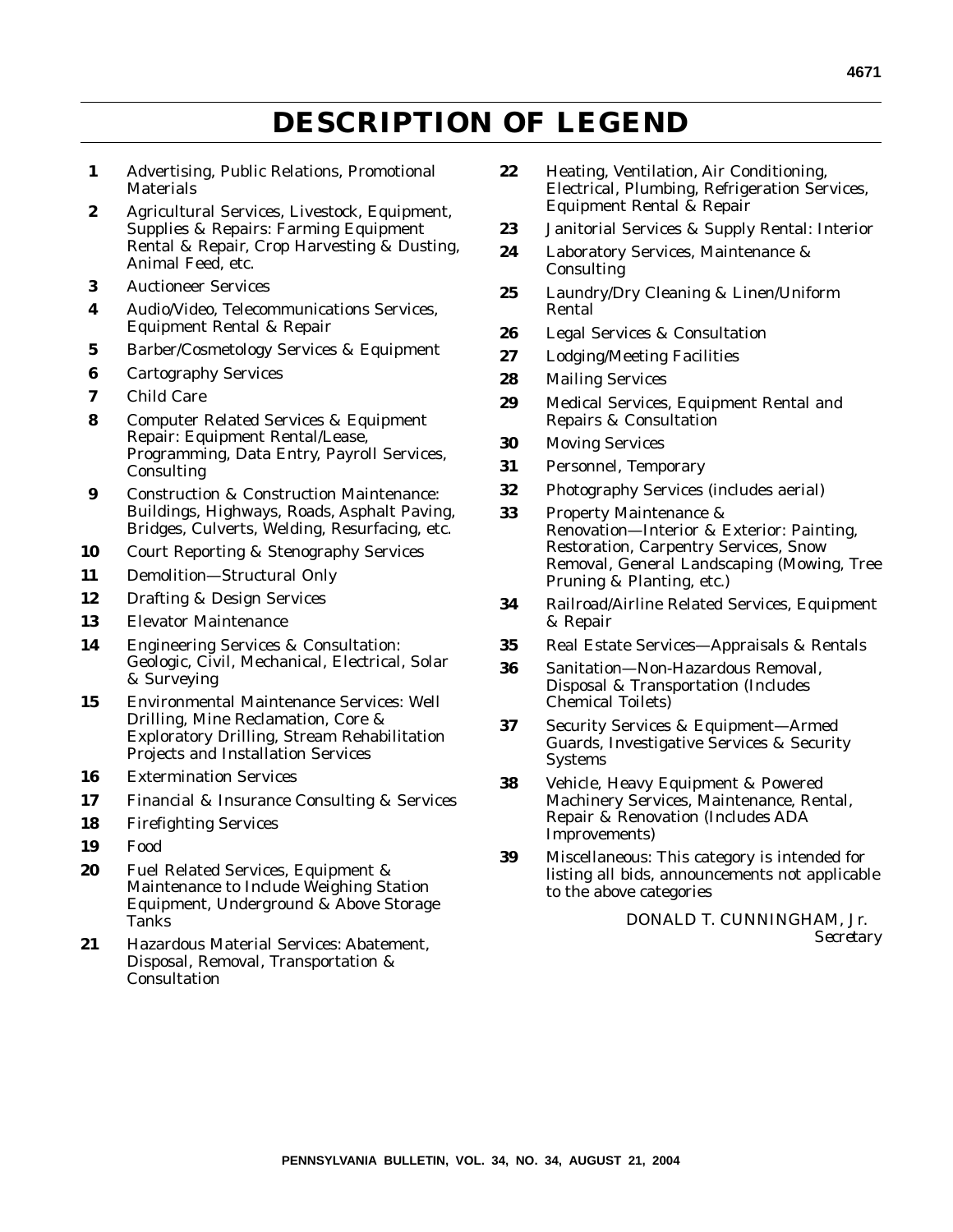# **DESCRIPTION OF LEGEND**

- **1** Advertising, Public Relations, Promotional **Materials**
- **2** Agricultural Services, Livestock, Equipment, Supplies & Repairs: Farming Equipment Rental & Repair, Crop Harvesting & Dusting, Animal Feed, etc.
- **3** Auctioneer Services
- **4** Audio/Video, Telecommunications Services, Equipment Rental & Repair
- **5** Barber/Cosmetology Services & Equipment
- **6** Cartography Services
- **7** Child Care
- **8** Computer Related Services & Equipment Repair: Equipment Rental/Lease, Programming, Data Entry, Payroll Services, Consulting
- **9** Construction & Construction Maintenance: Buildings, Highways, Roads, Asphalt Paving, Bridges, Culverts, Welding, Resurfacing, etc.
- **10** Court Reporting & Stenography Services
- **11** Demolition—Structural Only
- **12** Drafting & Design Services
- **13** Elevator Maintenance
- **14** Engineering Services & Consultation: Geologic, Civil, Mechanical, Electrical, Solar & Surveying
- **15** Environmental Maintenance Services: Well Drilling, Mine Reclamation, Core & Exploratory Drilling, Stream Rehabilitation Projects and Installation Services
- **16** Extermination Services
- **17** Financial & Insurance Consulting & Services
- **18** Firefighting Services
- **19** Food
- **20** Fuel Related Services, Equipment & Maintenance to Include Weighing Station Equipment, Underground & Above Storage Tanks
- **21** Hazardous Material Services: Abatement, Disposal, Removal, Transportation & **Consultation**
- **22** Heating, Ventilation, Air Conditioning, Electrical, Plumbing, Refrigeration Services, Equipment Rental & Repair
- **23** Janitorial Services & Supply Rental: Interior
- **24** Laboratory Services, Maintenance & Consulting
- **25** Laundry/Dry Cleaning & Linen/Uniform Rental
- **26** Legal Services & Consultation
- **27** Lodging/Meeting Facilities
- **28** Mailing Services
- **29** Medical Services, Equipment Rental and Repairs & Consultation
- **30** Moving Services
- **31** Personnel, Temporary
- **32** Photography Services (includes aerial)
- **33** Property Maintenance & Renovation—Interior & Exterior: Painting, Restoration, Carpentry Services, Snow Removal, General Landscaping (Mowing, Tree Pruning & Planting, etc.)
- **34** Railroad/Airline Related Services, Equipment & Repair
- **35** Real Estate Services—Appraisals & Rentals
- **36** Sanitation—Non-Hazardous Removal, Disposal & Transportation (Includes Chemical Toilets)
- **37** Security Services & Equipment—Armed Guards, Investigative Services & Security Systems
- **38** Vehicle, Heavy Equipment & Powered Machinery Services, Maintenance, Rental, Repair & Renovation (Includes ADA Improvements)
- **39** Miscellaneous: This category is intended for listing all bids, announcements not applicable to the above categories

DONALD T. CUNNINGHAM, Jr. *Secretary*